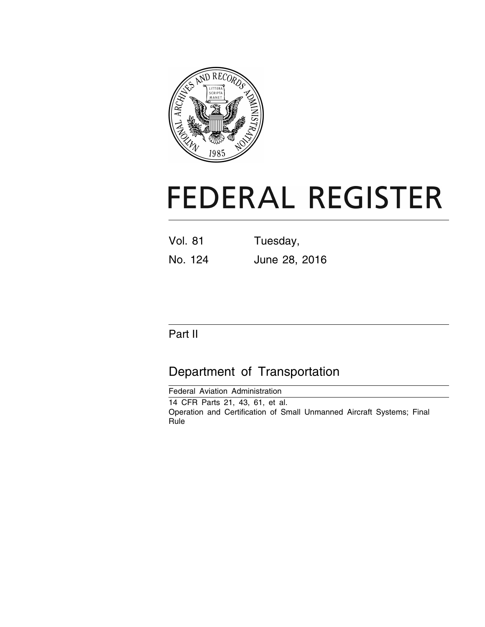

# **FEDERAL REGISTER**

Vol. 81 Tuesday, No. 124 June 28, 2016

## Part II

# Department of Transportation

Federal Aviation Administration 14 CFR Parts 21, 43, 61, et al. Operation and Certification of Small Unmanned Aircraft Systems; Final Rule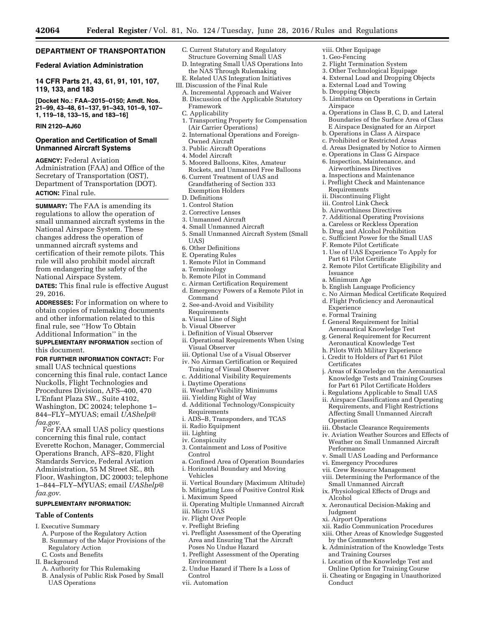#### **DEPARTMENT OF TRANSPORTATION**

#### **Federal Aviation Administration**

**14 CFR Parts 21, 43, 61, 91, 101, 107, 119, 133, and 183** 

**[Docket No.: FAA–2015–0150; Amdt. Nos. 21–99, 43–48, 61–137, 91–343, 101–9, 107– 1, 119–18, 133–15, and 183–16]** 

#### **RIN 2120–AJ60**

#### **Operation and Certification of Small Unmanned Aircraft Systems**

**AGENCY:** Federal Aviation Administration (FAA) and Office of the Secretary of Transportation (OST), Department of Transportation (DOT). **ACTION:** Final rule.

**SUMMARY:** The FAA is amending its regulations to allow the operation of small unmanned aircraft systems in the National Airspace System. These changes address the operation of unmanned aircraft systems and certification of their remote pilots. This rule will also prohibit model aircraft from endangering the safety of the National Airspace System.

**DATES:** This final rule is effective August 29, 2016.

**ADDRESSES:** For information on where to obtain copies of rulemaking documents and other information related to this final rule, see ''How To Obtain Additional Information'' in the **SUPPLEMENTARY INFORMATION** section of this document.

## **FOR FURTHER INFORMATION CONTACT:** For

small UAS technical questions concerning this final rule, contact Lance Nuckolls, Flight Technologies and Procedures Division, AFS–400, 470 L'Enfant Plaza SW., Suite 4102, Washington, DC 20024; telephone 1– 844–FLY–MYUAS; email *[UAShelp@](mailto:UAShelp@faa.gov) [faa.gov](mailto:UAShelp@faa.gov)*.

For FAA small UAS policy questions concerning this final rule, contact Everette Rochon, Manager, Commercial Operations Branch, AFS–820, Flight Standards Service, Federal Aviation Administration, 55 M Street SE., 8th Floor, Washington, DC 20003; telephone 1–844–FLY–MYUAS; email *[UAShelp@](mailto:UAShelp@faa.gov) [faa.gov](mailto:UAShelp@faa.gov)*.

#### **SUPPLEMENTARY INFORMATION:**

#### **Table of Contents**

- I. Executive Summary
	- A. Purpose of the Regulatory Action B. Summary of the Major Provisions of the
	- Regulatory Action
	- C. Costs and Benefits
- II. Background
- A. Authority for This Rulemaking
- B. Analysis of Public Risk Posed by Small UAS Operations
- C. Current Statutory and Regulatory Structure Governing Small UAS
- D. Integrating Small UAS Operations Into the NAS Through Rulemaking E. Related UAS Integration Initiatives
- III. Discussion of the Final Rule
	- A. Incremental Approach and Waiver
	- B. Discussion of the Applicable Statutory Framework
	- C. Applicability
	- 1. Transporting Property for Compensation (Air Carrier Operations)
	- 2. International Operations and Foreign-Owned Aircraft
	- 3. Public Aircraft Operations
	- 4. Model Aircraft
	- 5. Moored Balloons, Kites, Amateur Rockets, and Unmanned Free Balloons
	- 6. Current Treatment of UAS and Grandfathering of Section 333 Exemption Holders
	- D. Definitions
	- 1. Control Station
	- 2. Corrective Lenses
	- 3. Unmanned Aircraft
	- 4. Small Unmanned Aircraft
- 5. Small Unmanned Aircraft System (Small UAS)
- 6. Other Definitions
- E. Operating Rules
- 1. Remote Pilot in Command
- a. Terminology
- b. Remote Pilot in Command
- c. Airman Certification Requirement d. Emergency Powers of a Remote Pilot in Command
- 2. See-and-Avoid and Visibility Requirements
- a. Visual Line of Sight
- b. Visual Observer
- i. Definition of Visual Observer
- ii. Operational Requirements When Using Visual Observer
- iii. Optional Use of a Visual Observer iv. No Airman Certification or Required
- Training of Visual Observer c. Additional Visibility Requirements
- i. Daytime Operations
- ii. Weather/Visibility Minimums
- iii. Yielding Right of Way
- d. Additional Technology/Conspicuity Requirements
- i. ADS–B, Transponders, and TCAS
- ii. Radio Equipment
- iii. Lighting
- iv. Conspicuity
- 3. Containment and Loss of Positive Control
- a. Confined Area of Operation Boundaries
- i. Horizontal Boundary and Moving Vehicles
- ii. Vertical Boundary (Maximum Altitude)
- b. Mitigating Loss of Positive Control Risk
- i. Maximum Speed
- ii. Operating Multiple Unmanned Aircraft iii. Micro UAS
- iv. Flight Over People
- v. Preflight Briefing
- vi. Preflight Assessment of the Operating Area and Ensuring That the Aircraft Poses No Undue Hazard
- 1. Preflight Assessment of the Operating Environment
- 2. Undue Hazard if There Is a Loss of Control
- vii. Automation
- viii. Other Equipage
- 1. Geo-Fencing
- 2. Flight Termination System 3. Other Technological Equipage
- 4. External Load and Dropping Objects
- a. External Load and Towing
- 
- b. Dropping Objects
- 5. Limitations on Operations in Certain Airspace
- a. Operations in Class B, C, D, and Lateral Boundaries of the Surface Area of Class E Airspace Designated for an Airport
- b. Operations in Class A Airspace
- c. Prohibited or Restricted Areas
- d. Areas Designated by Notice to Airmen
- e. Operations in Class G Airspace 6. Inspection, Maintenance, and Airworthiness Directives
- a. Inspections and Maintenance
- i. Preflight Check and Maintenance Requirements
- ii. Discontinuing Flight

Issuance a. Minimum Age

Experience e. Formal Training

Certificates

**Operation** 

Performance

Alcohol

Judgment xi. Airport Operations

Conduct

vi. Emergency Procedures vii. Crew Resource Management viii. Determining the Performance of the

by the Commenters

and Training Courses

Small Unmanned Aircraft ix. Physiological Effects of Drugs and

- iii. Control Link Check
- b. Airworthiness Directives
- 7. Additional Operating Provisions
- a. Careless or Reckless Operation
- b. Drug and Alcohol Prohibition
- c. Sufficient Power for the Small UAS
- F. Remote Pilot Certificate

b. English Language Proficiency

f. General Requirement for Initial Aeronautical Knowledge Test g. General Requirement for Recurrent Aeronautical Knowledge Test h. Pilots With Military Experience i. Credit to Holders of Part 61 Pilot

1. Use of UAS Experience To Apply for Part 61 Pilot Certificate 2. Remote Pilot Certificate Eligibility and

c. No Airman Medical Certificate Required d. Flight Proficiency and Aeronautical

j. Areas of Knowledge on the Aeronautical Knowledge Tests and Training Courses for Part 61 Pilot Certificate Holders i. Regulations Applicable to Small UAS ii. Airspace Classifications and Operating Requirements, and Flight Restrictions Affecting Small Unmanned Aircraft

iii. Obstacle Clearance Requirements iv. Aviation Weather Sources and Effects of Weather on Small Unmanned Aircraft

v. Small UAS Loading and Performance

x. Aeronautical Decision-Making and

xii. Radio Communication Procedures xiii. Other Areas of Knowledge Suggested

i. Location of the Knowledge Test and Online Option for Training Course ii. Cheating or Engaging in Unauthorized

k. Administration of the Knowledge Tests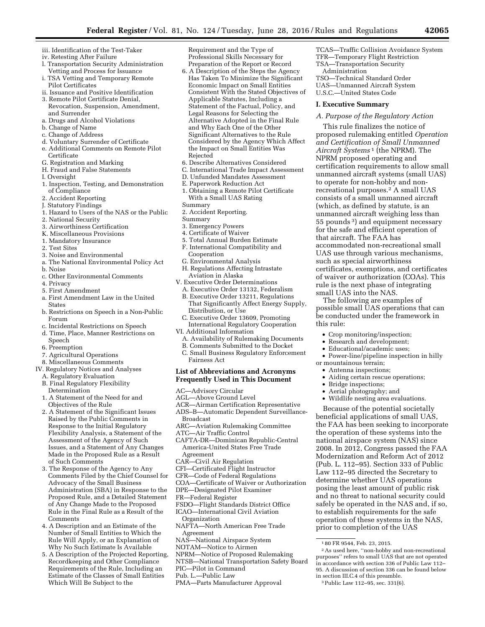- iv. Retesting After Failure
- l. Transportation Security Administration Vetting and Process for Issuance
- i. TSA Vetting and Temporary Remote Pilot Certificates
- ii. Issuance and Positive Identification
- 3. Remote Pilot Certificate Denial, Revocation, Suspension, Amendment, and Surrender
- a. Drugs and Alcohol Violations
- b. Change of Name
- c. Change of Address
- d. Voluntary Surrender of Certificate
- e. Additional Comments on Remote Pilot Certificate
- G. Registration and Marking
- H. Fraud and False Statements
- I. Oversight
- 1. Inspection, Testing, and Demonstration of Compliance
- 2. Accident Reporting
- J. Statutory Findings
- 1. Hazard to Users of the NAS or the Public
- 2. National Security
- 3. Airworthiness Certification
- K. Miscellaneous Provisions
- 1. Mandatory Insurance
- 2. Test Sites
- 3. Noise and Environmental
- a. The National Environmental Policy Act
- b. Noise
- c. Other Environmental Comments
- 4. Privacy
- 5. First Amendment
- a. First Amendment Law in the United States
- b. Restrictions on Speech in a Non-Public Forum
- c. Incidental Restrictions on Speech
- d. Time, Place, Manner Restrictions on Speech
- 6. Preemption
- 7. Agricultural Operations
- 8. Miscellaneous Comments
- IV. Regulatory Notices and Analyses A. Regulatory Evaluation
	- B. Final Regulatory Flexibility Determination
	- 1. A Statement of the Need for and Objectives of the Rule
	- 2. A Statement of the Significant Issues Raised by the Public Comments in Response to the Initial Regulatory Flexibility Analysis, a Statement of the Assessment of the Agency of Such Issues, and a Statement of Any Changes Made in the Proposed Rule as a Result of Such Comments
	- 3. The Response of the Agency to Any Comments Filed by the Chief Counsel for Advocacy of the Small Business Administration (SBA) in Response to the Proposed Rule, and a Detailed Statement of Any Change Made to the Proposed Rule in the Final Rule as a Result of the Comments
	- 4. A Description and an Estimate of the Number of Small Entities to Which the Rule Will Apply, or an Explanation of Why No Such Estimate Is Available
	- 5. A Description of the Projected Reporting, Recordkeeping and Other Compliance Requirements of the Rule, Including an Estimate of the Classes of Small Entities Which Will Be Subject to the

Requirement and the Type of Professional Skills Necessary for Preparation of the Report or Record

- 6. A Description of the Steps the Agency Has Taken To Minimize the Significant Economic Impact on Small Entities Consistent With the Stated Objectives of Applicable Statutes, Including a Statement of the Factual, Policy, and Legal Reasons for Selecting the Alternative Adopted in the Final Rule and Why Each One of the Other Significant Alternatives to the Rule Considered by the Agency Which Affect the Impact on Small Entities Was Rejected
- 6. Describe Alternatives Considered
- C. International Trade Impact Assessment
- D. Unfunded Mandates Assessment
- E. Paperwork Reduction Act
- 1. Obtaining a Remote Pilot Certificate With a Small UAS Rating
- Summary
- 2. Accident Reporting.
- Summary
- 3. Emergency Powers
- 4. Certificate of Waiver
- 5. Total Annual Burden Estimate F. International Compatibility and
- Cooperation G. Environmental Analysis
- H. Regulations Affecting Intrastate
- Aviation in Alaska V. Executive Order Determinations
	- A. Executive Order 13132, Federalism
	- B. Executive Order 13211, Regulations That Significantly Affect Energy Supply, Distribution, or Use
	- C. Executive Order 13609, Promoting International Regulatory Cooperation
- VI. Additional Information
	- A. Availability of Rulemaking Documents
	- B. Comments Submitted to the Docket
	- C. Small Business Regulatory Enforcement Fairness Act

#### **List of Abbreviations and Acronyms Frequently Used in This Document**

AC—Advisory Circular

- AGL—Above Ground Level
- ACR—Airman Certification Representative
- ADS–B—Automatic Dependent Surveillance-
- Broadcast ARC—Aviation Rulemaking Committee
- ATC—Air Traffic Control
- CAFTA-DR—Dominican Republic-Central
- America-United States Free Trade Agreement
- CAR—Civil Air Regulation
- CFI—Certificated Flight Instructor
- CFR—Code of Federal Regulations
- COA—Certificate of Waiver or Authorization
- DPE—Designated Pilot Examiner
- FR—Federal Register
- FSDO—Flight Standards District Office
- ICAO—International Civil Aviation Organization
- NAFTA—North American Free Trade Agreement
- NAS—National Airspace System
- NOTAM—Notice to Airmen
- NPRM—Notice of Proposed Rulemaking
- NTSB—National Transportation Safety Board
- PIC—Pilot in Command
- Pub. L.—Public Law
- PMA—Parts Manufacturer Approval

TCAS—Traffic Collision Avoidance System TFR—Temporary Flight Restriction TSA—Transportation Security Administration TSO—Technical Standard Order

UAS—Unmanned Aircraft System U.S.C.—United States Code

#### **I. Executive Summary**

#### *A. Purpose of the Regulatory Action*

This rule finalizes the notice of proposed rulemaking entitled *Operation and Certification of Small Unmanned Aircraft Systems* 1 (the NPRM). The NPRM proposed operating and certification requirements to allow small unmanned aircraft systems (small UAS) to operate for non-hobby and nonrecreational purposes.2 A small UAS consists of a small unmanned aircraft (which, as defined by statute, is an unmanned aircraft weighing less than 55 pounds 3) and equipment necessary for the safe and efficient operation of that aircraft. The FAA has accommodated non-recreational small UAS use through various mechanisms, such as special airworthiness certificates, exemptions, and certificates of waiver or authorization (COAs). This rule is the next phase of integrating small UAS into the NAS.

The following are examples of possible small UAS operations that can be conducted under the framework in this rule:

• Power-line/pipeline inspection in hilly

• Aiding certain rescue operations;

- Crop monitoring/inspection;
- Research and development; • Educational/academic uses;

or mountainous terrain; • Antenna inspections;

• Bridge inspections; • Aerial photography; and • Wildlife nesting area evaluations. Because of the potential societally beneficial applications of small UAS, the FAA has been seeking to incorporate the operation of these systems into the national airspace system (NAS) since 2008. In 2012, Congress passed the FAA Modernization and Reform Act of 2012 (Pub. L. 112–95). Section 333 of Public Law 112–95 directed the Secretary to determine whether UAS operations posing the least amount of public risk and no threat to national security could safely be operated in the NAS and, if so, to establish requirements for the safe operation of these systems in the NAS, prior to completion of the UAS

1 80 FR 9544, Feb. 23, 2015.

in section III.C.4 of this preamble. 3Public Law 112–95, sec. 331(6).

 $^{\rm 2}\, \mathrm{As}$  used here, ''non-hobby and non-recreational purposes'' refers to small UAS that are not operated in accordance with section 336 of Public Law 112– 95. A discussion of section 336 can be found below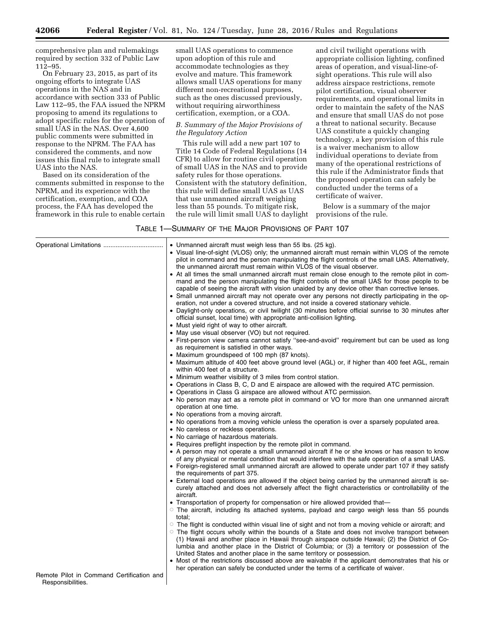comprehensive plan and rulemakings required by section 332 of Public Law

112–95. On February 23, 2015, as part of its ongoing efforts to integrate UAS operations in the NAS and in accordance with section 333 of Public Law 112–95, the FAA issued the NPRM proposing to amend its regulations to adopt specific rules for the operation of small UAS in the NAS. Over 4,600 public comments were submitted in response to the NPRM. The FAA has considered the comments, and now issues this final rule to integrate small UAS into the NAS.

Based on its consideration of the comments submitted in response to the NPRM, and its experience with the certification, exemption, and COA process, the FAA has developed the framework in this rule to enable certain small UAS operations to commence upon adoption of this rule and accommodate technologies as they evolve and mature. This framework allows small UAS operations for many different non-recreational purposes, such as the ones discussed previously, without requiring airworthiness certification, exemption, or a COA.

#### *B. Summary of the Major Provisions of the Regulatory Action*

This rule will add a new part 107 to Title 14 Code of Federal Regulations (14 CFR) to allow for routine civil operation of small UAS in the NAS and to provide safety rules for those operations. Consistent with the statutory definition, this rule will define small UAS as UAS that use unmanned aircraft weighing less than 55 pounds. To mitigate risk, the rule will limit small UAS to daylight

and civil twilight operations with appropriate collision lighting, confined areas of operation, and visual-line-ofsight operations. This rule will also address airspace restrictions, remote pilot certification, visual observer requirements, and operational limits in order to maintain the safety of the NAS and ensure that small UAS do not pose a threat to national security. Because UAS constitute a quickly changing technology, a key provision of this rule is a waiver mechanism to allow individual operations to deviate from many of the operational restrictions of this rule if the Administrator finds that the proposed operation can safely be conducted under the terms of a certificate of waiver.

Below is a summary of the major provisions of the rule.

#### TABLE 1—SUMMARY OF THE MAJOR PROVISIONS OF PART 107

|  | • Unmanned aircraft must weigh less than 55 lbs. (25 kg).                                                                                                                                                                                                                     |
|--|-------------------------------------------------------------------------------------------------------------------------------------------------------------------------------------------------------------------------------------------------------------------------------|
|  | • Visual line-of-sight (VLOS) only; the unmanned aircraft must remain within VLOS of the remote<br>pilot in command and the person manipulating the flight controls of the small UAS. Alternatively,<br>the unmanned aircraft must remain within VLOS of the visual observer. |
|  | • At all times the small unmanned aircraft must remain close enough to the remote pilot in com-<br>mand and the person manipulating the flight controls of the small UAS for those people to be                                                                               |
|  | capable of seeing the aircraft with vision unaided by any device other than corrective lenses.<br>• Small unmanned aircraft may not operate over any persons not directly participating in the op-                                                                            |
|  | eration, not under a covered structure, and not inside a covered stationary vehicle.                                                                                                                                                                                          |
|  | • Daylight-only operations, or civil twilight (30 minutes before official sunrise to 30 minutes after<br>official sunset, local time) with appropriate anti-collision lighting.                                                                                               |
|  | • Must yield right of way to other aircraft.                                                                                                                                                                                                                                  |
|  | • May use visual observer (VO) but not required.                                                                                                                                                                                                                              |
|  | • First-person view camera cannot satisfy "see-and-avoid" requirement but can be used as long<br>as requirement is satisfied in other ways.                                                                                                                                   |
|  | • Maximum groundspeed of 100 mph (87 knots).                                                                                                                                                                                                                                  |
|  | • Maximum altitude of 400 feet above ground level (AGL) or, if higher than 400 feet AGL, remain<br>within 400 feet of a structure.                                                                                                                                            |
|  | • Minimum weather visibility of 3 miles from control station.                                                                                                                                                                                                                 |
|  | • Operations in Class B, C, D and E airspace are allowed with the required ATC permission.                                                                                                                                                                                    |
|  | • Operations in Class G airspace are allowed without ATC permission.                                                                                                                                                                                                          |
|  | • No person may act as a remote pilot in command or VO for more than one unmanned aircraft                                                                                                                                                                                    |
|  | operation at one time.                                                                                                                                                                                                                                                        |
|  | • No operations from a moving aircraft.                                                                                                                                                                                                                                       |
|  | • No operations from a moving vehicle unless the operation is over a sparsely populated area.                                                                                                                                                                                 |
|  | • No careless or reckless operations.                                                                                                                                                                                                                                         |
|  | • No carriage of hazardous materials.                                                                                                                                                                                                                                         |
|  | • Requires preflight inspection by the remote pilot in command.                                                                                                                                                                                                               |
|  | • A person may not operate a small unmanned aircraft if he or she knows or has reason to know                                                                                                                                                                                 |
|  | of any physical or mental condition that would interfere with the safe operation of a small UAS.                                                                                                                                                                              |
|  | • Foreign-registered small unmanned aircraft are allowed to operate under part 107 if they satisfy                                                                                                                                                                            |
|  | the requirements of part 375.                                                                                                                                                                                                                                                 |
|  | • External load operations are allowed if the object being carried by the unmanned aircraft is se-                                                                                                                                                                            |
|  | curely attached and does not adversely affect the flight characteristics or controllability of the                                                                                                                                                                            |
|  | aircraft.                                                                                                                                                                                                                                                                     |
|  | • Transportation of property for compensation or hire allowed provided that-                                                                                                                                                                                                  |
|  | $\circ$ The aircraft, including its attached systems, payload and cargo weigh less than 55 pounds                                                                                                                                                                             |
|  | total:<br>$\circ$ The flight is conducted within visual line of sight and not from a moving vehicle or aircraft; and                                                                                                                                                          |
|  | ○ The flight occurs wholly within the bounds of a State and does not involve transport between                                                                                                                                                                                |
|  | (1) Hawaii and another place in Hawaii through airspace outside Hawaii; (2) the District of Co-                                                                                                                                                                               |
|  | lumbia and another place in the District of Columbia; or (3) a territory or possession of the                                                                                                                                                                                 |
|  | United States and another place in the same territory or possession.                                                                                                                                                                                                          |
|  | • Most of the restrictions discussed above are waivable if the applicant demonstrates that his or                                                                                                                                                                             |

• Most of the restrictions discussed above are waivable if the applicant demonstrates that his or her operation can safely be conducted under the terms of a certificate of waiver.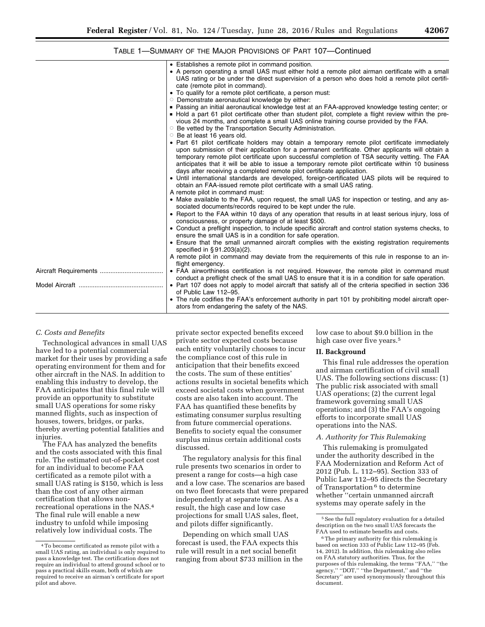| • Establishes a remote pilot in command position.                                                     |
|-------------------------------------------------------------------------------------------------------|
| • A person operating a small UAS must either hold a remote pilot airman certificate with a small      |
| UAS rating or be under the direct supervision of a person who does hold a remote pilot certifi-       |
| cate (remote pilot in command).                                                                       |
| • To qualify for a remote pilot certificate, a person must:                                           |
| <b>Demonstrate aeronautical knowledge by either:</b>                                                  |
| ■ Passing an initial aeronautical knowledge test at an FAA-approved knowledge testing center; or      |
| - Hold a part 61 pilot certificate other than student pilot, complete a flight review within the pre- |
| vious 24 months, and complete a small UAS online training course provided by the FAA.                 |
| ○ Be vetted by the Transportation Security Administration.                                            |
| ○ Be at least 16 years old.                                                                           |
| • Part 61 pilot certificate holders may obtain a temporary remote pilot certificate immediately       |
| upon submission of their application for a permanent certificate. Other applicants will obtain a      |
| temporary remote pilot certificate upon successful completion of TSA security vetting. The FAA        |
| anticipates that it will be able to issue a temporary remote pilot certificate within 10 business     |
| days after receiving a completed remote pilot certificate application.                                |
| • Until international standards are developed, foreign-certificated UAS pilots will be required to    |
| obtain an FAA-issued remote pilot certificate with a small UAS rating.                                |
| A remote pilot in command must:                                                                       |
| • Make available to the FAA, upon request, the small UAS for inspection or testing, and any as-       |
| sociated documents/records required to be kept under the rule.                                        |
| • Report to the FAA within 10 days of any operation that results in at least serious injury, loss of  |
| consciousness, or property damage of at least \$500.                                                  |
| • Conduct a preflight inspection, to include specific aircraft and control station systems checks, to |
| ensure the small UAS is in a condition for safe operation.                                            |
| • Ensure that the small unmanned aircraft complies with the existing registration requirements        |
| specified in $\S 91.203(a)(2)$ .                                                                      |
| A remote pilot in command may deviate from the requirements of this rule in response to an in-        |
| flight emergency.                                                                                     |
| • FAA airworthiness certification is not required. However, the remote pilot in command must          |
| conduct a preflight check of the small UAS to ensure that it is in a condition for safe operation.    |
| • Part 107 does not apply to model aircraft that satisfy all of the criteria specified in section 336 |
| of Public Law 112-95.                                                                                 |
| • The rule codifies the FAA's enforcement authority in part 101 by prohibiting model aircraft oper-   |
| ators from endangering the safety of the NAS.                                                         |

#### TABLE 1—SUMMARY OF THE MAJOR PROVISIONS OF PART 107—Continued

#### *C. Costs and Benefits*

Technological advances in small UAS have led to a potential commercial market for their uses by providing a safe operating environment for them and for other aircraft in the NAS. In addition to enabling this industry to develop, the FAA anticipates that this final rule will provide an opportunity to substitute small UAS operations for some risky manned flights, such as inspection of houses, towers, bridges, or parks, thereby averting potential fatalities and injuries.

The FAA has analyzed the benefits and the costs associated with this final rule. The estimated out-of-pocket cost for an individual to become FAA certificated as a remote pilot with a small UAS rating is \$150, which is less than the cost of any other airman certification that allows nonrecreational operations in the NAS.4 The final rule will enable a new industry to unfold while imposing relatively low individual costs. The

private sector expected benefits exceed private sector expected costs because each entity voluntarily chooses to incur the compliance cost of this rule in anticipation that their benefits exceed the costs. The sum of these entities' actions results in societal benefits which exceed societal costs when government costs are also taken into account. The FAA has quantified these benefits by estimating consumer surplus resulting from future commercial operations. Benefits to society equal the consumer surplus minus certain additional costs discussed.

The regulatory analysis for this final rule presents two scenarios in order to present a range for costs—a high case and a low case. The scenarios are based on two fleet forecasts that were prepared independently at separate times. As a result, the high case and low case projections for small UAS sales, fleet, and pilots differ significantly.

Depending on which small UAS forecast is used, the FAA expects this rule will result in a net social benefit ranging from about \$733 million in the low case to about \$9.0 billion in the high case over five years.<sup>5</sup>

#### **II. Background**

This final rule addresses the operation and airman certification of civil small UAS. The following sections discuss: (1) The public risk associated with small UAS operations; (2) the current legal framework governing small UAS operations; and (3) the FAA's ongoing efforts to incorporate small UAS operations into the NAS.

#### *A. Authority for This Rulemaking*

This rulemaking is promulgated under the authority described in the FAA Modernization and Reform Act of 2012 (Pub. L. 112–95). Section 333 of Public Law 112–95 directs the Secretary of Transportation<sup>6</sup> to determine whether ''certain unmanned aircraft systems may operate safely in the

<sup>4</sup>To become certificated as remote pilot with a small UAS rating, an individual is only required to pass a knowledge test. The certification does not require an individual to attend ground school or to pass a practical skills exam, both of which are required to receive an airman's certificate for sport pilot and above.

<sup>5</sup>See the full regulatory evaluation for a detailed description on the two small UAS forecasts the FAA used to estimate benefits and costs.

<sup>6</sup>The primary authority for this rulemaking is based on section 333 of Public Law 112–95 (Feb. 14, 2012). In addition, this rulemaking also relies on FAA statutory authorities. Thus, for the purposes of this rulemaking, the terms ''FAA,'' ''the agency," "DOT," "the Department," and "the Secretary'' are used synonymously throughout this document.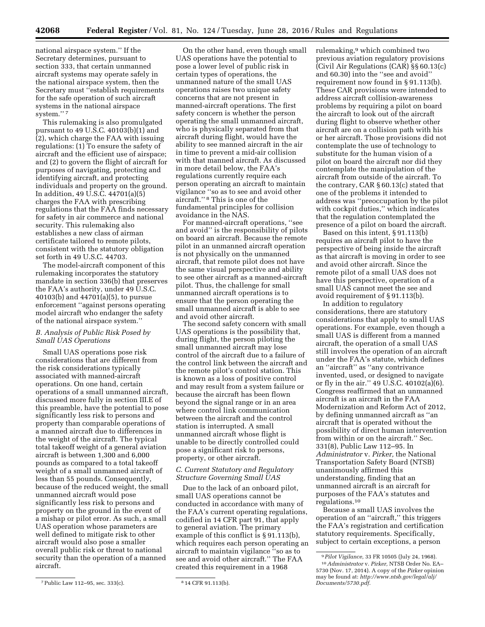national airspace system.'' If the Secretary determines, pursuant to section 333, that certain unmanned aircraft systems may operate safely in the national airspace system, then the Secretary must ''establish requirements for the safe operation of such aircraft systems in the national airspace system.'' 7

This rulemaking is also promulgated pursuant to 49 U.S.C. 40103(b)(1) and (2), which charge the FAA with issuing regulations: (1) To ensure the safety of aircraft and the efficient use of airspace; and (2) to govern the flight of aircraft for purposes of navigating, protecting and identifying aircraft, and protecting individuals and property on the ground. In addition, 49 U.S.C. 44701(a)(5) charges the FAA with prescribing regulations that the FAA finds necessary for safety in air commerce and national security. This rulemaking also establishes a new class of airman certificate tailored to remote pilots, consistent with the statutory obligation set forth in 49 U.S.C. 44703.

The model-aircraft component of this rulemaking incorporates the statutory mandate in section 336(b) that preserves the FAA's authority, under 49 U.S.C. 40103(b) and 44701(a)(5), to pursue enforcement ''against persons operating model aircraft who endanger the safety of the national airspace system.''

#### *B. Analysis of Public Risk Posed by Small UAS Operations*

Small UAS operations pose risk considerations that are different from the risk considerations typically associated with manned-aircraft operations. On one hand, certain operations of a small unmanned aircraft, discussed more fully in section III.E of this preamble, have the potential to pose significantly less risk to persons and property than comparable operations of a manned aircraft due to differences in the weight of the aircraft. The typical total takeoff weight of a general aviation aircraft is between 1,300 and 6,000 pounds as compared to a total takeoff weight of a small unmanned aircraft of less than 55 pounds. Consequently, because of the reduced weight, the small unmanned aircraft would pose significantly less risk to persons and property on the ground in the event of a mishap or pilot error. As such, a small UAS operation whose parameters are well defined to mitigate risk to other aircraft would also pose a smaller overall public risk or threat to national security than the operation of a manned aircraft.

On the other hand, even though small UAS operations have the potential to pose a lower level of public risk in certain types of operations, the unmanned nature of the small UAS operations raises two unique safety concerns that are not present in manned-aircraft operations. The first safety concern is whether the person operating the small unmanned aircraft, who is physically separated from that aircraft during flight, would have the ability to see manned aircraft in the air in time to prevent a mid-air collision with that manned aircraft. As discussed in more detail below, the FAA's regulations currently require each person operating an aircraft to maintain vigilance ''so as to see and avoid other aircraft.'' 8 This is one of the fundamental principles for collision avoidance in the NAS.

For manned-aircraft operations, ''see and avoid'' is the responsibility of pilots on board an aircraft. Because the remote pilot in an unmanned aircraft operation is not physically on the unmanned aircraft, that remote pilot does not have the same visual perspective and ability to see other aircraft as a manned-aircraft pilot. Thus, the challenge for small unmanned aircraft operations is to ensure that the person operating the small unmanned aircraft is able to see and avoid other aircraft.

The second safety concern with small UAS operations is the possibility that, during flight, the person piloting the small unmanned aircraft may lose control of the aircraft due to a failure of the control link between the aircraft and the remote pilot's control station. This is known as a loss of positive control and may result from a system failure or because the aircraft has been flown beyond the signal range or in an area where control link communication between the aircraft and the control station is interrupted. A small unmanned aircraft whose flight is unable to be directly controlled could pose a significant risk to persons, property, or other aircraft.

#### *C. Current Statutory and Regulatory Structure Governing Small UAS*

Due to the lack of an onboard pilot, small UAS operations cannot be conducted in accordance with many of the FAA's current operating regulations, codified in 14 CFR part 91, that apply to general aviation. The primary example of this conflict is § 91.113(b), which requires each person operating an aircraft to maintain vigilance ''so as to see and avoid other aircraft.'' The FAA created this requirement in a 1968

rulemaking,9 which combined two previous aviation regulatory provisions (Civil Air Regulations (CAR) §§ 60.13(c) and 60.30) into the ''see and avoid'' requirement now found in § 91.113(b). These CAR provisions were intended to address aircraft collision-awareness problems by requiring a pilot on board the aircraft to look out of the aircraft during flight to observe whether other aircraft are on a collision path with his or her aircraft. Those provisions did not contemplate the use of technology to substitute for the human vision of a pilot on board the aircraft nor did they contemplate the manipulation of the aircraft from outside of the aircraft. To the contrary, CAR § 60.13(c) stated that one of the problems it intended to address was ''preoccupation by the pilot with cockpit duties,'' which indicates that the regulation contemplated the presence of a pilot on board the aircraft.

Based on this intent, § 91.113(b) requires an aircraft pilot to have the perspective of being inside the aircraft as that aircraft is moving in order to see and avoid other aircraft. Since the remote pilot of a small UAS does not have this perspective, operation of a small UAS cannot meet the see and avoid requirement of § 91.113(b).

In addition to regulatory considerations, there are statutory considerations that apply to small UAS operations. For example, even though a small UAS is different from a manned aircraft, the operation of a small UAS still involves the operation of an aircraft under the FAA's statute, which defines an ''aircraft'' as ''any contrivance invented, used, or designed to navigate or fly in the air.'' 49 U.S.C. 40102(a)(6). Congress reaffirmed that an unmanned aircraft is an aircraft in the FAA Modernization and Reform Act of 2012, by defining unmanned aircraft as ''an aircraft that is operated without the possibility of direct human intervention from within or on the aircraft.'' Sec. 331(8), Public Law 112–95. In *Administrator* v. *Pirker,* the National Transportation Safety Board (NTSB) unanimously affirmed this understanding, finding that an unmanned aircraft is an aircraft for purposes of the FAA's statutes and regulations.10

Because a small UAS involves the operation of an ''aircraft,'' this triggers the FAA's registration and certification statutory requirements. Specifically, subject to certain exceptions, a person

<sup>&</sup>lt;sup>7</sup> Public Law 112–95, sec. 333(c). <sup>8</sup> 14 CFR 91.113(b).

<sup>9</sup>*Pilot Vigilance,* 33 FR 10505 (July 24, 1968). 10*Administrator* v. *Pirker,* NTSB Order No. EA– 5730 (Nov. 17, 2014). A copy of the *Pirker* opinion may be found at: *[http://www.ntsb.gov/legal/alj/](http://www.ntsb.gov/legal/alj/Documents/5730.pdf) [Documents/5730.pdf](http://www.ntsb.gov/legal/alj/Documents/5730.pdf)*.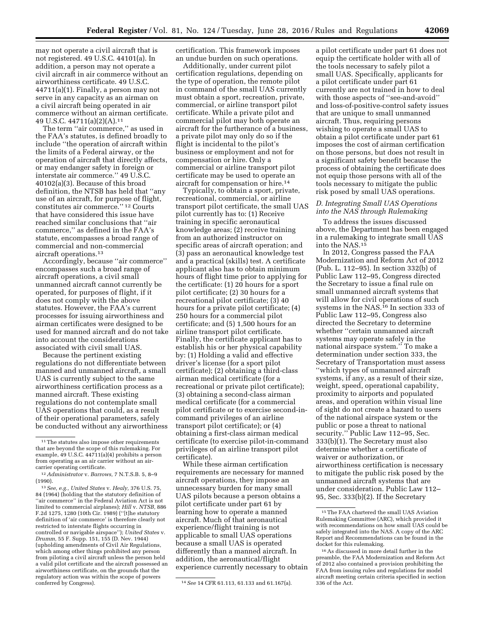may not operate a civil aircraft that is not registered. 49 U.S.C. 44101(a). In addition, a person may not operate a civil aircraft in air commerce without an airworthiness certificate. 49 U.S.C. 44711(a)(1). Finally, a person may not serve in any capacity as an airman on a civil aircraft being operated in air commerce without an airman certificate. 49 U.S.C. 44711(a)(2)(A).11

The term ''air commerce,'' as used in the FAA's statutes, is defined broadly to include ''the operation of aircraft within the limits of a Federal airway, or the operation of aircraft that directly affects, or may endanger safety in foreign or interstate air commerce.'' 49 U.S.C. 40102(a)(3). Because of this broad definition, the NTSB has held that ''any use of an aircraft, for purpose of flight, constitutes air commerce.'' 12 Courts that have considered this issue have reached similar conclusions that ''air commerce,'' as defined in the FAA's statute, encompasses a broad range of commercial and non-commercial aircraft operations.13

Accordingly, because ''air commerce'' encompasses such a broad range of aircraft operations, a civil small unmanned aircraft cannot currently be operated, for purposes of flight, if it does not comply with the above statutes. However, the FAA's current processes for issuing airworthiness and airman certificates were designed to be used for manned aircraft and do not take into account the considerations associated with civil small UAS.

Because the pertinent existing regulations do not differentiate between manned and unmanned aircraft, a small UAS is currently subject to the same airworthiness certification process as a manned aircraft. These existing regulations do not contemplate small UAS operations that could, as a result of their operational parameters, safely be conducted without any airworthiness certification. This framework imposes an undue burden on such operations.

Additionally, under current pilot certification regulations, depending on the type of operation, the remote pilot in command of the small UAS currently must obtain a sport, recreation, private, commercial, or airline transport pilot certificate. While a private pilot and commercial pilot may both operate an aircraft for the furtherance of a business, a private pilot may only do so if the flight is incidental to the pilot's business or employment and not for compensation or hire. Only a commercial or airline transport pilot certificate may be used to operate an aircraft for compensation or hire.14

Typically, to obtain a sport, private, recreational, commercial, or airline transport pilot certificate, the small UAS pilot currently has to: (1) Receive training in specific aeronautical knowledge areas; (2) receive training from an authorized instructor on specific areas of aircraft operation; and (3) pass an aeronautical knowledge test and a practical (skills) test. A certificate applicant also has to obtain minimum hours of flight time prior to applying for the certificate: (1) 20 hours for a sport pilot certificate; (2) 30 hours for a recreational pilot certificate; (3) 40 hours for a private pilot certificate; (4) 250 hours for a commercial pilot certificate; and (5) 1,500 hours for an airline transport pilot certificate. Finally, the certificate applicant has to establish his or her physical capability by: (1) Holding a valid and effective driver's license (for a sport pilot certificate); (2) obtaining a third-class airman medical certificate (for a recreational or private pilot certificate); (3) obtaining a second-class airman medical certificate (for a commercial pilot certificate or to exercise second-incommand privileges of an airline transport pilot certificate); or (4) obtaining a first-class airman medical certificate (to exercise pilot-in-command privileges of an airline transport pilot certificate).

While these airman certification requirements are necessary for manned aircraft operations, they impose an unnecessary burden for many small UAS pilots because a person obtains a pilot certificate under part 61 by learning how to operate a manned aircraft. Much of that aeronautical experience/flight training is not applicable to small UAS operations because a small UAS is operated differently than a manned aircraft. In addition, the aeronautical/flight experience currently necessary to obtain a pilot certificate under part 61 does not equip the certificate holder with all of the tools necessary to safely pilot a small UAS. Specifically, applicants for a pilot certificate under part 61 currently are not trained in how to deal with those aspects of "see-and-avoid" and loss-of-positive-control safety issues that are unique to small unmanned aircraft. Thus, requiring persons wishing to operate a small UAS to obtain a pilot certificate under part 61 imposes the cost of airman certification on those persons, but does not result in a significant safety benefit because the process of obtaining the certificate does not equip those persons with all of the tools necessary to mitigate the public risk posed by small UAS operations.

#### *D. Integrating Small UAS Operations into the NAS through Rulemaking*

To address the issues discussed above, the Department has been engaged in a rulemaking to integrate small UAS into the NAS.15

In 2012, Congress passed the FAA Modernization and Reform Act of 2012 (Pub. L. 112–95). In section 332(b) of Public Law 112–95, Congress directed the Secretary to issue a final rule on small unmanned aircraft systems that will allow for civil operations of such systems in the NAS.16 In section 333 of Public Law 112–95, Congress also directed the Secretary to determine whether ''certain unmanned aircraft systems may operate safely in the national airspace system.'' To make a determination under section 333, the Secretary of Transportation must assess ''which types of unmanned aircraft systems, if any, as a result of their size, weight, speed, operational capability, proximity to airports and populated areas, and operation within visual line of sight do not create a hazard to users of the national airspace system or the public or pose a threat to national security.'' Public Law 112–95, Sec. 333(b)(1). The Secretary must also determine whether a certificate of waiver or authorization, or airworthiness certification is necessary to mitigate the public risk posed by the unmanned aircraft systems that are under consideration. Public Law 112– 95, Sec. 333(b)(2). If the Secretary

 $^{\rm 11}\!$  The statutes also impose other requirements that are beyond the scope of this rulemaking. For example, 49 U.S.C. 44711(a)(4) prohibits a person from operating as an air carrier without an aircarrier operating certificate.

<sup>12</sup>*Administrator* v. *Barrows,* 7 N.T.S.B. 5, 8–9 (1990).

<sup>13</sup>*See, e.g., United States* v. *Healy,* 376 U.S. 75, 84 (1964) (holding that the statutory definition of ''air commerce'' in the Federal Aviation Act is not limited to commercial airplanes); *Hill* v. *NTSB,* 886 F.2d 1275, 1280 (10th Cir. 1989) (''[t]he statutory definition of 'air commerce' is therefore clearly not restricted to interstate flights occurring in controlled or navigable airspace''); *United States* v. *Drumm,* 55 F. Supp. 151, 155 (D. Nev. 1944) (upholding amendments of Civil Air Regulations, which among other things prohibited any person from piloting a civil aircraft unless the person held a valid pilot certificate and the aircraft possessed an airworthiness certificate, on the grounds that the regulatory action was within the scope of powers

<sup>&</sup>lt;sup>14</sup> See 14 CFR 61.113, 61.133 and 61.167(a).

 $^{\rm 15}\rm{The\,FAA}$  chartered the small UAS Aviation Rulemaking Committee (ARC), which provided it with recommendations on how small UAS could be safely integrated into the NAS. A copy of the ARC Report and Recommendations can be found in the docket for this rulemaking.

<sup>16</sup>As discussed in more detail further in the preamble, the FAA Modernization and Reform Act of 2012 also contained a provision prohibiting the FAA from issuing rules and regulations for model aircraft meeting certain criteria specified in section 336 of the Act.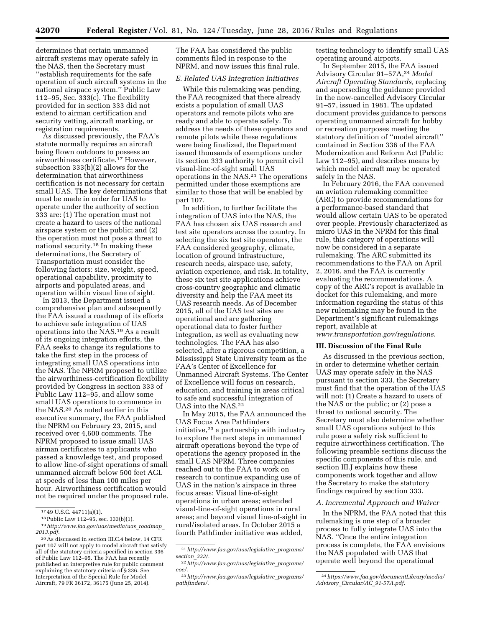determines that certain unmanned aircraft systems may operate safely in the NAS, then the Secretary must ''establish requirements for the safe operation of such aircraft systems in the national airspace system.'' Public Law 112–95, Sec. 333(c). The flexibility provided for in section 333 did not extend to airman certification and security vetting, aircraft marking, or registration requirements.

As discussed previously, the FAA's statute normally requires an aircraft being flown outdoors to possess an airworthiness certificate.17 However, subsection 333(b)(2) allows for the determination that airworthiness certification is not necessary for certain small UAS. The key determinations that must be made in order for UAS to operate under the authority of section 333 are: (1) The operation must not create a hazard to users of the national airspace system or the public; and (2) the operation must not pose a threat to national security.18 In making these determinations, the Secretary of Transportation must consider the following factors: size, weight, speed, operational capability, proximity to airports and populated areas, and operation within visual line of sight.

In 2013, the Department issued a comprehensive plan and subsequently the FAA issued a roadmap of its efforts to achieve safe integration of UAS operations into the NAS.19 As a result of its ongoing integration efforts, the FAA seeks to change its regulations to take the first step in the process of integrating small UAS operations into the NAS. The NPRM proposed to utilize the airworthiness-certification flexibility provided by Congress in section 333 of Public Law 112–95, and allow some small UAS operations to commence in the NAS.20 As noted earlier in this executive summary, the FAA published the NPRM on February 23, 2015, and received over 4,600 comments. The NPRM proposed to issue small UAS airman certificates to applicants who passed a knowledge test, and proposed to allow line-of-sight operations of small unmanned aircraft below 500 feet AGL at speeds of less than 100 miles per hour. Airworthiness certification would not be required under the proposed rule. The FAA has considered the public comments filed in response to the NPRM, and now issues this final rule.

#### *E. Related UAS Integration Initiatives*

While this rulemaking was pending, the FAA recognized that there already exists a population of small UAS operators and remote pilots who are ready and able to operate safely. To address the needs of these operators and remote pilots while these regulations were being finalized, the Department issued thousands of exemptions under its section 333 authority to permit civil visual-line-of-sight small UAS operations in the NAS.21 The operations permitted under those exemptions are similar to those that will be enabled by part 107.

In addition, to further facilitate the integration of UAS into the NAS, the FAA has chosen six UAS research and test site operators across the country. In selecting the six test site operators, the FAA considered geography, climate, location of ground infrastructure, research needs, airspace use, safety, aviation experience, and risk. In totality, these six test site applications achieve cross-country geographic and climatic diversity and help the FAA meet its UAS research needs. As of December 2015, all of the UAS test sites are operational and are gathering operational data to foster further integration, as well as evaluating new technologies. The FAA has also selected, after a rigorous competition, a Mississippi State University team as the FAA's Center of Excellence for Unmanned Aircraft Systems. The Center of Excellence will focus on research, education, and training in areas critical to safe and successful integration of UAS into the NAS.22

In May 2015, the FAA announced the UAS Focus Area Pathfinders initiative,23 a partnership with industry to explore the next steps in unmanned aircraft operations beyond the type of operations the agency proposed in the small UAS NPRM. Three companies reached out to the FAA to work on research to continue expanding use of UAS in the nation's airspace in three focus areas: Visual line-of-sight operations in urban areas; extended visual-line-of-sight operations in rural areas; and beyond visual line-of-sight in rural/isolated areas. In October 2015 a fourth Pathfinder initiative was added,

testing technology to identify small UAS operating around airports.

In September 2015, the FAA issued Advisory Circular 91–57A,24 *Model Aircraft Operating Standards,* replacing and superseding the guidance provided in the now-cancelled Advisory Circular 91–57, issued in 1981. The updated document provides guidance to persons operating unmanned aircraft for hobby or recreation purposes meeting the statutory definition of ''model aircraft'' contained in Section 336 of the FAA Modernization and Reform Act (Public Law 112–95), and describes means by which model aircraft may be operated safely in the NAS.

In February 2016, the FAA convened an aviation rulemaking committee (ARC) to provide recommendations for a performance-based standard that would allow certain UAS to be operated over people. Previously characterized as micro UAS in the NPRM for this final rule, this category of operations will now be considered in a separate rulemaking. The ARC submitted its recommendations to the FAA on April 2, 2016, and the FAA is currently evaluating the recommendations. A copy of the ARC's report is available in docket for this rulemaking, and more information regarding the status of this new rulemaking may be found in the Department's significant rulemakings report, available at

### *[www.transportation.gov/regulations](http://www.transportation.gov/regulations)*.

#### **III. Discussion of the Final Rule**

As discussed in the previous section, in order to determine whether certain UAS may operate safely in the NAS pursuant to section 333, the Secretary must find that the operation of the UAS will not: (1) Create a hazard to users of the NAS or the public; or (2) pose a threat to national security. The Secretary must also determine whether small UAS operations subject to this rule pose a safety risk sufficient to require airworthiness certification. The following preamble sections discuss the specific components of this rule, and section III.J explains how these components work together and allow the Secretary to make the statutory findings required by section 333.

#### *A. Incremental Approach and Waiver*

In the NPRM, the FAA noted that this rulemaking is one step of a broader process to fully integrate UAS into the NAS. ''Once the entire integration process is complete, the FAA envisions the NAS populated with UAS that operate well beyond the operational

<sup>17</sup> 49 U.S.C. 44711(a)(1). 18Public Law 112–95, sec. 333(b)(1). 19*[http://www.faa.gov/uas/media/uas](http://www.faa.gov/uas/media/uas_roadmap_2013.pdf)*\_*roadmap*\_ *[2013.pdf.](http://www.faa.gov/uas/media/uas_roadmap_2013.pdf)* 

<sup>20</sup>As discussed in section III.C.4 below, 14 CFR part 107 will not apply to model aircraft that satisfy all of the statutory criteria specified in section 336 of Public Law 112–95. The FAA has recently published an interpretive rule for public comment explaining the statutory criteria of § 336. See Interpretation of the Special Rule for Model Aircraft, 79 FR 36172, 36175 (June 25, 2014).

<sup>21</sup>*[http://www.faa.gov/uas/legislative](http://www.faa.gov/uas/legislative_programs/section_333/)*\_*programs/ [section](http://www.faa.gov/uas/legislative_programs/section_333/)*\_*333/.* 

<sup>22</sup>*[http://www.faa.gov/uas/legislative](http://www.faa.gov/uas/legislative_programs/coe/)*\_*programs/ [coe/](http://www.faa.gov/uas/legislative_programs/coe/)*.

<sup>23</sup>*[http://www.faa.gov/uas/legislative](http://www.faa.gov/uas/legislative_programs/pathfinders/)*\_*programs/ [pathfinders/.](http://www.faa.gov/uas/legislative_programs/pathfinders/)* 

<sup>24</sup>*[https://www.faa.gov/documentLibrary/media/](https://www.faa.gov/documentLibrary/media/Advisory_Circular/AC_91-57A.pdf) Advisory*\_*[Circular/AC](https://www.faa.gov/documentLibrary/media/Advisory_Circular/AC_91-57A.pdf)*\_*91-57A.pdf.*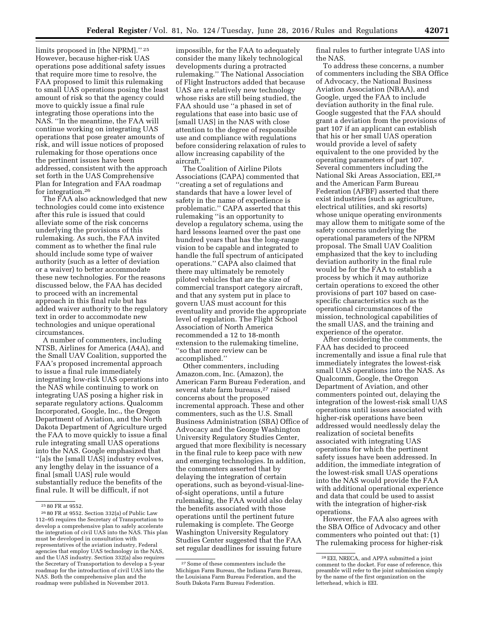limits proposed in [the NPRM].'' 25 However, because higher-risk UAS operations pose additional safety issues that require more time to resolve, the FAA proposed to limit this rulemaking to small UAS operations posing the least amount of risk so that the agency could move to quickly issue a final rule integrating those operations into the NAS. ''In the meantime, the FAA will continue working on integrating UAS operations that pose greater amounts of risk, and will issue notices of proposed rulemaking for those operations once the pertinent issues have been addressed, consistent with the approach set forth in the UAS Comprehensive Plan for Integration and FAA roadmap for integration.26

The FAA also acknowledged that new technologies could come into existence after this rule is issued that could alleviate some of the risk concerns underlying the provisions of this rulemaking. As such, the FAA invited comment as to whether the final rule should include some type of waiver authority (such as a letter of deviation or a waiver) to better accommodate these new technologies. For the reasons discussed below, the FAA has decided to proceed with an incremental approach in this final rule but has added waiver authority to the regulatory text in order to accommodate new technologies and unique operational circumstances.

A number of commenters, including NTSB, Airlines for America (A4A), and the Small UAV Coalition, supported the FAA's proposed incremental approach to issue a final rule immediately integrating low-risk UAS operations into the NAS while continuing to work on integrating UAS posing a higher risk in separate regulatory actions. Qualcomm Incorporated, Google, Inc., the Oregon Department of Aviation, and the North Dakota Department of Agriculture urged the FAA to move quickly to issue a final rule integrating small UAS operations into the NAS. Google emphasized that ''[a]s the [small UAS] industry evolves, any lengthy delay in the issuance of a final [small UAS] rule would substantially reduce the benefits of the final rule. It will be difficult, if not

impossible, for the FAA to adequately consider the many likely technological developments during a protracted rulemaking.'' The National Association of Flight Instructors added that because UAS are a relatively new technology whose risks are still being studied, the FAA should use ''a phased in set of regulations that ease into basic use of [small UAS] in the NAS with close attention to the degree of responsible use and compliance with regulations before considering relaxation of rules to allow increasing capability of the aircraft.''

The Coalition of Airline Pilots Associations (CAPA) commented that ''creating a set of regulations and standards that have a lower level of safety in the name of expedience is problematic.'' CAPA asserted that this rulemaking ''is an opportunity to develop a regulatory schema, using the hard lessons learned over the past one hundred years that has the long-range vision to be capable and integrated to handle the full spectrum of anticipated operations.'' CAPA also claimed that there may ultimately be remotely piloted vehicles that are the size of commercial transport category aircraft, and that any system put in place to govern UAS must account for this eventuality and provide the appropriate level of regulation. The Flight School Association of North America recommended a 12 to 18-month extension to the rulemaking timeline, ''so that more review can be accomplished.''

Other commenters, including Amazon.com, Inc. (Amazon), the American Farm Bureau Federation, and several state farm bureaus,27 raised concerns about the proposed incremental approach. These and other commenters, such as the U.S. Small Business Administration (SBA) Office of Advocacy and the George Washington University Regulatory Studies Center, argued that more flexibility is necessary in the final rule to keep pace with new and emerging technologies. In addition, the commenters asserted that by delaying the integration of certain operations, such as beyond-visual-lineof-sight operations, until a future rulemaking, the FAA would also delay the benefits associated with those operations until the pertinent future rulemaking is complete. The George Washington University Regulatory Studies Center suggested that the FAA set regular deadlines for issuing future

final rules to further integrate UAS into the NAS.

To address these concerns, a number of commenters including the SBA Office of Advocacy, the National Business Aviation Association (NBAA), and Google, urged the FAA to include deviation authority in the final rule. Google suggested that the FAA should grant a deviation from the provisions of part 107 if an applicant can establish that his or her small UAS operation would provide a level of safety equivalent to the one provided by the operating parameters of part 107. Several commenters including the National Ski Areas Association, EEI,28 and the American Farm Bureau Federation (AFBF) asserted that there exist industries (such as agriculture, electrical utilities, and ski resorts) whose unique operating environments may allow them to mitigate some of the safety concerns underlying the operational parameters of the NPRM proposal. The Small UAV Coalition emphasized that the key to including deviation authority in the final rule would be for the FAA to establish a process by which it may authorize certain operations to exceed the other provisions of part 107 based on casespecific characteristics such as the operational circumstances of the mission, technological capabilities of the small UAS, and the training and experience of the operator.

After considering the comments, the FAA has decided to proceed incrementally and issue a final rule that immediately integrates the lowest-risk small UAS operations into the NAS. As Qualcomm, Google, the Oregon Department of Aviation, and other commenters pointed out, delaying the integration of the lowest-risk small UAS operations until issues associated with higher-risk operations have been addressed would needlessly delay the realization of societal benefits associated with integrating UAS operations for which the pertinent safety issues have been addressed. In addition, the immediate integration of the lowest-risk small UAS operations into the NAS would provide the FAA with additional operational experience and data that could be used to assist with the integration of higher-risk operations.

However, the FAA also agrees with the SBA Office of Advocacy and other commenters who pointed out that: (1) The rulemaking process for higher-risk

<sup>25</sup> 80 FR at 9552.

 $^{26}\,80$  FR at 9552. Section 332(a) of Public Law 112–95 requires the Secretary of Transportation to develop a comprehensive plan to safely accelerate the integration of civil UAS into the NAS. This plan must be developed in consultation with representatives of the aviation industry, Federal agencies that employ UAS technology in the NAS, and the UAS industry. Section 332(a) also requires the Secretary of Transportation to develop a 5-year roadmap for the introduction of civil UAS into the NAS. Both the comprehensive plan and the roadmap were published in November 2013.

<sup>27</sup>Some of these commenters include the Michigan Farm Bureau, the Indiana Farm Bureau, the Louisiana Farm Bureau Federation, and the South Dakota Farm Bureau Federation.

<sup>28</sup>EEI, NRECA, and APPA submitted a joint comment to the docket. For ease of reference, this preamble will refer to the joint submission simply by the name of the first organization on the letterhead, which is EEI.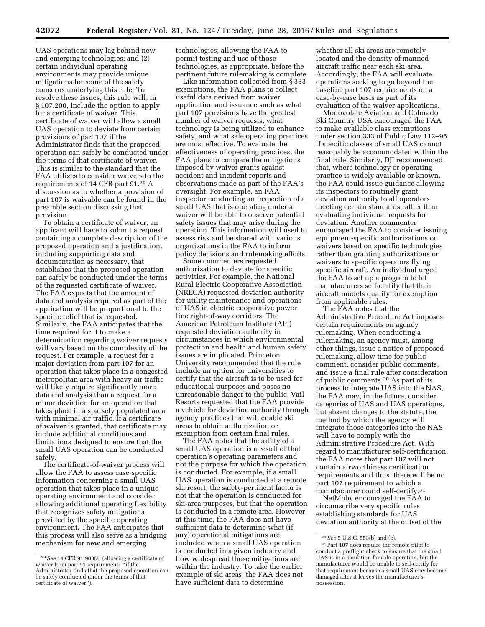UAS operations may lag behind new and emerging technologies; and (2) certain individual operating environments may provide unique mitigations for some of the safety concerns underlying this rule. To resolve these issues, this rule will, in § 107.200, include the option to apply for a certificate of waiver. This certificate of waiver will allow a small UAS operation to deviate from certain provisions of part 107 if the Administrator finds that the proposed operation can safely be conducted under the terms of that certificate of waiver. This is similar to the standard that the FAA utilizes to consider waivers to the requirements of 14 CFR part 91.29 A discussion as to whether a provision of part 107 is waivable can be found in the preamble section discussing that provision.

To obtain a certificate of waiver, an applicant will have to submit a request containing a complete description of the proposed operation and a justification, including supporting data and documentation as necessary, that establishes that the proposed operation can safely be conducted under the terms of the requested certificate of waiver. The FAA expects that the amount of data and analysis required as part of the application will be proportional to the specific relief that is requested. Similarly, the FAA anticipates that the time required for it to make a determination regarding waiver requests will vary based on the complexity of the request. For example, a request for a major deviation from part 107 for an operation that takes place in a congested metropolitan area with heavy air traffic will likely require significantly more data and analysis than a request for a minor deviation for an operation that takes place in a sparsely populated area with minimal air traffic. If a certificate of waiver is granted, that certificate may include additional conditions and limitations designed to ensure that the small UAS operation can be conducted safely.

The certificate-of-waiver process will allow the FAA to assess case-specific information concerning a small UAS operation that takes place in a unique operating environment and consider allowing additional operating flexibility that recognizes safety mitigations provided by the specific operating environment. The FAA anticipates that this process will also serve as a bridging mechanism for new and emerging

technologies; allowing the FAA to permit testing and use of those technologies, as appropriate, before the pertinent future rulemaking is complete.

Like information collected from § 333 exemptions, the FAA plans to collect useful data derived from waiver application and issuance such as what part 107 provisions have the greatest number of waiver requests, what technology is being utilized to enhance safety, and what safe operating practices are most effective. To evaluate the effectiveness of operating practices, the FAA plans to compare the mitigations imposed by waiver grants against accident and incident reports and observations made as part of the FAA's oversight. For example, an FAA inspector conducting an inspection of a small UAS that is operating under a waiver will be able to observe potential safety issues that may arise during the operation. This information will used to assess risk and be shared with various organizations in the FAA to inform policy decisions and rulemaking efforts.

Some commenters requested authorization to deviate for specific activities. For example, the National Rural Electric Cooperative Association (NRECA) requested deviation authority for utility maintenance and operations of UAS in electric cooperative power line right-of-way corridors. The American Petroleum Institute (API) requested deviation authority in circumstances in which environmental protection and health and human safety issues are implicated. Princeton University recommended that the rule include an option for universities to certify that the aircraft is to be used for educational purposes and poses no unreasonable danger to the public. Vail Resorts requested that the FAA provide a vehicle for deviation authority through agency practices that will enable ski areas to obtain authorization or exemption from certain final rules.

The FAA notes that the safety of a small UAS operation is a result of that operation's operating parameters and not the purpose for which the operation is conducted. For example, if a small UAS operation is conducted at a remote ski resort, the safety-pertinent factor is not that the operation is conducted for ski-area purposes, but that the operation is conducted in a remote area. However, at this time, the FAA does not have sufficient data to determine what (if any) operational mitigations are included when a small UAS operation is conducted in a given industry and how widespread those mitigations are within the industry. To take the earlier example of ski areas, the FAA does not have sufficient data to determine

whether all ski areas are remotely located and the density of mannedaircraft traffic near each ski area. Accordingly, the FAA will evaluate operations seeking to go beyond the baseline part 107 requirements on a case-by-case basis as part of its evaluation of the waiver applications.

Modovolate Aviation and Colorado Ski Country USA encouraged the FAA to make available class exemptions under section 333 of Public Law 112–95 if specific classes of small UAS cannot reasonably be accommodated within the final rule. Similarly, DJI recommended that, where technology or operating practice is widely available or known, the FAA could issue guidance allowing its inspectors to routinely grant deviation authority to all operators meeting certain standards rather than evaluating individual requests for deviation. Another commenter encouraged the FAA to consider issuing equipment-specific authorizations or waivers based on specific technologies rather than granting authorizations or waivers to specific operators flying specific aircraft. An individual urged the FAA to set up a program to let manufacturers self-certify that their aircraft models qualify for exemption from applicable rules.

The FAA notes that the Administrative Procedure Act imposes certain requirements on agency rulemaking. When conducting a rulemaking, an agency must, among other things, issue a notice of proposed rulemaking, allow time for public comment, consider public comments, and issue a final rule after consideration of public comments.30 As part of its process to integrate UAS into the NAS, the FAA may, in the future, consider categories of UAS and UAS operations, but absent changes to the statute, the method by which the agency will integrate those categories into the NAS will have to comply with the Administrative Procedure Act. With regard to manufacturer self-certification, the FAA notes that part 107 will not contain airworthiness certification requirements and thus, there will be no part 107 requirement to which a manufacturer could self-certify.31

NetMoby encouraged the FAA to circumscribe very specific rules establishing standards for UAS deviation authority at the outset of the

<sup>29</sup>*See* 14 CFR 91.903(a) (allowing a certificate of waiver from part 91 requirements ''if the Administrator finds that the proposed operation can be safely conducted under the terms of that certificate of waiver'').

<sup>30</sup>*See* 5 U.S.C. 553(b) and (c).

<sup>31</sup>Part 107 does require the remote pilot to conduct a preflight check to ensure that the small UAS is in a condition for safe operation, but the manufacturer would be unable to self-certify for that requirement because a small UAS may become damaged after it leaves the manufacturer's possession.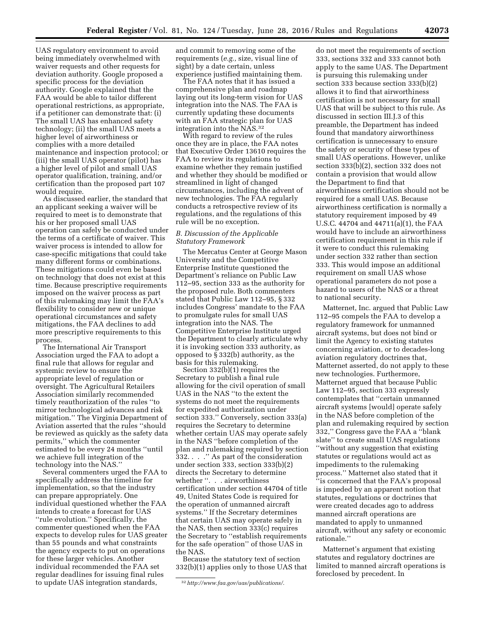UAS regulatory environment to avoid being immediately overwhelmed with waiver requests and other requests for deviation authority. Google proposed a specific process for the deviation authority. Google explained that the FAA would be able to tailor different operational restrictions, as appropriate, if a petitioner can demonstrate that: (i) The small UAS has enhanced safety technology; (ii) the small UAS meets a higher level of airworthiness or complies with a more detailed maintenance and inspection protocol; or (iii) the small UAS operator (pilot) has a higher level of pilot and small UAS operator qualification, training, and/or certification than the proposed part 107 would require.

As discussed earlier, the standard that an applicant seeking a waiver will be required to meet is to demonstrate that his or her proposed small UAS operation can safely be conducted under the terms of a certificate of waiver. This waiver process is intended to allow for case-specific mitigations that could take many different forms or combinations. These mitigations could even be based on technology that does not exist at this time. Because prescriptive requirements imposed on the waiver process as part of this rulemaking may limit the FAA's flexibility to consider new or unique operational circumstances and safety mitigations, the FAA declines to add more prescriptive requirements to this process.

The International Air Transport Association urged the FAA to adopt a final rule that allows for regular and systemic review to ensure the appropriate level of regulation or oversight. The Agricultural Retailers Association similarly recommended timely reauthorization of the rules ''to mirror technological advances and risk mitigation.'' The Virginia Department of Aviation asserted that the rules ''should be reviewed as quickly as the safety data permits,'' which the commenter estimated to be every 24 months ''until we achieve full integration of the technology into the NAS.''

Several commenters urged the FAA to specifically address the timeline for implementation, so that the industry can prepare appropriately. One individual questioned whether the FAA intends to create a forecast for UAS ''rule evolution.'' Specifically, the commenter questioned when the FAA expects to develop rules for UAS greater than 55 pounds and what constraints the agency expects to put on operations for these larger vehicles. Another individual recommended the FAA set regular deadlines for issuing final rules to update UAS integration standards,

and commit to removing some of the requirements (*e.g.,* size, visual line of sight) by a date certain, unless experience justified maintaining them.

The FAA notes that it has issued a comprehensive plan and roadmap laying out its long-term vision for UAS integration into the NAS. The FAA is currently updating these documents with an FAA strategic plan for UAS integration into the NAS.32

With regard to review of the rules once they are in place, the FAA notes that Executive Order 13610 requires the FAA to review its regulations to examine whether they remain justified and whether they should be modified or streamlined in light of changed circumstances, including the advent of new technologies. The FAA regularly conducts a retrospective review of its regulations, and the regulations of this rule will be no exception.

#### *B. Discussion of the Applicable Statutory Framework*

The Mercatus Center at George Mason University and the Competitive Enterprise Institute questioned the Department's reliance on Public Law 112–95, section 333 as the authority for the proposed rule. Both commenters stated that Public Law 112–95, § 332 includes Congress' mandate to the FAA to promulgate rules for small UAS integration into the NAS. The Competitive Enterprise Institute urged the Department to clearly articulate why it is invoking section 333 authority, as opposed to § 332(b) authority, as the basis for this rulemaking.

Section 332(b)(1) requires the Secretary to publish a final rule allowing for the civil operation of small UAS in the NAS ''to the extent the systems do not meet the requirements for expedited authorization under section 333.'' Conversely, section 333(a) requires the Secretary to determine whether certain UAS may operate safely in the NAS ''before completion of the plan and rulemaking required by section 332. . . .'' As part of the consideration under section 333, section 333(b)(2) directs the Secretary to determine whether ''. . . airworthiness certification under section 44704 of title 49, United States Code is required for the operation of unmanned aircraft systems.'' If the Secretary determines that certain UAS may operate safely in the NAS, then section 333(c) requires the Secretary to ''establish requirements for the safe operation'' of those UAS in the NAS.

Because the statutory text of section 332(b)(1) applies only to those UAS that

do not meet the requirements of section 333, sections 332 and 333 cannot both apply to the same UAS. The Department is pursuing this rulemaking under section 333 because section 333(b)(2) allows it to find that airworthiness certification is not necessary for small UAS that will be subject to this rule. As discussed in section III.J.3 of this preamble, the Department has indeed found that mandatory airworthiness certification is unnecessary to ensure the safety or security of these types of small UAS operations. However, unlike section 333(b)(2), section 332 does not contain a provision that would allow the Department to find that airworthiness certification should not be required for a small UAS. Because airworthiness certification is normally a statutory requirement imposed by 49 U.S.C. 44704 and 44711(a)(1), the FAA would have to include an airworthiness certification requirement in this rule if it were to conduct this rulemaking under section 332 rather than section 333. This would impose an additional requirement on small UAS whose operational parameters do not pose a hazard to users of the NAS or a threat to national security.

Matternet, Inc. argued that Public Law 112–95 compels the FAA to develop a regulatory framework for unmanned aircraft systems, but does not bind or limit the Agency to existing statutes concerning aviation, or to decades-long aviation regulatory doctrines that, Matternet asserted, do not apply to these new technologies. Furthermore, Matternet argued that because Public Law 112–95, section 333 expressly contemplates that ''certain unmanned aircraft systems [would] operate safely in the NAS before completion of the plan and rulemaking required by section 332,'' Congress gave the FAA a ''blank slate'' to create small UAS regulations ''without any suggestion that existing statutes or regulations would act as impediments to the rulemaking process.'' Matternet also stated that it ''is concerned that the FAA's proposal is impeded by an apparent notion that statutes, regulations or doctrines that were created decades ago to address manned aircraft operations are mandated to apply to unmanned aircraft, without any safety or economic rationale.''

Matternet's argument that existing statutes and regulatory doctrines are limited to manned aircraft operations is foreclosed by precedent. In

<sup>32</sup>*<http://www.faa.gov/uas/publications/>*.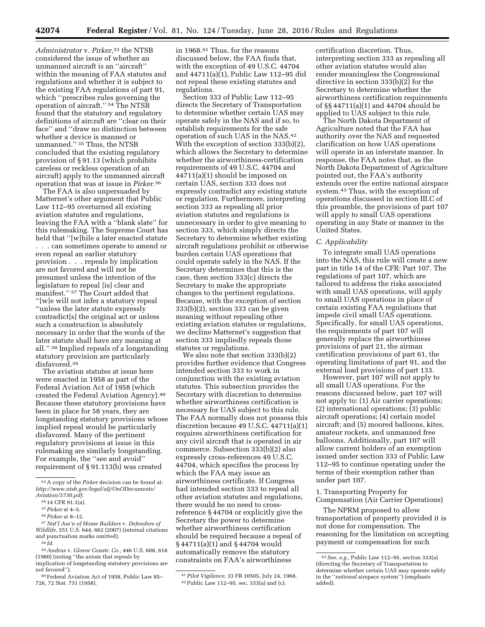*Administrator* v. *Pirker,*33 the NTSB considered the issue of whether an unmanned aircraft is an ''aircraft'' within the meaning of FAA statutes and regulations and whether it is subject to the existing FAA regulations of part 91, which ''prescribes rules governing the operation of aircraft." <sup>34</sup> The NTSB found that the statutory and regulatory definitions of aircraft are ''clear on their face'' and ''draw no distinction between whether a device is manned or unmanned.'' 35 Thus, the NTSB concluded that the existing regulatory provision of § 91.13 (which prohibits careless or reckless operation of an aircraft) apply to the unmanned aircraft operation that was at issue in *Pirker.*36

The FAA is also unpersuaded by Matternet's other argument that Public Law 112–95 overturned all existing aviation statutes and regulations, leaving the FAA with a ''blank slate'' for this rulemaking. The Supreme Court has held that ''[w]hile a later enacted statute . . . can sometimes operate to amend or even repeal an earlier statutory provision . . . repeals by implication are not favored and will not be presumed unless the intention of the legislature to repeal [is] clear and manifest.'' 37 The Court added that ''[w]e will not infer a statutory repeal ''unless the later statute expressly contradict[s] the original act or unless such a construction is absolutely necessary in order that the words of the later statute shall have any meaning at all.'' 38 Implied repeals of a longstanding statutory provision are particularly disfavored.39

The aviation statutes at issue here were enacted in 1958 as part of the Federal Aviation Act of 1958 (which created the Federal Aviation Agency).40 Because these statutory provisions have been in place for 58 years, they are longstanding statutory provisions whose implied repeal would be particularly disfavored. Many of the pertinent regulatory provisions at issue in this rulemaking are similarly longstanding. For example, the ''see and avoid'' requirement of § 91.113(b) was created

in 1968.41 Thus, for the reasons discussed below, the FAA finds that, with the exception of 49 U.S.C. 44704 and 44711(a)(1), Public Law 112–95 did not repeal these existing statutes and regulations.

Section 333 of Public Law 112–95 directs the Secretary of Transportation to determine whether certain UAS may operate safely in the NAS and if so, to establish requirements for the safe operation of such UAS in the NAS.42 With the exception of section 333(b)(2), which allows the Secretary to determine whether the airworthiness-certification requirements of 49 U.S.C. 44704 and 44711(a)(1) should be imposed on certain UAS, section 333 does not expressly contradict any existing statute or regulation. Furthermore, interpreting section 333 as repealing all prior aviation statutes and regulations is unnecessary in order to give meaning to section 333, which simply directs the Secretary to determine whether existing aircraft regulations prohibit or otherwise burden certain UAS operations that could operate safely in the NAS. If the Secretary determines that this is the case, then section 333(c) directs the Secretary to make the appropriate changes to the pertinent regulations. Because, with the exception of section 333(b)(2), section 333 can be given meaning without repealing other existing aviation statutes or regulations, we decline Matternet's suggestion that section 333 impliedly repeals those statutes or regulations.

We also note that section 333(b)(2) provides further evidence that Congress intended section 333 to work in conjunction with the existing aviation statutes. This subsection provides the Secretary with discretion to determine whether airworthiness certification is necessary for UAS subject to this rule. The FAA normally does not possess this discretion because 49 U.S.C. 44711(a)(1) requires airworthiness certification for any civil aircraft that is operated in air commerce. Subsection 333(b)(2) also expressly cross-references 49 U.S.C. 44704, which specifies the process by which the FAA may issue an airworthiness certificate. If Congress had intended section 333 to repeal all other aviation statutes and regulations, there would be no need to crossreference § 44704 or explicitly give the Secretary the power to determine whether airworthiness certification should be required because a repeal of § 44711(a)(1) and § 44704 would automatically remove the statutory constraints on FAA's airworthiness

41*Pilot Vigilance,* 33 FR 10505, July 24, 1968. 42Public Law 112–95, sec. 333(a) and (c).

certification discretion. Thus, interpreting section 333 as repealing all other aviation statutes would also render meaningless the Congressional directive in section 333(b)(2) for the Secretary to determine whether the airworthiness certification requirements of §§ 44711(a)(1) and 44704 should be applied to UAS subject to this rule.

The North Dakota Department of Agriculture noted that the FAA has authority over the NAS and requested clarification on how UAS operations will operate in an interstate manner. In response, the FAA notes that, as the North Dakota Department of Agriculture pointed out, the FAA's authority extends over the entire national airspace system.43 Thus, with the exception of operations discussed in section III.C of this preamble, the provisions of part 107 will apply to small UAS operations operating in any State or manner in the United States.

#### *C. Applicability*

To integrate small UAS operations into the NAS, this rule will create a new part in title 14 of the CFR: Part 107. The regulations of part 107, which are tailored to address the risks associated with small UAS operations, will apply to small UAS operations in place of certain existing FAA regulations that impede civil small UAS operations. Specifically, for small UAS operations, the requirements of part 107 will generally replace the airworthiness provisions of part 21, the airman certification provisions of part 61, the operating limitations of part 91, and the external load provisions of part 133.

However, part 107 will not apply to all small UAS operations. For the reasons discussed below, part 107 will not apply to: (1) Air carrier operations; (2) international operations; (3) public aircraft operations; (4) certain model aircraft; and (5) moored balloons, kites, amateur rockets, and unmanned free balloons. Additionally, part 107 will allow current holders of an exemption issued under section 333 of Public Law 112–95 to continue operating under the terms of their exemption rather than under part 107.

1. Transporting Property for Compensation (Air Carrier Operations)

The NPRM proposed to allow transportation of property provided it is not done for compensation. The reasoning for the limitation on accepting payment or compensation for such

<sup>33</sup>A copy of the *Pirker* decision can be found at: *[http://www.ntsb.gov/legal/alj/OnODocuments/](http://www.ntsb.gov/legal/alj/OnODocuments/Aviation/5730.pdf) [Aviation/5730.pdf](http://www.ntsb.gov/legal/alj/OnODocuments/Aviation/5730.pdf)*.

<sup>34</sup> 14 CFR 91.1(a).

<sup>35</sup>*Pirker* at 4–5.

<sup>36</sup>*Pirker* at 8–12.

<sup>37</sup>*Nat'l Ass'n of Home Builders* v. *Defenders of Wildlife,* 551 U.S. 644, 662 (2007) (internal citations and punctuation marks omitted).

<sup>38</sup> *Id.* 

<sup>39</sup>*Andrus* v. *Glover Constr. Co.,* 446 U.S. 608, 618 (1980) (noting ''the axiom that repeals by implication of longstanding statutory provisions are not favored'').

<sup>40</sup>Federal Aviation Act of 1958, Public Law 85– 726, 72 Stat. 731 (1958).

<sup>43</sup>*See, e.g.,* Public Law 112–95, section 333(a) (directing the Secretary of Transportation to determine whether certain UAS may operate safely in the ''*national* airspace system'') (emphasis added).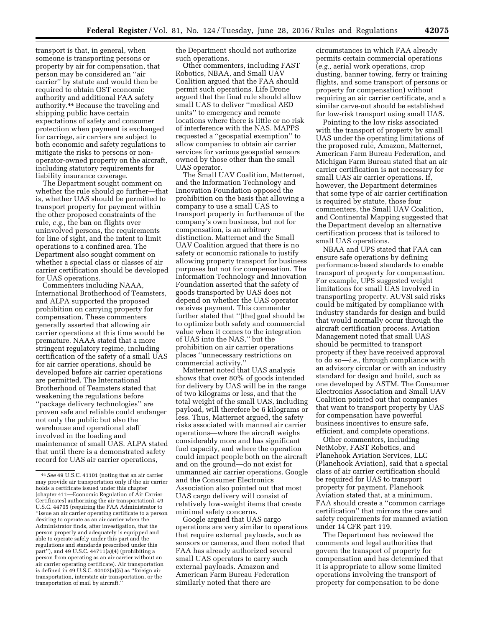transport is that, in general, when someone is transporting persons or property by air for compensation, that person may be considered an ''air carrier'' by statute and would then be required to obtain OST economic authority and additional FAA safety authority.44 Because the traveling and shipping public have certain expectations of safety and consumer protection when payment is exchanged for carriage, air carriers are subject to both economic and safety regulations to mitigate the risks to persons or nonoperator-owned property on the aircraft, including statutory requirements for liability insurance coverage.

The Department sought comment on whether the rule should go further—that is, whether UAS should be permitted to transport property for payment within the other proposed constraints of the rule, *e.g.,* the ban on flights over uninvolved persons, the requirements for line of sight, and the intent to limit operations to a confined area. The Department also sought comment on whether a special class or classes of air carrier certification should be developed for UAS operations.

Commenters including NAAA, International Brotherhood of Teamsters, and ALPA supported the proposed prohibition on carrying property for compensation. These commenters generally asserted that allowing air carrier operations at this time would be premature. NAAA stated that a more stringent regulatory regime, including certification of the safety of a small UAS for air carrier operations, should be developed before air carrier operations are permitted. The International Brotherhood of Teamsters stated that weakening the regulations before ''package delivery technologies'' are proven safe and reliable could endanger not only the public but also the warehouse and operational staff involved in the loading and maintenance of small UAS. ALPA stated that until there is a demonstrated safety record for UAS air carrier operations,

the Department should not authorize such operations.

Other commenters, including FAST Robotics, NBAA, and Small UAV Coalition argued that the FAA should permit such operations. Life Drone argued that the final rule should allow small UAS to deliver ''medical AED units'' to emergency and remote locations where there is little or no risk of interference with the NAS. MAPPS requested a ''geospatial exemption'' to allow companies to obtain air carrier services for various geospatial sensors owned by those other than the small UAS operator.

The Small UAV Coalition, Matternet, and the Information Technology and Innovation Foundation opposed the prohibition on the basis that allowing a company to use a small UAS to transport property in furtherance of the company's own business, but not for compensation, is an arbitrary distinction. Matternet and the Small UAV Coalition argued that there is no safety or economic rationale to justify allowing property transport for business purposes but not for compensation. The Information Technology and Innovation Foundation asserted that the safety of goods transported by UAS does not depend on whether the UAS operator receives payment. This commenter further stated that ''[the] goal should be to optimize both safety and commercial value when it comes to the integration of UAS into the NAS,'' but the prohibition on air carrier operations places ''unnecessary restrictions on commercial activity.''

Matternet noted that UAS analysis shows that over 80% of goods intended for delivery by UAS will be in the range of two kilograms or less, and that the total weight of the small UAS, including payload, will therefore be 6 kilograms or less. Thus, Matternet argued, the safety risks associated with manned air carrier operations—where the aircraft weighs considerably more and has significant fuel capacity, and where the operation could impact people both on the aircraft and on the ground—do not exist for unmanned air carrier operations. Google and the Consumer Electronics Association also pointed out that most UAS cargo delivery will consist of relatively low-weight items that create minimal safety concerns.

Google argued that UAS cargo operations are very similar to operations that require external payloads, such as sensors or cameras, and then noted that FAA has already authorized several small UAS operators to carry such external payloads. Amazon and American Farm Bureau Federation similarly noted that there are

circumstances in which FAA already permits certain commercial operations (*e.g.,* aerial work operations, crop dusting, banner towing, ferry or training flights, and some transport of persons or property for compensation) without requiring an air carrier certificate, and a similar carve-out should be established for low-risk transport using small UAS.

Pointing to the low risks associated with the transport of property by small UAS under the operating limitations of the proposed rule, Amazon, Matternet, American Farm Bureau Federation, and Michigan Farm Bureau stated that an air carrier certification is not necessary for small UAS air carrier operations. If, however, the Department determines that some type of air carrier certification is required by statute, those four commenters, the Small UAV Coalition, and Continental Mapping suggested that the Department develop an alternative certification process that is tailored to small UAS operations.

NBAA and UPS stated that FAA can ensure safe operations by defining performance-based standards to enable transport of property for compensation. For example, UPS suggested weight limitations for small UAS involved in transporting property. AUVSI said risks could be mitigated by compliance with industry standards for design and build that would normally occur through the aircraft certification process. Aviation Management noted that small UAS should be permitted to transport property if they have received approval to do so—*i.e.,* through compliance with an advisory circular or with an industry standard for design and build, such as one developed by ASTM. The Consumer Electronics Association and Small UAV Coalition pointed out that companies that want to transport property by UAS for compensation have powerful business incentives to ensure safe, efficient, and complete operations.

Other commenters, including NetMoby, FAST Robotics, and Planehook Aviation Services, LLC (Planehook Aviation), said that a special class of air carrier certification should be required for UAS to transport property for payment. Planehook Aviation stated that, at a minimum, FAA should create a ''common carriage certification'' that mirrors the care and safety requirements for manned aviation under 14 CFR part 119.

The Department has reviewed the comments and legal authorities that govern the transport of property for compensation and has determined that it is appropriate to allow some limited operations involving the transport of property for compensation to be done

<sup>44</sup>*See* 49 U.S.C. 41101 (noting that an air carrier may provide air transportation only if the air carrier holds a certificate issued under this chapter [chapter 411—Economic Regulation of Air Carrier Certificates] authorizing the air transportation), 49 U.S.C. 44705 (requiring the FAA Administrator to ''issue an air carrier operating certificate to a person desiring to operate as an air carrier when the Administrator finds, after investigation, that the person properly and adequately is equipped and able to operate safely under this part and the regulations and standards prescribed under this part''), and 49 U.S.C.  $44711(a)(4)$  (prohibiting a person from operating as an air carrier without an air carrier operating certificate). Air transportation is defined in 49 U.S.C. 40102(a)(5) as ''foreign air transportation, interstate air transportation, or the transportation of mail by aircraft.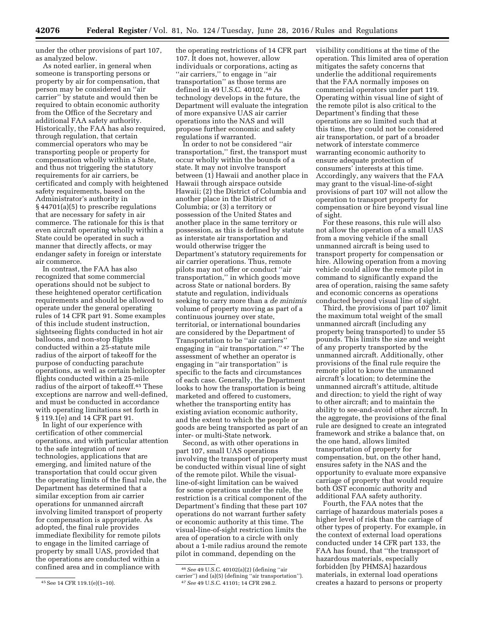under the other provisions of part 107, as analyzed below.

As noted earlier, in general when someone is transporting persons or property by air for compensation, that person may be considered an ''air carrier'' by statute and would then be required to obtain economic authority from the Office of the Secretary and additional FAA safety authority. Historically, the FAA has also required, through regulation, that certain commercial operators who may be transporting people or property for compensation wholly within a State, and thus not triggering the statutory requirements for air carriers, be certificated and comply with heightened safety requirements, based on the Administrator's authority in § 44701(a)(5) to prescribe regulations that are necessary for safety in air commerce. The rationale for this is that even aircraft operating wholly within a State could be operated in such a manner that directly affects, or may endanger safety in foreign or interstate air commerce.

In contrast, the FAA has also recognized that some commercial operations should not be subject to these heightened operator certification requirements and should be allowed to operate under the general operating rules of 14 CFR part 91. Some examples of this include student instruction, sightseeing flights conducted in hot air balloons, and non-stop flights conducted within a 25-statute mile radius of the airport of takeoff for the purpose of conducting parachute operations, as well as certain helicopter flights conducted within a 25-mile radius of the airport of takeoff.45 These exceptions are narrow and well-defined, and must be conducted in accordance with operating limitations set forth in § 119.1(e) and 14 CFR part 91.

In light of our experience with certification of other commercial operations, and with particular attention to the safe integration of new technologies, applications that are emerging, and limited nature of the transportation that could occur given the operating limits of the final rule, the Department has determined that a similar exception from air carrier operations for unmanned aircraft involving limited transport of property for compensation is appropriate. As adopted, the final rule provides immediate flexibility for remote pilots to engage in the limited carriage of property by small UAS, provided that the operations are conducted within a confined area and in compliance with

the operating restrictions of 14 CFR part 107. It does not, however, allow individuals or corporations, acting as "air carriers," to engage in "air transportation'' as those terms are defined in 49 U.S.C. 40102.46 As technology develops in the future, the Department will evaluate the integration of more expansive UAS air carrier operations into the NAS and will propose further economic and safety regulations if warranted.

In order to not be considered ''air transportation,'' first, the transport must occur wholly within the bounds of a state. It may not involve transport between (1) Hawaii and another place in Hawaii through airspace outside Hawaii; (2) the District of Columbia and another place in the District of Columbia; or (3) a territory or possession of the United States and another place in the same territory or possession, as this is defined by statute as interstate air transportation and would otherwise trigger the Department's statutory requirements for air carrier operations. Thus, remote pilots may not offer or conduct ''air transportation,'' in which goods move across State or national borders. By statute and regulation, individuals seeking to carry more than a *de minimis*  volume of property moving as part of a continuous journey over state, territorial, or international boundaries are considered by the Department of Transportation to be ''air carriers'' engaging in ''air transportation.'' 47 The assessment of whether an operator is engaging in ''air transportation'' is specific to the facts and circumstances of each case. Generally, the Department looks to how the transportation is being marketed and offered to customers, whether the transporting entity has existing aviation economic authority, and the extent to which the people or goods are being transported as part of an inter- or multi-State network.

Second, as with other operations in part 107, small UAS operations involving the transport of property must be conducted within visual line of sight of the remote pilot. While the visualline-of-sight limitation can be waived for some operations under the rule, the restriction is a critical component of the Department's finding that these part 107 operations do not warrant further safety or economic authority at this time. The visual-line-of-sight restriction limits the area of operation to a circle with only about a 1-mile radius around the remote pilot in command, depending on the

46*See* 49 U.S.C. 40102(a)(2) (defining ''air carrier'') and (a)(5) (defining ''air transportation''). 47*See* 49 U.S.C. 41101; 14 CFR 298.2.

visibility conditions at the time of the operation. This limited area of operation mitigates the safety concerns that underlie the additional requirements that the FAA normally imposes on commercial operators under part 119. Operating within visual line of sight of the remote pilot is also critical to the Department's finding that these operations are so limited such that at this time, they could not be considered air transportation, or part of a broader network of interstate commerce warranting economic authority to ensure adequate protection of consumers' interests at this time. Accordingly, any waivers that the FAA may grant to the visual-line-of-sight provisions of part 107 will not allow the operation to transport property for compensation or hire beyond visual line of sight.

For these reasons, this rule will also not allow the operation of a small UAS from a moving vehicle if the small unmanned aircraft is being used to transport property for compensation or hire. Allowing operation from a moving vehicle could allow the remote pilot in command to significantly expand the area of operation, raising the same safety and economic concerns as operations conducted beyond visual line of sight.

Third, the provisions of part 107 limit the maximum total weight of the small unmanned aircraft (including any property being transported) to under 55 pounds. This limits the size and weight of any property transported by the unmanned aircraft. Additionally, other provisions of the final rule require the remote pilot to know the unmanned aircraft's location; to determine the unmanned aircraft's attitude, altitude and direction; to yield the right of way to other aircraft; and to maintain the ability to see-and-avoid other aircraft. In the aggregate, the provisions of the final rule are designed to create an integrated framework and strike a balance that, on the one hand, allows limited transportation of property for compensation, but, on the other hand, ensures safety in the NAS and the opportunity to evaluate more expansive carriage of property that would require both OST economic authority and additional FAA safety authority.

Fourth, the FAA notes that the carriage of hazardous materials poses a higher level of risk than the carriage of other types of property. For example, in the context of external load operations conducted under 14 CFR part 133, the FAA has found, that ''the transport of hazardous materials, especially forbidden [by PHMSA] hazardous materials, in external load operations creates a hazard to persons or property

<sup>45</sup>See 14 CFR 119.1(e)(1–10).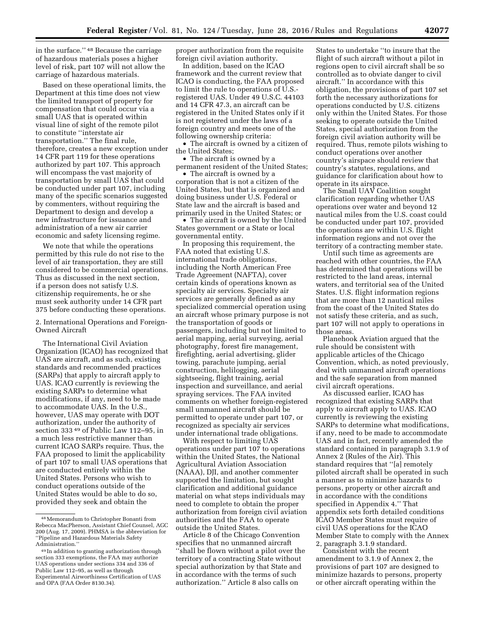in the surface.'' 48 Because the carriage of hazardous materials poses a higher level of risk, part 107 will not allow the carriage of hazardous materials.

Based on these operational limits, the Department at this time does not view the limited transport of property for compensation that could occur via a small UAS that is operated within visual line of sight of the remote pilot to constitute ''interstate air transportation.'' The final rule, therefore, creates a new exception under 14 CFR part 119 for these operations authorized by part 107. This approach will encompass the vast majority of transportation by small UAS that could be conducted under part 107, including many of the specific scenarios suggested by commenters, without requiring the Department to design and develop a new infrastructure for issuance and administration of a new air carrier economic and safety licensing regime.

We note that while the operations permitted by this rule do not rise to the level of air transportation, they are still considered to be commercial operations. Thus as discussed in the next section, if a person does not satisfy U.S. citizenship requirements, he or she must seek authority under 14 CFR part 375 before conducting these operations.

2. International Operations and Foreign-Owned Aircraft

The International Civil Aviation Organization (ICAO) has recognized that UAS are aircraft, and as such, existing standards and recommended practices (SARPs) that apply to aircraft apply to UAS. ICAO currently is reviewing the existing SARPs to determine what modifications, if any, need to be made to accommodate UAS. In the U.S., however, UAS may operate with DOT authorization, under the authority of section 333 49 of Public Law 112–95, in a much less restrictive manner than current ICAO SARPs require. Thus, the FAA proposed to limit the applicability of part 107 to small UAS operations that are conducted entirely within the United States. Persons who wish to conduct operations outside of the United States would be able to do so, provided they seek and obtain the

proper authorization from the requisite foreign civil aviation authority.

In addition, based on the ICAO framework and the current review that ICAO is conducting, the FAA proposed to limit the rule to operations of U.S. registered UAS. Under 49 U.S.C. 44103 and 14 CFR 47.3, an aircraft can be registered in the United States only if it is not registered under the laws of a foreign country and meets one of the following ownership criteria:

• The aircraft is owned by a citizen of the United States;

• The aircraft is owned by a permanent resident of the United States;

• The aircraft is owned by a corporation that is not a citizen of the United States, but that is organized and doing business under U.S. Federal or State law and the aircraft is based and primarily used in the United States; or

• The aircraft is owned by the United States government or a State or local governmental entity.

In proposing this requirement, the FAA noted that existing U.S. international trade obligations, including the North American Free Trade Agreement (NAFTA), cover certain kinds of operations known as specialty air services. Specialty air services are generally defined as any specialized commercial operation using an aircraft whose primary purpose is not the transportation of goods or passengers, including but not limited to aerial mapping, aerial surveying, aerial photography, forest fire management, firefighting, aerial advertising, glider towing, parachute jumping, aerial construction, helilogging, aerial sightseeing, flight training, aerial inspection and surveillance, and aerial spraying services. The FAA invited comments on whether foreign-registered small unmanned aircraft should be permitted to operate under part 107, or recognized as specialty air services under international trade obligations.

With respect to limiting UAS operations under part 107 to operations within the United States, the National Agricultural Aviation Association (NAAA), DJI, and another commenter supported the limitation, but sought clarification and additional guidance material on what steps individuals may need to complete to obtain the proper authorization from foreign civil aviation authorities and the FAA to operate outside the United States.

Article 8 of the Chicago Convention specifies that no unmanned aircraft ''shall be flown without a pilot over the territory of a contracting State without special authorization by that State and in accordance with the terms of such authorization.'' Article 8 also calls on

States to undertake ''to insure that the flight of such aircraft without a pilot in regions open to civil aircraft shall be so controlled as to obviate danger to civil aircraft.'' In accordance with this obligation, the provisions of part 107 set forth the necessary authorizations for operations conducted by U.S. citizens only within the United States. For those seeking to operate outside the United States, special authorization from the foreign civil aviation authority will be required. Thus, remote pilots wishing to conduct operations over another country's airspace should review that country's statutes, regulations, and guidance for clarification about how to operate in its airspace.

The Small UAV Coalition sought clarification regarding whether UAS operations over water and beyond 12 nautical miles from the U.S. coast could be conducted under part 107, provided the operations are within U.S. flight information regions and not over the territory of a contracting member state.

Until such time as agreements are reached with other countries, the FAA has determined that operations will be restricted to the land areas, internal waters, and territorial sea of the United States. U.S. flight information regions that are more than 12 nautical miles from the coast of the United States do not satisfy these criteria, and as such, part 107 will not apply to operations in those areas.

Planehook Aviation argued that the rule should be consistent with applicable articles of the Chicago Convention, which, as noted previously, deal with unmanned aircraft operations and the safe separation from manned civil aircraft operations.

As discussed earlier, ICAO has recognized that existing SARPs that apply to aircraft apply to UAS. ICAO currently is reviewing the existing SARPs to determine what modifications, if any, need to be made to accommodate UAS and in fact, recently amended the standard contained in paragraph 3.1.9 of Annex 2 (Rules of the Air). This standard requires that ''[a] remotely piloted aircraft shall be operated in such a manner as to minimize hazards to persons, property or other aircraft and in accordance with the conditions specified in Appendix 4.'' That appendix sets forth detailed conditions ICAO Member States must require of civil UAS operations for the ICAO Member State to comply with the Annex 2, paragraph 3.1.9 standard.

Consistent with the recent amendment to 3.1.9 of Annex 2, the provisions of part 107 are designed to minimize hazards to persons, property or other aircraft operating within the

<sup>48</sup>Memorandum to Christopher Bonanti from Rebecca MacPherson, Assistant Chief Counsel, AGC 200 (Aug. 17, 2009). PHMSA is the abbreviation for ''Pipeline and Hazardous Materials Safety Administration.''

<sup>49</sup> In addition to granting authorization through section 333 exemptions, the FAA may authorize UAS operations under sections 334 and 336 of Public Law 112–95, as well as through Experimental Airworthiness Certification of UAS and OPA (FAA Order 8130.34).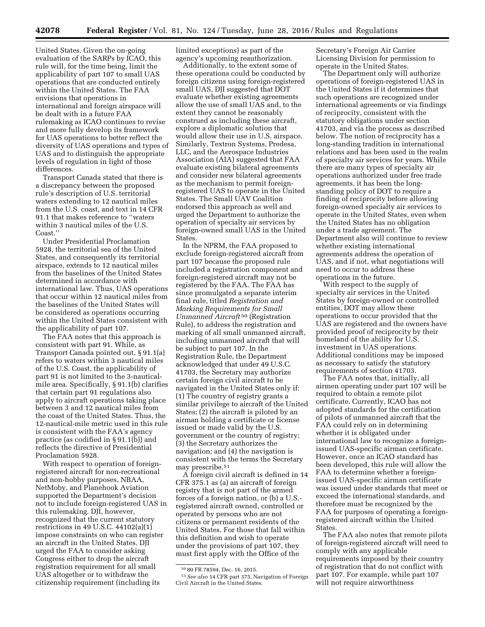United States. Given the on-going evaluation of the SARPs by ICAO, this rule will, for the time being, limit the applicability of part 107 to small UAS operations that are conducted entirely within the United States. The FAA envisions that operations in international and foreign airspace will be dealt with in a future FAA rulemaking as ICAO continues to revise and more fully develop its framework for UAS operations to better reflect the diversity of UAS operations and types of UAS and to distinguish the appropriate levels of regulation in light of those differences.

Transport Canada stated that there is a discrepancy between the proposed rule's description of U.S. territorial waters extending to 12 nautical miles from the U.S. coast, and text in 14 CFR 91.1 that makes reference to ''waters within 3 nautical miles of the U.S. Coast.''

Under Presidential Proclamation 5928, the territorial sea of the United States, and consequently its territorial airspace, extends to 12 nautical miles from the baselines of the United States determined in accordance with international law. Thus, UAS operations that occur within 12 nautical miles from the baselines of the United States will be considered as operations occurring within the United States consistent with the applicability of part 107.

The FAA notes that this approach is consistent with part 91. While, as Transport Canada pointed out, § 91.1(a) refers to waters within 3 nautical miles of the U.S. Coast, the applicability of part 91 is not limited to the 3-nauticalmile area. Specifically, § 91.1(b) clarifies that certain part 91 regulations also apply to aircraft operations taking place between 3 and 12 nautical miles from the coast of the United States. Thus, the 12-nautical-mile metric used in this rule is consistent with the FAA's agency practice (as codified in § 91.1(b)) and reflects the directive of Presidential Proclamation 5928.

With respect to operation of foreignregistered aircraft for non-recreational and non-hobby purposes, NBAA, NetMoby, and Planehook Aviation supported the Department's decision not to include foreign-registered UAS in this rulemaking. DJI, however, recognized that the current statutory restrictions in 49 U.S.C. 44102(a)(1) impose constraints on who can register an aircraft in the United States. DJI urged the FAA to consider asking Congress either to drop the aircraft registration requirement for all small UAS altogether or to withdraw the citizenship requirement (including its

limited exceptions) as part of the agency's upcoming reauthorization.

Additionally, to the extent some of these operations could be conducted by foreign citizens using foreign-registered small UAS, DJI suggested that DOT evaluate whether existing agreements allow the use of small UAS and, to the extent they cannot be reasonably construed as including these aircraft, explore a diplomatic solution that would allow their use in U.S. airspace. Similarly, Textron Systems, Predesa, LLC, and the Aerospace Industries Association (AIA) suggested that FAA evaluate existing bilateral agreements and consider new bilateral agreements as the mechanism to permit foreignregistered UAS to operate in the United States. The Small UAV Coalition endorsed this approach as well and urged the Department to authorize the operation of specialty air services by foreign-owned small UAS in the United States.

In the NPRM, the FAA proposed to exclude foreign-registered aircraft from part 107 because the proposed rule included a registration component and foreign-registered aircraft may not be registered by the FAA. The FAA has since promulgated a separate interim final rule, titled *Registration and Marking Requirements for Small Unmanned Aircraft* 50 (Registration Rule), to address the registration and marking of all small unmanned aircraft, including unmanned aircraft that will be subject to part 107. In the Registration Rule, the Department acknowledged that under 49 U.S.C. 41703, the Secretary may authorize certain foreign civil aircraft to be navigated in the United States only if: (1) The country of registry grants a similar privilege to aircraft of the United States; (2) the aircraft is piloted by an airman holding a certificate or license issued or made valid by the U.S. government or the country of registry; (3) the Secretary authorizes the navigation; and (4) the navigation is consistent with the terms the Secretary may prescribe.51

A foreign civil aircraft is defined in 14 CFR 375.1 as (a) an aircraft of foreign registry that is not part of the armed forces of a foreign nation, or (b) a U.S. registered aircraft owned, controlled or operated by persons who are not citizens or permanent residents of the United States. For those that fall within this definition and wish to operate under the provisions of part 107, they must first apply with the Office of the

Secretary's Foreign Air Carrier Licensing Division for permission to operate in the United States.

The Department only will authorize operations of foreign-registered UAS in the United States if it determines that such operations are recognized under international agreements or via findings of reciprocity, consistent with the statutory obligations under section 41703, and via the process as described below. The notion of reciprocity has a long-standing tradition in international relations and has been used in the realm of specialty air services for years. While there are many types of specialty air operations authorized under free trade agreements, it has been the longstanding policy of DOT to require a finding of reciprocity before allowing foreign-owned specialty air services to operate in the United States, even when the United States has no obligation under a trade agreement. The Department also will continue to review whether existing international agreements address the operation of UAS, and if not, what negotiations will need to occur to address these operations in the future.

With respect to the supply of specialty air services in the United States by foreign-owned or controlled entities, DOT may allow these operations to occur provided that the UAS are registered and the owners have provided proof of reciprocity by their homeland of the ability for U.S. investment in UAS operations. Additional conditions may be imposed as necessary to satisfy the statutory requirements of section 41703.

The FAA notes that, initially, all airmen operating under part 107 will be required to obtain a remote pilot certificate. Currently, ICAO has not adopted standards for the certification of pilots of unmanned aircraft that the FAA could rely on in determining whether it is obligated under international law to recognize a foreignissued UAS-specific airman certificate. However, once an ICAO standard has been developed, this rule will allow the FAA to determine whether a foreignissued UAS-specific airman certificate was issued under standards that meet or exceed the international standards, and therefore must be recognized by the FAA for purposes of operating a foreignregistered aircraft within the United States.

The FAA also notes that remote pilots of foreign-registered aircraft will need to comply with any applicable requirements imposed by their country of registration that do not conflict with part 107. For example, while part 107 will not require airworthiness

<sup>50</sup> 80 FR 78594, Dec. 16, 2015.

<sup>51</sup>*See also* 14 CFR part 375, Navigation of Foreign Civil Aircraft in the United States.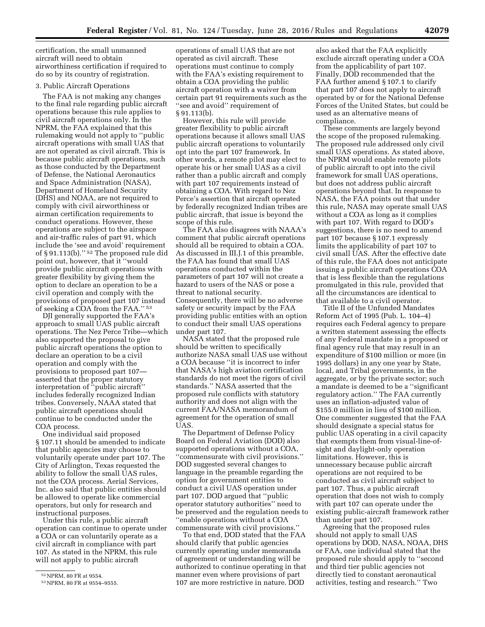certification, the small unmanned aircraft will need to obtain airworthiness certification if required to do so by its country of registration.

#### 3. Public Aircraft Operations

The FAA is not making any changes to the final rule regarding public aircraft operations because this rule applies to civil aircraft operations only. In the NPRM, the FAA explained that this rulemaking would not apply to ''public aircraft operations with small UAS that are not operated as civil aircraft. This is because public aircraft operations, such as those conducted by the Department of Defense, the National Aeronautics and Space Administration (NASA), Department of Homeland Security (DHS) and NOAA, are not required to comply with civil airworthiness or airman certification requirements to conduct operations. However, these operations are subject to the airspace and air-traffic rules of part 91, which include the 'see and avoid' requirement of § 91.113(b).'' 52 The proposed rule did point out, however, that it ''would provide public aircraft operations with greater flexibility by giving them the option to declare an operation to be a civil operation and comply with the provisions of proposed part 107 instead of seeking a COA from the FAA.'' 53

DJI generally supported the FAA's approach to small UAS public aircraft operations. The Nez Perce Tribe—which also supported the proposal to give public aircraft operations the option to declare an operation to be a civil operation and comply with the provisions to proposed part 107 asserted that the proper statutory interpretation of ''public aircraft'' includes federally recognized Indian tribes. Conversely, NAAA stated that public aircraft operations should continue to be conducted under the COA process.

One individual said proposed § 107.11 should be amended to indicate that public agencies may choose to voluntarily operate under part 107. The City of Arlington, Texas requested the ability to follow the small UAS rules, not the COA process. Aerial Services, Inc. also said that public entities should be allowed to operate like commercial operators, but only for research and instructional purposes.

Under this rule, a public aircraft operation can continue to operate under a COA or can voluntarily operate as a civil aircraft in compliance with part 107. As stated in the NPRM, this rule will not apply to public aircraft

operations of small UAS that are not operated as civil aircraft. These operations must continue to comply with the FAA's existing requirement to obtain a COA providing the public aircraft operation with a waiver from certain part 91 requirements such as the ''see and avoid'' requirement of § 91.113(b).

However, this rule will provide greater flexibility to public aircraft operations because it allows small UAS public aircraft operations to voluntarily opt into the part 107 framework. In other words, a remote pilot may elect to operate his or her small UAS as a civil rather than a public aircraft and comply with part 107 requirements instead of obtaining a COA. With regard to Nez Perce's assertion that aircraft operated by federally recognized Indian tribes are public aircraft, that issue is beyond the scope of this rule.

The FAA also disagrees with NAAA's comment that public aircraft operations should all be required to obtain a COA. As discussed in III.J.1 of this preamble, the FAA has found that small UAS operations conducted within the parameters of part 107 will not create a hazard to users of the NAS or pose a threat to national security. Consequently, there will be no adverse safety or security impact by the FAA providing public entities with an option to conduct their small UAS operations under part 107.

NASA stated that the proposed rule should be written to specifically authorize NASA small UAS use without a COA because ''it is incorrect to infer that NASA's high aviation certification standards do not meet the rigors of civil standards.'' NASA asserted that the proposed rule conflicts with statutory authority and does not align with the current FAA/NASA memorandum of agreement for the operation of small UAS.

The Department of Defense Policy Board on Federal Aviation (DOD) also supported operations without a COA, ''commensurate with civil provisions.'' DOD suggested several changes to language in the preamble regarding the option for government entities to conduct a civil UAS operation under part 107. DOD argued that ''public operator statutory authorities'' need to be preserved and the regulation needs to ''enable operations without a COA commensurate with civil provisions.''

To that end, DOD stated that the FAA should clarify that public agencies currently operating under memoranda of agreement or understanding will be authorized to continue operating in that manner even where provisions of part 107 are more restrictive in nature. DOD

also asked that the FAA explicitly exclude aircraft operating under a COA from the applicability of part 107. Finally, DOD recommended that the FAA further amend § 107.1 to clarify that part 107 does not apply to aircraft operated by or for the National Defense Forces of the United States, but could be used as an alternative means of compliance.

These comments are largely beyond the scope of the proposed rulemaking. The proposed rule addressed only civil small UAS operations. As stated above, the NPRM would enable remote pilots of public aircraft to opt into the civil framework for small UAS operations, but does not address public aircraft operations beyond that. In response to NASA, the FAA points out that under this rule, NASA may operate small UAS without a COA as long as it complies with part 107. With regard to DOD's suggestions, there is no need to amend part 107 because § 107.1 expressly limits the applicability of part 107 to civil small UAS. After the effective date of this rule, the FAA does not anticipate issuing a public aircraft operations COA that is less flexible than the regulations promulgated in this rule, provided that all the circumstances are identical to that available to a civil operator.

Title II of the Unfunded Mandates Reform Act of 1995 (Pub. L. 104–4) requires each Federal agency to prepare a written statement assessing the effects of any Federal mandate in a proposed or final agency rule that may result in an expenditure of \$100 million or more (in 1995 dollars) in any one year by State, local, and Tribal governments, in the aggregate, or by the private sector; such a mandate is deemed to be a ''significant regulatory action.'' The FAA currently uses an inflation-adjusted value of \$155.0 million in lieu of \$100 million. One commenter suggested that the FAA should designate a special status for public UAS operating in a civil capacity that exempts them from visual-line-ofsight and daylight-only operation limitations. However, this is unnecessary because public aircraft operations are not required to be conducted as civil aircraft subject to part 107. Thus, a public aircraft operation that does not wish to comply with part 107 can operate under the existing public-aircraft framework rather than under part 107.

Agreeing that the proposed rules should not apply to small UAS operations by DOD, NASA, NOAA, DHS or FAA, one individual stated that the proposed rule should apply to ''second and third tier public agencies not directly tied to constant aeronautical activities, testing and research.'' Two

<sup>52</sup>NPRM, 80 FR at 9554.

<sup>53</sup>NPRM, 80 FR at 9554–9555.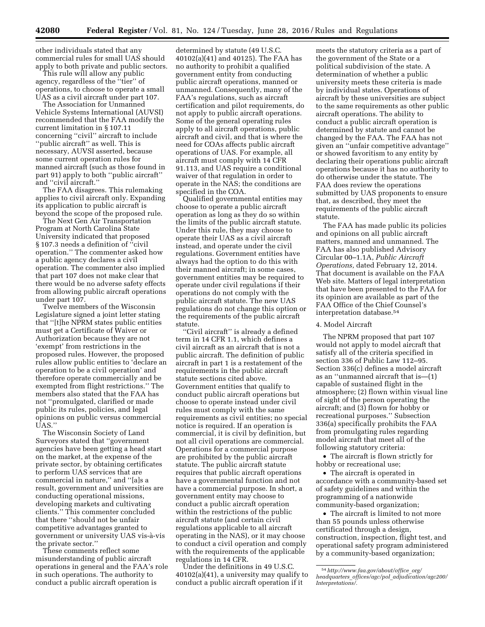other individuals stated that any commercial rules for small UAS should apply to both private and public sectors.

This rule will allow any public agency, regardless of the ''tier'' of operations, to choose to operate a small UAS as a civil aircraft under part 107.

The Association for Unmanned Vehicle Systems International (AUVSI) recommended that the FAA modify the current limitation in § 107.11 concerning ''civil'' aircraft to include ''public aircraft'' as well. This is necessary, AUVSI asserted, because some current operation rules for manned aircraft (such as those found in part 91) apply to both ''public aircraft'' and ''civil aircraft.''

The FAA disagrees. This rulemaking applies to civil aircraft only. Expanding its application to public aircraft is beyond the scope of the proposed rule.

The Next Gen Air Transportation Program at North Carolina State University indicated that proposed § 107.3 needs a definition of ''civil operation.'' The commenter asked how a public agency declares a civil operation. The commenter also implied that part 107 does not make clear that there would be no adverse safety effects from allowing public aircraft operations under part 107.

Twelve members of the Wisconsin Legislature signed a joint letter stating that ''[t]he NPRM states public entities must get a Certificate of Waiver or Authorization because they are not 'exempt' from restrictions in the proposed rules. However, the proposed rules allow public entities to 'declare an operation to be a civil operation' and therefore operate commercially and be exempted from flight restrictions.'' The members also stated that the FAA has not ''promulgated, clarified or made public its rules, policies, and legal opinions on public versus commercial UAS.''

The Wisconsin Society of Land Surveyors stated that ''government agencies have been getting a head start on the market, at the expense of the private sector, by obtaining certificates to perform UAS services that are commercial in nature,'' and ''[a]s a result, government and universities are conducting operational missions, developing markets and cultivating clients.'' This commenter concluded that there ''should not be unfair competitive advantages granted to government or university UAS vis-à-vis the private sector.''

These comments reflect some misunderstanding of public aircraft operations in general and the FAA's role in such operations. The authority to conduct a public aircraft operation is

determined by statute (49 U.S.C. 40102(a)(41) and 40125). The FAA has no authority to prohibit a qualified government entity from conducting public aircraft operations, manned or unmanned. Consequently, many of the FAA's regulations, such as aircraft certification and pilot requirements, do not apply to public aircraft operations. Some of the general operating rules apply to all aircraft operations, public aircraft and civil, and that is where the need for COAs affects public aircraft operations of UAS. For example, all aircraft must comply with 14 CFR 91.113, and UAS require a conditional waiver of that regulation in order to operate in the NAS; the conditions are specified in the COA.

Qualified governmental entities may choose to operate a public aircraft operation as long as they do so within the limits of the public aircraft statute. Under this rule, they may choose to operate their UAS as a civil aircraft instead, and operate under the civil regulations. Government entities have always had the option to do this with their manned aircraft; in some cases, government entities may be required to operate under civil regulations if their operations do not comply with the public aircraft statute. The new UAS regulations do not change this option or the requirements of the public aircraft statute.

'Civil aircraft'' is already a defined term in 14 CFR 1.1, which defines a civil aircraft as an aircraft that is not a public aircraft. The definition of public aircraft in part 1 is a restatement of the requirements in the public aircraft statute sections cited above. Government entities that qualify to conduct public aircraft operations but choose to operate instead under civil rules must comply with the same requirements as civil entities; no special notice is required. If an operation is commercial, it is civil by definition, but not all civil operations are commercial. Operations for a commercial purpose are prohibited by the public aircraft statute. The public aircraft statute requires that public aircraft operations have a governmental function and not have a commercial purpose. In short, a government entity may choose to conduct a public aircraft operation within the restrictions of the public aircraft statute (and certain civil regulations applicable to all aircraft operating in the NAS), or it may choose to conduct a civil operation and comply with the requirements of the applicable regulations in 14 CFR.

Under the definitions in 49 U.S.C. 40102(a)(41), a university may qualify to conduct a public aircraft operation if it

meets the statutory criteria as a part of the government of the State or a political subdivision of the state. A determination of whether a public university meets these criteria is made by individual states. Operations of aircraft by these universities are subject to the same requirements as other public aircraft operations. The ability to conduct a public aircraft operation is determined by statute and cannot be changed by the FAA. The FAA has not given an ''unfair competitive advantage'' or showed favoritism to any entity by declaring their operations public aircraft operations because it has no authority to do otherwise under the statute. The FAA does review the operations submitted by UAS proponents to ensure that, as described, they meet the requirements of the public aircraft statute.

The FAA has made public its policies and opinions on all public aircraft matters, manned and unmanned. The FAA has also published Advisory Circular 00–1.1A, *Public Aircraft Operations,* dated February 12, 2014. That document is available on the FAA Web site. Matters of legal interpretation that have been presented to the FAA for its opinion are available as part of the FAA Office of the Chief Counsel's interpretation database.54

#### 4. Model Aircraft

The NPRM proposed that part 107 would not apply to model aircraft that satisfy all of the criteria specified in section 336 of Public Law 112–95. Section 336(c) defines a model aircraft as an ''unmanned aircraft that is—(1) capable of sustained flight in the atmosphere; (2) flown within visual line of sight of the person operating the aircraft; and (3) flown for hobby or recreational purposes.'' Subsection 336(a) specifically prohibits the FAA from promulgating rules regarding model aircraft that meet all of the following statutory criteria:

• The aircraft is flown strictly for hobby or recreational use;

• The aircraft is operated in accordance with a community-based set of safety guidelines and within the programming of a nationwide community-based organization;

• The aircraft is limited to not more than 55 pounds unless otherwise certificated through a design, construction, inspection, flight test, and operational safety program administered by a community-based organization;

<sup>54</sup>*[http://www.faa.gov/about/office](http://www.faa.gov/about/office_org/headquarters_offices/agc/pol_adjudication/agc200/Interpretations/)*\_*org/ headquarters*\_*offices/agc/pol*\_*[adjudication/agc200/](http://www.faa.gov/about/office_org/headquarters_offices/agc/pol_adjudication/agc200/Interpretations/) [Interpretations/.](http://www.faa.gov/about/office_org/headquarters_offices/agc/pol_adjudication/agc200/Interpretations/)*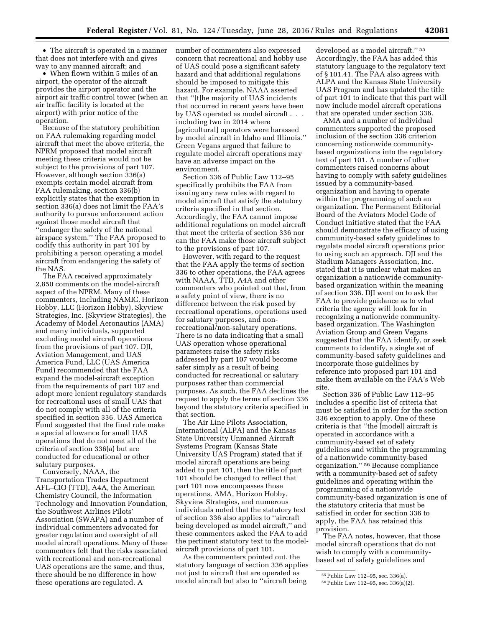• The aircraft is operated in a manner that does not interfere with and gives way to any manned aircraft; and

• When flown within 5 miles of an airport, the operator of the aircraft provides the airport operator and the airport air traffic control tower (when an air traffic facility is located at the airport) with prior notice of the operation.

Because of the statutory prohibition on FAA rulemaking regarding model aircraft that meet the above criteria, the NPRM proposed that model aircraft meeting these criteria would not be subject to the provisions of part 107. However, although section 336(a) exempts certain model aircraft from FAA rulemaking, section 336(b) explicitly states that the exemption in section 336(a) does not limit the FAA's authority to pursue enforcement action against those model aircraft that ''endanger the safety of the national airspace system.'' The FAA proposed to codify this authority in part 101 by prohibiting a person operating a model aircraft from endangering the safety of the NAS.

The FAA received approximately 2,850 comments on the model-aircraft aspect of the NPRM. Many of these commenters, including NAMIC, Horizon Hobby, LLC (Horizon Hobby), Skyview Strategies, Inc. (Skyview Strategies), the Academy of Model Aeronautics (AMA) and many individuals, supported excluding model aircraft operations from the provisions of part 107. DJI, Aviation Management, and UAS America Fund, LLC (UAS America Fund) recommended that the FAA expand the model-aircraft exception from the requirements of part 107 and adopt more lenient regulatory standards for recreational uses of small UAS that do not comply with all of the criteria specified in section 336. UAS America Fund suggested that the final rule make a special allowance for small UAS operations that do not meet all of the criteria of section 336(a) but are conducted for educational or other salutary purposes.

Conversely, NAAA, the Transportation Trades Department AFL–CIO (TTD), A4A, the American Chemistry Council, the Information Technology and Innovation Foundation, the Southwest Airlines Pilots' Association (SWAPA) and a number of individual commenters advocated for greater regulation and oversight of all model aircraft operations. Many of these commenters felt that the risks associated with recreational and non-recreational UAS operations are the same, and thus, there should be no difference in how these operations are regulated. A

number of commenters also expressed concern that recreational and hobby use of UAS could pose a significant safety hazard and that additional regulations should be imposed to mitigate this hazard. For example, NAAA asserted that ''[t]he majority of UAS incidents that occurred in recent years have been by UAS operated as model aircraft . . . including two in 2014 where [agricultural] operators were harassed by model aircraft in Idaho and Illinois.'' Green Vegans argued that failure to regulate model aircraft operations may have an adverse impact on the environment.

Section 336 of Public Law 112–95 specifically prohibits the FAA from issuing any new rules with regard to model aircraft that satisfy the statutory criteria specified in that section. Accordingly, the FAA cannot impose additional regulations on model aircraft that meet the criteria of section 336 nor can the FAA make those aircraft subject to the provisions of part 107.

However, with regard to the request that the FAA apply the terms of section 336 to other operations, the FAA agrees with NAAA, TTD, A4A and other commenters who pointed out that, from a safety point of view, there is no difference between the risk posed by recreational operations, operations used for salutary purposes, and nonrecreational/non-salutary operations. There is no data indicating that a small UAS operation whose operational parameters raise the safety risks addressed by part 107 would become safer simply as a result of being conducted for recreational or salutary purposes rather than commercial purposes. As such, the FAA declines the request to apply the terms of section 336 beyond the statutory criteria specified in that section.

The Air Line Pilots Association, International (ALPA) and the Kansas State University Unmanned Aircraft Systems Program (Kansas State University UAS Program) stated that if model aircraft operations are being added to part 101, then the title of part 101 should be changed to reflect that part 101 now encompasses those operations. AMA, Horizon Hobby, Skyview Strategies, and numerous individuals noted that the statutory text of section 336 also applies to ''aircraft being developed as model aircraft,'' and these commenters asked the FAA to add the pertinent statutory text to the modelaircraft provisions of part 101.

As the commenters pointed out, the statutory language of section 336 applies not just to aircraft that are operated as model aircraft but also to ''aircraft being

developed as a model aircraft.'' 55 Accordingly, the FAA has added this statutory language to the regulatory text of § 101.41. The FAA also agrees with ALPA and the Kansas State University UAS Program and has updated the title of part 101 to indicate that this part will now include model aircraft operations that are operated under section 336.

AMA and a number of individual commenters supported the proposed inclusion of the section 336 criterion concerning nationwide communitybased organizations into the regulatory text of part 101. A number of other commenters raised concerns about having to comply with safety guidelines issued by a community-based organization and having to operate within the programming of such an organization. The Permanent Editorial Board of the Aviators Model Code of Conduct Initiative stated that the FAA should demonstrate the efficacy of using community-based safety guidelines to regulate model aircraft operations prior to using such an approach. DJI and the Stadium Managers Association, Inc. stated that it is unclear what makes an organization a nationwide communitybased organization within the meaning of section 336. DJI went on to ask the FAA to provide guidance as to what criteria the agency will look for in recognizing a nationwide communitybased organization. The Washington Aviation Group and Green Vegans suggested that the FAA identify, or seek comments to identify, a single set of community-based safety guidelines and incorporate those guidelines by reference into proposed part 101 and make them available on the FAA's Web site.

Section 336 of Public Law 112–95 includes a specific list of criteria that must be satisfied in order for the section 336 exception to apply. One of these criteria is that ''the [model] aircraft is operated in accordance with a community-based set of safety guidelines and within the programming of a nationwide community-based organization.'' 56 Because compliance with a community-based set of safety guidelines and operating within the programming of a nationwide community-based organization is one of the statutory criteria that must be satisfied in order for section 336 to apply, the FAA has retained this provision.

The FAA notes, however, that those model aircraft operations that do not wish to comply with a communitybased set of safety guidelines and

<sup>55</sup>Public Law 112–95, sec. 336(a).

<sup>56</sup>Public Law 112–95, sec. 336(a)(2).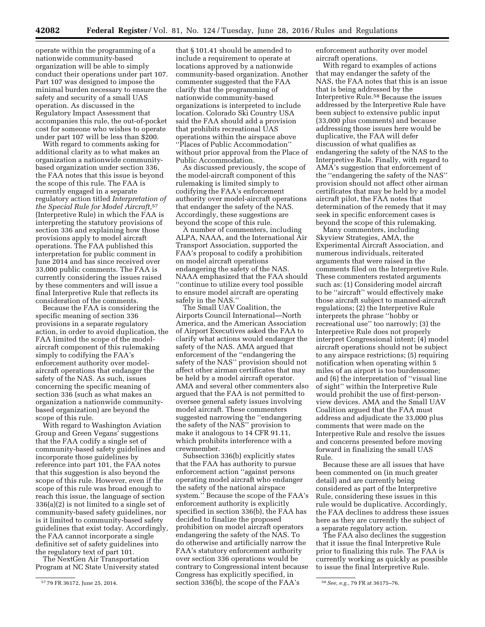operate within the programming of a nationwide community-based organization will be able to simply conduct their operations under part 107. Part 107 was designed to impose the minimal burden necessary to ensure the safety and security of a small UAS operation. As discussed in the Regulatory Impact Assessment that accompanies this rule, the out-of-pocket cost for someone who wishes to operate under part 107 will be less than \$200.

With regard to comments asking for additional clarity as to what makes an organization a nationwide communitybased organization under section 336, the FAA notes that this issue is beyond the scope of this rule. The FAA is currently engaged in a separate regulatory action titled *Interpretation of the Special Rule for Model Aircraft,*57 (Interpretive Rule) in which the FAA is interpreting the statutory provisions of section 336 and explaining how those provisions apply to model aircraft operations. The FAA published this interpretation for public comment in June 2014 and has since received over 33,000 public comments. The FAA is currently considering the issues raised by these commenters and will issue a final Interpretive Rule that reflects its consideration of the comments.

Because the FAA is considering the specific meaning of section 336 provisions in a separate regulatory action, in order to avoid duplication, the FAA limited the scope of the modelaircraft component of this rulemaking simply to codifying the FAA's enforcement authority over modelaircraft operations that endanger the safety of the NAS. As such, issues concerning the specific meaning of section 336 (such as what makes an organization a nationwide communitybased organization) are beyond the scope of this rule.

With regard to Washington Aviation Group and Green Vegans' suggestions that the FAA codify a single set of community-based safety guidelines and incorporate those guidelines by reference into part 101, the FAA notes that this suggestion is also beyond the scope of this rule. However, even if the scope of this rule was broad enough to reach this issue, the language of section 336(a)(2) is not limited to a single set of community-based safety guidelines, nor is it limited to community-based safety guidelines that exist today. Accordingly, the FAA cannot incorporate a single definitive set of safety guidelines into the regulatory text of part 101.

The NextGen Air Transportation Program at NC State University stated

that § 101.41 should be amended to include a requirement to operate at locations approved by a nationwide community-based organization. Another commenter suggested that the FAA clarify that the programming of nationwide community-based organizations is interpreted to include location. Colorado Ski Country USA said the FAA should add a provision that prohibits recreational UAS operations within the airspace above ''Places of Public Accommodation'' without prior approval from the Place of Public Accommodation.

As discussed previously, the scope of the model-aircraft component of this rulemaking is limited simply to codifying the FAA's enforcement authority over model-aircraft operations that endanger the safety of the NAS. Accordingly, these suggestions are beyond the scope of this rule.

A number of commenters, including ALPA, NAAA, and the International Air Transport Association, supported the FAA's proposal to codify a prohibition on model aircraft operations endangering the safety of the NAS. NAAA emphasized that the FAA should ''continue to utilize every tool possible to ensure model aircraft are operating safely in the NAS.''

The Small UAV Coalition, the Airports Council International—North America, and the American Association of Airport Executives asked the FAA to clarify what actions would endanger the safety of the NAS. AMA argued that enforcement of the ''endangering the safety of the NAS'' provision should not affect other airman certificates that may be held by a model aircraft operator. AMA and several other commenters also argued that the FAA is not permitted to oversee general safety issues involving model aircraft. These commenters suggested narrowing the ''endangering the safety of the NAS'' provision to make it analogous to 14 CFR 91.11, which prohibits interference with a crewmember.

57 79 FR 36172, June 25, 2014. 58*See, e.g.,* 79 FR at 36175–76. section 336(b), the scope of the FAA's Subsection 336(b) explicitly states that the FAA has authority to pursue enforcement action ''against persons operating model aircraft who endanger the safety of the national airspace system.'' Because the scope of the FAA's enforcement authority is explicitly specified in section 336(b), the FAA has decided to finalize the proposed prohibition on model aircraft operators endangering the safety of the NAS. To do otherwise and artificially narrow the FAA's statutory enforcement authority over section 336 operations would be contrary to Congressional intent because Congress has explicitly specified, in

enforcement authority over model aircraft operations.

With regard to examples of actions that may endanger the safety of the NAS, the FAA notes that this is an issue that is being addressed by the Interpretive Rule.58 Because the issues addressed by the Interpretive Rule have been subject to extensive public input (33,000 plus comments) and because addressing those issues here would be duplicative, the FAA will defer discussion of what qualifies as endangering the safety of the NAS to the Interpretive Rule. Finally, with regard to AMA's suggestion that enforcement of the ''endangering the safety of the NAS'' provision should not affect other airman certificates that may be held by a model aircraft pilot, the FAA notes that determination of the remedy that it may seek in specific enforcement cases is beyond the scope of this rulemaking.

Many commenters, including Skyview Strategies, AMA, the Experimental Aircraft Association, and numerous individuals, reiterated arguments that were raised in the comments filed on the Interpretive Rule. These commenters restated arguments such as: (1) Considering model aircraft to be ''aircraft'' would effectively make those aircraft subject to manned-aircraft regulations; (2) the Interpretive Rule interprets the phrase ''hobby or recreational use'' too narrowly; (3) the Interpretive Rule does not properly interpret Congressional intent; (4) model aircraft operations should not be subject to any airspace restrictions; (5) requiring notification when operating within 5 miles of an airport is too burdensome; and (6) the interpretation of ''visual line of sight'' within the Interpretive Rule would prohibit the use of first-personview devices. AMA and the Small UAV Coalition argued that the FAA must address and adjudicate the 33,000 plus comments that were made on the Interpretive Rule and resolve the issues and concerns presented before moving forward in finalizing the small UAS Rule.

Because these are all issues that have been commented on (in much greater detail) and are currently being considered as part of the Interpretive Rule, considering these issues in this rule would be duplicative. Accordingly, the FAA declines to address these issues here as they are currently the subject of a separate regulatory action.

The FAA also declines the suggestion that it issue the final Interpretive Rule prior to finalizing this rule. The FAA is currently working as quickly as possible to issue the final Interpretive Rule.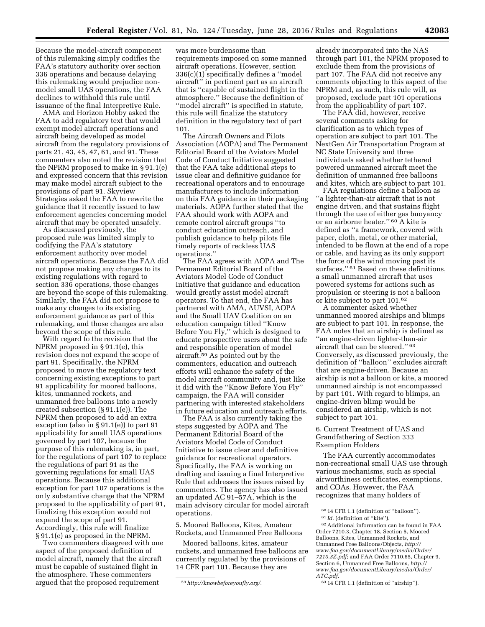Because the model-aircraft component of this rulemaking simply codifies the FAA's statutory authority over section 336 operations and because delaying this rulemaking would prejudice nonmodel small UAS operations, the FAA declines to withhold this rule until

issuance of the final Interpretive Rule. AMA and Horizon Hobby asked the FAA to add regulatory text that would exempt model aircraft operations and aircraft being developed as model aircraft from the regulatory provisions of parts 21, 43, 45, 47, 61, and 91. These commenters also noted the revision that the NPRM proposed to make in § 91.1(e) and expressed concern that this revision may make model aircraft subject to the provisions of part 91. Skyview Strategies asked the FAA to rewrite the guidance that it recently issued to law enforcement agencies concerning model aircraft that may be operated unsafely.

As discussed previously, the proposed rule was limited simply to codifying the FAA's statutory enforcement authority over model aircraft operations. Because the FAA did not propose making any changes to its existing regulations with regard to section 336 operations, those changes are beyond the scope of this rulemaking. Similarly, the FAA did not propose to make any changes to its existing enforcement guidance as part of this rulemaking, and those changes are also beyond the scope of this rule.

With regard to the revision that the NPRM proposed in § 91.1(e), this revision does not expand the scope of part 91. Specifically, the NPRM proposed to move the regulatory text concerning existing exceptions to part 91 applicability for moored balloons, kites, unmanned rockets, and unmanned free balloons into a newly created subsection (§ 91.1(e)). The NPRM then proposed to add an extra exception (also in § 91.1(e)) to part 91 applicability for small UAS operations governed by part 107, because the purpose of this rulemaking is, in part, for the regulations of part 107 to replace the regulations of part 91 as the governing regulations for small UAS operations. Because this additional exception for part 107 operations is the only substantive change that the NPRM proposed to the applicability of part 91, finalizing this exception would not expand the scope of part 91. Accordingly, this rule will finalize § 91.1(e) as proposed in the NPRM.

Two commenters disagreed with one aspect of the proposed definition of model aircraft, namely that the aircraft must be capable of sustained flight in the atmosphere. These commenters argued that the proposed requirement

was more burdensome than requirements imposed on some manned aircraft operations. However, section 336(c)(1) specifically defines a ''model aircraft'' in pertinent part as an aircraft that is ''capable of sustained flight in the atmosphere.'' Because the definition of ''model aircraft'' is specified in statute, this rule will finalize the statutory definition in the regulatory text of part 101.

The Aircraft Owners and Pilots Association (AOPA) and The Permanent Editorial Board of the Aviators Model Code of Conduct Initiative suggested that the FAA take additional steps to issue clear and definitive guidance for recreational operators and to encourage manufacturers to include information on this FAA guidance in their packaging materials. AOPA further stated that the FAA should work with AOPA and remote control aircraft groups ''to conduct education outreach, and publish guidance to help pilots file timely reports of reckless UAS operations.''

The FAA agrees with AOPA and The Permanent Editorial Board of the Aviators Model Code of Conduct Initiative that guidance and education would greatly assist model aircraft operators. To that end, the FAA has partnered with AMA, AUVSI, AOPA and the Small UAV Coalition on an education campaign titled ''Know Before You Fly,'' which is designed to educate prospective users about the safe and responsible operation of model aircraft.59 As pointed out by the commenters, education and outreach efforts will enhance the safety of the model aircraft community and, just like it did with the ''Know Before You Fly'' campaign, the FAA will consider partnering with interested stakeholders in future education and outreach efforts.

The FAA is also currently taking the steps suggested by AOPA and The Permanent Editorial Board of the Aviators Model Code of Conduct Initiative to issue clear and definitive guidance for recreational operators. Specifically, the FAA is working on drafting and issuing a final Interpretive Rule that addresses the issues raised by commenters. The agency has also issued an updated AC 91–57A, which is the main advisory circular for model aircraft operations.

5. Moored Balloons, Kites, Amateur Rockets, and Unmanned Free Balloons

Moored balloons, kites, amateur rockets, and unmanned free balloons are currently regulated by the provisions of 14 CFR part 101. Because they are

already incorporated into the NAS through part 101, the NPRM proposed to exclude them from the provisions of part 107. The FAA did not receive any comments objecting to this aspect of the NPRM and, as such, this rule will, as proposed, exclude part 101 operations from the applicability of part 107.

The FAA did, however, receive several comments asking for clarification as to which types of operation are subject to part 101. The NextGen Air Transportation Program at NC State University and three individuals asked whether tethered powered unmanned aircraft meet the definition of unmanned free balloons and kites, which are subject to part 101.

FAA regulations define a balloon as ''a lighter-than-air aircraft that is not engine driven, and that sustains flight through the use of either gas buoyancy or an airborne heater.'' 60 A kite is defined as ''a framework, covered with paper, cloth, metal, or other material, intended to be flown at the end of a rope or cable, and having as its only support the force of the wind moving past its surfaces."<sup>61</sup> Based on these definitions, a small unmanned aircraft that uses powered systems for actions such as propulsion or steering is not a balloon or kite subject to part 101.62

A commenter asked whether unmanned moored airships and blimps are subject to part 101. In response, the FAA notes that an airship is defined as ''an engine-driven lighter-than-air aircraft that can be steered.'' 63 Conversely, as discussed previously, the definition of ''balloon'' excludes aircraft that are engine-driven. Because an airship is not a balloon or kite, a moored unmanned airship is not encompassed by part 101. With regard to blimps, an engine-driven blimp would be considered an airship, which is not subject to part 101.

6. Current Treatment of UAS and Grandfathering of Section 333 Exemption Holders

The FAA currently accommodates non-recreational small UAS use through various mechanisms, such as special airworthiness certificates, exemptions, and COAs. However, the FAA recognizes that many holders of

63 14 CFR 1.1 (definition of ''airship'').

<sup>59</sup>*<http://knowbeforeyoufly.org/>*.

 $^{60}$  14 CFR 1.1 (definition of ''balloon''). <sup>61</sup> *Id.* (definition of "kite").

<sup>62</sup>Additional information can be found in FAA Order 7210.3, Chapter 18, Section 5, Moored Balloons, Kites, Unmanned Rockets, and Unmanned Free Balloons/Objects, *[http://](http://www.faa.gov/documentLibrary/media/Order/7210.3Z.pdf) [www.faa.gov/documentLibrary/media/Order/](http://www.faa.gov/documentLibrary/media/Order/7210.3Z.pdf) [7210.3Z.pdf](http://www.faa.gov/documentLibrary/media/Order/7210.3Z.pdf)*; and FAA Order 7110.65, Chapter 9, Section 6, Unmanned Free Balloons, *[http://](http://www.faa.gov/documentLibrary/media/Order/ATC.pdf) [www.faa.gov/documentLibrary/media/Order/](http://www.faa.gov/documentLibrary/media/Order/ATC.pdf) [ATC.pdf](http://www.faa.gov/documentLibrary/media/Order/ATC.pdf)*.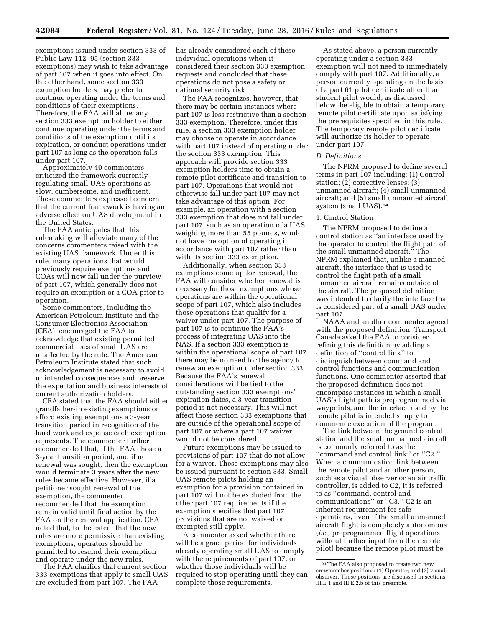exemptions issued under section 333 of Public Law 112–95 (section 333 exemptions) may wish to take advantage of part 107 when it goes into effect. On the other hand, some section 333 exemption holders may prefer to continue operating under the terms and conditions of their exemptions. Therefore, the FAA will allow any section 333 exemption holder to either continue operating under the terms and conditions of the exemption until its expiration, or conduct operations under part 107 as long as the operation falls under part 107.

Approximately 40 commenters criticized the framework currently regulating small UAS operations as slow, cumbersome, and inefficient. These commenters expressed concern that the current framework is having an adverse effect on UAS development in the United States.

The FAA anticipates that this rulemaking will alleviate many of the concerns commenters raised with the existing UAS framework. Under this rule, many operations that would previously require exemptions and COAs will now fall under the purview of part 107, which generally does not require an exemption or a COA prior to operation.

Some commenters, including the American Petroleum Institute and the Consumer Electronics Association (CEA), encouraged the FAA to acknowledge that existing permitted commercial uses of small UAS are unaffected by the rule. The American Petroleum Institute stated that such acknowledgement is necessary to avoid unintended consequences and preserve the expectation and business interests of current authorization holders.

CEA stated that the FAA should either grandfather-in existing exemptions or afford existing exemptions a 3-year transition period in recognition of the hard work and expense each exemption represents. The commenter further recommended that, if the FAA chose a 3-year transition period, and if no renewal was sought, then the exemption would terminate 3 years after the new rules became effective. However, if a petitioner sought renewal of the exemption, the commenter recommended that the exemption remain valid until final action by the FAA on the renewal application. CEA noted that, to the extent that the new rules are more permissive than existing exemptions, operators should be permitted to rescind their exemption and operate under the new rules.

The FAA clarifies that current section 333 exemptions that apply to small UAS are excluded from part 107. The FAA

has already considered each of these individual operations when it considered their section 333 exemption requests and concluded that these operations do not pose a safety or national security risk.

The FAA recognizes, however, that there may be certain instances where part 107 is less restrictive than a section 333 exemption. Therefore, under this rule, a section 333 exemption holder may choose to operate in accordance with part 107 instead of operating under the section 333 exemption. This approach will provide section 333 exemption holders time to obtain a remote pilot certificate and transition to part 107. Operations that would not otherwise fall under part 107 may not take advantage of this option. For example, an operation with a section 333 exemption that does not fall under part 107, such as an operation of a UAS weighing more than 55 pounds, would not have the option of operating in accordance with part 107 rather than with its section 333 exemption.

Additionally, when section 333 exemptions come up for renewal, the FAA will consider whether renewal is necessary for those exemptions whose operations are within the operational scope of part 107, which also includes those operations that qualify for a waiver under part 107. The purpose of part 107 is to continue the FAA's process of integrating UAS into the NAS. If a section 333 exemption is within the operational scope of part 107, there may be no need for the agency to renew an exemption under section 333. Because the FAA's renewal considerations will be tied to the outstanding section 333 exemptions' expiration dates, a 3-year transition period is not necessary. This will not affect those section 333 exemptions that are outside of the operational scope of part 107 or where a part 107 waiver would not be considered.

Future exemptions may be issued to provisions of part 107 that do not allow for a waiver. These exemptions may also be issued pursuant to section 333. Small UAS remote pilots holding an exemption for a provision contained in part 107 will not be excluded from the other part 107 requirements if the exemption specifies that part 107 provisions that are not waived or exempted still apply.

A commenter asked whether there will be a grace period for individuals already operating small UAS to comply with the requirements of part 107, or whether those individuals will be required to stop operating until they can complete those requirements.

As stated above, a person currently operating under a section 333 exemption will not need to immediately comply with part 107. Additionally, a person currently operating on the basis of a part 61 pilot certificate other than student pilot would, as discussed below, be eligible to obtain a temporary remote pilot certificate upon satisfying the prerequisites specified in this rule. The temporary remote pilot certificate will authorize its holder to operate under part 107.

#### *D. Definitions*

The NPRM proposed to define several terms in part 107 including: (1) Control station; (2) corrective lenses; (3) unmanned aircraft; (4) small unmanned aircraft; and (5) small unmanned aircraft system (small UAS).64

#### 1. Control Station

The NPRM proposed to define a control station as ''an interface used by the operator to control the flight path of the small unmanned aircraft.'' The NPRM explained that, unlike a manned aircraft, the interface that is used to control the flight path of a small unmanned aircraft remains outside of the aircraft. The proposed definition was intended to clarify the interface that is considered part of a small UAS under part 107.

NAAA and another commenter agreed with the proposed definition. Transport Canada asked the FAA to consider refining this definition by adding a definition of ''control link'' to distinguish between command and control functions and communication functions. One commenter asserted that the proposed definition does not encompass instances in which a small UAS's flight path is preprogrammed via waypoints, and the interface used by the remote pilot is intended simply to commence execution of the program.

The link between the ground control station and the small unmanned aircraft is commonly referred to as the ''command and control link'' or ''C2.'' When a communication link between the remote pilot and another person, such as a visual observer or an air traffic controller, is added to C2, it is referred to as ''command, control and communications" or "C3." C2 is an inherent requirement for safe operations, even if the small unmanned aircraft flight is completely autonomous (*i.e.,* preprogrammed flight operations without further input from the remote pilot) because the remote pilot must be

<sup>64</sup>The FAA also proposed to create two new crewmember positions: (1) Operator; and (2) visual observer. Those positions are discussed in sections III.E.1 and III.E.2.b of this preamble.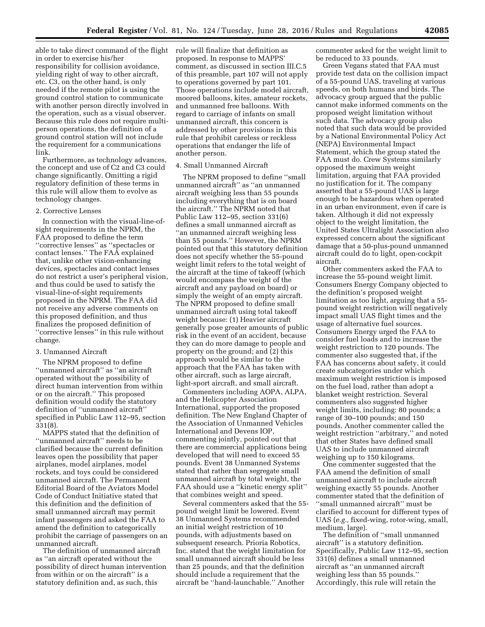able to take direct command of the flight rule will finalize that definition as in order to exercise his/her responsibility for collision avoidance, yielding right of way to other aircraft, etc. C3, on the other hand, is only needed if the remote pilot is using the ground control station to communicate with another person directly involved in the operation, such as a visual observer. Because this rule does not require multiperson operations, the definition of a ground control station will not include the requirement for a communications link.

Furthermore, as technology advances, the concept and use of C2 and C3 could change significantly. Omitting a rigid regulatory definition of these terms in this rule will allow them to evolve as technology changes.

#### 2. Corrective Lenses

In connection with the visual-line-ofsight requirements in the NPRM, the FAA proposed to define the term ''corrective lenses'' as ''spectacles or contact lenses.'' The FAA explained that, unlike other vision-enhancing devices, spectacles and contact lenses do not restrict a user's peripheral vision, and thus could be used to satisfy the visual-line-of-sight requirements proposed in the NPRM. The FAA did not receive any adverse comments on this proposed definition, and thus finalizes the proposed definition of ''corrective lenses'' in this rule without change.

#### 3. Unmanned Aircraft

The NPRM proposed to define ''unmanned aircraft'' as ''an aircraft operated without the possibility of direct human intervention from within or on the aircraft.'' This proposed definition would codify the statutory definition of ''unmanned aircraft'' specified in Public Law 112–95, section 331(8).

MAPPS stated that the definition of ''unmanned aircraft'' needs to be clarified because the current definition leaves open the possibility that paper airplanes, model airplanes, model rockets, and toys could be considered unmanned aircraft. The Permanent Editorial Board of the Aviators Model Code of Conduct Initiative stated that this definition and the definition of small unmanned aircraft may permit infant passengers and asked the FAA to amend the definition to categorically prohibit the carriage of passengers on an unmanned aircraft.

The definition of unmanned aircraft as ''an aircraft operated without the possibility of direct human intervention from within or on the aircraft'' is a statutory definition and, as such, this

proposed. In response to MAPPS' comment, as discussed in section III.C.5 of this preamble, part 107 will not apply to operations governed by part 101. Those operations include model aircraft, moored balloons, kites, amateur rockets, and unmanned free balloons. With regard to carriage of infants on small unmanned aircraft, this concern is addressed by other provisions in this rule that prohibit careless or reckless operations that endanger the life of another person.

#### 4. Small Unmanned Aircraft

The NPRM proposed to define ''small unmanned aircraft'' as ''an unmanned aircraft weighing less than 55 pounds including everything that is on board the aircraft.'' The NPRM noted that Public Law 112–95, section 331(6) defines a small unmanned aircraft as ''an unmanned aircraft weighing less than 55 pounds.'' However, the NPRM pointed out that this statutory definition does not specify whether the 55-pound weight limit refers to the total weight of the aircraft at the time of takeoff (which would encompass the weight of the aircraft and any payload on board) or simply the weight of an empty aircraft. The NPRM proposed to define small unmanned aircraft using total takeoff weight because: (1) Heavier aircraft generally pose greater amounts of public risk in the event of an accident, because they can do more damage to people and property on the ground; and (2) this approach would be similar to the approach that the FAA has taken with other aircraft, such as large aircraft, light-sport aircraft, and small aircraft.

Commenters including AOPA, ALPA, and the Helicopter Association International, supported the proposed definition. The New England Chapter of the Association of Unmanned Vehicles International and Devens IOP, commenting jointly, pointed out that there are commercial applications being developed that will need to exceed 55 pounds. Event 38 Unmanned Systems stated that rather than segregate small unmanned aircraft by total weight, the FAA should use a ''kinetic energy split'' that combines weight and speed.

Several commenters asked that the 55 pound weight limit be lowered. Event 38 Unmanned Systems recommended an initial weight restriction of 10 pounds, with adjustments based on subsequent research. Prioria Robotics, Inc. stated that the weight limitation for small unmanned aircraft should be less than 25 pounds, and that the definition should include a requirement that the aircraft be ''hand-launchable.'' Another

commenter asked for the weight limit to be reduced to 33 pounds.

Green Vegans stated that FAA must provide test data on the collision impact of a 55-pound UAS, traveling at various speeds, on both humans and birds. The advocacy group argued that the public cannot make informed comments on the proposed weight limitation without such data. The advocacy group also noted that such data would be provided by a National Environmental Policy Act (NEPA) Environmental Impact Statement, which the group stated the FAA must do. Crew Systems similarly opposed the maximum weight limitation, arguing that FAA provided no justification for it. The company asserted that a 55-pound UAS is large enough to be hazardous when operated in an urban environment, even if care is taken. Although it did not expressly object to the weight limitation, the United States Ultralight Association also expressed concern about the significant damage that a 50-plus-pound unmanned aircraft could do to light, open-cockpit aircraft.

Other commenters asked the FAA to increase the 55-pound weight limit. Consumers Energy Company objected to the definition's proposed weight limitation as too light, arguing that a 55 pound weight restriction will negatively impact small UAS flight times and the usage of alternative fuel sources. Consumers Energy urged the FAA to consider fuel loads and to increase the weight restriction to 120 pounds. The commenter also suggested that, if the FAA has concerns about safety, it could create subcategories under which maximum weight restriction is imposed on the fuel load, rather than adopt a blanket weight restriction. Several commenters also suggested higher weight limits, including: 80 pounds; a range of 30–100 pounds; and 150 pounds. Another commenter called the weight restriction ''arbitrary,'' and noted that other States have defined small UAS to include unmanned aircraft weighing up to 150 kilograms.

One commenter suggested that the FAA amend the definition of small unmanned aircraft to include aircraft weighing exactly 55 pounds. Another commenter stated that the definition of ''small unmanned aircraft'' must be clarified to account for different types of UAS (*e.g.,* fixed-wing, rotor-wing, small, medium, large).

The definition of ''small unmanned aircraft'' is a statutory definition. Specifically, Public Law 112–95, section 331(6) defines a small unmanned aircraft as ''an unmanned aircraft weighing less than 55 pounds.'' Accordingly, this rule will retain the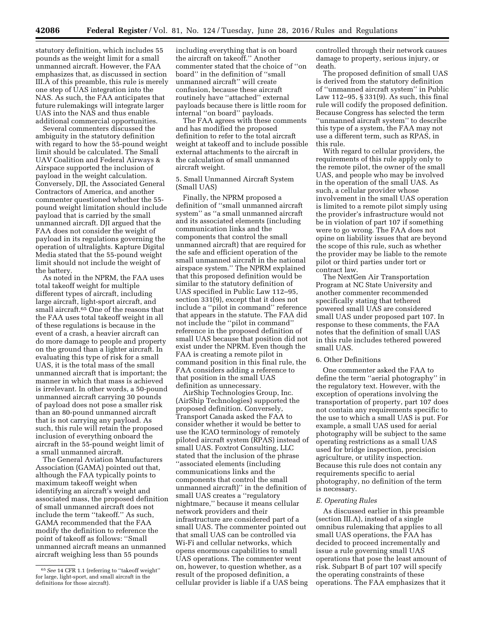statutory definition, which includes 55 pounds as the weight limit for a small unmanned aircraft. However, the FAA emphasizes that, as discussed in section III.A of this preamble, this rule is merely one step of UAS integration into the NAS. As such, the FAA anticipates that future rulemakings will integrate larger UAS into the NAS and thus enable additional commercial opportunities.

Several commenters discussed the ambiguity in the statutory definition with regard to how the 55-pound weight limit should be calculated. The Small UAV Coalition and Federal Airways & Airspace supported the inclusion of payload in the weight calculation. Conversely, DJI, the Associated General Contractors of America, and another commenter questioned whether the 55 pound weight limitation should include payload that is carried by the small unmanned aircraft. DJI argued that the FAA does not consider the weight of payload in its regulations governing the operation of ultralights. Kapture Digital Media stated that the 55-pound weight limit should not include the weight of the battery.

As noted in the NPRM, the FAA uses total takeoff weight for multiple different types of aircraft, including large aircraft, light-sport aircraft, and small aircraft.65 One of the reasons that the FAA uses total takeoff weight in all of these regulations is because in the event of a crash, a heavier aircraft can do more damage to people and property on the ground than a lighter aircraft. In evaluating this type of risk for a small UAS, it is the total mass of the small unmanned aircraft that is important; the manner in which that mass is achieved is irrelevant. In other words, a 50-pound unmanned aircraft carrying 30 pounds of payload does not pose a smaller risk than an 80-pound unmanned aircraft that is not carrying any payload. As such, this rule will retain the proposed inclusion of everything onboard the aircraft in the 55-pound weight limit of a small unmanned aircraft.

The General Aviation Manufacturers Association (GAMA) pointed out that, although the FAA typically points to maximum takeoff weight when identifying an aircraft's weight and associated mass, the proposed definition of small unmanned aircraft does not include the term ''takeoff.'' As such, GAMA recommended that the FAA modify the definition to reference the point of takeoff as follows: ''Small unmanned aircraft means an unmanned aircraft weighing less than 55 pounds

including everything that is on board the aircraft on takeoff.'' Another commenter stated that the choice of ''on board'' in the definition of ''small unmanned aircraft'' will create confusion, because these aircraft routinely have ''attached'' external payloads because there is little room for internal ''on board'' payloads.

The FAA agrees with these comments and has modified the proposed definition to refer to the total aircraft weight at takeoff and to include possible external attachments to the aircraft in the calculation of small unmanned aircraft weight.

5. Small Unmanned Aircraft System (Small UAS)

Finally, the NPRM proposed a definition of ''small unmanned aircraft system'' as ''a small unmanned aircraft and its associated elements (including communication links and the components that control the small unmanned aircraft) that are required for the safe and efficient operation of the small unmanned aircraft in the national airspace system.'' The NPRM explained that this proposed definition would be similar to the statutory definition of UAS specified in Public Law 112–95, section 331(9), except that it does not include a ''pilot in command'' reference that appears in the statute. The FAA did not include the ''pilot in command'' reference in the proposed definition of small UAS because that position did not exist under the NPRM. Even though the FAA is creating a remote pilot in command position in this final rule, the FAA considers adding a reference to that position in the small UAS definition as unnecessary.

AirShip Technologies Group, Inc. (AirShip Technologies) supported the proposed definition. Conversely, Transport Canada asked the FAA to consider whether it would be better to use the ICAO terminology of remotely piloted aircraft system (RPAS) instead of small UAS. Foxtrot Consulting, LLC stated that the inclusion of the phrase ''associated elements (including communications links and the components that control the small unmanned aircraft)'' in the definition of small UAS creates a "regulatory nightmare,'' because it means cellular network providers and their infrastructure are considered part of a small UAS. The commenter pointed out that small UAS can be controlled via Wi-Fi and cellular networks, which opens enormous capabilities to small UAS operations. The commenter went on, however, to question whether, as a result of the proposed definition, a cellular provider is liable if a UAS being

controlled through their network causes damage to property, serious injury, or death.

The proposed definition of small UAS is derived from the statutory definition of ''unmanned aircraft system'' in Public Law 112–95, § 331(9). As such, this final rule will codify the proposed definition. Because Congress has selected the term ''unmanned aircraft system'' to describe this type of a system, the FAA may not use a different term, such as RPAS, in this rule.

With regard to cellular providers, the requirements of this rule apply only to the remote pilot, the owner of the small UAS, and people who may be involved in the operation of the small UAS. As such, a cellular provider whose involvement in the small UAS operation is limited to a remote pilot simply using the provider's infrastructure would not be in violation of part 107 if something were to go wrong. The FAA does not opine on liability issues that are beyond the scope of this rule, such as whether the provider may be liable to the remote pilot or third parties under tort or contract law.

The NextGen Air Transportation Program at NC State University and another commenter recommended specifically stating that tethered powered small UAS are considered small UAS under proposed part 107. In response to these comments, the FAA notes that the definition of small UAS in this rule includes tethered powered small UAS.

#### 6. Other Definitions

One commenter asked the FAA to define the term ''aerial photography'' in the regulatory text. However, with the exception of operations involving the transportation of property, part 107 does not contain any requirements specific to the use to which a small UAS is put. For example, a small UAS used for aerial photography will be subject to the same operating restrictions as a small UAS used for bridge inspection, precision agriculture, or utility inspection. Because this rule does not contain any requirements specific to aerial photography, no definition of the term is necessary.

#### *E. Operating Rules*

As discussed earlier in this preamble (section III.A), instead of a single omnibus rulemaking that applies to all small UAS operations, the FAA has decided to proceed incrementally and issue a rule governing small UAS operations that pose the least amount of risk. Subpart B of part 107 will specify the operating constraints of these operations. The FAA emphasizes that it

<sup>65</sup>*See* 14 CFR 1.1 (referring to ''takeoff weight'' for large, light-sport, and small aircraft in the definitions for those aircraft).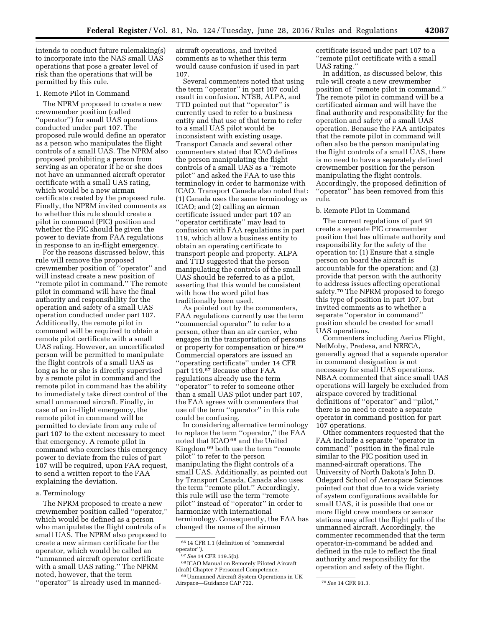intends to conduct future rulemaking(s) to incorporate into the NAS small UAS operations that pose a greater level of risk than the operations that will be permitted by this rule.

#### 1. Remote Pilot in Command

The NPRM proposed to create a new crewmember position (called ''operator'') for small UAS operations conducted under part 107. The proposed rule would define an operator as a person who manipulates the flight controls of a small UAS. The NPRM also proposed prohibiting a person from serving as an operator if he or she does not have an unmanned aircraft operator certificate with a small UAS rating, which would be a new airman certificate created by the proposed rule. Finally, the NPRM invited comments as to whether this rule should create a pilot in command (PIC) position and whether the PIC should be given the power to deviate from FAA regulations in response to an in-flight emergency.

For the reasons discussed below, this rule will remove the proposed crewmember position of ''operator'' and will instead create a new position of ''remote pilot in command.'' The remote pilot in command will have the final authority and responsibility for the operation and safety of a small UAS operation conducted under part 107. Additionally, the remote pilot in command will be required to obtain a remote pilot certificate with a small UAS rating. However, an uncertificated person will be permitted to manipulate the flight controls of a small UAS as long as he or she is directly supervised by a remote pilot in command and the remote pilot in command has the ability to immediately take direct control of the small unmanned aircraft. Finally, in case of an in-flight emergency, the remote pilot in command will be permitted to deviate from any rule of part 107 to the extent necessary to meet that emergency. A remote pilot in command who exercises this emergency power to deviate from the rules of part 107 will be required, upon FAA request, to send a written report to the FAA explaining the deviation.

#### a. Terminology

The NPRM proposed to create a new crewmember position called ''operator,'' which would be defined as a person who manipulates the flight controls of a small UAS. The NPRM also proposed to create a new airman certificate for the operator, which would be called an ''unmanned aircraft operator certificate with a small UAS rating.'' The NPRM noted, however, that the term ''operator'' is already used in mannedaircraft operations, and invited comments as to whether this term would cause confusion if used in part 107.

Several commenters noted that using the term ''operator'' in part 107 could result in confusion. NTSB, ALPA, and TTD pointed out that ''operator'' is currently used to refer to a business entity and that use of that term to refer to a small UAS pilot would be inconsistent with existing usage. Transport Canada and several other commenters stated that ICAO defines the person manipulating the flight controls of a small UAS as a ''remote pilot'' and asked the FAA to use this terminology in order to harmonize with ICAO. Transport Canada also noted that: (1) Canada uses the same terminology as ICAO; and (2) calling an airman certificate issued under part 107 an ''operator certificate'' may lead to confusion with FAA regulations in part 119, which allow a business entity to obtain an operating certificate to transport people and property. ALPA and TTD suggested that the person manipulating the controls of the small UAS should be referred to as a pilot, asserting that this would be consistent with how the word pilot has traditionally been used.

As pointed out by the commenters, FAA regulations currently use the term ''commercial operator'' to refer to a person, other than an air carrier, who engages in the transportation of persons or property for compensation or hire.<sup>66</sup> Commercial operators are issued an ''operating certificate'' under 14 CFR part 119.67 Because other FAA regulations already use the term ''operator'' to refer to someone other than a small UAS pilot under part 107, the FAA agrees with commenters that use of the term ''operator'' in this rule could be confusing.

In considering alternative terminology to replace the term ''operator,'' the FAA noted that ICAO 68 and the United Kingdom 69 both use the term ''remote pilot'' to refer to the person manipulating the flight controls of a small UAS. Additionally, as pointed out by Transport Canada, Canada also uses the term ''remote pilot.'' Accordingly, this rule will use the term ''remote pilot'' instead of ''operator'' in order to harmonize with international terminology. Consequently, the FAA has changed the name of the airman

68 ICAO Manual on Remotely Piloted Aircraft (draft) Chapter 7 Personnel Competence. 69Unmanned Aircraft System Operations in UK Airspace—Guidance CAP 722. <sup>1</sup> 70 See 14 CFR 91.3.

certificate issued under part 107 to a ''remote pilot certificate with a small UAS rating.''

In addition, as discussed below, this rule will create a new crewmember position of ''remote pilot in command.'' The remote pilot in command will be a certificated airman and will have the final authority and responsibility for the operation and safety of a small UAS operation. Because the FAA anticipates that the remote pilot in command will often also be the person manipulating the flight controls of a small UAS, there is no need to have a separately defined crewmember position for the person manipulating the flight controls. Accordingly, the proposed definition of "operator" has been removed from this rule.

#### b. Remote Pilot in Command

The current regulations of part 91 create a separate PIC crewmember position that has ultimate authority and responsibility for the safety of the operation to: (1) Ensure that a single person on board the aircraft is accountable for the operation; and (2) provide that person with the authority to address issues affecting operational safety.70 The NPRM proposed to forego this type of position in part 107, but invited comments as to whether a separate ''operator in command'' position should be created for small UAS operations.

Commenters including Aerius Flight, NetMoby, Predesa, and NRECA, generally agreed that a separate operator in command designation is not necessary for small UAS operations. NBAA commented that since small UAS operations will largely be excluded from airspace covered by traditional definitions of ''operator'' and ''pilot,'' there is no need to create a separate operator in command position for part 107 operations.

Other commenters requested that the FAA include a separate ''operator in command'' position in the final rule similar to the PIC position used in manned-aircraft operations. The University of North Dakota's John D. Odegard School of Aerospace Sciences pointed out that due to a wide variety of system configurations available for small UAS, it is possible that one or more flight crew members or sensor stations may affect the flight path of the unmanned aircraft. Accordingly, the commenter recommended that the term operator-in-command be added and defined in the rule to reflect the final authority and responsibility for the operation and safety of the flight.

 $^{66}\,14$  CFR 1.1 (definition of ''commercial operator'').

<sup>67</sup>*See* 14 CFR 119.5(b).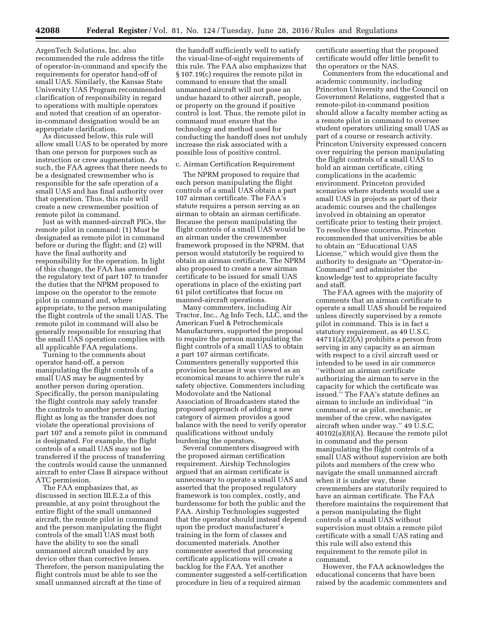ArgenTech Solutions, Inc. also recommended the rule address the title of operator-in-command and specify the requirements for operator hand-off of small UAS. Similarly, the Kansas State University UAS Program recommended clarification of responsibility in regard to operations with multiple operators and noted that creation of an operatorin-command designation would be an appropriate clarification.

As discussed below, this rule will allow small UAS to be operated by more than one person for purposes such as instruction or crew augmentation. As such, the FAA agrees that there needs to be a designated crewmember who is responsible for the safe operation of a small UAS and has final authority over that operation. Thus, this rule will create a new crewmember position of remote pilot in command.

Just as with manned-aircraft PICs, the remote pilot in command: (1) Must be designated as remote pilot in command before or during the flight; and (2) will have the final authority and responsibility for the operation. In light of this change, the FAA has amended the regulatory text of part 107 to transfer the duties that the NPRM proposed to impose on the operator to the remote pilot in command and, where appropriate, to the person manipulating the flight controls of the small UAS. The remote pilot in command will also be generally responsible for ensuring that the small UAS operation complies with all applicable FAA regulations.

Turning to the comments about operator hand-off, a person manipulating the flight controls of a small UAS may be augmented by another person during operation. Specifically, the person manipulating the flight controls may safely transfer the controls to another person during flight as long as the transfer does not violate the operational provisions of part 107 and a remote pilot in command is designated. For example, the flight controls of a small UAS may not be transferred if the process of transferring the controls would cause the unmanned aircraft to enter Class B airspace without ATC permission.

The FAA emphasizes that, as discussed in section III.E.2.a of this preamble, at any point throughout the entire flight of the small unmanned aircraft, the remote pilot in command and the person manipulating the flight controls of the small UAS must both have the ability to see the small unmanned aircraft unaided by any device other than corrective lenses. Therefore, the person manipulating the flight controls must be able to see the small unmanned aircraft at the time of

the handoff sufficiently well to satisfy the visual-line-of-sight requirements of this rule. The FAA also emphasizes that § 107.19(c) requires the remote pilot in command to ensure that the small unmanned aircraft will not pose an undue hazard to other aircraft, people, or property on the ground if positive control is lost. Thus, the remote pilot in command must ensure that the technology and method used for conducting the handoff does not unduly increase the risk associated with a possible loss of positive control.

#### c. Airman Certification Requirement

The NPRM proposed to require that each person manipulating the flight controls of a small UAS obtain a part 107 airman certificate. The FAA's statute requires a person serving as an airman to obtain an airman certificate. Because the person manipulating the flight controls of a small UAS would be an airman under the crewmember framework proposed in the NPRM, that person would statutorily be required to obtain an airman certificate. The NPRM also proposed to create a new airman certificate to be issued for small UAS operations in place of the existing part 61 pilot certificates that focus on manned-aircraft operations.

Many commenters, including Air Tractor, Inc., Ag Info Tech, LLC, and the American Fuel & Petrochemicals Manufacturers, supported the proposal to require the person manipulating the flight controls of a small UAS to obtain a part 107 airman certificate. Commenters generally supported this provision because it was viewed as an economical means to achieve the rule's safety objective. Commenters including Modovolate and the National Association of Broadcasters stated the proposed approach of adding a new category of airmen provides a good balance with the need to verify operator qualifications without unduly burdening the operators.

Several commenters disagreed with the proposed airman certification requirement. Airship Technologies argued that an airman certificate is unnecessary to operate a small UAS and asserted that the proposed regulatory framework is too complex, costly, and burdensome for both the public and the FAA. Airship Technologies suggested that the operator should instead depend upon the product manufacturer's training in the form of classes and documented materials. Another commenter asserted that processing certificate applications will create a backlog for the FAA. Yet another commenter suggested a self-certification procedure in lieu of a required airman

certificate asserting that the proposed certificate would offer little benefit to the operators or the NAS.

Commenters from the educational and academic community, including Princeton University and the Council on Government Relations, suggested that a remote-pilot-in-command position should allow a faculty member acting as a remote pilot in command to oversee student operators utilizing small UAS as part of a course or research activity. Princeton University expressed concern over requiring the person manipulating the flight controls of a small UAS to hold an airman certificate, citing complications in the academic environment. Princeton provided scenarios where students would use a small UAS in projects as part of their academic courses and the challenges involved in obtaining an operator certificate prior to testing their project. To resolve these concerns, Princeton recommended that universities be able to obtain an ''Educational UAS License,'' which would give them the authority to designate an ''Operator-in-Command'' and administer the knowledge test to appropriate faculty and staff.

The FAA agrees with the majority of comments that an airman certificate to operate a small UAS should be required unless directly supervised by a remote pilot in command. This is in fact a statutory requirement, as 49 U.S.C. 44711(a)(2)(A) prohibits a person from serving in any capacity as an airman with respect to a civil aircraft used or intended to be used in air commerce ''without an airman certificate authorizing the airman to serve in the capacity for which the certificate was issued.'' The FAA's statute defines an airman to include an individual ''in command, or as pilot, mechanic, or member of the crew, who navigates aircraft when under way.'' 49 U.S.C. 40102(a)(8)(A). Because the remote pilot in command and the person manipulating the flight controls of a small UAS without supervision are both pilots and members of the crew who navigate the small unmanned aircraft when it is under way, these crewmembers are statutorily required to have an airman certificate. The FAA therefore maintains the requirement that a person manipulating the flight controls of a small UAS without supervision must obtain a remote pilot certificate with a small UAS rating and this rule will also extend this requirement to the remote pilot in command.

However, the FAA acknowledges the educational concerns that have been raised by the academic commenters and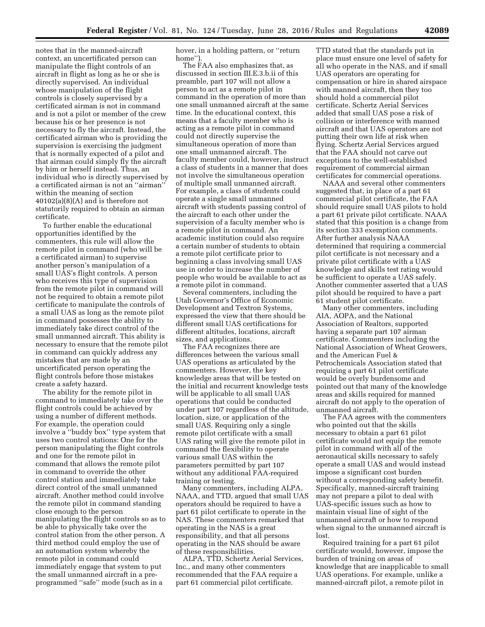notes that in the manned-aircraft context, an uncertificated person can manipulate the flight controls of an aircraft in flight as long as he or she is directly supervised. An individual whose manipulation of the flight controls is closely supervised by a certificated airman is not in command and is not a pilot or member of the crew because his or her presence is not necessary to fly the aircraft. Instead, the certificated airman who is providing the supervision is exercising the judgment that is normally expected of a pilot and that airman could simply fly the aircraft by him or herself instead. Thus, an individual who is directly supervised by a certificated airman is not an ''airman'' within the meaning of section 40102(a)(8)(A) and is therefore not statutorily required to obtain an airman certificate.

To further enable the educational opportunities identified by the commenters, this rule will allow the remote pilot in command (who will be a certificated airman) to supervise another person's manipulation of a small UAS's flight controls. A person who receives this type of supervision from the remote pilot in command will not be required to obtain a remote pilot certificate to manipulate the controls of a small UAS as long as the remote pilot in command possesses the ability to immediately take direct control of the small unmanned aircraft. This ability is necessary to ensure that the remote pilot in command can quickly address any mistakes that are made by an uncertificated person operating the flight controls before those mistakes create a safety hazard.

The ability for the remote pilot in command to immediately take over the flight controls could be achieved by using a number of different methods. For example, the operation could involve a ''buddy box'' type system that uses two control stations: One for the person manipulating the flight controls and one for the remote pilot in command that allows the remote pilot in command to override the other control station and immediately take direct control of the small unmanned aircraft. Another method could involve the remote pilot in command standing close enough to the person manipulating the flight controls so as to be able to physically take over the control station from the other person. A third method could employ the use of an automation system whereby the remote pilot in command could immediately engage that system to put the small unmanned aircraft in a preprogrammed ''safe'' mode (such as in a

hover, in a holding pattern, or ''return home'').

The FAA also emphasizes that, as discussed in section III.E.3.b.ii of this preamble, part 107 will not allow a person to act as a remote pilot in command in the operation of more than one small unmanned aircraft at the same time. In the educational context, this means that a faculty member who is acting as a remote pilot in command could not directly supervise the simultaneous operation of more than one small unmanned aircraft. The faculty member could, however, instruct a class of students in a manner that does not involve the simultaneous operation of multiple small unmanned aircraft. For example, a class of students could operate a single small unmanned aircraft with students passing control of the aircraft to each other under the supervision of a faculty member who is a remote pilot in command. An academic institution could also require a certain number of students to obtain a remote pilot certificate prior to beginning a class involving small UAS use in order to increase the number of people who would be available to act as a remote pilot in command.

Several commenters, including the Utah Governor's Office of Economic Development and Textron Systems, expressed the view that there should be different small UAS certifications for different altitudes, locations, aircraft sizes, and applications.

The FAA recognizes there are differences between the various small UAS operations as articulated by the commenters. However, the key knowledge areas that will be tested on the initial and recurrent knowledge tests will be applicable to all small UAS operations that could be conducted under part 107 regardless of the altitude, location, size, or application of the small UAS. Requiring only a single remote pilot certificate with a small UAS rating will give the remote pilot in command the flexibility to operate various small UAS within the parameters permitted by part 107 without any additional FAA-required training or testing.

Many commenters, including ALPA, NAAA, and TTD, argued that small UAS operators should be required to have a part 61 pilot certificate to operate in the NAS. These commenters remarked that operating in the NAS is a great responsibility, and that all persons operating in the NAS should be aware of these responsibilities.

ALPA, TTD, Schertz Aerial Services, Inc., and many other commenters recommended that the FAA require a part 61 commercial pilot certificate.

TTD stated that the standards put in place must ensure one level of safety for all who operate in the NAS, and if small UAS operators are operating for compensation or hire in shared airspace with manned aircraft, then they too should hold a commercial pilot certificate. Schertz Aerial Services added that small UAS pose a risk of collision or interference with manned aircraft and that UAS operators are not putting their own life at risk when flying. Schertz Aerial Services argued that the FAA should not carve out exceptions to the well-established requirement of commercial airman certificates for commercial operations.

NAAA and several other commenters suggested that, in place of a part 61 commercial pilot certificate, the FAA should require small UAS pilots to hold a part 61 private pilot certificate. NAAA stated that this position is a change from its section 333 exemption comments. After further analysis NAAA determined that requiring a commercial pilot certificate is not necessary and a private pilot certificate with a UAS knowledge and skills test rating would be sufficient to operate a UAS safely. Another commenter asserted that a UAS pilot should be required to have a part 61 student pilot certificate.

Many other commenters, including AIA, AOPA, and the National Association of Realtors, supported having a separate part 107 airman certificate. Commenters including the National Association of Wheat Growers, and the American Fuel & Petrochemicals Association stated that requiring a part 61 pilot certificate would be overly burdensome and pointed out that many of the knowledge areas and skills required for manned aircraft do not apply to the operation of unmanned aircraft.

The FAA agrees with the commenters who pointed out that the skills necessary to obtain a part 61 pilot certificate would not equip the remote pilot in command with all of the aeronautical skills necessary to safely operate a small UAS and would instead impose a significant cost burden without a corresponding safety benefit. Specifically, manned-aircraft training may not prepare a pilot to deal with UAS-specific issues such as how to maintain visual line of sight of the unmanned aircraft or how to respond when signal to the unmanned aircraft is lost.

Required training for a part 61 pilot certificate would, however, impose the burden of training on areas of knowledge that are inapplicable to small UAS operations. For example, unlike a manned-aircraft pilot, a remote pilot in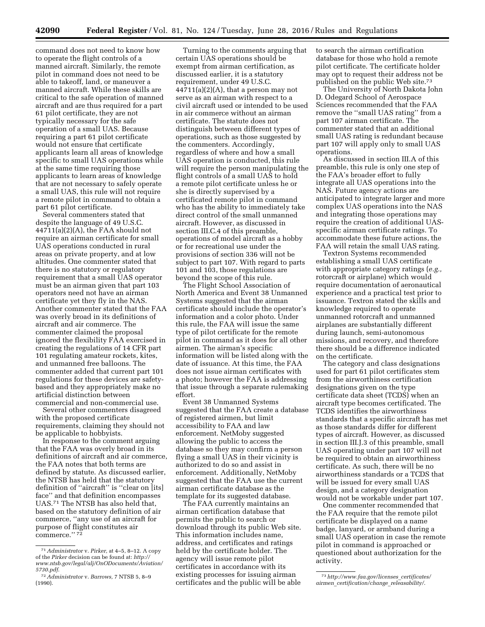command does not need to know how to operate the flight controls of a manned aircraft. Similarly, the remote pilot in command does not need to be able to takeoff, land, or maneuver a manned aircraft. While these skills are critical to the safe operation of manned aircraft and are thus required for a part 61 pilot certificate, they are not typically necessary for the safe operation of a small UAS. Because requiring a part 61 pilot certificate would not ensure that certificate applicants learn all areas of knowledge specific to small UAS operations while at the same time requiring those applicants to learn areas of knowledge that are not necessary to safely operate a small UAS, this rule will not require a remote pilot in command to obtain a part 61 pilot certificate.

Several commenters stated that despite the language of 49 U.S.C.  $44711(a)(2)(A)$ , the FAA should not require an airman certificate for small UAS operations conducted in rural areas on private property, and at low altitudes. One commenter stated that there is no statutory or regulatory requirement that a small UAS operator must be an airman given that part 103 operators need not have an airman certificate yet they fly in the NAS. Another commenter stated that the FAA was overly broad in its definitions of aircraft and air commerce. The commenter claimed the proposal ignored the flexibility FAA exercised in creating the regulations of 14 CFR part 101 regulating amateur rockets, kites, and unmanned free balloons. The commenter added that current part 101 regulations for these devices are safetybased and they appropriately make no artificial distinction between commercial and non-commercial use.

Several other commenters disagreed with the proposed certificate requirements, claiming they should not be applicable to hobbyists.

In response to the comment arguing that the FAA was overly broad in its definitions of aircraft and air commerce, the FAA notes that both terms are defined by statute. As discussed earlier, the NTSB has held that the statutory definition of ''aircraft'' is ''clear on [its] face'' and that definition encompasses UAS.71 The NTSB has also held that, based on the statutory definition of air commerce, ''any use of an aircraft for purpose of flight constitutes air commerce." 72

Turning to the comments arguing that certain UAS operations should be exempt from airman certification, as discussed earlier, it is a statutory requirement, under 49 U.S.C.  $44711(a)(2)(A)$ , that a person may not serve as an airman with respect to a civil aircraft used or intended to be used in air commerce without an airman certificate. The statute does not distinguish between different types of operations, such as those suggested by the commenters. Accordingly, regardless of where and how a small UAS operation is conducted, this rule will require the person manipulating the flight controls of a small UAS to hold a remote pilot certificate unless he or she is directly supervised by a certificated remote pilot in command who has the ability to immediately take direct control of the small unmanned aircraft. However, as discussed in section III.C.4 of this preamble, operations of model aircraft as a hobby or for recreational use under the provisions of section 336 will not be subject to part 107. With regard to parts 101 and 103, those regulations are beyond the scope of this rule.

The Flight School Association of North America and Event 38 Unmanned Systems suggested that the airman certificate should include the operator's information and a color photo. Under this rule, the FAA will issue the same type of pilot certificate for the remote pilot in command as it does for all other airmen. The airman's specific information will be listed along with the date of issuance. At this time, the FAA does not issue airman certificates with a photo; however the FAA is addressing that issue through a separate rulemaking effort.

Event 38 Unmanned Systems suggested that the FAA create a database of registered airmen, but limit accessibility to FAA and law enforcement. NetMoby suggested allowing the public to access the database so they may confirm a person flying a small UAS in their vicinity is authorized to do so and assist in enforcement. Additionally, NetMoby suggested that the FAA use the current airman certificate database as the template for its suggested database.

The FAA currently maintains an airman certification database that permits the public to search or download through its public Web site. This information includes name, address, and certificates and ratings held by the certificate holder. The agency will issue remote pilot certificates in accordance with its existing processes for issuing airman certificates and the public will be able

to search the airman certification database for those who hold a remote pilot certificate. The certificate holder may opt to request their address not be published on the public Web site.<sup>73</sup>

The University of North Dakota John D. Odegard School of Aerospace Sciences recommended that the FAA remove the ''small UAS rating'' from a part 107 airman certificate. The commenter stated that an additional small UAS rating is redundant because part 107 will apply only to small UAS operations.

As discussed in section III.A of this preamble, this rule is only one step of the FAA's broader effort to fully integrate all UAS operations into the NAS. Future agency actions are anticipated to integrate larger and more complex UAS operations into the NAS and integrating those operations may require the creation of additional UASspecific airman certificate ratings. To accommodate these future actions, the FAA will retain the small UAS rating.

Textron Systems recommended establishing a small UAS certificate with appropriate category ratings (*e.g.,*  rotorcraft or airplane) which would require documentation of aeronautical experience and a practical test prior to issuance. Textron stated the skills and knowledge required to operate unmanned rotorcraft and unmanned airplanes are substantially different during launch, semi-autonomous missions, and recovery, and therefore there should be a difference indicated on the certificate.

The category and class designations used for part 61 pilot certificates stem from the airworthiness certification designations given on the type certificate data sheet (TCDS) when an aircraft type becomes certificated. The TCDS identifies the airworthiness standards that a specific aircraft has met as those standards differ for different types of aircraft. However, as discussed in section III.J.3 of this preamble, small UAS operating under part 107 will not be required to obtain an airworthiness certificate. As such, there will be no airworthiness standards or a TCDS that will be issued for every small UAS design, and a category designation would not be workable under part 107.

One commenter recommended that the FAA require that the remote pilot certificate be displayed on a name badge, lanyard, or armband during a small UAS operation in case the remote pilot in command is approached or questioned about authorization for the activity.

<sup>71</sup>*Administrator* v. *Pirker,* at 4–5, 8–12. A copy of the *Pirker* decision can be found at: *[http://](http://www.ntsb.gov/legal/alj/OnODocuments/Aviation/5730.pdf) [www.ntsb.gov/legal/alj/OnODocuments/Aviation/](http://www.ntsb.gov/legal/alj/OnODocuments/Aviation/5730.pdf) [5730.pdf](http://www.ntsb.gov/legal/alj/OnODocuments/Aviation/5730.pdf)*.

<sup>72</sup>*Administrator* v. *Barrows,* 7 NTSB 5, 8–9 (1990).

<sup>73</sup>*[http://www.faa.gov/licenses](http://www.faa.gov/licenses_certificates/airmen_certification/change_releasability/)*\_*certificates/ airmen*\_*[certification/change](http://www.faa.gov/licenses_certificates/airmen_certification/change_releasability/)*\_*releasability/*.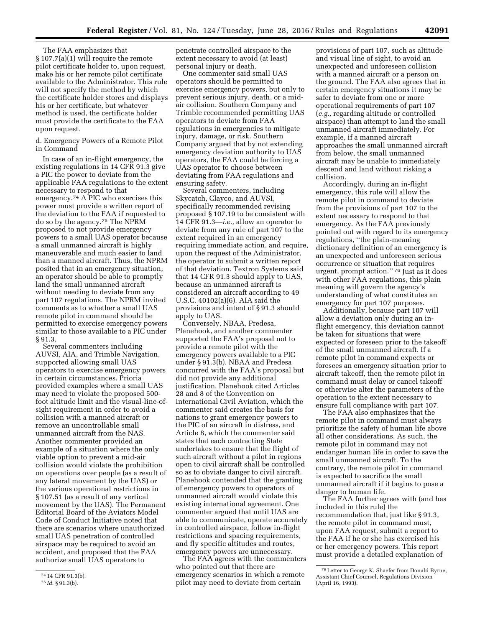The FAA emphasizes that § 107.7(a)(1) will require the remote pilot certificate holder to, upon request, make his or her remote pilot certificate available to the Administrator. This rule will not specify the method by which the certificate holder stores and displays his or her certificate, but whatever method is used, the certificate holder must provide the certificate to the FAA upon request.

d. Emergency Powers of a Remote Pilot in Command

In case of an in-flight emergency, the existing regulations in 14 CFR 91.3 give a PIC the power to deviate from the applicable FAA regulations to the extent necessary to respond to that emergency.74 A PIC who exercises this power must provide a written report of the deviation to the FAA if requested to do so by the agency.75 The NPRM proposed to not provide emergency powers to a small UAS operator because a small unmanned aircraft is highly maneuverable and much easier to land than a manned aircraft. Thus, the NPRM posited that in an emergency situation, an operator should be able to promptly land the small unmanned aircraft without needing to deviate from any part 107 regulations. The NPRM invited comments as to whether a small UAS remote pilot in command should be permitted to exercise emergency powers similar to those available to a PIC under § 91.3.

Several commenters including AUVSI, AIA, and Trimble Navigation, supported allowing small UAS operators to exercise emergency powers in certain circumstances. Prioria provided examples where a small UAS may need to violate the proposed 500 foot altitude limit and the visual-line-ofsight requirement in order to avoid a collision with a manned aircraft or remove an uncontrollable small unmanned aircraft from the NAS. Another commenter provided an example of a situation where the only viable option to prevent a mid-air collision would violate the prohibition on operations over people (as a result of any lateral movement by the UAS) or the various operational restrictions in § 107.51 (as a result of any vertical movement by the UAS). The Permanent Editorial Board of the Aviators Model Code of Conduct Initiative noted that there are scenarios where unauthorized small UAS penetration of controlled airspace may be required to avoid an accident, and proposed that the FAA authorize small UAS operators to

penetrate controlled airspace to the extent necessary to avoid (at least) personal injury or death.

One commenter said small UAS operators should be permitted to exercise emergency powers, but only to prevent serious injury, death, or a midair collision. Southern Company and Trimble recommended permitting UAS operators to deviate from FAA regulations in emergencies to mitigate injury, damage, or risk. Southern Company argued that by not extending emergency deviation authority to UAS operators, the FAA could be forcing a UAS operator to choose between deviating from FAA regulations and ensuring safety.

Several commenters, including Skycatch, Clayco, and AUVSI, specifically recommended revising proposed § 107.19 to be consistent with 14 CFR 91.3—*i.e.,* allow an operator to deviate from any rule of part 107 to the extent required in an emergency requiring immediate action, and require, upon the request of the Administrator, the operator to submit a written report of that deviation. Textron Systems said that 14 CFR 91.3 should apply to UAS, because an unmanned aircraft is considered an aircraft according to 49 U.S.C. 40102(a)(6). AIA said the provisions and intent of § 91.3 should apply to UAS.

Conversely, NBAA, Predesa, Planehook, and another commenter supported the FAA's proposal not to provide a remote pilot with the emergency powers available to a PIC under § 91.3(b). NBAA and Predesa concurred with the FAA's proposal but did not provide any additional justification. Planehook cited Articles 28 and 8 of the Convention on International Civil Aviation, which the commenter said creates the basis for nations to grant emergency powers to the PIC of an aircraft in distress, and Article 8, which the commenter said states that each contracting State undertakes to ensure that the flight of such aircraft without a pilot in regions open to civil aircraft shall be controlled so as to obviate danger to civil aircraft. Planehook contended that the granting of emergency powers to operators of unmanned aircraft would violate this existing international agreement. One commenter argued that until UAS are able to communicate, operate accurately in controlled airspace, follow in-flight restrictions and spacing requirements, and fly specific altitudes and routes, emergency powers are unnecessary.

The FAA agrees with the commenters who pointed out that there are emergency scenarios in which a remote pilot may need to deviate from certain

provisions of part 107, such as altitude and visual line of sight, to avoid an unexpected and unforeseen collision with a manned aircraft or a person on the ground. The FAA also agrees that in certain emergency situations it may be safer to deviate from one or more operational requirements of part 107 (*e.g.,* regarding altitude or controlled airspace) than attempt to land the small unmanned aircraft immediately. For example, if a manned aircraft approaches the small unmanned aircraft from below, the small unmanned aircraft may be unable to immediately descend and land without risking a collision.

Accordingly, during an in-flight emergency, this rule will allow the remote pilot in command to deviate from the provisions of part 107 to the extent necessary to respond to that emergency. As the FAA previously pointed out with regard to its emergency regulations, ''the plain-meaning dictionary definition of an emergency is an unexpected and unforeseen serious occurrence or situation that requires urgent, prompt action.'' 76 Just as it does with other FAA regulations, this plain meaning will govern the agency's understanding of what constitutes an emergency for part 107 purposes.

Additionally, because part 107 will allow a deviation only during an inflight emergency, this deviation cannot be taken for situations that were expected or foreseen prior to the takeoff of the small unmanned aircraft. If a remote pilot in command expects or foresees an emergency situation prior to aircraft takeoff, then the remote pilot in command must delay or cancel takeoff or otherwise alter the parameters of the operation to the extent necessary to ensure full compliance with part 107.

The FAA also emphasizes that the remote pilot in command must always prioritize the safety of human life above all other considerations. As such, the remote pilot in command may not endanger human life in order to save the small unmanned aircraft. To the contrary, the remote pilot in command is expected to sacrifice the small unmanned aircraft if it begins to pose a danger to human life.

The FAA further agrees with (and has included in this rule) the recommendation that, just like § 91.3, the remote pilot in command must, upon FAA request, submit a report to the FAA if he or she has exercised his or her emergency powers. This report must provide a detailed explanation of

<sup>74</sup> 14 CFR 91.3(b).

<sup>75</sup> *Id.* § 91.3(b).

<sup>76</sup>Letter to George K. Shaefer from Donald Byrne, Assistant Chief Counsel, Regulations Division (April 16, 1993).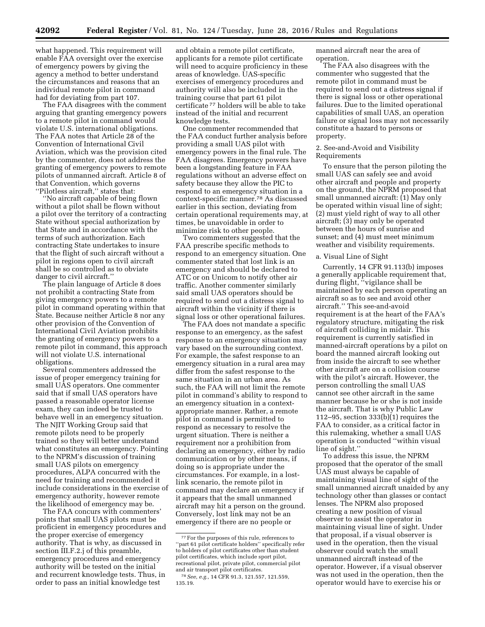what happened. This requirement will enable FAA oversight over the exercise of emergency powers by giving the agency a method to better understand the circumstances and reasons that an individual remote pilot in command had for deviating from part 107.

The FAA disagrees with the comment arguing that granting emergency powers to a remote pilot in command would violate U.S. international obligations. The FAA notes that Article 28 of the Convention of International Civil Aviation, which was the provision cited by the commenter, does not address the granting of emergency powers to remote pilots of unmanned aircraft. Article 8 of that Convention, which governs ''Pilotless aircraft,'' states that:

''No aircraft capable of being flown without a pilot shall be flown without a pilot over the territory of a contracting State without special authorization by that State and in accordance with the terms of such authorization. Each contracting State undertakes to insure that the flight of such aircraft without a pilot in regions open to civil aircraft shall be so controlled as to obviate danger to civil aircraft.''

The plain language of Article 8 does not prohibit a contracting State from giving emergency powers to a remote pilot in command operating within that State. Because neither Article 8 nor any other provision of the Convention of International Civil Aviation prohibits the granting of emergency powers to a remote pilot in command, this approach will not violate U.S. international obligations.

Several commenters addressed the issue of proper emergency training for small UAS operators. One commenter said that if small UAS operators have passed a reasonable operator license exam, they can indeed be trusted to behave well in an emergency situation. The NJIT Working Group said that remote pilots need to be properly trained so they will better understand what constitutes an emergency. Pointing to the NPRM's discussion of training small UAS pilots on emergency procedures, ALPA concurred with the need for training and recommended it include considerations in the exercise of emergency authority, however remote the likelihood of emergency may be.

The FAA concurs with commenters' points that small UAS pilots must be proficient in emergency procedures and the proper exercise of emergency authority. That is why, as discussed in section III.F.2.j of this preamble, emergency procedures and emergency authority will be tested on the initial and recurrent knowledge tests. Thus, in order to pass an initial knowledge test

and obtain a remote pilot certificate, applicants for a remote pilot certificate will need to acquire proficiency in these areas of knowledge. UAS-specific exercises of emergency procedures and authority will also be included in the training course that part 61 pilot certificate 77 holders will be able to take instead of the initial and recurrent knowledge tests.

One commenter recommended that the FAA conduct further analysis before providing a small UAS pilot with emergency powers in the final rule. The FAA disagrees. Emergency powers have been a longstanding feature in FAA regulations without an adverse effect on safety because they allow the PIC to respond to an emergency situation in a context-specific manner.78 As discussed earlier in this section, deviating from certain operational requirements may, at times, be unavoidable in order to minimize risk to other people.

Two commenters suggested that the FAA prescribe specific methods to respond to an emergency situation. One commenter stated that lost link is an emergency and should be declared to ATC or on Unicom to notify other air traffic. Another commenter similarly said small UAS operators should be required to send out a distress signal to aircraft within the vicinity if there is signal loss or other operational failures.

The FAA does not mandate a specific response to an emergency, as the safest response to an emergency situation may vary based on the surrounding context. For example, the safest response to an emergency situation in a rural area may differ from the safest response to the same situation in an urban area. As such, the FAA will not limit the remote pilot in command's ability to respond to an emergency situation in a contextappropriate manner. Rather, a remote pilot in command is permitted to respond as necessary to resolve the urgent situation. There is neither a requirement nor a prohibition from declaring an emergency, either by radio communication or by other means, if doing so is appropriate under the circumstances. For example, in a lostlink scenario, the remote pilot in command may declare an emergency if it appears that the small unmanned aircraft may hit a person on the ground. Conversely, lost link may not be an emergency if there are no people or

manned aircraft near the area of operation.

The FAA also disagrees with the commenter who suggested that the remote pilot in command must be required to send out a distress signal if there is signal loss or other operational failures. Due to the limited operational capabilities of small UAS, an operation failure or signal loss may not necessarily constitute a hazard to persons or property.

#### 2. See-and-Avoid and Visibility Requirements

To ensure that the person piloting the small UAS can safely see and avoid other aircraft and people and property on the ground, the NPRM proposed that small unmanned aircraft: (1) May only be operated within visual line of sight; (2) must yield right of way to all other aircraft; (3) may only be operated between the hours of sunrise and sunset; and (4) must meet minimum weather and visibility requirements.

#### a. Visual Line of Sight

Currently, 14 CFR 91.113(b) imposes a generally applicable requirement that, during flight, ''vigilance shall be maintained by each person operating an aircraft so as to see and avoid other aircraft.'' This see-and-avoid requirement is at the heart of the FAA's regulatory structure, mitigating the risk of aircraft colliding in midair. This requirement is currently satisfied in manned-aircraft operations by a pilot on board the manned aircraft looking out from inside the aircraft to see whether other aircraft are on a collision course with the pilot's aircraft. However, the person controlling the small UAS cannot see other aircraft in the same manner because he or she is not inside the aircraft. That is why Public Law 112–95, section 333(b)(1) requires the FAA to consider, as a critical factor in this rulemaking, whether a small UAS operation is conducted ''within visual line of sight.''

To address this issue, the NPRM proposed that the operator of the small UAS must always be capable of maintaining visual line of sight of the small unmanned aircraft unaided by any technology other than glasses or contact lenses. The NPRM also proposed creating a new position of visual observer to assist the operator in maintaining visual line of sight. Under that proposal, if a visual observer is used in the operation, then the visual observer could watch the small unmanned aircraft instead of the operator. However, if a visual observer was not used in the operation, then the operator would have to exercise his or

<sup>77</sup>For the purposes of this rule, references to "part 61 pilot certificate holders" specifically refer to holders of pilot certificates other than student pilot certificates, which include sport pilot, recreational pilot, private pilot, commercial pilot and air transport pilot certificates.

<sup>78</sup>*See, e.g.,* 14 CFR 91.3, 121.557, 121.559, 135.19.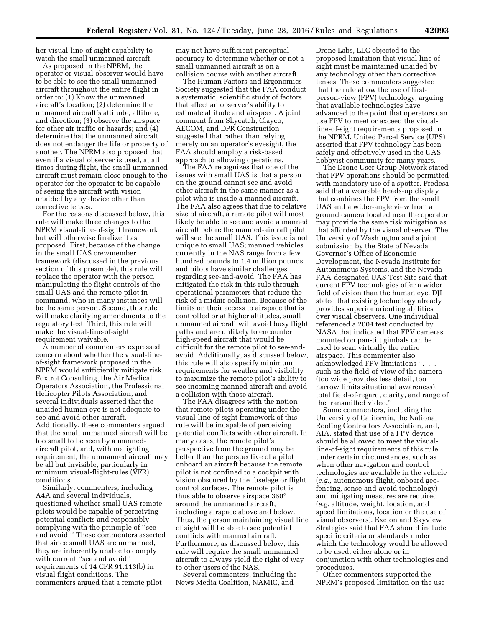her visual-line-of-sight capability to watch the small unmanned aircraft.

As proposed in the NPRM, the operator or visual observer would have to be able to see the small unmanned aircraft throughout the entire flight in order to: (1) Know the unmanned aircraft's location; (2) determine the unmanned aircraft's attitude, altitude, and direction; (3) observe the airspace for other air traffic or hazards; and (4) determine that the unmanned aircraft does not endanger the life or property of another. The NPRM also proposed that even if a visual observer is used, at all times during flight, the small unmanned aircraft must remain close enough to the operator for the operator to be capable of seeing the aircraft with vision unaided by any device other than corrective lenses.

For the reasons discussed below, this rule will make three changes to the NPRM visual-line-of-sight framework but will otherwise finalize it as proposed. First, because of the change in the small UAS crewmember framework (discussed in the previous section of this preamble), this rule will replace the operator with the person manipulating the flight controls of the small UAS and the remote pilot in command, who in many instances will be the same person. Second, this rule will make clarifying amendments to the regulatory text. Third, this rule will make the visual-line-of-sight requirement waivable.

A number of commenters expressed concern about whether the visual-lineof-sight framework proposed in the NPRM would sufficiently mitigate risk. Foxtrot Consulting, the Air Medical Operators Association, the Professional Helicopter Pilots Association, and several individuals asserted that the unaided human eye is not adequate to see and avoid other aircraft. Additionally, these commenters argued that the small unmanned aircraft will be too small to be seen by a mannedaircraft pilot, and, with no lighting requirement, the unmanned aircraft may be all but invisible, particularly in minimum visual-flight-rules (VFR) conditions.

Similarly, commenters, including A4A and several individuals, questioned whether small UAS remote pilots would be capable of perceiving potential conflicts and responsibly complying with the principle of ''see and avoid.'' These commenters asserted that since small UAS are unmanned, they are inherently unable to comply with current ''see and avoid'' requirements of 14 CFR 91.113(b) in visual flight conditions. The commenters argued that a remote pilot

may not have sufficient perceptual accuracy to determine whether or not a small unmanned aircraft is on a collision course with another aircraft.

The Human Factors and Ergonomics Society suggested that the FAA conduct a systematic, scientific study of factors that affect an observer's ability to estimate altitude and airspeed. A joint comment from Skycatch, Clayco, AECOM, and DPR Construction suggested that rather than relying merely on an operator's eyesight, the FAA should employ a risk-based approach to allowing operations.

The FAA recognizes that one of the issues with small UAS is that a person on the ground cannot see and avoid other aircraft in the same manner as a pilot who is inside a manned aircraft. The FAA also agrees that due to relative size of aircraft, a remote pilot will most likely be able to see and avoid a manned aircraft before the manned-aircraft pilot will see the small UAS. This issue is not unique to small UAS; manned vehicles currently in the NAS range from a few hundred pounds to 1.4 million pounds and pilots have similar challenges regarding see-and-avoid. The FAA has mitigated the risk in this rule through operational parameters that reduce the risk of a midair collision. Because of the limits on their access to airspace that is controlled or at higher altitudes, small unmanned aircraft will avoid busy flight paths and are unlikely to encounter high-speed aircraft that would be difficult for the remote pilot to see-andavoid. Additionally, as discussed below, this rule will also specify minimum requirements for weather and visibility to maximize the remote pilot's ability to see incoming manned aircraft and avoid a collision with those aircraft.

The FAA disagrees with the notion that remote pilots operating under the visual-line-of-sight framework of this rule will be incapable of perceiving potential conflicts with other aircraft. In many cases, the remote pilot's perspective from the ground may be better than the perspective of a pilot onboard an aircraft because the remote pilot is not confined to a cockpit with vision obscured by the fuselage or flight control surfaces. The remote pilot is thus able to observe airspace 360° around the unmanned aircraft, including airspace above and below. Thus, the person maintaining visual line of sight will be able to see potential conflicts with manned aircraft. Furthermore, as discussed below, this rule will require the small unmanned aircraft to always yield the right of way to other users of the NAS.

Several commenters, including the News Media Coalition, NAMIC, and

Drone Labs, LLC objected to the proposed limitation that visual line of sight must be maintained unaided by any technology other than corrective lenses. These commenters suggested that the rule allow the use of firstperson-view (FPV) technology, arguing that available technologies have advanced to the point that operators can use FPV to meet or exceed the visualline-of-sight requirements proposed in the NPRM. United Parcel Service (UPS) asserted that FPV technology has been safely and effectively used in the UAS hobbyist community for many years.

The Drone User Group Network stated that FPV operations should be permitted with mandatory use of a spotter. Predesa said that a wearable heads-up display that combines the FPV from the small UAS and a wider-angle view from a ground camera located near the operator may provide the same risk mitigation as that afforded by the visual observer. The University of Washington and a joint submission by the State of Nevada Governor's Office of Economic Development, the Nevada Institute for Autonomous Systems, and the Nevada FAA-designated UAS Test Site said that current FPV technologies offer a wider field of vision than the human eye. DJI stated that existing technology already provides superior orienting abilities over visual observers. One individual referenced a 2004 test conducted by NASA that indicated that FPV cameras mounted on pan-tilt gimbals can be used to scan virtually the entire airspace. This commenter also acknowledged FPV limitations ''. . . such as the field-of-view of the camera (too wide provides less detail, too narrow limits situational awareness), total field-of-regard, clarity, and range of the transmitted video.''

Some commenters, including the University of California, the National Roofing Contractors Association, and, AIA, stated that use of a FPV device should be allowed to meet the visualline-of-sight requirements of this rule under certain circumstances, such as when other navigation and control technologies are available in the vehicle (*e.g.,* autonomous flight, onboard geofencing, sense-and-avoid technology) and mitigating measures are required (*e.g.* altitude, weight, location, and speed limitations, location or the use of visual observers). Exelon and Skyview Strategies said that FAA should include specific criteria or standards under which the technology would be allowed to be used, either alone or in conjunction with other technologies and procedures.

Other commenters supported the NPRM's proposed limitation on the use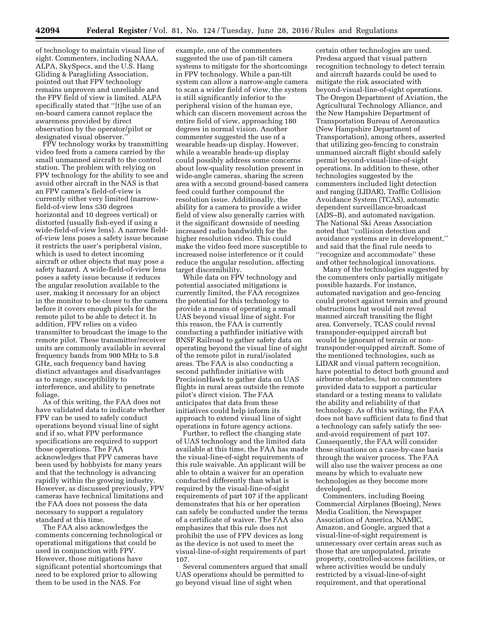of technology to maintain visual line of sight. Commenters, including NAAA, ALPA, SkySpecs, and the U.S. Hang Gliding & Paragliding Association, pointed out that FPV technology remains unproven and unreliable and the FPV field of view is limited. ALPA specifically stated that ''[t]he use of an on-board camera cannot replace the awareness provided by direct observation by the operator/pilot or designated visual observer.''

FPV technology works by transmitting video feed from a camera carried by the small unmanned aircraft to the control station. The problem with relying on FPV technology for the ability to see and avoid other aircraft in the NAS is that an FPV camera's field-of-view is currently either very limited (narrowfield-of-view lens ≤30 degrees horizontal and 10 degrees vertical) or distorted (usually fish-eyed if using a wide-field-of-view lens). A narrow fieldof-view lens poses a safety issue because it restricts the user's peripheral vision, which is used to detect incoming aircraft or other objects that may pose a safety hazard. A wide-field-of-view lens poses a safety issue because it reduces the angular resolution available to the user, making it necessary for an object in the monitor to be closer to the camera before it covers enough pixels for the remote pilot to be able to detect it. In addition, FPV relies on a video transmitter to broadcast the image to the remote pilot. These transmitter/receiver units are commonly available in several frequency bands from 900 MHz to 5.8 GHz, each frequency band having distinct advantages and disadvantages as to range, susceptibility to interference, and ability to penetrate foliage.

As of this writing, the FAA does not have validated data to indicate whether FPV can be used to safely conduct operations beyond visual line of sight and if so, what FPV performance specifications are required to support those operations. The FAA acknowledges that FPV cameras have been used by hobbyists for many years and that the technology is advancing rapidly within the growing industry. However, as discussed previously, FPV cameras have technical limitations and the FAA does not possess the data necessary to support a regulatory standard at this time.

The FAA also acknowledges the comments concerning technological or operational mitigations that could be used in conjunction with FPV. However, those mitigations have significant potential shortcomings that need to be explored prior to allowing them to be used in the NAS. For

example, one of the commenters suggested the use of pan-tilt camera systems to mitigate for the shortcomings in FPV technology. While a pan-tilt system can allow a narrow-angle camera to scan a wider field of view, the system is still significantly inferior to the peripheral vision of the human eye, which can discern movement across the entire field of view, approaching 180 degrees in normal vision. Another commenter suggested the use of a wearable heads-up display. However, while a wearable heads-up display could possibly address some concerns about low-quality resolution present in wide-angle cameras, sharing the screen area with a second ground-based camera feed could further compound the resolution issue. Additionally, the ability for a camera to provide a wider field of view also generally carries with it the significant downside of needing increased radio bandwidth for the higher resolution video. This could make the video feed more susceptible to increased noise interference or it could reduce the angular resolution, affecting target discernibility.

While data on FPV technology and potential associated mitigations is currently limited, the FAA recognizes the potential for this technology to provide a means of operating a small UAS beyond visual line of sight. For this reason, the FAA is currently conducting a pathfinder initiative with BNSF Railroad to gather safety data on operating beyond the visual line of sight of the remote pilot in rural/isolated areas. The FAA is also conducting a second pathfinder initiative with PrecisionHawk to gather data on UAS flights in rural areas outside the remote pilot's direct vision. The FAA anticipates that data from these initiatives could help inform its approach to extend visual line of sight operations in future agency actions.

Further, to reflect the changing state of UAS technology and the limited data available at this time, the FAA has made the visual-line-of-sight requirements of this rule waivable. An applicant will be able to obtain a waiver for an operation conducted differently than what is required by the visual-line-of-sight requirements of part 107 if the applicant demonstrates that his or her operation can safely be conducted under the terms of a certificate of waiver. The FAA also emphasizes that this rule does not prohibit the use of FPV devices as long as the device is not used to meet the visual-line-of-sight requirements of part 107.

Several commenters argued that small UAS operations should be permitted to go beyond visual line of sight when

certain other technologies are used. Predesa argued that visual pattern recognition technology to detect terrain and aircraft hazards could be used to mitigate the risk associated with beyond-visual-line-of-sight operations. The Oregon Department of Aviation, the Agricultural Technology Alliance, and the New Hampshire Department of Transportation Bureau of Aeronautics (New Hampshire Department of Transportation), among others, asserted that utilizing geo-fencing to constrain unmanned aircraft flight should safely permit beyond-visual-line-of-sight operations. In addition to these, other technologies suggested by the commenters included light detection and ranging (LIDAR), Traffic Collision Avoidance System (TCAS), automatic dependent surveillance-broadcast (ADS–B), and automated navigation. The National Ski Areas Association noted that ''collision detection and avoidance systems are in development,'' and said that the final rule needs to ''recognize and accommodate'' these and other technological innovations.

Many of the technologies suggested by the commenters only partially mitigate possible hazards. For instance, automated navigation and geo-fencing could protect against terrain and ground obstructions but would not reveal manned aircraft transiting the flight area. Conversely, TCAS could reveal transponder-equipped aircraft but would be ignorant of terrain or nontransponder-equipped aircraft. Some of the mentioned technologies, such as LIDAR and visual pattern recognition, have potential to detect both ground and airborne obstacles, but no commenters provided data to support a particular standard or a testing means to validate the ability and reliability of that technology. As of this writing, the FAA does not have sufficient data to find that a technology can safely satisfy the seeand-avoid requirement of part 107. Consequently, the FAA will consider these situations on a case-by-case basis through the waiver process. The FAA will also use the waiver process as one means by which to evaluate new technologies as they become more developed.

Commenters, including Boeing Commercial Airplanes (Boeing), News Media Coalition, the Newspaper Association of America, NAMIC, Amazon, and Google, argued that a visual-line-of-sight requirement is unnecessary over certain areas such as those that are unpopulated, private property, controlled-access facilities, or where activities would be unduly restricted by a visual-line-of-sight requirement, and that operational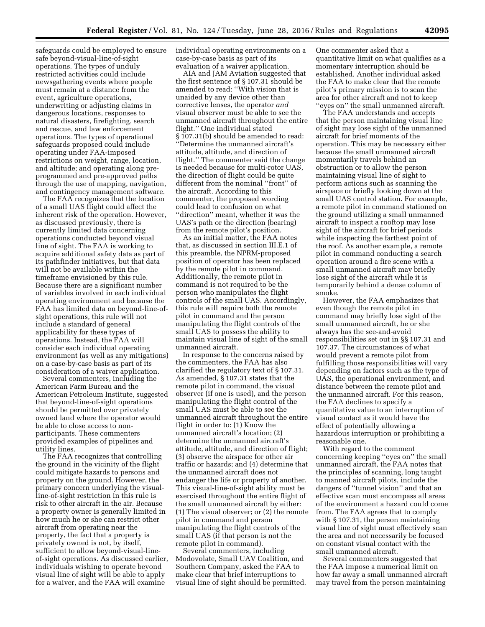safeguards could be employed to ensure safe beyond-visual-line-of-sight operations. The types of unduly restricted activities could include newsgathering events where people must remain at a distance from the event, agriculture operations, underwriting or adjusting claims in dangerous locations, responses to natural disasters, firefighting, search and rescue, and law enforcement operations. The types of operational safeguards proposed could include operating under FAA-imposed restrictions on weight, range, location, and altitude; and operating along preprogrammed and pre-approved paths through the use of mapping, navigation, and contingency management software.

The FAA recognizes that the location of a small UAS flight could affect the inherent risk of the operation. However, as discussed previously, there is currently limited data concerning operations conducted beyond visual line of sight. The FAA is working to acquire additional safety data as part of its pathfinder initiatives, but that data will not be available within the timeframe envisioned by this rule. Because there are a significant number of variables involved in each individual operating environment and because the FAA has limited data on beyond-line-ofsight operations, this rule will not include a standard of general applicability for these types of operations. Instead, the FAA will consider each individual operating environment (as well as any mitigations) on a case-by-case basis as part of its consideration of a waiver application.

Several commenters, including the American Farm Bureau and the American Petroleum Institute, suggested that beyond-line-of-sight operations should be permitted over privately owned land where the operator would be able to close access to nonparticipants. These commenters provided examples of pipelines and utility lines.

The FAA recognizes that controlling the ground in the vicinity of the flight could mitigate hazards to persons and property on the ground. However, the primary concern underlying the visualline-of-sight restriction in this rule is risk to other aircraft in the air. Because a property owner is generally limited in how much he or she can restrict other aircraft from operating near the property, the fact that a property is privately owned is not, by itself, sufficient to allow beyond-visual-lineof-sight operations. As discussed earlier, individuals wishing to operate beyond visual line of sight will be able to apply for a waiver, and the FAA will examine

individual operating environments on a case-by-case basis as part of its evaluation of a waiver application.

AIA and JAM Aviation suggested that the first sentence of § 107.31 should be amended to read: ''With vision that is unaided by any device other than corrective lenses, the operator *and*  visual observer must be able to see the unmanned aircraft throughout the entire flight.'' One individual stated § 107.31(b) should be amended to read: ''Determine the unmanned aircraft's attitude, altitude, and direction of flight.'' The commenter said the change is needed because for multi-rotor UAS, the direction of flight could be quite different from the nominal ''front'' of the aircraft. According to this commenter, the proposed wording could lead to confusion on what ''direction'' meant, whether it was the UAS's path or the direction (bearing) from the remote pilot's position.

As an initial matter, the FAA notes that, as discussed in section III.E.1 of this preamble, the NPRM-proposed position of operator has been replaced by the remote pilot in command. Additionally, the remote pilot in command is not required to be the person who manipulates the flight controls of the small UAS. Accordingly, this rule will require both the remote pilot in command and the person manipulating the flight controls of the small UAS to possess the ability to maintain visual line of sight of the small unmanned aircraft.

In response to the concerns raised by the commenters, the FAA has also clarified the regulatory text of § 107.31. As amended, § 107.31 states that the remote pilot in command, the visual observer (if one is used), and the person manipulating the flight control of the small UAS must be able to see the unmanned aircraft throughout the entire flight in order to: (1) Know the unmanned aircraft's location; (2) determine the unmanned aircraft's attitude, altitude, and direction of flight; (3) observe the airspace for other air traffic or hazards; and (4) determine that the unmanned aircraft does not endanger the life or property of another. This visual-line-of-sight ability must be exercised throughout the entire flight of the small unmanned aircraft by either: (1) The visual observer; or (2) the remote pilot in command and person manipulating the flight controls of the small UAS (if that person is not the remote pilot in command).

Several commenters, including Modovolate, Small UAV Coalition, and Southern Company, asked the FAA to make clear that brief interruptions to visual line of sight should be permitted. One commenter asked that a quantitative limit on what qualifies as a momentary interruption should be established. Another individual asked the FAA to make clear that the remote pilot's primary mission is to scan the area for other aircraft and not to keep ''eyes on'' the small unmanned aircraft.

The FAA understands and accepts that the person maintaining visual line of sight may lose sight of the unmanned aircraft for brief moments of the operation. This may be necessary either because the small unmanned aircraft momentarily travels behind an obstruction or to allow the person maintaining visual line of sight to perform actions such as scanning the airspace or briefly looking down at the small UAS control station. For example, a remote pilot in command stationed on the ground utilizing a small unmanned aircraft to inspect a rooftop may lose sight of the aircraft for brief periods while inspecting the farthest point of the roof. As another example, a remote pilot in command conducting a search operation around a fire scene with a small unmanned aircraft may briefly lose sight of the aircraft while it is temporarily behind a dense column of smoke.

However, the FAA emphasizes that even though the remote pilot in command may briefly lose sight of the small unmanned aircraft, he or she always has the see-and-avoid responsibilities set out in §§ 107.31 and 107.37. The circumstances of what would prevent a remote pilot from fulfilling those responsibilities will vary depending on factors such as the type of UAS, the operational environment, and distance between the remote pilot and the unmanned aircraft. For this reason, the FAA declines to specify a quantitative value to an interruption of visual contact as it would have the effect of potentially allowing a hazardous interruption or prohibiting a reasonable one.

With regard to the comment concerning keeping ''eyes on'' the small unmanned aircraft, the FAA notes that the principles of scanning, long taught to manned aircraft pilots, include the dangers of ''tunnel vision'' and that an effective scan must encompass all areas of the environment a hazard could come from. The FAA agrees that to comply with § 107.31, the person maintaining visual line of sight must effectively scan the area and not necessarily be focused on constant visual contact with the small unmanned aircraft.

Several commenters suggested that the FAA impose a numerical limit on how far away a small unmanned aircraft may travel from the person maintaining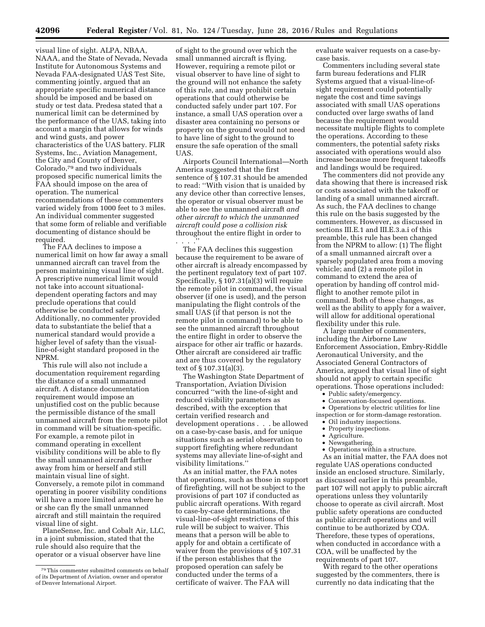visual line of sight. ALPA, NBAA, NAAA, and the State of Nevada, Nevada Institute for Autonomous Systems and Nevada FAA-designated UAS Test Site, commenting jointly, argued that an appropriate specific numerical distance should be imposed and be based on study or test data. Predesa stated that a numerical limit can be determined by the performance of the UAS, taking into account a margin that allows for winds and wind gusts, and power characteristics of the UAS battery. FLIR Systems, Inc., Aviation Management, the City and County of Denver, Colorado,79 and two individuals proposed specific numerical limits the FAA should impose on the area of operation. The numerical recommendations of these commenters varied widely from 1000 feet to 3 miles. An individual commenter suggested that some form of reliable and verifiable documenting of distance should be required.

The FAA declines to impose a numerical limit on how far away a small unmanned aircraft can travel from the person maintaining visual line of sight. A prescriptive numerical limit would not take into account situationaldependent operating factors and may preclude operations that could otherwise be conducted safely. Additionally, no commenter provided data to substantiate the belief that a numerical standard would provide a higher level of safety than the visualline-of-sight standard proposed in the NPRM.

This rule will also not include a documentation requirement regarding the distance of a small unmanned aircraft. A distance documentation requirement would impose an unjustified cost on the public because the permissible distance of the small unmanned aircraft from the remote pilot in command will be situation-specific. For example, a remote pilot in command operating in excellent visibility conditions will be able to fly the small unmanned aircraft farther away from him or herself and still maintain visual line of sight. Conversely, a remote pilot in command operating in poorer visibility conditions will have a more limited area where he or she can fly the small unmanned aircraft and still maintain the required visual line of sight.

PlaneSense, Inc. and Cobalt Air, LLC, in a joint submission, stated that the rule should also require that the operator or a visual observer have line

of Denver International Airport.

of sight to the ground over which the small unmanned aircraft is flying. However, requiring a remote pilot or visual observer to have line of sight to the ground will not enhance the safety of this rule, and may prohibit certain operations that could otherwise be conducted safely under part 107. For instance, a small UAS operation over a disaster area containing no persons or property on the ground would not need to have line of sight to the ground to ensure the safe operation of the small UAS.

Airports Council International—North America suggested that the first sentence of § 107.31 should be amended to read: ''With vision that is unaided by any device other than corrective lenses, the operator or visual observer must be able to see the unmanned aircraft *and other aircraft to which the unmanned aircraft could pose a collision risk*  throughout the entire flight in order to . . . .''

The FAA declines this suggestion because the requirement to be aware of other aircraft is already encompassed by the pertinent regulatory text of part 107. Specifically, § 107.31(a)(3) will require the remote pilot in command, the visual observer (if one is used), and the person manipulating the flight controls of the small UAS (if that person is not the remote pilot in command) to be able to see the unmanned aircraft throughout the entire flight in order to observe the airspace for other air traffic or hazards. Other aircraft are considered air traffic and are thus covered by the regulatory text of § 107.31(a)(3).

The Washington State Department of Transportation, Aviation Division concurred ''with the line-of-sight and reduced visibility parameters as described, with the exception that certain verified research and development operations . . . be allowed on a case-by-case basis, and for unique situations such as aerial observation to support firefighting where redundant systems may alleviate line-of-sight and visibility limitations.''

As an initial matter, the FAA notes that operations, such as those in support of firefighting, will not be subject to the provisions of part 107 if conducted as public aircraft operations. With regard to case-by-case determinations, the visual-line-of-sight restrictions of this rule will be subject to waiver. This means that a person will be able to apply for and obtain a certificate of waiver from the provisions of § 107.31 if the person establishes that the proposed operation can safely be conducted under the terms of a certificate of waiver. The FAA will

evaluate waiver requests on a case-bycase basis.

Commenters including several state farm bureau federations and FLIR Systems argued that a visual-line-ofsight requirement could potentially negate the cost and time savings associated with small UAS operations conducted over large swaths of land because the requirement would necessitate multiple flights to complete the operations. According to these commenters, the potential safety risks associated with operations would also increase because more frequent takeoffs and landings would be required.

The commenters did not provide any data showing that there is increased risk or costs associated with the takeoff or landing of a small unmanned aircraft. As such, the FAA declines to change this rule on the basis suggested by the commenters. However, as discussed in sections III.E.1 and III.E.3.a.i of this preamble, this rule has been changed from the NPRM to allow: (1) The flight of a small unmanned aircraft over a sparsely populated area from a moving vehicle; and (2) a remote pilot in command to extend the area of operation by handing off control midflight to another remote pilot in command. Both of these changes, as well as the ability to apply for a waiver, will allow for additional operational flexibility under this rule.

A large number of commenters, including the Airborne Law Enforcement Association, Embry-Riddle Aeronautical University, and the Associated General Contractors of America, argued that visual line of sight should not apply to certain specific operations. Those operations included:

• Public safety/emergency.

• Conservation-focused operations.

• Operations by electric utilities for line inspection or for storm-damage restoration.

- Oil industry inspections.
- Property inspections.
- Agriculture.<br>• Newsgatheri
- Newsgathering.
- Operations within a structure.

As an initial matter, the FAA does not regulate UAS operations conducted inside an enclosed structure. Similarly, as discussed earlier in this preamble, part 107 will not apply to public aircraft operations unless they voluntarily choose to operate as civil aircraft. Most public safety operations are conducted as public aircraft operations and will continue to be authorized by COA. Therefore, these types of operations, when conducted in accordance with a COA, will be unaffected by the requirements of part 107.

With regard to the other operations suggested by the commenters, there is currently no data indicating that the

<sup>79</sup>This commenter submitted comments on behalf of its Department of Aviation, owner and operator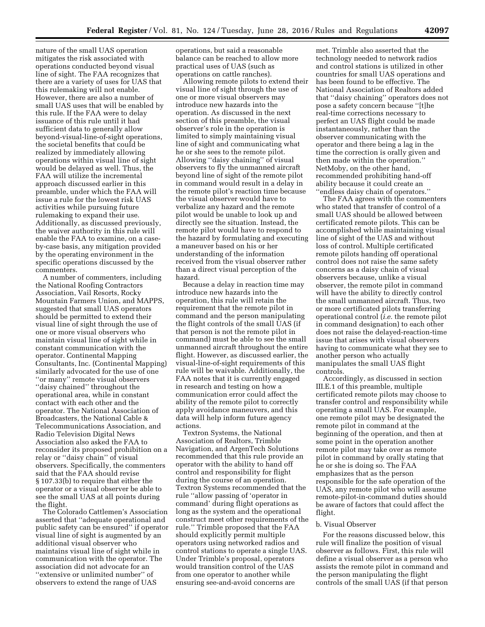nature of the small UAS operation mitigates the risk associated with operations conducted beyond visual line of sight. The FAA recognizes that there are a variety of uses for UAS that this rulemaking will not enable. However, there are also a number of small UAS uses that will be enabled by this rule. If the FAA were to delay issuance of this rule until it had sufficient data to generally allow beyond-visual-line-of-sight operations, the societal benefits that could be realized by immediately allowing operations within visual line of sight would be delayed as well. Thus, the FAA will utilize the incremental approach discussed earlier in this preamble, under which the FAA will issue a rule for the lowest risk UAS activities while pursuing future rulemaking to expand their use. Additionally, as discussed previously, the waiver authority in this rule will enable the FAA to examine, on a caseby-case basis, any mitigation provided by the operating environment in the specific operations discussed by the commenters.

A number of commenters, including the National Roofing Contractors Association, Vail Resorts, Rocky Mountain Farmers Union, and MAPPS, suggested that small UAS operators should be permitted to extend their visual line of sight through the use of one or more visual observers who maintain visual line of sight while in constant communication with the operator. Continental Mapping Consultants, Inc. (Continental Mapping) similarly advocated for the use of one ''or many'' remote visual observers ''daisy chained'' throughout the operational area, while in constant contact with each other and the operator. The National Association of Broadcasters, the National Cable & Telecommunications Association, and Radio Television Digital News Association also asked the FAA to reconsider its proposed prohibition on a relay or ''daisy chain'' of visual observers. Specifically, the commenters said that the FAA should revise § 107.33(b) to require that either the operator or a visual observer be able to see the small UAS at all points during the flight.

The Colorado Cattlemen's Association asserted that ''adequate operational and public safety can be ensured'' if operator visual line of sight is augmented by an additional visual observer who maintains visual line of sight while in communication with the operator. The association did not advocate for an ''extensive or unlimited number'' of observers to extend the range of UAS

operations, but said a reasonable balance can be reached to allow more practical uses of UAS (such as operations on cattle ranches).

Allowing remote pilots to extend their visual line of sight through the use of one or more visual observers may introduce new hazards into the operation. As discussed in the next section of this preamble, the visual observer's role in the operation is limited to simply maintaining visual line of sight and communicating what he or she sees to the remote pilot. Allowing ''daisy chaining'' of visual observers to fly the unmanned aircraft beyond line of sight of the remote pilot in command would result in a delay in the remote pilot's reaction time because the visual observer would have to verbalize any hazard and the remote pilot would be unable to look up and directly see the situation. Instead, the remote pilot would have to respond to the hazard by formulating and executing a maneuver based on his or her understanding of the information received from the visual observer rather than a direct visual perception of the hazard.

Because a delay in reaction time may introduce new hazards into the operation, this rule will retain the requirement that the remote pilot in command and the person manipulating the flight controls of the small UAS (if that person is not the remote pilot in command) must be able to see the small unmanned aircraft throughout the entire flight. However, as discussed earlier, the visual-line-of-sight requirements of this rule will be waivable. Additionally, the FAA notes that it is currently engaged in research and testing on how a communication error could affect the ability of the remote pilot to correctly apply avoidance maneuvers, and this data will help inform future agency actions.

Textron Systems, the National Association of Realtors, Trimble Navigation, and ArgenTech Solutions recommended that this rule provide an operator with the ability to hand off control and responsibility for flight during the course of an operation. Textron Systems recommended that the rule ''allow passing of 'operator in command' during flight operations as long as the system and the operational construct meet other requirements of the rule.'' Trimble proposed that the FAA should explicitly permit multiple operators using networked radios and control stations to operate a single UAS. Under Trimble's proposal, operators would transition control of the UAS from one operator to another while ensuring see-and-avoid concerns are

met. Trimble also asserted that the technology needed to network radios and control stations is utilized in other countries for small UAS operations and has been found to be effective. The National Association of Realtors added that ''daisy chaining'' operators does not pose a safety concern because ''[t]he real-time corrections necessary to perfect an UAS flight could be made instantaneously, rather than the observer communicating with the operator and there being a lag in the time the correction is orally given and then made within the operation.'' NetMoby, on the other hand, recommended prohibiting hand-off ability because it could create an ''endless daisy chain of operators.''

The FAA agrees with the commenters who stated that transfer of control of a small UAS should be allowed between certificated remote pilots. This can be accomplished while maintaining visual line of sight of the UAS and without loss of control. Multiple certificated remote pilots handing off operational control does not raise the same safety concerns as a daisy chain of visual observers because, unlike a visual observer, the remote pilot in command will have the ability to directly control the small unmanned aircraft. Thus, two or more certificated pilots transferring operational control (*i.e.* the remote pilot in command designation) to each other does not raise the delayed-reaction-time issue that arises with visual observers having to communicate what they see to another person who actually manipulates the small UAS flight controls.

Accordingly, as discussed in section III.E.1 of this preamble, multiple certificated remote pilots may choose to transfer control and responsibility while operating a small UAS. For example, one remote pilot may be designated the remote pilot in command at the beginning of the operation, and then at some point in the operation another remote pilot may take over as remote pilot in command by orally stating that he or she is doing so. The FAA emphasizes that as the person responsible for the safe operation of the UAS, any remote pilot who will assume remote-pilot-in-command duties should be aware of factors that could affect the flight.

#### b. Visual Observer

For the reasons discussed below, this rule will finalize the position of visual observer as follows. First, this rule will define a visual observer as a person who assists the remote pilot in command and the person manipulating the flight controls of the small UAS (if that person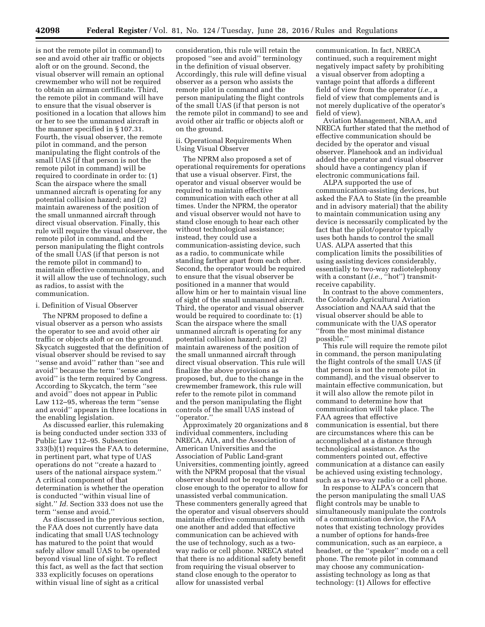is not the remote pilot in command) to see and avoid other air traffic or objects aloft or on the ground. Second, the visual observer will remain an optional crewmember who will not be required to obtain an airman certificate. Third, the remote pilot in command will have to ensure that the visual observer is positioned in a location that allows him or her to see the unmanned aircraft in the manner specified in § 107.31. Fourth, the visual observer, the remote pilot in command, and the person manipulating the flight controls of the small UAS (if that person is not the remote pilot in command) will be required to coordinate in order to: (1) Scan the airspace where the small unmanned aircraft is operating for any potential collision hazard; and (2) maintain awareness of the position of the small unmanned aircraft through direct visual observation. Finally, this rule will require the visual observer, the remote pilot in command, and the person manipulating the flight controls of the small UAS (if that person is not the remote pilot in command) to maintain effective communication, and it will allow the use of technology, such as radios, to assist with the communication.

#### i. Definition of Visual Observer

The NPRM proposed to define a visual observer as a person who assists the operator to see and avoid other air traffic or objects aloft or on the ground. Skycatch suggested that the definition of visual observer should be revised to say ''sense and avoid'' rather than ''see and avoid'' because the term ''sense and avoid'' is the term required by Congress. According to Skycatch, the term ''see and avoid'' does not appear in Public Law 112–95, whereas the term ''sense and avoid'' appears in three locations in the enabling legislation.

As discussed earlier, this rulemaking is being conducted under section 333 of Public Law 112–95. Subsection 333(b)(1) requires the FAA to determine, in pertinent part, what type of UAS operations do not ''create a hazard to users of the national airspace system.'' A critical component of that determination is whether the operation is conducted ''within visual line of sight.'' *Id.* Section 333 does not use the term ''sense and avoid.''

As discussed in the previous section, the FAA does not currently have data indicating that small UAS technology has matured to the point that would safely allow small UAS to be operated beyond visual line of sight. To reflect this fact, as well as the fact that section 333 explicitly focuses on operations within visual line of sight as a critical

consideration, this rule will retain the proposed ''see and avoid'' terminology in the definition of visual observer. Accordingly, this rule will define visual observer as a person who assists the remote pilot in command and the person manipulating the flight controls of the small UAS (if that person is not the remote pilot in command) to see and avoid other air traffic or objects aloft or on the ground.

#### ii. Operational Requirements When Using Visual Observer

The NPRM also proposed a set of operational requirements for operations that use a visual observer. First, the operator and visual observer would be required to maintain effective communication with each other at all times. Under the NPRM, the operator and visual observer would not have to stand close enough to hear each other without technological assistance; instead, they could use a communication-assisting device, such as a radio, to communicate while standing farther apart from each other. Second, the operator would be required to ensure that the visual observer be positioned in a manner that would allow him or her to maintain visual line of sight of the small unmanned aircraft. Third, the operator and visual observer would be required to coordinate to: (1) Scan the airspace where the small unmanned aircraft is operating for any potential collision hazard; and (2) maintain awareness of the position of the small unmanned aircraft through direct visual observation. This rule will finalize the above provisions as proposed, but, due to the change in the crewmember framework, this rule will refer to the remote pilot in command and the person manipulating the flight controls of the small UAS instead of ''operator.''

Approximately 20 organizations and 8 individual commenters, including NRECA, AIA, and the Association of American Universities and the Association of Public Land-grant Universities, commenting jointly, agreed with the NPRM proposal that the visual observer should not be required to stand close enough to the operator to allow for unassisted verbal communication. These commenters generally agreed that the operator and visual observers should maintain effective communication with one another and added that effective communication can be achieved with the use of technology, such as a twoway radio or cell phone. NRECA stated that there is no additional safety benefit from requiring the visual observer to stand close enough to the operator to allow for unassisted verbal

communication. In fact, NRECA continued, such a requirement might negatively impact safety by prohibiting a visual observer from adopting a vantage point that affords a different field of view from the operator (*i.e.,* a field of view that complements and is not merely duplicative of the operator's field of view).

Aviation Management, NBAA, and NRECA further stated that the method of effective communication should be decided by the operator and visual observer. Planehook and an individual added the operator and visual observer should have a contingency plan if electronic communications fail.

ALPA supported the use of communication-assisting devices, but asked the FAA to State (in the preamble and in advisory material) that the ability to maintain communication using any device is necessarily complicated by the fact that the pilot/operator typically uses both hands to control the small UAS. ALPA asserted that this complication limits the possibilities of using assisting devices considerably, essentially to two-way radiotelephony with a constant (*i.e.*, "hot") transmitreceive capability.

In contrast to the above commenters, the Colorado Agricultural Aviation Association and NAAA said that the visual observer should be able to communicate with the UAS operator ''from the most minimal distance possible.''

This rule will require the remote pilot in command, the person manipulating the flight controls of the small UAS (if that person is not the remote pilot in command), and the visual observer to maintain effective communication, but it will also allow the remote pilot in command to determine how that communication will take place. The FAA agrees that effective communication is essential, but there are circumstances where this can be accomplished at a distance through technological assistance. As the commenters pointed out, effective communication at a distance can easily be achieved using existing technology, such as a two-way radio or a cell phone.

In response to ALPA's concern that the person manipulating the small UAS flight controls may be unable to simultaneously manipulate the controls of a communication device, the FAA notes that existing technology provides a number of options for hands-free communication, such as an earpiece, a headset, or the ''speaker'' mode on a cell phone. The remote pilot in command may choose any communicationassisting technology as long as that technology: (1) Allows for effective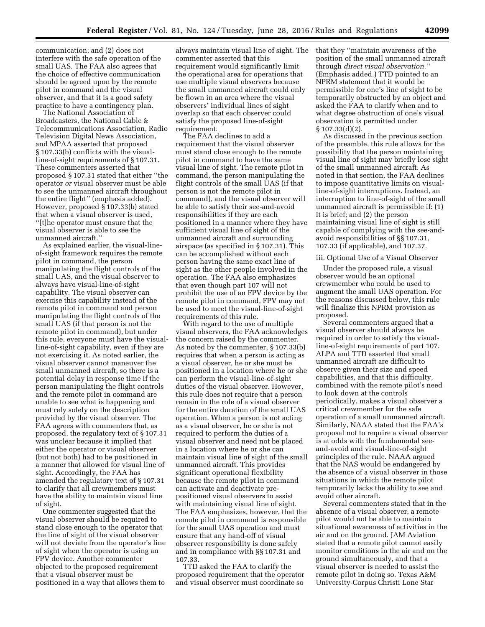communication; and (2) does not interfere with the safe operation of the small UAS. The FAA also agrees that the choice of effective communication should be agreed upon by the remote pilot in command and the visual observer, and that it is a good safety practice to have a contingency plan.

The National Association of Broadcasters, the National Cable & Telecommunications Association, Radio Television Digital News Association, and MPAA asserted that proposed § 107.33(b) conflicts with the visualline-of-sight requirements of § 107.31. These commenters asserted that proposed § 107.31 stated that either ''the operator *or* visual observer must be able to see the unmanned aircraft throughout the entire flight'' (emphasis added). However, proposed § 107.33(b) stated that when a visual observer is used, ''[t]he operator must ensure that the visual observer is able to see the unmanned aircraft.''

As explained earlier, the visual-lineof-sight framework requires the remote pilot in command, the person manipulating the flight controls of the small UAS, and the visual observer to always have visual-line-of-sight capability. The visual observer can exercise this capability instead of the remote pilot in command and person manipulating the flight controls of the small UAS (if that person is not the remote pilot in command), but under this rule, everyone must have the visualline-of-sight capability, even if they are not exercising it. As noted earlier, the visual observer cannot maneuver the small unmanned aircraft, so there is a potential delay in response time if the person manipulating the flight controls and the remote pilot in command are unable to see what is happening and must rely solely on the description provided by the visual observer. The FAA agrees with commenters that, as proposed, the regulatory text of § 107.31 was unclear because it implied that either the operator or visual observer (but not both) had to be positioned in a manner that allowed for visual line of sight. Accordingly, the FAA has amended the regulatory text of § 107.31 to clarify that all crewmembers must have the ability to maintain visual line of sight.

One commenter suggested that the visual observer should be required to stand close enough to the operator that the line of sight of the visual observer will not deviate from the operator's line of sight when the operator is using an FPV device. Another commenter objected to the proposed requirement that a visual observer must be positioned in a way that allows them to

always maintain visual line of sight. The commenter asserted that this requirement would significantly limit the operational area for operations that use multiple visual observers because the small unmanned aircraft could only be flown in an area where the visual observers' individual lines of sight overlap so that each observer could satisfy the proposed line-of-sight requirement.

The FAA declines to add a requirement that the visual observer must stand close enough to the remote pilot in command to have the same visual line of sight. The remote pilot in command, the person manipulating the flight controls of the small UAS (if that person is not the remote pilot in command), and the visual observer will be able to satisfy their see-and-avoid responsibilities if they are each positioned in a manner where they have sufficient visual line of sight of the unmanned aircraft and surrounding airspace (as specified in § 107.31). This can be accomplished without each person having the same exact line of sight as the other people involved in the operation. The FAA also emphasizes that even though part 107 will not prohibit the use of an FPV device by the remote pilot in command, FPV may not be used to meet the visual-line-of-sight requirements of this rule.

With regard to the use of multiple visual observers, the FAA acknowledges the concern raised by the commenter. As noted by the commenter, § 107.33(b) requires that when a person is acting as a visual observer, he or she must be positioned in a location where he or she can perform the visual-line-of-sight duties of the visual observer. However, this rule does not require that a person remain in the role of a visual observer for the entire duration of the small UAS operation. When a person is not acting as a visual observer, he or she is not required to perform the duties of a visual observer and need not be placed in a location where he or she can maintain visual line of sight of the small unmanned aircraft. This provides significant operational flexibility because the remote pilot in command can activate and deactivate prepositioned visual observers to assist with maintaining visual line of sight. The FAA emphasizes, however, that the remote pilot in command is responsible for the small UAS operation and must ensure that any hand-off of visual observer responsibility is done safely and in compliance with §§ 107.31 and 107.33.

TTD asked the FAA to clarify the proposed requirement that the operator and visual observer must coordinate so

that they ''maintain awareness of the position of the small unmanned aircraft through *direct visual observation.''*  (Emphasis added.) TTD pointed to an NPRM statement that it would be permissible for one's line of sight to be temporarily obstructed by an object and asked the FAA to clarify when and to what degree obstruction of one's visual observation is permitted under § 107.33(d)(2).

As discussed in the previous section of the preamble, this rule allows for the possibility that the person maintaining visual line of sight may briefly lose sight of the small unmanned aircraft. As noted in that section, the FAA declines to impose quantitative limits on visualline-of-sight interruptions. Instead, an interruption to line-of-sight of the small unmanned aircraft is permissible if: (1) It is brief; and (2) the person maintaining visual line of sight is still capable of complying with the see-andavoid responsibilities of §§ 107.31, 107.33 (if applicable), and 107.37.

## iii. Optional Use of a Visual Observer

Under the proposed rule, a visual observer would be an optional crewmember who could be used to augment the small UAS operation. For the reasons discussed below, this rule will finalize this NPRM provision as proposed.

Several commenters argued that a visual observer should always be required in order to satisfy the visualline-of-sight requirements of part 107. ALPA and TTD asserted that small unmanned aircraft are difficult to observe given their size and speed capabilities, and that this difficulty, combined with the remote pilot's need to look down at the controls periodically, makes a visual observer a critical crewmember for the safe operation of a small unmanned aircraft. Similarly, NAAA stated that the FAA's proposal not to require a visual observer is at odds with the fundamental seeand-avoid and visual-line-of-sight principles of the rule. NAAA argued that the NAS would be endangered by the absence of a visual observer in those situations in which the remote pilot temporarily lacks the ability to see and avoid other aircraft.

Several commenters stated that in the absence of a visual observer, a remote pilot would not be able to maintain situational awareness of activities in the air and on the ground. JAM Aviation stated that a remote pilot cannot easily monitor conditions in the air and on the ground simultaneously, and that a visual observer is needed to assist the remote pilot in doing so. Texas A&M University-Corpus Christi Lone Star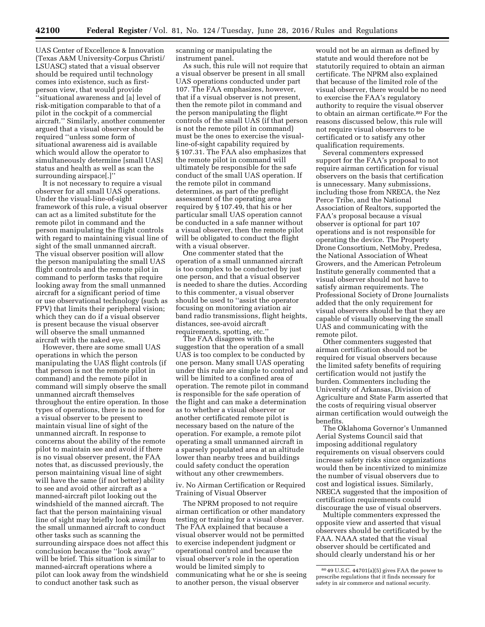UAS Center of Excellence & Innovation (Texas A&M University-Corpus Christi/ LSUASC) stated that a visual observer should be required until technology comes into existence, such as firstperson view, that would provide ''situational awareness and [a] level of risk-mitigation comparable to that of a pilot in the cockpit of a commercial aircraft.'' Similarly, another commenter argued that a visual observer should be required ''unless some form of situational awareness aid is available which would allow the operator to simultaneously determine [small UAS] status and health as well as scan the surrounding airspace[.]''

It is not necessary to require a visual observer for all small UAS operations. Under the visual-line-of-sight framework of this rule, a visual observer can act as a limited substitute for the remote pilot in command and the person manipulating the flight controls with regard to maintaining visual line of sight of the small unmanned aircraft. The visual observer position will allow the person manipulating the small UAS flight controls and the remote pilot in command to perform tasks that require looking away from the small unmanned aircraft for a significant period of time or use observational technology (such as FPV) that limits their peripheral vision; which they can do if a visual observer is present because the visual observer will observe the small unmanned aircraft with the naked eye.

However, there are some small UAS operations in which the person manipulating the UAS flight controls (if that person is not the remote pilot in command) and the remote pilot in command will simply observe the small unmanned aircraft themselves throughout the entire operation. In those types of operations, there is no need for a visual observer to be present to maintain visual line of sight of the unmanned aircraft. In response to concerns about the ability of the remote pilot to maintain see and avoid if there is no visual observer present, the FAA notes that, as discussed previously, the person maintaining visual line of sight will have the same (if not better) ability to see and avoid other aircraft as a manned-aircraft pilot looking out the windshield of the manned aircraft. The fact that the person maintaining visual line of sight may briefly look away from the small unmanned aircraft to conduct other tasks such as scanning the surrounding airspace does not affect this conclusion because the ''look away'' will be brief. This situation is similar to manned-aircraft operations where a pilot can look away from the windshield to conduct another task such as

scanning or manipulating the instrument panel.

As such, this rule will not require that a visual observer be present in all small UAS operations conducted under part 107. The FAA emphasizes, however, that if a visual observer is not present, then the remote pilot in command and the person manipulating the flight controls of the small UAS (if that person is not the remote pilot in command) must be the ones to exercise the visualline-of-sight capability required by § 107.31. The FAA also emphasizes that the remote pilot in command will ultimately be responsible for the safe conduct of the small UAS operation. If the remote pilot in command determines, as part of the preflight assessment of the operating area required by § 107.49, that his or her particular small UAS operation cannot be conducted in a safe manner without a visual observer, then the remote pilot will be obligated to conduct the flight with a visual observer.

One commenter stated that the operation of a small unmanned aircraft is too complex to be conducted by just one person, and that a visual observer is needed to share the duties. According to this commenter, a visual observer should be used to ''assist the operator focusing on monitoring aviation air band radio transmissions, flight heights, distances, see-avoid aircraft requirements, spotting, etc.''

The FAA disagrees with the suggestion that the operation of a small UAS is too complex to be conducted by one person. Many small UAS operating under this rule are simple to control and will be limited to a confined area of operation. The remote pilot in command is responsible for the safe operation of the flight and can make a determination as to whether a visual observer or another certificated remote pilot is necessary based on the nature of the operation. For example, a remote pilot operating a small unmanned aircraft in a sparsely populated area at an altitude lower than nearby trees and buildings could safety conduct the operation without any other crewmembers.

iv. No Airman Certification or Required Training of Visual Observer

The NPRM proposed to not require airman certification or other mandatory testing or training for a visual observer. The FAA explained that because a visual observer would not be permitted to exercise independent judgment or operational control and because the visual observer's role in the operation would be limited simply to communicating what he or she is seeing to another person, the visual observer

would not be an airman as defined by statute and would therefore not be statutorily required to obtain an airman certificate. The NPRM also explained that because of the limited role of the visual observer, there would be no need to exercise the FAA's regulatory authority to require the visual observer to obtain an airman certificate.80 For the reasons discussed below, this rule will not require visual observers to be certificated or to satisfy any other qualification requirements.

Several commenters expressed support for the FAA's proposal to not require airman certification for visual observers on the basis that certification is unnecessary. Many submissions, including those from NRECA, the Nez Perce Tribe, and the National Association of Realtors, supported the FAA's proposal because a visual observer is optional for part 107 operations and is not responsible for operating the device. The Property Drone Consortium, NetMoby, Predesa, the National Association of Wheat Growers, and the American Petroleum Institute generally commented that a visual observer should not have to satisfy airman requirements. The Professional Society of Drone Journalists added that the only requirement for visual observers should be that they are capable of visually observing the small UAS and communicating with the remote pilot.

Other commenters suggested that airman certification should not be required for visual observers because the limited safety benefits of requiring certification would not justify the burden. Commenters including the University of Arkansas, Division of Agriculture and State Farm asserted that the costs of requiring visual observer airman certification would outweigh the benefits.

The Oklahoma Governor's Unmanned Aerial Systems Council said that imposing additional regulatory requirements on visual observers could increase safety risks since organizations would then be incentivized to minimize the number of visual observers due to cost and logistical issues. Similarly, NRECA suggested that the imposition of certification requirements could discourage the use of visual observers.

Multiple commenters expressed the opposite view and asserted that visual observers should be certificated by the FAA. NAAA stated that the visual observer should be certificated and should clearly understand his or her

<sup>80</sup> 49 U.S.C. 44701(a)(5) gives FAA the power to prescribe regulations that it finds necessary for safety in air commerce and national security.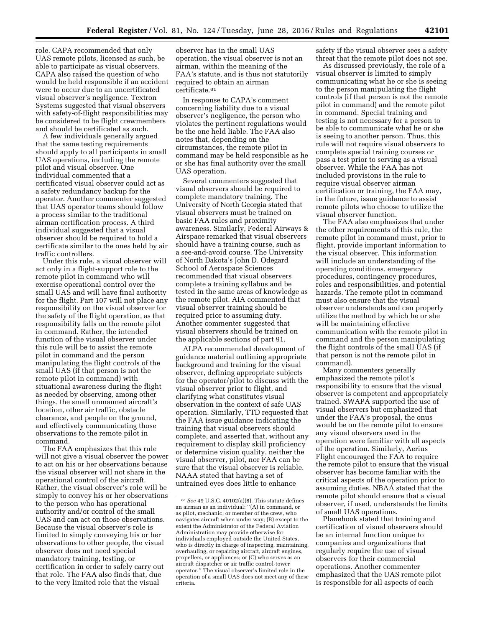role. CAPA recommended that only UAS remote pilots, licensed as such, be able to participate as visual observers. CAPA also raised the question of who would be held responsible if an accident were to occur due to an uncertificated visual observer's negligence. Textron Systems suggested that visual observers with safety-of-flight responsibilities may be considered to be flight crewmembers and should be certificated as such.

A few individuals generally argued that the same testing requirements should apply to all participants in small UAS operations, including the remote pilot and visual observer. One individual commented that a certificated visual observer could act as a safety redundancy backup for the operator. Another commenter suggested that UAS operator teams should follow a process similar to the traditional airman certification process. A third individual suggested that a visual observer should be required to hold a certificate similar to the ones held by air traffic controllers.

Under this rule, a visual observer will act only in a flight-support role to the remote pilot in command who will exercise operational control over the small UAS and will have final authority for the flight. Part 107 will not place any responsibility on the visual observer for the safety of the flight operation, as that responsibility falls on the remote pilot in command. Rather, the intended function of the visual observer under this rule will be to assist the remote pilot in command and the person manipulating the flight controls of the small UAS (if that person is not the remote pilot in command) with situational awareness during the flight as needed by observing, among other things, the small unmanned aircraft's location, other air traffic, obstacle clearance, and people on the ground, and effectively communicating those observations to the remote pilot in command.

The FAA emphasizes that this rule will not give a visual observer the power to act on his or her observations because the visual observer will not share in the operational control of the aircraft. Rather, the visual observer's role will be simply to convey his or her observations to the person who has operational authority and/or control of the small UAS and can act on those observations. Because the visual observer's role is limited to simply conveying his or her observations to other people, the visual observer does not need special mandatory training, testing, or certification in order to safely carry out that role. The FAA also finds that, due to the very limited role that the visual

observer has in the small UAS operation, the visual observer is not an airman, within the meaning of the FAA's statute, and is thus not statutorily required to obtain an airman certificate.81

In response to CAPA's comment concerning liability due to a visual observer's negligence, the person who violates the pertinent regulations would be the one held liable. The FAA also notes that, depending on the circumstances, the remote pilot in command may be held responsible as he or she has final authority over the small UAS operation.

Several commenters suggested that visual observers should be required to complete mandatory training. The University of North Georgia stated that visual observers must be trained on basic FAA rules and proximity awareness. Similarly, Federal Airways & Airspace remarked that visual observers should have a training course, such as a see-and-avoid course. The University of North Dakota's John D. Odegard School of Aerospace Sciences recommended that visual observers complete a training syllabus and be tested in the same areas of knowledge as the remote pilot. AIA commented that visual observer training should be required prior to assuming duty. Another commenter suggested that visual observers should be trained on the applicable sections of part 91.

ALPA recommended development of guidance material outlining appropriate background and training for the visual observer, defining appropriate subjects for the operator/pilot to discuss with the visual observer prior to flight, and clarifying what constitutes visual observation in the context of safe UAS operation. Similarly, TTD requested that the FAA issue guidance indicating the training that visual observers should complete, and asserted that, without any requirement to display skill proficiency or determine vision quality, neither the visual observer, pilot, nor FAA can be sure that the visual observer is reliable. NAAA stated that having a set of untrained eyes does little to enhance

safety if the visual observer sees a safety threat that the remote pilot does not see.

As discussed previously, the role of a visual observer is limited to simply communicating what he or she is seeing to the person manipulating the flight controls (if that person is not the remote pilot in command) and the remote pilot in command. Special training and testing is not necessary for a person to be able to communicate what he or she is seeing to another person. Thus, this rule will not require visual observers to complete special training courses or pass a test prior to serving as a visual observer. While the FAA has not included provisions in the rule to require visual observer airman certification or training, the FAA may, in the future, issue guidance to assist remote pilots who choose to utilize the visual observer function.

The FAA also emphasizes that under the other requirements of this rule, the remote pilot in command must, prior to flight, provide important information to the visual observer. This information will include an understanding of the operating conditions, emergency procedures, contingency procedures, roles and responsibilities, and potential hazards. The remote pilot in command must also ensure that the visual observer understands and can properly utilize the method by which he or she will be maintaining effective communication with the remote pilot in command and the person manipulating the flight controls of the small UAS (if that person is not the remote pilot in command).

Many commenters generally emphasized the remote pilot's responsibility to ensure that the visual observer is competent and appropriately trained. SWAPA supported the use of visual observers but emphasized that under the FAA's proposal, the onus would be on the remote pilot to ensure any visual observers used in the operation were familiar with all aspects of the operation. Similarly, Aerius Flight encouraged the FAA to require the remote pilot to ensure that the visual observer has become familiar with the critical aspects of the operation prior to assuming duties. NBAA stated that the remote pilot should ensure that a visual observer, if used, understands the limits of small UAS operations.

Planehook stated that training and certification of visual observers should be an internal function unique to companies and organizations that regularly require the use of visual observers for their commercial operations. Another commenter emphasized that the UAS remote pilot is responsible for all aspects of each

<sup>81</sup>*See* 49 U.S.C. 40102(a)(8). This statute defines an airman as an individual: ''(A) in command, or as pilot, mechanic, or member of the crew, who navigates aircraft when under way; (B) except to the extent the Administrator of the Federal Aviation Administration may provide otherwise for individuals employed outside the United States, who is directly in charge of inspecting, maintaining, overhauling, or repairing aircraft, aircraft engines, propellers, or appliances; or (C) who serves as an aircraft dispatcher or air traffic control-tower operator.'' The visual observer's limited role in the operation of a small UAS does not meet any of these criteria.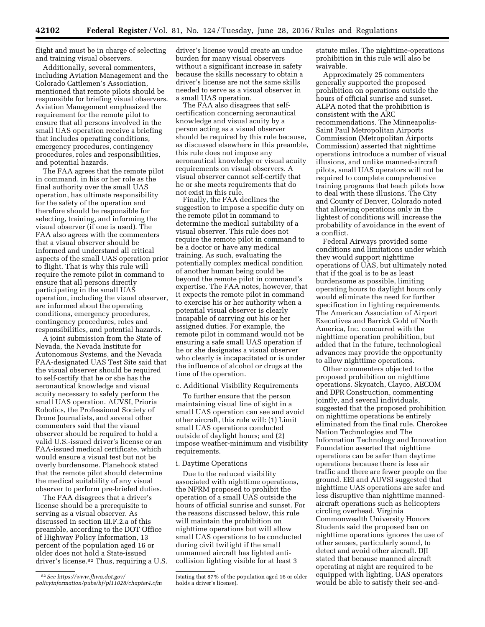flight and must be in charge of selecting and training visual observers.

Additionally, several commenters, including Aviation Management and the Colorado Cattlemen's Association, mentioned that remote pilots should be responsible for briefing visual observers. Aviation Management emphasized the requirement for the remote pilot to ensure that all persons involved in the small UAS operation receive a briefing that includes operating conditions, emergency procedures, contingency procedures, roles and responsibilities, and potential hazards.

The FAA agrees that the remote pilot in command, in his or her role as the final authority over the small UAS operation, has ultimate responsibility for the safety of the operation and therefore should be responsible for selecting, training, and informing the visual observer (if one is used). The FAA also agrees with the commenters that a visual observer should be informed and understand all critical aspects of the small UAS operation prior to flight. That is why this rule will require the remote pilot in command to ensure that all persons directly participating in the small UAS operation, including the visual observer, are informed about the operating conditions, emergency procedures, contingency procedures, roles and responsibilities, and potential hazards.

A joint submission from the State of Nevada, the Nevada Institute for Autonomous Systems, and the Nevada FAA-designated UAS Test Site said that the visual observer should be required to self-certify that he or she has the aeronautical knowledge and visual acuity necessary to safely perform the small UAS operation. AUVSI, Prioria Robotics, the Professional Society of Drone Journalists, and several other commenters said that the visual observer should be required to hold a valid U.S.-issued driver's license or an FAA-issued medical certificate, which would ensure a visual test but not be overly burdensome. Planehook stated that the remote pilot should determine the medical suitability of any visual observer to perform pre-briefed duties.

The FAA disagrees that a driver's license should be a prerequisite to serving as a visual observer. As discussed in section III.F.2.a of this preamble, according to the DOT Office of Highway Policy Information, 13 percent of the population aged 16 or older does not hold a State-issued driver's license.<sup>82</sup> Thus, requiring a U.S.

driver's license would create an undue burden for many visual observers without a significant increase in safety because the skills necessary to obtain a driver's license are not the same skills needed to serve as a visual observer in a small UAS operation.

The FAA also disagrees that selfcertification concerning aeronautical knowledge and visual acuity by a person acting as a visual observer should be required by this rule because, as discussed elsewhere in this preamble, this rule does not impose any aeronautical knowledge or visual acuity requirements on visual observers. A visual observer cannot self-certify that he or she meets requirements that do not exist in this rule.

Finally, the FAA declines the suggestion to impose a specific duty on the remote pilot in command to determine the medical suitability of a visual observer. This rule does not require the remote pilot in command to be a doctor or have any medical training. As such, evaluating the potentially complex medical condition of another human being could be beyond the remote pilot in command's expertise. The FAA notes, however, that it expects the remote pilot in command to exercise his or her authority when a potential visual observer is clearly incapable of carrying out his or her assigned duties. For example, the remote pilot in command would not be ensuring a safe small UAS operation if he or she designates a visual observer who clearly is incapacitated or is under the influence of alcohol or drugs at the time of the operation.

## c. Additional Visibility Requirements

To further ensure that the person maintaining visual line of sight in a small UAS operation can see and avoid other aircraft, this rule will: (1) Limit small UAS operations conducted outside of daylight hours; and (2) impose weather-minimum and visibility requirements.

#### i. Daytime Operations

Due to the reduced visibility associated with nighttime operations, the NPRM proposed to prohibit the operation of a small UAS outside the hours of official sunrise and sunset. For the reasons discussed below, this rule will maintain the prohibition on nighttime operations but will allow small UAS operations to be conducted during civil twilight if the small unmanned aircraft has lighted anticollision lighting visible for at least 3

statute miles. The nighttime-operations prohibition in this rule will also be waivable.

Approximately 25 commenters generally supported the proposed prohibition on operations outside the hours of official sunrise and sunset. ALPA noted that the prohibition is consistent with the ARC recommendations. The Minneapolis-Saint Paul Metropolitan Airports Commission (Metropolitan Airports Commission) asserted that nighttime operations introduce a number of visual illusions, and unlike manned-aircraft pilots, small UAS operators will not be required to complete comprehensive training programs that teach pilots how to deal with these illusions. The City and County of Denver, Colorado noted that allowing operations only in the lightest of conditions will increase the probability of avoidance in the event of a conflict.

Federal Airways provided some conditions and limitations under which they would support nighttime operations of UAS, but ultimately noted that if the goal is to be as least burdensome as possible, limiting operating hours to daylight hours only would eliminate the need for further specification in lighting requirements. The American Association of Airport Executives and Barrick Gold of North America, Inc. concurred with the nighttime operation prohibition, but added that in the future, technological advances may provide the opportunity to allow nighttime operations.

Other commenters objected to the proposed prohibition on nighttime operations. Skycatch, Clayco, AECOM and DPR Construction, commenting jointly, and several individuals, suggested that the proposed prohibition on nighttime operations be entirely eliminated from the final rule. Cherokee Nation Technologies and The Information Technology and Innovation Foundation asserted that nighttime operations can be safer than daytime operations because there is less air traffic and there are fewer people on the ground. EEI and AUVSI suggested that nighttime UAS operations are safer and less disruptive than nighttime mannedaircraft operations such as helicopters circling overhead. Virginia Commonwealth University Honors Students said the proposed ban on nighttime operations ignores the use of other senses, particularly sound, to detect and avoid other aircraft. DJI stated that because manned aircraft operating at night are required to be equipped with lighting, UAS operators would be able to satisfy their see-and-

<sup>82</sup>*See [https://www.fhwa.dot.gov/](https://www.fhwa.dot.gov/policyinformation/pubs/hf/pl11028/chapter4.cfm) [policyinformation/pubs/hf/pl11028/chapter4.cfm](https://www.fhwa.dot.gov/policyinformation/pubs/hf/pl11028/chapter4.cfm)* 

<sup>(</sup>stating that 87% of the population aged 16 or older holds a driver's license).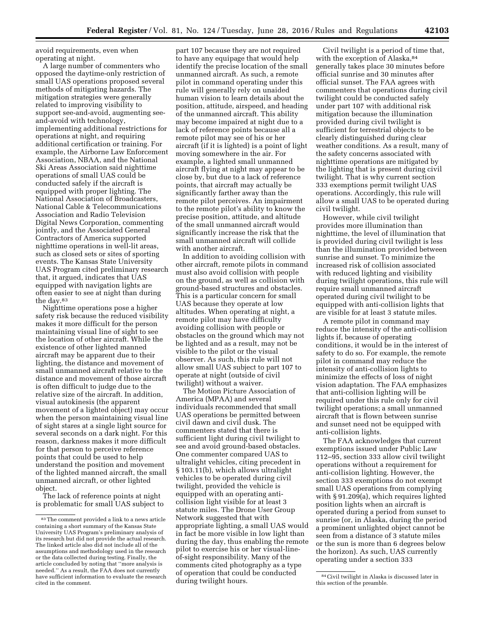avoid requirements, even when operating at night.

A large number of commenters who opposed the daytime-only restriction of small UAS operations proposed several methods of mitigating hazards. The mitigation strategies were generally related to improving visibility to support see-and-avoid, augmenting seeand-avoid with technology, implementing additional restrictions for operations at night, and requiring additional certification or training. For example, the Airborne Law Enforcement Association, NBAA, and the National Ski Areas Association said nighttime operations of small UAS could be conducted safely if the aircraft is equipped with proper lighting. The National Association of Broadcasters, National Cable & Telecommunications Association and Radio Television Digital News Corporation, commenting jointly, and the Associated General Contractors of America supported nighttime operations in well-lit areas, such as closed sets or sites of sporting events. The Kansas State University UAS Program cited preliminary research that, it argued, indicates that UAS equipped with navigation lights are often easier to see at night than during the day.83

Nighttime operations pose a higher safety risk because the reduced visibility makes it more difficult for the person maintaining visual line of sight to see the location of other aircraft. While the existence of other lighted manned aircraft may be apparent due to their lighting, the distance and movement of small unmanned aircraft relative to the distance and movement of those aircraft is often difficult to judge due to the relative size of the aircraft. In addition, visual autokinesis (the apparent movement of a lighted object) may occur when the person maintaining visual line of sight stares at a single light source for several seconds on a dark night. For this reason, darkness makes it more difficult for that person to perceive reference points that could be used to help understand the position and movement of the lighted manned aircraft, the small unmanned aircraft, or other lighted object.

The lack of reference points at night is problematic for small UAS subject to

part 107 because they are not required to have any equipage that would help identify the precise location of the small unmanned aircraft. As such, a remote pilot in command operating under this rule will generally rely on unaided human vision to learn details about the position, attitude, airspeed, and heading of the unmanned aircraft. This ability may become impaired at night due to a lack of reference points because all a remote pilot may see of his or her aircraft (if it is lighted) is a point of light moving somewhere in the air. For example, a lighted small unmanned aircraft flying at night may appear to be close by, but due to a lack of reference points, that aircraft may actually be significantly farther away than the remote pilot perceives. An impairment to the remote pilot's ability to know the precise position, attitude, and altitude of the small unmanned aircraft would significantly increase the risk that the small unmanned aircraft will collide with another aircraft.

In addition to avoiding collision with other aircraft, remote pilots in command must also avoid collision with people on the ground, as well as collision with ground-based structures and obstacles. This is a particular concern for small UAS because they operate at low altitudes. When operating at night, a remote pilot may have difficulty avoiding collision with people or obstacles on the ground which may not be lighted and as a result, may not be visible to the pilot or the visual observer. As such, this rule will not allow small UAS subject to part 107 to operate at night (outside of civil twilight) without a waiver.

The Motion Picture Association of America (MPAA) and several individuals recommended that small UAS operations be permitted between civil dawn and civil dusk. The commenters stated that there is sufficient light during civil twilight to see and avoid ground-based obstacles. One commenter compared UAS to ultralight vehicles, citing precedent in § 103.11(b), which allows ultralight vehicles to be operated during civil twilight, provided the vehicle is equipped with an operating anticollision light visible for at least 3 statute miles. The Drone User Group Network suggested that with appropriate lighting, a small UAS would in fact be more visible in low light than during the day, thus enabling the remote pilot to exercise his or her visual-lineof-sight responsibility. Many of the comments cited photography as a type of operation that could be conducted during twilight hours.

Civil twilight is a period of time that, with the exception of Alaska, 84 generally takes place 30 minutes before official sunrise and 30 minutes after official sunset. The FAA agrees with commenters that operations during civil twilight could be conducted safely under part 107 with additional risk mitigation because the illumination provided during civil twilight is sufficient for terrestrial objects to be clearly distinguished during clear weather conditions. As a result, many of the safety concerns associated with nighttime operations are mitigated by the lighting that is present during civil twilight. That is why current section 333 exemptions permit twilight UAS operations. Accordingly, this rule will allow a small UAS to be operated during civil twilight.

However, while civil twilight provides more illumination than nighttime, the level of illumination that is provided during civil twilight is less than the illumination provided between sunrise and sunset. To minimize the increased risk of collision associated with reduced lighting and visibility during twilight operations, this rule will require small unmanned aircraft operated during civil twilight to be equipped with anti-collision lights that are visible for at least 3 statute miles.

A remote pilot in command may reduce the intensity of the anti-collision lights if, because of operating conditions, it would be in the interest of safety to do so. For example, the remote pilot in command may reduce the intensity of anti-collision lights to minimize the effects of loss of night vision adaptation. The FAA emphasizes that anti-collision lighting will be required under this rule only for civil twilight operations; a small unmanned aircraft that is flown between sunrise and sunset need not be equipped with anti-collision lights.

The FAA acknowledges that current exemptions issued under Public Law 112–95, section 333 allow civil twilight operations without a requirement for anti-collision lighting. However, the section 333 exemptions do not exempt small UAS operations from complying with § 91.209(a), which requires lighted position lights when an aircraft is operated during a period from sunset to sunrise (or, in Alaska, during the period a prominent unlighted object cannot be seen from a distance of 3 statute miles or the sun is more than 6 degrees below the horizon). As such, UAS currently operating under a section 333

<sup>83</sup>The comment provided a link to a news article containing a short summary of the Kansas State University UAS Program's preliminary analysis of its research but did not provide the actual research. The linked article also did not include all of the assumptions and methodology used in the research or the data collected during testing. Finally, the article concluded by noting that ''more analysis is needed.'' As a result, the FAA does not currently have sufficient information to evaluate the research cited in the comment.

<sup>84</sup>Civil twilight in Alaska is discussed later in this section of the preamble.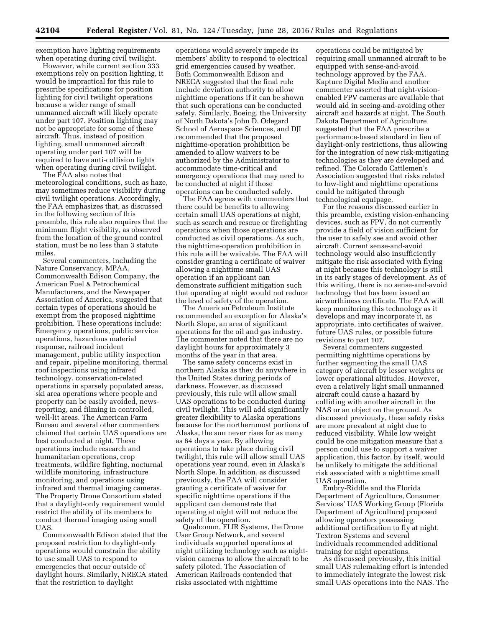exemption have lighting requirements when operating during civil twilight.

However, while current section 333 exemptions rely on position lighting, it would be impractical for this rule to prescribe specifications for position lighting for civil twilight operations because a wider range of small unmanned aircraft will likely operate under part 107. Position lighting may not be appropriate for some of these aircraft. Thus, instead of position lighting, small unmanned aircraft operating under part 107 will be required to have anti-collision lights when operating during civil twilight.

The FAA also notes that meteorological conditions, such as haze, may sometimes reduce visibility during civil twilight operations. Accordingly, the FAA emphasizes that, as discussed in the following section of this preamble, this rule also requires that the minimum flight visibility, as observed from the location of the ground control station, must be no less than 3 statute miles.

Several commenters, including the Nature Conservancy, MPAA, Commonwealth Edison Company, the American Fuel & Petrochemical Manufacturers, and the Newspaper Association of America, suggested that certain types of operations should be exempt from the proposed nighttime prohibition. These operations include: Emergency operations, public service operations, hazardous material response, railroad incident management, public utility inspection and repair, pipeline monitoring, thermal roof inspections using infrared technology, conservation-related operations in sparsely populated areas, ski area operations where people and property can be easily avoided, newsreporting, and filming in controlled, well-lit areas. The American Farm Bureau and several other commenters claimed that certain UAS operations are best conducted at night. These operations include research and humanitarian operations, crop treatments, wildfire fighting, nocturnal wildlife monitoring, infrastructure monitoring, and operations using infrared and thermal imaging cameras. The Property Drone Consortium stated that a daylight-only requirement would restrict the ability of its members to conduct thermal imaging using small UAS.

Commonwealth Edison stated that the proposed restriction to daylight-only operations would constrain the ability to use small UAS to respond to emergencies that occur outside of daylight hours. Similarly, NRECA stated that the restriction to daylight

operations would severely impede its members' ability to respond to electrical grid emergencies caused by weather. Both Commonwealth Edison and NRECA suggested that the final rule include deviation authority to allow nighttime operations if it can be shown that such operations can be conducted safely. Similarly, Boeing, the University of North Dakota's John D. Odegard School of Aerospace Sciences, and DJI recommended that the proposed nighttime-operation prohibition be amended to allow waivers to be authorized by the Administrator to accommodate time-critical and emergency operations that may need to be conducted at night if those operations can be conducted safely.

The FAA agrees with commenters that there could be benefits to allowing certain small UAS operations at night, such as search and rescue or firefighting operations when those operations are conducted as civil operations. As such, the nighttime-operation prohibition in this rule will be waivable. The FAA will consider granting a certificate of waiver allowing a nighttime small UAS operation if an applicant can demonstrate sufficient mitigation such that operating at night would not reduce the level of safety of the operation.

The American Petroleum Institute recommended an exception for Alaska's North Slope, an area of significant operations for the oil and gas industry. The commenter noted that there are no daylight hours for approximately 3 months of the year in that area.

The same safety concerns exist in northern Alaska as they do anywhere in the United States during periods of darkness. However, as discussed previously, this rule will allow small UAS operations to be conducted during civil twilight. This will add significantly greater flexibility to Alaska operations because for the northernmost portions of Alaska, the sun never rises for as many as 64 days a year. By allowing operations to take place during civil twilight, this rule will allow small UAS operations year round, even in Alaska's North Slope. In addition, as discussed previously, the FAA will consider granting a certificate of waiver for specific nighttime operations if the applicant can demonstrate that operating at night will not reduce the safety of the operation.

Qualcomm, FLIR Systems, the Drone User Group Network, and several individuals supported operations at night utilizing technology such as nightvision cameras to allow the aircraft to be safety piloted. The Association of American Railroads contended that risks associated with nighttime

operations could be mitigated by requiring small unmanned aircraft to be equipped with sense-and-avoid technology approved by the FAA. Kapture Digital Media and another commenter asserted that night-visionenabled FPV cameras are available that would aid in seeing-and-avoiding other aircraft and hazards at night. The South Dakota Department of Agriculture suggested that the FAA prescribe a performance-based standard in lieu of daylight-only restrictions, thus allowing for the integration of new risk-mitigating technologies as they are developed and refined. The Colorado Cattlemen's Association suggested that risks related to low-light and nighttime operations could be mitigated through technological equipage.

For the reasons discussed earlier in this preamble, existing vision-enhancing devices, such as FPV, do not currently provide a field of vision sufficient for the user to safely see and avoid other aircraft. Current sense-and-avoid technology would also insufficiently mitigate the risk associated with flying at night because this technology is still in its early stages of development. As of this writing, there is no sense-and-avoid technology that has been issued an airworthiness certificate. The FAA will keep monitoring this technology as it develops and may incorporate it, as appropriate, into certificates of waiver, future UAS rules, or possible future revisions to part 107.

Several commenters suggested permitting nighttime operations by further segmenting the small UAS category of aircraft by lesser weights or lower operational altitudes. However, even a relatively light small unmanned aircraft could cause a hazard by colliding with another aircraft in the NAS or an object on the ground. As discussed previously, these safety risks are more prevalent at night due to reduced visibility. While low weight could be one mitigation measure that a person could use to support a waiver application, this factor, by itself, would be unlikely to mitigate the additional risk associated with a nighttime small UAS operation.

Embry-Riddle and the Florida Department of Agriculture, Consumer Services' UAS Working Group (Florida Department of Agriculture) proposed allowing operators possessing additional certification to fly at night. Textron Systems and several individuals recommended additional training for night operations.

As discussed previously, this initial small UAS rulemaking effort is intended to immediately integrate the lowest risk small UAS operations into the NAS. The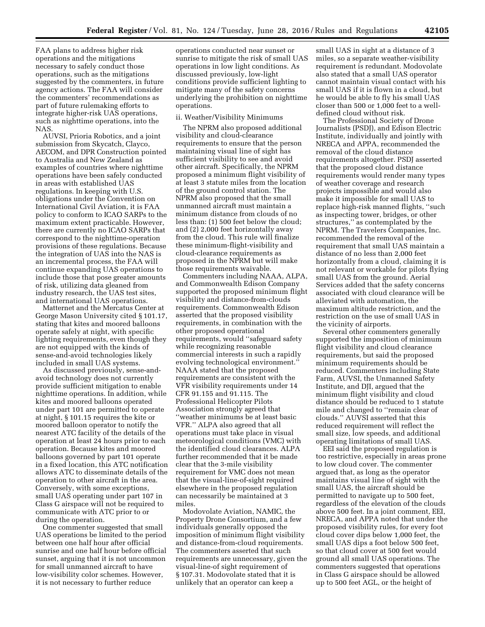FAA plans to address higher risk operations and the mitigations necessary to safely conduct those operations, such as the mitigations suggested by the commenters, in future agency actions. The FAA will consider the commenters' recommendations as part of future rulemaking efforts to integrate higher-risk UAS operations, such as nighttime operations, into the NAS.

AUVSI, Prioria Robotics, and a joint submission from Skycatch, Clayco, AECOM, and DPR Construction pointed to Australia and New Zealand as examples of countries where nighttime operations have been safely conducted in areas with established UAS regulations. In keeping with U.S. obligations under the Convention on International Civil Aviation, it is FAA policy to conform to ICAO SARPs to the maximum extent practicable. However, there are currently no ICAO SARPs that correspond to the nighttime-operation provisions of these regulations. Because the integration of UAS into the NAS is an incremental process, the FAA will continue expanding UAS operations to include those that pose greater amounts of risk, utilizing data gleaned from industry research, the UAS test sites, and international UAS operations.

Matternet and the Mercatus Center at George Mason University cited § 101.17, stating that kites and moored balloons operate safely at night, with specific lighting requirements, even though they are not equipped with the kinds of sense-and-avoid technologies likely included in small UAS systems.

As discussed previously, sense-andavoid technology does not currently provide sufficient mitigation to enable nighttime operations. In addition, while kites and moored balloons operated under part 101 are permitted to operate at night, § 101.15 requires the kite or moored balloon operator to notify the nearest ATC facility of the details of the operation at least 24 hours prior to each operation. Because kites and moored balloons governed by part 101 operate in a fixed location, this ATC notification allows ATC to disseminate details of the operation to other aircraft in the area. Conversely, with some exceptions, small UAS operating under part 107 in Class G airspace will not be required to communicate with ATC prior to or during the operation.

One commenter suggested that small UAS operations be limited to the period between one half hour after official sunrise and one half hour before official sunset, arguing that it is not uncommon for small unmanned aircraft to have low-visibility color schemes. However, it is not necessary to further reduce

operations conducted near sunset or sunrise to mitigate the risk of small UAS operations in low light conditions. As discussed previously, low-light conditions provide sufficient lighting to mitigate many of the safety concerns underlying the prohibition on nighttime operations.

## ii. Weather/Visibility Minimums

The NPRM also proposed additional visibility and cloud-clearance requirements to ensure that the person maintaining visual line of sight has sufficient visibility to see and avoid other aircraft. Specifically, the NPRM proposed a minimum flight visibility of at least 3 statute miles from the location of the ground control station. The NPRM also proposed that the small unmanned aircraft must maintain a minimum distance from clouds of no less than: (1) 500 feet below the cloud; and (2) 2,000 feet horizontally away from the cloud. This rule will finalize these minimum-flight-visibility and cloud-clearance requirements as proposed in the NPRM but will make those requirements waivable.

Commenters including NAAA, ALPA, and Commonwealth Edison Company supported the proposed minimum flight visibility and distance-from-clouds requirements. Commonwealth Edison asserted that the proposed visibility requirements, in combination with the other proposed operational requirements, would ''safeguard safety while recognizing reasonable commercial interests in such a rapidly evolving technological environment.'' NAAA stated that the proposed requirements are consistent with the VFR visibility requirements under 14 CFR 91.155 and 91.115. The Professional Helicopter Pilots Association strongly agreed that ''weather minimums be at least basic VFR.'' ALPA also agreed that all operations must take place in visual meteorological conditions (VMC) with the identified cloud clearances. ALPA further recommended that it be made clear that the 3-mile visibility requirement for VMC does not mean that the visual-line-of-sight required elsewhere in the proposed regulation can necessarily be maintained at 3 miles.

Modovolate Aviation, NAMIC, the Property Drone Consortium, and a few individuals generally opposed the imposition of minimum flight visibility and distance-from-cloud requirements. The commenters asserted that such requirements are unnecessary, given the visual-line-of sight requirement of § 107.31. Modovolate stated that it is unlikely that an operator can keep a

small UAS in sight at a distance of 3 miles, so a separate weather-visibility requirement is redundant. Modovolate also stated that a small UAS operator cannot maintain visual contact with his small UAS if it is flown in a cloud, but he would be able to fly his small UAS closer than 500 or 1,000 feet to a welldefined cloud without risk.

The Professional Society of Drone Journalists (PSDJ), and Edison Electric Institute, individually and jointly with NRECA and APPA, recommended the removal of the cloud distance requirements altogether. PSDJ asserted that the proposed cloud distance requirements would render many types of weather coverage and research projects impossible and would also make it impossible for small UAS to replace high-risk manned flights, ''such as inspecting tower, bridges, or other structures,'' as contemplated by the NPRM. The Travelers Companies, Inc. recommended the removal of the requirement that small UAS maintain a distance of no less than 2,000 feet horizontally from a cloud, claiming it is not relevant or workable for pilots flying small UAS from the ground. Aerial Services added that the safety concerns associated with cloud clearance will be alleviated with automation, the maximum altitude restriction, and the restriction on the use of small UAS in the vicinity of airports.

Several other commenters generally supported the imposition of minimum flight visibility and cloud clearance requirements, but said the proposed minimum requirements should be reduced. Commenters including State Farm, AUVSI, the Unmanned Safety Institute, and DJI, argued that the minimum flight visibility and cloud distance should be reduced to 1 statute mile and changed to ''remain clear of clouds.'' AUVSI asserted that this reduced requirement will reflect the small size, low speeds, and additional operating limitations of small UAS.

EEI said the proposed regulation is too restrictive, especially in areas prone to low cloud cover. The commenter argued that, as long as the operator maintains visual line of sight with the small UAS, the aircraft should be permitted to navigate up to 500 feet, regardless of the elevation of the clouds above 500 feet. In a joint comment, EEI, NRECA, and APPA noted that under the proposed visibility rules, for every foot cloud cover dips below 1,000 feet, the small UAS dips a foot below 500 feet, so that cloud cover at 500 feet would ground all small UAS operations. The commenters suggested that operations in Class G airspace should be allowed up to 500 feet AGL, or the height of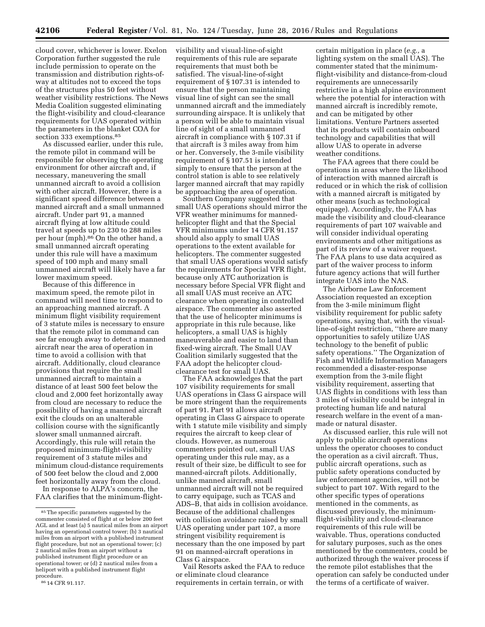cloud cover, whichever is lower. Exelon Corporation further suggested the rule include permission to operate on the transmission and distribution rights-ofway at altitudes not to exceed the tops of the structures plus 50 feet without weather visibility restrictions. The News Media Coalition suggested eliminating the flight-visibility and cloud-clearance requirements for UAS operated within the parameters in the blanket COA for section 333 exemptions.85

As discussed earlier, under this rule, the remote pilot in command will be responsible for observing the operating environment for other aircraft and, if necessary, maneuvering the small unmanned aircraft to avoid a collision with other aircraft. However, there is a significant speed difference between a manned aircraft and a small unmanned aircraft. Under part 91, a manned aircraft flying at low altitude could travel at speeds up to 230 to 288 miles per hour (mph).86 On the other hand, a small unmanned aircraft operating under this rule will have a maximum speed of 100 mph and many small unmanned aircraft will likely have a far lower maximum speed.

Because of this difference in maximum speed, the remote pilot in command will need time to respond to an approaching manned aircraft. A minimum flight visibility requirement of 3 statute miles is necessary to ensure that the remote pilot in command can see far enough away to detect a manned aircraft near the area of operation in time to avoid a collision with that aircraft. Additionally, cloud clearance provisions that require the small unmanned aircraft to maintain a distance of at least 500 feet below the cloud and 2,000 feet horizontally away from cloud are necessary to reduce the possibility of having a manned aircraft exit the clouds on an unalterable collision course with the significantly slower small unmanned aircraft. Accordingly, this rule will retain the proposed minimum-flight-visibility requirement of 3 statute miles and minimum cloud-distance requirements of 500 feet below the cloud and 2,000 feet horizontally away from the cloud.

In response to ALPA's concern, the FAA clarifies that the minimum-flightvisibility and visual-line-of-sight requirements of this rule are separate requirements that must both be satisfied. The visual-line-of-sight requirement of § 107.31 is intended to ensure that the person maintaining visual line of sight can see the small unmanned aircraft and the immediately surrounding airspace. It is unlikely that a person will be able to maintain visual line of sight of a small unmanned aircraft in compliance with § 107.31 if that aircraft is 3 miles away from him or her. Conversely, the 3-mile visibility requirement of § 107.51 is intended simply to ensure that the person at the control station is able to see relatively larger manned aircraft that may rapidly be approaching the area of operation.

Southern Company suggested that small UAS operations should mirror the VFR weather minimums for mannedhelicopter flight and that the Special VFR minimums under 14 CFR 91.157 should also apply to small UAS operations to the extent available for helicopters. The commenter suggested that small UAS operations would satisfy the requirements for Special VFR flight, because only ATC authorization is necessary before Special VFR flight and all small UAS must receive an ATC clearance when operating in controlled airspace. The commenter also asserted that the use of helicopter minimums is appropriate in this rule because, like helicopters, a small UAS is highly maneuverable and easier to land than fixed-wing aircraft. The Small UAV Coalition similarly suggested that the FAA adopt the helicopter cloudclearance test for small UAS.

The FAA acknowledges that the part 107 visibility requirements for small UAS operations in Class G airspace will be more stringent than the requirements of part 91. Part 91 allows aircraft operating in Class G airspace to operate with 1 statute mile visibility and simply requires the aircraft to keep clear of clouds. However, as numerous commenters pointed out, small UAS operating under this rule may, as a result of their size, be difficult to see for manned-aircraft pilots. Additionally, unlike manned aircraft, small unmanned aircraft will not be required to carry equipage, such as TCAS and ADS–B, that aids in collision avoidance. Because of the additional challenges with collision avoidance raised by small UAS operating under part 107, a more stringent visibility requirement is necessary than the one imposed by part 91 on manned-aircraft operations in Class G airspace.

Vail Resorts asked the FAA to reduce or eliminate cloud clearance requirements in certain terrain, or with

certain mitigation in place (*e.g.,* a lighting system on the small UAS). The commenter stated that the minimumflight-visibility and distance-from-cloud requirements are unnecessarily restrictive in a high alpine environment where the potential for interaction with manned aircraft is incredibly remote, and can be mitigated by other limitations. Venture Partners asserted that its products will contain onboard technology and capabilities that will allow UAS to operate in adverse weather conditions.

The FAA agrees that there could be operations in areas where the likelihood of interaction with manned aircraft is reduced or in which the risk of collision with a manned aircraft is mitigated by other means (such as technological equipage). Accordingly, the FAA has made the visibility and cloud-clearance requirements of part 107 waivable and will consider individual operating environments and other mitigations as part of its review of a waiver request. The FAA plans to use data acquired as part of the waiver process to inform future agency actions that will further integrate UAS into the NAS.

The Airborne Law Enforcement Association requested an exception from the 3-mile minimum flight visibility requirement for public safety operations, saying that, with the visualline-of-sight restriction, ''there are many opportunities to safely utilize UAS technology to the benefit of public safety operations.'' The Organization of Fish and Wildlife Information Managers recommended a disaster-response exemption from the 3-mile flight visibility requirement, asserting that UAS flights in conditions with less than 3 miles of visibility could be integral in protecting human life and natural research welfare in the event of a manmade or natural disaster.

As discussed earlier, this rule will not apply to public aircraft operations unless the operator chooses to conduct the operation as a civil aircraft. Thus, public aircraft operations, such as public safety operations conducted by law enforcement agencies, will not be subject to part 107. With regard to the other specific types of operations mentioned in the comments, as discussed previously, the minimumflight-visibility and cloud-clearance requirements of this rule will be waivable. Thus, operations conducted for salutary purposes, such as the ones mentioned by the commenters, could be authorized through the waiver process if the remote pilot establishes that the operation can safely be conducted under the terms of a certificate of waiver.

 $^{\mathrm{85}}$  The specific parameters suggested by the commenter consisted of flight at or below 200 feet AGL and at least (a) 5 nautical miles from an airport having an operational control tower; (b) 3 nautical miles from an airport with a published instrument flight procedure, but not an operational tower; (c) 2 nautical miles from an airport without a published instrument flight procedure or an operational tower; or (d) 2 nautical miles from a heliport with a published instrument flight procedure.

<sup>86</sup> 14 CFR 91.117.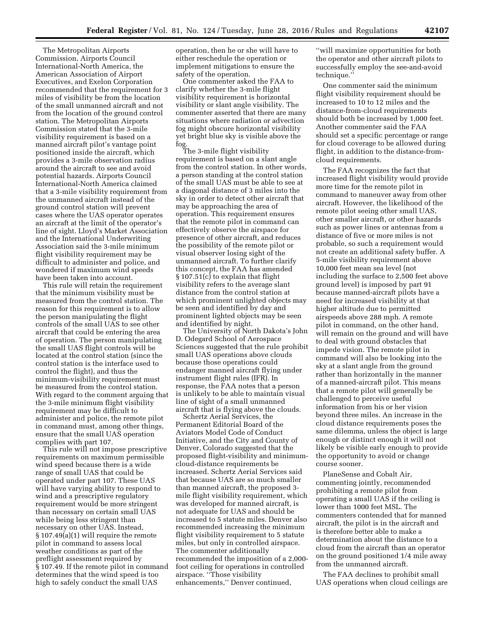The Metropolitan Airports Commission, Airports Council International-North America, the American Association of Airport Executives, and Exelon Corporation recommended that the requirement for 3 miles of visibility be from the location of the small unmanned aircraft and not from the location of the ground control station. The Metropolitan Airports Commission stated that the 3-mile visibility requirement is based on a manned aircraft pilot's vantage point positioned inside the aircraft, which provides a 3-mile observation radius around the aircraft to see and avoid potential hazards. Airports Council International-North America claimed that a 3-mile visibility requirement from the unmanned aircraft instead of the ground control station will prevent cases where the UAS operator operates an aircraft at the limit of the operator's line of sight. Lloyd's Market Association and the International Underwriting Association said the 3-mile minimum flight visibility requirement may be difficult to administer and police, and wondered if maximum wind speeds have been taken into account.

This rule will retain the requirement that the minimum visibility must be measured from the control station. The reason for this requirement is to allow the person manipulating the flight controls of the small UAS to see other aircraft that could be entering the area of operation. The person manipulating the small UAS flight controls will be located at the control station (since the control station is the interface used to control the flight), and thus the minimum-visibility requirement must be measured from the control station. With regard to the comment arguing that the 3-mile minimum flight visibility requirement may be difficult to administer and police, the remote pilot in command must, among other things, ensure that the small UAS operation complies with part 107.

This rule will not impose prescriptive requirements on maximum permissible wind speed because there is a wide range of small UAS that could be operated under part 107. These UAS will have varying ability to respond to wind and a prescriptive regulatory requirement would be more stringent than necessary on certain small UAS while being less stringent than necessary on other UAS. Instead, § 107.49(a)(1) will require the remote pilot in command to assess local weather conditions as part of the preflight assessment required by § 107.49. If the remote pilot in command determines that the wind speed is too high to safely conduct the small UAS

operation, then he or she will have to either reschedule the operation or implement mitigations to ensure the safety of the operation.

One commenter asked the FAA to clarify whether the 3-mile flight visibility requirement is horizontal visibility or slant angle visibility. The commenter asserted that there are many situations where radiation or advection fog might obscure horizontal visibility yet bright blue sky is visible above the fog.

The 3-mile flight visibility requirement is based on a slant angle from the control station. In other words, a person standing at the control station of the small UAS must be able to see at a diagonal distance of 3 miles into the sky in order to detect other aircraft that may be approaching the area of operation. This requirement ensures that the remote pilot in command can effectively observe the airspace for presence of other aircraft, and reduces the possibility of the remote pilot or visual observer losing sight of the unmanned aircraft. To further clarify this concept, the FAA has amended § 107.51(c) to explain that flight visibility refers to the average slant distance from the control station at which prominent unlighted objects may be seen and identified by day and prominent lighted objects may be seen and identified by night.

The University of North Dakota's John D. Odegard School of Aerospace Sciences suggested that the rule prohibit small UAS operations above clouds because those operations could endanger manned aircraft flying under instrument flight rules (IFR). In response, the FAA notes that a person is unlikely to be able to maintain visual line of sight of a small unmanned aircraft that is flying above the clouds.

Schertz Aerial Services, the Permanent Editorial Board of the Aviators Model Code of Conduct Initiative, and the City and County of Denver, Colorado suggested that the proposed flight-visibility and minimumcloud-distance requirements be increased. Schertz Aerial Services said that because UAS are so much smaller than manned aircraft, the proposed 3 mile flight visibility requirement, which was developed for manned aircraft, is not adequate for UAS and should be increased to 5 statute miles. Denver also recommended increasing the minimum flight visibility requirement to 5 statute miles, but only in controlled airspace. The commenter additionally recommended the imposition of a 2,000 foot ceiling for operations in controlled airspace. ''Those visibility enhancements,'' Denver continued,

''will maximize opportunities for both the operator and other aircraft pilots to successfully employ the see-and-avoid technique.'

One commenter said the minimum flight visibility requirement should be increased to 10 to 12 miles and the distance-from-cloud requirements should both be increased by 1,000 feet. Another commenter said the FAA should set a specific percentage or range for cloud coverage to be allowed during flight, in addition to the distance-fromcloud requirements.

The FAA recognizes the fact that increased flight visibility would provide more time for the remote pilot in command to maneuver away from other aircraft. However, the likelihood of the remote pilot seeing other small UAS, other smaller aircraft, or other hazards such as power lines or antennas from a distance of five or more miles is not probable, so such a requirement would not create an additional safety buffer. A 5-mile visibility requirement above 10,000 feet mean sea level (not including the surface to 2,500 feet above ground level) is imposed by part 91 because manned-aircraft pilots have a need for increased visibility at that higher altitude due to permitted airspeeds above 288 mph. A remote pilot in command, on the other hand, will remain on the ground and will have to deal with ground obstacles that impede vision. The remote pilot in command will also be looking into the sky at a slant angle from the ground rather than horizontally in the manner of a manned-aircraft pilot. This means that a remote pilot will generally be challenged to perceive useful information from his or her vision beyond three miles. An increase in the cloud distance requirements poses the same dilemma, unless the object is large enough or distinct enough it will not likely be visible early enough to provide the opportunity to avoid or change course sooner.

PlaneSense and Cobalt Air, commenting jointly, recommended prohibiting a remote pilot from operating a small UAS if the ceiling is lower than 1000 feet MSL. The commenters contended that for manned aircraft, the pilot is in the aircraft and is therefore better able to make a determination about the distance to a cloud from the aircraft than an operator on the ground positioned 1/4 mile away from the unmanned aircraft.

The FAA declines to prohibit small UAS operations when cloud ceilings are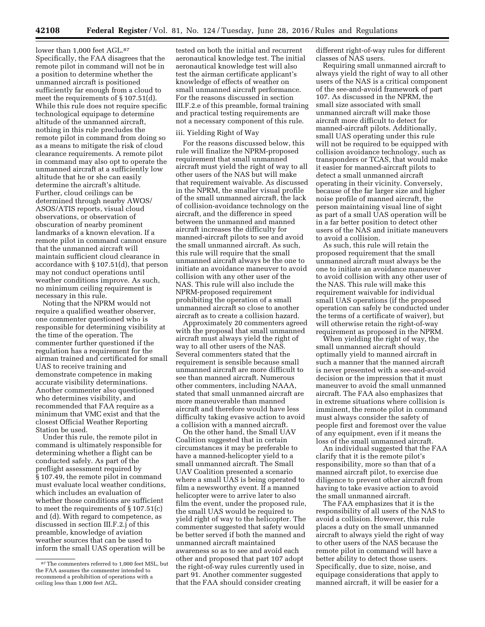lower than 1,000 feet AGL.<sup>87</sup> Specifically, the FAA disagrees that the remote pilot in command will not be in a position to determine whether the unmanned aircraft is positioned sufficiently far enough from a cloud to meet the requirements of § 107.51(d). While this rule does not require specific technological equipage to determine altitude of the unmanned aircraft, nothing in this rule precludes the remote pilot in command from doing so as a means to mitigate the risk of cloud clearance requirements. A remote pilot in command may also opt to operate the unmanned aircraft at a sufficiently low altitude that he or she can easily determine the aircraft's altitude. Further, cloud ceilings can be determined through nearby AWOS/ ASOS/ATIS reports, visual cloud observations, or observation of obscuration of nearby prominent landmarks of a known elevation. If a remote pilot in command cannot ensure that the unmanned aircraft will maintain sufficient cloud clearance in accordance with § 107.51(d), that person may not conduct operations until weather conditions improve. As such, no minimum ceiling requirement is necessary in this rule.

Noting that the NPRM would not require a qualified weather observer, one commenter questioned who is responsible for determining visibility at the time of the operation. The commenter further questioned if the regulation has a requirement for the airman trained and certificated for small UAS to receive training and demonstrate competence in making accurate visibility determinations. Another commenter also questioned who determines visibility, and recommended that FAA require as a minimum that VMC exist and that the closest Official Weather Reporting Station be used.

Under this rule, the remote pilot in command is ultimately responsible for determining whether a flight can be conducted safely. As part of the preflight assessment required by § 107.49, the remote pilot in command must evaluate local weather conditions, which includes an evaluation of whether those conditions are sufficient to meet the requirements of § 107.51(c) and (d). With regard to competence, as discussed in section III.F.2.j of this preamble, knowledge of aviation weather sources that can be used to inform the small UAS operation will be

tested on both the initial and recurrent aeronautical knowledge test. The initial aeronautical knowledge test will also test the airman certificate applicant's knowledge of effects of weather on small unmanned aircraft performance. For the reasons discussed in section III.F.2.e of this preamble, formal training and practical testing requirements are not a necessary component of this rule.

### iii. Yielding Right of Way

For the reasons discussed below, this rule will finalize the NPRM-proposed requirement that small unmanned aircraft must yield the right of way to all other users of the NAS but will make that requirement waivable. As discussed in the NPRM, the smaller visual profile of the small unmanned aircraft, the lack of collision-avoidance technology on the aircraft, and the difference in speed between the unmanned and manned aircraft increases the difficulty for manned-aircraft pilots to see and avoid the small unmanned aircraft. As such, this rule will require that the small unmanned aircraft always be the one to initiate an avoidance maneuver to avoid collision with any other user of the NAS. This rule will also include the NPRM-proposed requirement prohibiting the operation of a small unmanned aircraft so close to another aircraft as to create a collision hazard.

Approximately 20 commenters agreed with the proposal that small unmanned aircraft must always yield the right of way to all other users of the NAS. Several commenters stated that the requirement is sensible because small unmanned aircraft are more difficult to see than manned aircraft. Numerous other commenters, including NAAA, stated that small unmanned aircraft are more maneuverable than manned aircraft and therefore would have less difficulty taking evasive action to avoid a collision with a manned aircraft.

On the other hand, the Small UAV Coalition suggested that in certain circumstances it may be preferable to have a manned-helicopter yield to a small unmanned aircraft. The Small UAV Coalition presented a scenario where a small UAS is being operated to film a newsworthy event. If a manned helicopter were to arrive later to also film the event, under the proposed rule, the small UAS would be required to yield right of way to the helicopter. The commenter suggested that safety would be better served if both the manned and unmanned aircraft maintained awareness so as to see and avoid each other and proposed that part 107 adopt the right-of-way rules currently used in part 91. Another commenter suggested that the FAA should consider creating

different right-of-way rules for different classes of NAS users.

Requiring small unmanned aircraft to always yield the right of way to all other users of the NAS is a critical component of the see-and-avoid framework of part 107. As discussed in the NPRM, the small size associated with small unmanned aircraft will make those aircraft more difficult to detect for manned-aircraft pilots. Additionally, small UAS operating under this rule will not be required to be equipped with collision avoidance technology, such as transponders or TCAS, that would make it easier for manned-aircraft pilots to detect a small unmanned aircraft operating in their vicinity. Conversely, because of the far larger size and higher noise profile of manned aircraft, the person maintaining visual line of sight as part of a small UAS operation will be in a far better position to detect other users of the NAS and initiate maneuvers to avoid a collision.

As such, this rule will retain the proposed requirement that the small unmanned aircraft must always be the one to initiate an avoidance maneuver to avoid collision with any other user of the NAS. This rule will make this requirement waivable for individual small UAS operations (if the proposed operation can safely be conducted under the terms of a certificate of waiver), but will otherwise retain the right-of-way requirement as proposed in the NPRM.

When yielding the right of way, the small unmanned aircraft should optimally yield to manned aircraft in such a manner that the manned aircraft is never presented with a see-and-avoid decision or the impression that it must maneuver to avoid the small unmanned aircraft. The FAA also emphasizes that in extreme situations where collision is imminent, the remote pilot in command must always consider the safety of people first and foremost over the value of any equipment, even if it means the loss of the small unmanned aircraft.

An individual suggested that the FAA clarify that it is the remote pilot's responsibility, more so than that of a manned aircraft pilot, to exercise due diligence to prevent other aircraft from having to take evasive action to avoid the small unmanned aircraft.

The FAA emphasizes that it is the responsibility of all users of the NAS to avoid a collision. However, this rule places a duty on the small unmanned aircraft to always yield the right of way to other users of the NAS because the remote pilot in command will have a better ability to detect those users. Specifically, due to size, noise, and equipage considerations that apply to manned aircraft, it will be easier for a

<sup>&</sup>lt;sup>87</sup>The commenters referred to 1,000 feet MSL, but the FAA assumes the commenter intended to recommend a prohibition of operations with a ceiling less than 1,000 feet AGL.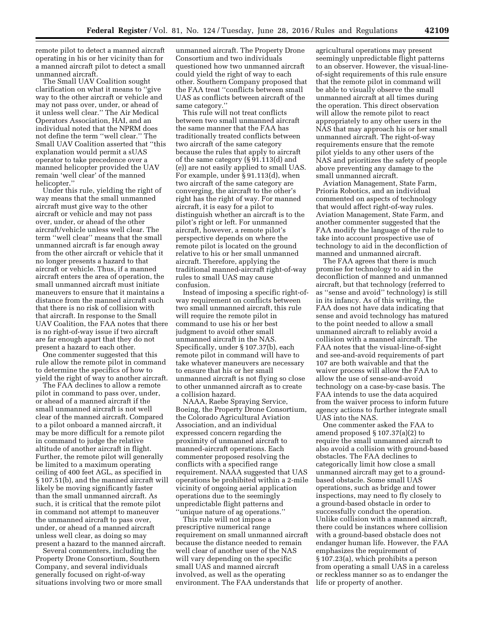remote pilot to detect a manned aircraft operating in his or her vicinity than for a manned aircraft pilot to detect a small unmanned aircraft.

The Small UAV Coalition sought clarification on what it means to ''give way to the other aircraft or vehicle and may not pass over, under, or ahead of it unless well clear.'' The Air Medical Operators Association, HAI, and an individual noted that the NPRM does not define the term ''well clear.'' The Small UAV Coalition asserted that ''this explanation would permit a sUAS operator to take precedence over a manned helicopter provided the UAV remain 'well clear' of the manned helicopter.''

Under this rule, yielding the right of way means that the small unmanned aircraft must give way to the other aircraft or vehicle and may not pass over, under, or ahead of the other aircraft/vehicle unless well clear. The term ''well clear'' means that the small unmanned aircraft is far enough away from the other aircraft or vehicle that it no longer presents a hazard to that aircraft or vehicle. Thus, if a manned aircraft enters the area of operation, the small unmanned aircraft must initiate maneuvers to ensure that it maintains a distance from the manned aircraft such that there is no risk of collision with that aircraft. In response to the Small UAV Coalition, the FAA notes that there is no right-of-way issue if two aircraft are far enough apart that they do not present a hazard to each other.

One commenter suggested that this rule allow the remote pilot in command to determine the specifics of how to yield the right of way to another aircraft.

The FAA declines to allow a remote pilot in command to pass over, under, or ahead of a manned aircraft if the small unmanned aircraft is not well clear of the manned aircraft. Compared to a pilot onboard a manned aircraft, it may be more difficult for a remote pilot in command to judge the relative altitude of another aircraft in flight. Further, the remote pilot will generally be limited to a maximum operating ceiling of 400 feet AGL, as specified in § 107.51(b), and the manned aircraft will likely be moving significantly faster than the small unmanned aircraft. As such, it is critical that the remote pilot in command not attempt to maneuver the unmanned aircraft to pass over, under, or ahead of a manned aircraft unless well clear, as doing so may present a hazard to the manned aircraft.

Several commenters, including the Property Drone Consortium, Southern Company, and several individuals generally focused on right-of-way situations involving two or more small

unmanned aircraft. The Property Drone Consortium and two individuals questioned how two unmanned aircraft could yield the right of way to each other. Southern Company proposed that the FAA treat ''conflicts between small UAS as conflicts between aircraft of the same category.''

This rule will not treat conflicts between two small unmanned aircraft the same manner that the FAA has traditionally treated conflicts between two aircraft of the same category because the rules that apply to aircraft of the same category (§ 91.113(d) and (e)) are not easily applied to small UAS. For example, under § 91.113(d), when two aircraft of the same category are converging, the aircraft to the other's right has the right of way. For manned aircraft, it is easy for a pilot to distinguish whether an aircraft is to the pilot's right or left. For unmanned aircraft, however, a remote pilot's perspective depends on where the remote pilot is located on the ground relative to his or her small unmanned aircraft. Therefore, applying the traditional manned-aircraft right-of-way rules to small UAS may cause confusion.

Instead of imposing a specific right-ofway requirement on conflicts between two small unmanned aircraft, this rule will require the remote pilot in command to use his or her best judgment to avoid other small unmanned aircraft in the NAS. Specifically, under § 107.37(b), each remote pilot in command will have to take whatever maneuvers are necessary to ensure that his or her small unmanned aircraft is not flying so close to other unmanned aircraft as to create a collision hazard.

NAAA, Raebe Spraying Service, Boeing, the Property Drone Consortium, the Colorado Agricultural Aviation Association, and an individual expressed concern regarding the proximity of unmanned aircraft to manned-aircraft operations. Each commenter proposed resolving the conflicts with a specified range requirement. NAAA suggested that UAS operations be prohibited within a 2-mile vicinity of ongoing aerial application operations due to the seemingly unpredictable flight patterns and ''unique nature of ag operations.''

This rule will not impose a prescriptive numerical range requirement on small unmanned aircraft because the distance needed to remain well clear of another user of the NAS will vary depending on the specific small UAS and manned aircraft involved, as well as the operating environment. The FAA understands that agricultural operations may present seemingly unpredictable flight patterns to an observer. However, the visual-lineof-sight requirements of this rule ensure that the remote pilot in command will be able to visually observe the small unmanned aircraft at all times during the operation. This direct observation will allow the remote pilot to react appropriately to any other users in the NAS that may approach his or her small unmanned aircraft. The right-of-way requirements ensure that the remote pilot yields to any other users of the NAS and prioritizes the safety of people above preventing any damage to the small unmanned aircraft.

Aviation Management, State Farm, Prioria Robotics, and an individual commented on aspects of technology that would affect right-of-way rules. Aviation Management, State Farm, and another commenter suggested that the FAA modify the language of the rule to take into account prospective use of technology to aid in the deconfliction of manned and unmanned aircraft.

The FAA agrees that there is much promise for technology to aid in the deconfliction of manned and unmanned aircraft, but that technology (referred to as ''sense and avoid'' technology) is still in its infancy. As of this writing, the FAA does not have data indicating that sense and avoid technology has matured to the point needed to allow a small unmanned aircraft to reliably avoid a collision with a manned aircraft. The FAA notes that the visual-line-of-sight and see-and-avoid requirements of part 107 are both waivable and that the waiver process will allow the FAA to allow the use of sense-and-avoid technology on a case-by-case basis. The FAA intends to use the data acquired from the waiver process to inform future agency actions to further integrate small UAS into the NAS.

One commenter asked the FAA to amend proposed § 107.37(a)(2) to require the small unmanned aircraft to also avoid a collision with ground-based obstacles. The FAA declines to categorically limit how close a small unmanned aircraft may get to a groundbased obstacle. Some small UAS operations, such as bridge and tower inspections, may need to fly closely to a ground-based obstacle in order to successfully conduct the operation. Unlike collision with a manned aircraft, there could be instances where collision with a ground-based obstacle does not endanger human life. However, the FAA emphasizes the requirement of § 107.23(a), which prohibits a person from operating a small UAS in a careless or reckless manner so as to endanger the life or property of another.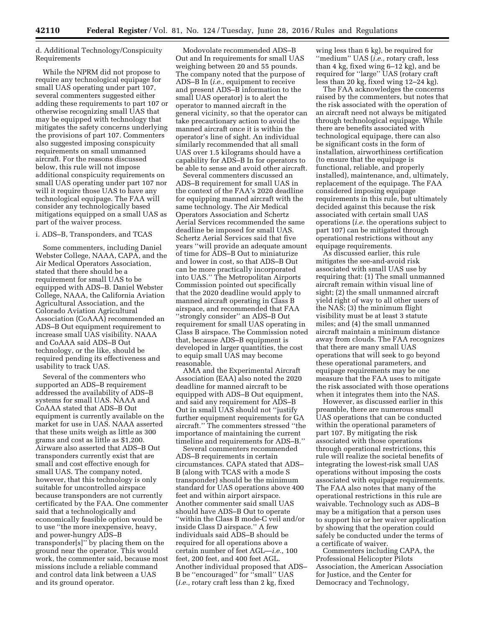d. Additional Technology/Conspicuity Requirements

While the NPRM did not propose to require any technological equipage for small UAS operating under part 107, several commenters suggested either adding these requirements to part 107 or otherwise recognizing small UAS that may be equipped with technology that mitigates the safety concerns underlying the provisions of part 107. Commenters also suggested imposing conspicuity requirements on small unmanned aircraft. For the reasons discussed below, this rule will not impose additional conspicuity requirements on small UAS operating under part 107 nor will it require those UAS to have any technological equipage. The FAA will consider any technologically based mitigations equipped on a small UAS as part of the waiver process.

## i. ADS–B, Transponders, and TCAS

Some commenters, including Daniel Webster College, NAAA, CAPA, and the Air Medical Operators Association, stated that there should be a requirement for small UAS to be equipped with ADS–B. Daniel Webster College, NAAA, the California Aviation Agricultural Association, and the Colorado Aviation Agricultural Association (CoAAA) recommended an ADS–B Out equipment requirement to increase small UAS visibility. NAAA and CoAAA said ADS–B Out technology, or the like, should be required pending its effectiveness and usability to track UAS.

Several of the commenters who supported an ADS–B requirement addressed the availability of ADS–B systems for small UAS. NAAA and CoAAA stated that ADS–B Out equipment is currently available on the market for use in UAS. NAAA asserted that these units weigh as little as 300 grams and cost as little as \$1,200. Airware also asserted that ADS–B Out transponders currently exist that are small and cost effective enough for small UAS. The company noted, however, that this technology is only suitable for uncontrolled airspace because transponders are not currently certificated by the FAA. One commenter said that a technologically and economically feasible option would be to use ''the more inexpensive, heavy, and power-hungry ADS–B transponder[s]'' by placing them on the ground near the operator. This would work, the commenter said, because most missions include a reliable command and control data link between a UAS and its ground operator.

Modovolate recommended ADS–B Out and In requirements for small UAS weighing between 20 and 55 pounds. The company noted that the purpose of ADS–B In (*i.e.,* equipment to receive and present ADS–B information to the small UAS operator) is to alert the operator to manned aircraft in the general vicinity, so that the operator can take precautionary action to avoid the manned aircraft once it is within the operator's line of sight. An individual similarly recommended that all small UAS over 1.5 kilograms should have a capability for ADS–B In for operators to be able to sense and avoid other aircraft.

Several commenters discussed an ADS–B requirement for small UAS in the context of the FAA's 2020 deadline for equipping manned aircraft with the same technology. The Air Medical Operators Association and Schertz Aerial Services recommended the same deadline be imposed for small UAS. Schertz Aerial Services said that five years ''will provide an adequate amount of time for ADS–B Out to miniaturize and lower in cost, so that ADS–B Out can be more practically incorporated into UAS.'' The Metropolitan Airports Commission pointed out specifically that the 2020 deadline would apply to manned aircraft operating in Class B airspace, and recommended that FAA ''strongly consider'' an ADS–B Out requirement for small UAS operating in Class B airspace. The Commission noted that, because ADS–B equipment is developed in larger quantities, the cost to equip small UAS may become reasonable.

AMA and the Experimental Aircraft Association (EAA) also noted the 2020 deadline for manned aircraft to be equipped with ADS–B Out equipment, and said any requirement for ADS–B Out in small UAS should not ''justify further equipment requirements for GA aircraft.'' The commenters stressed ''the importance of maintaining the current timeline and requirements for ADS–B.''

Several commenters recommended ADS–B requirements in certain circumstances. CAPA stated that ADS– B (along with TCAS with a mode S transponder) should be the minimum standard for UAS operations above 400 feet and within airport airspace. Another commenter said small UAS should have ADS–B Out to operate ''within the Class B mode-C veil and/or inside Class D airspace.'' A few individuals said ADS–B should be required for all operations above a certain number of feet AGL—*i.e.,* 100 feet, 200 feet, and 400 feet AGL. Another individual proposed that ADS– B be ''encouraged'' for ''small'' UAS (*i.e.,* rotary craft less than 2 kg, fixed

wing less than 6 kg), be required for ''medium'' UAS (*i.e.,* rotary craft, less than 4 kg, fixed wing 6–12 kg), and be required for ''large'' UAS (rotary craft less than 20 kg, fixed wing 12–24 kg).

The FAA acknowledges the concerns raised by the commenters, but notes that the risk associated with the operation of an aircraft need not always be mitigated through technological equipage. While there are benefits associated with technological equipage, there can also be significant costs in the form of installation, airworthiness certification (to ensure that the equipage is functional, reliable, and properly installed), maintenance, and, ultimately, replacement of the equipage. The FAA considered imposing equipage requirements in this rule, but ultimately decided against this because the risk associated with certain small UAS operations (*i.e.* the operations subject to part 107) can be mitigated through operational restrictions without any equipage requirements.

As discussed earlier, this rule mitigates the see-and-avoid risk associated with small UAS use by requiring that: (1) The small unmanned aircraft remain within visual line of sight; (2) the small unmanned aircraft yield right of way to all other users of the NAS; (3) the minimum flight visibility must be at least 3 statute miles; and (4) the small unmanned aircraft maintain a minimum distance away from clouds. The FAA recognizes that there are many small UAS operations that will seek to go beyond these operational parameters, and equipage requirements may be one measure that the FAA uses to mitigate the risk associated with those operations when it integrates them into the NAS.

However, as discussed earlier in this preamble, there are numerous small UAS operations that can be conducted within the operational parameters of part 107. By mitigating the risk associated with those operations through operational restrictions, this rule will realize the societal benefits of integrating the lowest-risk small UAS operations without imposing the costs associated with equipage requirements. The FAA also notes that many of the operational restrictions in this rule are waivable. Technology such as ADS–B may be a mitigation that a person uses to support his or her waiver application by showing that the operation could safely be conducted under the terms of a certificate of waiver.

Commenters including CAPA, the Professional Helicopter Pilots Association, the American Association for Justice, and the Center for Democracy and Technology,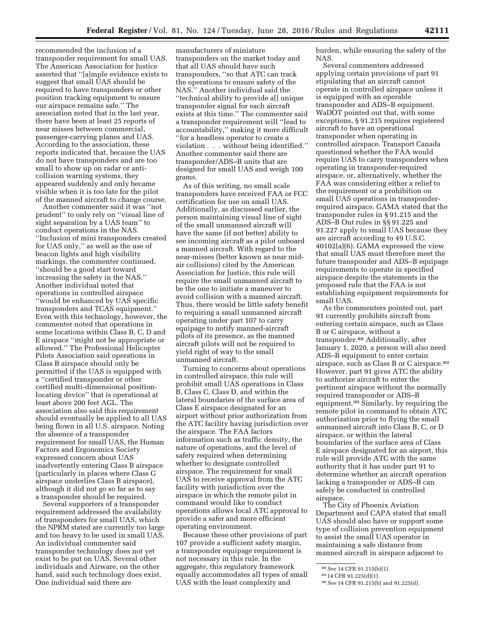recommended the inclusion of a transponder requirement for small UAS. The American Association for Justice asserted that ''[a]mple evidence exists to suggest that small UAS should be required to have transponders or other position tracking equipment to ensure our airspace remains safe.'' The association noted that in the last year, there have been at least 25 reports of near misses between commercial, passenger-carrying planes and UAS. According to the association, these reports indicated that, because the UAS do not have transponders and are too small to show up on radar or anticollision warning systems, they appeared suddenly and only became visible when it is too late for the pilot of the manned aircraft to change course.

Another commenter said it was ''not prudent'' to only rely on ''visual line of sight separation by a UAS team'' to conduct operations in the NAS. ''Inclusion of mini transponders created for UAS only,'' as well as the use of beacon lights and high visibility markings, the commenter continued, ''should be a good start toward increasing the safety in the NAS.'' Another individual noted that operations in controlled airspace ''would be enhanced by UAS specific transponders and TCAS equipment.'' Even with this technology, however, the commenter noted that operations in some locations within Class B, C, D and E airspace ''might not be appropriate or allowed.'' The Professional Helicopter Pilots Association said operations in Class B airspace should only be permitted if the UAS is equipped with a ''certified transponder or other certified multi-dimensional positionlocating device'' that is operational at least above 200 feet AGL. The association also said this requirement should eventually be applied to all UAS being flown in all U.S. airspace. Noting the absence of a transponder requirement for small UAS, the Human Factors and Ergonomics Society expressed concern about UAS inadvertently entering Class B airspace (particularly in places where Class G airspace underlies Class B airspace), although it did not go so far as to say a transponder should be required.

Several supporters of a transponder requirement addressed the availability of transponders for small UAS, which the NPRM stated are currently too large and too heavy to be used in small UAS. An individual commenter said transponder technology does not yet exist to be put on UAS. Several other individuals and Airware, on the other hand, said such technology does exist. One individual said there are

manufacturers of miniature transponders on the market today and that all UAS should have such transponders, ''so that ATC can track the operations to ensure safety of the NAS.'' Another individual said the ''technical ability to provide a[] unique transponder signal for each aircraft exists at this time.'' The commenter said a transponder requirement will ''lead to accountability,'' making it more difficult ''for a headless operator to create a violation . . . without being identified.'' Another commenter said there are transponder/ADS–B units that are designed for small UAS and weigh 100 grams.

As of this writing, no small scale transponders have received FAA or FCC certification for use on small UAS. Additionally, as discussed earlier, the person maintaining visual line of sight of the small unmanned aircraft will have the same (if not better) ability to see incoming aircraft as a pilot onboard a manned aircraft. With regard to the near-misses (better known as near midair collisions) cited by the American Association for Justice, this rule will require the small unmanned aircraft to be the one to initiate a maneuver to avoid collision with a manned aircraft. Thus, there would be little safety benefit to requiring a small unmanned aircraft operating under part 107 to carry equipage to notify manned-aircraft pilots of its presence, as the manned aircraft pilots will not be required to yield right of way to the small unmanned aircraft.

Turning to concerns about operations in controlled airspace, this rule will prohibit small UAS operations in Class B, Class C, Class D, and within the lateral boundaries of the surface area of Class E airspace designated for an airport without prior authorization from the ATC facility having jurisdiction over the airspace. The FAA factors information such as traffic density, the nature of operations, and the level of safety required when determining whether to designate controlled airspace. The requirement for small UAS to receive approval from the ATC facility with jurisdiction over the airspace in which the remote pilot in command would like to conduct operations allows local ATC approval to provide a safer and more efficient operating environment.

Because these other provisions of part 107 provide a sufficient safety margin, a transponder equipage requirement is not necessary in this rule. In the aggregate, this regulatory framework equally accommodates all types of small UAS with the least complexity and

burden, while ensuring the safety of the NAS.

Several commenters addressed applying certain provisions of part 91 stipulating that an aircraft cannot operate in controlled airspace unless it is equipped with an operable transponder and ADS–B equipment. WaDOT pointed out that, with some exceptions, § 91.215 requires registered aircraft to have an operational transponder when operating in controlled airspace. Transport Canada questioned whether the FAA would require UAS to carry transponders when operating in transponder-required airspace, or, alternatively, whether the FAA was considering either a relief to the requirement or a prohibition on small UAS operations in transponderrequired airspace. GAMA stated that the transponder rules in § 91.215 and the ADS–B Out rules in §§ 91.225 and 91.227 apply to small UAS because they are aircraft according to 49 U.S.C. 40102(a)(6). GAMA expressed the view that small UAS must therefore meet the future transponder and ADS–B equipage requirements to operate in specified airspace despite the statements in the proposed rule that the FAA is not establishing equipment requirements for small UAS.

As the commenters pointed out, part 91 currently prohibits aircraft from entering certain airspace, such as Class B or C airspace, without a transponder.88 Additionally, after January 1, 2020, a person will also need ADS–B equipment to enter certain airspace, such as Class B or C airspace.89 However, part 91 gives ATC the ability to authorize aircraft to enter the pertinent airspace without the normally required transponder or ADS–B equipment.90 Similarly, by requiring the remote pilot in command to obtain ATC authorization prior to flying the small unmanned aircraft into Class B, C, or D airspace, or within the lateral boundaries of the surface area of Class E airspace designated for an airport, this rule will provide ATC with the same authority that it has under part 91 to determine whether an aircraft operation lacking a transponder or ADS–B can safely be conducted in controlled airspace.

The City of Phoenix Aviation Department and CAPA stated that small UAS should also have or support some type of collision prevention equipment to assist the small UAS operator in maintaining a safe distance from manned aircraft in airspace adjacent to

<sup>88</sup>*See* 14 CFR 91.215(b)(1).

<sup>89 14</sup> CFR 91.225(d)(1).

<sup>90</sup>*See* 14 CFR 91.215(b) and 91.225(d).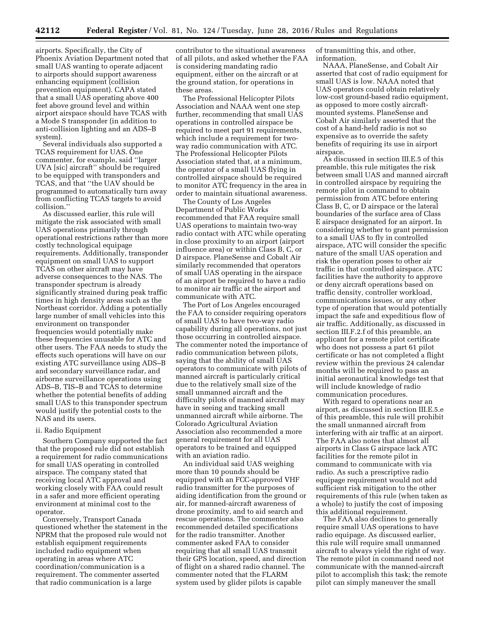airports. Specifically, the City of Phoenix Aviation Department noted that small UAS wanting to operate adjacent to airports should support awareness enhancing equipment (collision prevention equipment). CAPA stated that a small UAS operating above 400 feet above ground level and within airport airspace should have TCAS with a Mode S transponder (in addition to anti-collision lighting and an ADS–B system).

Several individuals also supported a TCAS requirement for UAS. One commenter, for example, said ''larger UVA [sic] aircraft'' should be required to be equipped with transponders and TCAS, and that ''the UAV should be programmed to automatically turn away from conflicting TCAS targets to avoid collision.''

As discussed earlier, this rule will mitigate the risk associated with small UAS operations primarily through operational restrictions rather than more costly technological equipage requirements. Additionally, transponder equipment on small UAS to support TCAS on other aircraft may have adverse consequences to the NAS. The transponder spectrum is already significantly strained during peak traffic times in high density areas such as the Northeast corridor. Adding a potentially large number of small vehicles into this environment on transponder frequencies would potentially make these frequencies unusable for ATC and other users. The FAA needs to study the effects such operations will have on our existing ATC surveillance using ADS–B and secondary surveillance radar, and airborne surveillance operations using ADS–B, TIS–B and TCAS to determine whether the potential benefits of adding small UAS to this transponder spectrum would justify the potential costs to the NAS and its users.

## ii. Radio Equipment

Southern Company supported the fact that the proposed rule did not establish a requirement for radio communications for small UAS operating in controlled airspace. The company stated that receiving local ATC approval and working closely with FAA could result in a safer and more efficient operating environment at minimal cost to the operator.

Conversely, Transport Canada questioned whether the statement in the NPRM that the proposed rule would not establish equipment requirements included radio equipment when operating in areas where ATC coordination/communication is a requirement. The commenter asserted that radio communication is a large

contributor to the situational awareness of all pilots, and asked whether the FAA is considering mandating radio equipment, either on the aircraft or at the ground station, for operations in these areas.

The Professional Helicopter Pilots Association and NAAA went one step further, recommending that small UAS operations in controlled airspace be required to meet part 91 requirements, which include a requirement for twoway radio communication with ATC. The Professional Helicopter Pilots Association stated that, at a minimum, the operator of a small UAS flying in controlled airspace should be required to monitor ATC frequency in the area in order to maintain situational awareness.

The County of Los Angeles Department of Public Works recommended that FAA require small UAS operations to maintain two-way radio contact with ATC while operating in close proximity to an airport (airport influence area) or within Class B, C, or D airspace. PlaneSense and Cobalt Air similarly recommended that operators of small UAS operating in the airspace of an airport be required to have a radio to monitor air traffic at the airport and communicate with ATC.

The Port of Los Angeles encouraged the FAA to consider requiring operators of small UAS to have two-way radio capability during all operations, not just those occurring in controlled airspace. The commenter noted the importance of radio communication between pilots, saying that the ability of small UAS operators to communicate with pilots of manned aircraft is particularly critical due to the relatively small size of the small unmanned aircraft and the difficulty pilots of manned aircraft may have in seeing and tracking small unmanned aircraft while airborne. The Colorado Agricultural Aviation Association also recommended a more general requirement for all UAS operators to be trained and equipped with an aviation radio.

An individual said UAS weighing more than 10 pounds should be equipped with an FCC-approved VHF radio transmitter for the purposes of aiding identification from the ground or air, for manned-aircraft awareness of drone proximity, and to aid search and rescue operations. The commenter also recommended detailed specifications for the radio transmitter. Another commenter asked FAA to consider requiring that all small UAS transmit their GPS location, speed, and direction of flight on a shared radio channel. The commenter noted that the FLARM system used by glider pilots is capable

of transmitting this, and other, information.

NAAA, PlaneSense, and Cobalt Air asserted that cost of radio equipment for small UAS is low. NAAA noted that UAS operators could obtain relatively low-cost ground-based radio equipment, as opposed to more costly aircraftmounted systems. PlaneSense and Cobalt Air similarly asserted that the cost of a hand-held radio is not so expensive as to override the safety benefits of requiring its use in airport airspace.

As discussed in section III.E.5 of this preamble, this rule mitigates the risk between small UAS and manned aircraft in controlled airspace by requiring the remote pilot in command to obtain permission from ATC before entering Class B, C, or D airspace or the lateral boundaries of the surface area of Class E airspace designated for an airport. In considering whether to grant permission to a small UAS to fly in controlled airspace, ATC will consider the specific nature of the small UAS operation and risk the operation poses to other air traffic in that controlled airspace. ATC facilities have the authority to approve or deny aircraft operations based on traffic density, controller workload, communications issues, or any other type of operation that would potentially impact the safe and expeditious flow of air traffic. Additionally, as discussed in section III.F.2.f of this preamble, an applicant for a remote pilot certificate who does not possess a part 61 pilot certificate or has not completed a flight review within the previous 24 calendar months will be required to pass an initial aeronautical knowledge test that will include knowledge of radio communication procedures.

With regard to operations near an airport, as discussed in section III.E.5.e of this preamble, this rule will prohibit the small unmanned aircraft from interfering with air traffic at an airport. The FAA also notes that almost all airports in Class G airspace lack ATC facilities for the remote pilot in command to communicate with via radio. As such a prescriptive radio equipage requirement would not add sufficient risk mitigation to the other requirements of this rule (when taken as a whole) to justify the cost of imposing this additional requirement.

The FAA also declines to generally require small UAS operations to have radio equipage. As discussed earlier, this rule will require small unmanned aircraft to always yield the right of way. The remote pilot in command need not communicate with the manned-aircraft pilot to accomplish this task; the remote pilot can simply maneuver the small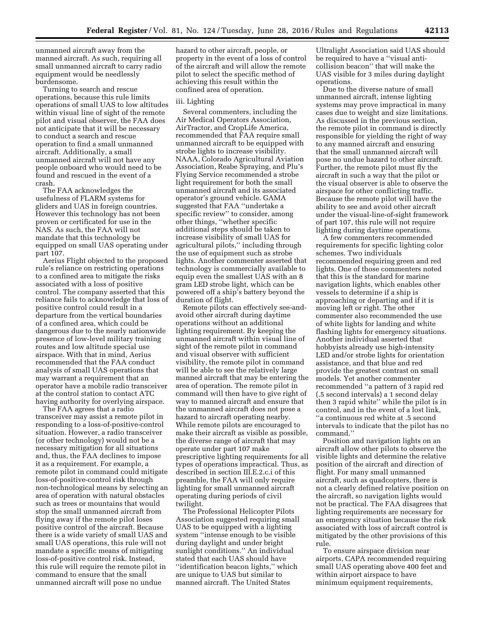unmanned aircraft away from the manned aircraft. As such, requiring all small unmanned aircraft to carry radio equipment would be needlessly burdensome.

Turning to search and rescue operations, because this rule limits operations of small UAS to low altitudes within visual line of sight of the remote pilot and visual observer, the FAA does not anticipate that it will be necessary to conduct a search and rescue operation to find a small unmanned aircraft. Additionally, a small unmanned aircraft will not have any people onboard who would need to be found and rescued in the event of a crash.

The FAA acknowledges the usefulness of FLARM systems for gliders and UAS in foreign countries. However this technology has not been proven or certificated for use in the NAS. As such, the FAA will not mandate that this technology be equipped on small UAS operating under part 107.

Aerius Flight objected to the proposed rule's reliance on restricting operations to a confined area to mitigate the risks associated with a loss of positive control. The company asserted that this reliance fails to acknowledge that loss of positive control could result in a departure from the vertical boundaries of a confined area, which could be dangerous due to the nearly nationwide presence of low-level military training routes and low altitude special use airspace. With that in mind, Aerius recommended that the FAA conduct analysis of small UAS operations that may warrant a requirement that an operator have a mobile radio transceiver at the control station to contact ATC having authority for overlying airspace.

The FAA agrees that a radio transceiver may assist a remote pilot in responding to a loss-of-positive-control situation. However, a radio transceiver (or other technology) would not be a necessary mitigation for all situations and, thus, the FAA declines to impose it as a requirement. For example, a remote pilot in command could mitigate loss-of-positive-control risk through non-technological means by selecting an area of operation with natural obstacles such as trees or mountains that would stop the small unmanned aircraft from flying away if the remote pilot loses positive control of the aircraft. Because there is a wide variety of small UAS and small UAS operations, this rule will not mandate a specific means of mitigating loss-of-positive control risk. Instead, this rule will require the remote pilot in command to ensure that the small unmanned aircraft will pose no undue

hazard to other aircraft, people, or property in the event of a loss of control of the aircraft and will allow the remote pilot to select the specific method of achieving this result within the confined area of operation.

### iii. Lighting

Several commenters, including the Air Medical Operators Association, AirTractor, and CropLife America, recommended that FAA require small unmanned aircraft to be equipped with strobe lights to increase visibility. NAAA, Colorado Agricultural Aviation Association, Reabe Spraying, and Plu's Flying Service recommended a strobe light requirement for both the small unmanned aircraft and its associated operator's ground vehicle. GAMA suggested that FAA ''undertake a specific review'' to consider, among other things, ''whether specific additional steps should be taken to increase visibility of small UAS for agricultural pilots,'' including through the use of equipment such as strobe lights. Another commenter asserted that technology is commercially available to equip even the smallest UAS with an 8 gram LED strobe light, which can be powered off a ship's battery beyond the duration of flight.

Remote pilots can effectively see-andavoid other aircraft during daytime operations without an additional lighting requirement. By keeping the unmanned aircraft within visual line of sight of the remote pilot in command and visual observer with sufficient visibility, the remote pilot in command will be able to see the relatively large manned aircraft that may be entering the area of operation. The remote pilot in command will then have to give right of way to manned aircraft and ensure that the unmanned aircraft does not pose a hazard to aircraft operating nearby. While remote pilots are encouraged to make their aircraft as visible as possible, the diverse range of aircraft that may operate under part 107 make prescriptive lighting requirements for all types of operations impractical. Thus, as described in section III.E.2.c.i of this preamble, the FAA will only require lighting for small unmanned aircraft operating during periods of civil twilight.

The Professional Helicopter Pilots Association suggested requiring small UAS to be equipped with a lighting system ''intense enough to be visible during daylight and under bright sunlight conditions.'' An individual stated that each UAS should have ''identification beacon lights,'' which are unique to UAS but similar to manned aircraft. The United States

Ultralight Association said UAS should be required to have a ''visual anticollision beacon'' that will make the UAS visible for 3 miles during daylight operations.

Due to the diverse nature of small unmanned aircraft, intense lighting systems may prove impractical in many cases due to weight and size limitations. As discussed in the previous section, the remote pilot in command is directly responsible for yielding the right of way to any manned aircraft and ensuring that the small unmanned aircraft will pose no undue hazard to other aircraft. Further, the remote pilot must fly the aircraft in such a way that the pilot or the visual observer is able to observe the airspace for other conflicting traffic. Because the remote pilot will have the ability to see and avoid other aircraft under the visual-line-of-sight framework of part 107, this rule will not require lighting during daytime operations.

A few commenters recommended requirements for specific lighting color schemes. Two individuals recommended requiring green and red lights. One of those commenters noted that this is the standard for marine navigation lights, which enables other vessels to determine if a ship is approaching or departing and if it is moving left or right. The other commenter also recommended the use of white lights for landing and white flashing lights for emergency situations. Another individual asserted that hobbyists already use high-intensity LED and/or strobe lights for orientation assistance, and that blue and red provide the greatest contrast on small models. Yet another commenter recommended ''a pattern of 3 rapid red (.5 second intervals) a 1 second delay then 3 rapid white'' while the pilot is in control, and in the event of a lost link, ''a continuous red white at .5 second intervals to indicate that the pilot has no command.''

Position and navigation lights on an aircraft allow other pilots to observe the visible lights and determine the relative position of the aircraft and direction of flight. For many small unmanned aircraft, such as quadcopters, there is not a clearly defined relative position on the aircraft, so navigation lights would not be practical. The FAA disagrees that lighting requirements are necessary for an emergency situation because the risk associated with loss of aircraft control is mitigated by the other provisions of this rule.

To ensure airspace division near airports, CAPA recommended requiring small UAS operating above 400 feet and within airport airspace to have minimum equipment requirements,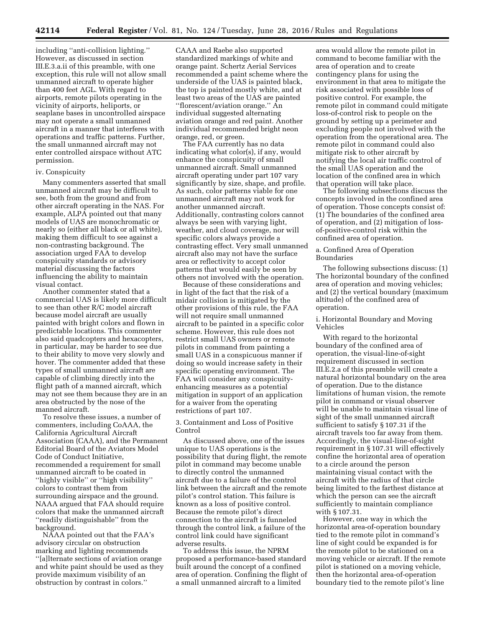including ''anti-collision lighting.'' However, as discussed in section III.E.3.a.ii of this preamble, with one exception, this rule will not allow small unmanned aircraft to operate higher than 400 feet AGL. With regard to airports, remote pilots operating in the vicinity of airports, heliports, or seaplane bases in uncontrolled airspace may not operate a small unmanned aircraft in a manner that interferes with operations and traffic patterns. Further, the small unmanned aircraft may not enter controlled airspace without ATC permission.

### iv. Conspicuity

Many commenters asserted that small unmanned aircraft may be difficult to see, both from the ground and from other aircraft operating in the NAS. For example, ALPA pointed out that many models of UAS are monochromatic or nearly so (either all black or all white), making them difficult to see against a non-contrasting background. The association urged FAA to develop conspicuity standards or advisory material discussing the factors influencing the ability to maintain visual contact.

Another commenter stated that a commercial UAS is likely more difficult to see than other R/C model aircraft because model aircraft are usually painted with bright colors and flown in predictable locations. This commenter also said quadcopters and hexacopters, in particular, may be harder to see due to their ability to move very slowly and hover. The commenter added that these types of small unmanned aircraft are capable of climbing directly into the flight path of a manned aircraft, which may not see them because they are in an area obstructed by the nose of the manned aircraft.

To resolve these issues, a number of commenters, including CoAAA, the California Agricultural Aircraft Association (CAAA), and the Permanent Editorial Board of the Aviators Model Code of Conduct Initiative, recommended a requirement for small unmanned aircraft to be coated in ''highly visible'' or ''high visibility'' colors to contrast them from surrounding airspace and the ground. NAAA argued that FAA should require colors that make the unmanned aircraft ''readily distinguishable'' from the background.

NAAA pointed out that the FAA's advisory circular on obstruction marking and lighting recommends ''[a]lternate sections of aviation orange and white paint should be used as they provide maximum visibility of an obstruction by contrast in colors.''

CAAA and Raebe also supported standardized markings of white and orange paint. Schertz Aerial Services recommended a paint scheme where the underside of the UAS is painted black, the top is painted mostly white, and at least two areas of the UAS are painted ''florescent/aviation orange.'' An individual suggested alternating aviation orange and red paint. Another individual recommended bright neon orange, red, or green.

The FAA currently has no data indicating what color(s), if any, would enhance the conspicuity of small unmanned aircraft. Small unmanned aircraft operating under part 107 vary significantly by size, shape, and profile. As such, color patterns viable for one unmanned aircraft may not work for another unmanned aircraft. Additionally, contrasting colors cannot always be seen with varying light, weather, and cloud coverage, nor will specific colors always provide a contrasting effect. Very small unmanned aircraft also may not have the surface area or reflectivity to accept color patterns that would easily be seen by others not involved with the operation.

Because of these considerations and in light of the fact that the risk of a midair collision is mitigated by the other provisions of this rule, the FAA will not require small unmanned aircraft to be painted in a specific color scheme. However, this rule does not restrict small UAS owners or remote pilots in command from painting a small UAS in a conspicuous manner if doing so would increase safety in their specific operating environment. The FAA will consider any conspicuityenhancing measures as a potential mitigation in support of an application for a waiver from the operating restrictions of part 107.

3. Containment and Loss of Positive Control

As discussed above, one of the issues unique to UAS operations is the possibility that during flight, the remote pilot in command may become unable to directly control the unmanned aircraft due to a failure of the control link between the aircraft and the remote pilot's control station. This failure is known as a loss of positive control. Because the remote pilot's direct connection to the aircraft is funneled through the control link, a failure of the control link could have significant adverse results.

To address this issue, the NPRM proposed a performance-based standard built around the concept of a confined area of operation. Confining the flight of a small unmanned aircraft to a limited

area would allow the remote pilot in command to become familiar with the area of operation and to create contingency plans for using the environment in that area to mitigate the risk associated with possible loss of positive control. For example, the remote pilot in command could mitigate loss-of-control risk to people on the ground by setting up a perimeter and excluding people not involved with the operation from the operational area. The remote pilot in command could also mitigate risk to other aircraft by notifying the local air traffic control of the small UAS operation and the location of the confined area in which that operation will take place.

The following subsections discuss the concepts involved in the confined area of operation. Those concepts consist of: (1) The boundaries of the confined area of operation, and (2) mitigation of lossof-positive-control risk within the confined area of operation.

## a. Confined Area of Operation Boundaries

The following subsections discuss: (1) The horizontal boundary of the confined area of operation and moving vehicles; and (2) the vertical boundary (maximum altitude) of the confined area of operation.

# i. Horizontal Boundary and Moving Vehicles

With regard to the horizontal boundary of the confined area of operation, the visual-line-of-sight requirement discussed in section III.E.2.a of this preamble will create a natural horizontal boundary on the area of operation. Due to the distance limitations of human vision, the remote pilot in command or visual observer will be unable to maintain visual line of sight of the small unmanned aircraft sufficient to satisfy § 107.31 if the aircraft travels too far away from them. Accordingly, the visual-line-of-sight requirement in § 107.31 will effectively confine the horizontal area of operation to a circle around the person maintaining visual contact with the aircraft with the radius of that circle being limited to the farthest distance at which the person can see the aircraft sufficiently to maintain compliance with § 107.31.

However, one way in which the horizontal area-of-operation boundary tied to the remote pilot in command's line of sight could be expanded is for the remote pilot to be stationed on a moving vehicle or aircraft. If the remote pilot is stationed on a moving vehicle, then the horizontal area-of-operation boundary tied to the remote pilot's line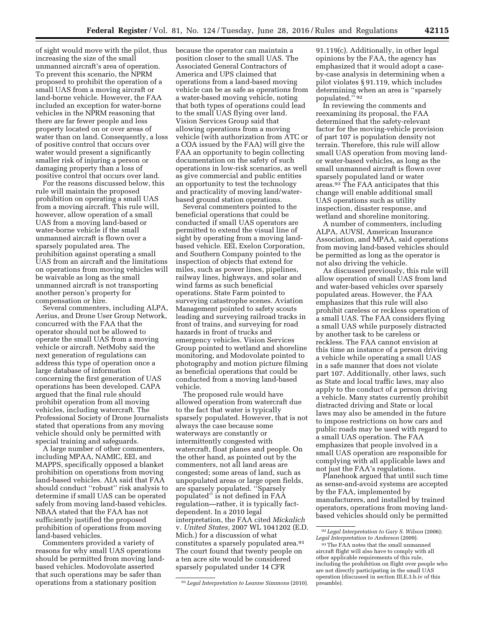of sight would move with the pilot, thus increasing the size of the small unmanned aircraft's area of operation. To prevent this scenario, the NPRM proposed to prohibit the operation of a small UAS from a moving aircraft or land-borne vehicle. However, the FAA included an exception for water-borne vehicles in the NPRM reasoning that there are far fewer people and less property located on or over areas of water than on land. Consequently, a loss of positive control that occurs over water would present a significantly smaller risk of injuring a person or damaging property than a loss of positive control that occurs over land.

For the reasons discussed below, this rule will maintain the proposed prohibition on operating a small UAS from a moving aircraft. This rule will, however, allow operation of a small UAS from a moving land-based or water-borne vehicle if the small unmanned aircraft is flown over a sparsely populated area. The prohibition against operating a small UAS from an aircraft and the limitations on operations from moving vehicles will be waivable as long as the small unmanned aircraft is not transporting another person's property for compensation or hire.

Several commenters, including ALPA, Aerius, and Drone User Group Network, concurred with the FAA that the operator should not be allowed to operate the small UAS from a moving vehicle or aircraft. NetMoby said the next generation of regulations can address this type of operation once a large database of information concerning the first generation of UAS operations has been developed. CAPA argued that the final rule should prohibit operation from all moving vehicles, including watercraft. The Professional Society of Drone Journalists stated that operations from any moving vehicle should only be permitted with special training and safeguards.

A large number of other commenters, including MPAA, NAMIC, EEI, and MAPPS, specifically opposed a blanket prohibition on operations from moving land-based vehicles. AIA said that FAA should conduct ''robust'' risk analysis to determine if small UAS can be operated safely from moving land-based vehicles. NBAA stated that the FAA has not sufficiently justified the proposed prohibition of operations from moving land-based vehicles.

Commenters provided a variety of reasons for why small UAS operations should be permitted from moving landbased vehicles. Modovolate asserted that such operations may be safer than operations from a stationary position

because the operator can maintain a position closer to the small UAS. The Associated General Contractors of America and UPS claimed that operations from a land-based moving vehicle can be as safe as operations from a water-based moving vehicle, noting that both types of operations could lead to the small UAS flying over land. Vision Services Group said that allowing operations from a moving vehicle (with authorization from ATC or a COA issued by the FAA) will give the FAA an opportunity to begin collecting documentation on the safety of such operations in low-risk scenarios, as well as give commercial and public entities an opportunity to test the technology and practicality of moving land/waterbased ground station operations.

Several commenters pointed to the beneficial operations that could be conducted if small UAS operators are permitted to extend the visual line of sight by operating from a moving landbased vehicle. EEI, Exelon Corporation, and Southern Company pointed to the inspection of objects that extend for miles, such as power lines, pipelines, railway lines, highways, and solar and wind farms as such beneficial operations. State Farm pointed to surveying catastrophe scenes. Aviation Management pointed to safety scouts leading and surveying railroad tracks in front of trains, and surveying for road hazards in front of trucks and emergency vehicles. Vision Services Group pointed to wetland and shoreline monitoring, and Modovolate pointed to photography and motion picture filming as beneficial operations that could be conducted from a moving land-based vehicle.

The proposed rule would have allowed operation from watercraft due to the fact that water is typically sparsely populated. However, that is not always the case because some waterways are constantly or intermittently congested with watercraft, float planes and people. On the other hand, as pointed out by the commenters, not all land areas are congested; some areas of land, such as unpopulated areas or large open fields, are sparsely populated. ''Sparsely populated'' is not defined in FAA regulation—rather, it is typically factdependent. In a 2010 legal interpretation, the FAA cited *Mickalich*  v. *United States,* 2007 WL 1041202 (E.D. Mich.) for a discussion of what constitutes a sparsely populated area.<sup>91</sup> The court found that twenty people on a ten acre site would be considered sparsely populated under 14 CFR

91.119(c). Additionally, in other legal opinions by the FAA, the agency has emphasized that it would adopt a caseby-case analysis in determining when a pilot violates § 91.119, which includes determining when an area is ''sparsely populated."<sup>92</sup>

In reviewing the comments and reexamining its proposal, the FAA determined that the safety-relevant factor for the moving-vehicle provision of part 107 is population density not terrain. Therefore, this rule will allow small UAS operation from moving landor water-based vehicles, as long as the small unmanned aircraft is flown over sparsely populated land or water areas.93 The FAA anticipates that this change will enable additional small UAS operations such as utility inspection, disaster response, and wetland and shoreline monitoring.

A number of commenters, including ALPA, AUVSI, American Insurance Association, and MPAA, said operations from moving land-based vehicles should be permitted as long as the operator is not also driving the vehicle.

As discussed previously, this rule will allow operation of small UAS from land and water-based vehicles over sparsely populated areas. However, the FAA emphasizes that this rule will also prohibit careless or reckless operation of a small UAS. The FAA considers flying a small UAS while purposely distracted by another task to be careless or reckless. The FAA cannot envision at this time an instance of a person driving a vehicle while operating a small UAS in a safe manner that does not violate part 107. Additionally, other laws, such as State and local traffic laws, may also apply to the conduct of a person driving a vehicle. Many states currently prohibit distracted driving and State or local laws may also be amended in the future to impose restrictions on how cars and public roads may be used with regard to a small UAS operation. The FAA emphasizes that people involved in a small UAS operation are responsible for complying with all applicable laws and not just the FAA's regulations.

Planehook argued that until such time as sense-and-avoid systems are accepted by the FAA, implemented by manufacturers, and installed by trained operators, operations from moving landbased vehicles should only be permitted

<sup>91</sup> *Legal Interpretation to Leanne Simmons* (2010).

<sup>92</sup> *Legal Interpretation to Gary S. Wilson* (2006); *Legal Interpretation to Anderson* (2009).

<sup>93</sup>The FAA notes that the small unmanned aircraft flight will also have to comply with all other applicable requirements of this rule, including the prohibition on flight over people who are not directly participating in the small UAS operation (discussed in section III.E.3.b.iv of this preamble).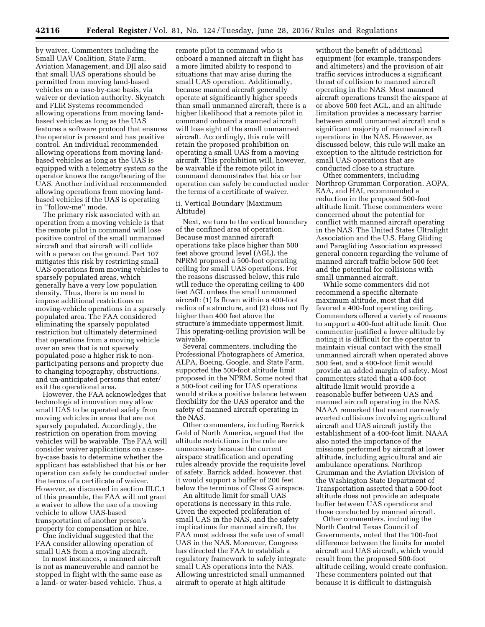by waiver. Commenters including the Small UAV Coalition, State Farm, Aviation Management, and DJI also said that small UAS operations should be permitted from moving land-based vehicles on a case-by-case basis, via waiver or deviation authority. Skycatch and FLIR Systems recommended allowing operations from moving landbased vehicles as long as the UAS features a software protocol that ensures the operator is present and has positive control. An individual recommended allowing operations from moving landbased vehicles as long as the UAS is equipped with a telemetry system so the operator knows the range/bearing of the UAS. Another individual recommended allowing operations from moving landbased vehicles if the UAS is operating in ''follow-me'' mode.

The primary risk associated with an operation from a moving vehicle is that the remote pilot in command will lose positive control of the small unmanned aircraft and that aircraft will collide with a person on the ground. Part 107 mitigates this risk by restricting small UAS operations from moving vehicles to sparsely populated areas, which generally have a very low population density. Thus, there is no need to impose additional restrictions on moving-vehicle operations in a sparsely populated area. The FAA considered eliminating the sparsely populated restriction but ultimately determined that operations from a moving vehicle over an area that is not sparsely populated pose a higher risk to nonparticipating persons and property due to changing topography, obstructions, and un-anticipated persons that enter/ exit the operational area.

However, the FAA acknowledges that technological innovation may allow small UAS to be operated safely from moving vehicles in areas that are not sparsely populated. Accordingly, the restriction on operation from moving vehicles will be waivable. The FAA will consider waiver applications on a caseby-case basis to determine whether the applicant has established that his or her operation can safely be conducted under the terms of a certificate of waiver. However, as discussed in section III.C.1 of this preamble, the FAA will not grant a waiver to allow the use of a moving vehicle to allow UAS-based transportation of another person's property for compensation or hire.

One individual suggested that the FAA consider allowing operation of small UAS from a moving aircraft.

In most instances, a manned aircraft is not as maneuverable and cannot be stopped in flight with the same ease as a land- or water-based vehicle. Thus, a

remote pilot in command who is onboard a manned aircraft in flight has a more limited ability to respond to situations that may arise during the small UAS operation. Additionally, because manned aircraft generally operate at significantly higher speeds than small unmanned aircraft, there is a higher likelihood that a remote pilot in command onboard a manned aircraft will lose sight of the small unmanned aircraft. Accordingly, this rule will retain the proposed prohibition on operating a small UAS from a moving aircraft. This prohibition will, however, be waivable if the remote pilot in command demonstrates that his or her operation can safely be conducted under the terms of a certificate of waiver.

ii. Vertical Boundary (Maximum Altitude)

Next, we turn to the vertical boundary of the confined area of operation. Because most manned aircraft operations take place higher than 500 feet above ground level (AGL), the NPRM proposed a 500-foot operating ceiling for small UAS operations. For the reasons discussed below, this rule will reduce the operating ceiling to 400 feet AGL unless the small unmanned aircraft: (1) Is flown within a 400-foot radius of a structure, and (2) does not fly higher than 400 feet above the structure's immediate uppermost limit. This operating-ceiling provision will be waivable.

Several commenters, including the Professional Photographers of America, ALPA, Boeing, Google, and State Farm, supported the 500-foot altitude limit proposed in the NPRM. Some noted that a 500-foot ceiling for UAS operations would strike a positive balance between flexibility for the UAS operator and the safety of manned aircraft operating in the NAS.

Other commenters, including Barrick Gold of North America, argued that the altitude restrictions in the rule are unnecessary because the current airspace stratification and operating rules already provide the requisite level of safety. Barrick added, however, that it would support a buffer of 200 feet below the terminus of Class G airspace.

An altitude limit for small UAS operations is necessary in this rule. Given the expected proliferation of small UAS in the NAS, and the safety implications for manned aircraft, the FAA must address the safe use of small UAS in the NAS. Moreover, Congress has directed the FAA to establish a regulatory framework to safely integrate small UAS operations into the NAS. Allowing unrestricted small unmanned aircraft to operate at high altitude

without the benefit of additional equipment (for example, transponders and altimeters) and the provision of air traffic services introduces a significant threat of collision to manned aircraft operating in the NAS. Most manned aircraft operations transit the airspace at or above 500 feet AGL, and an altitude limitation provides a necessary barrier between small unmanned aircraft and a significant majority of manned aircraft operations in the NAS. However, as discussed below, this rule will make an exception to the altitude restriction for small UAS operations that are conducted close to a structure.

Other commenters, including Northrop Grumman Corporation, AOPA, EAA, and HAI, recommended a reduction in the proposed 500-foot altitude limit. These commenters were concerned about the potential for conflict with manned aircraft operating in the NAS. The United States Ultralight Association and the U.S. Hang Gliding and Paragliding Association expressed general concern regarding the volume of manned aircraft traffic below 500 feet and the potential for collisions with small unmanned aircraft.

While some commenters did not recommend a specific alternate maximum altitude, most that did favored a 400-foot operating ceiling. Commenters offered a variety of reasons to support a 400-foot altitude limit. One commenter justified a lower altitude by noting it is difficult for the operator to maintain visual contact with the small unmanned aircraft when operated above 500 feet, and a 400-foot limit would provide an added margin of safety. Most commenters stated that a 400-foot altitude limit would provide a reasonable buffer between UAS and manned aircraft operating in the NAS. NAAA remarked that recent narrowly averted collisions involving agricultural aircraft and UAS aircraft justify the establishment of a 400-foot limit. NAAA also noted the importance of the missions performed by aircraft at lower altitude, including agricultural and air ambulance operations. Northrop Grumman and the Aviation Division of the Washington State Department of Transportation asserted that a 500-foot altitude does not provide an adequate buffer between UAS operations and those conducted by manned aircraft.

Other commenters, including the North Central Texas Council of Governments, noted that the 100-foot difference between the limits for model aircraft and UAS aircraft, which would result from the proposed 500-foot altitude ceiling, would create confusion. These commenters pointed out that because it is difficult to distinguish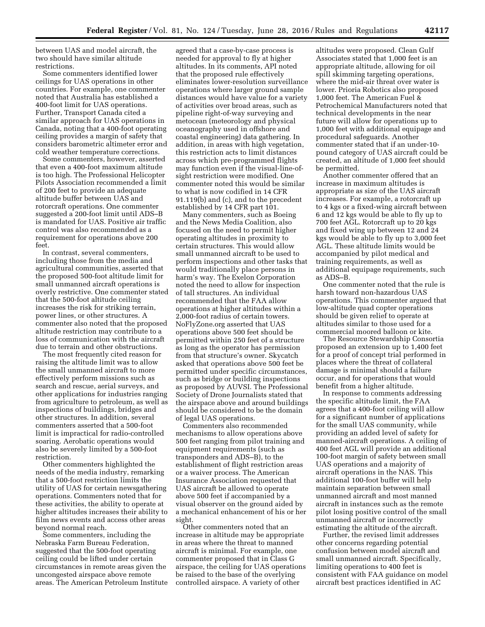between UAS and model aircraft, the two should have similar altitude restrictions.

Some commenters identified lower ceilings for UAS operations in other countries. For example, one commenter noted that Australia has established a 400-foot limit for UAS operations. Further, Transport Canada cited a similar approach for UAS operations in Canada, noting that a 400-foot operating ceiling provides a margin of safety that considers barometric altimeter error and cold weather temperature corrections.

Some commenters, however, asserted that even a 400-foot maximum altitude is too high. The Professional Helicopter Pilots Association recommended a limit of 200 feet to provide an adequate altitude buffer between UAS and rotorcraft operations. One commenter suggested a 200-foot limit until ADS–B is mandated for UAS. Positive air traffic control was also recommended as a requirement for operations above 200 feet.

In contrast, several commenters, including those from the media and agricultural communities, asserted that the proposed 500-foot altitude limit for small unmanned aircraft operations is overly restrictive. One commenter stated that the 500-foot altitude ceiling increases the risk for striking terrain, power lines, or other structures. A commenter also noted that the proposed altitude restriction may contribute to a loss of communication with the aircraft due to terrain and other obstructions.

The most frequently cited reason for raising the altitude limit was to allow the small unmanned aircraft to more effectively perform missions such as search and rescue, aerial surveys, and other applications for industries ranging from agriculture to petroleum, as well as inspections of buildings, bridges and other structures. In addition, several commenters asserted that a 500-foot limit is impractical for radio-controlled soaring. Aerobatic operations would also be severely limited by a 500-foot restriction.

Other commenters highlighted the needs of the media industry, remarking that a 500-foot restriction limits the utility of UAS for certain newsgathering operations. Commenters noted that for these activities, the ability to operate at higher altitudes increases their ability to film news events and access other areas beyond normal reach.

Some commenters, including the Nebraska Farm Bureau Federation, suggested that the 500-foot operating ceiling could be lifted under certain circumstances in remote areas given the uncongested airspace above remote areas. The American Petroleum Institute

agreed that a case-by-case process is needed for approval to fly at higher altitudes. In its comments, API noted that the proposed rule effectively eliminates lower-resolution surveillance operations where larger ground sample distances would have value for a variety of activities over broad areas, such as pipeline right-of-way surveying and metocean (meteorology and physical oceanography used in offshore and coastal engineering) data gathering. In addition, in areas with high vegetation, this restriction acts to limit distances across which pre-programmed flights may function even if the visual-line-ofsight restriction were modified. One commenter noted this would be similar to what is now codified in 14 CFR 91.119(b) and (c), and to the precedent established by 14 CFR part 101.

Many commenters, such as Boeing and the News Media Coalition, also focused on the need to permit higher operating altitudes in proximity to certain structures. This would allow small unmanned aircraft to be used to perform inspections and other tasks that would traditionally place persons in harm's way. The Exelon Corporation noted the need to allow for inspection of tall structures. An individual recommended that the FAA allow operations at higher altitudes within a 2,000-foot radius of certain towers. NoFlyZone.org asserted that UAS operations above 500 feet should be permitted within 250 feet of a structure as long as the operator has permission from that structure's owner. Skycatch asked that operations above 500 feet be permitted under specific circumstances, such as bridge or building inspections as proposed by AUVSI. The Professional Society of Drone Journalists stated that the airspace above and around buildings should be considered to be the domain of legal UAS operations.

Commenters also recommended mechanisms to allow operations above 500 feet ranging from pilot training and equipment requirements (such as transponders and ADS–B), to the establishment of flight restriction areas or a waiver process. The American Insurance Association requested that UAS aircraft be allowed to operate above 500 feet if accompanied by a visual observer on the ground aided by a mechanical enhancement of his or her sight.

Other commenters noted that an increase in altitude may be appropriate in areas where the threat to manned aircraft is minimal. For example, one commenter proposed that in Class G airspace, the ceiling for UAS operations be raised to the base of the overlying controlled airspace. A variety of other

altitudes were proposed. Clean Gulf Associates stated that 1,000 feet is an appropriate altitude, allowing for oil spill skimming targeting operations, where the mid-air threat over water is lower. Prioria Robotics also proposed 1,000 feet. The American Fuel & Petrochemical Manufacturers noted that technical developments in the near future will allow for operations up to 1,000 feet with additional equipage and procedural safeguards. Another commenter stated that if an under-10 pound category of UAS aircraft could be created, an altitude of 1,000 feet should be permitted.

Another commenter offered that an increase in maximum altitudes is appropriate as size of the UAS aircraft increases. For example, a rotorcraft up to 4 kgs or a fixed-wing aircraft between 6 and 12 kgs would be able to fly up to 700 feet AGL. Rotorcraft up to 20 kgs and fixed wing up between 12 and 24 kgs would be able to fly up to 3,000 feet AGL. These altitude limits would be accompanied by pilot medical and training requirements, as well as additional equipage requirements, such as ADS–B.

One commenter noted that the rule is harsh toward non-hazardous UAS operations. This commenter argued that low-altitude quad copter operations should be given relief to operate at altitudes similar to those used for a commercial moored balloon or kite.

The Resource Stewardship Consortia proposed an extension up to 1,400 feet for a proof of concept trial performed in places where the threat of collateral damage is minimal should a failure occur, and for operations that would benefit from a higher altitude.

In response to comments addressing the specific altitude limit, the FAA agrees that a 400-foot ceiling will allow for a significant number of applications for the small UAS community, while providing an added level of safety for manned-aircraft operations. A ceiling of 400 feet AGL will provide an additional 100-foot margin of safety between small UAS operations and a majority of aircraft operations in the NAS. This additional 100-foot buffer will help maintain separation between small unmanned aircraft and most manned aircraft in instances such as the remote pilot losing positive control of the small unmanned aircraft or incorrectly estimating the altitude of the aircraft.

Further, the revised limit addresses other concerns regarding potential confusion between model aircraft and small unmanned aircraft. Specifically, limiting operations to 400 feet is consistent with FAA guidance on model aircraft best practices identified in AC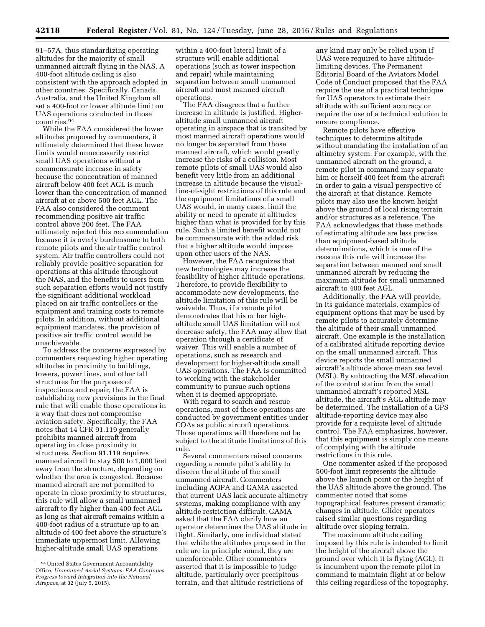91–57A, thus standardizing operating altitudes for the majority of small unmanned aircraft flying in the NAS. A 400-foot altitude ceiling is also consistent with the approach adopted in other countries. Specifically, Canada, Australia, and the United Kingdom all set a 400-foot or lower altitude limit on UAS operations conducted in those countries.94

While the FAA considered the lower altitudes proposed by commenters, it ultimately determined that these lower limits would unnecessarily restrict small UAS operations without a commensurate increase in safety because the concentration of manned aircraft below 400 feet AGL is much lower than the concentration of manned aircraft at or above 500 feet AGL. The FAA also considered the comment recommending positive air traffic control above 200 feet. The FAA ultimately rejected this recommendation because it is overly burdensome to both remote pilots and the air traffic control system. Air traffic controllers could not reliably provide positive separation for operations at this altitude throughout the NAS, and the benefits to users from such separation efforts would not justify the significant additional workload placed on air traffic controllers or the equipment and training costs to remote pilots. In addition, without additional equipment mandates, the provision of positive air traffic control would be unachievable.

To address the concerns expressed by commenters requesting higher operating altitudes in proximity to buildings, towers, power lines, and other tall structures for the purposes of inspections and repair, the FAA is establishing new provisions in the final rule that will enable those operations in a way that does not compromise aviation safety. Specifically, the FAA notes that 14 CFR 91.119 generally prohibits manned aircraft from operating in close proximity to structures. Section 91.119 requires manned aircraft to stay 500 to 1,000 feet away from the structure, depending on whether the area is congested. Because manned aircraft are not permitted to operate in close proximity to structures, this rule will allow a small unmanned aircraft to fly higher than 400 feet AGL as long as that aircraft remains within a 400-foot radius of a structure up to an altitude of 400 feet above the structure's immediate uppermost limit. Allowing higher-altitude small UAS operations

within a 400-foot lateral limit of a structure will enable additional operations (such as tower inspection and repair) while maintaining separation between small unmanned aircraft and most manned aircraft operations.

The FAA disagrees that a further increase in altitude is justified. Higheraltitude small unmanned aircraft operating in airspace that is transited by most manned aircraft operations would no longer be separated from those manned aircraft, which would greatly increase the risks of a collision. Most remote pilots of small UAS would also benefit very little from an additional increase in altitude because the visualline-of-sight restrictions of this rule and the equipment limitations of a small UAS would, in many cases, limit the ability or need to operate at altitudes higher than what is provided for by this rule. Such a limited benefit would not be commensurate with the added risk that a higher altitude would impose upon other users of the NAS.

However, the FAA recognizes that new technologies may increase the feasibility of higher altitude operations. Therefore, to provide flexibility to accommodate new developments, the altitude limitation of this rule will be waivable. Thus, if a remote pilot demonstrates that his or her highaltitude small UAS limitation will not decrease safety, the FAA may allow that operation through a certificate of waiver. This will enable a number of operations, such as research and development for higher-altitude small UAS operations. The FAA is committed to working with the stakeholder community to pursue such options when it is deemed appropriate.

With regard to search and rescue operations, most of these operations are conducted by government entities under COAs as public aircraft operations. Those operations will therefore not be subject to the altitude limitations of this rule.

Several commenters raised concerns regarding a remote pilot's ability to discern the altitude of the small unmanned aircraft. Commenters including AOPA and GAMA asserted that current UAS lack accurate altimetry systems, making compliance with any altitude restriction difficult. GAMA asked that the FAA clarify how an operator determines the UAS altitude in flight. Similarly, one individual stated that while the altitudes proposed in the rule are in principle sound, they are unenforceable. Other commenters asserted that it is impossible to judge altitude, particularly over precipitous terrain, and that altitude restrictions of

any kind may only be relied upon if UAS were required to have altitudelimiting devices. The Permanent Editorial Board of the Aviators Model Code of Conduct proposed that the FAA require the use of a practical technique for UAS operators to estimate their altitude with sufficient accuracy or require the use of a technical solution to ensure compliance.

Remote pilots have effective techniques to determine altitude without mandating the installation of an altimetry system. For example, with the unmanned aircraft on the ground, a remote pilot in command may separate him or herself 400 feet from the aircraft in order to gain a visual perspective of the aircraft at that distance. Remote pilots may also use the known height above the ground of local rising terrain and/or structures as a reference. The FAA acknowledges that these methods of estimating altitude are less precise than equipment-based altitude determinations, which is one of the reasons this rule will increase the separation between manned and small unmanned aircraft by reducing the maximum altitude for small unmanned aircraft to 400 feet AGL.

Additionally, the FAA will provide, in its guidance materials, examples of equipment options that may be used by remote pilots to accurately determine the altitude of their small unmanned aircraft. One example is the installation of a calibrated altitude reporting device on the small unmanned aircraft. This device reports the small unmanned aircraft's altitude above mean sea level (MSL). By subtracting the MSL elevation of the control station from the small unmanned aircraft's reported MSL altitude, the aircraft's AGL altitude may be determined. The installation of a GPS altitude-reporting device may also provide for a requisite level of altitude control. The FAA emphasizes, however, that this equipment is simply one means of complying with the altitude restrictions in this rule.

One commenter asked if the proposed 500-foot limit represents the altitude above the launch point or the height of the UAS altitude above the ground. The commenter noted that some topographical features present dramatic changes in altitude. Glider operators raised similar questions regarding altitude over sloping terrain.

The maximum altitude ceiling imposed by this rule is intended to limit the height of the aircraft above the ground over which it is flying (AGL). It is incumbent upon the remote pilot in command to maintain flight at or below this ceiling regardless of the topography.

<sup>94</sup>United States Government Accountability Office, *Unmanned Aerial Systems: FAA Continues Progress toward Integration into the National Airspace,* at 32 (July 5, 2015).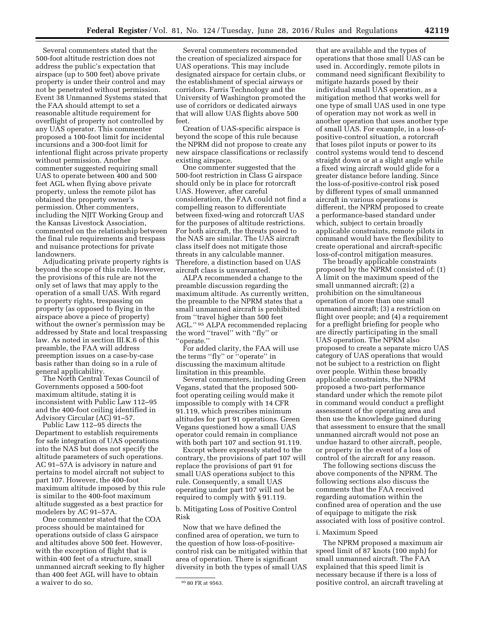Several commenters stated that the 500-foot altitude restriction does not address the public's expectation that airspace (up to 500 feet) above private property is under their control and may not be penetrated without permission. Event 38 Unmanned Systems stated that the FAA should attempt to set a reasonable altitude requirement for overflight of property not controlled by any UAS operator. This commenter proposed a 100-foot limit for incidental incursions and a 300-foot limit for intentional flight across private property without permission. Another commenter suggested requiring small UAS to operate between 400 and 500 feet AGL when flying above private property, unless the remote pilot has obtained the property owner's permission. Other commenters, including the NJIT Working Group and the Kansas Livestock Association, commented on the relationship between the final rule requirements and trespass and nuisance protections for private landowners.

Adjudicating private property rights is beyond the scope of this rule. However, the provisions of this rule are not the only set of laws that may apply to the operation of a small UAS. With regard to property rights, trespassing on property (as opposed to flying in the airspace above a piece of property) without the owner's permission may be addressed by State and local trespassing law. As noted in section III.K.6 of this preamble, the FAA will address preemption issues on a case-by-case basis rather than doing so in a rule of general applicability.

The North Central Texas Council of Governments opposed a 500-foot maximum altitude, stating it is inconsistent with Public Law 112–95 and the 400-foot ceiling identified in Advisory Circular (AC) 91–57.

Public Law 112–95 directs the Department to establish requirements for safe integration of UAS operations into the NAS but does not specify the altitude parameters of such operations. AC 91–57A is advisory in nature and pertains to model aircraft not subject to part 107. However, the 400-foot maximum altitude imposed by this rule is similar to the 400-foot maximum altitude suggested as a best practice for modelers by AC 91–57A.

One commenter stated that the COA process should be maintained for operations outside of class G airspace and altitudes above 500 feet. However, with the exception of flight that is within 400 feet of a structure, small unmanned aircraft seeking to fly higher than 400 feet AGL will have to obtain a waiver to do so.

Several commenters recommended the creation of specialized airspace for UAS operations. This may include designated airspace for certain clubs, or the establishment of special airways or corridors. Farris Technology and the University of Washington promoted the use of corridors or dedicated airways that will allow UAS flights above 500 feet.

Creation of UAS-specific airspace is beyond the scope of this rule because the NPRM did not propose to create any new airspace classifications or reclassify existing airspace.

One commenter suggested that the 500-foot restriction in Class G airspace should only be in place for rotorcraft UAS. However, after careful consideration, the FAA could not find a compelling reason to differentiate between fixed-wing and rotorcraft UAS for the purposes of altitude restrictions. For both aircraft, the threats posed to the NAS are similar. The UAS aircraft class itself does not mitigate those threats in any calculable manner. Therefore, a distinction based on UAS aircraft class is unwarranted.

ALPA recommended a change to the preamble discussion regarding the maximum altitude. As currently written, the preamble to the NPRM states that a small unmanned aircraft is prohibited from ''travel higher than 500 feet AGL.'' 95 ALPA recommended replacing the word ''travel'' with ''fly'' or ''operate.''

For added clarity, the FAA will use the terms ''fly'' or ''operate'' in discussing the maximum altitude limitation in this preamble.

Several commenters, including Green Vegans, stated that the proposed 500 foot operating ceiling would make it impossible to comply with 14 CFR 91.119, which prescribes minimum altitudes for part 91 operations. Green Vegans questioned how a small UAS operator could remain in compliance with both part 107 and section 91.119.

Except where expressly stated to the contrary, the provisions of part 107 will replace the provisions of part 91 for small UAS operations subject to this rule. Consequently, a small UAS operating under part 107 will not be required to comply with § 91.119.

b. Mitigating Loss of Positive Control Risk

Now that we have defined the confined area of operation, we turn to the question of how loss-of-positivecontrol risk can be mitigated within that area of operation. There is significant diversity in both the types of small UAS

that are available and the types of operations that those small UAS can be used in. Accordingly, remote pilots in command need significant flexibility to mitigate hazards posed by their individual small UAS operation, as a mitigation method that works well for one type of small UAS used in one type of operation may not work as well in another operation that uses another type of small UAS. For example, in a loss-ofpositive-control situation, a rotorcraft that loses pilot inputs or power to its control systems would tend to descend straight down or at a slight angle while a fixed wing aircraft would glide for a greater distance before landing. Since the loss-of-positive-control risk posed by different types of small unmanned aircraft in various operations is different, the NPRM proposed to create a performance-based standard under which, subject to certain broadly applicable constraints, remote pilots in command would have the flexibility to create operational and aircraft-specific loss-of-control mitigation measures.

The broadly applicable constraints proposed by the NPRM consisted of: (1) A limit on the maximum speed of the small unmanned aircraft; (2) a prohibition on the simultaneous operation of more than one small unmanned aircraft; (3) a restriction on flight over people; and (4) a requirement for a preflight briefing for people who are directly participating in the small UAS operation. The NPRM also proposed to create a separate micro UAS category of UAS operations that would not be subject to a restriction on flight over people. Within these broadly applicable constraints, the NPRM proposed a two-part performance standard under which the remote pilot in command would conduct a preflight assessment of the operating area and then use the knowledge gained during that assessment to ensure that the small unmanned aircraft would not pose an undue hazard to other aircraft, people, or property in the event of a loss of control of the aircraft for any reason.

The following sections discuss the above components of the NPRM. The following sections also discuss the comments that the FAA received regarding automation within the confined area of operation and the use of equipage to mitigate the risk associated with loss of positive control.

#### i. Maximum Speed

The NPRM proposed a maximum air speed limit of 87 knots (100 mph) for small unmanned aircraft. The FAA explained that this speed limit is necessary because if there is a loss of positive control, an aircraft traveling at

<sup>95</sup> 80 FR at 9563.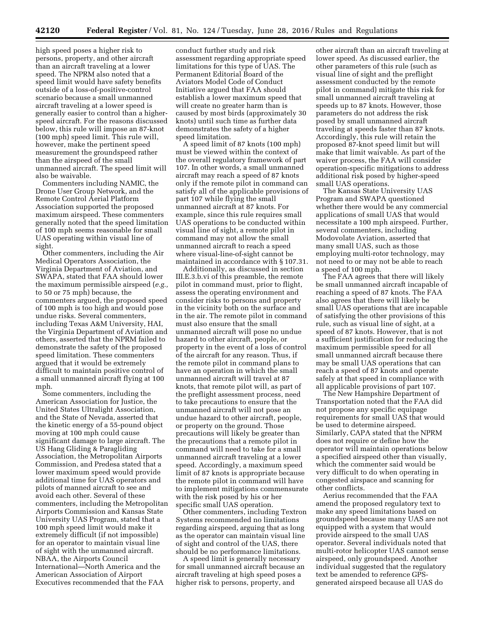high speed poses a higher risk to persons, property, and other aircraft than an aircraft traveling at a lower speed. The NPRM also noted that a speed limit would have safety benefits outside of a loss-of-positive-control scenario because a small unmanned aircraft traveling at a lower speed is generally easier to control than a higherspeed aircraft. For the reasons discussed below, this rule will impose an 87-knot (100 mph) speed limit. This rule will, however, make the pertinent speed measurement the groundspeed rather than the airspeed of the small unmanned aircraft. The speed limit will also be waivable.

Commenters including NAMIC, the Drone User Group Network, and the Remote Control Aerial Platform Association supported the proposed maximum airspeed. These commenters generally noted that the speed limitation of 100 mph seems reasonable for small UAS operating within visual line of sight.

Other commenters, including the Air Medical Operators Association, the Virginia Department of Aviation, and SWAPA, stated that FAA should lower the maximum permissible airspeed (*e.g.,*  to 50 or 75 mph) because, the commenters argued, the proposed speed of 100 mph is too high and would pose undue risks. Several commenters, including Texas A&M University, HAI, the Virginia Department of Aviation and others, asserted that the NPRM failed to demonstrate the safety of the proposed speed limitation. These commenters argued that it would be extremely difficult to maintain positive control of a small unmanned aircraft flying at 100 mph.

Some commenters, including the American Association for Justice, the United States Ultralight Association, and the State of Nevada, asserted that the kinetic energy of a 55-pound object moving at 100 mph could cause significant damage to large aircraft. The US Hang Gliding & Paragliding Association, the Metropolitan Airports Commission, and Predesa stated that a lower maximum speed would provide additional time for UAS operators and pilots of manned aircraft to see and avoid each other. Several of these commenters, including the Metropolitan Airports Commission and Kansas State University UAS Program, stated that a 100 mph speed limit would make it extremely difficult (if not impossible) for an operator to maintain visual line of sight with the unmanned aircraft. NBAA, the Airports Council International—North America and the American Association of Airport Executives recommended that the FAA

conduct further study and risk assessment regarding appropriate speed limitations for this type of UAS. The Permanent Editorial Board of the Aviators Model Code of Conduct Initiative argued that FAA should establish a lower maximum speed that will create no greater harm than is caused by most birds (approximately 30 knots) until such time as further data demonstrates the safety of a higher speed limitation.

A speed limit of 87 knots (100 mph) must be viewed within the context of the overall regulatory framework of part 107. In other words, a small unmanned aircraft may reach a speed of 87 knots only if the remote pilot in command can satisfy all of the applicable provisions of part 107 while flying the small unmanned aircraft at 87 knots. For example, since this rule requires small UAS operations to be conducted within visual line of sight, a remote pilot in command may not allow the small unmanned aircraft to reach a speed where visual-line-of-sight cannot be maintained in accordance with § 107.31.

Additionally, as discussed in section III.E.3.b.vi of this preamble, the remote pilot in command must, prior to flight, assess the operating environment and consider risks to persons and property in the vicinity both on the surface and in the air. The remote pilot in command must also ensure that the small unmanned aircraft will pose no undue hazard to other aircraft, people, or property in the event of a loss of control of the aircraft for any reason. Thus, if the remote pilot in command plans to have an operation in which the small unmanned aircraft will travel at 87 knots, that remote pilot will, as part of the preflight assessment process, need to take precautions to ensure that the unmanned aircraft will not pose an undue hazard to other aircraft, people, or property on the ground. Those precautions will likely be greater than the precautions that a remote pilot in command will need to take for a small unmanned aircraft traveling at a lower speed. Accordingly, a maximum speed limit of 87 knots is appropriate because the remote pilot in command will have to implement mitigations commensurate with the risk posed by his or her specific small UAS operation.

Other commenters, including Textron Systems recommended no limitations regarding airspeed, arguing that as long as the operator can maintain visual line of sight and control of the UAS, there should be no performance limitations.

A speed limit is generally necessary for small unmanned aircraft because an aircraft traveling at high speed poses a higher risk to persons, property, and

other aircraft than an aircraft traveling at lower speed. As discussed earlier, the other parameters of this rule (such as visual line of sight and the preflight assessment conducted by the remote pilot in command) mitigate this risk for small unmanned aircraft traveling at speeds up to 87 knots. However, those parameters do not address the risk posed by small unmanned aircraft traveling at speeds faster than 87 knots. Accordingly, this rule will retain the proposed 87-knot speed limit but will make that limit waivable. As part of the waiver process, the FAA will consider operation-specific mitigations to address additional risk posed by higher-speed small UAS operations.

The Kansas State University UAS Program and SWAPA questioned whether there would be any commercial applications of small UAS that would necessitate a 100 mph airspeed. Further, several commenters, including Modovolate Aviation, asserted that many small UAS, such as those employing multi-rotor technology, may not need to or may not be able to reach a speed of 100 mph.

The FAA agrees that there will likely be small unmanned aircraft incapable of reaching a speed of 87 knots. The FAA also agrees that there will likely be small UAS operations that are incapable of satisfying the other provisions of this rule, such as visual line of sight, at a speed of 87 knots. However, that is not a sufficient justification for reducing the maximum permissible speed for all small unmanned aircraft because there may be small UAS operations that can reach a speed of 87 knots and operate safely at that speed in compliance with all applicable provisions of part 107.

The New Hampshire Department of Transportation noted that the FAA did not propose any specific equipage requirements for small UAS that would be used to determine airspeed. Similarly, CAPA stated that the NPRM does not require or define how the operator will maintain operations below a specified airspeed other than visually, which the commenter said would be very difficult to do when operating in congested airspace and scanning for other conflicts.

Aerius recommended that the FAA amend the proposed regulatory text to make any speed limitations based on groundspeed because many UAS are not equipped with a system that would provide airspeed to the small UAS operator. Several individuals noted that multi-rotor helicopter UAS cannot sense airspeed, only groundspeed. Another individual suggested that the regulatory text be amended to reference GPSgenerated airspeed because all UAS do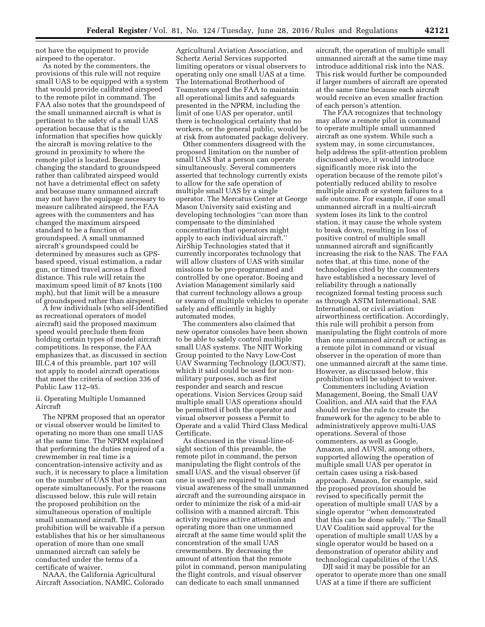not have the equipment to provide airspeed to the operator.

As noted by the commenters, the provisions of this rule will not require small UAS to be equipped with a system that would provide calibrated airspeed to the remote pilot in command. The FAA also notes that the groundspeed of the small unmanned aircraft is what is pertinent to the safety of a small UAS operation because that is the information that specifies how quickly the aircraft is moving relative to the ground in proximity to where the remote pilot is located. Because changing the standard to groundspeed rather than calibrated airspeed would not have a detrimental effect on safety and because many unmanned aircraft may not have the equipage necessary to measure calibrated airspeed, the FAA agrees with the commenters and has changed the maximum airspeed standard to be a function of groundspeed. A small unmanned aircraft's groundspeed could be determined by measures such as GPSbased speed, visual estimation, a radar gun, or timed travel across a fixed distance. This rule will retain the maximum speed limit of 87 knots (100 mph), but that limit will be a measure of groundspeed rather than airspeed.

A few individuals (who self-identified as recreational operators of model aircraft) said the proposed maximum speed would preclude them from holding certain types of model aircraft competitions. In response, the FAA emphasizes that, as discussed in section III.C.4 of this preamble, part 107 will not apply to model aircraft operations that meet the criteria of section 336 of Public Law 112–95.

ii. Operating Multiple Unmanned Aircraft

The NPRM proposed that an operator or visual observer would be limited to operating no more than one small UAS at the same time. The NPRM explained that performing the duties required of a crewmember in real time is a concentration-intensive activity and as such, it is necessary to place a limitation on the number of UAS that a person can operate simultaneously. For the reasons discussed below, this rule will retain the proposed prohibition on the simultaneous operation of multiple small unmanned aircraft. This prohibition will be waivable if a person establishes that his or her simultaneous operation of more than one small unmanned aircraft can safely be conducted under the terms of a certificate of waiver.

NAAA, the California Agricultural Aircraft Association, NAMIC, Colorado

Agricultural Aviation Association, and Schertz Aerial Services supported limiting operators or visual observers to operating only one small UAS at a time. The International Brotherhood of Teamsters urged the FAA to maintain all operational limits and safeguards presented in the NPRM, including the limit of one UAS per operator, until there is technological certainty that no workers, or the general public, would be at risk from automated package delivery.

Other commenters disagreed with the proposed limitation on the number of small UAS that a person can operate simultaneously. Several commenters asserted that technology currently exists to allow for the safe operation of multiple small UAS by a single operator. The Mercatus Center at George Mason University said existing and developing technologies ''can more than compensate to the diminished concentration that operators might apply to each individual aircraft.'' AirShip Technologies stated that it currently incorporates technology that will allow clusters of UAS with similar missions to be pre-programmed and controlled by one operator. Boeing and Aviation Management similarly said that current technology allows a group or swarm of multiple vehicles to operate safely and efficiently in highly automated modes.

The commenters also claimed that new operator consoles have been shown to be able to safely control multiple small UAS systems. The NJIT Working Group pointed to the Navy Low-Cost UAV Swarming Technology (LOCUST), which it said could be used for nonmilitary purposes, such as first responder and search and rescue operations. Vision Services Group said multiple small UAS operations should be permitted if both the operator and visual observer possess a Permit to Operate and a valid Third Class Medical Certificate.

As discussed in the visual-line-ofsight section of this preamble, the remote pilot in command, the person manipulating the flight controls of the small UAS, and the visual observer (if one is used) are required to maintain visual awareness of the small unmanned aircraft and the surrounding airspace in order to minimize the risk of a mid-air collision with a manned aircraft. This activity requires active attention and operating more than one unmanned aircraft at the same time would split the concentration of the small UAS crewmembers. By decreasing the amount of attention that the remote pilot in command, person manipulating the flight controls, and visual observer can dedicate to each small unmanned

aircraft, the operation of multiple small unmanned aircraft at the same time may introduce additional risk into the NAS. This risk would further be compounded if larger numbers of aircraft are operated at the same time because each aircraft would receive an even smaller fraction of each person's attention.

The FAA recognizes that technology may allow a remote pilot in command to operate multiple small unmanned aircraft as one system. While such a system may, in some circumstances, help address the split-attention problem discussed above, it would introduce significantly more risk into the operation because of the remote pilot's potentially reduced ability to resolve multiple aircraft or system failures to a safe outcome. For example, if one small unmanned aircraft in a multi-aircraft system loses its link to the control station, it may cause the whole system to break down, resulting in loss of positive control of multiple small unmanned aircraft and significantly increasing the risk to the NAS. The FAA notes that, at this time, none of the technologies cited by the commenters have established a necessary level of reliability through a nationally recognized formal testing process such as through ASTM International, SAE International, or civil aviation airworthiness certification. Accordingly, this rule will prohibit a person from manipulating the flight controls of more than one unmanned aircraft or acting as a remote pilot in command or visual observer in the operation of more than one unmanned aircraft at the same time. However, as discussed below, this prohibition will be subject to waiver.

Commenters including Aviation Management, Boeing, the Small UAV Coalition, and AIA said that the FAA should revise the rule to create the framework for the agency to be able to administratively approve multi-UAS operations. Several of those commenters, as well as Google, Amazon, and AUVSI, among others, supported allowing the operation of multiple small UAS per operator in certain cases using a risk-based approach. Amazon, for example, said the proposed provision should be revised to specifically permit the operation of multiple small UAS by a single operator ''when demonstrated that this can be done safely.'' The Small UAV Coalition said approval for the operation of multiple small UAS by a single operator would be based on a demonstration of operator ability and technological capabilities of the UAS.

DJI said it may be possible for an operator to operate more than one small UAS at a time if there are sufficient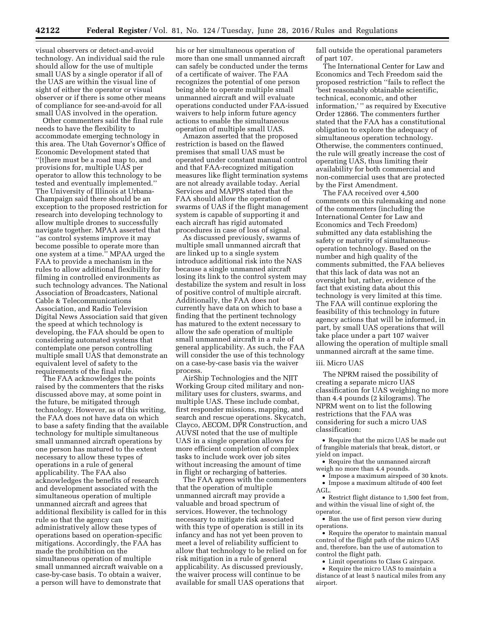visual observers or detect-and-avoid technology. An individual said the rule should allow for the use of multiple small UAS by a single operator if all of the UAS are within the visual line of sight of either the operator or visual observer or if there is some other means of compliance for see-and-avoid for all small UAS involved in the operation.

Other commenters said the final rule needs to have the flexibility to accommodate emerging technology in this area. The Utah Governor's Office of Economic Development stated that ''[t]here must be a road map to, and provisions for, multiple UAS per operator to allow this technology to be tested and eventually implemented.'' The University of Illinois at Urbana-Champaign said there should be an exception to the proposed restriction for research into developing technology to allow multiple drones to successfully navigate together. MPAA asserted that ''as control systems improve it may become possible to operate more than one system at a time.'' MPAA urged the FAA to provide a mechanism in the rules to allow additional flexibility for filming in controlled environments as such technology advances. The National Association of Broadcasters, National Cable & Telecommunications Association, and Radio Television Digital News Association said that given the speed at which technology is developing, the FAA should be open to considering automated systems that contemplate one person controlling multiple small UAS that demonstrate an equivalent level of safety to the requirements of the final rule.

The FAA acknowledges the points raised by the commenters that the risks discussed above may, at some point in the future, be mitigated through technology. However, as of this writing, the FAA does not have data on which to base a safety finding that the available technology for multiple simultaneous small unmanned aircraft operations by one person has matured to the extent necessary to allow these types of operations in a rule of general applicability. The FAA also acknowledges the benefits of research and development associated with the simultaneous operation of multiple unmanned aircraft and agrees that additional flexibility is called for in this rule so that the agency can administratively allow these types of operations based on operation-specific mitigations. Accordingly, the FAA has made the prohibition on the simultaneous operation of multiple small unmanned aircraft waivable on a case-by-case basis. To obtain a waiver, a person will have to demonstrate that

his or her simultaneous operation of more than one small unmanned aircraft can safely be conducted under the terms of a certificate of waiver. The FAA recognizes the potential of one person being able to operate multiple small unmanned aircraft and will evaluate operations conducted under FAA-issued waivers to help inform future agency actions to enable the simultaneous operation of multiple small UAS.

Amazon asserted that the proposed restriction is based on the flawed premises that small UAS must be operated under constant manual control and that FAA-recognized mitigation measures like flight termination systems are not already available today. Aerial Services and MAPPS stated that the FAA should allow the operation of swarms of UAS if the flight management system is capable of supporting it and each aircraft has rigid automated procedures in case of loss of signal.

As discussed previously, swarms of multiple small unmanned aircraft that are linked up to a single system introduce additional risk into the NAS because a single unmanned aircraft losing its link to the control system may destabilize the system and result in loss of positive control of multiple aircraft. Additionally, the FAA does not currently have data on which to base a finding that the pertinent technology has matured to the extent necessary to allow the safe operation of multiple small unmanned aircraft in a rule of general applicability. As such, the FAA will consider the use of this technology on a case-by-case basis via the waiver process.

AirShip Technologies and the NJIT Working Group cited military and nonmilitary uses for clusters, swarms, and multiple UAS. These include combat, first responder missions, mapping, and search and rescue operations. Skycatch, Clayco, AECOM, DPR Construction, and AUVSI noted that the use of multiple UAS in a single operation allows for more efficient completion of complex tasks to include work over job sites without increasing the amount of time in flight or recharging of batteries.

The FAA agrees with the commenters that the operation of multiple unmanned aircraft may provide a valuable and broad spectrum of services. However, the technology necessary to mitigate risk associated with this type of operation is still in its infancy and has not yet been proven to meet a level of reliability sufficient to allow that technology to be relied on for risk mitigation in a rule of general applicability. As discussed previously, the waiver process will continue to be available for small UAS operations that

fall outside the operational parameters of part 107.

The International Center for Law and Economics and Tech Freedom said the proposed restriction ''fails to reflect the 'best reasonably obtainable scientific, technical, economic, and other information," as required by Executive Order 12866. The commenters further stated that the FAA has a constitutional obligation to explore the adequacy of simultaneous operation technology. Otherwise, the commenters continued, the rule will greatly increase the cost of operating UAS, thus limiting their availability for both commercial and non-commercial uses that are protected by the First Amendment.

The FAA received over 4,500 comments on this rulemaking and none of the commenters (including the International Center for Law and Economics and Tech Freedom) submitted any data establishing the safety or maturity of simultaneousoperation technology. Based on the number and high quality of the comments submitted, the FAA believes that this lack of data was not an oversight but, rather, evidence of the fact that existing data about this technology is very limited at this time. The FAA will continue exploring the feasibility of this technology in future agency actions that will be informed, in part, by small UAS operations that will take place under a part 107 waiver allowing the operation of multiple small unmanned aircraft at the same time.

### iii. Micro UAS

The NPRM raised the possibility of creating a separate micro UAS classification for UAS weighing no more than 4.4 pounds (2 kilograms). The NPRM went on to list the following restrictions that the FAA was considering for such a micro UAS classification:

• Require that the micro UAS be made out of frangible materials that break, distort, or yield on impact.

• Require that the unmanned aircraft weigh no more than 4.4 pounds.

• Impose a maximum airspeed of 30 knots. • Impose a maximum altitude of 400 feet AGL.

• Restrict flight distance to 1,500 feet from, and within the visual line of sight of, the operator.

• Ban the use of first person view during operations.

• Require the operator to maintain manual control of the flight path of the micro UAS and, therefore, ban the use of automation to control the flight path.

• Limit operations to Class G airspace.

• Require the micro UAS to maintain a distance of at least 5 nautical miles from any airport.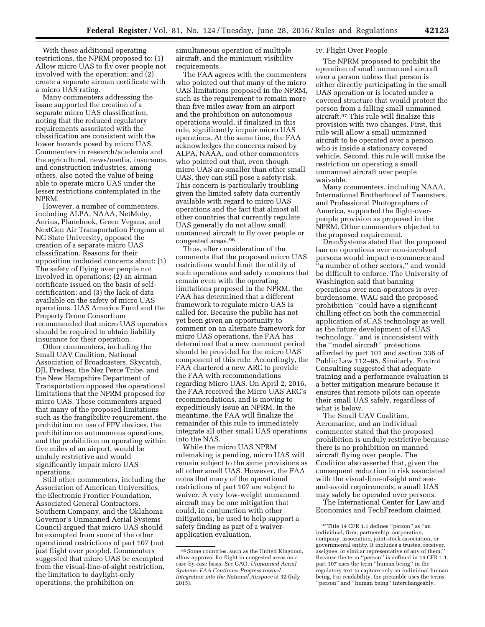With these additional operating restrictions, the NPRM proposed to: (1) Allow micro UAS to fly over people not involved with the operation; and (2) create a separate airman certificate with a micro UAS rating.

Many commenters addressing the issue supported the creation of a separate micro UAS classification, noting that the reduced regulatory requirements associated with the classification are consistent with the lower hazards posed by micro UAS. Commenters in research/academia and the agricultural, news/media, insurance, and construction industries, among others, also noted the value of being able to operate micro UAS under the lesser restrictions contemplated in the NPRM.

However, a number of commenters, including ALPA, NAAA, NetMoby, Aerius, Planehook, Green Vegans, and NextGen Air Transportation Program at NC State University, opposed the creation of a separate micro UAS classification. Reasons for their opposition included concerns about: (1) The safety of flying over people not involved in operations; (2) an airman certificate issued on the basis of selfcertification; and (3) the lack of data available on the safety of micro UAS operations. UAS America Fund and the Property Drone Consortium recommended that micro UAS operators should be required to obtain liability insurance for their operation.

Other commenters, including the Small UAV Coalition, National Association of Broadcasters, Skycatch, DJI, Predesa, the Nez Perce Tribe, and the New Hampshire Department of Transportation opposed the operational limitations that the NPRM proposed for micro UAS. These commenters argued that many of the proposed limitations such as the frangibility requirement, the prohibition on use of FPV devices, the prohibition on autonomous operations, and the prohibition on operating within five miles of an airport, would be unduly restrictive and would significantly impair micro UAS operations.

Still other commenters, including the Association of American Universities, the Electronic Frontier Foundation, Associated General Contractors, Southern Company, and the Oklahoma Governor's Unmanned Aerial Systems Council argued that micro UAS should be exempted from some of the other operational restrictions of part 107 (not just flight over people). Commenters suggested that micro UAS be exempted from the visual-line-of-sight restriction, the limitation to daylight-only operations, the prohibition on

simultaneous operation of multiple aircraft, and the minimum visibility requirements.

The FAA agrees with the commenters who pointed out that many of the micro UAS limitations proposed in the NPRM, such as the requirement to remain more than five miles away from an airport and the prohibition on autonomous operations would, if finalized in this rule, significantly impair micro UAS operations. At the same time, the FAA acknowledges the concerns raised by ALPA, NAAA, and other commenters who pointed out that, even though micro UAS are smaller than other small UAS, they can still pose a safety risk. This concern is particularly troubling given the limited safety data currently available with regard to micro UAS operations and the fact that almost all other countries that currently regulate UAS generally do not allow small unmanned aircraft to fly over people or congested areas.96

Thus, after consideration of the comments that the proposed micro UAS restrictions would limit the utility of such operations and safety concerns that remain even with the operating limitations proposed in the NPRM, the FAA has determined that a different framework to regulate micro UAS is called for. Because the public has not yet been given an opportunity to comment on an alternate framework for micro UAS operations, the FAA has determined that a new comment period should be provided for the micro UAS component of this rule. Accordingly, the FAA chartered a new ARC to provide the FAA with recommendations regarding Micro UAS. On April 2, 2016, the FAA received the Micro UAS ARC's recommendations, and is moving to expeditiously issue an NPRM. In the meantime, the FAA will finalize the remainder of this rule to immediately integrate all other small UAS operations into the NAS.

While the micro UAS NPRM rulemaking is pending, micro UAS will remain subject to the same provisions as all other small UAS. However, the FAA notes that many of the operational restrictions of part 107 are subject to waiver. A very low-weight unmanned aircraft may be one mitigation that could, in conjunction with other mitigations, be used to help support a safety finding as part of a waiverapplication evaluation.

# iv. Flight Over People

The NPRM proposed to prohibit the operation of small unmanned aircraft over a person unless that person is either directly participating in the small UAS operation or is located under a covered structure that would protect the person from a falling small unmanned aircraft.97 This rule will finalize this provision with two changes. First, this rule will allow a small unmanned aircraft to be operated over a person who is inside a stationary covered vehicle. Second, this rule will make the restriction on operating a small unmanned aircraft over people waivable.

Many commenters, including NAAA, International Brotherhood of Teamsters, and Professional Photographers of America, supported the flight-overpeople provision as proposed in the NPRM. Other commenters objected to the proposed requirement.

DronSystems stated that the proposed ban on operations over non-involved persons would impact e-commerce and ''a number of other sectors,'' and would be difficult to enforce. The University of Washington said that banning operations over non-operators is overburdensome. WAG said the proposed prohibition ''could have a significant chilling effect on both the commercial application of sUAS technology as well as the future development of sUAS technology,'' and is inconsistent with the ''model aircraft'' protections afforded by part 101 and section 336 of Public Law 112–95. Similarly, Foxtrot Consulting suggested that adequate training and a performance evaluation is a better mitigation measure because it ensures that remote pilots can operate their small UAS safely, regardless of what is below.

The Small UAV Coalition, Aeromarine, and an individual commenter stated that the proposed prohibition is unduly restrictive because there is no prohibition on manned aircraft flying over people. The Coalition also asserted that, given the consequent reduction in risk associated with the visual-line-of-sight and seeand-avoid requirements, a small UAS may safely be operated over persons.

The International Center for Law and Economics and TechFreedom claimed

<sup>96</sup> Some countries, such as the United Kingdom, allow approval for flight in congested areas on a case-by-case basis. *See* GAO, *Unmanned Aerial Systems: FAA Continues Progress toward Integration into the National Airspace* at 32 (July 2015).

<sup>97</sup>Title 14 CFR 1.1 defines ''person'' as ''an individual, firm, partnership, corporation, company, association, joint-stock association, or governmental entity. It includes a trustee, receiver, assignee, or similar representative of any of them. Because the term ''person'' is defined in 14 CFR 1.1, part 107 uses the term ''human being'' in the regulatory text to capture only an individual human being. For readability, the preamble uses the terms ''person'' and ''human being'' interchangeably.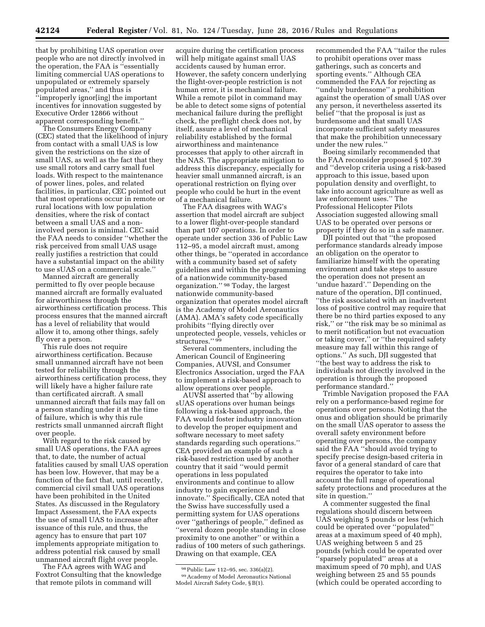that by prohibiting UAS operation over people who are not directly involved in the operation, the FAA is ''essentially limiting commercial UAS operations to unpopulated or extremely sparsely populated areas,'' and thus is ''improperly ignor[ing] the important incentives for innovation suggested by Executive Order 12866 without apparent corresponding benefit.''

The Consumers Energy Company (CEC) stated that the likelihood of injury from contact with a small UAS is low given the restrictions on the size of small UAS, as well as the fact that they use small rotors and carry small fuel loads. With respect to the maintenance of power lines, poles, and related facilities, in particular, CEC pointed out that most operations occur in remote or rural locations with low population densities, where the risk of contact between a small UAS and a noninvolved person is minimal. CEC said the FAA needs to consider ''whether the risk perceived from small UAS usage really justifies a restriction that could have a substantial impact on the ability to use sUAS on a commercial scale.''

Manned aircraft are generally permitted to fly over people because manned aircraft are formally evaluated for airworthiness through the airworthiness certification process. This process ensures that the manned aircraft has a level of reliability that would allow it to, among other things, safely fly over a person.

This rule does not require airworthiness certification. Because small unmanned aircraft have not been tested for reliability through the airworthiness certification process, they will likely have a higher failure rate than certificated aircraft. A small unmanned aircraft that fails may fall on a person standing under it at the time of failure, which is why this rule restricts small unmanned aircraft flight over people.

With regard to the risk caused by small UAS operations, the FAA agrees that, to date, the number of actual fatalities caused by small UAS operation has been low. However, that may be a function of the fact that, until recently, commercial civil small UAS operations have been prohibited in the United States. As discussed in the Regulatory Impact Assessment, the FAA expects the use of small UAS to increase after issuance of this rule, and thus, the agency has to ensure that part 107 implements appropriate mitigation to address potential risk caused by small unmanned aircraft flight over people.

The FAA agrees with WAG and Foxtrot Consulting that the knowledge that remote pilots in command will

acquire during the certification process will help mitigate against small UAS accidents caused by human error. However, the safety concern underlying the flight-over-people restriction is not human error, it is mechanical failure. While a remote pilot in command may be able to detect some signs of potential mechanical failure during the preflight check, the preflight check does not, by itself, assure a level of mechanical reliability established by the formal airworthiness and maintenance processes that apply to other aircraft in the NAS. The appropriate mitigation to address this discrepancy, especially for heavier small unmanned aircraft, is an operational restriction on flying over people who could be hurt in the event of a mechanical failure.

The FAA disagrees with WAG's assertion that model aircraft are subject to a lower flight-over-people standard than part 107 operations. In order to operate under section 336 of Public Law 112–95, a model aircraft must, among other things, be ''operated in accordance with a community based set of safety guidelines and within the programming of a nationwide community-based organization.'' 98 Today, the largest nationwide community-based organization that operates model aircraft is the Academy of Model Aeronautics (AMA). AMA's safety code specifically prohibits ''flying directly over unprotected people, vessels, vehicles or structures." 99

Several commenters, including the American Council of Engineering Companies, AUVSI, and Consumer Electronics Association, urged the FAA to implement a risk-based approach to allow operations over people.

AUVSI asserted that ''by allowing sUAS operations over human beings following a risk-based approach, the FAA would foster industry innovation to develop the proper equipment and software necessary to meet safety standards regarding such operations.'' CEA provided an example of such a risk-based restriction used by another country that it said ''would permit operations in less populated environments and continue to allow industry to gain experience and innovate.'' Specifically, CEA noted that the Swiss have successfully used a permitting system for UAS operations over ''gatherings of people,'' defined as ''several dozen people standing in close proximity to one another'' or within a radius of 100 meters of such gatherings. Drawing on that example, CEA

98Public Law 112–95, sec. 336(a)(2). 99Academy of Model Aeronautics National Model Aircraft Safety Code, § B(1).

recommended the FAA ''tailor the rules to prohibit operations over mass gatherings, such as concerts and sporting events.'' Although CEA commended the FAA for rejecting as ''unduly burdensome'' a prohibition against the operation of small UAS over any person, it nevertheless asserted its belief ''that the proposal is just as burdensome and that small UAS incorporate sufficient safety measures that make the prohibition unnecessary under the new rules.''

Boeing similarly recommended that the FAA reconsider proposed § 107.39 and ''develop criteria using a risk-based approach to this issue, based upon population density and overflight, to take into account agriculture as well as law enforcement uses.'' The Professional Helicopter Pilots Association suggested allowing small UAS to be operated over persons or property if they do so in a safe manner.

DJI pointed out that ''the proposed performance standards already impose an obligation on the operator to familiarize himself with the operating environment and take steps to assure the operation does not present an 'undue hazard'.'' Depending on the nature of the operation, DJI continued, ''the risk associated with an inadvertent loss of positive control may require that there be no third parties exposed to any risk,'' or ''the risk may be so minimal as to merit notification but not evacuation or taking cover,'' or ''the required safety measure may fall within this range of options.'' As such, DJI suggested that ''the best way to address the risk to individuals not directly involved in the operation is through the proposed performance standard.''

Trimble Navigation proposed the FAA rely on a performance-based regime for operations over persons. Noting that the onus and obligation should be primarily on the small UAS operator to assess the overall safety environment before operating over persons, the company said the FAA ''should avoid trying to specify precise design-based criteria in favor of a general standard of care that requires the operator to take into account the full range of operational safety protections and procedures at the site in question.''

A commenter suggested the final regulations should discern between UAS weighing 5 pounds or less (which could be operated over ''populated'' areas at a maximum speed of 40 mph), UAS weighing between 5 and 25 pounds (which could be operated over ''sparsely populated'' areas at a maximum speed of 70 mph), and UAS weighing between 25 and 55 pounds (which could be operated according to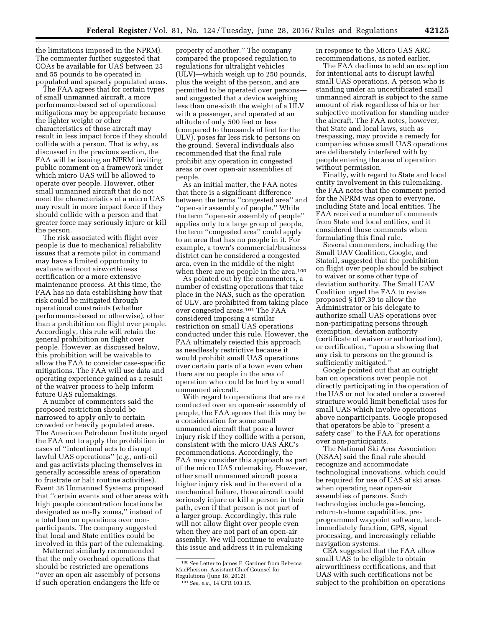the limitations imposed in the NPRM). The commenter further suggested that COAs be available for UAS between 25 and 55 pounds to be operated in populated and sparsely populated areas.

The FAA agrees that for certain types of small unmanned aircraft, a more performance-based set of operational mitigations may be appropriate because the lighter weight or other characteristics of those aircraft may result in less impact force if they should collide with a person. That is why, as discussed in the previous section, the FAA will be issuing an NPRM inviting public comment on a framework under which micro UAS will be allowed to operate over people. However, other small unmanned aircraft that do not meet the characteristics of a micro UAS may result in more impact force if they should collide with a person and that greater force may seriously injure or kill the person.

The risk associated with flight over people is due to mechanical reliability issues that a remote pilot in command may have a limited opportunity to evaluate without airworthiness certification or a more extensive maintenance process. At this time, the FAA has no data establishing how that risk could be mitigated through operational constraints (whether performance-based or otherwise), other than a prohibition on flight over people. Accordingly, this rule will retain the general prohibition on flight over people. However, as discussed below, this prohibition will be waivable to allow the FAA to consider case-specific mitigations. The FAA will use data and operating experience gained as a result of the waiver process to help inform future UAS rulemakings.

A number of commenters said the proposed restriction should be narrowed to apply only to certain crowded or heavily populated areas. The American Petroleum Institute urged the FAA not to apply the prohibition in cases of ''intentional acts to disrupt lawful UAS operations'' (*e.g.,* anti-oil and gas activists placing themselves in generally accessible areas of operation to frustrate or halt routine activities). Event 38 Unmanned Systems proposed that ''certain events and other areas with high people concentration locations be designated as no-fly zones,'' instead of a total ban on operations over nonparticipants. The company suggested that local and State entities could be involved in this part of the rulemaking.

Matternet similarly recommended that the only overhead operations that should be restricted are operations ''over an open air assembly of persons if such operation endangers the life or

property of another.'' The company compared the proposed regulation to regulations for ultralight vehicles (ULV)—which weigh up to 250 pounds, plus the weight of the person, and are permitted to be operated over persons and suggested that a device weighing less than one-sixth the weight of a ULV with a passenger, and operated at an altitude of only 500 feet or less (compared to thousands of feet for the ULV), poses far less risk to persons on the ground. Several individuals also recommended that the final rule prohibit any operation in congested areas or over open-air assemblies of people.

As an initial matter, the FAA notes that there is a significant difference between the terms ''congested area'' and ''open-air assembly of people.'' While the term ''open-air assembly of people'' applies only to a large group of people, the term ''congested area'' could apply to an area that has no people in it. For example, a town's commercial/business district can be considered a congested area, even in the middle of the night when there are no people in the area.<sup>100</sup>

As pointed out by the commenters, a number of existing operations that take place in the NAS, such as the operation of ULV, are prohibited from taking place over congested areas.101 The FAA considered imposing a similar restriction on small UAS operations conducted under this rule. However, the FAA ultimately rejected this approach as needlessly restrictive because it would prohibit small UAS operations over certain parts of a town even when there are no people in the area of operation who could be hurt by a small unmanned aircraft.

With regard to operations that are not conducted over an open-air assembly of people, the FAA agrees that this may be a consideration for some small unmanned aircraft that pose a lower injury risk if they collide with a person, consistent with the micro UAS ARC's recommendations. Accordingly, the FAA may consider this approach as part of the micro UAS rulemaking. However, other small unmanned aircraft pose a higher injury risk and in the event of a mechanical failure, those aircraft could seriously injure or kill a person in their path, even if that person is not part of a larger group. Accordingly, this rule will not allow flight over people even when they are not part of an open-air assembly. We will continue to evaluate this issue and address it in rulemaking

in response to the Micro UAS ARC recommendations, as noted earlier.

The FAA declines to add an exception for intentional acts to disrupt lawful small UAS operations. A person who is standing under an uncertificated small unmanned aircraft is subject to the same amount of risk regardless of his or her subjective motivation for standing under the aircraft. The FAA notes, however, that State and local laws, such as trespassing, may provide a remedy for companies whose small UAS operations are deliberately interfered with by people entering the area of operation without permission.

Finally, with regard to State and local entity involvement in this rulemaking, the FAA notes that the comment period for the NPRM was open to everyone, including State and local entities. The FAA received a number of comments from State and local entities, and it considered those comments when formulating this final rule.

Several commenters, including the Small UAV Coalition, Google, and Statoil, suggested that the prohibition on flight over people should be subject to waiver or some other type of deviation authority. The Small UAV Coalition urged the FAA to revise proposed § 107.39 to allow the Administrator or his delegate to authorize small UAS operations over non-participating persons through exemption, deviation authority (certificate of waiver or authorization), or certification, ''upon a showing that any risk to persons on the ground is sufficiently mitigated.''

Google pointed out that an outright ban on operations over people not directly participating in the operation of the UAS or not located under a covered structure would limit beneficial uses for small UAS which involve operations above nonparticipants. Google proposed that operators be able to ''present a safety case'' to the FAA for operations over non-participants.

The National Ski Area Association (NSAA) said the final rule should recognize and accommodate technological innovations, which could be required for use of UAS at ski areas when operating near open-air assemblies of persons. Such technologies include geo-fencing, return-to-home capabilities, preprogrammed waypoint software, landimmediately function, GPS, signal processing, and increasingly reliable navigation systems.

CEA suggested that the FAA allow small UAS to be eligible to obtain airworthiness certifications, and that UAS with such certifications not be subject to the prohibition on operations

<sup>100</sup>*See* Letter to James E. Gardner from Rebecca MacPherson, Assistant Chief Counsel for Regulations (June 18, 2012).

<sup>101</sup>*See, e.g.,* 14 CFR 103.15.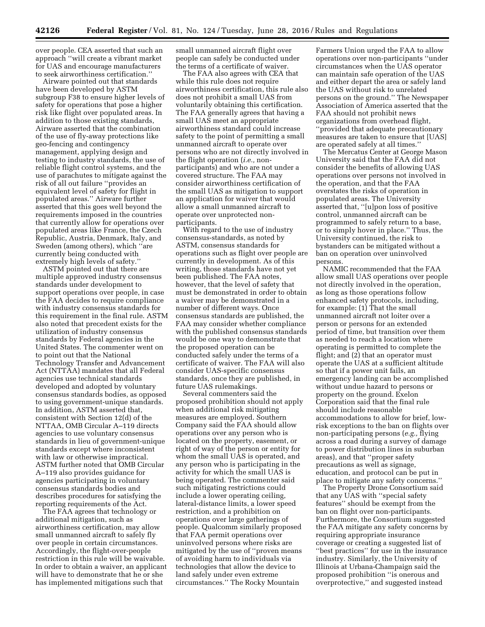over people. CEA asserted that such an approach ''will create a vibrant market for UAS and encourage manufacturers to seek airworthiness certification.''

Airware pointed out that standards have been developed by ASTM subgroup F38 to ensure higher levels of safety for operations that pose a higher risk like flight over populated areas. In addition to those existing standards, Airware asserted that the combination of the use of fly-away protections like geo-fencing and contingency management, applying design and testing to industry standards, the use of reliable flight control systems, and the use of parachutes to mitigate against the risk of all out failure ''provides an equivalent level of safety for flight in populated areas.'' Airware further asserted that this goes well beyond the requirements imposed in the countries that currently allow for operations over populated areas like France, the Czech Republic, Austria, Denmark, Italy, and Sweden (among others), which ''are currently being conducted with extremely high levels of safety.''

ASTM pointed out that there are multiple approved industry consensus standards under development to support operations over people, in case the FAA decides to require compliance with industry consensus standards for this requirement in the final rule. ASTM also noted that precedent exists for the utilization of industry consensus standards by Federal agencies in the United States. The commenter went on to point out that the National Technology Transfer and Advancement Act (NTTAA) mandates that all Federal agencies use technical standards developed and adopted by voluntary consensus standards bodies, as opposed to using government-unique standards. In addition, ASTM asserted that, consistent with Section 12(d) of the NTTAA, OMB Circular A–119 directs agencies to use voluntary consensus standards in lieu of government-unique standards except where inconsistent with law or otherwise impractical. ASTM further noted that OMB Circular A–119 also provides guidance for agencies participating in voluntary consensus standards bodies and describes procedures for satisfying the reporting requirements of the Act.

The FAA agrees that technology or additional mitigation, such as airworthiness certification, may allow small unmanned aircraft to safely fly over people in certain circumstances. Accordingly, the flight-over-people restriction in this rule will be waivable. In order to obtain a waiver, an applicant will have to demonstrate that he or she has implemented mitigations such that

small unmanned aircraft flight over people can safely be conducted under the terms of a certificate of waiver.

The FAA also agrees with CEA that while this rule does not require airworthiness certification, this rule also does not prohibit a small UAS from voluntarily obtaining this certification. The FAA generally agrees that having a small UAS meet an appropriate airworthiness standard could increase safety to the point of permitting a small unmanned aircraft to operate over persons who are not directly involved in the flight operation (*i.e.,* nonparticipants) and who are not under a covered structure. The FAA may consider airworthiness certification of the small UAS as mitigation to support an application for waiver that would allow a small unmanned aircraft to operate over unprotected nonparticipants.

With regard to the use of industry consensus-standards, as noted by ASTM, consensus standards for operations such as flight over people are currently in development. As of this writing, those standards have not yet been published. The FAA notes, however, that the level of safety that must be demonstrated in order to obtain a waiver may be demonstrated in a number of different ways. Once consensus standards are published, the FAA may consider whether compliance with the published consensus standards would be one way to demonstrate that the proposed operation can be conducted safely under the terms of a certificate of waiver. The FAA will also consider UAS-specific consensus standards, once they are published, in future UAS rulemakings.

Several commenters said the proposed prohibition should not apply when additional risk mitigating measures are employed. Southern Company said the FAA should allow operations over any person who is located on the property, easement, or right of way of the person or entity for whom the small UAS is operated, and any person who is participating in the activity for which the small UAS is being operated. The commenter said such mitigating restrictions could include a lower operating ceiling, lateral-distance limits, a lower speed restriction, and a prohibition on operations over large gatherings of people. Qualcomm similarly proposed that FAA permit operations over uninvolved persons where risks are mitigated by the use of ''proven means of avoiding harm to individuals via technologies that allow the device to land safely under even extreme circumstances.'' The Rocky Mountain

Farmers Union urged the FAA to allow operations over non-participants ''under circumstances when the UAS operator can maintain safe operation of the UAS and either depart the area or safely land the UAS without risk to unrelated persons on the ground.'' The Newspaper Association of America asserted that the FAA should not prohibit news organizations from overhead flight, ''provided that adequate precautionary measures are taken to ensure that [UAS] are operated safely at all times.''

The Mercatus Center at George Mason University said that the FAA did not consider the benefits of allowing UAS operations over persons not involved in the operation, and that the FAA overstates the risks of operation in populated areas. The University asserted that, ''[u]pon loss of positive control, unmanned aircraft can be programmed to safely return to a base, or to simply hover in place.'' Thus, the University continued, the risk to bystanders can be mitigated without a ban on operation over uninvolved persons.

NAMIC recommended that the FAA allow small UAS operations over people not directly involved in the operation, as long as those operations follow enhanced safety protocols, including, for example: (1) That the small unmanned aircraft not loiter over a person or persons for an extended period of time, but transition over them as needed to reach a location where operating is permitted to complete the flight; and (2) that an operator must operate the UAS at a sufficient altitude so that if a power unit fails, an emergency landing can be accomplished without undue hazard to persons or property on the ground. Exelon Corporation said that the final rule should include reasonable accommodations to allow for brief, lowrisk exceptions to the ban on flights over non-participating persons (*e.g.,* flying across a road during a survey of damage to power distribution lines in suburban areas), and that ''proper safety precautions as well as signage, education, and protocol can be put in place to mitigate any safety concerns.''

The Property Drone Consortium said that any UAS with ''special safety features'' should be exempt from the ban on flight over non-participants. Furthermore, the Consortium suggested the FAA mitigate any safety concerns by requiring appropriate insurance coverage or creating a suggested list of ''best practices'' for use in the insurance industry. Similarly, the University of Illinois at Urbana-Champaign said the proposed prohibition ''is onerous and overprotective,'' and suggested instead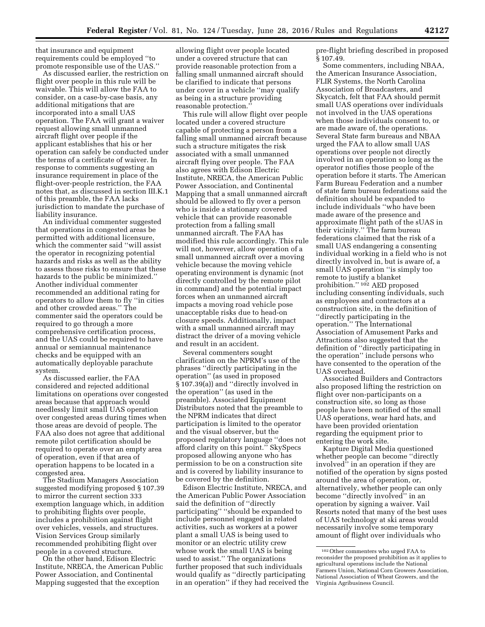that insurance and equipment requirements could be employed ''to promote responsible use of the UAS.''

As discussed earlier, the restriction on flight over people in this rule will be waivable. This will allow the FAA to consider, on a case-by-case basis, any additional mitigations that are incorporated into a small UAS operation. The FAA will grant a waiver request allowing small unmanned aircraft flight over people if the applicant establishes that his or her operation can safely be conducted under the terms of a certificate of waiver. In response to comments suggesting an insurance requirement in place of the flight-over-people restriction, the FAA notes that, as discussed in section III.K.1 of this preamble, the FAA lacks jurisdiction to mandate the purchase of liability insurance.

An individual commenter suggested that operations in congested areas be permitted with additional licensure, which the commenter said ''will assist the operator in recognizing potential hazards and risks as well as the ability to assess those risks to ensure that these hazards to the public be minimized.'' Another individual commenter recommended an additional rating for operators to allow them to fly ''in cities and other crowded areas.'' The commenter said the operators could be required to go through a more comprehensive certification process, and the UAS could be required to have annual or semiannual maintenance checks and be equipped with an automatically deployable parachute system.

As discussed earlier, the FAA considered and rejected additional limitations on operations over congested areas because that approach would needlessly limit small UAS operation over congested areas during times when those areas are devoid of people. The FAA also does not agree that additional remote pilot certification should be required to operate over an empty area of operation, even if that area of operation happens to be located in a congested area.

The Stadium Managers Association suggested modifying proposed § 107.39 to mirror the current section 333 exemption language which, in addition to prohibiting flights over people, includes a prohibition against flight over vehicles, vessels, and structures. Vision Services Group similarly recommended prohibiting flight over people in a covered structure.

On the other hand, Edison Electric Institute, NRECA, the American Public Power Association, and Continental Mapping suggested that the exception

allowing flight over people located under a covered structure that can provide reasonable protection from a falling small unmanned aircraft should be clarified to indicate that persons under cover in a vehicle ''may qualify as being in a structure providing reasonable protection.''

This rule will allow flight over people located under a covered structure capable of protecting a person from a falling small unmanned aircraft because such a structure mitigates the risk associated with a small unmanned aircraft flying over people. The FAA also agrees with Edison Electric Institute, NRECA, the American Public Power Association, and Continental Mapping that a small unmanned aircraft should be allowed to fly over a person who is inside a stationary covered vehicle that can provide reasonable protection from a falling small unmanned aircraft. The FAA has modified this rule accordingly. This rule will not, however, allow operation of a small unmanned aircraft over a moving vehicle because the moving vehicle operating environment is dynamic (not directly controlled by the remote pilot in command) and the potential impact forces when an unmanned aircraft impacts a moving road vehicle pose unacceptable risks due to head-on closure speeds. Additionally, impact with a small unmanned aircraft may distract the driver of a moving vehicle and result in an accident.

Several commenters sought clarification on the NPRM's use of the phrases ''directly participating in the operation'' (as used in proposed § 107.39(a)) and ''directly involved in the operation'' (as used in the preamble). Associated Equipment Distributors noted that the preamble to the NPRM indicates that direct participation is limited to the operator and the visual observer, but the proposed regulatory language ''does not afford clarity on this point.'' SkySpecs proposed allowing anyone who has permission to be on a construction site and is covered by liability insurance to be covered by the definition.

Edison Electric Institute, NRECA, and the American Public Power Association said the definition of ''directly participating'' ''should be expanded to include personnel engaged in related activities, such as workers at a power plant a small UAS is being used to monitor or an electric utility crew whose work the small UAS is being used to assist.'' The organizations further proposed that such individuals would qualify as ''directly participating in an operation'' if they had received the pre-flight briefing described in proposed § 107.49.

Some commenters, including NBAA, the American Insurance Association, FLIR Systems, the North Carolina Association of Broadcasters, and Skycatch, felt that FAA should permit small UAS operations over individuals not involved in the UAS operations when those individuals consent to, or are made aware of, the operations. Several State farm bureaus and NBAA urged the FAA to allow small UAS operations over people not directly involved in an operation so long as the operator notifies those people of the operation before it starts. The American Farm Bureau Federation and a number of state farm bureau federations said the definition should be expanded to include individuals ''who have been made aware of the presence and approximate flight path of the sUAS in their vicinity.'' The farm bureau federations claimed that the risk of a small UAS endangering a consenting individual working in a field who is not directly involved in, but is aware of, a small UAS operation ''is simply too remote to justify a blanket prohibition.'' 102 AED proposed including consenting individuals, such as employees and contractors at a construction site, in the definition of ''directly participating in the operation.'' The International Association of Amusement Parks and Attractions also suggested that the definition of ''directly participating in the operation'' include persons who have consented to the operation of the UAS overhead.

Associated Builders and Contractors also proposed lifting the restriction on flight over non-participants on a construction site, so long as those people have been notified of the small UAS operations, wear hard hats, and have been provided orientation regarding the equipment prior to entering the work site.

Kapture Digital Media questioned whether people can become ''directly involved'' in an operation if they are notified of the operation by signs posted around the area of operation, or, alternatively, whether people can only become ''directly involved'' in an operation by signing a waiver. Vail Resorts noted that many of the best uses of UAS technology at ski areas would necessarily involve some temporary amount of flight over individuals who

<sup>102</sup>Other commenters who urged FAA to reconsider the proposed prohibition as it applies to agricultural operations include the National Farmers Union, National Corn Growers Association, National Association of Wheat Growers, and the Virginia Agribusiness Council.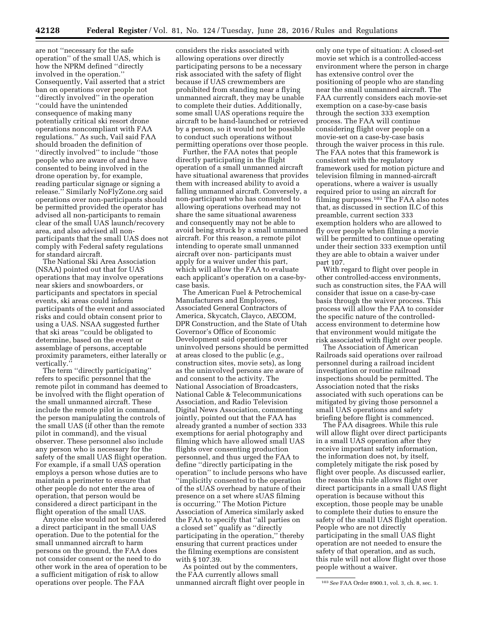are not ''necessary for the safe operation'' of the small UAS, which is how the NPRM defined ''directly involved in the operation.'' Consequently, Vail asserted that a strict ban on operations over people not ''directly involved'' in the operation ''could have the unintended consequence of making many potentially critical ski resort drone operations noncompliant with FAA regulations.'' As such, Vail said FAA should broaden the definition of ''directly involved'' to include ''those people who are aware of and have consented to being involved in the drone operation by, for example, reading particular signage or signing a release.'' Similarly NoFlyZone.org said operations over non-participants should be permitted provided the operator has advised all non-participants to remain clear of the small UAS launch/recovery area, and also advised all nonparticipants that the small UAS does not comply with Federal safety regulations for standard aircraft.

The National Ski Area Association (NSAA) pointed out that for UAS operations that may involve operations near skiers and snowboarders, or participants and spectators in special events, ski areas could inform participants of the event and associated risks and could obtain consent prior to using a UAS. NSAA suggested further that ski areas ''could be obligated to determine, based on the event or assemblage of persons, acceptable proximity parameters, either laterally or vertically.

The term ''directly participating'' refers to specific personnel that the remote pilot in command has deemed to be involved with the flight operation of the small unmanned aircraft. These include the remote pilot in command, the person manipulating the controls of the small UAS (if other than the remote pilot in command), and the visual observer. These personnel also include any person who is necessary for the safety of the small UAS flight operation. For example, if a small UAS operation employs a person whose duties are to maintain a perimeter to ensure that other people do not enter the area of operation, that person would be considered a direct participant in the flight operation of the small UAS.

Anyone else would not be considered a direct participant in the small UAS operation. Due to the potential for the small unmanned aircraft to harm persons on the ground, the FAA does not consider consent or the need to do other work in the area of operation to be a sufficient mitigation of risk to allow operations over people. The FAA

considers the risks associated with allowing operations over directly participating persons to be a necessary risk associated with the safety of flight because if UAS crewmembers are prohibited from standing near a flying unmanned aircraft, they may be unable to complete their duties. Additionally, some small UAS operations require the aircraft to be hand-launched or retrieved by a person, so it would not be possible to conduct such operations without permitting operations over those people.

Further, the FAA notes that people directly participating in the flight operation of a small unmanned aircraft have situational awareness that provides them with increased ability to avoid a falling unmanned aircraft. Conversely, a non-participant who has consented to allowing operations overhead may not share the same situational awareness and consequently may not be able to avoid being struck by a small unmanned aircraft. For this reason, a remote pilot intending to operate small unmanned aircraft over non- participants must apply for a waiver under this part, which will allow the FAA to evaluate each applicant's operation on a case-bycase basis.

The American Fuel & Petrochemical Manufacturers and Employees, Associated General Contractors of America, Skycatch, Clayco, AECOM, DPR Construction, and the State of Utah Governor's Office of Economic Development said operations over uninvolved persons should be permitted at areas closed to the public (*e.g.,*  construction sites, movie sets), as long as the uninvolved persons are aware of and consent to the activity. The National Association of Broadcasters, National Cable & Telecommunications Association, and Radio Television Digital News Association, commenting jointly, pointed out that the FAA has already granted a number of section 333 exemptions for aerial photography and filming which have allowed small UAS flights over consenting production personnel, and thus urged the FAA to define ''directly participating in the operation'' to include persons who have ''implicitly consented to the operation of the sUAS overhead by nature of their presence on a set where sUAS filming is occurring.'' The Motion Picture Association of America similarly asked the FAA to specify that ''all parties on a closed set'' qualify as ''directly participating in the operation,'' thereby ensuring that current practices under the filming exemptions are consistent with § 107.39.

As pointed out by the commenters, the FAA currently allows small unmanned aircraft flight over people in

only one type of situation: A closed-set movie set which is a controlled-access environment where the person in charge has extensive control over the positioning of people who are standing near the small unmanned aircraft. The FAA currently considers each movie-set exemption on a case-by-case basis through the section 333 exemption process. The FAA will continue considering flight over people on a movie-set on a case-by-case basis through the waiver process in this rule. The FAA notes that this framework is consistent with the regulatory framework used for motion picture and television filming in manned-aircraft operations, where a waiver is usually required prior to using an aircraft for filming purposes.103 The FAA also notes that, as discussed in section II.C of this preamble, current section 333 exemption holders who are allowed to fly over people when filming a movie will be permitted to continue operating under their section 333 exemption until they are able to obtain a waiver under part 107.

With regard to flight over people in other controlled-access environments, such as construction sites, the FAA will consider that issue on a case-by-case basis through the waiver process. This process will allow the FAA to consider the specific nature of the controlledaccess environment to determine how that environment would mitigate the risk associated with flight over people.

The Association of American Railroads said operations over railroad personnel during a railroad incident investigation or routine railroad inspections should be permitted. The Association noted that the risks associated with such operations can be mitigated by giving those personnel a small UAS operations and safety briefing before flight is commenced.

The FAA disagrees. While this rule will allow flight over direct participants in a small UAS operation after they receive important safety information, the information does not, by itself, completely mitigate the risk posed by flight over people. As discussed earlier, the reason this rule allows flight over direct participants in a small UAS flight operation is because without this exception, those people may be unable to complete their duties to ensure the safety of the small UAS flight operation. People who are not directly participating in the small UAS flight operation are not needed to ensure the safety of that operation, and as such, this rule will not allow flight over those people without a waiver.

<sup>103</sup>*See* FAA Order 8900.1, vol. 3, ch. 8, sec. 1.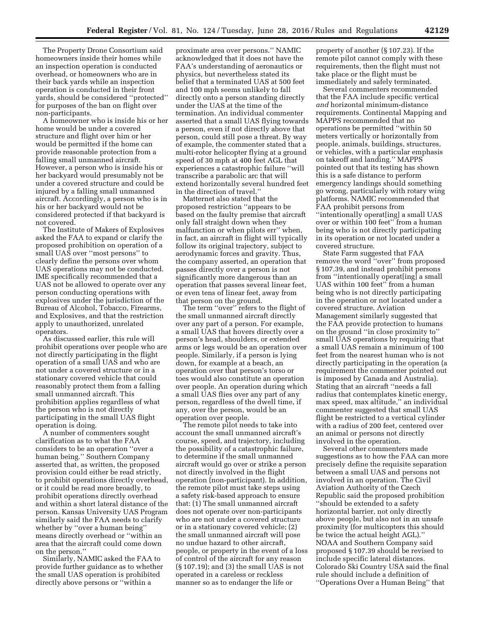The Property Drone Consortium said homeowners inside their homes while an inspection operation is conducted overhead, or homeowners who are in their back yards while an inspection operation is conducted in their front yards, should be considered ''protected'' for purposes of the ban on flight over non-participants.

A homeowner who is inside his or her home would be under a covered structure and flight over him or her would be permitted if the home can provide reasonable protection from a falling small unmanned aircraft. However, a person who is inside his or her backyard would presumably not be under a covered structure and could be injured by a falling small unmanned aircraft. Accordingly, a person who is in his or her backyard would not be considered protected if that backyard is not covered.

The Institute of Makers of Explosives asked the FAA to expand or clarify the proposed prohibition on operation of a small UAS over ''most persons'' to clearly define the persons over whom UAS operations may not be conducted. IME specifically recommended that a UAS not be allowed to operate over any person conducting operations with explosives under the jurisdiction of the Bureau of Alcohol, Tobacco, Firearms, and Explosives, and that the restriction apply to unauthorized, unrelated operators.

As discussed earlier, this rule will prohibit operations over people who are not directly participating in the flight operation of a small UAS and who are not under a covered structure or in a stationary covered vehicle that could reasonably protect them from a falling small unmanned aircraft. This prohibition applies regardless of what the person who is not directly participating in the small UAS flight operation is doing.

A number of commenters sought clarification as to what the FAA considers to be an operation ''over a human being.'' Southern Company asserted that, as written, the proposed provision could either be read strictly, to prohibit operations directly overhead, or it could be read more broadly, to prohibit operations directly overhead and within a short lateral distance of the person. Kansas University UAS Program similarly said the FAA needs to clarify whether by ''over a human being'' means directly overhead or ''within an area that the aircraft could come down on the person.''

Similarly, NAMIC asked the FAA to provide further guidance as to whether the small UAS operation is prohibited directly above persons or ''within a

proximate area over persons.'' NAMIC acknowledged that it does not have the FAA's understanding of aeronautics or physics, but nevertheless stated its belief that a terminated UAS at 500 feet and 100 mph seems unlikely to fall directly onto a person standing directly under the UAS at the time of the termination. An individual commenter asserted that a small UAS flying towards a person, even if not directly above that person, could still pose a threat. By way of example, the commenter stated that a multi-rotor helicopter flying at a ground speed of 30 mph at 400 feet AGL that experiences a catastrophic failure ''will transcribe a parabolic arc that will extend horizontally several hundred feet in the direction of travel.''

Matternet also stated that the proposed restriction ''appears to be based on the faulty premise that aircraft only fall straight down when they malfunction or when pilots err'' when, in fact, an aircraft in flight will typically follow its original trajectory, subject to aerodynamic forces and gravity. Thus, the company asserted, an operation that passes directly over a person is not significantly more dangerous than an operation that passes several linear feet, or even tens of linear feet, away from that person on the ground.

The term "over" refers to the flight of the small unmanned aircraft directly over any part of a person. For example, a small UAS that hovers directly over a person's head, shoulders, or extended arms or legs would be an operation over people. Similarly, if a person is lying down, for example at a beach, an operation over that person's torso or toes would also constitute an operation over people. An operation during which a small UAS flies over any part of any person, regardless of the dwell time, if any, over the person, would be an operation over people.

The remote pilot needs to take into account the small unmanned aircraft's course, speed, and trajectory, including the possibility of a catastrophic failure, to determine if the small unmanned aircraft would go over or strike a person not directly involved in the flight operation (non-participant). In addition, the remote pilot must take steps using a safety risk-based approach to ensure that: (1) The small unmanned aircraft does not operate over non-participants who are not under a covered structure or in a stationary covered vehicle; (2) the small unmanned aircraft will pose no undue hazard to other aircraft, people, or property in the event of a loss of control of the aircraft for any reason (§ 107.19); and (3) the small UAS is not operated in a careless or reckless manner so as to endanger the life or

property of another (§ 107.23). If the remote pilot cannot comply with these requirements, then the flight must not take place or the flight must be immediately and safely terminated.

Several commenters recommended that the FAA include specific vertical *and* horizontal minimum-distance requirements. Continental Mapping and MAPPS recommended that no operations be permitted ''within 50 meters vertically or horizontally from people, animals, buildings, structures, or vehicles, with a particular emphasis on takeoff and landing.'' MAPPS pointed out that its testing has shown this is a safe distance to perform emergency landings should something go wrong, particularly with rotary wing platforms. NAMIC recommended that FAA prohibit persons from ''intentionally operat[ing] a small UAS over or within 100 feet'' from a human being who is not directly participating in its operation or not located under a covered structure.

State Farm suggested that FAA remove the word ''over'' from proposed § 107.39, and instead prohibit persons from ''intentionally operat[ing] a small UAS within 100 feet'' from a human being who is not directly participating in the operation or not located under a covered structure. Aviation Management similarly suggested that the FAA provide protection to humans on the ground ''in close proximity to'' small UAS operations by requiring that a small UAS remain a minimum of 100 feet from the nearest human who is not directly participating in the operation (a requirement the commenter pointed out is imposed by Canada and Australia). Stating that an aircraft ''needs a fall radius that contemplates kinetic energy, max speed, max altitude,'' an individual commenter suggested that small UAS flight be restricted to a vertical cylinder with a radius of 200 feet, centered over an animal or persons not directly involved in the operation.

Several other commenters made suggestions as to how the FAA can more precisely define the requisite separation between a small UAS and persons not involved in an operation. The Civil Aviation Authority of the Czech Republic said the proposed prohibition ''should be extended to a safety horizontal barrier, not only directly above people, but also not in an unsafe proximity (for multicopters this should be twice the actual height AGL).'' NOAA and Southern Company said proposed § 107.39 should be revised to include specific lateral distances. Colorado Ski Country USA said the final rule should include a definition of ''Operations Over a Human Being'' that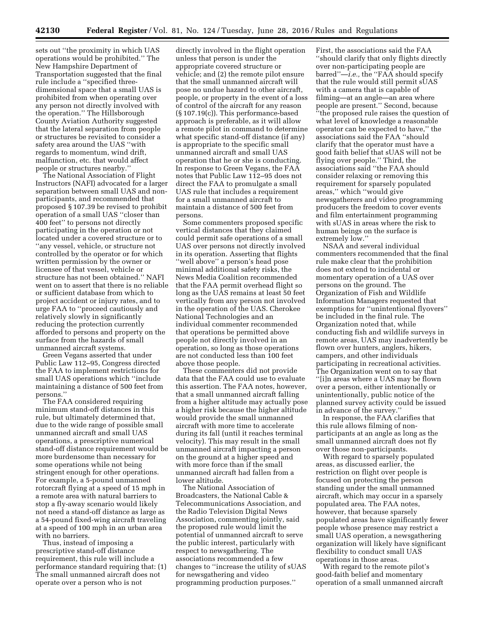sets out ''the proximity in which UAS operations would be prohibited.'' The New Hampshire Department of Transportation suggested that the final rule include a ''specified threedimensional space that a small UAS is prohibited from when operating over any person not directly involved with the operation.'' The Hillsborough County Aviation Authority suggested that the lateral separation from people or structures be revisited to consider a safety area around the UAS ''with regards to momentum, wind drift, malfunction, etc. that would affect people or structures nearby.''

The National Association of Flight Instructors (NAFI) advocated for a larger separation between small UAS and nonparticipants, and recommended that proposed § 107.39 be revised to prohibit operation of a small UAS ''closer than 400 feet'' to persons not directly participating in the operation or not located under a covered structure or to ''any vessel, vehicle, or structure not controlled by the operator or for which written permission by the owner or licensee of that vessel, vehicle or structure has not been obtained.'' NAFI went on to assert that there is no reliable or sufficient database from which to project accident or injury rates, and to urge FAA to ''proceed cautiously and relatively slowly in significantly reducing the protection currently afforded to persons and property on the surface from the hazards of small unmanned aircraft systems.

Green Vegans asserted that under Public Law 112–95, Congress directed the FAA to implement restrictions for small UAS operations which ''include maintaining a distance of 500 feet from persons.''

The FAA considered requiring minimum stand-off distances in this rule, but ultimately determined that, due to the wide range of possible small unmanned aircraft and small UAS operations, a prescriptive numerical stand-off distance requirement would be more burdensome than necessary for some operations while not being stringent enough for other operations. For example, a 5-pound unmanned rotorcraft flying at a speed of 15 mph in a remote area with natural barriers to stop a fly-away scenario would likely not need a stand-off distance as large as a 54-pound fixed-wing aircraft traveling at a speed of 100 mph in an urban area with no barriers.

Thus, instead of imposing a prescriptive stand-off distance requirement, this rule will include a performance standard requiring that: (1) The small unmanned aircraft does not operate over a person who is not

directly involved in the flight operation unless that person is under the appropriate covered structure or vehicle; and (2) the remote pilot ensure that the small unmanned aircraft will pose no undue hazard to other aircraft, people, or property in the event of a loss of control of the aircraft for any reason (§ 107.19(c)). This performance-based approach is preferable, as it will allow a remote pilot in command to determine what specific stand-off distance (if any) is appropriate to the specific small unmanned aircraft and small UAS operation that he or she is conducting. In response to Green Vegans, the FAA notes that Public Law 112–95 does not direct the FAA to promulgate a small UAS rule that includes a requirement for a small unmanned aircraft to maintain a distance of 500 feet from persons.

Some commenters proposed specific vertical distances that they claimed could permit safe operations of a small UAS over persons not directly involved in its operation. Asserting that flights ''well above'' a person's head pose minimal additional safety risks, the News Media Coalition recommended that the FAA permit overhead flight so long as the UAS remains at least 50 feet vertically from any person not involved in the operation of the UAS. Cherokee National Technologies and an individual commenter recommended that operations be permitted above people not directly involved in an operation, so long as those operations are not conducted less than 100 feet above those people.

These commenters did not provide data that the FAA could use to evaluate this assertion. The FAA notes, however, that a small unmanned aircraft falling from a higher altitude may actually pose a higher risk because the higher altitude would provide the small unmanned aircraft with more time to accelerate during its fall (until it reaches terminal velocity). This may result in the small unmanned aircraft impacting a person on the ground at a higher speed and with more force than if the small unmanned aircraft had fallen from a lower altitude.

The National Association of Broadcasters, the National Cable & Telecommunications Association, and the Radio Television Digital News Association, commenting jointly, said the proposed rule would limit the potential of unmanned aircraft to serve the public interest, particularly with respect to newsgathering. The associations recommended a few changes to ''increase the utility of sUAS for newsgathering and video programming production purposes.''

First, the associations said the FAA ''should clarify that only flights directly over non-participating people are barred''—*i.e.,* the ''FAA should specify that the rule would still permit sUAS with a camera that is capable of filming—at an angle—an area where people are present.'' Second, because ''the proposed rule raises the question of what level of knowledge a reasonable operator can be expected to have,'' the associations said the FAA ''should clarify that the operator must have a good faith belief that sUAS will not be flying over people.'' Third, the associations said ''the FAA should consider relaxing or removing this requirement for sparsely populated areas,'' which ''would give newsgatherers and video programming producers the freedom to cover events and film entertainment programming with sUAS in areas where the risk to human beings on the surface is extremely low.'

NSAA and several individual commenters recommended that the final rule make clear that the prohibition does not extend to incidental or momentary operation of a UAS over persons on the ground. The Organization of Fish and Wildlife Information Managers requested that exemptions for ''unintentional flyovers'' be included in the final rule. The Organization noted that, while conducting fish and wildlife surveys in remote areas, UAS may inadvertently be flown over hunters, anglers, hikers, campers, and other individuals participating in recreational activities. The Organization went on to say that ''[i]n areas where a UAS may be flown over a person, either intentionally or unintentionally, public notice of the planned survey activity could be issued in advance of the survey.''

In response, the FAA clarifies that this rule allows filming of nonparticipants at an angle as long as the small unmanned aircraft does not fly over those non-participants.

With regard to sparsely populated areas, as discussed earlier, the restriction on flight over people is focused on protecting the person standing under the small unmanned aircraft, which may occur in a sparsely populated area. The FAA notes, however, that because sparsely populated areas have significantly fewer people whose presence may restrict a small UAS operation, a newsgathering organization will likely have significant flexibility to conduct small UAS operations in those areas.

With regard to the remote pilot's good-faith belief and momentary operation of a small unmanned aircraft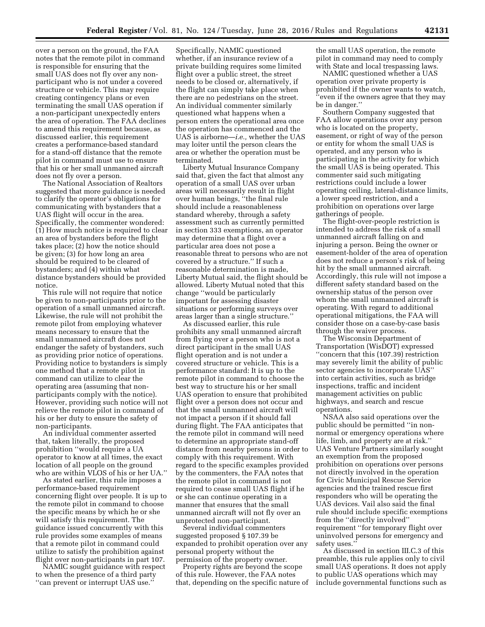over a person on the ground, the FAA notes that the remote pilot in command is responsible for ensuring that the small UAS does not fly over any nonparticipant who is not under a covered structure or vehicle. This may require creating contingency plans or even terminating the small UAS operation if a non-participant unexpectedly enters the area of operation. The FAA declines to amend this requirement because, as discussed earlier, this requirement creates a performance-based standard for a stand-off distance that the remote pilot in command must use to ensure that his or her small unmanned aircraft does not fly over a person.

The National Association of Realtors suggested that more guidance is needed to clarify the operator's obligations for communicating with bystanders that a UAS flight will occur in the area. Specifically, the commenter wondered: (1) How much notice is required to clear an area of bystanders before the flight takes place; (2) how the notice should be given; (3) for how long an area should be required to be cleared of bystanders; and (4) within what distance bystanders should be provided notice.

This rule will not require that notice be given to non-participants prior to the operation of a small unmanned aircraft. Likewise, the rule will not prohibit the remote pilot from employing whatever means necessary to ensure that the small unmanned aircraft does not endanger the safety of bystanders, such as providing prior notice of operations. Providing notice to bystanders is simply one method that a remote pilot in command can utilize to clear the operating area (assuming that nonparticipants comply with the notice). However, providing such notice will not relieve the remote pilot in command of his or her duty to ensure the safety of non-participants.

An individual commenter asserted that, taken literally, the proposed prohibition ''would require a UA operator to know at all times, the exact location of all people on the ground who are within VLOS of his or her UA.''

As stated earlier, this rule imposes a performance-based requirement concerning flight over people. It is up to the remote pilot in command to choose the specific means by which he or she will satisfy this requirement. The guidance issued concurrently with this rule provides some examples of means that a remote pilot in command could utilize to satisfy the prohibition against flight over non-participants in part 107.

NAMIC sought guidance with respect to when the presence of a third party ''can prevent or interrupt UAS use.''

Specifically, NAMIC questioned whether, if an insurance review of a private building requires some limited flight over a public street, the street needs to be closed or, alternatively, if the flight can simply take place when there are no pedestrians on the street. An individual commenter similarly questioned what happens when a person enters the operational area once the operation has commenced and the UAS is airborne—*i.e.,* whether the UAS may loiter until the person clears the area or whether the operation must be terminated.

Liberty Mutual Insurance Company said that, given the fact that almost any operation of a small UAS over urban areas will necessarily result in flight over human beings, ''the final rule should include a reasonableness standard whereby, through a safety assessment such as currently permitted in section 333 exemptions, an operator may determine that a flight over a particular area does not pose a reasonable threat to persons who are not covered by a structure.'' If such a reasonable determination is made, Liberty Mutual said, the flight should be allowed. Liberty Mutual noted that this change ''would be particularly important for assessing disaster situations or performing surveys over areas larger than a single structure.''

As discussed earlier, this rule prohibits any small unmanned aircraft from flying over a person who is not a direct participant in the small UAS flight operation and is not under a covered structure or vehicle. This is a performance standard: It is up to the remote pilot in command to choose the best way to structure his or her small UAS operation to ensure that prohibited flight over a person does not occur and that the small unmanned aircraft will not impact a person if it should fall during flight. The FAA anticipates that the remote pilot in command will need to determine an appropriate stand-off distance from nearby persons in order to comply with this requirement. With regard to the specific examples provided by the commenters, the FAA notes that the remote pilot in command is not required to cease small UAS flight if he or she can continue operating in a manner that ensures that the small unmanned aircraft will not fly over an unprotected non-participant.

Several individual commenters suggested proposed § 107.39 be expanded to prohibit operation over any personal property without the permission of the property owner.

Property rights are beyond the scope of this rule. However, the FAA notes that, depending on the specific nature of the small UAS operation, the remote pilot in command may need to comply with State and local trespassing laws.

NAMIC questioned whether a UAS operation over private property is prohibited if the owner wants to watch, ''even if the owners agree that they may be in danger.''

Southern Company suggested that FAA allow operations over any person who is located on the property, easement, or right of way of the person or entity for whom the small UAS is operated, and any person who is participating in the activity for which the small UAS is being operated. This commenter said such mitigating restrictions could include a lower operating ceiling, lateral-distance limits, a lower speed restriction, and a prohibition on operations over large gatherings of people.

The flight-over-people restriction is intended to address the risk of a small unmanned aircraft falling on and injuring a person. Being the owner or easement-holder of the area of operation does not reduce a person's risk of being hit by the small unmanned aircraft. Accordingly, this rule will not impose a different safety standard based on the ownership status of the person over whom the small unmanned aircraft is operating. With regard to additional operational mitigations, the FAA will consider those on a case-by-case basis through the waiver process.

The Wisconsin Department of Transportation (WisDOT) expressed ''concern that this (107.39) restriction may severely limit the ability of public sector agencies to incorporate UAS'' into certain activities, such as bridge inspections, traffic and incident management activities on public highways, and search and rescue operations.

NSAA also said operations over the public should be permitted ''in nonnormal or emergency operations where life, limb, and property are at risk.'' UAS Venture Partners similarly sought an exemption from the proposed prohibition on operations over persons not directly involved in the operation for Civic Municipal Rescue Service agencies and the trained rescue first responders who will be operating the UAS devices. Vail also said the final rule should include specific exemptions from the ''directly involved'' requirement ''for temporary flight over uninvolved persons for emergency and safety uses.''

As discussed in section III.C.3 of this preamble, this rule applies only to civil small UAS operations. It does not apply to public UAS operations which may include governmental functions such as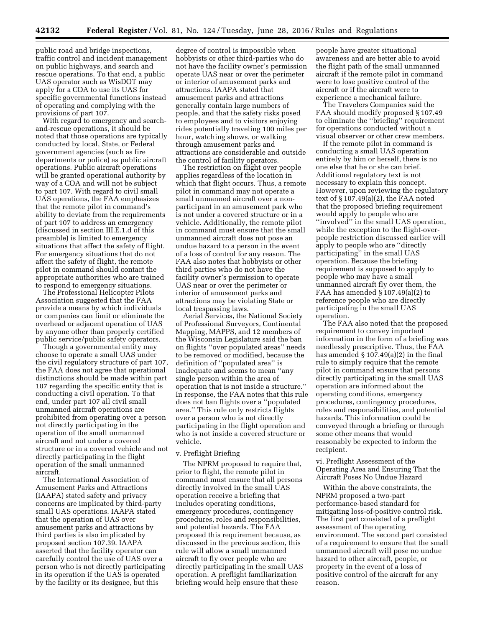public road and bridge inspections, traffic control and incident management on public highways, and search and rescue operations. To that end, a public UAS operator such as WisDOT may apply for a COA to use its UAS for specific governmental functions instead of operating and complying with the provisions of part 107.

With regard to emergency and searchand-rescue operations, it should be noted that those operations are typically conducted by local, State, or Federal government agencies (such as fire departments or police) as public aircraft operations. Public aircraft operations will be granted operational authority by way of a COA and will not be subject to part 107. With regard to civil small UAS operations, the FAA emphasizes that the remote pilot in command's ability to deviate from the requirements of part 107 to address an emergency (discussed in section III.E.1.d of this preamble) is limited to emergency situations that affect the safety of flight. For emergency situations that do not affect the safety of flight, the remote pilot in command should contact the appropriate authorities who are trained to respond to emergency situations.

The Professional Helicopter Pilots Association suggested that the FAA provide a means by which individuals or companies can limit or eliminate the overhead or adjacent operation of UAS by anyone other than properly certified public service/public safety operators.

Though a governmental entity may choose to operate a small UAS under the civil regulatory structure of part 107, the FAA does not agree that operational distinctions should be made within part 107 regarding the specific entity that is conducting a civil operation. To that end, under part 107 all civil small unmanned aircraft operations are prohibited from operating over a person not directly participating in the operation of the small unmanned aircraft and not under a covered structure or in a covered vehicle and not directly participating in the flight operation of the small unmanned aircraft.

The International Association of Amusement Parks and Attractions (IAAPA) stated safety and privacy concerns are implicated by third-party small UAS operations. IAAPA stated that the operation of UAS over amusement parks and attractions by third parties is also implicated by proposed section 107.39. IAAPA asserted that the facility operator can carefully control the use of UAS over a person who is not directly participating in its operation if the UAS is operated by the facility or its designee, but this

degree of control is impossible when hobbyists or other third-parties who do not have the facility owner's permission operate UAS near or over the perimeter or interior of amusement parks and attractions. IAAPA stated that amusement parks and attractions generally contain large numbers of people, and that the safety risks posed to employees and to visitors enjoying rides potentially traveling 100 miles per hour, watching shows, or walking through amusement parks and attractions are considerable and outside the control of facility operators.

The restriction on flight over people applies regardless of the location in which that flight occurs. Thus, a remote pilot in command may not operate a small unmanned aircraft over a nonparticipant in an amusement park who is not under a covered structure or in a vehicle. Additionally, the remote pilot in command must ensure that the small unmanned aircraft does not pose an undue hazard to a person in the event of a loss of control for any reason. The FAA also notes that hobbyists or other third parties who do not have the facility owner's permission to operate UAS near or over the perimeter or interior of amusement parks and attractions may be violating State or local trespassing laws.

Aerial Services, the National Society of Professional Surveyors, Continental Mapping, MAPPS, and 12 members of the Wisconsin Legislature said the ban on flights ''over populated areas'' needs to be removed or modified, because the definition of ''populated area'' is inadequate and seems to mean ''any single person within the area of operation that is not inside a structure.'' In response, the FAA notes that this rule does not ban flights over a ''populated area.'' This rule only restricts flights over a person who is not directly participating in the flight operation and who is not inside a covered structure or vehicle.

## v. Preflight Briefing

The NPRM proposed to require that, prior to flight, the remote pilot in command must ensure that all persons directly involved in the small UAS operation receive a briefing that includes operating conditions, emergency procedures, contingency procedures, roles and responsibilities, and potential hazards. The FAA proposed this requirement because, as discussed in the previous section, this rule will allow a small unmanned aircraft to fly over people who are directly participating in the small UAS operation. A preflight familiarization briefing would help ensure that these

people have greater situational awareness and are better able to avoid the flight path of the small unmanned aircraft if the remote pilot in command were to lose positive control of the aircraft or if the aircraft were to experience a mechanical failure.

The Travelers Companies said the FAA should modify proposed § 107.49 to eliminate the ''briefing'' requirement for operations conducted without a visual observer or other crew members.

If the remote pilot in command is conducting a small UAS operation entirely by him or herself, there is no one else that he or she can brief. Additional regulatory text is not necessary to explain this concept. However, upon reviewing the regulatory text of  $\S 107.49(a)(2)$ , the FAA noted that the proposed briefing requirement would apply to people who are "involved" in the small UAS operation, while the exception to the flight-overpeople restriction discussed earlier will apply to people who are ''directly participating'' in the small UAS operation. Because the briefing requirement is supposed to apply to people who may have a small unmanned aircraft fly over them, the FAA has amended § 107.49(a)(2) to reference people who are directly participating in the small UAS operation.

The FAA also noted that the proposed requirement to convey important information in the form of a briefing was needlessly prescriptive. Thus, the FAA has amended § 107.49(a)(2) in the final rule to simply require that the remote pilot in command ensure that persons directly participating in the small UAS operation are informed about the operating conditions, emergency procedures, contingency procedures, roles and responsibilities, and potential hazards. This information could be conveyed through a briefing or through some other means that would reasonably be expected to inform the recipient.

vi. Preflight Assessment of the Operating Area and Ensuring That the Aircraft Poses No Undue Hazard

Within the above constraints, the NPRM proposed a two-part performance-based standard for mitigating loss-of-positive control risk. The first part consisted of a preflight assessment of the operating environment. The second part consisted of a requirement to ensure that the small unmanned aircraft will pose no undue hazard to other aircraft, people, or property in the event of a loss of positive control of the aircraft for any reason.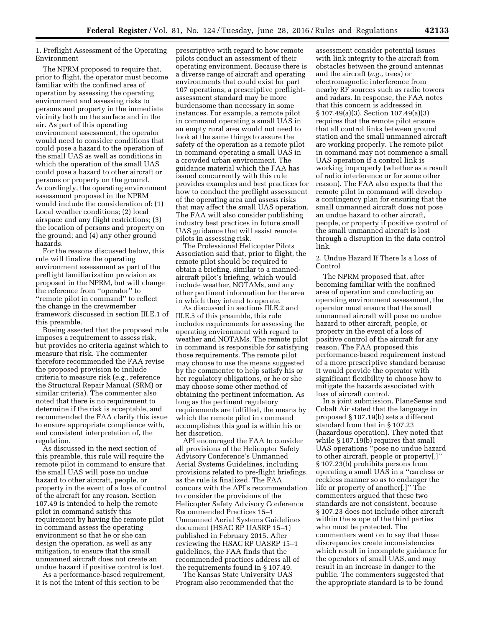1. Preflight Assessment of the Operating Environment

The NPRM proposed to require that, prior to flight, the operator must become familiar with the confined area of operation by assessing the operating environment and assessing risks to persons and property in the immediate vicinity both on the surface and in the air. As part of this operating environment assessment, the operator would need to consider conditions that could pose a hazard to the operation of the small UAS as well as conditions in which the operation of the small UAS could pose a hazard to other aircraft or persons or property on the ground. Accordingly, the operating environment assessment proposed in the NPRM would include the consideration of: (1) Local weather conditions; (2) local airspace and any flight restrictions; (3) the location of persons and property on the ground; and (4) any other ground hazards.

For the reasons discussed below, this rule will finalize the operating environment assessment as part of the preflight familiarization provision as proposed in the NPRM, but will change the reference from ''operator'' to ''remote pilot in command'' to reflect the change in the crewmember framework discussed in section III.E.1 of this preamble.

Boeing asserted that the proposed rule imposes a requirement to assess risk, but provides no criteria against which to measure that risk. The commenter therefore recommended the FAA revise the proposed provision to include criteria to measure risk (*e.g.,* reference the Structural Repair Manual (SRM) or similar criteria). The commenter also noted that there is no requirement to determine if the risk is acceptable, and recommended the FAA clarify this issue to ensure appropriate compliance with, and consistent interpretation of, the regulation.

As discussed in the next section of this preamble, this rule will require the remote pilot in command to ensure that the small UAS will pose no undue hazard to other aircraft, people, or property in the event of a loss of control of the aircraft for any reason. Section 107.49 is intended to help the remote pilot in command satisfy this requirement by having the remote pilot in command assess the operating environment so that he or she can design the operation, as well as any mitigation, to ensure that the small unmanned aircraft does not create an undue hazard if positive control is lost.

As a performance-based requirement, it is not the intent of this section to be

prescriptive with regard to how remote pilots conduct an assessment of their operating environment. Because there is a diverse range of aircraft and operating environments that could exist for part 107 operations, a prescriptive preflightassessment standard may be more burdensome than necessary in some instances. For example, a remote pilot in command operating a small UAS in an empty rural area would not need to look at the same things to assure the safety of the operation as a remote pilot in command operating a small UAS in a crowded urban environment. The guidance material which the FAA has issued concurrently with this rule provides examples and best practices for how to conduct the preflight assessment of the operating area and assess risks that may affect the small UAS operation. The FAA will also consider publishing industry best practices in future small UAS guidance that will assist remote pilots in assessing risk.

The Professional Helicopter Pilots Association said that, prior to flight, the remote pilot should be required to obtain a briefing, similar to a mannedaircraft pilot's briefing, which would include weather, NOTAMs, and any other pertinent information for the area in which they intend to operate.

As discussed in sections III.E.2 and III.E.5 of this preamble, this rule includes requirements for assessing the operating environment with regard to weather and NOTAMs. The remote pilot in command is responsible for satisfying those requirements. The remote pilot may choose to use the means suggested by the commenter to help satisfy his or her regulatory obligations, or he or she may choose some other method of obtaining the pertinent information. As long as the pertinent regulatory requirements are fulfilled, the means by which the remote pilot in command accomplishes this goal is within his or her discretion.

API encouraged the FAA to consider all provisions of the Helicopter Safety Advisory Conference's Unmanned Aerial Systems Guidelines, including provisions related to pre-flight briefings, as the rule is finalized. The FAA concurs with the API's recommendation to consider the provisions of the Helicopter Safety Advisory Conference Recommended Practices 15–1 Unmanned Aerial Systems Guidelines document (HSAC RP UASRP 15–1) published in February 2015. After reviewing the HSAC RP UASRP 15–1 guidelines, the FAA finds that the recommended practices address all of the requirements found in § 107.49.

The Kansas State University UAS Program also recommended that the

assessment consider potential issues with link integrity to the aircraft from obstacles between the ground antennas and the aircraft (*e.g.,* trees) or electromagnetic interference from nearby RF sources such as radio towers and radars. In response, the FAA notes that this concern is addressed in § 107.49(a)(3). Section 107.49(a)(3) requires that the remote pilot ensure that all control links between ground station and the small unmanned aircraft are working properly. The remote pilot in command may not commence a small UAS operation if a control link is working improperly (whether as a result of radio interference or for some other reason). The FAA also expects that the remote pilot in command will develop a contingency plan for ensuring that the small unmanned aircraft does not pose an undue hazard to other aircraft, people, or property if positive control of the small unmanned aircraft is lost through a disruption in the data control link.

2. Undue Hazard If There Is a Loss of Control

The NPRM proposed that, after becoming familiar with the confined area of operation and conducting an operating environment assessment, the operator must ensure that the small unmanned aircraft will pose no undue hazard to other aircraft, people, or property in the event of a loss of positive control of the aircraft for any reason. The FAA proposed this performance-based requirement instead of a more prescriptive standard because it would provide the operator with significant flexibility to choose how to mitigate the hazards associated with loss of aircraft control.

In a joint submission, PlaneSense and Cobalt Air stated that the language in proposed § 107.19(b) sets a different standard from that in § 107.23 (hazardous operation). They noted that while § 107.19(b) requires that small UAS operations ''pose no undue hazard to other aircraft, people or property[,]'' § 107.23(b) prohibits persons from operating a small UAS in a ''careless or reckless manner so as to endanger the life or property of another[.]'' The commenters argued that these two standards are not consistent, because § 107.23 does not include other aircraft within the scope of the third parties who must be protected. The commenters went on to say that these discrepancies create inconsistencies which result in incomplete guidance for the operators of small UAS, and may result in an increase in danger to the public. The commenters suggested that the appropriate standard is to be found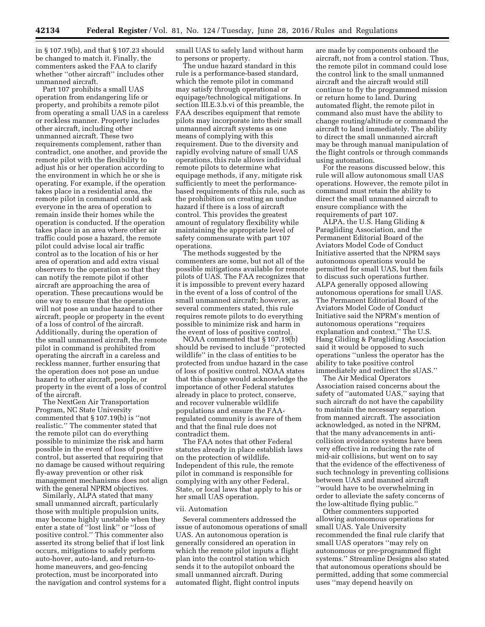in § 107.19(b), and that § 107.23 should be changed to match it. Finally, the commenters asked the FAA to clarify whether ''other aircraft'' includes other unmanned aircraft.

Part 107 prohibits a small UAS operation from endangering life or property, and prohibits a remote pilot from operating a small UAS in a careless or reckless manner. Property includes other aircraft, including other unmanned aircraft. These two requirements complement, rather than contradict, one another, and provide the remote pilot with the flexibility to adjust his or her operation according to the environment in which he or she is operating. For example, if the operation takes place in a residential area, the remote pilot in command could ask everyone in the area of operation to remain inside their homes while the operation is conducted. If the operation takes place in an area where other air traffic could pose a hazard, the remote pilot could advise local air traffic control as to the location of his or her area of operation and add extra visual observers to the operation so that they can notify the remote pilot if other aircraft are approaching the area of operation. These precautions would be one way to ensure that the operation will not pose an undue hazard to other aircraft, people or property in the event of a loss of control of the aircraft. Additionally, during the operation of the small unmanned aircraft, the remote pilot in command is prohibited from operating the aircraft in a careless and reckless manner, further ensuring that the operation does not pose an undue hazard to other aircraft, people, or property in the event of a loss of control of the aircraft.

The NextGen Air Transportation Program, NC State University commented that § 107.19(b) is ''not realistic.'' The commenter stated that the remote pilot can do everything possible to minimize the risk and harm possible in the event of loss of positive control, but asserted that requiring that no damage be caused without requiring fly-away prevention or other risk management mechanisms does not align with the general NPRM objectives.

Similarly, ALPA stated that many small unmanned aircraft, particularly those with multiple propulsion units, may become highly unstable when they enter a state of ''lost link'' or ''loss of positive control.'' This commenter also asserted its strong belief that if lost link occurs, mitigations to safely perform auto-hover, auto-land, and return-tohome maneuvers, and geo-fencing protection, must be incorporated into the navigation and control systems for a small UAS to safely land without harm to persons or property.

The undue hazard standard in this rule is a performance-based standard, which the remote pilot in command may satisfy through operational or equipage/technological mitigations. In section III.E.3.b.vi of this preamble, the FAA describes equipment that remote pilots may incorporate into their small unmanned aircraft systems as one means of complying with this requirement. Due to the diversity and rapidly evolving nature of small UAS operations, this rule allows individual remote pilots to determine what equipage methods, if any, mitigate risk sufficiently to meet the performancebased requirements of this rule, such as the prohibition on creating an undue hazard if there is a loss of aircraft control. This provides the greatest amount of regulatory flexibility while maintaining the appropriate level of safety commensurate with part 107 operations.

The methods suggested by the commenters are some, but not all of the possible mitigations available for remote pilots of UAS. The FAA recognizes that it is impossible to prevent every hazard in the event of a loss of control of the small unmanned aircraft; however, as several commenters stated, this rule requires remote pilots to do everything possible to minimize risk and harm in the event of loss of positive control.

NOAA commented that § 107.19(b) should be revised to include ''protected wildlife'' in the class of entities to be protected from undue hazard in the case of loss of positive control. NOAA states that this change would acknowledge the importance of other Federal statutes already in place to protect, conserve, and recover vulnerable wildlife populations and ensure the FAAregulated community is aware of them and that the final rule does not contradict them.

The FAA notes that other Federal statutes already in place establish laws on the protection of wildlife. Independent of this rule, the remote pilot in command is responsible for complying with any other Federal, State, or local laws that apply to his or her small UAS operation.

## vii. Automation

Several commenters addressed the issue of autonomous operations of small UAS. An autonomous operation is generally considered an operation in which the remote pilot inputs a flight plan into the control station which sends it to the autopilot onboard the small unmanned aircraft. During automated flight, flight control inputs

are made by components onboard the aircraft, not from a control station. Thus, the remote pilot in command could lose the control link to the small unmanned aircraft and the aircraft would still continue to fly the programmed mission or return home to land. During automated flight, the remote pilot in command also must have the ability to change routing/altitude or command the aircraft to land immediately. The ability to direct the small unmanned aircraft may be through manual manipulation of the flight controls or through commands using automation.

For the reasons discussed below, this rule will allow autonomous small UAS operations. However, the remote pilot in command must retain the ability to direct the small unmanned aircraft to ensure compliance with the requirements of part 107.

ALPA, the U.S. Hang Gliding & Paragliding Association, and the Permanent Editorial Board of the Aviators Model Code of Conduct Initiative asserted that the NPRM says autonomous operations would be permitted for small UAS, but then fails to discuss such operations further. ALPA generally opposed allowing autonomous operations for small UAS. The Permanent Editorial Board of the Aviators Model Code of Conduct Initiative said the NPRM's mention of autonomous operations ''requires explanation and context.'' The U.S. Hang Gliding & Paragliding Association said it would be opposed to such operations ''unless the operator has the ability to take positive control immediately and redirect the sUAS.''

The Air Medical Operators Association raised concerns about the safety of "automated UAS," saying that such aircraft do not have the capability to maintain the necessary separation from manned aircraft. The association acknowledged, as noted in the NPRM, that the many advancements in anticollision avoidance systems have been very effective in reducing the rate of mid-air collisions, but went on to say that the evidence of the effectiveness of such technology in preventing collisions between UAS and manned aircraft ''would have to be overwhelming in order to alleviate the safety concerns of the low-altitude flying public.''

Other commenters supported allowing autonomous operations for small UAS. Yale University recommended the final rule clarify that small UAS operators ''may rely on autonomous or pre-programmed flight systems.'' Streamline Designs also stated that autonomous operations should be permitted, adding that some commercial uses ''may depend heavily on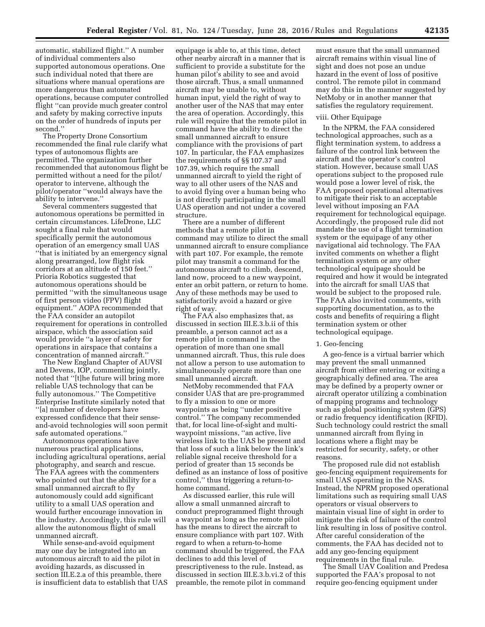automatic, stabilized flight.'' A number of individual commenters also supported autonomous operations. One such individual noted that there are situations where manual operations are more dangerous than automated operations, because computer controlled flight ''can provide much greater control and safety by making corrective inputs on the order of hundreds of inputs per second.''

The Property Drone Consortium recommended the final rule clarify what types of autonomous flights are permitted. The organization further recommended that autonomous flight be permitted without a need for the pilot/ operator to intervene, although the pilot/operator ''would always have the ability to intervene.''

Several commenters suggested that autonomous operations be permitted in certain circumstances. LifeDrone, LLC sought a final rule that would specifically permit the autonomous operation of an emergency small UAS ''that is initiated by an emergency signal along prearranged, low flight risk corridors at an altitude of 150 feet.'' Prioria Robotics suggested that autonomous operations should be permitted ''with the simultaneous usage of first person video (FPV) flight equipment.'' AOPA recommended that the FAA consider an autopilot requirement for operations in controlled airspace, which the association said would provide ''a layer of safety for operations in airspace that contains a concentration of manned aircraft.''

The New England Chapter of AUVSI and Devens, IOP, commenting jointly, noted that ''[t]he future will bring more reliable UAS technology that can be fully autonomous.'' The Competitive Enterprise Institute similarly noted that ''[a] number of developers have expressed confidence that their senseand-avoid technologies will soon permit safe automated operations.''

Autonomous operations have numerous practical applications, including agricultural operations, aerial photography, and search and rescue. The FAA agrees with the commenters who pointed out that the ability for a small unmanned aircraft to fly autonomously could add significant utility to a small UAS operation and would further encourage innovation in the industry. Accordingly, this rule will allow the autonomous flight of small unmanned aircraft.

While sense-and-avoid equipment may one day be integrated into an autonomous aircraft to aid the pilot in avoiding hazards, as discussed in section III.E.2.a of this preamble, there is insufficient data to establish that UAS

equipage is able to, at this time, detect other nearby aircraft in a manner that is sufficient to provide a substitute for the human pilot's ability to see and avoid those aircraft. Thus, a small unmanned aircraft may be unable to, without human input, yield the right of way to another user of the NAS that may enter the area of operation. Accordingly, this rule will require that the remote pilot in command have the ability to direct the small unmanned aircraft to ensure compliance with the provisions of part 107. In particular, the FAA emphasizes the requirements of §§ 107.37 and 107.39, which require the small unmanned aircraft to yield the right of way to all other users of the NAS and to avoid flying over a human being who is not directly participating in the small UAS operation and not under a covered structure.

There are a number of different methods that a remote pilot in command may utilize to direct the small unmanned aircraft to ensure compliance with part 107. For example, the remote pilot may transmit a command for the autonomous aircraft to climb, descend, land now, proceed to a new waypoint, enter an orbit pattern, or return to home. Any of these methods may be used to satisfactorily avoid a hazard or give right of way.

The FAA also emphasizes that, as discussed in section III.E.3.b.ii of this preamble, a person cannot act as a remote pilot in command in the operation of more than one small unmanned aircraft. Thus, this rule does not allow a person to use automation to simultaneously operate more than one small unmanned aircraft.

NetMoby recommended that FAA consider UAS that are pre-programmed to fly a mission to one or more waypoints as being ''under positive control.'' The company recommended that, for local line-of-sight and multiwaypoint missions, ''an active, live wireless link to the UAS be present and that loss of such a link below the link's reliable signal receive threshold for a period of greater than 15 seconds be defined as an instance of loss of positive control,'' thus triggering a return-tohome command.

As discussed earlier, this rule will allow a small unmanned aircraft to conduct preprogrammed flight through a waypoint as long as the remote pilot has the means to direct the aircraft to ensure compliance with part 107. With regard to when a return-to-home command should be triggered, the FAA declines to add this level of prescriptiveness to the rule. Instead, as discussed in section III.E.3.b.vi.2 of this preamble, the remote pilot in command

must ensure that the small unmanned aircraft remains within visual line of sight and does not pose an undue hazard in the event of loss of positive control. The remote pilot in command may do this in the manner suggested by NetMoby or in another manner that satisfies the regulatory requirement.

### viii. Other Equipage

In the NPRM, the FAA considered technological approaches, such as a flight termination system, to address a failure of the control link between the aircraft and the operator's control station. However, because small UAS operations subject to the proposed rule would pose a lower level of risk, the FAA proposed operational alternatives to mitigate their risk to an acceptable level without imposing an FAA requirement for technological equipage. Accordingly, the proposed rule did not mandate the use of a flight termination system or the equipage of any other navigational aid technology. The FAA invited comments on whether a flight termination system or any other technological equipage should be required and how it would be integrated into the aircraft for small UAS that would be subject to the proposed rule. The FAA also invited comments, with supporting documentation, as to the costs and benefits of requiring a flight termination system or other technological equipage.

#### 1. Geo-fencing

A geo-fence is a virtual barrier which may prevent the small unmanned aircraft from either entering or exiting a geographically defined area. The area may be defined by a property owner or aircraft operator utilizing a combination of mapping programs and technology such as global positioning system (GPS) or radio frequency identification (RFID). Such technology could restrict the small unmanned aircraft from flying in locations where a flight may be restricted for security, safety, or other reasons.

The proposed rule did not establish geo-fencing equipment requirements for small UAS operating in the NAS. Instead, the NPRM proposed operational limitations such as requiring small UAS operators or visual observers to maintain visual line of sight in order to mitigate the risk of failure of the control link resulting in loss of positive control. After careful consideration of the comments, the FAA has decided not to add any geo-fencing equipment requirements in the final rule.

The Small UAV Coalition and Predesa supported the FAA's proposal to not require geo-fencing equipment under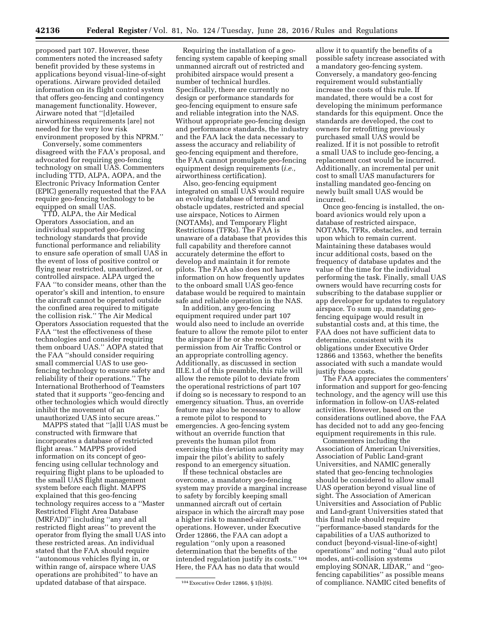proposed part 107. However, these commenters noted the increased safety benefit provided by these systems in applications beyond visual-line-of-sight operations. Airware provided detailed information on its flight control system that offers geo-fencing and contingency management functionality. However, Airware noted that ''[d]etailed airworthiness requirements [are] not needed for the very low risk environment proposed by this NPRM.''

Conversely, some commenters disagreed with the FAA's proposal, and advocated for requiring geo-fencing technology on small UAS. Commenters including TTD, ALPA, AOPA, and the Electronic Privacy Information Center (EPIC) generally requested that the FAA require geo-fencing technology to be equipped on small UAS.

TTD, ALPA, the Air Medical Operators Association, and an individual supported geo-fencing technology standards that provide functional performance and reliability to ensure safe operation of small UAS in the event of loss of positive control or flying near restricted, unauthorized, or controlled airspace. ALPA urged the FAA ''to consider means, other than the operator's skill and intention, to ensure the aircraft cannot be operated outside the confined area required to mitigate the collision risk.'' The Air Medical Operators Association requested that the FAA ''test the effectiveness of these technologies and consider requiring them onboard UAS.'' AOPA stated that the FAA ''should consider requiring small commercial UAS to use geofencing technology to ensure safety and reliability of their operations.'' The International Brotherhood of Teamsters stated that it supports ''geo-fencing and other technologies which would directly inhibit the movement of an unauthorized UAS into secure areas.''

MAPPS stated that ''[a]ll UAS must be constructed with firmware that incorporates a database of restricted flight areas.'' MAPPS provided information on its concept of geofencing using cellular technology and requiring flight plans to be uploaded to the small UAS flight management system before each flight. MAPPS explained that this geo-fencing technology requires access to a ''Master Restricted Flight Area Database (MRFAD)'' including ''any and all restricted flight areas'' to prevent the operator from flying the small UAS into these restricted areas. An individual stated that the FAA should require ''autonomous vehicles flying in, or within range of, airspace where UAS operations are prohibited'' to have an updated database of that airspace.

Requiring the installation of a geofencing system capable of keeping small unmanned aircraft out of restricted and prohibited airspace would present a number of technical hurdles. Specifically, there are currently no design or performance standards for geo-fencing equipment to ensure safe and reliable integration into the NAS. Without appropriate geo-fencing design and performance standards, the industry and the FAA lack the data necessary to assess the accuracy and reliability of geo-fencing equipment and therefore, the FAA cannot promulgate geo-fencing equipment design requirements (*i.e.,*  airworthiness certification).

Also, geo-fencing equipment integrated on small UAS would require an evolving database of terrain and obstacle updates, restricted and special use airspace, Notices to Airmen (NOTAMs), and Temporary Flight Restrictions (TFRs). The FAA is unaware of a database that provides this full capability and therefore cannot accurately determine the effort to develop and maintain it for remote pilots. The FAA also does not have information on how frequently updates to the onboard small UAS geo-fence database would be required to maintain safe and reliable operation in the NAS.

In addition, any geo-fencing equipment required under part 107 would also need to include an override feature to allow the remote pilot to enter the airspace if he or she receives permission from Air Traffic Control or an appropriate controlling agency. Additionally, as discussed in section III.E.1.d of this preamble, this rule will allow the remote pilot to deviate from the operational restrictions of part 107 if doing so is necessary to respond to an emergency situation. Thus, an override feature may also be necessary to allow a remote pilot to respond to emergencies. A geo-fencing system without an override function that prevents the human pilot from exercising this deviation authority may impair the pilot's ability to safely respond to an emergency situation.

If these technical obstacles are overcome, a mandatory geo-fencing system may provide a marginal increase to safety by forcibly keeping small unmanned aircraft out of certain airspace in which the aircraft may pose a higher risk to manned-aircraft operations. However, under Executive Order 12866, the FAA can adopt a regulation ''only upon a reasoned determination that the benefits of the intended regulation justify its costs.'' 104 Here, the FAA has no data that would

allow it to quantify the benefits of a possible safety increase associated with a mandatory geo-fencing system. Conversely, a mandatory geo-fencing requirement would substantially increase the costs of this rule. If mandated, there would be a cost for developing the minimum performance standards for this equipment. Once the standards are developed, the cost to owners for retrofitting previously purchased small UAS would be realized. If it is not possible to retrofit a small UAS to include geo-fencing, a replacement cost would be incurred. Additionally, an incremental per unit cost to small UAS manufacturers for installing mandated geo-fencing on newly built small UAS would be incurred.

Once geo-fencing is installed, the onboard avionics would rely upon a database of restricted airspace, NOTAMs, TFRs, obstacles, and terrain upon which to remain current. Maintaining these databases would incur additional costs, based on the frequency of database updates and the value of the time for the individual performing the task. Finally, small UAS owners would have recurring costs for subscribing to the database supplier or app developer for updates to regulatory airspace. To sum up, mandating geofencing equipage would result in substantial costs and, at this time, the FAA does not have sufficient data to determine, consistent with its obligations under Executive Order 12866 and 13563, whether the benefits associated with such a mandate would justify those costs.

The FAA appreciates the commenters' information and support for geo-fencing technology, and the agency will use this information in follow-on UAS-related activities. However, based on the considerations outlined above, the FAA has decided not to add any geo-fencing equipment requirements in this rule.

Commenters including the Association of American Universities, Association of Public Land-grant Universities, and NAMIC generally stated that geo-fencing technologies should be considered to allow small UAS operation beyond visual line of sight. The Association of American Universities and Association of Public and Land-grant Universities stated that this final rule should require ''performance-based standards for the capabilities of a UAS authorized to conduct [beyond-visual-line-of-sight] operations'' and noting ''dual auto pilot modes, anti-collision systems employing SONAR, LIDAR,'' and ''geofencing capabilities'' as possible means of compliance. NAMIC cited benefits of

<sup>104</sup>Executive Order 12866, § 1(b)(6).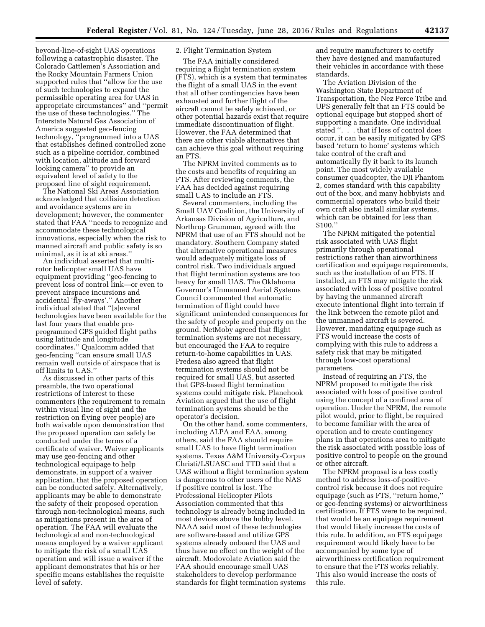beyond-line-of-sight UAS operations following a catastrophic disaster. The Colorado Cattlemen's Association and the Rocky Mountain Farmers Union supported rules that ''allow for the use of such technologies to expand the permissible operating area for UAS in appropriate circumstances'' and ''permit the use of these technologies.'' The Interstate Natural Gas Association of America suggested geo-fencing technology, ''programmed into a UAS that establishes defined controlled zone such as a pipeline corridor, combined with location, altitude and forward looking camera'' to provide an equivalent level of safety to the proposed line of sight requirement.

The National Ski Areas Association acknowledged that collision detection and avoidance systems are in development; however, the commenter stated that FAA ''needs to recognize and accommodate these technological innovations, especially when the risk to manned aircraft and public safety is so minimal, as it is at ski areas.''

An individual asserted that multirotor helicopter small UAS have equipment providing ''geo-fencing to prevent loss of control link—or even to prevent airspace incursions and accidental 'fly-aways'.'' Another individual stated that ''[s]everal technologies have been available for the last four years that enable preprogrammed GPS guided flight paths using latitude and longitude coordinates.'' Qualcomm added that geo-fencing ''can ensure small UAS remain well outside of airspace that is off limits to UAS.''

As discussed in other parts of this preamble, the two operational restrictions of interest to these commenters (the requirement to remain within visual line of sight and the restriction on flying over people) are both waivable upon demonstration that the proposed operation can safely be conducted under the terms of a certificate of waiver. Waiver applicants may use geo-fencing and other technological equipage to help demonstrate, in support of a waiver application, that the proposed operation can be conducted safely. Alternatively, applicants may be able to demonstrate the safety of their proposed operation through non-technological means, such as mitigations present in the area of operation. The FAA will evaluate the technological and non-technological means employed by a waiver applicant to mitigate the risk of a small UAS operation and will issue a waiver if the applicant demonstrates that his or her specific means establishes the requisite level of safety.

## 2. Flight Termination System

The FAA initially considered requiring a flight termination system (FTS), which is a system that terminates the flight of a small UAS in the event that all other contingencies have been exhausted and further flight of the aircraft cannot be safely achieved, or other potential hazards exist that require immediate discontinuation of flight. However, the FAA determined that there are other viable alternatives that can achieve this goal without requiring an FTS.

The NPRM invited comments as to the costs and benefits of requiring an FTS. After reviewing comments, the FAA has decided against requiring small UAS to include an FTS.

Several commenters, including the Small UAV Coalition, the University of Arkansas Division of Agriculture, and Northrop Grumman, agreed with the NPRM that use of an FTS should not be mandatory. Southern Company stated that alternative operational measures would adequately mitigate loss of control risk. Two individuals argued that flight termination systems are too heavy for small UAS. The Oklahoma Governor's Unmanned Aerial Systems Council commented that automatic termination of flight could have significant unintended consequences for the safety of people and property on the ground. NetMoby agreed that flight termination systems are not necessary, but encouraged the FAA to require return-to-home capabilities in UAS. Predesa also agreed that flight termination systems should not be required for small UAS, but asserted that GPS-based flight termination systems could mitigate risk. Planehook Aviation argued that the use of flight termination systems should be the operator's decision.

On the other hand, some commenters, including ALPA and EAA, among others, said the FAA should require small UAS to have flight termination systems. Texas A&M University-Corpus Christi/LSUASC and TTD said that a UAS without a flight termination system is dangerous to other users of the NAS if positive control is lost. The Professional Helicopter Pilots Association commented that this technology is already being included in most devices above the hobby level. NAAA said most of these technologies are software-based and utilize GPS systems already onboard the UAS and thus have no effect on the weight of the aircraft. Modovolate Aviation said the FAA should encourage small UAS stakeholders to develop performance standards for flight termination systems

and require manufacturers to certify they have designed and manufactured their vehicles in accordance with these standards.

The Aviation Division of the Washington State Department of Transportation, the Nez Perce Tribe and UPS generally felt that an FTS could be optional equipage but stopped short of supporting a mandate. One individual stated ''. . . that if loss of control does occur, it can be easily mitigated by GPS based 'return to home' systems which take control of the craft and automatically fly it back to its launch point. The most widely available consumer quadcopter, the DJI Phantom 2, comes standard with this capability out of the box, and many hobbyists and commercial operators who build their own craft also install similar systems, which can be obtained for less than \$100.''

The NPRM mitigated the potential risk associated with UAS flight primarily through operational restrictions rather than airworthiness certification and equipage requirements, such as the installation of an FTS. If installed, an FTS may mitigate the risk associated with loss of positive control by having the unmanned aircraft execute intentional flight into terrain if the link between the remote pilot and the unmanned aircraft is severed. However, mandating equipage such as FTS would increase the costs of complying with this rule to address a safety risk that may be mitigated through low-cost operational parameters.

Instead of requiring an FTS, the NPRM proposed to mitigate the risk associated with loss of positive control using the concept of a confined area of operation. Under the NPRM, the remote pilot would, prior to flight, be required to become familiar with the area of operation and to create contingency plans in that operations area to mitigate the risk associated with possible loss of positive control to people on the ground or other aircraft.

The NPRM proposal is a less costly method to address loss-of-positivecontrol risk because it does not require equipage (such as FTS, ''return home,'' or geo-fencing systems) or airworthiness certification. If FTS were to be required, that would be an equipage requirement that would likely increase the costs of this rule. In addition, an FTS equipage requirement would likely have to be accompanied by some type of airworthiness certification requirement to ensure that the FTS works reliably. This also would increase the costs of this rule.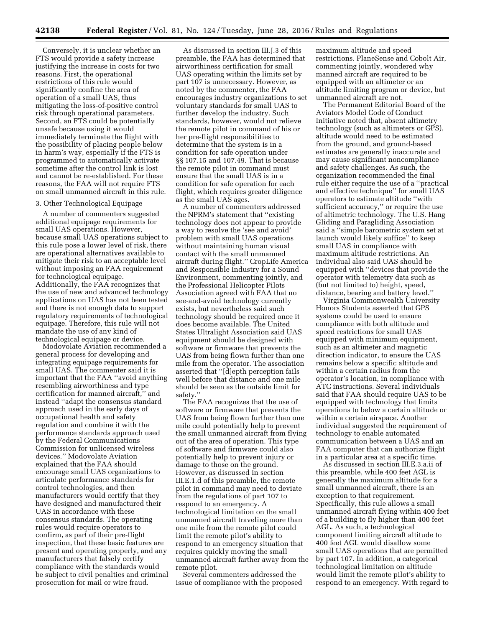Conversely, it is unclear whether an FTS would provide a safety increase justifying the increase in costs for two reasons. First, the operational restrictions of this rule would significantly confine the area of operation of a small UAS, thus mitigating the loss-of-positive control risk through operational parameters. Second, an FTS could be potentially unsafe because using it would immediately terminate the flight with the possibility of placing people below in harm's way, especially if the FTS is programmed to automatically activate sometime after the control link is lost and cannot be re-established. For these reasons, the FAA will not require FTS on small unmanned aircraft in this rule.

#### 3. Other Technological Equipage

A number of commenters suggested additional equipage requirements for small UAS operations. However, because small UAS operations subject to this rule pose a lower level of risk, there are operational alternatives available to mitigate their risk to an acceptable level without imposing an FAA requirement for technological equipage. Additionally, the FAA recognizes that the use of new and advanced technology applications on UAS has not been tested and there is not enough data to support regulatory requirements of technological equipage. Therefore, this rule will not mandate the use of any kind of technological equipage or device.

Modovolate Aviation recommended a general process for developing and integrating equipage requirements for small UAS. The commenter said it is important that the FAA ''avoid anything resembling airworthiness and type certification for manned aircraft,'' and instead ''adapt the consensus standard approach used in the early days of occupational health and safety regulation and combine it with the performance standards approach used by the Federal Communications Commission for unlicensed wireless devices.'' Modovolate Aviation explained that the FAA should encourage small UAS organizations to articulate performance standards for control technologies, and then manufacturers would certify that they have designed and manufactured their UAS in accordance with these consensus standards. The operating rules would require operators to confirm, as part of their pre-flight inspection, that these basic features are present and operating properly, and any manufacturers that falsely certify compliance with the standards would be subject to civil penalties and criminal prosecution for mail or wire fraud.

As discussed in section III.J.3 of this preamble, the FAA has determined that airworthiness certification for small UAS operating within the limits set by part 107 is unnecessary. However, as noted by the commenter, the FAA encourages industry organizations to set voluntary standards for small UAS to further develop the industry. Such standards, however, would not relieve the remote pilot in command of his or her pre-flight responsibilities to determine that the system is in a condition for safe operation under §§ 107.15 and 107.49. That is because the remote pilot in command must ensure that the small UAS is in a condition for safe operation for each flight, which requires greater diligence as the small UAS ages.

A number of commenters addressed the NPRM's statement that ''existing technology does not appear to provide a way to resolve the 'see and avoid' problem with small UAS operations without maintaining human visual contact with the small unmanned aircraft during flight.'' CropLife America and Responsible Industry for a Sound Environment, commenting jointly, and the Professional Helicopter Pilots Association agreed with FAA that no see-and-avoid technology currently exists, but nevertheless said such technology should be required once it does become available. The United States Ultralight Association said UAS equipment should be designed with software or firmware that prevents the UAS from being flown further than one mile from the operator. The association asserted that ''[d]epth perception fails well before that distance and one mile should be seen as the outside limit for safety.''

The FAA recognizes that the use of software or firmware that prevents the UAS from being flown further than one mile could potentially help to prevent the small unmanned aircraft from flying out of the area of operation. This type of software and firmware could also potentially help to prevent injury or damage to those on the ground. However, as discussed in section III.E.1.d of this preamble, the remote pilot in command may need to deviate from the regulations of part 107 to respond to an emergency. A technological limitation on the small unmanned aircraft traveling more than one mile from the remote pilot could limit the remote pilot's ability to respond to an emergency situation that requires quickly moving the small unmanned aircraft farther away from the remote pilot.

Several commenters addressed the issue of compliance with the proposed maximum altitude and speed restrictions. PlaneSense and Cobolt Air, commenting jointly, wondered why manned aircraft are required to be equipped with an altimeter or an altitude limiting program or device, but unmanned aircraft are not.

The Permanent Editorial Board of the Aviators Model Code of Conduct Initiative noted that, absent altimetry technology (such as altimeters or GPS), altitude would need to be estimated from the ground, and ground-based estimates are generally inaccurate and may cause significant noncompliance and safety challenges. As such, the organization recommended the final rule either require the use of a ''practical and effective technique'' for small UAS operators to estimate altitude ''with sufficient accuracy,'' or require the use of altimetric technology. The U.S. Hang Gliding and Paragliding Association said a ''simple barometric system set at launch would likely suffice'' to keep small UAS in compliance with maximum altitude restrictions. An individual also said UAS should be equipped with ''devices that provide the operator with telemetry data such as (but not limited to) height, speed, distance, bearing and battery level.''

Virginia Commonwealth University Honors Students asserted that GPS systems could be used to ensure compliance with both altitude and speed restrictions for small UAS equipped with minimum equipment, such as an altimeter and magnetic direction indicator, to ensure the UAS remains below a specific altitude and within a certain radius from the operator's location, in compliance with ATC instructions. Several individuals said that FAA should require UAS to be equipped with technology that limits operations to below a certain altitude or within a certain airspace. Another individual suggested the requirement of technology to enable automated communication between a UAS and an FAA computer that can authorize flight in a particular area at a specific time.

As discussed in section III.E.3.a.ii of this preamble, while 400 feet AGL is generally the maximum altitude for a small unmanned aircraft, there is an exception to that requirement. Specifically, this rule allows a small unmanned aircraft flying within 400 feet of a building to fly higher than 400 feet AGL. As such, a technological component limiting aircraft altitude to 400 feet AGL would disallow some small UAS operations that are permitted by part 107. In addition, a categorical technological limitation on altitude would limit the remote pilot's ability to respond to an emergency. With regard to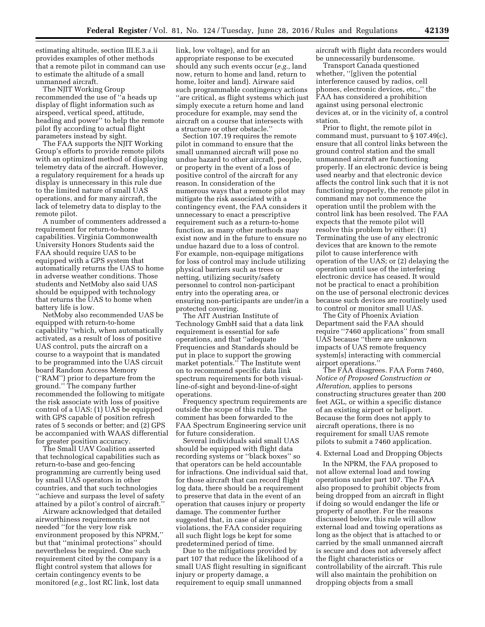estimating altitude, section III.E.3.a.ii provides examples of other methods that a remote pilot in command can use to estimate the altitude of a small unmanned aircraft.

The NJIT Working Group recommended the use of ''a heads up display of flight information such as airspeed, vertical speed, attitude, heading and power'' to help the remote pilot fly according to actual flight parameters instead by sight.

The FAA supports the NJIT Working Group's efforts to provide remote pilots with an optimized method of displaying telemetry data of the aircraft. However, a regulatory requirement for a heads up display is unnecessary in this rule due to the limited nature of small UAS operations, and for many aircraft, the lack of telemetry data to display to the remote pilot.

A number of commenters addressed a requirement for return-to-home capabilities. Virginia Commonwealth University Honors Students said the FAA should require UAS to be equipped with a GPS system that automatically returns the UAS to home in adverse weather conditions. Those students and NetMoby also said UAS should be equipped with technology that returns the UAS to home when battery life is low.

NetMoby also recommended UAS be equipped with return-to-home capability ''which, when automatically activated, as a result of loss of positive UAS control, puts the aircraft on a course to a waypoint that is mandated to be programmed into the UAS circuit board Random Access Memory (''RAM'') prior to departure from the ground.'' The company further recommended the following to mitigate the risk associate with loss of positive control of a UAS: (1) UAS be equipped with GPS capable of position refresh rates of 5 seconds or better; and (2) GPS be accompanied with WAAS differential for greater position accuracy.

The Small UAV Coalition asserted that technological capabilities such as return-to-base and geo-fencing programming are currently being used by small UAS operators in other countries, and that such technologies ''achieve and surpass the level of safety attained by a pilot's control of aircraft.''

Airware acknowledged that detailed airworthiness requirements are not needed ''for the very low risk environment proposed by this NPRM,'' but that ''minimal protections'' should nevertheless be required. One such requirement cited by the company is a flight control system that allows for certain contingency events to be monitored (*e.g.,* lost RC link, lost data

link, low voltage), and for an appropriate response to be executed should any such events occur (*e.g.,* land now, return to home and land, return to home, loiter and land). Airware said such programmable contingency actions ''are critical, as flight systems which just simply execute a return home and land procedure for example, may send the aircraft on a course that intersects with a structure or other obstacle.''

Section 107.19 requires the remote pilot in command to ensure that the small unmanned aircraft will pose no undue hazard to other aircraft, people, or property in the event of a loss of positive control of the aircraft for any reason. In consideration of the numerous ways that a remote pilot may mitigate the risk associated with a contingency event, the FAA considers it unnecessary to enact a prescriptive requirement such as a return-to-home function, as many other methods may exist now and in the future to ensure no undue hazard due to a loss of control. For example, non-equipage mitigations for loss of control may include utilizing physical barriers such as trees or netting, utilizing security/safety personnel to control non-participant entry into the operating area, or ensuring non-participants are under/in a protected covering.

The AIT Austrian Institute of Technology GmbH said that a data link requirement is essential for safe operations, and that ''adequate Frequencies and Standards should be put in place to support the growing market potentials.'' The Institute went on to recommend specific data link spectrum requirements for both visualline-of-sight and beyond-line-of-sight operations.

Frequency spectrum requirements are outside the scope of this rule. The comment has been forwarded to the FAA Spectrum Engineering service unit for future consideration.

Several individuals said small UAS should be equipped with flight data recording systems or ''black boxes'' so that operators can be held accountable for infractions. One individual said that, for those aircraft that can record flight log data, there should be a requirement to preserve that data in the event of an operation that causes injury or property damage. The commenter further suggested that, in case of airspace violations, the FAA consider requiring all such flight logs be kept for some predetermined period of time.

Due to the mitigations provided by part 107 that reduce the likelihood of a small UAS flight resulting in significant injury or property damage, a requirement to equip small unmanned

aircraft with flight data recorders would be unnecessarily burdensome.

Transport Canada questioned whether, ''[g]iven the potential interference caused by radios, cell phones, electronic devices, etc.,'' the FAA has considered a prohibition against using personal electronic devices at, or in the vicinity of, a control station.

Prior to flight, the remote pilot in command must, pursuant to § 107.49(c), ensure that all control links between the ground control station and the small unmanned aircraft are functioning properly. If an electronic device is being used nearby and that electronic device affects the control link such that it is not functioning properly, the remote pilot in command may not commence the operation until the problem with the control link has been resolved. The FAA expects that the remote pilot will resolve this problem by either: (1) Terminating the use of any electronic devices that are known to the remote pilot to cause interference with operation of the UAS; or (2) delaying the operation until use of the interfering electronic device has ceased. It would not be practical to enact a prohibition on the use of personal electronic devices because such devices are routinely used to control or monitor small UAS.

The City of Phoenix Aviation Department said the FAA should require ''7460 applications'' from small UAS because ''there are unknown impacts of UAS remote frequency system[s] interacting with commercial airport operations.''

The FAA disagrees. FAA Form 7460, *Notice of Proposed Construction or Alteration,* applies to persons constructing structures greater than 200 feet AGL, or within a specific distance of an existing airport or heliport. Because the form does not apply to aircraft operations, there is no requirement for small UAS remote pilots to submit a 7460 application.

# 4. External Load and Dropping Objects

In the NPRM, the FAA proposed to not allow external load and towing operations under part 107. The FAA also proposed to prohibit objects from being dropped from an aircraft in flight if doing so would endanger the life or property of another. For the reasons discussed below, this rule will allow external load and towing operations as long as the object that is attached to or carried by the small unmanned aircraft is secure and does not adversely affect the flight characteristics or controllability of the aircraft. This rule will also maintain the prohibition on dropping objects from a small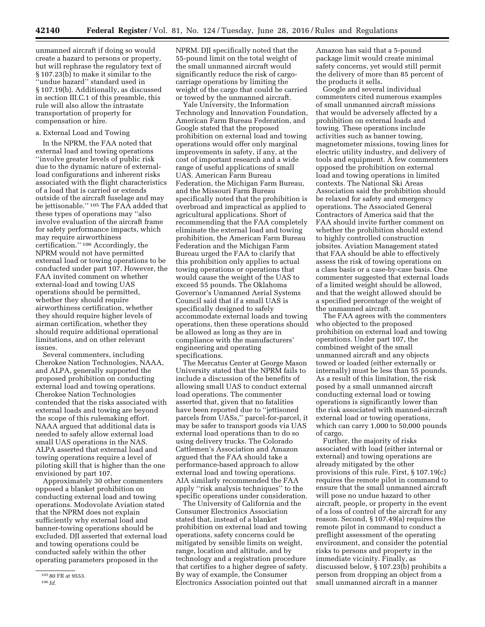unmanned aircraft if doing so would create a hazard to persons or property, but will rephrase the regulatory text of § 107.23(b) to make it similar to the ''undue hazard'' standard used in § 107.19(b). Additionally, as discussed in section III.C.1 of this preamble, this rule will also allow the intrastate transportation of property for compensation or hire.

#### a. External Load and Towing

In the NPRM, the FAA noted that external load and towing operations ''involve greater levels of public risk due to the dynamic nature of externalload configurations and inherent risks associated with the flight characteristics of a load that is carried or extends outside of the aircraft fuselage and may be jettisonable.'' 105 The FAA added that these types of operations may ''also involve evaluation of the aircraft frame for safety performance impacts, which may require airworthiness certification.'' 106 Accordingly, the NPRM would not have permitted external load or towing operations to be conducted under part 107. However, the FAA invited comment on whether external-load and towing UAS operations should be permitted, whether they should require airworthiness certification, whether they should require higher levels of airman certification, whether they should require additional operational limitations, and on other relevant issues.

Several commenters, including Cherokee Nation Technologies, NAAA, and ALPA, generally supported the proposed prohibition on conducting external load and towing operations. Cherokee Nation Technologies contended that the risks associated with external loads and towing are beyond the scope of this rulemaking effort. NAAA argued that additional data is needed to safely allow external load small UAS operations in the NAS. ALPA asserted that external load and towing operations require a level of piloting skill that is higher than the one envisioned by part 107.

Approximately 30 other commenters opposed a blanket prohibition on conducting external load and towing operations. Modovolate Aviation stated that the NPRM does not explain sufficiently why external load and banner-towing operations should be excluded. DJI asserted that external load and towing operations could be conducted safely within the other operating parameters proposed in the

106 *Id.* 

NPRM. DJI specifically noted that the 55-pound limit on the total weight of the small unmanned aircraft would significantly reduce the risk of cargocarriage operations by limiting the weight of the cargo that could be carried or towed by the unmanned aircraft.

Yale University, the Information Technology and Innovation Foundation, American Farm Bureau Federation, and Google stated that the proposed prohibition on external load and towing operations would offer only marginal improvements in safety, if any, at the cost of important research and a wide range of useful applications of small UAS. American Farm Bureau Federation, the Michigan Farm Bureau, and the Missouri Farm Bureau specifically noted that the prohibition is overbroad and impractical as applied to agricultural applications. Short of recommending that the FAA completely eliminate the external load and towing prohibition, the American Farm Bureau Federation and the Michigan Farm Bureau urged the FAA to clarify that this prohibition only applies to actual towing operations or operations that would cause the weight of the UAS to exceed 55 pounds. The Oklahoma Governor's Unmanned Aerial Systems Council said that if a small UAS is specifically designed to safely accommodate external loads and towing operations, then these operations should be allowed as long as they are in compliance with the manufacturers' engineering and operating specifications.

The Mercatus Center at George Mason University stated that the NPRM fails to include a discussion of the benefits of allowing small UAS to conduct external load operations. The commenter asserted that, given that no fatalities have been reported due to ''jettisoned parcels from UASs,'' parcel-for-parcel, it may be safer to transport goods via UAS external load operations than to do so using delivery trucks. The Colorado Cattlemen's Association and Amazon argued that the FAA should take a performance-based approach to allow external load and towing operations. AIA similarly recommended the FAA apply ''risk analysis techniques'' to the specific operations under consideration.

The University of California and the Consumer Electronics Association stated that, instead of a blanket prohibition on external load and towing operations, safety concerns could be mitigated by sensible limits on weight, range, location and altitude, and by technology and a registration procedure that certifies to a higher degree of safety. By way of example, the Consumer Electronics Association pointed out that

Amazon has said that a 5-pound package limit would create minimal safety concerns, yet would still permit the delivery of more than 85 percent of the products it sells.

Google and several individual commenters cited numerous examples of small unmanned aircraft missions that would be adversely affected by a prohibition on external loads and towing. These operations include activities such as banner towing, magnetometer missions, towing lines for electric utility industry, and delivery of tools and equipment. A few commenters opposed the prohibition on external load and towing operations in limited contexts. The National Ski Areas Association said the prohibition should be relaxed for safety and emergency operations. The Associated General Contractors of America said that the FAA should invite further comment on whether the prohibition should extend to highly controlled construction jobsites. Aviation Management stated that FAA should be able to effectively assess the risk of towing operations on a class basis or a case-by-case basis. One commenter suggested that external loads of a limited weight should be allowed, and that the weight allowed should be a specified percentage of the weight of the unmanned aircraft.

The FAA agrees with the commenters who objected to the proposed prohibition on external load and towing operations. Under part 107, the combined weight of the small unmanned aircraft and any objects towed or loaded (either externally or internally) must be less than 55 pounds. As a result of this limitation, the risk posed by a small unmanned aircraft conducting external load or towing operations is significantly lower than the risk associated with manned-aircraft external load or towing operations, which can carry 1,000 to 50,000 pounds of cargo.

Further, the majority of risks associated with load (either internal or external) and towing operations are already mitigated by the other provisions of this rule. First, § 107.19(c) requires the remote pilot in command to ensure that the small unmanned aircraft will pose no undue hazard to other aircraft, people, or property in the event of a loss of control of the aircraft for any reason. Second, § 107.49(a) requires the remote pilot in command to conduct a preflight assessment of the operating environment, and consider the potential risks to persons and property in the immediate vicinity. Finally, as discussed below, § 107.23(b) prohibits a person from dropping an object from a small unmanned aircraft in a manner

<sup>105</sup> 80 FR at 9553.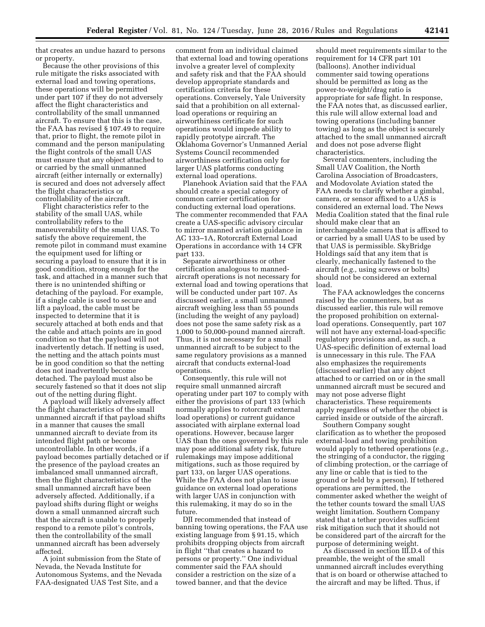that creates an undue hazard to persons or property.

Because the other provisions of this rule mitigate the risks associated with external load and towing operations, these operations will be permitted under part 107 if they do not adversely affect the flight characteristics and controllability of the small unmanned aircraft. To ensure that this is the case, the FAA has revised § 107.49 to require that, prior to flight, the remote pilot in command and the person manipulating the flight controls of the small UAS must ensure that any object attached to or carried by the small unmanned aircraft (either internally or externally) is secured and does not adversely affect the flight characteristics or controllability of the aircraft.

Flight characteristics refer to the stability of the small UAS, while controllability refers to the maneuverability of the small UAS. To satisfy the above requirement, the remote pilot in command must examine the equipment used for lifting or securing a payload to ensure that it is in good condition, strong enough for the task, and attached in a manner such that there is no unintended shifting or detaching of the payload. For example, if a single cable is used to secure and lift a payload, the cable must be inspected to determine that it is securely attached at both ends and that the cable and attach points are in good condition so that the payload will not inadvertently detach. If netting is used, the netting and the attach points must be in good condition so that the netting does not inadvertently become detached. The payload must also be securely fastened so that it does not slip out of the netting during flight.

A payload will likely adversely affect the flight characteristics of the small unmanned aircraft if that payload shifts in a manner that causes the small unmanned aircraft to deviate from its intended flight path or become uncontrollable. In other words, if a payload becomes partially detached or if the presence of the payload creates an imbalanced small unmanned aircraft, then the flight characteristics of the small unmanned aircraft have been adversely affected. Additionally, if a payload shifts during flight or weighs down a small unmanned aircraft such that the aircraft is unable to properly respond to a remote pilot's controls, then the controllability of the small unmanned aircraft has been adversely affected.

A joint submission from the State of Nevada, the Nevada Institute for Autonomous Systems, and the Nevada FAA-designated UAS Test Site, and a

comment from an individual claimed that external load and towing operations involve a greater level of complexity and safety risk and that the FAA should develop appropriate standards and certification criteria for these operations. Conversely, Yale University said that a prohibition on all externalload operations or requiring an airworthiness certificate for such operations would impede ability to rapidly prototype aircraft. The Oklahoma Governor's Unmanned Aerial Systems Council recommended airworthiness certification only for larger UAS platforms conducting external load operations.

Planehook Aviation said that the FAA should create a special category of common carrier certification for conducting external load operations. The commenter recommended that FAA create a UAS-specific advisory circular to mirror manned aviation guidance in AC 133–1A, Rotorcraft External Load Operations in accordance with 14 CFR part 133.

Separate airworthiness or other certification analogous to mannedaircraft operations is not necessary for external load and towing operations that will be conducted under part 107. As discussed earlier, a small unmanned aircraft weighing less than 55 pounds (including the weight of any payload) does not pose the same safety risk as a 1,000 to 50,000-pound manned aircraft. Thus, it is not necessary for a small unmanned aircraft to be subject to the same regulatory provisions as a manned aircraft that conducts external-load operations.

Consequently, this rule will not require small unmanned aircraft operating under part 107 to comply with either the provisions of part 133 (which normally applies to rotorcraft external load operations) or current guidance associated with airplane external load operations. However, because larger UAS than the ones governed by this rule may pose additional safety risk, future rulemakings may impose additional mitigations, such as those required by part 133, on larger UAS operations. While the FAA does not plan to issue guidance on external load operations with larger UAS in conjunction with this rulemaking, it may do so in the future.

DJI recommended that instead of banning towing operations, the FAA use existing language from § 91.15, which prohibits dropping objects from aircraft in flight ''that creates a hazard to persons or property.'' One individual commenter said the FAA should consider a restriction on the size of a towed banner, and that the device

should meet requirements similar to the requirement for 14 CFR part 101 (balloons). Another individual commenter said towing operations should be permitted as long as the power-to-weight/drag ratio is appropriate for safe flight. In response, the FAA notes that, as discussed earlier, this rule will allow external load and towing operations (including banner towing) as long as the object is securely attached to the small unmanned aircraft and does not pose adverse flight characteristics.

Several commenters, including the Small UAV Coalition, the North Carolina Association of Broadcasters, and Modovolate Aviation stated the FAA needs to clarify whether a gimbal, camera, or sensor affixed to a UAS is considered an external load. The News Media Coalition stated that the final rule should make clear that an interchangeable camera that is affixed to or carried by a small UAS to be used by that UAS is permissible. SkyBridge Holdings said that any item that is clearly, mechanically fastened to the aircraft (*e.g.,* using screws or bolts) should not be considered an external load.

The FAA acknowledges the concerns raised by the commenters, but as discussed earlier, this rule will remove the proposed prohibition on externalload operations. Consequently, part 107 will not have any external-load-specific regulatory provisions and, as such, a UAS-specific definition of external load is unnecessary in this rule. The FAA also emphasizes the requirements (discussed earlier) that any object attached to or carried on or in the small unmanned aircraft must be secured and may not pose adverse flight characteristics. These requirements apply regardless of whether the object is carried inside or outside of the aircraft.

Southern Company sought clarification as to whether the proposed external-load and towing prohibition would apply to tethered operations (*e.g.,*  the stringing of a conductor, the rigging of climbing protection, or the carriage of any line or cable that is tied to the ground or held by a person). If tethered operations are permitted, the commenter asked whether the weight of the tether counts toward the small UAS weight limitation. Southern Company stated that a tether provides sufficient risk mitigation such that it should not be considered part of the aircraft for the purpose of determining weight.

As discussed in section III.D.4 of this preamble, the weight of the small unmanned aircraft includes everything that is on board or otherwise attached to the aircraft and may be lifted. Thus, if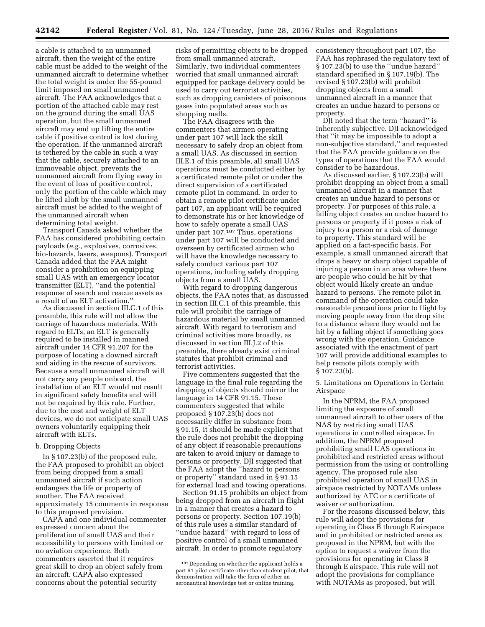a cable is attached to an unmanned aircraft, then the weight of the entire cable must be added to the weight of the unmanned aircraft to determine whether the total weight is under the 55-pound limit imposed on small unmanned aircraft. The FAA acknowledges that a portion of the attached cable may rest on the ground during the small UAS operation, but the small unmanned aircraft may end up lifting the entire cable if positive control is lost during the operation. If the unmanned aircraft is tethered by the cable in such a way that the cable, securely attached to an immoveable object, prevents the unmanned aircraft from flying away in the event of loss of positive control, only the portion of the cable which may be lifted aloft by the small unmanned aircraft must be added to the weight of the unmanned aircraft when determining total weight.

Transport Canada asked whether the FAA has considered prohibiting certain payloads (*e.g.,* explosives, corrosives, bio-hazards, lasers, weapons). Transport Canada added that the FAA might consider a prohibition on equipping small UAS with an emergency locator transmitter (ELT), ''and the potential response of search and rescue assets as a result of an ELT activation.''

As discussed in section III.C.1 of this preamble, this rule will not allow the carriage of hazardous materials. With regard to ELTs, an ELT is generally required to be installed in manned aircraft under 14 CFR 91.207 for the purpose of locating a downed aircraft and aiding in the rescue of survivors. Because a small unmanned aircraft will not carry any people onboard, the installation of an ELT would not result in significant safety benefits and will not be required by this rule. Further, due to the cost and weight of ELT devices, we do not anticipate small UAS owners voluntarily equipping their aircraft with ELTs.

#### b. Dropping Objects

In § 107.23(b) of the proposed rule, the FAA proposed to prohibit an object from being dropped from a small unmanned aircraft if such action endangers the life or property of another. The FAA received approximately 15 comments in response to this proposed provision.

CAPA and one individual commenter expressed concern about the proliferation of small UAS and their accessibility to persons with limited or no aviation experience. Both commenters asserted that it requires great skill to drop an object safely from an aircraft. CAPA also expressed concerns about the potential security

risks of permitting objects to be dropped from small unmanned aircraft. Similarly, two individual commenters worried that small unmanned aircraft equipped for package delivery could be used to carry out terrorist activities, such as dropping canisters of poisonous gases into populated areas such as shopping malls.

The FAA disagrees with the commenters that airmen operating under part 107 will lack the skill necessary to safely drop an object from a small UAS. As discussed in section III.E.1 of this preamble, all small UAS operations must be conducted either by a certificated remote pilot or under the direct supervision of a certificated remote pilot in command. In order to obtain a remote pilot certificate under part 107, an applicant will be required to demonstrate his or her knowledge of how to safely operate a small UAS under part 107.<sup>107</sup> Thus, operations under part 107 will be conducted and overseen by certificated airmen who will have the knowledge necessary to safely conduct various part 107 operations, including safely dropping objects from a small UAS.

With regard to dropping dangerous objects, the FAA notes that, as discussed in section III.C.1 of this preamble, this rule will prohibit the carriage of hazardous material by small unmanned aircraft. With regard to terrorism and criminal activities more broadly, as discussed in section III.J.2 of this preamble, there already exist criminal statutes that prohibit criminal and terrorist activities.

Five commenters suggested that the language in the final rule regarding the dropping of objects should mirror the language in 14 CFR 91.15. These commenters suggested that while proposed § 107.23(b) does not necessarily differ in substance from § 91.15, it should be made explicit that the rule does not prohibit the dropping of any object if reasonable precautions are taken to avoid injury or damage to persons or property. DJI suggested that the FAA adopt the ''hazard to persons or property'' standard used in § 91.15 for external load and towing operations.

Section 91.15 prohibits an object from being dropped from an aircraft in flight in a manner that creates a hazard to persons or property. Section 107.19(b) of this rule uses a similar standard of ''undue hazard'' with regard to loss of positive control of a small unmanned aircraft. In order to promote regulatory

consistency throughout part 107, the FAA has rephrased the regulatory text of § 107.23(b) to use the ''undue hazard'' standard specified in § 107.19(b). The revised § 107.23(b) will prohibit dropping objects from a small unmanned aircraft in a manner that creates an undue hazard to persons or property.

DJI noted that the term ''hazard'' is inherently subjective. DJI acknowledged that ''it may be impossible to adopt a non-subjective standard,'' and requested that the FAA provide guidance on the types of operations that the FAA would consider to be hazardous.

As discussed earlier, § 107.23(b) will prohibit dropping an object from a small unmanned aircraft in a manner that creates an undue hazard to persons or property. For purposes of this rule, a falling object creates an undue hazard to persons or property if it poses a risk of injury to a person or a risk of damage to property. This standard will be applied on a fact-specific basis. For example, a small unmanned aircraft that drops a heavy or sharp object capable of injuring a person in an area where there are people who could be hit by that object would likely create an undue hazard to persons. The remote pilot in command of the operation could take reasonable precautions prior to flight by moving people away from the drop site to a distance where they would not be hit by a falling object if something goes wrong with the operation. Guidance associated with the enactment of part 107 will provide additional examples to help remote pilots comply with  $§ 107.23(b).$ 

5. Limitations on Operations in Certain Airspace

In the NPRM, the FAA proposed limiting the exposure of small unmanned aircraft to other users of the NAS by restricting small UAS operations in controlled airspace. In addition, the NPRM proposed prohibiting small UAS operations in prohibited and restricted areas without permission from the using or controlling agency. The proposed rule also prohibited operation of small UAS in airspace restricted by NOTAMs unless authorized by ATC or a certificate of waiver or authorization.

For the reasons discussed below, this rule will adopt the provisions for operating in Class B through E airspace and in prohibited or restricted areas as proposed in the NPRM, but with the option to request a waiver from the provisions for operating in Class B through E airspace. This rule will not adopt the provisions for compliance with NOTAMs as proposed, but will

<sup>107</sup> Depending on whether the applicant holds a part 61 pilot certificate other than student pilot, that demonstration will take the form of either an aeronautical knowledge test or online training.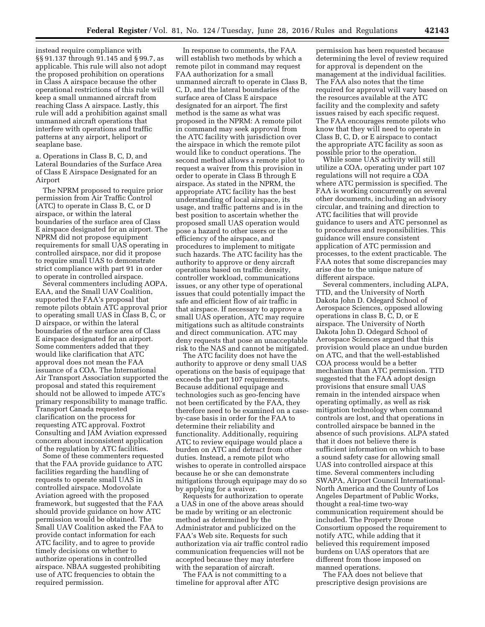instead require compliance with §§ 91.137 through 91.145 and § 99.7, as applicable. This rule will also not adopt the proposed prohibition on operations in Class A airspace because the other operational restrictions of this rule will keep a small unmanned aircraft from reaching Class A airspace. Lastly, this rule will add a prohibition against small unmanned aircraft operations that interfere with operations and traffic patterns at any airport, heliport or seaplane base.

a. Operations in Class B, C, D, and Lateral Boundaries of the Surface Area of Class E Airspace Designated for an Airport

The NPRM proposed to require prior permission from Air Traffic Control (ATC) to operate in Class B, C, or D airspace, or within the lateral boundaries of the surface area of Class E airspace designated for an airport. The NPRM did not propose equipment requirements for small UAS operating in controlled airspace, nor did it propose to require small UAS to demonstrate strict compliance with part 91 in order to operate in controlled airspace.

Several commenters including AOPA, EAA, and the Small UAV Coalition, supported the FAA's proposal that remote pilots obtain ATC approval prior to operating small UAS in Class B, C, or D airspace, or within the lateral boundaries of the surface area of Class E airspace designated for an airport. Some commenters added that they would like clarification that ATC approval does not mean the FAA issuance of a COA. The International Air Transport Association supported the proposal and stated this requirement should not be allowed to impede ATC's primary responsibility to manage traffic. Transport Canada requested clarification on the process for requesting ATC approval. Foxtrot Consulting and JAM Aviation expressed concern about inconsistent application of the regulation by ATC facilities.

Some of these commenters requested that the FAA provide guidance to ATC facilities regarding the handling of requests to operate small UAS in controlled airspace. Modovolate Aviation agreed with the proposed framework, but suggested that the FAA should provide guidance on how ATC permission would be obtained. The Small UAV Coalition asked the FAA to provide contact information for each ATC facility, and to agree to provide timely decisions on whether to authorize operations in controlled airspace. NBAA suggested prohibiting use of ATC frequencies to obtain the required permission.

In response to comments, the FAA will establish two methods by which a remote pilot in command may request FAA authorization for a small unmanned aircraft to operate in Class B, C, D, and the lateral boundaries of the surface area of Class E airspace designated for an airport. The first method is the same as what was proposed in the NPRM: A remote pilot in command may seek approval from the ATC facility with jurisdiction over the airspace in which the remote pilot would like to conduct operations. The second method allows a remote pilot to request a waiver from this provision in order to operate in Class B through E airspace. As stated in the NPRM, the appropriate ATC facility has the best understanding of local airspace, its usage, and traffic patterns and is in the best position to ascertain whether the proposed small UAS operation would pose a hazard to other users or the efficiency of the airspace, and procedures to implement to mitigate such hazards. The ATC facility has the authority to approve or deny aircraft operations based on traffic density, controller workload, communications issues, or any other type of operational issues that could potentially impact the safe and efficient flow of air traffic in that airspace. If necessary to approve a small UAS operation, ATC may require mitigations such as altitude constraints and direct communication. ATC may deny requests that pose an unacceptable risk to the NAS and cannot be mitigated.

The ATC facility does not have the authority to approve or deny small UAS operations on the basis of equipage that exceeds the part 107 requirements. Because additional equipage and technologies such as geo-fencing have not been certificated by the FAA, they therefore need to be examined on a caseby-case basis in order for the FAA to determine their reliability and functionality. Additionally, requiring ATC to review equipage would place a burden on ATC and detract from other duties. Instead, a remote pilot who wishes to operate in controlled airspace because he or she can demonstrate mitigations through equipage may do so by applying for a waiver.

Requests for authorization to operate a UAS in one of the above areas should be made by writing or an electronic method as determined by the Administrator and publicized on the FAA's Web site. Requests for such authorization via air traffic control radio communication frequencies will not be accepted because they may interfere with the separation of aircraft.

The FAA is not committing to a timeline for approval after ATC

permission has been requested because determining the level of review required for approval is dependent on the management at the individual facilities. The FAA also notes that the time required for approval will vary based on the resources available at the ATC facility and the complexity and safety issues raised by each specific request. The FAA encourages remote pilots who know that they will need to operate in Class B, C, D, or E airspace to contact the appropriate ATC facility as soon as possible prior to the operation.

While some UAS activity will still utilize a COA, operating under part 107 regulations will not require a COA where ATC permission is specified. The FAA is working concurrently on several other documents, including an advisory circular, and training and direction to ATC facilities that will provide guidance to users and ATC personnel as to procedures and responsibilities. This guidance will ensure consistent application of ATC permission and processes, to the extent practicable. The FAA notes that some discrepancies may arise due to the unique nature of different airspace.

Several commenters, including ALPA, TTD, and the University of North Dakota John D. Odegard School of Aerospace Sciences, opposed allowing operations in class B, C, D, or E airspace. The University of North Dakota John D. Odegard School of Aerospace Sciences argued that this provision would place an undue burden on ATC, and that the well-established COA process would be a better mechanism than ATC permission. TTD suggested that the FAA adopt design provisions that ensure small UAS remain in the intended airspace when operating optimally, as well as risk mitigation technology when command controls are lost, and that operations in controlled airspace be banned in the absence of such provisions. ALPA stated that it does not believe there is sufficient information on which to base a sound safety case for allowing small UAS into controlled airspace at this time. Several commenters including SWAPA, Airport Council International-North America and the County of Los Angeles Department of Public Works, thought a real-time two-way communication requirement should be included. The Property Drone Consortium opposed the requirement to notify ATC, while adding that it believed this requirement imposed burdens on UAS operators that are different from those imposed on manned operations.

The FAA does not believe that prescriptive design provisions are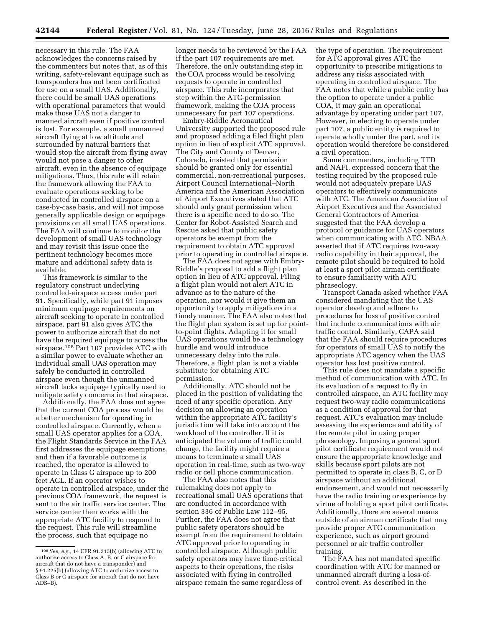necessary in this rule. The FAA acknowledges the concerns raised by the commenters but notes that, as of this writing, safety-relevant equipage such as transponders has not been certificated for use on a small UAS. Additionally, there could be small UAS operations with operational parameters that would make those UAS not a danger to manned aircraft even if positive control is lost. For example, a small unmanned aircraft flying at low altitude and surrounded by natural barriers that would stop the aircraft from flying away would not pose a danger to other aircraft, even in the absence of equipage mitigations. Thus, this rule will retain the framework allowing the FAA to evaluate operations seeking to be conducted in controlled airspace on a case-by-case basis, and will not impose generally applicable design or equipage provisions on all small UAS operations. The FAA will continue to monitor the development of small UAS technology and may revisit this issue once the pertinent technology becomes more mature and additional safety data is available.

This framework is similar to the regulatory construct underlying controlled-airspace access under part 91. Specifically, while part 91 imposes minimum equipage requirements on aircraft seeking to operate in controlled airspace, part 91 also gives ATC the power to authorize aircraft that do not have the required equipage to access the airspace.108 Part 107 provides ATC with a similar power to evaluate whether an individual small UAS operation may safely be conducted in controlled airspace even though the unmanned aircraft lacks equipage typically used to mitigate safety concerns in that airspace.

Additionally, the FAA does not agree that the current COA process would be a better mechanism for operating in controlled airspace. Currently, when a small UAS operator applies for a COA, the Flight Standards Service in the FAA first addresses the equipage exemptions, and then if a favorable outcome is reached, the operator is allowed to operate in Class G airspace up to 200 feet AGL. If an operator wishes to operate in controlled airspace, under the previous COA framework, the request is sent to the air traffic service center. The service center then works with the appropriate ATC facility to respond to the request. This rule will streamline the process, such that equipage no

longer needs to be reviewed by the FAA if the part 107 requirements are met. Therefore, the only outstanding step in the COA process would be resolving requests to operate in controlled airspace. This rule incorporates that step within the ATC-permission framework, making the COA process unnecessary for part 107 operations.

Embry-Riddle Aeronautical University supported the proposed rule and proposed adding a filed flight plan option in lieu of explicit ATC approval. The City and County of Denver, Colorado, insisted that permission should be granted only for essential commercial, non-recreational purposes. Airport Council International–North America and the American Association of Airport Executives stated that ATC should only grant permission when there is a specific need to do so. The Center for Robot-Assisted Search and Rescue asked that public safety operators be exempt from the requirement to obtain ATC approval prior to operating in controlled airspace.

The FAA does not agree with Embry-Riddle's proposal to add a flight plan option in lieu of ATC approval. Filing a flight plan would not alert ATC in advance as to the nature of the operation, nor would it give them an opportunity to apply mitigations in a timely manner. The FAA also notes that the flight plan system is set up for pointto-point flights. Adapting it for small UAS operations would be a technology hurdle and would introduce unnecessary delay into the rule. Therefore, a flight plan is not a viable substitute for obtaining ATC permission.

Additionally, ATC should not be placed in the position of validating the need of any specific operation. Any decision on allowing an operation within the appropriate ATC facility's jurisdiction will take into account the workload of the controller. If it is anticipated the volume of traffic could change, the facility might require a means to terminate a small UAS operation in real-time, such as two-way radio or cell phone communication.

The FAA also notes that this rulemaking does not apply to recreational small UAS operations that are conducted in accordance with section 336 of Public Law 112–95. Further, the FAA does not agree that public safety operators should be exempt from the requirement to obtain ATC approval prior to operating in controlled airspace. Although public safety operators may have time-critical aspects to their operations, the risks associated with flying in controlled airspace remain the same regardless of

the type of operation. The requirement for ATC approval gives ATC the opportunity to prescribe mitigations to address any risks associated with operating in controlled airspace. The FAA notes that while a public entity has the option to operate under a public COA, it may gain an operational advantage by operating under part 107. However, in electing to operate under part 107, a public entity is required to operate wholly under the part, and its operation would therefore be considered a civil operation.

Some commenters, including TTD and NAFI, expressed concern that the testing required by the proposed rule would not adequately prepare UAS operators to effectively communicate with ATC. The American Association of Airport Executives and the Associated General Contractors of America suggested that the FAA develop a protocol or guidance for UAS operators when communicating with ATC. NBAA asserted that if ATC requires two-way radio capability in their approval, the remote pilot should be required to hold at least a sport pilot airman certificate to ensure familiarity with ATC phraseology.

Transport Canada asked whether FAA considered mandating that the UAS operator develop and adhere to procedures for loss of positive control that include communications with air traffic control. Similarly, CAPA said that the FAA should require procedures for operators of small UAS to notify the appropriate ATC agency when the UAS operator has lost positive control.

This rule does not mandate a specific method of communication with ATC. In its evaluation of a request to fly in controlled airspace, an ATC facility may request two-way radio communications as a condition of approval for that request. ATC's evaluation may include assessing the experience and ability of the remote pilot in using proper phraseology. Imposing a general sport pilot certificate requirement would not ensure the appropriate knowledge and skills because sport pilots are not permitted to operate in class B, C, or D airspace without an additional endorsement, and would not necessarily have the radio training or experience by virtue of holding a sport pilot certificate. Additionally, there are several means outside of an airman certificate that may provide proper ATC communication experience, such as airport ground personnel or air traffic controller training.

The FAA has not mandated specific coordination with ATC for manned or unmanned aircraft during a loss-ofcontrol event. As described in the

<sup>108</sup>*See, e.g.,* 14 CFR 91.215(b) (allowing ATC to authorize access to Class A, B, or C airspace for aircraft that do not have a transponder) and § 91.225(b) (allowing ATC to authorize access to Class B or C airspace for aircraft that do not have ADS–B).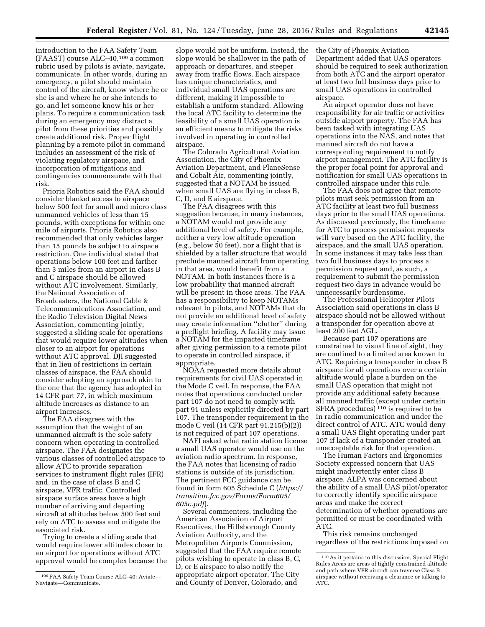introduction to the FAA Safety Team (FAAST) course ALC–40,109 a common rubric used by pilots is aviate, navigate, communicate. In other words, during an emergency, a pilot should maintain control of the aircraft, know where he or she is and where he or she intends to go, and let someone know his or her plans. To require a communication task during an emergency may distract a pilot from these priorities and possibly create additional risk. Proper flight planning by a remote pilot in command includes an assessment of the risk of violating regulatory airspace, and incorporation of mitigations and contingencies commensurate with that risk.

Prioria Robotics said the FAA should consider blanket access to airspace below 500 feet for small and micro class unmanned vehicles of less than 15 pounds, with exceptions for within one mile of airports. Prioria Robotics also recommended that only vehicles larger than 15 pounds be subject to airspace restriction. One individual stated that operations below 100 feet and farther than 3 miles from an airport in class B and C airspace should be allowed without ATC involvement. Similarly, the National Association of Broadcasters, the National Cable & Telecommunications Association, and the Radio Television Digital News Association, commenting jointly, suggested a sliding scale for operations that would require lower altitudes when closer to an airport for operations without ATC approval. DJI suggested that in lieu of restrictions in certain classes of airspace, the FAA should consider adopting an approach akin to the one that the agency has adopted in 14 CFR part 77, in which maximum altitude increases as distance to an airport increases.

The FAA disagrees with the assumption that the weight of an unmanned aircraft is the sole safety concern when operating in controlled airspace. The FAA designates the various classes of controlled airspace to allow ATC to provide separation services to instrument flight rules (IFR) and, in the case of class B and C airspace, VFR traffic. Controlled airspace surface areas have a high number of arriving and departing aircraft at altitudes below 500 feet and rely on ATC to assess and mitigate the associated risk.

Trying to create a sliding scale that would require lower altitudes closer to an airport for operations without ATC approval would be complex because the

slope would not be uniform. Instead, the slope would be shallower in the path of approach or departures, and steeper away from traffic flows. Each airspace has unique characteristics, and individual small UAS operations are different, making it impossible to establish a uniform standard. Allowing the local ATC facility to determine the feasibility of a small UAS operation is an efficient means to mitigate the risks involved in operating in controlled airspace.

The Colorado Agricultural Aviation Association, the City of Phoenix Aviation Department, and PlaneSense and Cobalt Air, commenting jointly, suggested that a NOTAM be issued when small UAS are flying in class B, C, D, and E airspace.

The FAA disagrees with this suggestion because, in many instances, a NOTAM would not provide any additional level of safety. For example, neither a very low altitude operation (*e.g.,* below 50 feet), nor a flight that is shielded by a taller structure that would preclude manned aircraft from operating in that area, would benefit from a NOTAM. In both instances there is a low probability that manned aircraft will be present in those areas. The FAA has a responsibility to keep NOTAMs relevant to pilots, and NOTAMs that do not provide an additional level of safety may create information ''clutter'' during a preflight briefing. A facility may issue a NOTAM for the impacted timeframe after giving permission to a remote pilot to operate in controlled airspace, if appropriate.

NOAA requested more details about requirements for civil UAS operated in the Mode C veil. In response, the FAA notes that operations conducted under part 107 do not need to comply with part 91 unless explicitly directed by part 107. The transponder requirement in the mode C veil (14 CFR part 91.215(b)(2)) is not required of part 107 operations.

NAFI asked what radio station license a small UAS operator would use on the aviation radio spectrum. In response, the FAA notes that licensing of radio stations is outside of its jurisdiction. The pertinent FCC guidance can be found in form 605 Schedule C (*[https://](https://transition.fcc.gov/Forms/Form605/605c.pdf) [transition.fcc.gov/Forms/Form605/](https://transition.fcc.gov/Forms/Form605/605c.pdf) [605c.pdf](https://transition.fcc.gov/Forms/Form605/605c.pdf)*).

Several commenters, including the American Association of Airport Executives, the Hillsborough County Aviation Authority, and the Metropolitan Airports Commission, suggested that the FAA require remote pilots wishing to operate in class B, C, D, or E airspace to also notify the appropriate airport operator. The City and County of Denver, Colorado, and

the City of Phoenix Aviation Department added that UAS operators should be required to seek authorization from both ATC and the airport operator at least two full business days prior to small UAS operations in controlled airspace.

An airport operator does not have responsibility for air traffic or activities outside airport property. The FAA has been tasked with integrating UAS operations into the NAS, and notes that manned aircraft do not have a corresponding requirement to notify airport management. The ATC facility is the proper focal point for approval and notification for small UAS operations in controlled airspace under this rule.

The FAA does not agree that remote pilots must seek permission from an ATC facility at least two full business days prior to the small UAS operations. As discussed previously, the timeframe for ATC to process permission requests will vary based on the ATC facility, the airspace, and the small UAS operation. In some instances it may take less than two full business days to process a permission request and, as such, a requirement to submit the permission request two days in advance would be unnecessarily burdensome.

The Professional Helicopter Pilots Association said operations in class B airspace should not be allowed without a transponder for operation above at least 200 feet AGL.

Because part 107 operations are constrained to visual line of sight, they are confined to a limited area known to ATC. Requiring a transponder in class B airspace for all operations over a certain altitude would place a burden on the small UAS operation that might not provide any additional safety because all manned traffic (except under certain SFRA procedures) 110 is required to be in radio communication and under the direct control of ATC. ATC would deny a small UAS flight operating under part 107 if lack of a transponder created an unacceptable risk for that operation.

The Human Factors and Ergonomics Society expressed concern that UAS might inadvertently enter class B airspace. ALPA was concerned about the ability of a small UAS pilot/operator to correctly identify specific airspace areas and make the correct determination of whether operations are permitted or must be coordinated with ATC.

This risk remains unchanged regardless of the restrictions imposed on

<sup>109</sup>FAA Safety Team Course ALC–40: Aviate— Navigate—Communicate.

<sup>110</sup>As it pertains to this discussion, Special Flight Rules Areas are areas of tightly constrained altitude and path where VFR aircraft can traverse Class B airspace without receiving a clearance or talking to ATC.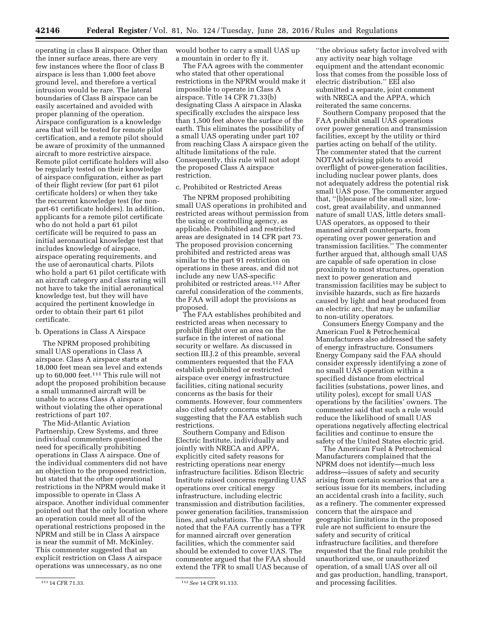operating in class B airspace. Other than the inner surface areas, there are very few instances where the floor of class B airspace is less than 1,000 feet above ground level, and therefore a vertical intrusion would be rare. The lateral boundaries of Class B airspace can be easily ascertained and avoided with proper planning of the operation. Airspace configuration is a knowledge area that will be tested for remote pilot certification, and a remote pilot should be aware of proximity of the unmanned aircraft to more restrictive airspace. Remote pilot certificate holders will also be regularly tested on their knowledge of airspace configuration, either as part of their flight review (for part 61 pilot certificate holders) or when they take the recurrent knowledge test (for nonpart-61 certificate holders). In addition, applicants for a remote pilot certificate who do not hold a part 61 pilot certificate will be required to pass an initial aeronautical knowledge test that includes knowledge of airspace, airspace operating requirements, and the use of aeronautical charts. Pilots who hold a part 61 pilot certificate with an aircraft category and class rating will not have to take the initial aeronautical knowledge test, but they will have acquired the pertinent knowledge in order to obtain their part 61 pilot certificate.

#### b. Operations in Class A Airspace

The NPRM proposed prohibiting small UAS operations in Class A airspace. Class A airspace starts at 18,000 feet mean sea level and extends up to 60,000 feet.111 This rule will not adopt the proposed prohibition because a small unmanned aircraft will be unable to access Class A airspace without violating the other operational restrictions of part 107.

The Mid-Atlantic Aviation Partnership, Crew Systems, and three individual commenters questioned the need for specifically prohibiting operations in Class A airspace. One of the individual commenters did not have an objection to the proposed restriction, but stated that the other operational restrictions in the NPRM would make it impossible to operate in Class A airspace. Another individual commenter pointed out that the only location where an operation could meet all of the operational restrictions proposed in the NPRM and still be in Class A airspace is near the summit of Mt. McKinley. This commenter suggested that an explicit restriction on Class A airspace operations was unnecessary, as no one

would bother to carry a small UAS up a mountain in order to fly it.

The FAA agrees with the commenter who stated that other operational restrictions in the NPRM would make it impossible to operate in Class A airspace. Title 14 CFR 71.33(b) designating Class A airspace in Alaska specifically excludes the airspace less than 1,500 feet above the surface of the earth. This eliminates the possibility of a small UAS operating under part 107 from reaching Class A airspace given the altitude limitations of the rule. Consequently, this rule will not adopt the proposed Class A airspace restriction.

# c. Prohibited or Restricted Areas

The NPRM proposed prohibiting small UAS operations in prohibited and restricted areas without permission from the using or controlling agency, as applicable. Prohibited and restricted areas are designated in 14 CFR part 73. The proposed provision concerning prohibited and restricted areas was similar to the part 91 restriction on operations in these areas, and did not include any new UAS-specific prohibited or restricted areas.112 After careful consideration of the comments, the FAA will adopt the provisions as proposed.

The FAA establishes prohibited and restricted areas when necessary to prohibit flight over an area on the surface in the interest of national security or welfare. As discussed in section III.J.2 of this preamble, several commenters requested that the FAA establish prohibited or restricted airspace over energy infrastructure facilities, citing national security concerns as the basis for their comments. However, four commenters also cited safety concerns when suggesting that the FAA establish such restrictions.

Southern Company and Edison Electric Institute, individually and jointly with NRECA and APPA, explicitly cited safety reasons for restricting operations near energy infrastructure facilities. Edison Electric Institute raised concerns regarding UAS operations over critical energy infrastructure, including electric transmission and distribution facilities, power generation facilities, transmission lines, and substations. The commenter noted that the FAA currently has a TFR for manned aircraft over generation facilities, which the commenter said should be extended to cover UAS. The commenter argued that the FAA should extend the TFR to small UAS because of

''the obvious safety factor involved with any activity near high voltage equipment and the attendant economic loss that comes from the possible loss of electric distribution.'' EEI also submitted a separate, joint comment with NRECA and the APPA, which reiterated the same concerns.

Southern Company proposed that the FAA prohibit small UAS operations over power generation and transmission facilities, except by the utility or third parties acting on behalf of the utility. The commenter stated that the current NOTAM advising pilots to avoid overflight of power-generation facilities, including nuclear power plants, does not adequately address the potential risk small UAS pose. The commenter argued that, ''[b]ecause of the small size, lowcost, great availability, and unmanned nature of small UAS, little deters small-UAS operators, as opposed to their manned aircraft counterparts, from operating over power generation and transmission facilities.'' The commenter further argued that, although small UAS are capable of safe operation in close proximity to most structures, operation next to power generation and transmission facilities may be subject to invisible hazards, such as fire hazards caused by light and heat produced from an electric arc, that may be unfamiliar to non-utility operators.

Consumers Energy Company and the American Fuel & Petrochemical Manufacturers also addressed the safety of energy infrastructure. Consumers Energy Company said the FAA should consider expressly identifying a zone of no small UAS operation within a specified distance from electrical facilities (substations, power lines, and utility poles), except for small UAS operations by the facilities' owners. The commenter said that such a rule would reduce the likelihood of small UAS operations negatively affecting electrical facilities and continue to ensure the safety of the United States electric grid.

The American Fuel & Petrochemical Manufacturers complained that the NPRM does not identify—much less address—issues of safety and security arising from certain scenarios that are a serious issue for its members, including an accidental crash into a facility, such as a refinery. The commenter expressed concern that the airspace and geographic limitations in the proposed rule are not sufficient to ensure the safety and security of critical infrastructure facilities, and therefore requested that the final rule prohibit the unauthorized use, or unauthorized operation, of a small UAS over all oil and gas production, handling, transport, and processing facilities.

<sup>111</sup> 14 CFR 71.33. 112*See* 14 CFR 91.133.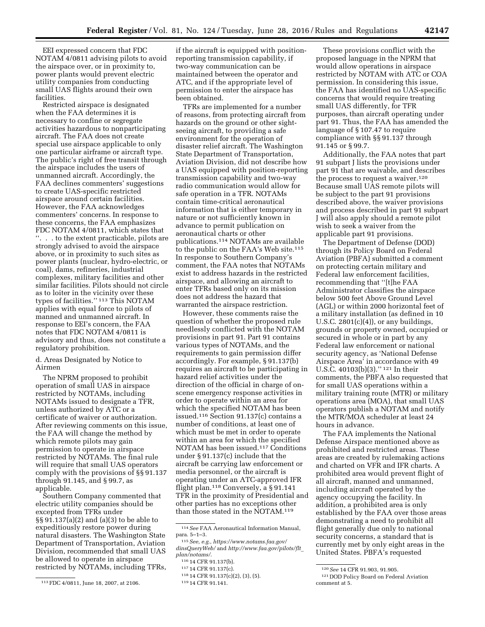EEI expressed concern that FDC NOTAM 4/0811 advising pilots to avoid the airspace over, or in proximity to, power plants would prevent electric utility companies from conducting small UAS flights around their own facilities.

Restricted airspace is designated when the FAA determines it is necessary to confine or segregate activities hazardous to nonparticipating aircraft. The FAA does not create special use airspace applicable to only one particular airframe or aircraft type. The public's right of free transit through the airspace includes the users of unmanned aircraft. Accordingly, the FAA declines commenters' suggestions to create UAS-specific restricted airspace around certain facilities. However, the FAA acknowledges commenters' concerns. In response to these concerns, the FAA emphasizes FDC NOTAM 4/0811, which states that ''. . . to the extent practicable, pilots are strongly advised to avoid the airspace above, or in proximity to such sites as power plants (nuclear, hydro-electric, or coal), dams, refineries, industrial complexes, military facilities and other similar facilities. Pilots should not circle as to loiter in the vicinity over these types of facilities.'' 113 This NOTAM applies with equal force to pilots of manned and unmanned aircraft. In response to EEI's concern, the FAA notes that FDC NOTAM 4/0811 is advisory and thus, does not constitute a regulatory prohibition.

d. Areas Designated by Notice to Airmen

The NPRM proposed to prohibit operation of small UAS in airspace restricted by NOTAMs, including NOTAMs issued to designate a TFR, unless authorized by ATC or a certificate of waiver or authorization. After reviewing comments on this issue, the FAA will change the method by which remote pilots may gain permission to operate in airspace restricted by NOTAMs. The final rule will require that small UAS operators comply with the provisions of §§ 91.137 through 91.145, and § 99.7, as applicable.

Southern Company commented that electric utility companies should be excepted from TFRs under §§ 91.137(a)(2) and (a)(3) to be able to expeditiously restore power during natural disasters. The Washington State Department of Transportation, Aviation Division, recommended that small UAS be allowed to operate in airspace restricted by NOTAMs, including TFRs,

if the aircraft is equipped with positionreporting transmission capability, if two-way communication can be maintained between the operator and ATC, and if the appropriate level of permission to enter the airspace has been obtained.

TFRs are implemented for a number of reasons, from protecting aircraft from hazards on the ground or other sightseeing aircraft, to providing a safe environment for the operation of disaster relief aircraft. The Washington State Department of Transportation, Aviation Division, did not describe how a UAS equipped with position-reporting transmission capability and two-way radio communication would allow for safe operation in a TFR. NOTAMs contain time-critical aeronautical information that is either temporary in nature or not sufficiently known in advance to permit publication on aeronautical charts or other publications.114 NOTAMs are available to the public on the FAA's Web site.115 In response to Southern Company's comment, the FAA notes that NOTAMs exist to address hazards in the restricted airspace, and allowing an aircraft to enter TFRs based only on its mission does not address the hazard that warranted the airspace restriction.

However, these comments raise the question of whether the proposed rule needlessly conflicted with the NOTAM provisions in part 91. Part 91 contains various types of NOTAMs, and the requirements to gain permission differ accordingly. For example, § 91.137(b) requires an aircraft to be participating in hazard relief activities under the direction of the official in charge of onscene emergency response activities in order to operate within an area for which the specified NOTAM has been issued.116 Section 91.137(c) contains a number of conditions, at least one of which must be met in order to operate within an area for which the specified NOTAM has been issued.117 Conditions under § 91.137(c) include that the aircraft be carrying law enforcement or media personnel, or the aircraft is operating under an ATC-approved IFR flight plan.118 Conversely, a § 91.141 TFR in the proximity of Presidential and other parties has no exceptions other than those stated in the NOTAM.119

119 14 CFR 91.141.

These provisions conflict with the proposed language in the NPRM that would allow operations in airspace restricted by NOTAM with ATC or COA permission. In considering this issue, the FAA has identified no UAS-specific concerns that would require treating small UAS differently, for TFR purposes, than aircraft operating under part 91. Thus, the FAA has amended the language of § 107.47 to require compliance with §§ 91.137 through 91.145 or § 99.7.

Additionally, the FAA notes that part 91 subpart J lists the provisions under part 91 that are waivable, and describes the process to request a waiver.<sup>120</sup> Because small UAS remote pilots will be subject to the part 91 provisions described above, the waiver provisions and process described in part 91 subpart J will also apply should a remote pilot wish to seek a waiver from the applicable part 91 provisions.

The Department of Defense (DOD) through its Policy Board on Federal Aviation (PBFA) submitted a comment on protecting certain military and Federal law enforcement facilities, recommending that ''[t]he FAA Administrator classifies the airspace below 500 feet Above Ground Level (AGL) or within 2000 horizontal feet of a military installation (as defined in 10 U.S.C.  $2801(c)(4)$ , or any buildings, grounds or property owned, occupied or secured in whole or in part by any Federal law enforcement or national security agency, as 'National Defense Airspace Area' in accordance with 49 U.S.C. 40103(b)(3)."<sup>121</sup> In their comments, the PBFA also requested that for small UAS operations within a military training route (MTR) or military operations area (MOA), that small UAS operators publish a NOTAM and notify the MTR/MOA scheduler at least 24 hours in advance.

The FAA implements the National Defense Airspace mentioned above as prohibited and restricted areas. These areas are created by rulemaking actions and charted on VFR and IFR charts. A prohibited area would prevent flight of all aircraft, manned and unmanned, including aircraft operated by the agency occupying the facility. In addition, a prohibited area is only established by the FAA over those areas demonstrating a need to prohibit all flight generally due only to national security concerns, a standard that is currently met by only eight areas in the United States. PBFA's requested

<sup>113</sup>FDC 4/0811, June 18, 2007, at 2106.

<sup>114</sup>*See* FAA Aeronautical Information Manual, para. 5–1–3.

<sup>115</sup>*See, e.g., [https://www.notams.faa.gov/](https://www.notams.faa.gov/dinsQueryWeb/) [dinsQueryWeb/](https://www.notams.faa.gov/dinsQueryWeb/)* and *[http://www.faa.gov/pilots/flt](http://www.faa.gov/pilots/flt_plan/notams/)*\_ *[plan/notams/](http://www.faa.gov/pilots/flt_plan/notams/)*.

<sup>116</sup> 14 CFR 91.137(b).

<sup>117</sup> 14 CFR 91.137(c).

<sup>118</sup> 14 CFR 91.137(c)(2), (3), (5).

<sup>120</sup>*See* 14 CFR 91.903, 91.905.

<sup>121</sup> DOD Policy Board on Federal Aviation comment at 5.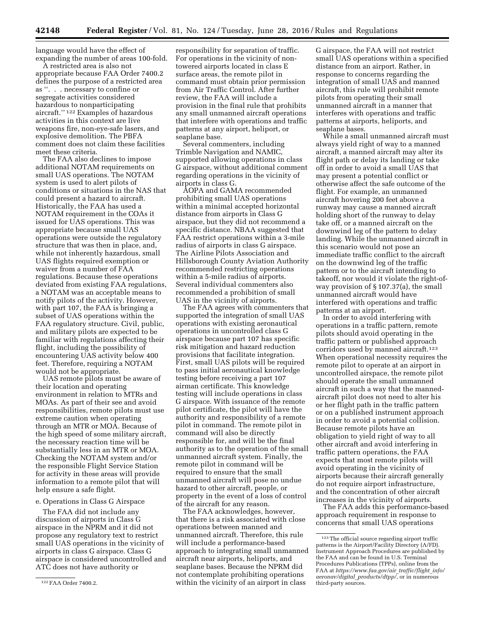language would have the effect of expanding the number of areas 100-fold.

A restricted area is also not appropriate because FAA Order 7400.2 defines the purpose of a restricted area as ''. . . necessary to confine or segregate activities considered hazardous to nonparticipating aircraft.'' 122 Examples of hazardous activities in this context are live weapons fire, non-eye-safe lasers, and explosive demolition. The PBFA comment does not claim these facilities meet these criteria.

The FAA also declines to impose additional NOTAM requirements on small UAS operations. The NOTAM system is used to alert pilots of conditions or situations in the NAS that could present a hazard to aircraft. Historically, the FAA has used a NOTAM requirement in the COAs it issued for UAS operations. This was appropriate because small UAS operations were outside the regulatory structure that was then in place, and, while not inherently hazardous, small UAS flights required exemption or waiver from a number of FAA regulations. Because these operations deviated from existing FAA regulations, a NOTAM was an acceptable means to notify pilots of the activity. However, with part 107, the FAA is bringing a subset of UAS operations within the FAA regulatory structure. Civil, public, and military pilots are expected to be familiar with regulations affecting their flight, including the possibility of encountering UAS activity below 400 feet. Therefore, requiring a NOTAM would not be appropriate.

UAS remote pilots must be aware of their location and operating environment in relation to MTRs and MOAs. As part of their see and avoid responsibilities, remote pilots must use extreme caution when operating through an MTR or MOA. Because of the high speed of some military aircraft, the necessary reaction time will be substantially less in an MTR or MOA. Checking the NOTAM system and/or the responsible Flight Service Station for activity in these areas will provide information to a remote pilot that will help ensure a safe flight.

### e. Operations in Class G Airspace

The FAA did not include any discussion of airports in Class G airspace in the NPRM and it did not propose any regulatory text to restrict small UAS operations in the vicinity of airports in class G airspace. Class G airspace is considered uncontrolled and ATC does not have authority or

responsibility for separation of traffic. For operations in the vicinity of nontowered airports located in class E surface areas, the remote pilot in command must obtain prior permission from Air Traffic Control. After further review, the FAA will include a provision in the final rule that prohibits any small unmanned aircraft operations that interfere with operations and traffic patterns at any airport, heliport, or seaplane base.

Several commenters, including Trimble Navigation and NAMIC, supported allowing operations in class G airspace, without additional comment regarding operations in the vicinity of airports in class G.

AOPA and GAMA recommended prohibiting small UAS operations within a minimal accepted horizontal distance from airports in Class G airspace, but they did not recommend a specific distance. NBAA suggested that FAA restrict operations within a 3-mile radius of airports in class G airspace. The Airline Pilots Association and Hillsborough County Aviation Authority recommended restricting operations within a 5-mile radius of airports. Several individual commenters also recommended a prohibition of small UAS in the vicinity of airports.

The FAA agrees with commenters that supported the integration of small UAS operations with existing aeronautical operations in uncontrolled class G airspace because part 107 has specific risk mitigation and hazard reduction provisions that facilitate integration. First, small UAS pilots will be required to pass initial aeronautical knowledge testing before receiving a part 107 airman certificate. This knowledge testing will include operations in class G airspace. With issuance of the remote pilot certificate, the pilot will have the authority and responsibility of a remote pilot in command. The remote pilot in command will also be directly responsible for, and will be the final authority as to the operation of the small unmanned aircraft system. Finally, the remote pilot in command will be required to ensure that the small unmanned aircraft will pose no undue hazard to other aircraft, people, or property in the event of a loss of control of the aircraft for any reason.

The FAA acknowledges, however, that there is a risk associated with close operations between manned and unmanned aircraft. Therefore, this rule will include a performance-based approach to integrating small unmanned aircraft near airports, heliports, and seaplane bases. Because the NPRM did not contemplate prohibiting operations within the vicinity of an airport in class

G airspace, the FAA will not restrict small UAS operations within a specified distance from an airport. Rather, in response to concerns regarding the integration of small UAS and manned aircraft, this rule will prohibit remote pilots from operating their small unmanned aircraft in a manner that interferes with operations and traffic patterns at airports, heliports, and seaplane bases.

While a small unmanned aircraft must always yield right of way to a manned aircraft, a manned aircraft may alter its flight path or delay its landing or take off in order to avoid a small UAS that may present a potential conflict or otherwise affect the safe outcome of the flight. For example, an unmanned aircraft hovering 200 feet above a runway may cause a manned aircraft holding short of the runway to delay take off, or a manned aircraft on the downwind leg of the pattern to delay landing. While the unmanned aircraft in this scenario would not pose an immediate traffic conflict to the aircraft on the downwind leg of the traffic pattern or to the aircraft intending to takeoff, nor would it violate the right-ofway provision of § 107.37(a), the small unmanned aircraft would have interfered with operations and traffic patterns at an airport.

In order to avoid interfering with operations in a traffic pattern, remote pilots should avoid operating in the traffic pattern or published approach corridors used by manned aircraft.123 When operational necessity requires the remote pilot to operate at an airport in uncontrolled airspace, the remote pilot should operate the small unmanned aircraft in such a way that the mannedaircraft pilot does not need to alter his or her flight path in the traffic pattern or on a published instrument approach in order to avoid a potential collision. Because remote pilots have an obligation to yield right of way to all other aircraft and avoid interfering in traffic pattern operations, the FAA expects that most remote pilots will avoid operating in the vicinity of airports because their aircraft generally do not require airport infrastructure, and the concentration of other aircraft increases in the vicinity of airports.

The FAA adds this performance-based approach requirement in response to concerns that small UAS operations

<sup>122</sup>FAA Order 7400.2.

 $^{\rm 123}\rm{The}$  official source regarding airport traffic patterns is the Airport/Facility Directory (A/FD). Instrument Approach Procedures are published by the FAA and can be found in U.S. Terminal Procedures Publications (TPPs), online from the FAA at *[https://www.faa.gov/air](https://www.faa.gov/air_traffic/flight_info/aeronav/digital_products/dtpp/)*\_*traffic/flight*\_*info/ aeronav/digital*\_*[products/dtpp/,](https://www.faa.gov/air_traffic/flight_info/aeronav/digital_products/dtpp/)* or in numerous third-party sources.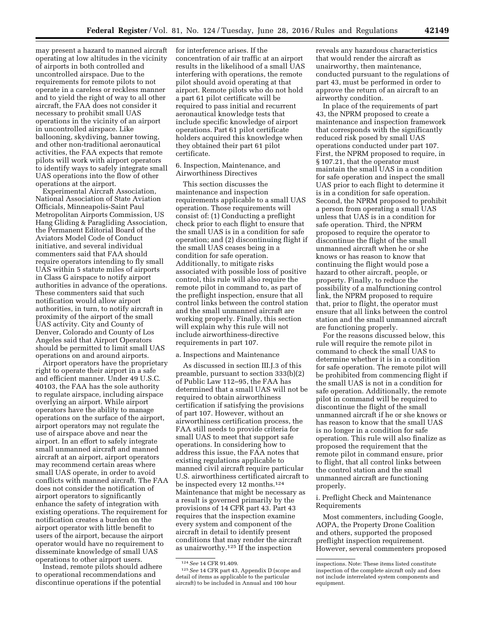may present a hazard to manned aircraft operating at low altitudes in the vicinity of airports in both controlled and uncontrolled airspace. Due to the requirements for remote pilots to not operate in a careless or reckless manner and to yield the right of way to all other aircraft, the FAA does not consider it necessary to prohibit small UAS operations in the vicinity of an airport in uncontrolled airspace. Like ballooning, skydiving, banner towing, and other non-traditional aeronautical activities, the FAA expects that remote pilots will work with airport operators to identify ways to safely integrate small UAS operations into the flow of other operations at the airport.

Experimental Aircraft Association, National Association of State Aviation Officials, Minneapolis-Saint Paul Metropolitan Airports Commission, US Hang Gliding & Paragliding Association, the Permanent Editorial Board of the Aviators Model Code of Conduct initiative, and several individual commenters said that FAA should require operators intending to fly small UAS within 5 statute miles of airports in Class G airspace to notify airport authorities in advance of the operations. These commenters said that such notification would allow airport authorities, in turn, to notify aircraft in proximity of the airport of the small UAS activity. City and County of Denver, Colorado and County of Los Angeles said that Airport Operators should be permitted to limit small UAS operations on and around airports.

Airport operators have the proprietary right to operate their airport in a safe and efficient manner. Under 49 U.S.C. 40103, the FAA has the sole authority to regulate airspace, including airspace overlying an airport. While airport operators have the ability to manage operations on the surface of the airport, airport operators may not regulate the use of airspace above and near the airport. In an effort to safely integrate small unmanned aircraft and manned aircraft at an airport, airport operators may recommend certain areas where small UAS operate, in order to avoid conflicts with manned aircraft. The FAA does not consider the notification of airport operators to significantly enhance the safety of integration with existing operations. The requirement for notification creates a burden on the airport operator with little benefit to users of the airport, because the airport operator would have no requirement to disseminate knowledge of small UAS operations to other airport users.

Instead, remote pilots should adhere to operational recommendations and discontinue operations if the potential

for interference arises. If the concentration of air traffic at an airport results in the likelihood of a small UAS interfering with operations, the remote pilot should avoid operating at that airport. Remote pilots who do not hold a part 61 pilot certificate will be required to pass initial and recurrent aeronautical knowledge tests that include specific knowledge of airport operations. Part 61 pilot certificate holders acquired this knowledge when they obtained their part 61 pilot certificate.

### 6. Inspection, Maintenance, and Airworthiness Directives

This section discusses the maintenance and inspection requirements applicable to a small UAS operation. Those requirements will consist of: (1) Conducting a preflight check prior to each flight to ensure that the small UAS is in a condition for safe operation; and (2) discontinuing flight if the small UAS ceases being in a condition for safe operation. Additionally, to mitigate risks associated with possible loss of positive control, this rule will also require the remote pilot in command to, as part of the preflight inspection, ensure that all control links between the control station and the small unmanned aircraft are working properly. Finally, this section will explain why this rule will not include airworthiness-directive requirements in part 107.

#### a. Inspections and Maintenance

As discussed in section III.J.3 of this preamble, pursuant to section 333(b)(2) of Public Law 112–95, the FAA has determined that a small UAS will not be required to obtain airworthiness certification if satisfying the provisions of part 107. However, without an airworthiness certification process, the FAA still needs to provide criteria for small UAS to meet that support safe operations. In considering how to address this issue, the FAA notes that existing regulations applicable to manned civil aircraft require particular U.S. airworthiness certificated aircraft to be inspected every 12 months.124 Maintenance that might be necessary as a result is governed primarily by the provisions of 14 CFR part 43. Part 43 requires that the inspection examine every system and component of the aircraft in detail to identify present conditions that may render the aircraft as unairworthy.125 If the inspection

reveals any hazardous characteristics that would render the aircraft as unairworthy, then maintenance, conducted pursuant to the regulations of part 43, must be performed in order to approve the return of an aircraft to an airworthy condition.

In place of the requirements of part 43, the NPRM proposed to create a maintenance and inspection framework that corresponds with the significantly reduced risk posed by small UAS operations conducted under part 107. First, the NPRM proposed to require, in § 107.21, that the operator must maintain the small UAS in a condition for safe operation and inspect the small UAS prior to each flight to determine it is in a condition for safe operation. Second, the NPRM proposed to prohibit a person from operating a small UAS unless that UAS is in a condition for safe operation. Third, the NPRM proposed to require the operator to discontinue the flight of the small unmanned aircraft when he or she knows or has reason to know that continuing the flight would pose a hazard to other aircraft, people, or property. Finally, to reduce the possibility of a malfunctioning control link, the NPRM proposed to require that, prior to flight, the operator must ensure that all links between the control station and the small unmanned aircraft are functioning properly.

For the reasons discussed below, this rule will require the remote pilot in command to check the small UAS to determine whether it is in a condition for safe operation. The remote pilot will be prohibited from commencing flight if the small UAS is not in a condition for safe operation. Additionally, the remote pilot in command will be required to discontinue the flight of the small unmanned aircraft if he or she knows or has reason to know that the small UAS is no longer in a condition for safe operation. This rule will also finalize as proposed the requirement that the remote pilot in command ensure, prior to flight, that all control links between the control station and the small unmanned aircraft are functioning properly.

i. Preflight Check and Maintenance Requirements

Most commenters, including Google, AOPA, the Property Drone Coalition and others, supported the proposed preflight inspection requirement. However, several commenters proposed

<sup>124</sup>*See* 14 CFR 91.409.

<sup>125</sup>*See* 14 CFR part 43, Appendix D (scope and detail of items as applicable to the particular aircraft) to be included in Annual and 100 hour

inspections. Note: These items listed constitute inspection of the complete aircraft only and does not include interrelated system components and equipment.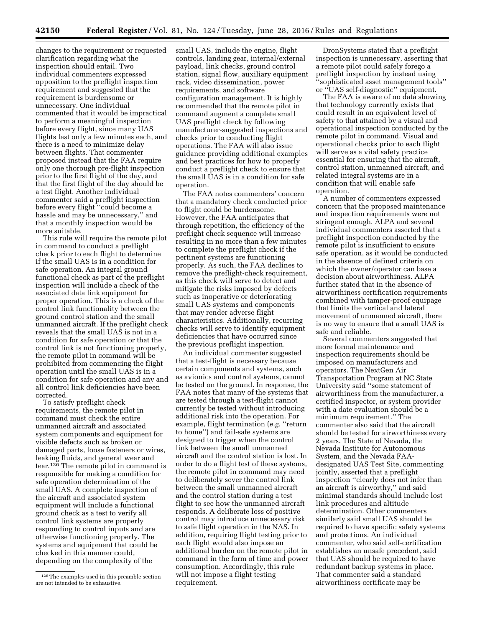changes to the requirement or requested clarification regarding what the inspection should entail. Two individual commenters expressed opposition to the preflight inspection requirement and suggested that the requirement is burdensome or unnecessary. One individual commented that it would be impractical to perform a meaningful inspection before every flight, since many UAS flights last only a few minutes each, and there is a need to minimize delay between flights. That commenter proposed instead that the FAA require only one thorough pre-flight inspection prior to the first flight of the day, and that the first flight of the day should be a test flight. Another individual commenter said a preflight inspection before every flight ''could become a hassle and may be unnecessary,'' and that a monthly inspection would be more suitable.

This rule will require the remote pilot in command to conduct a preflight check prior to each flight to determine if the small UAS is in a condition for safe operation. An integral ground functional check as part of the preflight inspection will include a check of the associated data link equipment for proper operation. This is a check of the control link functionality between the ground control station and the small unmanned aircraft. If the preflight check reveals that the small UAS is not in a condition for safe operation or that the control link is not functioning properly, the remote pilot in command will be prohibited from commencing the flight operation until the small UAS is in a condition for safe operation and any and all control link deficiencies have been corrected.

To satisfy preflight check requirements, the remote pilot in command must check the entire unmanned aircraft and associated system components and equipment for visible defects such as broken or damaged parts, loose fasteners or wires, leaking fluids, and general wear and tear.126 The remote pilot in command is responsible for making a condition for safe operation determination of the small UAS. A complete inspection of the aircraft and associated system equipment will include a functional ground check as a test to verify all control link systems are properly responding to control inputs and are otherwise functioning properly. The systems and equipment that could be checked in this manner could, depending on the complexity of the

small UAS, include the engine, flight controls, landing gear, internal/external payload, link checks, ground control station, signal flow, auxiliary equipment rack, video dissemination, power requirements, and software configuration management. It is highly recommended that the remote pilot in command augment a complete small UAS preflight check by following manufacturer-suggested inspections and checks prior to conducting flight operations. The FAA will also issue guidance providing additional examples and best practices for how to properly conduct a preflight check to ensure that the small UAS is in a condition for safe operation.

The FAA notes commenters' concern that a mandatory check conducted prior to flight could be burdensome. However, the FAA anticipates that through repetition, the efficiency of the preflight check sequence will increase resulting in no more than a few minutes to complete the preflight check if the pertinent systems are functioning properly. As such, the FAA declines to remove the preflight-check requirement, as this check will serve to detect and mitigate the risks imposed by defects such as inoperative or deteriorating small UAS systems and components that may render adverse flight characteristics. Additionally, recurring checks will serve to identify equipment deficiencies that have occurred since the previous preflight inspection.

An individual commenter suggested that a test-flight is necessary because certain components and systems, such as avionics and control systems, cannot be tested on the ground. In response, the FAA notes that many of the systems that are tested through a test-flight cannot currently be tested without introducing additional risk into the operation. For example, flight termination (*e.g.* ''return to home'') and fail-safe systems are designed to trigger when the control link between the small unmanned aircraft and the control station is lost. In order to do a flight test of these systems, the remote pilot in command may need to deliberately sever the control link between the small unmanned aircraft and the control station during a test flight to see how the unmanned aircraft responds. A deliberate loss of positive control may introduce unnecessary risk to safe flight operation in the NAS. In addition, requiring flight testing prior to each flight would also impose an additional burden on the remote pilot in command in the form of time and power consumption. Accordingly, this rule will not impose a flight testing requirement.

DronSystems stated that a preflight inspection is unnecessary, asserting that a remote pilot could safely forego a preflight inspection by instead using ''sophisticated asset management tools'' or ''UAS self-diagnostic'' equipment.

The FAA is aware of no data showing that technology currently exists that could result in an equivalent level of safety to that attained by a visual and operational inspection conducted by the remote pilot in command. Visual and operational checks prior to each flight will serve as a vital safety practice essential for ensuring that the aircraft, control station, unmanned aircraft, and related integral systems are in a condition that will enable safe operation.

A number of commenters expressed concern that the proposed maintenance and inspection requirements were not stringent enough. ALPA and several individual commenters asserted that a preflight inspection conducted by the remote pilot is insufficient to ensure safe operation, as it would be conducted in the absence of defined criteria on which the owner/operator can base a decision about airworthiness. ALPA further stated that in the absence of airworthiness certification requirements combined with tamper-proof equipage that limits the vertical and lateral movement of unmanned aircraft, there is no way to ensure that a small UAS is safe and reliable.

Several commenters suggested that more formal maintenance and inspection requirements should be imposed on manufacturers and operators. The NextGen Air Transportation Program at NC State University said ''some statement of airworthiness from the manufacturer, a certified inspector, or system provider with a date evaluation should be a minimum requirement.'' The commenter also said that the aircraft should be tested for airworthiness every 2 years. The State of Nevada, the Nevada Institute for Autonomous System, and the Nevada FAAdesignated UAS Test Site, commenting jointly, asserted that a preflight inspection ''clearly does not infer than an aircraft is airworthy,'' and said minimal standards should include lost link procedures and altitude determination. Other commenters similarly said small UAS should be required to have specific safety systems and protections. An individual commenter, who said self-certification establishes an unsafe precedent, said that UAS should be required to have redundant backup systems in place. That commenter said a standard airworthiness certificate may be

<sup>126</sup>The examples used in this preamble section are not intended to be exhaustive.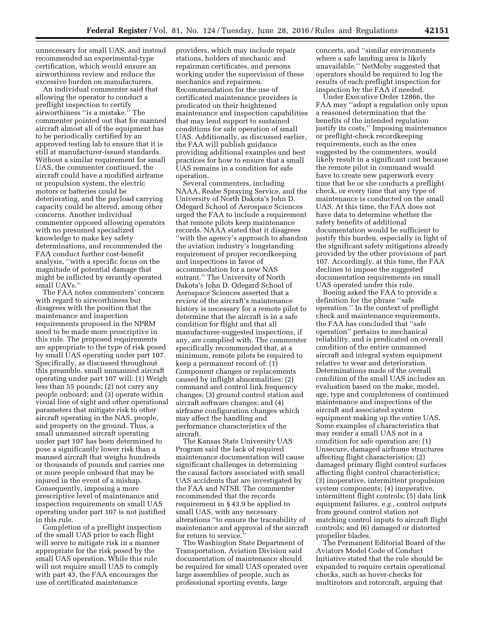unnecessary for small UAS, and instead recommended an experimental-type certification, which would ensure an airworthiness review and reduce the excessive burden on manufacturers.

An individual commenter said that allowing the operator to conduct a preflight inspection to certify airworthiness ''is a mistake.'' The commenter pointed out that for manned aircraft almost all of the equipment has to be periodically certified by an approved testing lab to ensure that it is still at manufacturer-issued standards. Without a similar requirement for small UAS, the commenter continued, the aircraft could have a modified airframe or propulsion system, the electric motors or batteries could be deteriorating, and the payload carrying capacity could be altered, among other concerns. Another individual commenter opposed allowing operators with no presumed specialized knowledge to make key safety determinations, and recommended the FAA conduct further cost-benefit analysis, ''with a specific focus on the magnitude of potential damage that might be inflicted by errantly operated small UAVs.''

The FAA notes commenters' concern with regard to airworthiness but disagrees with the position that the maintenance and inspection requirements proposed in the NPRM need to be made more prescriptive in this rule. The proposed requirements are appropriate to the type of risk posed by small UAS operating under part 107. Specifically, as discussed throughout this preamble, small unmanned aircraft operating under part 107 will: (1) Weigh less than 55 pounds; (2) not carry any people onboard; and (3) operate within visual line of sight and other operational parameters that mitigate risk to other aircraft operating in the NAS, people, and property on the ground. Thus, a small unmanned aircraft operating under part 107 has been determined to pose a significantly lower risk than a manned aircraft that weighs hundreds or thousands of pounds and carries one or more people onboard that may be injured in the event of a mishap. Consequently, imposing a more prescriptive level of maintenance and inspection requirements on small UAS operating under part 107 is not justified in this rule.

Completion of a preflight inspection of the small UAS prior to each flight will serve to mitigate risk in a manner appropriate for the risk posed by the small UAS operation. While this rule will not require small UAS to comply with part 43, the FAA encourages the use of certificated maintenance

providers, which may include repair stations, holders of mechanic and repairman certificates, and persons working under the supervision of these mechanics and repairmen. Recommendation for the use of certificated maintenance providers is predicated on their heightened maintenance and inspection capabilities that may lend support to sustained conditions for safe operation of small UAS. Additionally, as discussed earlier, the FAA will publish guidance providing additional examples and best practices for how to ensure that a small UAS remains in a condition for safe operation.

Several commenters, including NAAA, Reabe Spraying Service, and the University of North Dakota's John D. Odegard School of Aerospace Sciences urged the FAA to include a requirement that remote pilots keep maintenance records. NAAA stated that it disagrees ''with the agency's approach to abandon the aviation industry's longstanding requirement of proper recordkeeping and inspections in favor of accommodation for a new NAS entrant.'' The University of North Dakota's John D. Odegard School of Aerospace Sciences asserted that a review of the aircraft's maintenance history is necessary for a remote pilot to determine that the aircraft is in a safe condition for flight and that all manufacturer-suggested inspections, if any, are complied with. The commenter specifically recommended that, at a minimum, remote pilots be required to keep a permanent record of: (1) Component changes or replacements caused by inflight abnormalities; (2) command and control link frequency changes; (3) ground control station and aircraft software changes; and (4) airframe configuration changes which may affect the handling and performance characteristics of the aircraft.

The Kansas State University UAS Program said the lack of required maintenance documentation will cause significant challenges in determining the causal factors associated with small UAS accidents that are investigated by the FAA and NTSB. The commenter recommended that the records requirement in § 43.9 be applied to small UAS, with any necessary alterations ''to ensure the traceability of maintenance and approval of the aircraft for return to service.''

The Washington State Department of Transportation, Aviation Division said documentation of maintenance should be required for small UAS operated over large assemblies of people, such as professional sporting events, large

concerts, and ''similar environments where a safe landing area is likely unavailable.'' NetMoby suggested that operators should be required to log the results of each preflight inspection for inspection by the FAA if needed.

Under Executive Order 12866, the FAA may ''adopt a regulation only upon a reasoned determination that the benefits of the intended regulation justify its costs.'' Imposing maintenance or preflight-check recordkeeping requirements, such as the ones suggested by the commenters, would likely result in a significant cost because the remote pilot in command would have to create new paperwork every time that he or she conducts a preflight check, or every time that any type of maintenance is conducted on the small UAS. At this time, the FAA does not have data to determine whether the safety benefits of additional documentation would be sufficient to justify this burden, especially in light of the significant safety mitigations already provided by the other provisions of part 107. Accordingly, at this time, the FAA declines to impose the suggested documentation requirements on small UAS operated under this rule.

Boeing asked the FAA to provide a definition for the phrase ''safe operation.'' In the context of preflight check and maintenance requirements, the FAA has concluded that ''safe operation'' pertains to mechanical reliability, and is predicated on overall condition of the entire unmanned aircraft and integral system equipment relative to wear and deterioration. Determinations made of the overall condition of the small UAS includes an evaluation based on the make, model, age, type and completeness of continued maintenance and inspections of the aircraft and associated system equipment making up the entire UAS. Some examples of characteristics that may render a small UAS not in a condition for safe operation are: (1) Unsecure, damaged airframe structures affecting flight characteristics; (2) damaged primary flight control surfaces affecting flight control characteristics; (3) inoperative, intermittent propulsion system components; (4) inoperative, intermittent flight controls; (5) data link equipment failures, *e.g.,* control outputs from ground control station not matching control inputs to aircraft flight controls; and (6) damaged or distorted propeller blades.

The Permanent Editorial Board of the Aviators Model Code of Conduct Initiative stated that the rule should be expanded to require certain operational checks, such as hover-checks for multirotors and rotorcraft, arguing that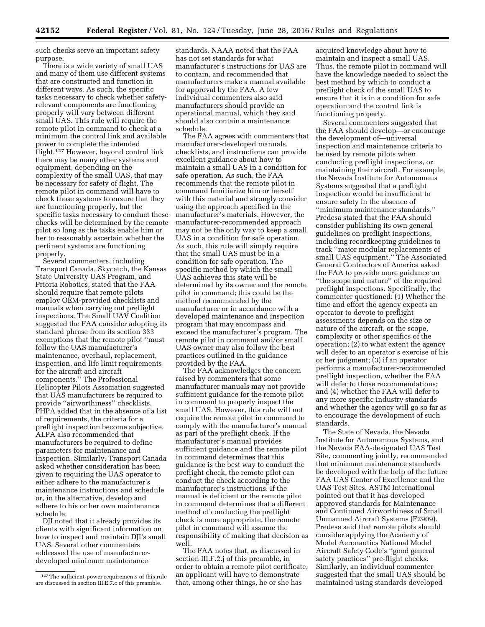such checks serve an important safety purpose.

There is a wide variety of small UAS and many of them use different systems that are constructed and function in different ways. As such, the specific tasks necessary to check whether safetyrelevant components are functioning properly will vary between different small UAS. This rule will require the remote pilot in command to check at a minimum the control link and available power to complete the intended flight.127 However, beyond control link there may be many other systems and equipment, depending on the complexity of the small UAS, that may be necessary for safety of flight. The remote pilot in command will have to check those systems to ensure that they are functioning properly, but the specific tasks necessary to conduct these checks will be determined by the remote pilot so long as the tasks enable him or her to reasonably ascertain whether the pertinent systems are functioning properly.

Several commenters, including Transport Canada, Skycatch, the Kansas State University UAS Program, and Prioria Robotics, stated that the FAA should require that remote pilots employ OEM-provided checklists and manuals when carrying out preflight inspections. The Small UAV Coalition suggested the FAA consider adopting its standard phrase from its section 333 exemptions that the remote pilot ''must follow the UAS manufacturer's maintenance, overhaul, replacement, inspection, and life limit requirements for the aircraft and aircraft components.'' The Professional Helicopter Pilots Association suggested that UAS manufacturers be required to provide ''airworthiness'' checklists. PHPA added that in the absence of a list of requirements, the criteria for a preflight inspection become subjective. ALPA also recommended that manufacturers be required to define parameters for maintenance and inspection. Similarly, Transport Canada asked whether consideration has been given to requiring the UAS operator to either adhere to the manufacturer's maintenance instructions and schedule or, in the alternative, develop and adhere to his or her own maintenance schedule.

DJI noted that it already provides its clients with significant information on how to inspect and maintain DJI's small UAS. Several other commenters addressed the use of manufacturerdeveloped minimum maintenance

standards. NAAA noted that the FAA has not set standards for what manufacturer's instructions for UAS are to contain, and recommended that manufacturers make a manual available for approval by the FAA. A few individual commenters also said manufacturers should provide an operational manual, which they said should also contain a maintenance schedule.

The FAA agrees with commenters that manufacturer-developed manuals, checklists, and instructions can provide excellent guidance about how to maintain a small UAS in a condition for safe operation. As such, the FAA recommends that the remote pilot in command familiarize him or herself with this material and strongly consider using the approach specified in the manufacturer's materials. However, the manufacturer-recommended approach may not be the only way to keep a small UAS in a condition for safe operation. As such, this rule will simply require that the small UAS must be in a condition for safe operation. The specific method by which the small UAS achieves this state will be determined by its owner and the remote pilot in command; this could be the method recommended by the manufacturer or in accordance with a developed maintenance and inspection program that may encompass and exceed the manufacturer's program. The remote pilot in command and/or small UAS owner may also follow the best practices outlined in the guidance provided by the FAA.

The FAA acknowledges the concern raised by commenters that some manufacturer manuals may not provide sufficient guidance for the remote pilot in command to properly inspect the small UAS. However, this rule will not require the remote pilot in command to comply with the manufacturer's manual as part of the preflight check. If the manufacturer's manual provides sufficient guidance and the remote pilot in command determines that this guidance is the best way to conduct the preflight check, the remote pilot can conduct the check according to the manufacturer's instructions. If the manual is deficient or the remote pilot in command determines that a different method of conducting the preflight check is more appropriate, the remote pilot in command will assume the responsibility of making that decision as well.

The FAA notes that, as discussed in section III.F.2.j of this preamble, in order to obtain a remote pilot certificate, an applicant will have to demonstrate that, among other things, he or she has

acquired knowledge about how to maintain and inspect a small UAS. Thus, the remote pilot in command will have the knowledge needed to select the best method by which to conduct a preflight check of the small UAS to ensure that it is in a condition for safe operation and the control link is functioning properly.

Several commenters suggested that the FAA should develop—or encourage the development of—universal inspection and maintenance criteria to be used by remote pilots when conducting preflight inspections, or maintaining their aircraft. For example, the Nevada Institute for Autonomous Systems suggested that a preflight inspection would be insufficient to ensure safety in the absence of ''minimum maintenance standards.'' Predesa stated that the FAA should consider publishing its own general guidelines on preflight inspections, including recordkeeping guidelines to track ''major modular replacements of small UAS equipment.'' The Associated General Contractors of America asked the FAA to provide more guidance on ''the scope and nature'' of the required preflight inspections. Specifically, the commenter questioned: (1) Whether the time and effort the agency expects an operator to devote to preflight assessments depends on the size or nature of the aircraft, or the scope, complexity or other specifics of the operation; (2) to what extent the agency will defer to an operator's exercise of his or her judgment; (3) if an operator performs a manufacturer-recommended preflight inspection, whether the FAA will defer to those recommendations; and (4) whether the FAA will defer to any more specific industry standards and whether the agency will go so far as to encourage the development of such standards.

The State of Nevada, the Nevada Institute for Autonomous Systems, and the Nevada FAA-designated UAS Test Site, commenting jointly, recommended that minimum maintenance standards be developed with the help of the future FAA UAS Center of Excellence and the UAS Test Sites. ASTM International pointed out that it has developed approved standards for Maintenance and Continued Airworthiness of Small Unmanned Aircraft Systems (F2909). Predesa said that remote pilots should consider applying the Academy of Model Aeronautics National Model Aircraft Safety Code's ''good general safety practices'' pre-flight checks. Similarly, an individual commenter suggested that the small UAS should be maintained using standards developed

<sup>&</sup>lt;sup>127</sup>The sufficient-power requirements of this rule are discussed in section III.E.7.c of this preamble.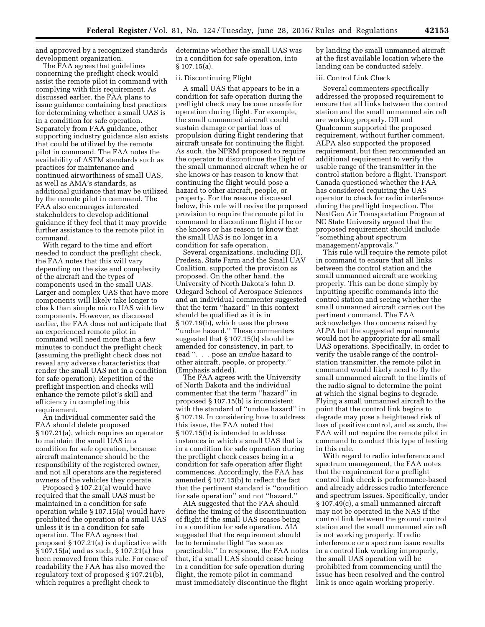and approved by a recognized standards development organization.

The FAA agrees that guidelines concerning the preflight check would assist the remote pilot in command with complying with this requirement. As discussed earlier, the FAA plans to issue guidance containing best practices for determining whether a small UAS is in a condition for safe operation. Separately from FAA guidance, other supporting industry guidance also exists that could be utilized by the remote pilot in command. The FAA notes the availability of ASTM standards such as practices for maintenance and continued airworthiness of small UAS, as well as AMA's standards, as additional guidance that may be utilized by the remote pilot in command. The FAA also encourages interested stakeholders to develop additional guidance if they feel that it may provide further assistance to the remote pilot in command.

With regard to the time and effort needed to conduct the preflight check, the FAA notes that this will vary depending on the size and complexity of the aircraft and the types of components used in the small UAS. Larger and complex UAS that have more components will likely take longer to check than simple micro UAS with few components. However, as discussed earlier, the FAA does not anticipate that an experienced remote pilot in command will need more than a few minutes to conduct the preflight check (assuming the preflight check does not reveal any adverse characteristics that render the small UAS not in a condition for safe operation). Repetition of the preflight inspection and checks will enhance the remote pilot's skill and efficiency in completing this requirement.

An individual commenter said the FAA should delete proposed § 107.21(a), which requires an operator to maintain the small UAS in a condition for safe operation, because aircraft maintenance should be the responsibility of the registered owner, and not all operators are the registered owners of the vehicles they operate.

Proposed § 107.21(a) would have required that the small UAS must be maintained in a condition for safe operation while § 107.15(a) would have prohibited the operation of a small UAS unless it is in a condition for safe operation. The FAA agrees that proposed § 107.21(a) is duplicative with § 107.15(a) and as such, § 107.21(a) has been removed from this rule. For ease of readability the FAA has also moved the regulatory text of proposed § 107.21(b), which requires a preflight check to

determine whether the small UAS was in a condition for safe operation, into § 107.15(a).

## ii. Discontinuing Flight

A small UAS that appears to be in a condition for safe operation during the preflight check may become unsafe for operation during flight. For example, the small unmanned aircraft could sustain damage or partial loss of propulsion during flight rendering that aircraft unsafe for continuing the flight. As such, the NPRM proposed to require the operator to discontinue the flight of the small unmanned aircraft when he or she knows or has reason to know that continuing the flight would pose a hazard to other aircraft, people, or property. For the reasons discussed below, this rule will revise the proposed provision to require the remote pilot in command to discontinue flight if he or she knows or has reason to know that the small UAS is no longer in a condition for safe operation.

Several organizations, including DJI, Predesa, State Farm and the Small UAV Coalition, supported the provision as proposed. On the other hand, the University of North Dakota's John D. Odegard School of Aerospace Sciences and an individual commenter suggested that the term ''hazard'' in this context should be qualified as it is in § 107.19(b), which uses the phrase ''undue hazard.'' These commenters suggested that § 107.15(b) should be amended for consistency, in part, to read ''. . . pose an *undue* hazard to other aircraft, people, or property.'' (Emphasis added).

The FAA agrees with the University of North Dakota and the individual commenter that the term ''hazard'' in proposed § 107.15(b) is inconsistent with the standard of ''undue hazard'' in § 107.19. In considering how to address this issue, the FAA noted that § 107.15(b) is intended to address instances in which a small UAS that is in a condition for safe operation during the preflight check ceases being in a condition for safe operation after flight commences. Accordingly, the FAA has amended § 107.15(b) to reflect the fact that the pertinent standard is ''condition for safe operation'' and not ''hazard.''

AIA suggested that the FAA should define the timing of the discontinuation of flight if the small UAS ceases being in a condition for safe operation. AIA suggested that the requirement should be to terminate flight ''as soon as practicable.'' In response, the FAA notes that, if a small UAS should cease being in a condition for safe operation during flight, the remote pilot in command must immediately discontinue the flight

by landing the small unmanned aircraft at the first available location where the landing can be conducted safely.

## iii. Control Link Check

Several commenters specifically addressed the proposed requirement to ensure that all links between the control station and the small unmanned aircraft are working properly. DJI and Qualcomm supported the proposed requirement, without further comment. ALPA also supported the proposed requirement, but then recommended an additional requirement to verify the usable range of the transmitter in the control station before a flight. Transport Canada questioned whether the FAA has considered requiring the UAS operator to check for radio interference during the preflight inspection. The NextGen Air Transportation Program at NC State University argued that the proposed requirement should include ''something about spectrum management/approvals.''

This rule will require the remote pilot in command to ensure that all links between the control station and the small unmanned aircraft are working properly. This can be done simply by inputting specific commands into the control station and seeing whether the small unmanned aircraft carries out the pertinent command. The FAA acknowledges the concerns raised by ALPA but the suggested requirements would not be appropriate for all small UAS operations. Specifically, in order to verify the usable range of the controlstation transmitter, the remote pilot in command would likely need to fly the small unmanned aircraft to the limits of the radio signal to determine the point at which the signal begins to degrade. Flying a small unmanned aircraft to the point that the control link begins to degrade may pose a heightened risk of loss of positive control, and as such, the FAA will not require the remote pilot in command to conduct this type of testing in this rule.

With regard to radio interference and spectrum management, the FAA notes that the requirement for a preflight control link check is performance-based and already addresses radio interference and spectrum issues. Specifically, under § 107.49(c), a small unmanned aircraft may not be operated in the NAS if the control link between the ground control station and the small unmanned aircraft is not working properly. If radio interference or a spectrum issue results in a control link working improperly, the small UAS operation will be prohibited from commencing until the issue has been resolved and the control link is once again working properly.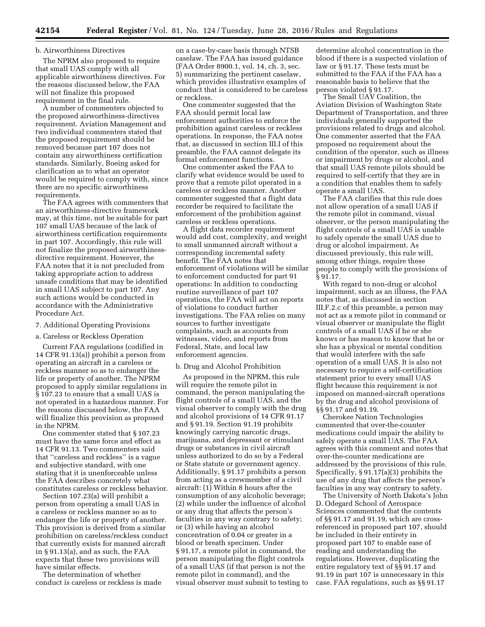## b. Airworthiness Directives

The NPRM also proposed to require that small UAS comply with all applicable airworthiness directives. For the reasons discussed below, the FAA will not finalize this proposed requirement in the final rule.

A number of commenters objected to the proposed airworthiness-directives requirement. Aviation Management and two individual commenters stated that the proposed requirement should be removed because part 107 does not contain any airworthiness certification standards. Similarly, Boeing asked for clarification as to what an operator would be required to comply with, since there are no specific airworthiness requirements.

The FAA agrees with commenters that an airworthiness-directive framework may, at this time, not be suitable for part 107 small UAS because of the lack of airworthiness certification requirements in part 107. Accordingly, this rule will not finalize the proposed airworthinessdirective requirement. However, the FAA notes that it is not precluded from taking appropriate action to address unsafe conditions that may be identified in small UAS subject to part 107. Any such actions would be conducted in accordance with the Administrative Procedure Act.

## 7. Additional Operating Provisions

## a. Careless or Reckless Operation

Current FAA regulations (codified in 14 CFR 91.13(a)) prohibit a person from operating an aircraft in a careless or reckless manner so as to endanger the life or property of another. The NPRM proposed to apply similar regulations in § 107.23 to ensure that a small UAS is not operated in a hazardous manner. For the reasons discussed below, the FAA will finalize this provision as proposed in the NPRM.

One commenter stated that § 107.23 must have the same force and effect as 14 CFR 91.13. Two commenters said that ''careless and reckless'' is a vague and subjective standard, with one stating that it is unenforceable unless the FAA describes concretely what constitutes careless or reckless behavior.

Section 107.23(a) will prohibit a person from operating a small UAS in a careless or reckless manner so as to endanger the life or property of another. This provision is derived from a similar prohibition on careless/reckless conduct that currently exists for manned aircraft in § 91.13(a), and as such, the FAA expects that these two provisions will have similar effects.

The determination of whether conduct is careless or reckless is made on a case-by-case basis through NTSB caselaw. The FAA has issued guidance (FAA Order 8900.1, vol. 14, ch. 3, sec. 5) summarizing the pertinent caselaw, which provides illustrative examples of conduct that is considered to be careless or reckless.

One commenter suggested that the FAA should permit local law enforcement authorities to enforce the prohibition against careless or reckless operations. In response, the FAA notes that, as discussed in section III.I of this preamble, the FAA cannot delegate its formal enforcement functions.

One commenter asked the FAA to clarify what evidence would be used to prove that a remote pilot operated in a careless or reckless manner. Another commenter suggested that a flight data recorder be required to facilitate the enforcement of the prohibition against careless or reckless operations.

A flight data recorder requirement would add cost, complexity, and weight to small unmanned aircraft without a corresponding incremental safety benefit. The FAA notes that enforcement of violations will be similar to enforcement conducted for part 91 operations: In addition to conducting routine surveillance of part 107 operations, the FAA will act on reports of violations to conduct further investigations. The FAA relies on many sources to further investigate complaints, such as accounts from witnesses, video, and reports from Federal, State, and local law enforcement agencies.

# b. Drug and Alcohol Prohibition

As proposed in the NPRM, this rule will require the remote pilot in command, the person manipulating the flight controls of a small UAS, and the visual observer to comply with the drug and alcohol provisions of 14 CFR 91.17 and § 91.19. Section 91.19 prohibits knowingly carrying narcotic drugs, marijuana, and depressant or stimulant drugs or substances in civil aircraft unless authorized to do so by a Federal or State statute or government agency. Additionally, § 91.17 prohibits a person from acting as a crewmember of a civil aircraft: (1) Within 8 hours after the consumption of any alcoholic beverage; (2) while under the influence of alcohol or any drug that affects the person's faculties in any way contrary to safety; or (3) while having an alcohol concentration of 0.04 or greater in a blood or breath specimen. Under § 91.17, a remote pilot in command, the person manipulating the flight controls of a small UAS (if that person is not the remote pilot in command), and the visual observer must submit to testing to

determine alcohol concentration in the blood if there is a suspected violation of law or § 91.17. These tests must be submitted to the FAA if the FAA has a reasonable basis to believe that the person violated § 91.17.

The Small UAV Coalition, the Aviation Division of Washington State Department of Transportation, and three individuals generally supported the provisions related to drugs and alcohol. One commenter asserted that the FAA proposed no requirement about the condition of the operator, such as illness or impairment by drugs or alcohol, and that small UAS remote pilots should be required to self-certify that they are in a condition that enables them to safely operate a small UAS.

The FAA clarifies that this rule does not allow operation of a small UAS if the remote pilot in command, visual observer, or the person manipulating the flight controls of a small UAS is unable to safely operate the small UAS due to drug or alcohol impairment. As discussed previously, this rule will, among other things, require these people to comply with the provisions of § 91.17.

With regard to non-drug or alcohol impairment, such as an illness, the FAA notes that, as discussed in section III.F.2.c of this preamble, a person may not act as a remote pilot in command or visual observer or manipulate the flight controls of a small UAS if he or she knows or has reason to know that he or she has a physical or mental condition that would interfere with the safe operation of a small UAS. It is also not necessary to require a self-certification statement prior to every small UAS flight because this requirement is not imposed on manned-aircraft operations by the drug and alcohol provisions of §§ 91.17 and 91.19.

Cherokee Nation Technologies commented that over-the-counter medications could impair the ability to safely operate a small UAS. The FAA agrees with this comment and notes that over-the-counter medications are addressed by the provisions of this rule. Specifically, § 91.17(a)(3) prohibits the use of any drug that affects the person's faculties in any way contrary to safety.

The University of North Dakota's John D. Odegard School of Aerospace Sciences commented that the contents of §§ 91.17 and 91.19, which are crossreferenced in proposed part 107, should be included in their entirety in proposed part 107 to enable ease of reading and understanding the regulations. However, duplicating the entire regulatory text of §§ 91.17 and 91.19 in part 107 is unnecessary in this case. FAA regulations, such as §§ 91.17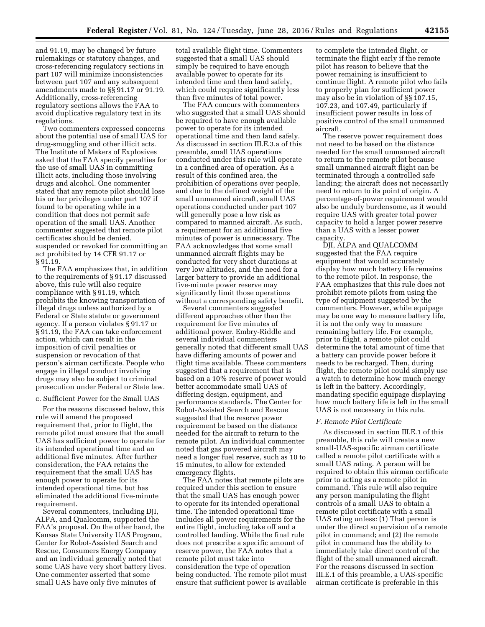and 91.19, may be changed by future rulemakings or statutory changes, and cross-referencing regulatory sections in part 107 will minimize inconsistencies between part 107 and any subsequent amendments made to §§ 91.17 or 91.19. Additionally, cross-referencing regulatory sections allows the FAA to avoid duplicative regulatory text in its regulations.

Two commenters expressed concerns about the potential use of small UAS for drug-smuggling and other illicit acts. The Institute of Makers of Explosives asked that the FAA specify penalties for the use of small UAS in committing illicit acts, including those involving drugs and alcohol. One commenter stated that any remote pilot should lose his or her privileges under part 107 if found to be operating while in a condition that does not permit safe operation of the small UAS. Another commenter suggested that remote pilot certificates should be denied, suspended or revoked for committing an act prohibited by 14 CFR 91.17 or § 91.19.

The FAA emphasizes that, in addition to the requirements of § 91.17 discussed above, this rule will also require compliance with § 91.19, which prohibits the knowing transportation of illegal drugs unless authorized by a Federal or State statute or government agency. If a person violates § 91.17 or § 91.19, the FAA can take enforcement action, which can result in the imposition of civil penalties or suspension or revocation of that person's airman certificate. People who engage in illegal conduct involving drugs may also be subject to criminal prosecution under Federal or State law.

#### c. Sufficient Power for the Small UAS

For the reasons discussed below, this rule will amend the proposed requirement that, prior to flight, the remote pilot must ensure that the small UAS has sufficient power to operate for its intended operational time and an additional five minutes. After further consideration, the FAA retains the requirement that the small UAS has enough power to operate for its intended operational time, but has eliminated the additional five-minute requirement.

Several commenters, including DJI, ALPA, and Qualcomm, supported the FAA's proposal. On the other hand, the Kansas State University UAS Program, Center for Robot-Assisted Search and Rescue, Consumers Energy Company and an individual generally noted that some UAS have very short battery lives. One commenter asserted that some small UAS have only five minutes of

total available flight time. Commenters suggested that a small UAS should simply be required to have enough available power to operate for its intended time and then land safely, which could require significantly less than five minutes of total power.

The FAA concurs with commenters who suggested that a small UAS should be required to have enough available power to operate for its intended operational time and then land safely. As discussed in section III.E.3.a of this preamble, small UAS operations conducted under this rule will operate in a confined area of operation. As a result of this confined area, the prohibition of operations over people, and due to the defined weight of the small unmanned aircraft, small UAS operations conducted under part 107 will generally pose a low risk as compared to manned aircraft. As such, a requirement for an additional five minutes of power is unnecessary. The FAA acknowledges that some small unmanned aircraft flights may be conducted for very short durations at very low altitudes, and the need for a larger battery to provide an additional five-minute power reserve may significantly limit those operations without a corresponding safety benefit.

Several commenters suggested different approaches other than the requirement for five minutes of additional power. Embry-Riddle and several individual commenters generally noted that different small UAS have differing amounts of power and flight time available. These commenters suggested that a requirement that is based on a 10% reserve of power would better accommodate small UAS of differing design, equipment, and performance standards. The Center for Robot-Assisted Search and Rescue suggested that the reserve power requirement be based on the distance needed for the aircraft to return to the remote pilot. An individual commenter noted that gas powered aircraft may need a longer fuel reserve, such as 10 to 15 minutes, to allow for extended emergency flights.

The FAA notes that remote pilots are required under this section to ensure that the small UAS has enough power to operate for its intended operational time. The intended operational time includes all power requirements for the entire flight, including take off and a controlled landing. While the final rule does not prescribe a specific amount of reserve power, the FAA notes that a remote pilot must take into consideration the type of operation being conducted. The remote pilot must ensure that sufficient power is available

to complete the intended flight, or terminate the flight early if the remote pilot has reason to believe that the power remaining is insufficient to continue flight. A remote pilot who fails to properly plan for sufficient power may also be in violation of §§ 107.15, 107.23, and 107.49, particularly if insufficient power results in loss of positive control of the small unmanned aircraft.

The reserve power requirement does not need to be based on the distance needed for the small unmanned aircraft to return to the remote pilot because small unmanned aircraft flight can be terminated through a controlled safe landing; the aircraft does not necessarily need to return to its point of origin. A percentage-of-power requirement would also be unduly burdensome, as it would require UAS with greater total power capacity to hold a larger power reserve than a UAS with a lesser power capacity.

DJI, ALPA and QUALCOMM suggested that the FAA require equipment that would accurately display how much battery life remains to the remote pilot. In response, the FAA emphasizes that this rule does not prohibit remote pilots from using the type of equipment suggested by the commenters. However, while equipage may be one way to measure battery life, it is not the only way to measure remaining battery life. For example, prior to flight, a remote pilot could determine the total amount of time that a battery can provide power before it needs to be recharged. Then, during flight, the remote pilot could simply use a watch to determine how much energy is left in the battery. Accordingly, mandating specific equipage displaying how much battery life is left in the small UAS is not necessary in this rule.

#### *F. Remote Pilot Certificate*

As discussed in section III.E.1 of this preamble, this rule will create a new small-UAS-specific airman certificate called a remote pilot certificate with a small UAS rating. A person will be required to obtain this airman certificate prior to acting as a remote pilot in command. This rule will also require any person manipulating the flight controls of a small UAS to obtain a remote pilot certificate with a small UAS rating unless: (1) That person is under the direct supervision of a remote pilot in command; and (2) the remote pilot in command has the ability to immediately take direct control of the flight of the small unmanned aircraft. For the reasons discussed in section III.E.1 of this preamble, a UAS-specific airman certificate is preferable in this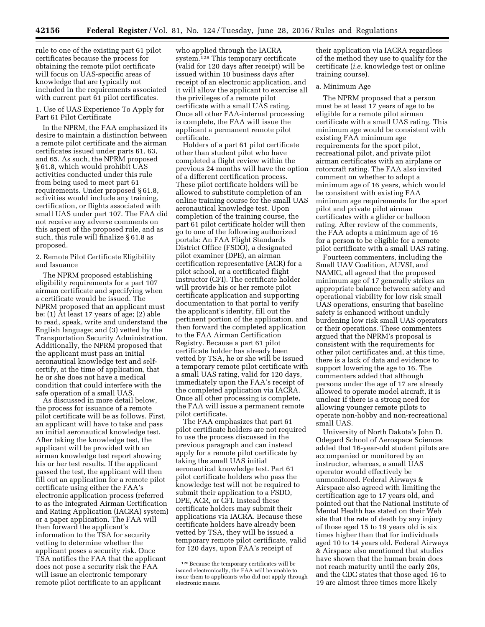rule to one of the existing part 61 pilot certificates because the process for obtaining the remote pilot certificate will focus on UAS-specific areas of knowledge that are typically not included in the requirements associated with current part 61 pilot certificates.

## 1. Use of UAS Experience To Apply for Part 61 Pilot Certificate

In the NPRM, the FAA emphasized its desire to maintain a distinction between a remote pilot certificate and the airman certificates issued under parts 61, 63, and 65. As such, the NPRM proposed § 61.8, which would prohibit UAS activities conducted under this rule from being used to meet part 61 requirements. Under proposed § 61.8, activities would include any training, certification, or flights associated with small UAS under part 107. The FAA did not receive any adverse comments on this aspect of the proposed rule, and as such, this rule will finalize § 61.8 as proposed.

2. Remote Pilot Certificate Eligibility and Issuance

The NPRM proposed establishing eligibility requirements for a part 107 airman certificate and specifying when a certificate would be issued. The NPRM proposed that an applicant must be: (1) At least 17 years of age; (2) able to read, speak, write and understand the English language; and (3) vetted by the Transportation Security Administration. Additionally, the NPRM proposed that the applicant must pass an initial aeronautical knowledge test and selfcertify, at the time of application, that he or she does not have a medical condition that could interfere with the safe operation of a small UAS.

As discussed in more detail below, the process for issuance of a remote pilot certificate will be as follows. First, an applicant will have to take and pass an initial aeronautical knowledge test. After taking the knowledge test, the applicant will be provided with an airman knowledge test report showing his or her test results. If the applicant passed the test, the applicant will then fill out an application for a remote pilot certificate using either the FAA's electronic application process (referred to as the Integrated Airman Certification and Rating Application (IACRA) system) or a paper application. The FAA will then forward the applicant's information to the TSA for security vetting to determine whether the applicant poses a security risk. Once TSA notifies the FAA that the applicant does not pose a security risk the FAA will issue an electronic temporary remote pilot certificate to an applicant

who applied through the IACRA system.128 This temporary certificate (valid for 120 days after receipt) will be issued within 10 business days after receipt of an electronic application, and it will allow the applicant to exercise all the privileges of a remote pilot certificate with a small UAS rating. Once all other FAA-internal processing is complete, the FAA will issue the applicant a permanent remote pilot certificate.

Holders of a part 61 pilot certificate other than student pilot who have completed a flight review within the previous 24 months will have the option of a different certification process. These pilot certificate holders will be allowed to substitute completion of an online training course for the small UAS aeronautical knowledge test. Upon completion of the training course, the part 61 pilot certificate holder will then go to one of the following authorized portals: An FAA Flight Standards District Office (FSDO), a designated pilot examiner (DPE), an airman certification representative (ACR) for a pilot school, or a certificated flight instructor (CFI). The certificate holder will provide his or her remote pilot certificate application and supporting documentation to that portal to verify the applicant's identity, fill out the pertinent portion of the application, and then forward the completed application to the FAA Airman Certification Registry. Because a part 61 pilot certificate holder has already been vetted by TSA, he or she will be issued a temporary remote pilot certificate with a small UAS rating, valid for 120 days, immediately upon the FAA's receipt of the completed application via IACRA. Once all other processing is complete, the FAA will issue a permanent remote pilot certificate.

The FAA emphasizes that part 61 pilot certificate holders are not required to use the process discussed in the previous paragraph and can instead apply for a remote pilot certificate by taking the small UAS initial aeronautical knowledge test. Part 61 pilot certificate holders who pass the knowledge test will not be required to submit their application to a FSDO, DPE, ACR, or CFI. Instead these certificate holders may submit their applications via IACRA. Because these certificate holders have already been vetted by TSA, they will be issued a temporary remote pilot certificate, valid for 120 days, upon FAA's receipt of

their application via IACRA regardless of the method they use to qualify for the certificate (*i.e.* knowledge test or online training course).

### a. Minimum Age

The NPRM proposed that a person must be at least 17 years of age to be eligible for a remote pilot airman certificate with a small UAS rating. This minimum age would be consistent with existing FAA minimum age requirements for the sport pilot, recreational pilot, and private pilot airman certificates with an airplane or rotorcraft rating. The FAA also invited comment on whether to adopt a minimum age of 16 years, which would be consistent with existing FAA minimum age requirements for the sport pilot and private pilot airman certificates with a glider or balloon rating. After review of the comments, the FAA adopts a minimum age of 16 for a person to be eligible for a remote pilot certificate with a small UAS rating.

Fourteen commenters, including the Small UAV Coalition, AUVSI, and NAMIC, all agreed that the proposed minimum age of 17 generally strikes an appropriate balance between safety and operational viability for low risk small UAS operations, ensuring that baseline safety is enhanced without unduly burdening low risk small UAS operators or their operations. These commenters argued that the NPRM's proposal is consistent with the requirements for other pilot certificates and, at this time, there is a lack of data and evidence to support lowering the age to 16. The commenters added that although persons under the age of 17 are already allowed to operate model aircraft, it is unclear if there is a strong need for allowing younger remote pilots to operate non-hobby and non-recreational small UAS.

University of North Dakota's John D. Odegard School of Aerospace Sciences added that 16-year-old student pilots are accompanied or monitored by an instructor, whereas, a small UAS operator would effectively be unmonitored. Federal Airways & Airspace also agreed with limiting the certification age to 17 years old, and pointed out that the National Institute of Mental Health has stated on their Web site that the rate of death by any injury of those aged 15 to 19 years old is six times higher than that for individuals aged 10 to 14 years old. Federal Airways & Airspace also mentioned that studies have shown that the human brain does not reach maturity until the early 20s, and the CDC states that those aged 16 to 19 are almost three times more likely

<sup>128</sup>Because the temporary certificates will be issued electronically, the FAA will be unable to issue them to applicants who did not apply through electronic means.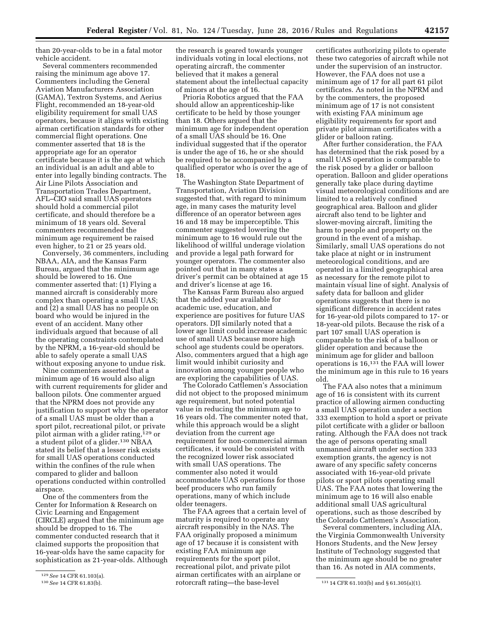than 20-year-olds to be in a fatal motor vehicle accident.

Several commenters recommended raising the minimum age above 17. Commenters including the General Aviation Manufacturers Association (GAMA), Textron Systems, and Aerius Flight, recommended an 18-year-old eligibility requirement for small UAS operators, because it aligns with existing airman certification standards for other commercial flight operations. One commenter asserted that 18 is the appropriate age for an operator certificate because it is the age at which an individual is an adult and able to enter into legally binding contracts. The Air Line Pilots Association and Transportation Trades Department, AFL–CIO said small UAS operators should hold a commercial pilot certificate, and should therefore be a minimum of 18 years old. Several commenters recommended the minimum age requirement be raised even higher, to 21 or 25 years old.

Conversely, 36 commenters, including NBAA, AIA, and the Kansas Farm Bureau, argued that the minimum age should be lowered to 16. One commenter asserted that: (1) Flying a manned aircraft is considerably more complex than operating a small UAS; and  $(2)$  a small UAS has no people on board who would be injured in the event of an accident. Many other individuals argued that because of all the operating constraints contemplated by the NPRM, a 16-year-old should be able to safely operate a small UAS without exposing anyone to undue risk.

Nine commenters asserted that a minimum age of 16 would also align with current requirements for glider and balloon pilots. One commenter argued that the NPRM does not provide any justification to support why the operator of a small UAS must be older than a sport pilot, recreational pilot, or private pilot airman with a glider rating,129 or a student pilot of a glider.130 NBAA stated its belief that a lesser risk exists for small UAS operations conducted within the confines of the rule when compared to glider and balloon operations conducted within controlled airspace.

One of the commenters from the Center for Information & Research on Civic Learning and Engagement (CIRCLE) argued that the minimum age should be dropped to 16. The commenter conducted research that it claimed supports the proposition that 16-year-olds have the same capacity for sophistication as 21-year-olds. Although the research is geared towards younger individuals voting in local elections, not operating aircraft, the commenter believed that it makes a general statement about the intellectual capacity of minors at the age of 16.

Prioria Robotics argued that the FAA should allow an apprenticeship-like certificate to be held by those younger than 18. Others argued that the minimum age for independent operation of a small UAS should be 16. One individual suggested that if the operator is under the age of 16, he or she should be required to be accompanied by a qualified operator who is over the age of 18.

The Washington State Department of Transportation, Aviation Division suggested that, with regard to minimum age, in many cases the maturity level difference of an operator between ages 16 and 18 may be imperceptible. This commenter suggested lowering the minimum age to 16 would rule out the likelihood of willful underage violation and provide a legal path forward for younger operators. The commenter also pointed out that in many states a driver's permit can be obtained at age 15 and driver's license at age 16.

The Kansas Farm Bureau also argued that the added year available for academic use, education, and experience are positives for future UAS operators. DJI similarly noted that a lower age limit could increase academic use of small UAS because more high school age students could be operators. Also, commenters argued that a high age limit would inhibit curiosity and innovation among younger people who are exploring the capabilities of UAS.

The Colorado Cattlemen's Association did not object to the proposed minimum age requirement, but noted potential value in reducing the minimum age to 16 years old. The commenter noted that, while this approach would be a slight deviation from the current age requirement for non-commercial airman certificates, it would be consistent with the recognized lower risk associated with small UAS operations. The commenter also noted it would accommodate UAS operations for those beef producers who run family operations, many of which include older teenagers.

<sup>130</sup>*See* 14 CFR 61.83(b). 130 contract rating—the base-level <sup>131</sup> 14 CFR 61.103(b) and § 61.305(a)(1). The FAA agrees that a certain level of maturity is required to operate any aircraft responsibly in the NAS. The FAA originally proposed a minimum age of 17 because it is consistent with existing FAA minimum age requirements for the sport pilot, recreational pilot, and private pilot airman certificates with an airplane or

certificates authorizing pilots to operate these two categories of aircraft while not under the supervision of an instructor. However, the FAA does not use a minimum age of 17 for all part 61 pilot certificates. As noted in the NPRM and by the commenters, the proposed minimum age of 17 is not consistent with existing FAA minimum age eligibility requirements for sport and private pilot airman certificates with a glider or balloon rating.

After further consideration, the FAA has determined that the risk posed by a small UAS operation is comparable to the risk posed by a glider or balloon operation. Balloon and glider operations generally take place during daytime visual meteorological conditions and are limited to a relatively confined geographical area. Balloon and glider aircraft also tend to be lighter and slower-moving aircraft, limiting the harm to people and property on the ground in the event of a mishap. Similarly, small UAS operations do not take place at night or in instrument meteorological conditions, and are operated in a limited geographical area as necessary for the remote pilot to maintain visual line of sight. Analysis of safety data for balloon and glider operations suggests that there is no significant difference in accident rates for 16-year-old pilots compared to 17- or 18-year-old pilots. Because the risk of a part 107 small UAS operation is comparable to the risk of a balloon or glider operation and because the minimum age for glider and balloon operations is 16,131 the FAA will lower the minimum age in this rule to 16 years old.

The FAA also notes that a minimum age of 16 is consistent with its current practice of allowing airmen conducting a small UAS operation under a section 333 exemption to hold a sport or private pilot certificate with a glider or balloon rating. Although the FAA does not track the age of persons operating small unmanned aircraft under section 333 exemption grants, the agency is not aware of any specific safety concerns associated with 16-year-old private pilots or sport pilots operating small UAS. The FAA notes that lowering the minimum age to 16 will also enable additional small UAS agricultural operations, such as those described by the Colorado Cattlemen's Association.

Several commenters, including AIA, the Virginia Commonwealth University Honors Students, and the New Jersey Institute of Technology suggested that the minimum age should be no greater than 16. As noted in AIA comments,

<sup>129</sup>*See* 14 CFR 61.103(a).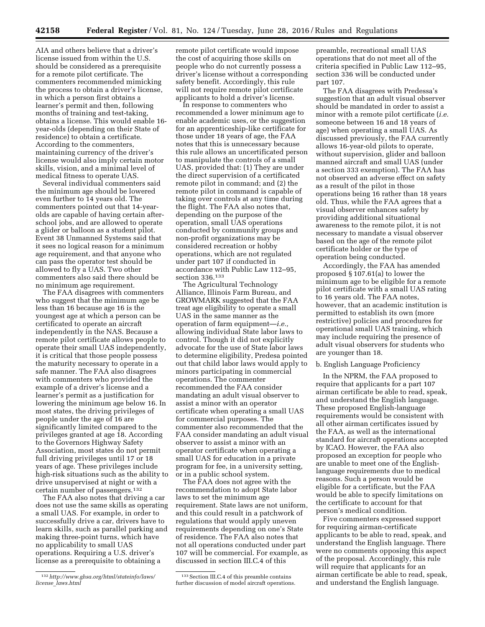AIA and others believe that a driver's license issued from within the U.S. should be considered as a prerequisite for a remote pilot certificate. The commenters recommended mimicking the process to obtain a driver's license, in which a person first obtains a learner's permit and then, following months of training and test-taking, obtains a license. This would enable 16 year-olds (depending on their State of residence) to obtain a certificate. According to the commenters, maintaining currency of the driver's license would also imply certain motor skills, vision, and a minimal level of medical fitness to operate UAS.

Several individual commenters said the minimum age should be lowered even further to 14 years old. The commenters pointed out that 14-yearolds are capable of having certain afterschool jobs, and are allowed to operate a glider or balloon as a student pilot. Event 38 Unmanned Systems said that it sees no logical reason for a minimum age requirement, and that anyone who can pass the operator test should be allowed to fly a UAS. Two other commenters also said there should be no minimum age requirement.

The FAA disagrees with commenters who suggest that the minimum age be less than 16 because age 16 is the youngest age at which a person can be certificated to operate an aircraft independently in the NAS. Because a remote pilot certificate allows people to operate their small UAS independently, it is critical that those people possess the maturity necessary to operate in a safe manner. The FAA also disagrees with commenters who provided the example of a driver's license and a learner's permit as a justification for lowering the minimum age below 16. In most states, the driving privileges of people under the age of 16 are significantly limited compared to the privileges granted at age 18. According to the Governors Highway Safety Association, most states do not permit full driving privileges until 17 or 18 years of age. These privileges include high-risk situations such as the ability to drive unsupervised at night or with a certain number of passengers.132

The FAA also notes that driving a car does not use the same skills as operating a small UAS. For example, in order to successfully drive a car, drivers have to learn skills, such as parallel parking and making three-point turns, which have no applicability to small UAS operations. Requiring a U.S. driver's license as a prerequisite to obtaining a

remote pilot certificate would impose the cost of acquiring those skills on people who do not currently possess a driver's license without a corresponding safety benefit. Accordingly, this rule will not require remote pilot certificate applicants to hold a driver's license.

In response to commenters who recommended a lower minimum age to enable academic uses, or the suggestion for an apprenticeship-like certificate for those under 18 years of age, the FAA notes that this is unnecessary because this rule allows an uncertificated person to manipulate the controls of a small UAS, provided that: (1) They are under the direct supervision of a certificated remote pilot in command; and (2) the remote pilot in command is capable of taking over controls at any time during the flight. The FAA also notes that, depending on the purpose of the operation, small UAS operations conducted by community groups and non-profit organizations may be considered recreation or hobby operations, which are not regulated under part 107 if conducted in accordance with Public Law 112–95, section 336.133

The Agricultural Technology Alliance, Illinois Farm Bureau, and GROWMARK suggested that the FAA treat age eligibility to operate a small UAS in the same manner as the operation of farm equipment—*i.e.,*  allowing individual State labor laws to control. Though it did not explicitly advocate for the use of State labor laws to determine eligibility, Predesa pointed out that child labor laws would apply to minors participating in commercial operations. The commenter recommended the FAA consider mandating an adult visual observer to assist a minor with an operator certificate when operating a small UAS for commercial purposes. The commenter also recommended that the FAA consider mandating an adult visual observer to assist a minor with an operator certificate when operating a small UAS for education in a private program for fee, in a university setting, or in a public school system.

The FAA does not agree with the recommendation to adopt State labor laws to set the minimum age requirement. State laws are not uniform, and this could result in a patchwork of regulations that would apply uneven requirements depending on one's State of residence. The FAA also notes that not all operations conducted under part 107 will be commercial. For example, as discussed in section III.C.4 of this

133Section III.C.4 of this preamble contains further discussion of model aircraft operations.

preamble, recreational small UAS operations that do not meet all of the criteria specified in Public Law 112–95, section 336 will be conducted under part 107.

The FAA disagrees with Predessa's suggestion that an adult visual observer should be mandated in order to assist a minor with a remote pilot certificate (*i.e.*  someone between 16 and 18 years of age) when operating a small UAS. As discussed previously, the FAA currently allows 16-year-old pilots to operate, without supervision, glider and balloon manned aircraft and small UAS (under a section 333 exemption). The FAA has not observed an adverse effect on safety as a result of the pilot in those operations being 16 rather than 18 years old. Thus, while the FAA agrees that a visual observer enhances safety by providing additional situational awareness to the remote pilot, it is not necessary to mandate a visual observer based on the age of the remote pilot certificate holder or the type of operation being conducted.

Accordingly, the FAA has amended proposed § 107.61(a) to lower the minimum age to be eligible for a remote pilot certificate with a small UAS rating to 16 years old. The FAA notes, however, that an academic institution is permitted to establish its own (more restrictive) policies and procedures for operational small UAS training, which may include requiring the presence of adult visual observers for students who are younger than 18.

## b. English Language Proficiency

In the NPRM, the FAA proposed to require that applicants for a part 107 airman certificate be able to read, speak, and understand the English language. These proposed English-language requirements would be consistent with all other airman certificates issued by the FAA, as well as the international standard for aircraft operations accepted by ICAO. However, the FAA also proposed an exception for people who are unable to meet one of the Englishlanguage requirements due to medical reasons. Such a person would be eligible for a certificate, but the FAA would be able to specify limitations on the certificate to account for that person's medical condition.

Five commenters expressed support for requiring airman-certificate applicants to be able to read, speak, and understand the English language. There were no comments opposing this aspect of the proposal. Accordingly, this rule will require that applicants for an airman certificate be able to read, speak, and understand the English language.

<sup>132</sup>*[http://www.ghsa.org/html/stateinfo/laws/](http://www.ghsa.org/html/stateinfo/laws/license_laws.html) license*\_*[laws.html](http://www.ghsa.org/html/stateinfo/laws/license_laws.html)*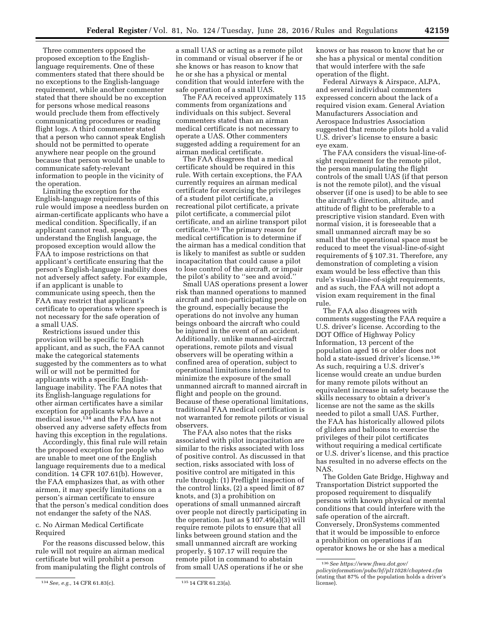Three commenters opposed the proposed exception to the Englishlanguage requirements. One of these commenters stated that there should be no exceptions to the English-language requirement, while another commenter stated that there should be no exception for persons whose medical reasons would preclude them from effectively communicating procedures or reading flight logs. A third commenter stated that a person who cannot speak English should not be permitted to operate anywhere near people on the ground because that person would be unable to

communicate safety-relevant information to people in the vicinity of the operation.

Limiting the exception for the English-language requirements of this rule would impose a needless burden on airman-certificate applicants who have a medical condition. Specifically, if an applicant cannot read, speak, or understand the English language, the proposed exception would allow the FAA to impose restrictions on that applicant's certificate ensuring that the person's English-language inability does not adversely affect safety. For example, if an applicant is unable to communicate using speech, then the FAA may restrict that applicant's certificate to operations where speech is not necessary for the safe operation of a small UAS.

Restrictions issued under this provision will be specific to each applicant, and as such, the FAA cannot make the categorical statements suggested by the commenters as to what will or will not be permitted for applicants with a specific Englishlanguage inability. The FAA notes that its English-language regulations for other airman certificates have a similar exception for applicants who have a medical issue,<sup>134</sup> and the FAA has not observed any adverse safety effects from having this exception in the regulations.

Accordingly, this final rule will retain the proposed exception for people who are unable to meet one of the English language requirements due to a medical condition. 14 CFR 107.61(b). However, the FAA emphasizes that, as with other airmen, it may specify limitations on a person's airman certificate to ensure that the person's medical condition does not endanger the safety of the NAS.

## c. No Airman Medical Certificate Required

For the reasons discussed below, this rule will not require an airman medical certificate but will prohibit a person from manipulating the flight controls of

a small UAS or acting as a remote pilot in command or visual observer if he or she knows or has reason to know that he or she has a physical or mental condition that would interfere with the safe operation of a small UAS.

The FAA received approximately 115 comments from organizations and individuals on this subject. Several commenters stated than an airman medical certificate is not necessary to operate a UAS. Other commenters suggested adding a requirement for an airman medical certificate.

The FAA disagrees that a medical certificate should be required in this rule. With certain exceptions, the FAA currently requires an airman medical certificate for exercising the privileges of a student pilot certificate, a recreational pilot certificate, a private pilot certificate, a commercial pilot certificate, and an airline transport pilot certificate.135 The primary reason for medical certification is to determine if the airman has a medical condition that is likely to manifest as subtle or sudden incapacitation that could cause a pilot to lose control of the aircraft, or impair the pilot's ability to ''see and avoid.''

Small UAS operations present a lower risk than manned operations to manned aircraft and non-participating people on the ground, especially because the operations do not involve any human beings onboard the aircraft who could be injured in the event of an accident. Additionally, unlike manned-aircraft operations, remote pilots and visual observers will be operating within a confined area of operation, subject to operational limitations intended to minimize the exposure of the small unmanned aircraft to manned aircraft in flight and people on the ground. Because of these operational limitations, traditional FAA medical certification is not warranted for remote pilots or visual observers.

The FAA also notes that the risks associated with pilot incapacitation are similar to the risks associated with loss of positive control. As discussed in that section, risks associated with loss of positive control are mitigated in this rule through: (1) Preflight inspection of the control links, (2) a speed limit of 87 knots, and (3) a prohibition on operations of small unmanned aircraft over people not directly participating in the operation. Just as § 107.49(a)(3) will require remote pilots to ensure that all links between ground station and the small unmanned aircraft are working properly, § 107.17 will require the remote pilot in command to abstain from small UAS operations if he or she

knows or has reason to know that he or she has a physical or mental condition that would interfere with the safe operation of the flight.

Federal Airways & Airspace, ALPA, and several individual commenters expressed concern about the lack of a required vision exam. General Aviation Manufacturers Association and Aerospace Industries Association suggested that remote pilots hold a valid U.S. driver's license to ensure a basic eye exam.

The FAA considers the visual-line-ofsight requirement for the remote pilot, the person manipulating the flight controls of the small UAS (if that person is not the remote pilot), and the visual observer (if one is used) to be able to see the aircraft's direction, altitude, and attitude of flight to be preferable to a prescriptive vision standard. Even with normal vision, it is foreseeable that a small unmanned aircraft may be so small that the operational space must be reduced to meet the visual-line-of-sight requirements of § 107.31. Therefore, any demonstration of completing a vision exam would be less effective than this rule's visual-line-of-sight requirements, and as such, the FAA will not adopt a vision exam requirement in the final rule.

The FAA also disagrees with comments suggesting the FAA require a U.S. driver's license. According to the DOT Office of Highway Policy Information, 13 percent of the population aged 16 or older does not hold a state-issued driver's license.136 As such, requiring a U.S. driver's license would create an undue burden for many remote pilots without an equivalent increase in safety because the skills necessary to obtain a driver's license are not the same as the skills needed to pilot a small UAS. Further, the FAA has historically allowed pilots of gliders and balloons to exercise the privileges of their pilot certificates without requiring a medical certificate or U.S. driver's license, and this practice has resulted in no adverse effects on the NAS.

The Golden Gate Bridge, Highway and Transportation District supported the proposed requirement to disqualify persons with known physical or mental conditions that could interfere with the safe operation of the aircraft. Conversely, DronSystems commented that it would be impossible to enforce a prohibition on operations if an operator knows he or she has a medical

<sup>134</sup> See, e.g., 14 CFR 61.83(c). 135 14 CFR 61.23(a).

<sup>136</sup>*See [https://www.fhwa.dot.gov/](https://www.fhwa.dot.gov/policyinformation/pubs/hf/pl11028/chapter4.cfm) [policyinformation/pubs/hf/pl11028/chapter4.cfm](https://www.fhwa.dot.gov/policyinformation/pubs/hf/pl11028/chapter4.cfm)*  (stating that 87% of the population holds a driver's license).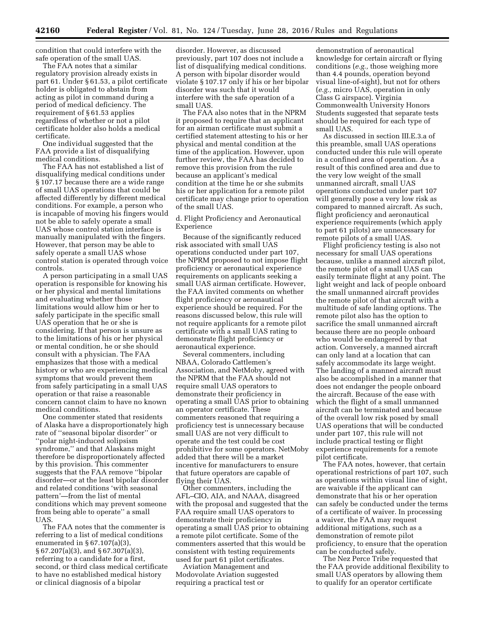condition that could interfere with the safe operation of the small UAS.

The FAA notes that a similar regulatory provision already exists in part 61. Under § 61.53, a pilot certificate holder is obligated to abstain from acting as pilot in command during a period of medical deficiency. The requirement of § 61.53 applies regardless of whether or not a pilot certificate holder also holds a medical certificate.

One individual suggested that the FAA provide a list of disqualifying medical conditions.

The FAA has not established a list of disqualifying medical conditions under § 107.17 because there are a wide range of small UAS operations that could be affected differently by different medical conditions. For example, a person who is incapable of moving his fingers would not be able to safely operate a small UAS whose control station interface is manually manipulated with the fingers. However, that person may be able to safely operate a small UAS whose control station is operated through voice controls.

A person participating in a small UAS operation is responsible for knowing his or her physical and mental limitations and evaluating whether those limitations would allow him or her to safely participate in the specific small UAS operation that he or she is considering. If that person is unsure as to the limitations of his or her physical or mental condition, he or she should consult with a physician. The FAA emphasizes that those with a medical history or who are experiencing medical symptoms that would prevent them from safely participating in a small UAS operation or that raise a reasonable concern cannot claim to have no known medical conditions.

One commenter stated that residents of Alaska have a disproportionately high rate of ''seasonal bipolar disorder'' or ''polar night-induced solipsism syndrome,'' and that Alaskans might therefore be disproportionately affected by this provision. This commenter suggests that the FAA remove ''bipolar disorder—or at the least bipolar disorder and related conditions 'with seasonal pattern'—from the list of mental conditions which may prevent someone from being able to operate'' a small UAS.

The FAA notes that the commenter is referring to a list of medical conditions enumerated in  $\S 67.107(a)(3)$ , § 67.207(a)(3), and § 67.307(a)(3), referring to a candidate for a first, second, or third class medical certificate to have no established medical history or clinical diagnosis of a bipolar

disorder. However, as discussed previously, part 107 does not include a list of disqualifying medical conditions. A person with bipolar disorder would violate § 107.17 only if his or her bipolar disorder was such that it would interfere with the safe operation of a small UAS.

The FAA also notes that in the NPRM it proposed to require that an applicant for an airman certificate must submit a certified statement attesting to his or her physical and mental condition at the time of the application. However, upon further review, the FAA has decided to remove this provision from the rule because an applicant's medical condition at the time he or she submits his or her application for a remote pilot certificate may change prior to operation of the small UAS.

d. Flight Proficiency and Aeronautical Experience

Because of the significantly reduced risk associated with small UAS operations conducted under part 107, the NPRM proposed to not impose flight proficiency or aeronautical experience requirements on applicants seeking a small UAS airman certificate. However, the FAA invited comments on whether flight proficiency or aeronautical experience should be required. For the reasons discussed below, this rule will not require applicants for a remote pilot certificate with a small UAS rating to demonstrate flight proficiency or aeronautical experience.

Several commenters, including NBAA, Colorado Cattlemen's Association, and NetMoby, agreed with the NPRM that the FAA should not require small UAS operators to demonstrate their proficiency in operating a small UAS prior to obtaining an operator certificate. These commenters reasoned that requiring a proficiency test is unnecessary because small UAS are not very difficult to operate and the test could be cost prohibitive for some operators. NetMoby added that there will be a market incentive for manufacturers to ensure that future operators are capable of flying their UAS.

Other commenters, including the AFL–CIO, AIA, and NAAA, disagreed with the proposal and suggested that the FAA require small UAS operators to demonstrate their proficiency in operating a small UAS prior to obtaining a remote pilot certificate. Some of the commenters asserted that this would be consistent with testing requirements used for part 61 pilot certificates.

Aviation Management and Modovolate Aviation suggested requiring a practical test or

demonstration of aeronautical knowledge for certain aircraft or flying conditions (*e.g.,* those weighing more than 4.4 pounds, operation beyond visual line-of-sight), but not for others (*e.g.,* micro UAS, operation in only Class G airspace). Virginia Commonwealth University Honors Students suggested that separate tests should be required for each type of small UAS.

As discussed in section III.E.3.a of this preamble, small UAS operations conducted under this rule will operate in a confined area of operation. As a result of this confined area and due to the very low weight of the small unmanned aircraft, small UAS operations conducted under part 107 will generally pose a very low risk as compared to manned aircraft. As such, flight proficiency and aeronautical experience requirements (which apply to part 61 pilots) are unnecessary for remote pilots of a small UAS.

Flight proficiency testing is also not necessary for small UAS operations because, unlike a manned aircraft pilot, the remote pilot of a small UAS can easily terminate flight at any point. The light weight and lack of people onboard the small unmanned aircraft provides the remote pilot of that aircraft with a multitude of safe landing options. The remote pilot also has the option to sacrifice the small unmanned aircraft because there are no people onboard who would be endangered by that action. Conversely, a manned aircraft can only land at a location that can safely accommodate its large weight. The landing of a manned aircraft must also be accomplished in a manner that does not endanger the people onboard the aircraft. Because of the ease with which the flight of a small unmanned aircraft can be terminated and because of the overall low risk posed by small UAS operations that will be conducted under part 107, this rule will not include practical testing or flight experience requirements for a remote pilot certificate.

The FAA notes, however, that certain operational restrictions of part 107, such as operations within visual line of sight, are waivable if the applicant can demonstrate that his or her operation can safely be conducted under the terms of a certificate of waiver. In processing a waiver, the FAA may request additional mitigations, such as a demonstration of remote pilot proficiency, to ensure that the operation can be conducted safely.

The Nez Perce Tribe requested that the FAA provide additional flexibility to small UAS operators by allowing them to qualify for an operator certificate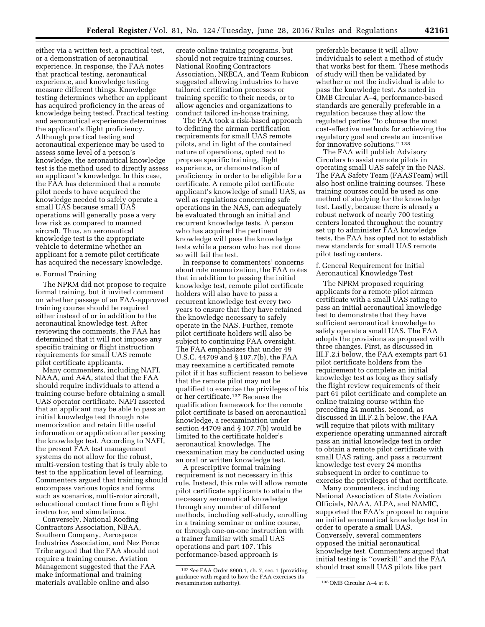either via a written test, a practical test, or a demonstration of aeronautical experience. In response, the FAA notes that practical testing, aeronautical experience, and knowledge testing measure different things. Knowledge testing determines whether an applicant has acquired proficiency in the areas of knowledge being tested. Practical testing and aeronautical experience determines the applicant's flight proficiency. Although practical testing and aeronautical experience may be used to assess some level of a person's knowledge, the aeronautical knowledge test is the method used to directly assess an applicant's knowledge. In this case, the FAA has determined that a remote pilot needs to have acquired the knowledge needed to safely operate a small UAS because small UAS operations will generally pose a very low risk as compared to manned aircraft. Thus, an aeronautical knowledge test is the appropriate vehicle to determine whether an applicant for a remote pilot certificate has acquired the necessary knowledge.

## e. Formal Training

The NPRM did not propose to require formal training, but it invited comment on whether passage of an FAA-approved training course should be required either instead of or in addition to the aeronautical knowledge test. After reviewing the comments, the FAA has determined that it will not impose any specific training or flight instruction requirements for small UAS remote pilot certificate applicants.

Many commenters, including NAFI, NAAA, and A4A, stated that the FAA should require individuals to attend a training course before obtaining a small UAS operator certificate. NAFI asserted that an applicant may be able to pass an initial knowledge test through rote memorization and retain little useful information or application after passing the knowledge test. According to NAFI, the present FAA test management systems do not allow for the robust, multi-version testing that is truly able to test to the application level of learning. Commenters argued that training should encompass various topics and forms such as scenarios, multi-rotor aircraft, educational contact time from a flight instructor, and simulations.

Conversely, National Roofing Contractors Association, NBAA, Southern Company, Aerospace Industries Association, and Nez Perce Tribe argued that the FAA should not require a training course. Aviation Management suggested that the FAA make informational and training materials available online and also

create online training programs, but should not require training courses. National Roofing Contractors Association, NRECA, and Team Rubicon suggested allowing industries to have tailored certification processes or training specific to their needs, or to allow agencies and organizations to conduct tailored in-house training.

The FAA took a risk-based approach to defining the airman certification requirements for small UAS remote pilots, and in light of the contained nature of operations, opted not to propose specific training, flight experience, or demonstration of proficiency in order to be eligible for a certificate. A remote pilot certificate applicant's knowledge of small UAS, as well as regulations concerning safe operations in the NAS, can adequately be evaluated through an initial and recurrent knowledge tests. A person who has acquired the pertinent knowledge will pass the knowledge tests while a person who has not done so will fail the test.

In response to commenters' concerns about rote memorization, the FAA notes that in addition to passing the initial knowledge test, remote pilot certificate holders will also have to pass a recurrent knowledge test every two years to ensure that they have retained the knowledge necessary to safely operate in the NAS. Further, remote pilot certificate holders will also be subject to continuing FAA oversight. The FAA emphasizes that under 49 U.S.C. 44709 and § 107.7(b), the FAA may reexamine a certificated remote pilot if it has sufficient reason to believe that the remote pilot may not be qualified to exercise the privileges of his or her certificate.137 Because the qualification framework for the remote pilot certificate is based on aeronautical knowledge, a reexamination under section 44709 and § 107.7(b) would be limited to the certificate holder's aeronautical knowledge. The reexamination may be conducted using an oral or written knowledge test.

A prescriptive formal training requirement is not necessary in this rule. Instead, this rule will allow remote pilot certificate applicants to attain the necessary aeronautical knowledge through any number of different methods, including self-study, enrolling in a training seminar or online course, or through one-on-one instruction with a trainer familiar with small UAS operations and part 107. This performance-based approach is

preferable because it will allow individuals to select a method of study that works best for them. These methods of study will then be validated by whether or not the individual is able to pass the knowledge test. As noted in OMB Circular A–4, performance-based standards are generally preferable in a regulation because they allow the regulated parties ''to choose the most cost-effective methods for achieving the regulatory goal and create an incentive for innovative solutions.'' 138

The FAA will publish Advisory Circulars to assist remote pilots in operating small UAS safely in the NAS. The FAA Safety Team (FAASTeam) will also host online training courses. These training courses could be used as one method of studying for the knowledge test. Lastly, because there is already a robust network of nearly 700 testing centers located throughout the country set up to administer FAA knowledge tests, the FAA has opted not to establish new standards for small UAS remote pilot testing centers.

f. General Requirement for Initial Aeronautical Knowledge Test

The NPRM proposed requiring applicants for a remote pilot airman certificate with a small UAS rating to pass an initial aeronautical knowledge test to demonstrate that they have sufficient aeronautical knowledge to safely operate a small UAS. The FAA adopts the provisions as proposed with three changes. First, as discussed in III.F.2.i below, the FAA exempts part 61 pilot certificate holders from the requirement to complete an initial knowledge test as long as they satisfy the flight review requirements of their part 61 pilot certificate and complete an online training course within the preceding 24 months. Second, as discussed in III.F.2.h below, the FAA will require that pilots with military experience operating unmanned aircraft pass an initial knowledge test in order to obtain a remote pilot certificate with small UAS rating, and pass a recurrent knowledge test every 24 months subsequent in order to continue to exercise the privileges of that certificate.

Many commenters, including National Association of State Aviation Officials, NAAA, ALPA, and NAMIC, supported the FAA's proposal to require an initial aeronautical knowledge test in order to operate a small UAS. Conversely, several commenters opposed the initial aeronautical knowledge test. Commenters argued that initial testing is ''overkill'' and the FAA should treat small UAS pilots like part

<sup>137</sup>*See* FAA Order 8900.1, ch. 7, sec. 1 (providing guidance with regard to how the FAA exercises its reexamination authority). 138OMB Circular A–4 at 6.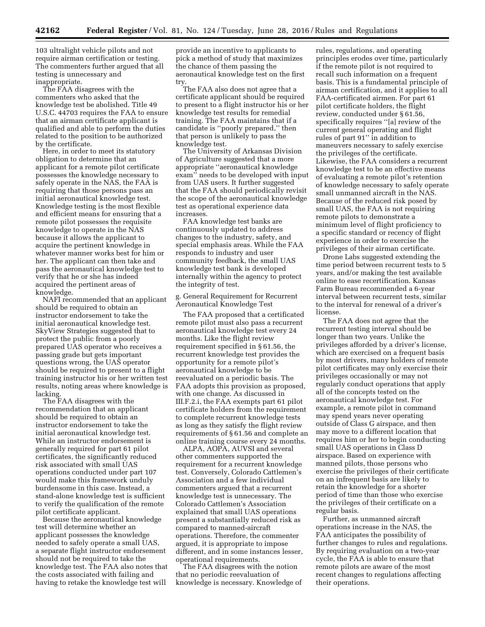103 ultralight vehicle pilots and not require airman certification or testing. The commenters further argued that all testing is unnecessary and inappropriate.

The FAA disagrees with the commenters who asked that the knowledge test be abolished. Title 49 U.S.C. 44703 requires the FAA to ensure that an airman certificate applicant is qualified and able to perform the duties related to the position to be authorized by the certificate.

Here, in order to meet its statutory obligation to determine that an applicant for a remote pilot certificate possesses the knowledge necessary to safely operate in the NAS, the FAA is requiring that those persons pass an initial aeronautical knowledge test. Knowledge testing is the most flexible and efficient means for ensuring that a remote pilot possesses the requisite knowledge to operate in the NAS because it allows the applicant to acquire the pertinent knowledge in whatever manner works best for him or her. The applicant can then take and pass the aeronautical knowledge test to verify that he or she has indeed acquired the pertinent areas of knowledge.

NAFI recommended that an applicant should be required to obtain an instructor endorsement to take the initial aeronautical knowledge test. SkyView Strategies suggested that to protect the public from a poorly prepared UAS operator who receives a passing grade but gets important questions wrong, the UAS operator should be required to present to a flight training instructor his or her written test results, noting areas where knowledge is lacking.

The FAA disagrees with the recommendation that an applicant should be required to obtain an instructor endorsement to take the initial aeronautical knowledge test. While an instructor endorsement is generally required for part 61 pilot certificates, the significantly reduced risk associated with small UAS operations conducted under part 107 would make this framework unduly burdensome in this case. Instead, a stand-alone knowledge test is sufficient to verify the qualification of the remote pilot certificate applicant.

Because the aeronautical knowledge test will determine whether an applicant possesses the knowledge needed to safely operate a small UAS, a separate flight instructor endorsement should not be required to take the knowledge test. The FAA also notes that the costs associated with failing and having to retake the knowledge test will

provide an incentive to applicants to pick a method of study that maximizes the chance of them passing the aeronautical knowledge test on the first try.

The FAA also does not agree that a certificate applicant should be required to present to a flight instructor his or her knowledge test results for remedial training. The FAA maintains that if a candidate is ''poorly prepared,'' then that person is unlikely to pass the knowledge test.

The University of Arkansas Division of Agriculture suggested that a more appropriate ''aeronautical knowledge exam'' needs to be developed with input from UAS users. It further suggested that the FAA should periodically revisit the scope of the aeronautical knowledge test as operational experience data increases.

FAA knowledge test banks are continuously updated to address changes to the industry, safety, and special emphasis areas. While the FAA responds to industry and user community feedback, the small UAS knowledge test bank is developed internally within the agency to protect the integrity of test.

g. General Requirement for Recurrent Aeronautical Knowledge Test

The FAA proposed that a certificated remote pilot must also pass a recurrent aeronautical knowledge test every 24 months. Like the flight review requirement specified in § 61.56, the recurrent knowledge test provides the opportunity for a remote pilot's aeronautical knowledge to be reevaluated on a periodic basis. The FAA adopts this provision as proposed, with one change. As discussed in III.F.2.i, the FAA exempts part 61 pilot certificate holders from the requirement to complete recurrent knowledge tests as long as they satisfy the flight review requirements of § 61.56 and complete an online training course every 24 months.

ALPA, AOPA, AUVSI and several other commenters supported the requirement for a recurrent knowledge test. Conversely, Colorado Cattlemen's Association and a few individual commenters argued that a recurrent knowledge test is unnecessary. The Colorado Cattlemen's Association explained that small UAS operations present a substantially reduced risk as compared to manned-aircraft operations. Therefore, the commenter argued, it is appropriate to impose different, and in some instances lesser, operational requirements.

The FAA disagrees with the notion that no periodic reevaluation of knowledge is necessary. Knowledge of rules, regulations, and operating principles erodes over time, particularly if the remote pilot is not required to recall such information on a frequent basis. This is a fundamental principle of airman certification, and it applies to all FAA-certificated airmen. For part 61 pilot certificate holders, the flight review, conducted under § 61.56, specifically requires ''[a] review of the current general operating and flight rules of part 91'' in addition to maneuvers necessary to safely exercise the privileges of the certificate. Likewise, the FAA considers a recurrent knowledge test to be an effective means of evaluating a remote pilot's retention of knowledge necessary to safely operate small unmanned aircraft in the NAS. Because of the reduced risk posed by small UAS, the FAA is not requiring remote pilots to demonstrate a minimum level of flight proficiency to a specific standard or recency of flight experience in order to exercise the privileges of their airman certificate.

Drone Labs suggested extending the time period between recurrent tests to 5 years, and/or making the test available online to ease recertification. Kansas Farm Bureau recommended a 6-year interval between recurrent tests, similar to the interval for renewal of a driver's license.

The FAA does not agree that the recurrent testing interval should be longer than two years. Unlike the privileges afforded by a driver's license, which are exercised on a frequent basis by most drivers, many holders of remote pilot certificates may only exercise their privileges occasionally or may not regularly conduct operations that apply all of the concepts tested on the aeronautical knowledge test. For example, a remote pilot in command may spend years never operating outside of Class G airspace, and then may move to a different location that requires him or her to begin conducting small UAS operations in Class D airspace. Based on experience with manned pilots, those persons who exercise the privileges of their certificate on an infrequent basis are likely to retain the knowledge for a shorter period of time than those who exercise the privileges of their certificate on a regular basis.

Further, as unmanned aircraft operations increase in the NAS, the FAA anticipates the possibility of further changes to rules and regulations. By requiring evaluation on a two-year cycle, the FAA is able to ensure that remote pilots are aware of the most recent changes to regulations affecting their operations.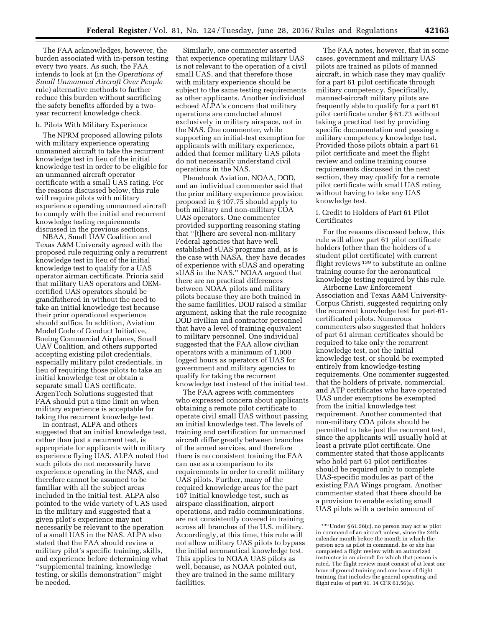The FAA acknowledges, however, the burden associated with in-person testing every two years. As such, the FAA intends to look at (in the *Operations of Small Unmanned Aircraft Over People*  rule) alternative methods to further reduce this burden without sacrificing the safety benefits afforded by a twoyear recurrent knowledge check.

### h. Pilots With Military Experience

The NPRM proposed allowing pilots with military experience operating unmanned aircraft to take the recurrent knowledge test in lieu of the initial knowledge test in order to be eligible for an unmanned aircraft operator certificate with a small UAS rating. For the reasons discussed below, this rule will require pilots with military experience operating unmanned aircraft to comply with the initial and recurrent knowledge testing requirements discussed in the previous sections.

NBAA, Small  $\overline{U}AV$  Coalition and Texas A&M University agreed with the proposed rule requiring only a recurrent knowledge test in lieu of the initial knowledge test to qualify for a UAS operator airman certificate. Prioria said that military UAS operators and OEMcertified UAS operators should be grandfathered in without the need to take an initial knowledge test because their prior operational experience should suffice. In addition, Aviation Model Code of Conduct Initiative, Boeing Commercial Airplanes, Small UAV Coalition, and others supported accepting existing pilot credentials, especially military pilot credentials, in lieu of requiring those pilots to take an initial knowledge test or obtain a separate small UAS certificate. ArgenTech Solutions suggested that FAA should put a time limit on when military experience is acceptable for taking the recurrent knowledge test.

In contrast, ALPA and others suggested that an initial knowledge test, rather than just a recurrent test, is appropriate for applicants with military experience flying UAS. ALPA noted that such pilots do not necessarily have experience operating in the NAS, and therefore cannot be assumed to be familiar with all the subject areas included in the initial test. ALPA also pointed to the wide variety of UAS used in the military and suggested that a given pilot's experience may not necessarily be relevant to the operation of a small UAS in the NAS. ALPA also stated that the FAA should review a military pilot's specific training, skills, and experience before determining what ''supplemental training, knowledge testing, or skills demonstration'' might be needed.

Similarly, one commenter asserted that experience operating military UAS is not relevant to the operation of a civil small UAS, and that therefore those with military experience should be subject to the same testing requirements as other applicants. Another individual echoed ALPA's concern that military operations are conducted almost exclusively in military airspace, not in the NAS. One commenter, while supporting an initial-test exemption for applicants with military experience, added that former military UAS pilots do not necessarily understand civil operations in the NAS.

Planehook Aviation, NOAA, DOD, and an individual commenter said that the prior military experience provision proposed in § 107.75 should apply to both military and non-military COA UAS operators. One commenter provided supporting reasoning stating that ''[t]here are several non-military Federal agencies that have well established sUAS programs and, as is the case with NASA, they have decades of experience with sUAS and operating sUAS in the NAS.'' NOAA argued that there are no practical differences between NOAA pilots and military pilots because they are both trained in the same facilities. DOD raised a similar argument, asking that the rule recognize DOD civilian and contractor personnel that have a level of training equivalent to military personnel. One individual suggested that the FAA allow civilian operators with a minimum of 1,000 logged hours as operators of UAS for government and military agencies to qualify for taking the recurrent knowledge test instead of the initial test.

The FAA agrees with commenters who expressed concern about applicants obtaining a remote pilot certificate to operate civil small UAS without passing an initial knowledge test. The levels of training and certification for unmanned aircraft differ greatly between branches of the armed services, and therefore there is no consistent training the FAA can use as a comparison to its requirements in order to credit military UAS pilots. Further, many of the required knowledge areas for the part 107 initial knowledge test, such as airspace classification, airport operations, and radio communications, are not consistently covered in training across all branches of the U.S. military. Accordingly, at this time, this rule will not allow military UAS pilots to bypass the initial aeronautical knowledge test. This applies to NOAA UAS pilots as well, because, as NOAA pointed out, they are trained in the same military facilities.

The FAA notes, however, that in some cases, government and military UAS pilots are trained as pilots of manned aircraft, in which case they may qualify for a part 61 pilot certificate through military competency. Specifically, manned-aircraft military pilots are frequently able to qualify for a part 61 pilot certificate under § 61.73 without taking a practical test by providing specific documentation and passing a military competency knowledge test. Provided those pilots obtain a part 61 pilot certificate and meet the flight review and online training course requirements discussed in the next section, they may qualify for a remote pilot certificate with small UAS rating without having to take any UAS knowledge test.

### i. Credit to Holders of Part 61 Pilot Certificates

For the reasons discussed below, this rule will allow part 61 pilot certificate holders (other than the holders of a student pilot certificate) with current flight reviews 139 to substitute an online training course for the aeronautical knowledge testing required by this rule.

Airborne Law Enforcement Association and Texas A&M University-Corpus Christi, suggested requiring only the recurrent knowledge test for part-61 certificated pilots. Numerous commenters also suggested that holders of part 61 airman certificates should be required to take only the recurrent knowledge test, not the initial knowledge test, or should be exempted entirely from knowledge-testing requirements. One commenter suggested that the holders of private, commercial, and ATP certificates who have operated UAS under exemptions be exempted from the initial knowledge test requirement. Another commented that non-military COA pilots should be permitted to take just the recurrent test, since the applicants will usually hold at least a private pilot certificate. One commenter stated that those applicants who hold part 61 pilot certificates should be required only to complete UAS-specific modules as part of the existing FAA Wings program. Another commenter stated that there should be a provision to enable existing small UAS pilots with a certain amount of

<sup>139</sup>Under § 61.56(c), no person may act as pilot in command of an aircraft unless, since the 24th calendar month before the month in which the person acts as pilot in command, he or she has completed a flight review with an authorized instructor in an aircraft for which that person is rated. The flight review must consist of at least one hour of ground training and one hour of flight training that includes the general operating and flight rules of part 91. 14  $CFR$  61.56(a).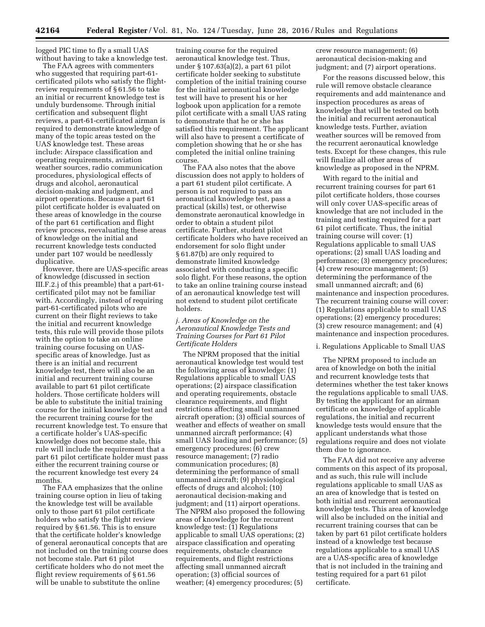logged PIC time to fly a small UAS without having to take a knowledge test.

The FAA agrees with commenters who suggested that requiring part-61 certificated pilots who satisfy the flightreview requirements of § 61.56 to take an initial or recurrent knowledge test is unduly burdensome. Through initial certification and subsequent flight reviews, a part-61-certificated airman is required to demonstrate knowledge of many of the topic areas tested on the UAS knowledge test. These areas include: Airspace classification and operating requirements, aviation weather sources, radio communication procedures, physiological effects of drugs and alcohol, aeronautical decision-making and judgment, and airport operations. Because a part 61 pilot certificate holder is evaluated on these areas of knowledge in the course of the part 61 certification and flight review process, reevaluating these areas of knowledge on the initial and recurrent knowledge tests conducted under part 107 would be needlessly duplicative.

However, there are UAS-specific areas of knowledge (discussed in section III.F.2.j of this preamble) that a part-61 certificated pilot may not be familiar with. Accordingly, instead of requiring part-61-certificated pilots who are current on their flight reviews to take the initial and recurrent knowledge tests, this rule will provide those pilots with the option to take an online training course focusing on UASspecific areas of knowledge. Just as there is an initial and recurrent knowledge test, there will also be an initial and recurrent training course available to part 61 pilot certificate holders. Those certificate holders will be able to substitute the initial training course for the initial knowledge test and the recurrent training course for the recurrent knowledge test. To ensure that a certificate holder's UAS-specific knowledge does not become stale, this rule will include the requirement that a part 61 pilot certificate holder must pass either the recurrent training course or the recurrent knowledge test every 24 months.

The FAA emphasizes that the online training course option in lieu of taking the knowledge test will be available only to those part 61 pilot certificate holders who satisfy the flight review required by § 61.56. This is to ensure that the certificate holder's knowledge of general aeronautical concepts that are not included on the training course does not become stale. Part 61 pilot certificate holders who do not meet the flight review requirements of § 61.56 will be unable to substitute the online

training course for the required aeronautical knowledge test. Thus, under § 107.63(a)(2), a part 61 pilot certificate holder seeking to substitute completion of the initial training course for the initial aeronautical knowledge test will have to present his or her logbook upon application for a remote pilot certificate with a small UAS rating to demonstrate that he or she has satisfied this requirement. The applicant will also have to present a certificate of completion showing that he or she has completed the initial online training course.

The FAA also notes that the above discussion does not apply to holders of a part 61 student pilot certificate. A person is not required to pass an aeronautical knowledge test, pass a practical (skills) test, or otherwise demonstrate aeronautical knowledge in order to obtain a student pilot certificate. Further, student pilot certificate holders who have received an endorsement for solo flight under § 61.87(b) are only required to demonstrate limited knowledge associated with conducting a specific solo flight. For these reasons, the option to take an online training course instead of an aeronautical knowledge test will not extend to student pilot certificate holders.

*j. Areas of Knowledge on the Aeronautical Knowledge Tests and Training Courses for Part 61 Pilot Certificate Holders* 

The NPRM proposed that the initial aeronautical knowledge test would test the following areas of knowledge: (1) Regulations applicable to small UAS operations; (2) airspace classification and operating requirements, obstacle clearance requirements, and flight restrictions affecting small unmanned aircraft operation; (3) official sources of weather and effects of weather on small unmanned aircraft performance; (4) small UAS loading and performance; (5) emergency procedures; (6) crew resource management; (7) radio communication procedures; (8) determining the performance of small unmanned aircraft; (9) physiological effects of drugs and alcohol; (10) aeronautical decision-making and judgment; and (11) airport operations. The NPRM also proposed the following areas of knowledge for the recurrent knowledge test: (1) Regulations applicable to small UAS operations; (2) airspace classification and operating requirements, obstacle clearance requirements, and flight restrictions affecting small unmanned aircraft operation; (3) official sources of weather; (4) emergency procedures; (5)

crew resource management; (6) aeronautical decision-making and judgment; and (7) airport operations.

For the reasons discussed below, this rule will remove obstacle clearance requirements and add maintenance and inspection procedures as areas of knowledge that will be tested on both the initial and recurrent aeronautical knowledge tests. Further, aviation weather sources will be removed from the recurrent aeronautical knowledge tests. Except for these changes, this rule will finalize all other areas of knowledge as proposed in the NPRM.

With regard to the initial and recurrent training courses for part 61 pilot certificate holders, those courses will only cover UAS-specific areas of knowledge that are not included in the training and testing required for a part 61 pilot certificate. Thus, the initial training course will cover: (1) Regulations applicable to small UAS operations; (2) small UAS loading and performance; (3) emergency procedures; (4) crew resource management; (5) determining the performance of the small unmanned aircraft; and (6) maintenance and inspection procedures. The recurrent training course will cover: (1) Regulations applicable to small UAS operations; (2) emergency procedures; (3) crew resource management; and (4) maintenance and inspection procedures.

### i. Regulations Applicable to Small UAS

The NPRM proposed to include an area of knowledge on both the initial and recurrent knowledge tests that determines whether the test taker knows the regulations applicable to small UAS. By testing the applicant for an airman certificate on knowledge of applicable regulations, the initial and recurrent knowledge tests would ensure that the applicant understands what those regulations require and does not violate them due to ignorance.

The FAA did not receive any adverse comments on this aspect of its proposal, and as such, this rule will include regulations applicable to small UAS as an area of knowledge that is tested on both initial and recurrent aeronautical knowledge tests. This area of knowledge will also be included on the initial and recurrent training courses that can be taken by part 61 pilot certificate holders instead of a knowledge test because regulations applicable to a small UAS are a UAS-specific area of knowledge that is not included in the training and testing required for a part 61 pilot certificate.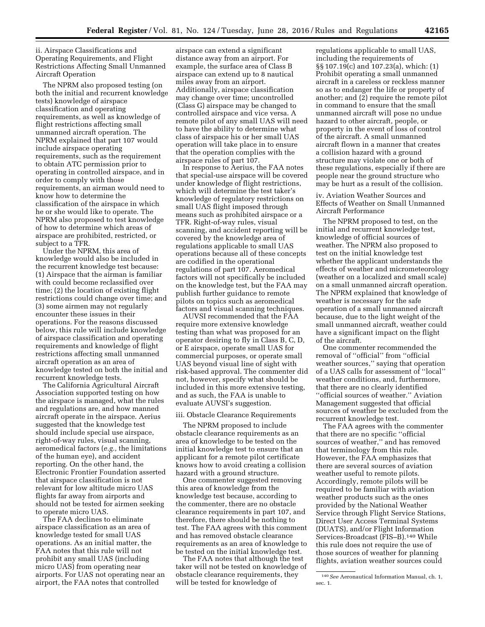ii. Airspace Classifications and Operating Requirements, and Flight Restrictions Affecting Small Unmanned Aircraft Operation

The NPRM also proposed testing (on both the initial and recurrent knowledge tests) knowledge of airspace classification and operating requirements, as well as knowledge of flight restrictions affecting small unmanned aircraft operation. The NPRM explained that part 107 would include airspace operating requirements, such as the requirement to obtain ATC permission prior to operating in controlled airspace, and in order to comply with those requirements, an airman would need to know how to determine the classification of the airspace in which he or she would like to operate. The NPRM also proposed to test knowledge of how to determine which areas of airspace are prohibited, restricted, or subject to a TFR.

Under the NPRM, this area of knowledge would also be included in the recurrent knowledge test because: (1) Airspace that the airman is familiar with could become reclassified over time; (2) the location of existing flight restrictions could change over time; and (3) some airmen may not regularly encounter these issues in their operations. For the reasons discussed below, this rule will include knowledge of airspace classification and operating requirements and knowledge of flight restrictions affecting small unmanned aircraft operation as an area of knowledge tested on both the initial and recurrent knowledge tests.

The California Agricultural Aircraft Association supported testing on how the airspace is managed, what the rules and regulations are, and how manned aircraft operate in the airspace. Aerius suggested that the knowledge test should include special use airspace, right-of-way rules, visual scanning, aeromedical factors (*e.g.,* the limitations of the human eye), and accident reporting. On the other hand, the Electronic Frontier Foundation asserted that airspace classification is not relevant for low altitude micro UAS flights far away from airports and should not be tested for airmen seeking to operate micro UAS.

The FAA declines to eliminate airspace classification as an area of knowledge tested for small UAS operations. As an initial matter, the FAA notes that this rule will not prohibit any small UAS (including micro UAS) from operating near airports. For UAS not operating near an airport, the FAA notes that controlled

airspace can extend a significant distance away from an airport. For example, the surface area of Class B airspace can extend up to 8 nautical miles away from an airport. Additionally, airspace classification may change over time; uncontrolled (Class G) airspace may be changed to controlled airspace and vice versa. A remote pilot of any small UAS will need to have the ability to determine what class of airspace his or her small UAS operation will take place in to ensure that the operation complies with the airspace rules of part 107.

In response to Aerius, the FAA notes that special-use airspace will be covered under knowledge of flight restrictions, which will determine the test taker's knowledge of regulatory restrictions on small UAS flight imposed through means such as prohibited airspace or a TFR. Right-of-way rules, visual scanning, and accident reporting will be covered by the knowledge area of regulations applicable to small UAS operations because all of these concepts are codified in the operational regulations of part 107. Aeromedical factors will not specifically be included on the knowledge test, but the FAA may publish further guidance to remote pilots on topics such as aeromedical factors and visual scanning techniques.

AUVSI recommended that the FAA require more extensive knowledge testing than what was proposed for an operator desiring to fly in Class B, C, D, or E airspace, operate small UAS for commercial purposes, or operate small UAS beyond visual line of sight with risk-based approval. The commenter did not, however, specify what should be included in this more extensive testing, and as such, the FAA is unable to evaluate AUVSI's suggestion.

#### iii. Obstacle Clearance Requirements

The NPRM proposed to include obstacle clearance requirements as an area of knowledge to be tested on the initial knowledge test to ensure that an applicant for a remote pilot certificate knows how to avoid creating a collision hazard with a ground structure.

One commenter suggested removing this area of knowledge from the knowledge test because, according to the commenter, there are no obstacle clearance requirements in part 107, and therefore, there should be nothing to test. The FAA agrees with this comment and has removed obstacle clearance requirements as an area of knowledge to be tested on the initial knowledge test.

The FAA notes that although the test taker will not be tested on knowledge of obstacle clearance requirements, they will be tested for knowledge of

regulations applicable to small UAS, including the requirements of §§ 107.19(c) and 107.23(a), which: (1) Prohibit operating a small unmanned aircraft in a careless or reckless manner so as to endanger the life or property of another; and (2) require the remote pilot in command to ensure that the small unmanned aircraft will pose no undue hazard to other aircraft, people, or property in the event of loss of control of the aircraft. A small unmanned aircraft flown in a manner that creates a collision hazard with a ground structure may violate one or both of these regulations, especially if there are people near the ground structure who may be hurt as a result of the collision.

iv. Aviation Weather Sources and Effects of Weather on Small Unmanned Aircraft Performance

The NPRM proposed to test, on the initial and recurrent knowledge test, knowledge of official sources of weather. The NPRM also proposed to test on the initial knowledge test whether the applicant understands the effects of weather and micrometeorology (weather on a localized and small scale) on a small unmanned aircraft operation. The NPRM explained that knowledge of weather is necessary for the safe operation of a small unmanned aircraft because, due to the light weight of the small unmanned aircraft, weather could have a significant impact on the flight of the aircraft.

One commenter recommended the removal of ''official'' from ''official weather sources,'' saying that operation of a UAS calls for assessment of ''local'' weather conditions, and, furthermore, that there are no clearly identified ''official sources of weather.'' Aviation Management suggested that official sources of weather be excluded from the recurrent knowledge test.

The FAA agrees with the commenter that there are no specific ''official sources of weather,'' and has removed that terminology from this rule. However, the FAA emphasizes that there are several sources of aviation weather useful to remote pilots. Accordingly, remote pilots will be required to be familiar with aviation weather products such as the ones provided by the National Weather Service through Flight Service Stations, Direct User Access Terminal Systems (DUATS), and/or Flight Information Services-Broadcast (FIS–B).140 While this rule does not require the use of those sources of weather for planning flights, aviation weather sources could

<sup>140</sup>*See* Aeronautical Information Manual, ch. 1, sec. 1.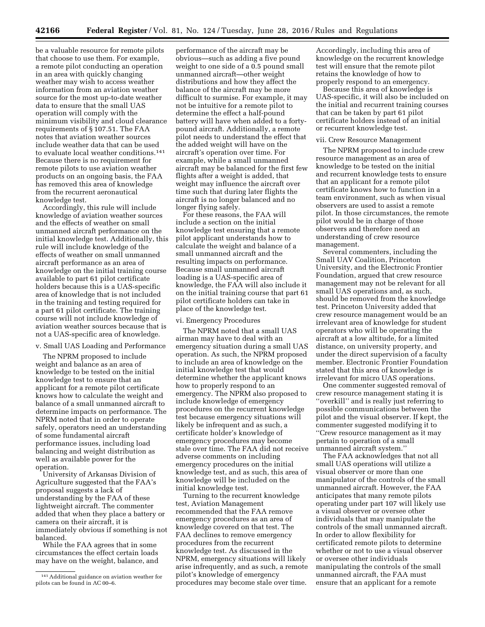be a valuable resource for remote pilots that choose to use them. For example, a remote pilot conducting an operation in an area with quickly changing weather may wish to access weather information from an aviation weather source for the most up-to-date weather data to ensure that the small UAS operation will comply with the minimum visibility and cloud clearance requirements of § 107.51. The FAA notes that aviation weather sources include weather data that can be used to evaluate local weather conditions.141 Because there is no requirement for remote pilots to use aviation weather products on an ongoing basis, the FAA has removed this area of knowledge from the recurrent aeronautical knowledge test.

Accordingly, this rule will include knowledge of aviation weather sources and the effects of weather on small unmanned aircraft performance on the initial knowledge test. Additionally, this rule will include knowledge of the effects of weather on small unmanned aircraft performance as an area of knowledge on the initial training course available to part 61 pilot certificate holders because this is a UAS-specific area of knowledge that is not included in the training and testing required for a part 61 pilot certificate. The training course will not include knowledge of aviation weather sources because that is not a UAS-specific area of knowledge.

#### v. Small UAS Loading and Performance

The NPRM proposed to include weight and balance as an area of knowledge to be tested on the initial knowledge test to ensure that an applicant for a remote pilot certificate knows how to calculate the weight and balance of a small unmanned aircraft to determine impacts on performance. The NPRM noted that in order to operate safely, operators need an understanding of some fundamental aircraft performance issues, including load balancing and weight distribution as well as available power for the operation.

University of Arkansas Division of Agriculture suggested that the FAA's proposal suggests a lack of understanding by the FAA of these lightweight aircraft. The commenter added that when they place a battery or camera on their aircraft, it is immediately obvious if something is not balanced.

While the FAA agrees that in some circumstances the effect certain loads may have on the weight, balance, and performance of the aircraft may be obvious—such as adding a five pound weight to one side of a 0.5 pound small unmanned aircraft—other weight distributions and how they affect the balance of the aircraft may be more difficult to surmise. For example, it may not be intuitive for a remote pilot to determine the effect a half-pound battery will have when added to a fortypound aircraft. Additionally, a remote pilot needs to understand the effect that the added weight will have on the aircraft's operation over time. For example, while a small unmanned aircraft may be balanced for the first few flights after a weight is added, that weight may influence the aircraft over time such that during later flights the aircraft is no longer balanced and no longer flying safely.

For these reasons, the FAA will include a section on the initial knowledge test ensuring that a remote pilot applicant understands how to calculate the weight and balance of a small unmanned aircraft and the resulting impacts on performance. Because small unmanned aircraft loading is a UAS-specific area of knowledge, the FAA will also include it on the initial training course that part 61 pilot certificate holders can take in place of the knowledge test.

#### vi. Emergency Procedures

The NPRM noted that a small UAS airman may have to deal with an emergency situation during a small UAS operation. As such, the NPRM proposed to include an area of knowledge on the initial knowledge test that would determine whether the applicant knows how to properly respond to an emergency. The NPRM also proposed to include knowledge of emergency procedures on the recurrent knowledge test because emergency situations will likely be infrequent and as such, a certificate holder's knowledge of emergency procedures may become stale over time. The FAA did not receive adverse comments on including emergency procedures on the initial knowledge test, and as such, this area of knowledge will be included on the initial knowledge test.

Turning to the recurrent knowledge test, Aviation Management recommended that the FAA remove emergency procedures as an area of knowledge covered on that test. The FAA declines to remove emergency procedures from the recurrent knowledge test. As discussed in the NPRM, emergency situations will likely arise infrequently, and as such, a remote pilot's knowledge of emergency procedures may become stale over time.

Accordingly, including this area of knowledge on the recurrent knowledge test will ensure that the remote pilot retains the knowledge of how to properly respond to an emergency.

Because this area of knowledge is UAS-specific, it will also be included on the initial and recurrent training courses that can be taken by part 61 pilot certificate holders instead of an initial or recurrent knowledge test.

#### vii. Crew Resource Management

The NPRM proposed to include crew resource management as an area of knowledge to be tested on the initial and recurrent knowledge tests to ensure that an applicant for a remote pilot certificate knows how to function in a team environment, such as when visual observers are used to assist a remote pilot. In those circumstances, the remote pilot would be in charge of those observers and therefore need an understanding of crew resource management.

Several commenters, including the Small UAV Coalition, Princeton University, and the Electronic Frontier Foundation, argued that crew resource management may not be relevant for all small UAS operations and, as such, should be removed from the knowledge test. Princeton University added that crew resource management would be an irrelevant area of knowledge for student operators who will be operating the aircraft at a low altitude, for a limited distance, on university property, and under the direct supervision of a faculty member. Electronic Frontier Foundation stated that this area of knowledge is irrelevant for micro UAS operations.

One commenter suggested removal of crew resource management stating it is ''overkill'' and is really just referring to possible communications between the pilot and the visual observer. If kept, the commenter suggested modifying it to ''Crew resource management as it may pertain to operation of a small unmanned aircraft system.''

The FAA acknowledges that not all small UAS operations will utilize a visual observer or more than one manipulator of the controls of the small unmanned aircraft. However, the FAA anticipates that many remote pilots operating under part 107 will likely use a visual observer or oversee other individuals that may manipulate the controls of the small unmanned aircraft. In order to allow flexibility for certificated remote pilots to determine whether or not to use a visual observer or oversee other individuals manipulating the controls of the small unmanned aircraft, the FAA must ensure that an applicant for a remote

<sup>141</sup>Additional guidance on aviation weather for pilots can be found in AC 00–6.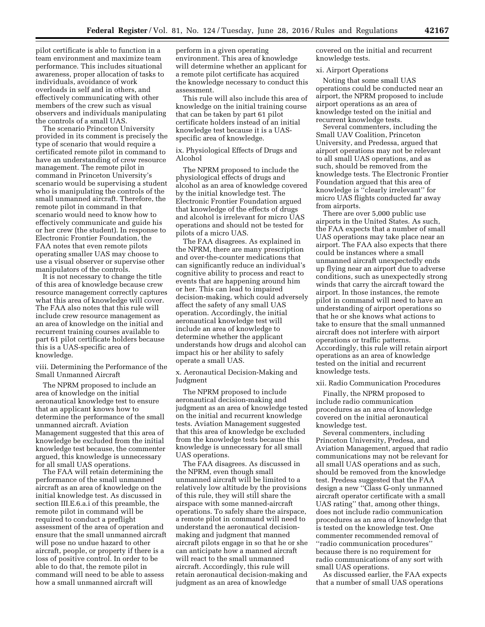pilot certificate is able to function in a team environment and maximize team performance. This includes situational awareness, proper allocation of tasks to individuals, avoidance of work overloads in self and in others, and effectively communicating with other members of the crew such as visual observers and individuals manipulating the controls of a small UAS.

The scenario Princeton University provided in its comment is precisely the type of scenario that would require a certificated remote pilot in command to have an understanding of crew resource management. The remote pilot in command in Princeton University's scenario would be supervising a student who is manipulating the controls of the small unmanned aircraft. Therefore, the remote pilot in command in that scenario would need to know how to effectively communicate and guide his or her crew (the student). In response to Electronic Frontier Foundation, the FAA notes that even remote pilots operating smaller UAS may choose to use a visual observer or supervise other manipulators of the controls.

It is not necessary to change the title of this area of knowledge because crew resource management correctly captures what this area of knowledge will cover. The FAA also notes that this rule will include crew resource management as an area of knowledge on the initial and recurrent training courses available to part 61 pilot certificate holders because this is a UAS-specific area of knowledge.

viii. Determining the Performance of the Small Unmanned Aircraft

The NPRM proposed to include an area of knowledge on the initial aeronautical knowledge test to ensure that an applicant knows how to determine the performance of the small unmanned aircraft. Aviation Management suggested that this area of knowledge be excluded from the initial knowledge test because, the commenter argued, this knowledge is unnecessary for all small UAS operations.

The FAA will retain determining the performance of the small unmanned aircraft as an area of knowledge on the initial knowledge test. As discussed in section III.E.6.a.i of this preamble, the remote pilot in command will be required to conduct a preflight assessment of the area of operation and ensure that the small unmanned aircraft will pose no undue hazard to other aircraft, people, or property if there is a loss of positive control. In order to be able to do that, the remote pilot in command will need to be able to assess how a small unmanned aircraft will

perform in a given operating environment. This area of knowledge will determine whether an applicant for a remote pilot certificate has acquired the knowledge necessary to conduct this assessment.

This rule will also include this area of knowledge on the initial training course that can be taken by part 61 pilot certificate holders instead of an initial knowledge test because it is a UASspecific area of knowledge.

ix. Physiological Effects of Drugs and Alcohol

The NPRM proposed to include the physiological effects of drugs and alcohol as an area of knowledge covered by the initial knowledge test. The Electronic Frontier Foundation argued that knowledge of the effects of drugs and alcohol is irrelevant for micro UAS operations and should not be tested for pilots of a micro UAS.

The FAA disagrees. As explained in the NPRM, there are many prescription and over-the-counter medications that can significantly reduce an individual's cognitive ability to process and react to events that are happening around him or her. This can lead to impaired decision-making, which could adversely affect the safety of any small UAS operation. Accordingly, the initial aeronautical knowledge test will include an area of knowledge to determine whether the applicant understands how drugs and alcohol can impact his or her ability to safely operate a small UAS.

x. Aeronautical Decision-Making and Judgment

The NPRM proposed to include aeronautical decision-making and judgment as an area of knowledge tested on the initial and recurrent knowledge tests. Aviation Management suggested that this area of knowledge be excluded from the knowledge tests because this knowledge is unnecessary for all small UAS operations.

The FAA disagrees. As discussed in the NPRM, even though small unmanned aircraft will be limited to a relatively low altitude by the provisions of this rule, they will still share the airspace with some manned-aircraft operations. To safely share the airspace, a remote pilot in command will need to understand the aeronautical decisionmaking and judgment that manned aircraft pilots engage in so that he or she can anticipate how a manned aircraft will react to the small unmanned aircraft. Accordingly, this rule will retain aeronautical decision-making and judgment as an area of knowledge

covered on the initial and recurrent knowledge tests.

#### xi. Airport Operations

Noting that some small UAS operations could be conducted near an airport, the NPRM proposed to include airport operations as an area of knowledge tested on the initial and recurrent knowledge tests.

Several commenters, including the Small UAV Coalition, Princeton University, and Predessa, argued that airport operations may not be relevant to all small UAS operations, and as such, should be removed from the knowledge tests. The Electronic Frontier Foundation argued that this area of knowledge is ''clearly irrelevant'' for micro UAS flights conducted far away from airports.

There are over 5,000 public use airports in the United States. As such, the FAA expects that a number of small UAS operations may take place near an airport. The FAA also expects that there could be instances where a small unmanned aircraft unexpectedly ends up flying near an airport due to adverse conditions, such as unexpectedly strong winds that carry the aircraft toward the airport. In those instances, the remote pilot in command will need to have an understanding of airport operations so that he or she knows what actions to take to ensure that the small unmanned aircraft does not interfere with airport operations or traffic patterns. Accordingly, this rule will retain airport operations as an area of knowledge tested on the initial and recurrent knowledge tests.

#### xii. Radio Communication Procedures

Finally, the NPRM proposed to include radio communication procedures as an area of knowledge covered on the initial aeronautical knowledge test.

Several commenters, including Princeton University, Predesa, and Aviation Management, argued that radio communications may not be relevant for all small UAS operations and as such, should be removed from the knowledge test. Predesa suggested that the FAA design a new "Class G-only unmanned aircraft operator certificate with a small UAS rating'' that, among other things, does not include radio communication procedures as an area of knowledge that is tested on the knowledge test. One commenter recommended removal of ''radio communication procedures'' because there is no requirement for radio communications of any sort with small UAS operations.

As discussed earlier, the FAA expects that a number of small UAS operations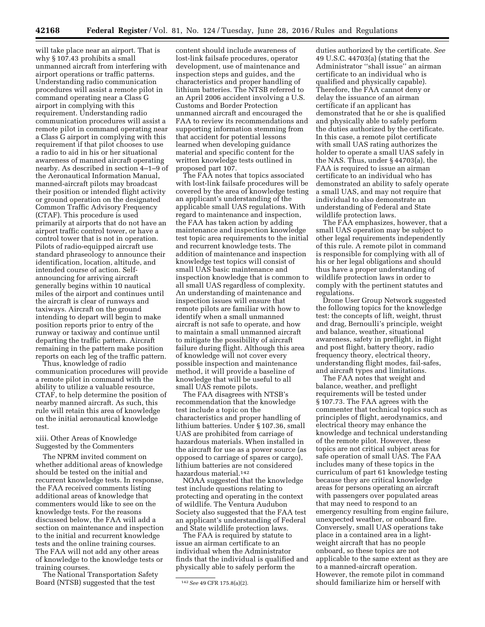will take place near an airport. That is why § 107.43 prohibits a small unmanned aircraft from interfering with airport operations or traffic patterns. Understanding radio communication procedures will assist a remote pilot in command operating near a Class G airport in complying with this requirement. Understanding radio communication procedures will assist a remote pilot in command operating near a Class G airport in complying with this requirement if that pilot chooses to use a radio to aid in his or her situational awareness of manned aircraft operating nearby. As described in section 4–1–9 of the Aeronautical Information Manual, manned-aircraft pilots may broadcast their position or intended flight activity or ground operation on the designated Common Traffic Advisory Frequency (CTAF). This procedure is used primarily at airports that do not have an airport traffic control tower, or have a control tower that is not in operation. Pilots of radio-equipped aircraft use standard phraseology to announce their identification, location, altitude, and intended course of action. Selfannouncing for arriving aircraft generally begins within 10 nautical miles of the airport and continues until the aircraft is clear of runways and taxiways. Aircraft on the ground intending to depart will begin to make position reports prior to entry of the runway or taxiway and continue until departing the traffic pattern. Aircraft remaining in the pattern make position reports on each leg of the traffic pattern.

Thus, knowledge of radio communication procedures will provide a remote pilot in command with the ability to utilize a valuable resource, CTAF, to help determine the position of nearby manned aircraft. As such, this rule will retain this area of knowledge on the initial aeronautical knowledge test.

### xiii. Other Areas of Knowledge Suggested by the Commenters

The NPRM invited comment on whether additional areas of knowledge should be tested on the initial and recurrent knowledge tests. In response, the FAA received comments listing additional areas of knowledge that commenters would like to see on the knowledge tests. For the reasons discussed below, the FAA will add a section on maintenance and inspection to the initial and recurrent knowledge tests and the online training courses. The FAA will not add any other areas of knowledge to the knowledge tests or training courses.

The National Transportation Safety Board (NTSB) suggested that the test

content should include awareness of lost-link failsafe procedures, operator development, use of maintenance and inspection steps and guides, and the characteristics and proper handling of lithium batteries. The NTSB referred to an April 2006 accident involving a U.S. Customs and Border Protection unmanned aircraft and encouraged the FAA to review its recommendations and supporting information stemming from that accident for potential lessons learned when developing guidance material and specific content for the written knowledge tests outlined in proposed part 107.

The FAA notes that topics associated with lost-link failsafe procedures will be covered by the area of knowledge testing an applicant's understanding of the applicable small UAS regulations. With regard to maintenance and inspection, the FAA has taken action by adding maintenance and inspection knowledge test topic area requirements to the initial and recurrent knowledge tests. The addition of maintenance and inspection knowledge test topics will consist of small UAS basic maintenance and inspection knowledge that is common to all small UAS regardless of complexity. An understanding of maintenance and inspection issues will ensure that remote pilots are familiar with how to identify when a small unmanned aircraft is not safe to operate, and how to maintain a small unmanned aircraft to mitigate the possibility of aircraft failure during flight. Although this area of knowledge will not cover every possible inspection and maintenance method, it will provide a baseline of knowledge that will be useful to all small UAS remote pilots.

The FAA disagrees with NTSB's recommendation that the knowledge test include a topic on the characteristics and proper handling of lithium batteries. Under § 107.36, small UAS are prohibited from carriage of hazardous materials. When installed in the aircraft for use as a power source (as opposed to carriage of spares or cargo), lithium batteries are not considered hazardous material.142

NOAA suggested that the knowledge test include questions relating to protecting and operating in the context of wildlife. The Ventura Audubon Society also suggested that the FAA test an applicant's understanding of Federal and State wildlife protection laws.

The FAA is required by statute to issue an airman certificate to an individual when the Administrator finds that the individual is qualified and physically able to safely perform the

duties authorized by the certificate. *See*  49 U.S.C. 44703(a) (stating that the Administrator ''shall issue'' an airman certificate to an individual who is qualified and physically capable). Therefore, the FAA cannot deny or delay the issuance of an airman certificate if an applicant has demonstrated that he or she is qualified and physically able to safely perform the duties authorized by the certificate. In this case, a remote pilot certificate with small UAS rating authorizes the holder to operate a small UAS safely in the NAS. Thus, under § 44703(a), the FAA is required to issue an airman certificate to an individual who has demonstrated an ability to safely operate a small UAS, and may not require that individual to also demonstrate an understanding of Federal and State wildlife protection laws.

The FAA emphasizes, however, that a small UAS operation may be subject to other legal requirements independently of this rule. A remote pilot in command is responsible for complying with all of his or her legal obligations and should thus have a proper understanding of wildlife protection laws in order to comply with the pertinent statutes and regulations.

Drone User Group Network suggested the following topics for the knowledge test: the concepts of lift, weight, thrust and drag, Bernoulli's principle, weight and balance, weather, situational awareness, safety in preflight, in flight and post flight, battery theory, radio frequency theory, electrical theory, understanding flight modes, fail-safes, and aircraft types and limitations.

The FAA notes that weight and balance, weather, and preflight requirements will be tested under § 107.73. The FAA agrees with the commenter that technical topics such as principles of flight, aerodynamics, and electrical theory may enhance the knowledge and technical understanding of the remote pilot. However, these topics are not critical subject areas for safe operation of small UAS. The FAA includes many of these topics in the curriculum of part 61 knowledge testing because they are critical knowledge areas for persons operating an aircraft with passengers over populated areas that may need to respond to an emergency resulting from engine failure, unexpected weather, or onboard fire. Conversely, small UAS operations take place in a contained area in a lightweight aircraft that has no people onboard, so these topics are not applicable to the same extent as they are to a manned-aircraft operation. However, the remote pilot in command should familiarize him or herself with

<sup>142</sup>*See* 49 CFR 175.8(a)(2).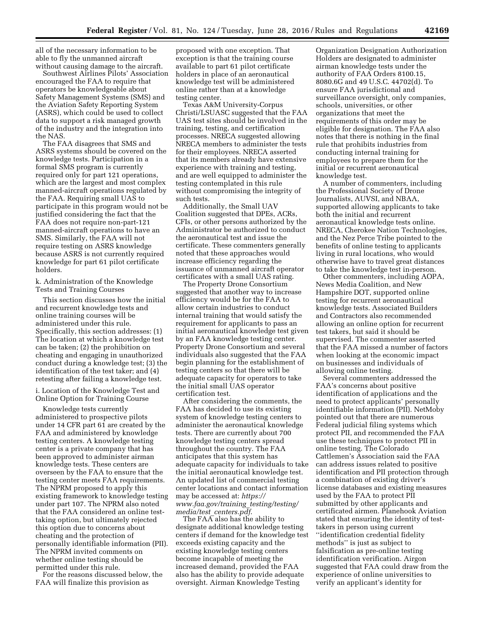all of the necessary information to be able to fly the unmanned aircraft without causing damage to the aircraft.

Southwest Airlines Pilots' Association encouraged the FAA to require that operators be knowledgeable about Safety Management Systems (SMS) and the Aviation Safety Reporting System (ASRS), which could be used to collect data to support a risk managed growth of the industry and the integration into the NAS.

The FAA disagrees that SMS and ASRS systems should be covered on the knowledge tests. Participation in a formal SMS program is currently required only for part 121 operations, which are the largest and most complex manned-aircraft operations regulated by the FAA. Requiring small UAS to participate in this program would not be justified considering the fact that the FAA does not require non-part-121 manned-aircraft operations to have an SMS. Similarly, the FAA will not require testing on ASRS knowledge because ASRS is not currently required knowledge for part 61 pilot certificate holders.

k. Administration of the Knowledge Tests and Training Courses

This section discusses how the initial and recurrent knowledge tests and online training courses will be administered under this rule. Specifically, this section addresses: (1) The location at which a knowledge test can be taken; (2) the prohibition on cheating and engaging in unauthorized conduct during a knowledge test; (3) the identification of the test taker; and (4) retesting after failing a knowledge test.

i. Location of the Knowledge Test and Online Option for Training Course

Knowledge tests currently administered to prospective pilots under 14 CFR part 61 are created by the FAA and administered by knowledge testing centers. A knowledge testing center is a private company that has been approved to administer airman knowledge tests. These centers are overseen by the FAA to ensure that the testing center meets FAA requirements. The NPRM proposed to apply this existing framework to knowledge testing under part 107. The NPRM also noted that the FAA considered an online testtaking option, but ultimately rejected this option due to concerns about cheating and the protection of personally identifiable information (PII). The NPRM invited comments on whether online testing should be permitted under this rule.

For the reasons discussed below, the FAA will finalize this provision as

proposed with one exception. That exception is that the training course available to part 61 pilot certificate holders in place of an aeronautical knowledge test will be administered online rather than at a knowledge testing center.

Texas A&M University-Corpus Christi/LSUASC suggested that the FAA UAS test sites should be involved in the training, testing, and certification processes. NRECA suggested allowing NRECA members to administer the tests for their employees. NRECA asserted that its members already have extensive experience with training and testing, and are well equipped to administer the testing contemplated in this rule without compromising the integrity of such tests.

Additionally, the Small UAV Coalition suggested that DPEs, ACRs, CFIs, or other persons authorized by the Administrator be authorized to conduct the aeronautical test and issue the certificate. These commenters generally noted that these approaches would increase efficiency regarding the issuance of unmanned aircraft operator certificates with a small UAS rating.

The Property Drone Consortium suggested that another way to increase efficiency would be for the FAA to allow certain industries to conduct internal training that would satisfy the requirement for applicants to pass an initial aeronautical knowledge test given by an FAA knowledge testing center. Property Drone Consortium and several individuals also suggested that the FAA begin planning for the establishment of testing centers so that there will be adequate capacity for operators to take the initial small UAS operator certification test.

After considering the comments, the FAA has decided to use its existing system of knowledge testing centers to administer the aeronautical knowledge tests. There are currently about 700 knowledge testing centers spread throughout the country. The FAA anticipates that this system has adequate capacity for individuals to take the initial aeronautical knowledge test. An updated list of commercial testing center locations and contact information may be accessed at: *[https://](https://www.faa.gov/training_testing/testing/media/test_centers.pdf) [www.faa.gov/training](https://www.faa.gov/training_testing/testing/media/test_centers.pdf)*\_*testing/testing/ media/test*\_*[centers.pdf](https://www.faa.gov/training_testing/testing/media/test_centers.pdf)*.

The FAA also has the ability to designate additional knowledge testing centers if demand for the knowledge test exceeds existing capacity and the existing knowledge testing centers become incapable of meeting the increased demand, provided the FAA also has the ability to provide adequate oversight. Airman Knowledge Testing

Organization Designation Authorization Holders are designated to administer airman knowledge tests under the authority of FAA Orders 8100.15, 8080.6G and 49 U.S.C. 44702(d). To ensure FAA jurisdictional and surveillance oversight, only companies, schools, universities, or other organizations that meet the requirements of this order may be eligible for designation. The FAA also notes that there is nothing in the final rule that prohibits industries from conducting internal training for employees to prepare them for the initial or recurrent aeronautical knowledge test.

A number of commenters, including the Professional Society of Drone Journalists, AUVSI, and NBAA, supported allowing applicants to take both the initial and recurrent aeronautical knowledge tests online. NRECA, Cherokee Nation Technologies, and the Nez Perce Tribe pointed to the benefits of online testing to applicants living in rural locations, who would otherwise have to travel great distances to take the knowledge test in-person.

Other commenters, including AOPA, News Media Coalition, and New Hampshire DOT, supported online testing for recurrent aeronautical knowledge tests. Associated Builders and Contractors also recommended allowing an online option for recurrent test takers, but said it should be supervised. The commenter asserted that the FAA missed a number of factors when looking at the economic impact on businesses and individuals of allowing online testing.

Several commenters addressed the FAA's concerns about positive identification of applications and the need to protect applicants' personally identifiable information (PII). NetMoby pointed out that there are numerous Federal judicial filing systems which protect PII, and recommended the FAA use these techniques to protect PII in online testing. The Colorado Cattlemen's Association said the FAA can address issues related to positive identification and PII protection through a combination of existing driver's license databases and existing measures used by the FAA to protect PII submitted by other applicants and certificated airmen. Planehook Aviation stated that ensuring the identity of testtakers in person using current ''identification credential fidelity methods'' is just as subject to falsification as pre-online testing identification verification. Airgon suggested that FAA could draw from the experience of online universities to verify an applicant's identity for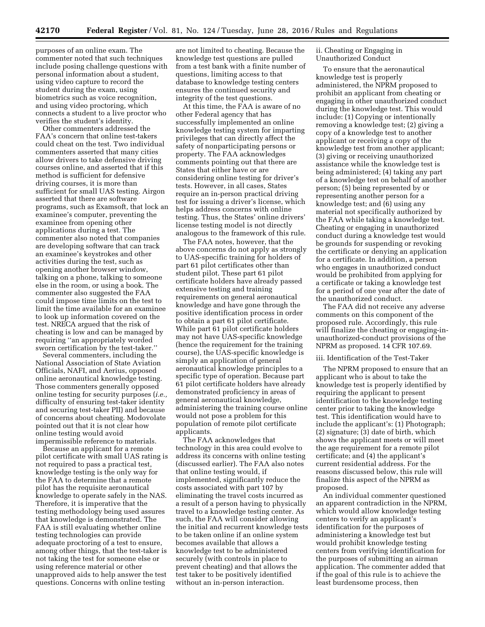purposes of an online exam. The commenter noted that such techniques include posing challenge questions with personal information about a student, using video capture to record the student during the exam, using biometrics such as voice recognition, and using video proctoring, which connects a student to a live proctor who verifies the student's identity.

Other commenters addressed the FAA's concern that online test-takers could cheat on the test. Two individual commenters asserted that many cities allow drivers to take defensive driving courses online, and asserted that if this method is sufficient for defensive driving courses, it is more than sufficient for small UAS testing. Airgon asserted that there are software programs, such as Examsoft, that lock an examinee's computer, preventing the examinee from opening other applications during a test. The commenter also noted that companies are developing software that can track an examinee's keystrokes and other activities during the test, such as opening another browser window, talking on a phone, talking to someone else in the room, or using a book. The commenter also suggested the FAA could impose time limits on the test to limit the time available for an examinee to look up information covered on the test. NRECA argued that the risk of cheating is low and can be managed by requiring ''an appropriately worded sworn certification by the test-taker.''

Several commenters, including the National Association of State Aviation Officials, NAFI, and Aerius, opposed online aeronautical knowledge testing. Those commenters generally opposed online testing for security purposes (*i.e.,*  difficulty of ensuring test-taker identity and securing test-taker PII) and because of concerns about cheating. Modovolate pointed out that it is not clear how online testing would avoid impermissible reference to materials.

Because an applicant for a remote pilot certificate with small UAS rating is not required to pass a practical test, knowledge testing is the only way for the FAA to determine that a remote pilot has the requisite aeronautical knowledge to operate safely in the NAS. Therefore, it is imperative that the testing methodology being used assures that knowledge is demonstrated. The FAA is still evaluating whether online testing technologies can provide adequate proctoring of a test to ensure, among other things, that the test-taker is not taking the test for someone else or using reference material or other unapproved aids to help answer the test questions. Concerns with online testing

are not limited to cheating. Because the knowledge test questions are pulled from a test bank with a finite number of questions, limiting access to that database to knowledge testing centers ensures the continued security and integrity of the test questions.

At this time, the FAA is aware of no other Federal agency that has successfully implemented an online knowledge testing system for imparting privileges that can directly affect the safety of nonparticipating persons or property. The FAA acknowledges comments pointing out that there are States that either have or are considering online testing for driver's tests. However, in all cases, States require an in-person practical driving test for issuing a driver's license, which helps address concerns with online testing. Thus, the States' online drivers' license testing model is not directly analogous to the framework of this rule.

The FAA notes, however, that the above concerns do not apply as strongly to UAS-specific training for holders of part 61 pilot certificates other than student pilot. These part 61 pilot certificate holders have already passed extensive testing and training requirements on general aeronautical knowledge and have gone through the positive identification process in order to obtain a part 61 pilot certificate. While part 61 pilot certificate holders may not have UAS-specific knowledge (hence the requirement for the training course), the UAS-specific knowledge is simply an application of general aeronautical knowledge principles to a specific type of operation. Because part 61 pilot certificate holders have already demonstrated proficiency in areas of general aeronautical knowledge, administering the training course online would not pose a problem for this population of remote pilot certificate applicants.

The FAA acknowledges that technology in this area could evolve to address its concerns with online testing (discussed earlier). The FAA also notes that online testing would, if implemented, significantly reduce the costs associated with part 107 by eliminating the travel costs incurred as a result of a person having to physically travel to a knowledge testing center. As such, the FAA will consider allowing the initial and recurrent knowledge tests to be taken online if an online system becomes available that allows a knowledge test to be administered securely (with controls in place to prevent cheating) and that allows the test taker to be positively identified without an in-person interaction.

# ii. Cheating or Engaging in Unauthorized Conduct

To ensure that the aeronautical knowledge test is properly administered, the NPRM proposed to prohibit an applicant from cheating or engaging in other unauthorized conduct during the knowledge test. This would include: (1) Copying or intentionally removing a knowledge test; (2) giving a copy of a knowledge test to another applicant or receiving a copy of the knowledge test from another applicant; (3) giving or receiving unauthorized assistance while the knowledge test is being administered; (4) taking any part of a knowledge test on behalf of another person; (5) being represented by or representing another person for a knowledge test; and (6) using any material not specifically authorized by the FAA while taking a knowledge test. Cheating or engaging in unauthorized conduct during a knowledge test would be grounds for suspending or revoking the certificate or denying an application for a certificate. In addition, a person who engages in unauthorized conduct would be prohibited from applying for a certificate or taking a knowledge test for a period of one year after the date of the unauthorized conduct.

The FAA did not receive any adverse comments on this component of the proposed rule. Accordingly, this rule will finalize the cheating or engaging-inunauthorized-conduct provisions of the NPRM as proposed. 14 CFR 107.69.

#### iii. Identification of the Test-Taker

The NPRM proposed to ensure that an applicant who is about to take the knowledge test is properly identified by requiring the applicant to present identification to the knowledge testing center prior to taking the knowledge test. This identification would have to include the applicant's: (1) Photograph; (2) signature; (3) date of birth, which shows the applicant meets or will meet the age requirement for a remote pilot certificate; and (4) the applicant's current residential address. For the reasons discussed below, this rule will finalize this aspect of the NPRM as proposed.

An individual commenter questioned an apparent contradiction in the NPRM, which would allow knowledge testing centers to verify an applicant's identification for the purposes of administering a knowledge test but would prohibit knowledge testing centers from verifying identification for the purposes of submitting an airman application. The commenter added that if the goal of this rule is to achieve the least burdensome process, then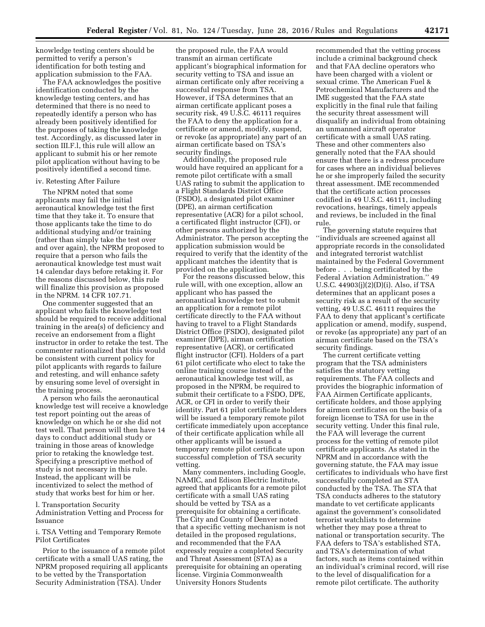knowledge testing centers should be permitted to verify a person's identification for both testing and application submission to the FAA.

The FAA acknowledges the positive identification conducted by the knowledge testing centers, and has determined that there is no need to repeatedly identify a person who has already been positively identified for the purposes of taking the knowledge test. Accordingly, as discussed later in section III.F.l, this rule will allow an applicant to submit his or her remote pilot application without having to be positively identified a second time.

### iv. Retesting After Failure

The NPRM noted that some applicants may fail the initial aeronautical knowledge test the first time that they take it. To ensure that those applicants take the time to do additional studying and/or training (rather than simply take the test over and over again), the NPRM proposed to require that a person who fails the aeronautical knowledge test must wait 14 calendar days before retaking it. For the reasons discussed below, this rule will finalize this provision as proposed in the NPRM. 14 CFR 107.71.

One commenter suggested that an applicant who fails the knowledge test should be required to receive additional training in the area(s) of deficiency and receive an endorsement from a flight instructor in order to retake the test. The commenter rationalized that this would be consistent with current policy for pilot applicants with regards to failure and retesting, and will enhance safety by ensuring some level of oversight in the training process.

A person who fails the aeronautical knowledge test will receive a knowledge test report pointing out the areas of knowledge on which he or she did not test well. That person will then have 14 days to conduct additional study or training in those areas of knowledge prior to retaking the knowledge test. Specifying a prescriptive method of study is not necessary in this rule. Instead, the applicant will be incentivized to select the method of study that works best for him or her.

l. Transportation Security Administration Vetting and Process for Issuance

i. TSA Vetting and Temporary Remote Pilot Certificates

Prior to the issuance of a remote pilot certificate with a small UAS rating, the NPRM proposed requiring all applicants to be vetted by the Transportation Security Administration (TSA). Under

the proposed rule, the FAA would transmit an airman certificate applicant's biographical information for security vetting to TSA and issue an airman certificate only after receiving a successful response from TSA. However, if TSA determines that an airman certificate applicant poses a security risk, 49 U.S.C. 46111 requires the FAA to deny the application for a certificate or amend, modify, suspend, or revoke (as appropriate) any part of an airman certificate based on TSA's security findings.

Additionally, the proposed rule would have required an applicant for a remote pilot certificate with a small UAS rating to submit the application to a Flight Standards District Office (FSDO), a designated pilot examiner (DPE), an airman certification representative (ACR) for a pilot school, a certificated flight instructor (CFI), or other persons authorized by the Administrator. The person accepting the application submission would be required to verify that the identity of the applicant matches the identity that is provided on the application.

For the reasons discussed below, this rule will, with one exception, allow an applicant who has passed the aeronautical knowledge test to submit an application for a remote pilot certificate directly to the FAA without having to travel to a Flight Standards District Office (FSDO), designated pilot examiner (DPE), airman certification representative (ACR), or certificated flight instructor (CFI). Holders of a part 61 pilot certificate who elect to take the online training course instead of the aeronautical knowledge test will, as proposed in the NPRM, be required to submit their certificate to a FSDO, DPE, ACR, or CFI in order to verify their identity. Part 61 pilot certificate holders will be issued a temporary remote pilot certificate immediately upon acceptance of their certificate application while all other applicants will be issued a temporary remote pilot certificate upon successful completion of TSA security vetting.

Many commenters, including Google, NAMIC, and Edison Electric Institute, agreed that applicants for a remote pilot certificate with a small UAS rating should be vetted by TSA as a prerequisite for obtaining a certificate. The City and County of Denver noted that a specific vetting mechanism is not detailed in the proposed regulations, and recommended that the FAA expressly require a completed Security and Threat Assessment (STA) as a prerequisite for obtaining an operating license. Virginia Commonwealth University Honors Students

recommended that the vetting process include a criminal background check and that FAA decline operators who have been charged with a violent or sexual crime. The American Fuel & Petrochemical Manufacturers and the IME suggested that the FAA state explicitly in the final rule that failing the security threat assessment will disqualify an individual from obtaining an unmanned aircraft operator certificate with a small UAS rating. These and other commenters also generally noted that the FAA should ensure that there is a redress procedure for cases where an individual believes he or she improperly failed the security threat assessment. IME recommended that the certificate action processes codified in 49 U.S.C. 46111, including revocations, hearings, timely appeals and reviews, be included in the final rule.

The governing statute requires that ''individuals are screened against all appropriate records in the consolidated and integrated terrorist watchlist maintained by the Federal Government before . . . being certificated by the Federal Aviation Administration.'' 49 U.S.C. 44903(j)(2)(D)(i). Also, if TSA determines that an applicant poses a security risk as a result of the security vetting, 49 U.S.C. 46111 requires the FAA to deny that applicant's certificate application or amend, modify, suspend, or revoke (as appropriate) any part of an airman certificate based on the TSA's security findings.

The current certificate vetting program that the TSA administers satisfies the statutory vetting requirements. The FAA collects and provides the biographic information of FAA Airmen Certificate applicants, certificate holders, and those applying for airmen certificates on the basis of a foreign license to TSA for use in the security vetting. Under this final rule, the FAA will leverage the current process for the vetting of remote pilot certificate applicants. As stated in the NPRM and in accordance with the governing statute, the FAA may issue certificates to individuals who have first successfully completed an STA conducted by the TSA. The STA that TSA conducts adheres to the statutory mandate to vet certificate applicants against the government's consolidated terrorist watchlists to determine whether they may pose a threat to national or transportation security. The FAA defers to TSA's established STA, and TSA's determination of what factors, such as items contained within an individual's criminal record, will rise to the level of disqualification for a remote pilot certificate. The authority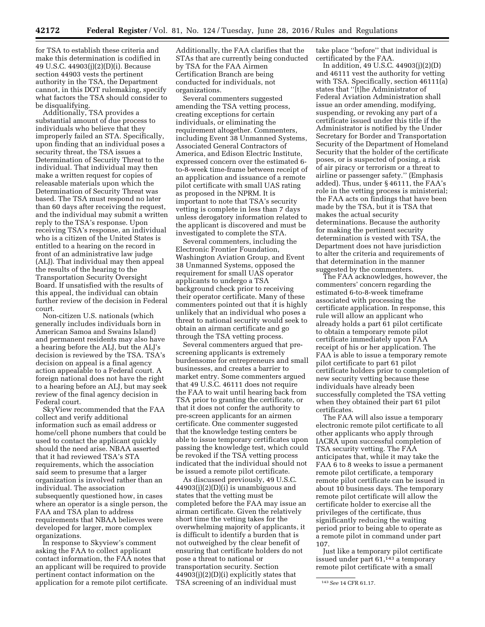for TSA to establish these criteria and make this determination is codified in 49 U.S.C. 44903(j)(2)(D)(i). Because section 44903 vests the pertinent authority in the TSA, the Department cannot, in this DOT rulemaking, specify what factors the TSA should consider to be disqualifying.

Additionally, TSA provides a substantial amount of due process to individuals who believe that they improperly failed an STA. Specifically, upon finding that an individual poses a security threat, the TSA issues a Determination of Security Threat to the individual. That individual may then make a written request for copies of releasable materials upon which the Determination of Security Threat was based. The TSA must respond no later than 60 days after receiving the request, and the individual may submit a written reply to the TSA's response. Upon receiving TSA's response, an individual who is a citizen of the United States is entitled to a hearing on the record in front of an administrative law judge (ALJ). That individual may then appeal the results of the hearing to the Transportation Security Oversight Board. If unsatisfied with the results of this appeal, the individual can obtain further review of the decision in Federal court.

Non-citizen U.S. nationals (which generally includes individuals born in American Samoa and Swains Island) and permanent residents may also have a hearing before the ALJ, but the ALJ's decision is reviewed by the TSA. TSA's decision on appeal is a final agency action appealable to a Federal court. A foreign national does not have the right to a hearing before an ALJ, but may seek review of the final agency decision in Federal court.

SkyView recommended that the FAA collect and verify additional information such as email address or home/cell phone numbers that could be used to contact the applicant quickly should the need arise. NBAA asserted that it had reviewed TSA's STA requirements, which the association said seem to presume that a larger organization is involved rather than an individual. The association subsequently questioned how, in cases where an operator is a single person, the FAA and TSA plan to address requirements that NBAA believes were developed for larger, more complex organizations.

In response to Skyview's comment asking the FAA to collect applicant contact information, the FAA notes that an applicant will be required to provide pertinent contact information on the application for a remote pilot certificate.

Additionally, the FAA clarifies that the STAs that are currently being conducted by TSA for the FAA Airmen Certification Branch are being conducted for individuals, not organizations.

Several commenters suggested amending the TSA vetting process, creating exceptions for certain individuals, or eliminating the requirement altogether. Commenters, including Event 38 Unmanned Systems, Associated General Contractors of America, and Edison Electric Institute, expressed concern over the estimated 6 to-8-week time-frame between receipt of an application and issuance of a remote pilot certificate with small UAS rating as proposed in the NPRM. It is important to note that TSA's security vetting is complete in less than 7 days unless derogatory information related to the applicant is discovered and must be investigated to complete the STA.

Several commenters, including the Electronic Frontier Foundation, Washington Aviation Group, and Event 38 Unmanned Systems, opposed the requirement for small UAS operator applicants to undergo a TSA background check prior to receiving their operator certificate. Many of these commenters pointed out that it is highly unlikely that an individual who poses a threat to national security would seek to obtain an airman certificate and go through the TSA vetting process.

Several commenters argued that prescreening applicants is extremely burdensome for entrepreneurs and small businesses, and creates a barrier to market entry. Some commenters argued that 49 U.S.C. 46111 does not require the FAA to wait until hearing back from TSA prior to granting the certificate, or that it does not confer the authority to pre-screen applicants for an airmen certificate. One commenter suggested that the knowledge testing centers be able to issue temporary certificates upon passing the knowledge test, which could be revoked if the TSA vetting process indicated that the individual should not be issued a remote pilot certificate.

As discussed previously, 49 U.S.C.  $44903(j)(2)(D)(i)$  is unambiguous and states that the vetting must be completed before the FAA may issue an airman certificate. Given the relatively short time the vetting takes for the overwhelming majority of applicants, it is difficult to identify a burden that is not outweighed by the clear benefit of ensuring that certificate holders do not pose a threat to national or transportation security. Section 44903(j)(2)(D)(i) explicitly states that TSA screening of an individual must

take place ''before'' that individual is certificated by the FAA.

In addition, 49 U.S.C. 44903(j)(2)(D) and 46111 vest the authority for vetting with TSA. Specifically, section 46111(a) states that ''[t]he Administrator of Federal Aviation Administration shall issue an order amending, modifying, suspending, or revoking any part of a certificate issued under this title if the Administrator is notified by the Under Secretary for Border and Transportation Security of the Department of Homeland Security that the holder of the certificate poses, or is suspected of posing, a risk of air piracy or terrorism or a threat to airline or passenger safety.'' (Emphasis added). Thus, under § 46111, the FAA's role in the vetting process is ministerial; the FAA acts on findings that have been made by the TSA, but it is TSA that makes the actual security determinations. Because the authority for making the pertinent security determination is vested with TSA, the Department does not have jurisdiction to alter the criteria and requirements of that determination in the manner suggested by the commenters.

The FAA acknowledges, however, the commenters' concern regarding the estimated 6-to-8-week timeframe associated with processing the certificate application. In response, this rule will allow an applicant who already holds a part 61 pilot certificate to obtain a temporary remote pilot certificate immediately upon FAA receipt of his or her application. The FAA is able to issue a temporary remote pilot certificate to part 61 pilot certificate holders prior to completion of new security vetting because these individuals have already been successfully completed the TSA vetting when they obtained their part 61 pilot certificates.

The FAA will also issue a temporary electronic remote pilot certificate to all other applicants who apply through IACRA upon successful completion of TSA security vetting. The FAA anticipates that, while it may take the FAA 6 to 8 weeks to issue a permanent remote pilot certificate, a temporary remote pilot certificate can be issued in about 10 business days. The temporary remote pilot certificate will allow the certificate holder to exercise all the privileges of the certificate, thus significantly reducing the waiting period prior to being able to operate as a remote pilot in command under part 107.

Just like a temporary pilot certificate issued under part 61,<sup>143</sup> a temporary remote pilot certificate with a small

<sup>143</sup>*See* 14 CFR 61.17.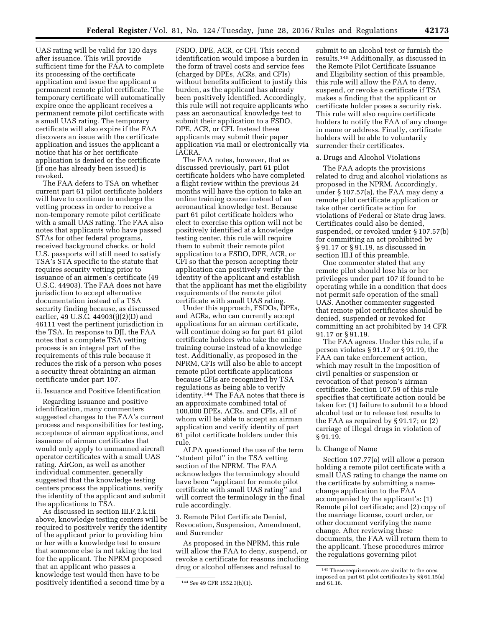UAS rating will be valid for 120 days after issuance. This will provide sufficient time for the FAA to complete its processing of the certificate application and issue the applicant a permanent remote pilot certificate. The temporary certificate will automatically expire once the applicant receives a permanent remote pilot certificate with a small UAS rating. The temporary certificate will also expire if the FAA discovers an issue with the certificate application and issues the applicant a notice that his or her certificate application is denied or the certificate (if one has already been issued) is revoked.

The FAA defers to TSA on whether current part 61 pilot certificate holders will have to continue to undergo the vetting process in order to receive a non-temporary remote pilot certificate with a small UAS rating. The FAA also notes that applicants who have passed STAs for other federal programs, received background checks, or hold U.S. passports will still need to satisfy TSA's STA specific to the statute that requires security vetting prior to issuance of an airmen's certificate (49 U.S.C. 44903). The FAA does not have jurisdiction to accept alternative documentation instead of a TSA security finding because, as discussed earlier, 49 U.S.C. 44903(j)(2)(D) and 46111 vest the pertinent jurisdiction in the TSA. In response to DJI, the FAA notes that a complete TSA vetting process is an integral part of the requirements of this rule because it reduces the risk of a person who poses a security threat obtaining an airman certificate under part 107.

## ii. Issuance and Positive Identification

Regarding issuance and positive identification, many commenters suggested changes to the FAA's current process and responsibilities for testing, acceptance of airman applications, and issuance of airman certificates that would only apply to unmanned aircraft operator certificates with a small UAS rating. AirGon, as well as another individual commenter, generally suggested that the knowledge testing centers process the applications, verify the identity of the applicant and submit the applications to TSA.

As discussed in section III.F.2.k.iii above, knowledge testing centers will be required to positively verify the identity of the applicant prior to providing him or her with a knowledge test to ensure that someone else is not taking the test for the applicant. The NPRM proposed that an applicant who passes a knowledge test would then have to be positively identified a second time by a

FSDO, DPE, ACR, or CFI. This second identification would impose a burden in the form of travel costs and service fees (charged by DPEs, ACRs, and CFIs) without benefits sufficient to justify this burden, as the applicant has already been positively identified. Accordingly, this rule will not require applicants who pass an aeronautical knowledge test to submit their application to a FSDO, DPE, ACR, or CFI. Instead these applicants may submit their paper application via mail or electronically via IACRA.

The FAA notes, however, that as discussed previously, part 61 pilot certificate holders who have completed a flight review within the previous 24 months will have the option to take an online training course instead of an aeronautical knowledge test. Because part 61 pilot certificate holders who elect to exercise this option will not be positively identified at a knowledge testing center, this rule will require them to submit their remote pilot application to a FSDO, DPE, ACR, or CFI so that the person accepting their application can positively verify the identity of the applicant and establish that the applicant has met the eligibility requirements of the remote pilot certificate with small UAS rating.

Under this approach, FSDOs, DPEs, and ACRs, who can currently accept applications for an airman certificate, will continue doing so for part 61 pilot certificate holders who take the online training course instead of a knowledge test. Additionally, as proposed in the NPRM, CFIs will also be able to accept remote pilot certificate applications because CFIs are recognized by TSA regulations as being able to verify identity.144 The FAA notes that there is an approximate combined total of 100,000 DPEs, ACRs, and CFIs, all of whom will be able to accept an airman application and verify identity of part 61 pilot certificate holders under this rule.

ALPA questioned the use of the term ''student pilot'' in the TSA vetting section of the NPRM. The FAA acknowledges the terminology should have been ''applicant for remote pilot certificate with small UAS rating'' and will correct the terminology in the final rule accordingly.

3. Remote Pilot Certificate Denial, Revocation, Suspension, Amendment, and Surrender

As proposed in the NPRM, this rule will allow the FAA to deny, suspend, or revoke a certificate for reasons including drug or alcohol offenses and refusal to

submit to an alcohol test or furnish the results.145 Additionally, as discussed in the Remote Pilot Certificate Issuance and Eligibility section of this preamble, this rule will allow the FAA to deny, suspend, or revoke a certificate if TSA makes a finding that the applicant or certificate holder poses a security risk. This rule will also require certificate holders to notify the FAA of any change in name or address. Finally, certificate holders will be able to voluntarily surrender their certificates.

### a. Drugs and Alcohol Violations

The FAA adopts the provisions related to drug and alcohol violations as proposed in the NPRM. Accordingly, under § 107.57(a), the FAA may deny a remote pilot certificate application or take other certificate action for violations of Federal or State drug laws. Certificates could also be denied, suspended, or revoked under § 107.57(b) for committing an act prohibited by § 91.17 or § 91.19, as discussed in section III.I of this preamble.

One commenter stated that any remote pilot should lose his or her privileges under part 107 if found to be operating while in a condition that does not permit safe operation of the small UAS. Another commenter suggested that remote pilot certificates should be denied, suspended or revoked for committing an act prohibited by 14 CFR 91.17 or § 91.19.

The FAA agrees. Under this rule, if a person violates § 91.17 or § 91.19, the FAA can take enforcement action, which may result in the imposition of civil penalties or suspension or revocation of that person's airman certificate. Section 107.59 of this rule specifies that certificate action could be taken for: (1) failure to submit to a blood alcohol test or to release test results to the FAA as required by § 91.17; or (2) carriage of illegal drugs in violation of § 91.19.

### b. Change of Name

Section 107.77(a) will allow a person holding a remote pilot certificate with a small UAS rating to change the name on the certificate by submitting a namechange application to the FAA accompanied by the applicant's: (1) Remote pilot certificate; and (2) copy of the marriage license, court order, or other document verifying the name change. After reviewing these documents, the FAA will return them to the applicant. These procedures mirror the regulations governing pilot

<sup>144</sup>*See* 49 CFR 1552.3(h)(1).

<sup>145</sup>These requirements are similar to the ones imposed on part 61 pilot certificates by §§ 61.15(a) and 61.16.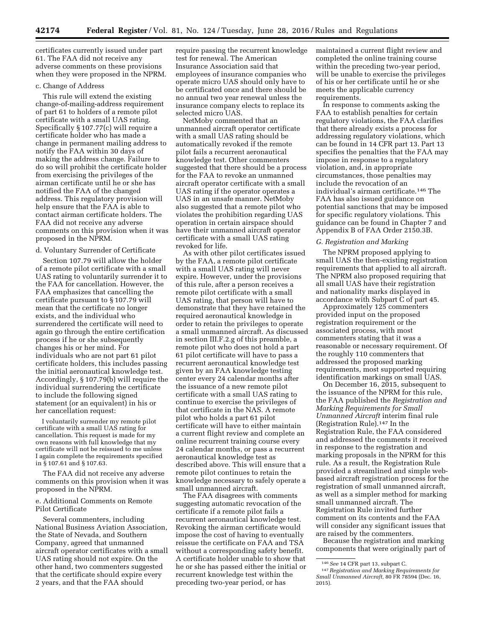certificates currently issued under part 61. The FAA did not receive any adverse comments on these provisions when they were proposed in the NPRM.

### c. Change of Address

This rule will extend the existing change-of-mailing-address requirement of part 61 to holders of a remote pilot certificate with a small UAS rating. Specifically § 107.77(c) will require a certificate holder who has made a change in permanent mailing address to notify the FAA within 30 days of making the address change. Failure to do so will prohibit the certificate holder from exercising the privileges of the airman certificate until he or she has notified the FAA of the changed address. This regulatory provision will help ensure that the FAA is able to contact airman certificate holders. The FAA did not receive any adverse comments on this provision when it was proposed in the NPRM.

### d. Voluntary Surrender of Certificate

Section 107.79 will allow the holder of a remote pilot certificate with a small UAS rating to voluntarily surrender it to the FAA for cancellation. However, the FAA emphasizes that cancelling the certificate pursuant to § 107.79 will mean that the certificate no longer exists, and the individual who surrendered the certificate will need to again go through the entire certification process if he or she subsequently changes his or her mind. For individuals who are not part 61 pilot certificate holders, this includes passing the initial aeronautical knowledge test. Accordingly, § 107.79(b) will require the individual surrendering the certificate to include the following signed statement (or an equivalent) in his or her cancellation request:

I voluntarily surrender my remote pilot certificate with a small UAS rating for cancellation. This request is made for my own reasons with full knowledge that my certificate will not be reissued to me unless I again complete the requirements specified in § 107.61 and § 107.63.

The FAA did not receive any adverse comments on this provision when it was proposed in the NPRM.

### e. Additional Comments on Remote Pilot Certificate

Several commenters, including National Business Aviation Association, the State of Nevada, and Southern Company, agreed that unmanned aircraft operator certificates with a small UAS rating should not expire. On the other hand, two commenters suggested that the certificate should expire every 2 years, and that the FAA should

require passing the recurrent knowledge test for renewal. The American Insurance Association said that employees of insurance companies who operate micro UAS should only have to be certificated once and there should be no annual two year renewal unless the insurance company elects to replace its selected micro UAS.

NetMoby commented that an unmanned aircraft operator certificate with a small UAS rating should be automatically revoked if the remote pilot fails a recurrent aeronautical knowledge test. Other commenters suggested that there should be a process for the FAA to revoke an unmanned aircraft operator certificate with a small UAS rating if the operator operates a UAS in an unsafe manner. NetMoby also suggested that a remote pilot who violates the prohibition regarding UAS operation in certain airspace should have their unmanned aircraft operator certificate with a small UAS rating revoked for life.

As with other pilot certificates issued by the FAA, a remote pilot certificate with a small UAS rating will never expire. However, under the provisions of this rule, after a person receives a remote pilot certificate with a small UAS rating, that person will have to demonstrate that they have retained the required aeronautical knowledge in order to retain the privileges to operate a small unmanned aircraft. As discussed in section III.F.2.g of this preamble, a remote pilot who does not hold a part 61 pilot certificate will have to pass a recurrent aeronautical knowledge test given by an FAA knowledge testing center every 24 calendar months after the issuance of a new remote pilot certificate with a small UAS rating to continue to exercise the privileges of that certificate in the NAS. A remote pilot who holds a part 61 pilot certificate will have to either maintain a current flight review and complete an online recurrent training course every 24 calendar months, or pass a recurrent aeronautical knowledge test as described above. This will ensure that a remote pilot continues to retain the knowledge necessary to safely operate a small unmanned aircraft.

The FAA disagrees with comments suggesting automatic revocation of the certificate if a remote pilot fails a recurrent aeronautical knowledge test. Revoking the airman certificate would impose the cost of having to eventually reissue the certificate on FAA and TSA without a corresponding safety benefit. A certificate holder unable to show that he or she has passed either the initial or recurrent knowledge test within the preceding two-year period, or has

maintained a current flight review and completed the online training course within the preceding two-year period, will be unable to exercise the privileges of his or her certificate until he or she meets the applicable currency requirements.

In response to comments asking the FAA to establish penalties for certain regulatory violations, the FAA clarifies that there already exists a process for addressing regulatory violations, which can be found in 14 CFR part 13. Part 13 specifies the penalties that the FAA may impose in response to a regulatory violation, and, in appropriate circumstances, those penalties may include the revocation of an individual's airman certificate.146 The FAA has also issued guidance on potential sanctions that may be imposed for specific regulatory violations. This guidance can be found in Chapter 7 and Appendix B of FAA Order 2150.3B.

## *G. Registration and Marking*

The NPRM proposed applying to small UAS the then-existing registration requirements that applied to all aircraft. The NPRM also proposed requiring that all small UAS have their registration and nationality marks displayed in accordance with Subpart C of part 45.

Approximately 125 commenters provided input on the proposed registration requirement or the associated process, with most commenters stating that it was a reasonable or necessary requirement. Of the roughly 110 commenters that addressed the proposed marking requirements, most supported requiring identification markings on small UAS.

On December 16, 2015, subsequent to the issuance of the NPRM for this rule, the FAA published the *Registration and Marking Requirements for Small Unmanned Aircraft* interim final rule (Registration Rule).147 In the Registration Rule, the FAA considered and addressed the comments it received in response to the registration and marking proposals in the NPRM for this rule. As a result, the Registration Rule provided a streamlined and simple webbased aircraft registration process for the registration of small unmanned aircraft, as well as a simpler method for marking small unmanned aircraft. The Registration Rule invited further comment on its contents and the FAA will consider any significant issues that are raised by the commenters.

Because the registration and marking components that were originally part of

<sup>146</sup>*See* 14 CFR part 13, subpart C. 147*Registration and Marking Requirements for Small Unmanned Aircraft,* 80 FR 78594 (Dec. 16, 2015).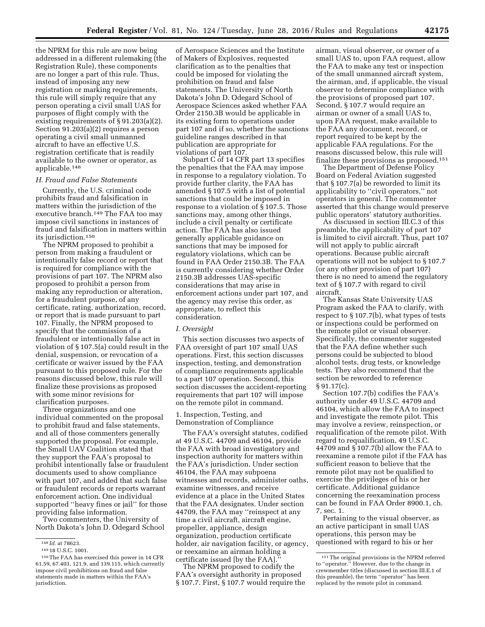the NPRM for this rule are now being addressed in a different rulemaking (the Registration Rule), these components are no longer a part of this rule. Thus, instead of imposing any new registration or marking requirements, this rule will simply require that any person operating a civil small UAS for purposes of flight comply with the existing requirements of § 91.203(a)(2). Section 91.203(a)(2) requires a person operating a civil small unmanned aircraft to have an effective U.S. registration certificate that is readily available to the owner or operator, as applicable.148

### *H. Fraud and False Statements*

Currently, the U.S. criminal code prohibits fraud and falsification in matters within the jurisdiction of the executive branch.<sup>149</sup> The FAA too may impose civil sanctions in instances of fraud and falsification in matters within its jurisdiction.150

The NPRM proposed to prohibit a person from making a fraudulent or intentionally false record or report that is required for compliance with the provisions of part 107. The NPRM also proposed to prohibit a person from making any reproduction or alteration, for a fraudulent purpose, of any certificate, rating, authorization, record, or report that is made pursuant to part 107. Finally, the NPRM proposed to specify that the commission of a fraudulent or intentionally false act in violation of § 107.5(a) could result in the denial, suspension, or revocation of a certificate or waiver issued by the FAA pursuant to this proposed rule. For the reasons discussed below, this rule will finalize these provisions as proposed with some minor revisions for clarification purposes.

Three organizations and one individual commented on the proposal to prohibit fraud and false statements, and all of those commenters generally supported the proposal. For example, the Small UAV Coalition stated that they support the FAA's proposal to prohibit intentionally false or fraudulent documents used to show compliance with part 107, and added that such false or fraudulent records or reports warrant enforcement action. One individual supported ''heavy fines or jail'' for those providing false information.

Two commenters, the University of North Dakota's John D. Odegard School

of Aerospace Sciences and the Institute of Makers of Explosives, requested clarification as to the penalties that could be imposed for violating the prohibition on fraud and false statements. The University of North Dakota's John D. Odegard School of Aerospace Sciences asked whether FAA Order 2150.3B would be applicable in its existing form to operations under part 107 and if so, whether the sanctions guideline ranges described in that publication are appropriate for violations of part 107.

Subpart C of 14 CFR part 13 specifies the penalties that the FAA may impose in response to a regulatory violation. To provide further clarity, the FAA has amended § 107.5 with a list of potential sanctions that could be imposed in response to a violation of § 107.5. Those sanctions may, among other things, include a civil penalty or certificate action. The FAA has also issued generally applicable guidance on sanctions that may be imposed for regulatory violations, which can be found in FAA Order 2150.3B. The FAA is currently considering whether Order 2150.3B addresses UAS-specific considerations that may arise in enforcement actions under part 107, and the agency may revise this order, as appropriate, to reflect this consideration.

#### *I. Oversight*

This section discusses two aspects of FAA oversight of part 107 small UAS operations. First, this section discusses inspection, testing, and demonstration of compliance requirements applicable to a part 107 operation. Second, this section discusses the accident-reporting requirements that part 107 will impose on the remote pilot in command.

1. Inspection, Testing, and Demonstration of Compliance

The FAA's oversight statutes, codified at 49 U.S.C. 44709 and 46104, provide the FAA with broad investigatory and inspection authority for matters within the FAA's jurisdiction. Under section 46104, the FAA may subpoena witnesses and records, administer oaths, examine witnesses, and receive evidence at a place in the United States that the FAA designates. Under section 44709, the FAA may ''reinspect at any time a civil aircraft, aircraft engine, propeller, appliance, design organization, production certificate holder, air navigation facility, or agency, or reexamine an airman holding a certificate issued [by the FAA].

The NPRM proposed to codify the FAA's oversight authority in proposed § 107.7. First, § 107.7 would require the

airman, visual observer, or owner of a small UAS to, upon FAA request, allow the FAA to make any test or inspection of the small unmanned aircraft system, the airman, and, if applicable, the visual observer to determine compliance with the provisions of proposed part 107. Second, § 107.7 would require an airman or owner of a small UAS to, upon FAA request, make available to the FAA any document, record, or report required to be kept by the applicable FAA regulations. For the reasons discussed below, this rule will finalize these provisions as proposed.151

The Department of Defense Policy Board on Federal Aviation suggested that § 107.7(a) be reworded to limit its applicability to ''civil operators,'' not operators in general. The commenter asserted that this change would preserve public operators' statutory authorities.

As discussed in section III.C.3 of this preamble, the applicability of part 107 is limited to civil aircraft. Thus, part 107 will not apply to public aircraft operations. Because public aircraft operations will not be subject to § 107.7 (or any other provision of part 107) there is no need to amend the regulatory text of § 107.7 with regard to civil aircraft.

The Kansas State University UAS Program asked the FAA to clarify, with respect to § 107.7(b), what types of tests or inspections could be performed on the remote pilot or visual observer. Specifically, the commenter suggested that the FAA define whether such persons could be subjected to blood alcohol tests, drug tests, or knowledge tests. They also recommend that the section be reworded to reference § 91.17(c).

Section 107.7(b) codifies the FAA's authority under 49 U.S.C. 44709 and 46104, which allow the FAA to inspect and investigate the remote pilot. This may involve a review, reinspection, or requalification of the remote pilot. With regard to requalification, 49 U.S.C. 44709 and § 107.7(b) allow the FAA to reexamine a remote pilot if the FAA has sufficient reason to believe that the remote pilot may not be qualified to exercise the privileges of his or her certificate. Additional guidance concerning the reexamination process can be found in FAA Order 8900.1, ch. 7, sec. 1.

Pertaining to the visual observer, as an active participant in small UAS operations, this person may be questioned with regard to his or her

<sup>148</sup> *Id.* at 78623.

<sup>149</sup> 18 U.S.C. 1001.

<sup>150</sup>The FAA has exercised this power in 14 CFR 61.59, 67.403, 121.9, and 139.115, which currently impose civil prohibitions on fraud and false statements made in matters within the FAA's jurisdiction.

<sup>151</sup>The original provisions in the NPRM referred to ''operator.'' However, due to the change in crewmember titles (discussed in section III.E.1 of this preamble), the term ''operator'' has been replaced by the remote pilot in command.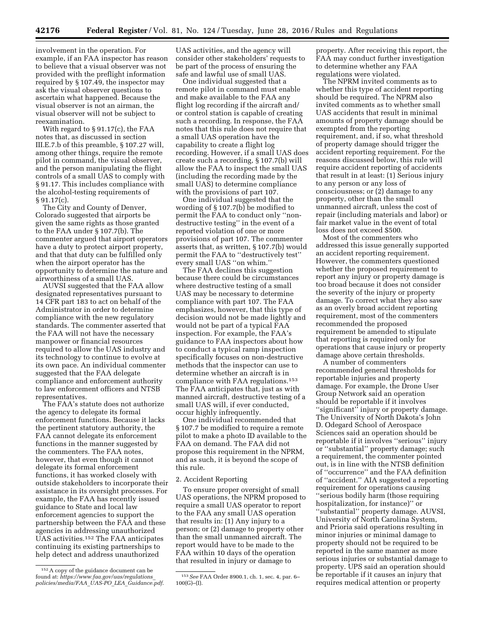involvement in the operation. For example, if an FAA inspector has reason to believe that a visual observer was not provided with the preflight information required by § 107.49, the inspector may ask the visual observer questions to ascertain what happened. Because the visual observer is not an airman, the visual observer will not be subject to reexamination.

With regard to § 91.17(c), the FAA notes that, as discussed in section III.E.7.b of this preamble, § 107.27 will, among other things, require the remote pilot in command, the visual observer, and the person manipulating the flight controls of a small UAS to comply with § 91.17. This includes compliance with the alcohol-testing requirements of  $§ 91.17(c).$ 

The City and County of Denver, Colorado suggested that airports be given the same rights as those granted to the FAA under § 107.7(b). The commenter argued that airport operators have a duty to protect airport property, and that that duty can be fulfilled only when the airport operator has the opportunity to determine the nature and airworthiness of a small UAS.

AUVSI suggested that the FAA allow designated representatives pursuant to 14 CFR part 183 to act on behalf of the Administrator in order to determine compliance with the new regulatory standards. The commenter asserted that the FAA will not have the necessary manpower or financial resources required to allow the UAS industry and its technology to continue to evolve at its own pace. An individual commenter suggested that the FAA delegate compliance and enforcement authority to law enforcement officers and NTSB representatives.

The FAA's statute does not authorize the agency to delegate its formal enforcement functions. Because it lacks the pertinent statutory authority, the FAA cannot delegate its enforcement functions in the manner suggested by the commenters. The FAA notes, however, that even though it cannot delegate its formal enforcement functions, it has worked closely with outside stakeholders to incorporate their assistance in its oversight processes. For example, the FAA has recently issued guidance to State and local law enforcement agencies to support the partnership between the FAA and these agencies in addressing unauthorized UAS activities.152 The FAA anticipates continuing its existing partnerships to help detect and address unauthorized

UAS activities, and the agency will consider other stakeholders' requests to be part of the process of ensuring the safe and lawful use of small UAS.

One individual suggested that a remote pilot in command must enable and make available to the FAA any flight log recording if the aircraft and/ or control station is capable of creating such a recording. In response, the FAA notes that this rule does not require that a small UAS operation have the capability to create a flight log recording. However, if a small UAS does create such a recording, § 107.7(b) will allow the FAA to inspect the small UAS (including the recording made by the small UAS) to determine compliance with the provisions of part 107.

One individual suggested that the wording of § 107.7(b) be modified to permit the FAA to conduct only ''nondestructive testing'' in the event of a reported violation of one or more provisions of part 107. The commenter asserts that, as written, § 107.7(b) would permit the FAA to ''destructively test'' every small UAS ''on whim.''

The FAA declines this suggestion because there could be circumstances where destructive testing of a small UAS may be necessary to determine compliance with part 107. The FAA emphasizes, however, that this type of decision would not be made lightly and would not be part of a typical FAA inspection. For example, the FAA's guidance to FAA inspectors about how to conduct a typical ramp inspection specifically focuses on non-destructive methods that the inspector can use to determine whether an aircraft is in compliance with FAA regulations.153 The FAA anticipates that, just as with manned aircraft, destructive testing of a small UAS will, if ever conducted, occur highly infrequently.

One individual recommended that § 107.7 be modified to require a remote pilot to make a photo ID available to the FAA on demand. The FAA did not propose this requirement in the NPRM, and as such, it is beyond the scope of this rule.

## 2. Accident Reporting

To ensure proper oversight of small UAS operations, the NPRM proposed to require a small UAS operator to report to the FAA any small UAS operation that results in: (1) Any injury to a person; or (2) damage to property other than the small unmanned aircraft. The report would have to be made to the FAA within 10 days of the operation that resulted in injury or damage to

property. After receiving this report, the FAA may conduct further investigation to determine whether any FAA regulations were violated.

The NPRM invited comments as to whether this type of accident reporting should be required. The NPRM also invited comments as to whether small UAS accidents that result in minimal amounts of property damage should be exempted from the reporting requirement, and, if so, what threshold of property damage should trigger the accident reporting requirement. For the reasons discussed below, this rule will require accident reporting of accidents that result in at least: (1) Serious injury to any person or any loss of consciousness; or (2) damage to any property, other than the small unmanned aircraft, unless the cost of repair (including materials and labor) or fair market value in the event of total loss does not exceed \$500.

Most of the commenters who addressed this issue generally supported an accident reporting requirement. However, the commenters questioned whether the proposed requirement to report any injury or property damage is too broad because it does not consider the severity of the injury or property damage. To correct what they also saw as an overly broad accident reporting requirement, most of the commenters recommended the proposed requirement be amended to stipulate that reporting is required only for operations that cause injury or property damage above certain thresholds.

A number of commenters recommended general thresholds for reportable injuries and property damage. For example, the Drone User Group Network said an operation should be reportable if it involves ''significant'' injury or property damage. The University of North Dakota's John D. Odegard School of Aerospace Sciences said an operation should be reportable if it involves ''serious'' injury or ''substantial'' property damage; such a requirement, the commenter pointed out, is in line with the NTSB definition of ''occurrence'' and the FAA definition of ''accident.'' AIA suggested a reporting requirement for operations causing ''serious bodily harm (those requiring hospitalization, for instance)'' or ''substantial'' property damage. AUVSI, University of North Carolina System, and Prioria said operations resulting in minor injuries or minimal damage to property should not be required to be reported in the same manner as more serious injuries or substantial damage to property. UPS said an operation should be reportable if it causes an injury that requires medical attention or property

<sup>152</sup>A copy of the guidance document can be found at: *[https://www.faa.gov/uas/regulations](https://www.faa.gov/uas/regulations_policies/media/FAA_UAS-PO_LEA_Guidance.pdf)*\_ *[policies/media/FAA](https://www.faa.gov/uas/regulations_policies/media/FAA_UAS-PO_LEA_Guidance.pdf)*\_*UAS-PO*\_*LEA*\_*Guidance.pdf*.

<sup>153</sup>*See* FAA Order 8900.1, ch. 1, sec. 4, par. 6– 100(G)–(I).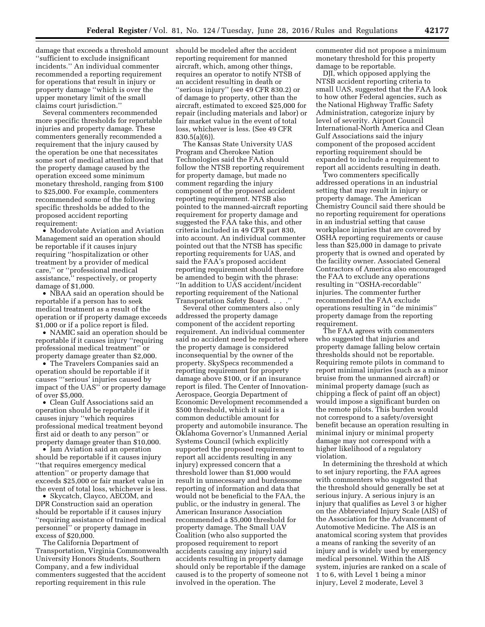damage that exceeds a threshold amount ''sufficient to exclude insignificant incidents.'' An individual commenter recommended a reporting requirement for operations that result in injury or property damage ''which is over the upper monetary limit of the small claims court jurisdiction.''

Several commenters recommended more specific thresholds for reportable injuries and property damage. These commenters generally recommended a requirement that the injury caused by the operation be one that necessitates some sort of medical attention and that the property damage caused by the operation exceed some minimum monetary threshold, ranging from \$100 to \$25,000. For example, commenters recommended some of the following specific thresholds be added to the proposed accident reporting requirement:

• Modovolate Aviation and Aviation Management said an operation should be reportable if it causes injury requiring ''hospitalization or other treatment by a provider of medical care,'' or ''professional medical assistance,'' respectively, or property damage of \$1,000.

• NBAA said an operation should be reportable if a person has to seek medical treatment as a result of the operation or if property damage exceeds \$1,000 or if a police report is filed.

• NAMIC said an operation should be reportable if it causes injury ''requiring professional medical treatment'' or property damage greater than \$2,000.

• The Travelers Companies said an operation should be reportable if it causes '''serious' injuries caused by impact of the UAS'' or property damage of over \$5,000.

• Clean Gulf Associations said an operation should be reportable if it causes injury ''which requires professional medical treatment beyond first aid or death to any person'' or property damage greater than \$10,000.

• Jam Aviation said an operation should be reportable if it causes injury ''that requires emergency medical attention'' or property damage that exceeds \$25,000 or fair market value in the event of total loss, whichever is less.

• Skycatch, Clayco, AECOM, and DPR Construction said an operation should be reportable if it causes injury ''requiring assistance of trained medical personnel'' or property damage in excess of \$20,000.

The California Department of Transportation, Virginia Commonwealth University Honors Students, Southern Company, and a few individual commenters suggested that the accident reporting requirement in this rule

should be modeled after the accident reporting requirement for manned aircraft, which, among other things, requires an operator to notify NTSB of an accident resulting in death or ''serious injury'' (see 49 CFR 830.2) or of damage to property, other than the aircraft, estimated to exceed \$25,000 for repair (including materials and labor) or fair market value in the event of total loss, whichever is less. (See 49 CFR 830.5(a)(6)).

The Kansas State University UAS Program and Cherokee Nation Technologies said the FAA should follow the NTSB reporting requirement for property damage, but made no comment regarding the injury component of the proposed accident reporting requirement. NTSB also pointed to the manned-aircraft reporting requirement for property damage and suggested the FAA take this, and other criteria included in 49 CFR part 830, into account. An individual commenter pointed out that the NTSB has specific reporting requirements for UAS, and said the FAA's proposed accident reporting requirement should therefore be amended to begin with the phrase: ''In addition to UAS accident/incident reporting requirement of the National Transportation Safety Board. . . .''

Several other commenters also only addressed the property damage component of the accident reporting requirement. An individual commenter said no accident need be reported where the property damage is considered inconsequential by the owner of the property. SkySpecs recommended a reporting requirement for property damage above \$100, or if an insurance report is filed. The Center of Innovation-Aerospace, Georgia Department of Economic Development recommended a \$500 threshold, which it said is a common deductible amount for property and automobile insurance. The Oklahoma Governor's Unmanned Aerial Systems Council (which explicitly supported the proposed requirement to report all accidents resulting in any injury) expressed concern that a threshold lower than \$1,000 would result in unnecessary and burdensome reporting of information and data that would not be beneficial to the FAA, the public, or the industry in general. The American Insurance Association recommended a \$5,000 threshold for property damage. The Small UAV Coalition (who also supported the proposed requirement to report accidents causing any injury) said accidents resulting in property damage should only be reportable if the damage caused is to the property of someone not involved in the operation. The

commenter did not propose a minimum monetary threshold for this property damage to be reportable.

DJI, which opposed applying the NTSB accident reporting criteria to small UAS, suggested that the FAA look to how other Federal agencies, such as the National Highway Traffic Safety Administration, categorize injury by level of severity. Airport Council International-North America and Clean Gulf Associations said the injury component of the proposed accident reporting requirement should be expanded to include a requirement to report all accidents resulting in death.

Two commenters specifically addressed operations in an industrial setting that may result in injury or property damage. The American Chemistry Council said there should be no reporting requirement for operations in an industrial setting that cause workplace injuries that are covered by OSHA reporting requirements or cause less than \$25,000 in damage to private property that is owned and operated by the facility owner. Associated General Contractors of America also encouraged the FAA to exclude any operations resulting in ''OSHA-recordable'' injuries. The commenter further recommended the FAA exclude operations resulting in ''de minimis'' property damage from the reporting requirement.

The FAA agrees with commenters who suggested that injuries and property damage falling below certain thresholds should not be reportable. Requiring remote pilots in command to report minimal injuries (such as a minor bruise from the unmanned aircraft) or minimal property damage (such as chipping a fleck of paint off an object) would impose a significant burden on the remote pilots. This burden would not correspond to a safety/oversight benefit because an operation resulting in minimal injury or minimal property damage may not correspond with a higher likelihood of a regulatory violation.

In determining the threshold at which to set injury reporting, the FAA agrees with commenters who suggested that the threshold should generally be set at serious injury. A serious injury is an injury that qualifies as Level 3 or higher on the Abbreviated Injury Scale (AIS) of the Association for the Advancement of Automotive Medicine. The AIS is an anatomical scoring system that provides a means of ranking the severity of an injury and is widely used by emergency medical personnel. Within the AIS system, injuries are ranked on a scale of 1 to 6, with Level 1 being a minor injury, Level 2 moderate, Level 3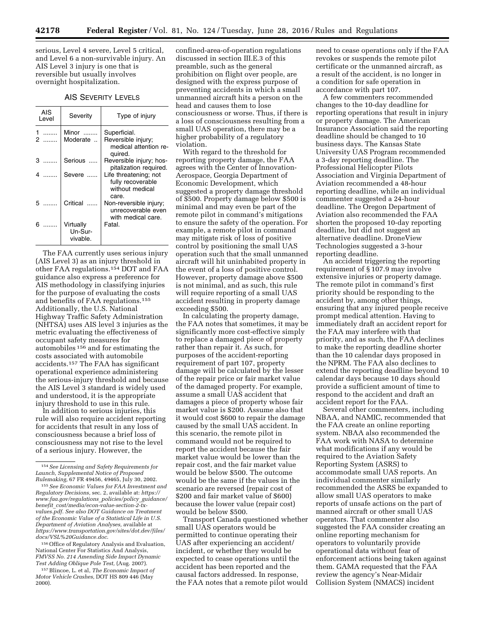serious, Level 4 severe, Level 5 critical, and Level 6 a non-survivable injury. An AIS Level 3 injury is one that is reversible but usually involves overnight hospitalization.

### AIS SEVERITY LEVELS

| AIS<br>Level           | Severity                         | Type of injury                                                         |  |  |
|------------------------|----------------------------------|------------------------------------------------------------------------|--|--|
| 1<br>.<br>2<br>.       | Minor $\ldots$<br>Moderate       | Superficial.<br>Reversible injury;<br>medical attention re-<br>quired. |  |  |
| 3                      | Serious                          | Reversible injury; hos-<br>pitalization required.                      |  |  |
|                        | Severe                           | Life threatening; not<br>fully recoverable<br>without medical<br>care. |  |  |
| $5$                    | Critical                         | Non-reversible injury;<br>unrecoverable even<br>with medical care.     |  |  |
| 6<br><b>Contractor</b> | Virtually<br>Un-Sur-<br>vivable. | Fatal.                                                                 |  |  |

The FAA currently uses serious injury (AIS Level 3) as an injury threshold in other FAA regulations.154 DOT and FAA guidance also express a preference for AIS methodology in classifying injuries for the purpose of evaluating the costs and benefits of FAA regulations.155 Additionally, the U.S. National Highway Traffic Safety Administration (NHTSA) uses AIS level 3 injuries as the metric evaluating the effectiveness of occupant safety measures for automobiles 156 and for estimating the costs associated with automobile accidents.157 The FAA has significant operational experience administering the serious-injury threshold and because the AIS Level 3 standard is widely used and understood, it is the appropriate injury threshold to use in this rule.

In addition to serious injuries, this rule will also require accident reporting for accidents that result in any loss of consciousness because a brief loss of consciousness may not rise to the level of a serious injury. However, the

156Office of Regulatory Analysis and Evaluation, National Center For Statistics And Analysis, *FMVSS No. 214 Amending Side Impact Dynamic Test Adding Oblique Pole Test,* (Aug. 2007).

157Blincoe, L. et al, *The Economic Impact of Motor Vehicle Crashes,* DOT HS 809 446 (May 2000).

confined-area-of-operation regulations discussed in section III.E.3 of this preamble, such as the general prohibition on flight over people, are designed with the express purpose of preventing accidents in which a small unmanned aircraft hits a person on the head and causes them to lose consciousness or worse. Thus, if there is a loss of consciousness resulting from a small UAS operation, there may be a higher probability of a regulatory violation.

With regard to the threshold for reporting property damage, the FAA agrees with the Center of Innovation-Aerospace, Georgia Department of Economic Development, which suggested a property damage threshold of \$500. Property damage below \$500 is minimal and may even be part of the remote pilot in command's mitigations to ensure the safety of the operation. For example, a remote pilot in command may mitigate risk of loss of positive control by positioning the small UAS operation such that the small unmanned aircraft will hit uninhabited property in the event of a loss of positive control. However, property damage above \$500 is not minimal, and as such, this rule will require reporting of a small UAS accident resulting in property damage exceeding \$500.

In calculating the property damage, the FAA notes that sometimes, it may be significantly more cost-effective simply to replace a damaged piece of property rather than repair it. As such, for purposes of the accident-reporting requirement of part 107, property damage will be calculated by the lesser of the repair price or fair market value of the damaged property. For example, assume a small UAS accident that damages a piece of property whose fair market value is \$200. Assume also that it would cost \$600 to repair the damage caused by the small UAS accident. In this scenario, the remote pilot in command would not be required to report the accident because the fair market value would be lower than the repair cost, and the fair market value would be below \$500. The outcome would be the same if the values in the scenario are reversed (repair cost of \$200 and fair market value of \$600) because the lower value (repair cost) would be below \$500.

Transport Canada questioned whether small UAS operators would be permitted to continue operating their UAS after experiencing an accident/ incident, or whether they would be expected to cease operations until the accident has been reported and the causal factors addressed. In response, the FAA notes that a remote pilot would

need to cease operations only if the FAA revokes or suspends the remote pilot certificate or the unmanned aircraft, as a result of the accident, is no longer in a condition for safe operation in accordance with part 107.

A few commenters recommended changes to the 10-day deadline for reporting operations that result in injury or property damage. The American Insurance Association said the reporting deadline should be changed to 10 business days. The Kansas State University UAS Program recommended a 3-day reporting deadline. The Professional Helicopter Pilots Association and Virginia Department of Aviation recommended a 48-hour reporting deadline, while an individual commenter suggested a 24-hour deadline. The Oregon Department of Aviation also recommended the FAA shorten the proposed 10-day reporting deadline, but did not suggest an alternative deadline. DroneView Technologies suggested a 3-hour reporting deadline.

An accident triggering the reporting requirement of § 107.9 may involve extensive injuries or property damage. The remote pilot in command's first priority should be responding to the accident by, among other things, ensuring that any injured people receive prompt medical attention. Having to immediately draft an accident report for the FAA may interfere with that priority, and as such, the FAA declines to make the reporting deadline shorter than the 10 calendar days proposed in the NPRM. The FAA also declines to extend the reporting deadline beyond 10 calendar days because 10 days should provide a sufficient amount of time to respond to the accident and draft an accident report for the FAA.

Several other commenters, including NBAA, and NAMIC, recommended that the FAA create an online reporting system. NBAA also recommended the FAA work with NASA to determine what modifications if any would be required to the Aviation Safety Reporting System (ASRS) to accommodate small UAS reports. An individual commenter similarly recommended the ASRS be expanded to allow small UAS operators to make reports of unsafe actions on the part of manned aircraft or other small UAS operators. That commenter also suggested the FAA consider creating an online reporting mechanism for operators to voluntarily provide operational data without fear of enforcement actions being taken against them. GAMA requested that the FAA review the agency's Near-Midair Collision System (NMACS) incident

<sup>154</sup>*See Licensing and Safety Requirements for Launch, Supplemental Notice of Proposed Rulemaking,* 67 FR 49456, 49465, July 30, 2002.

<sup>155</sup>*See Economic Values for FAA Investment and Regulatory Decisions,* sec. 2, available at: *[https://](https://www.faa.gov/regulations_policies/policy_guidance/benefit_cost/media/econ-value-section-2-tx-values.pdf) [www.faa.gov/regulations](https://www.faa.gov/regulations_policies/policy_guidance/benefit_cost/media/econ-value-section-2-tx-values.pdf)*\_*policies/policy*\_*guidance/ benefit*\_*[cost/media/econ-value-section-2-tx](https://www.faa.gov/regulations_policies/policy_guidance/benefit_cost/media/econ-value-section-2-tx-values.pdf)[values.pdf.](https://www.faa.gov/regulations_policies/policy_guidance/benefit_cost/media/econ-value-section-2-tx-values.pdf) See also DOT Guidance on Treatment of the Economic Value of a Statistical Life in U.S. Department of Aviation Analyses,* available at *[https://www.transportation.gov/sites/dot.dev/files/](https://www.transportation.gov/sites/dot.dev/files/docs/VSL%20Guidance.doc) [docs/VSL%20Guidance.doc](https://www.transportation.gov/sites/dot.dev/files/docs/VSL%20Guidance.doc)*.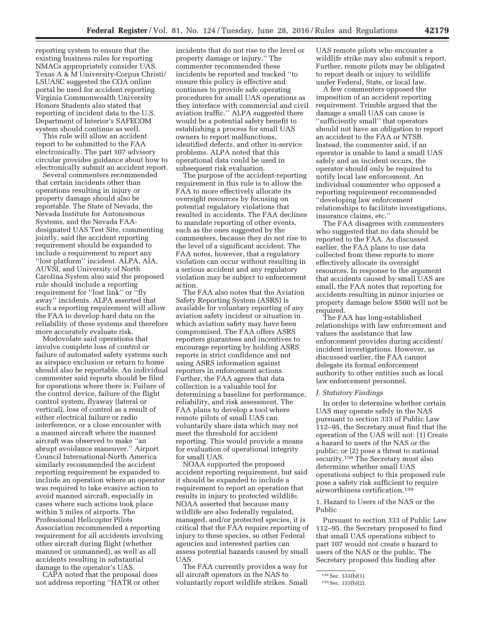reporting system to ensure that the existing business rules for reporting NMACs appropriately consider UAS. Texas A & M University-Corpus Christi/ LSUASC suggested the COA online portal be used for accident reporting. Virginia Commonwealth University Honors Students also stated that reporting of incident data to the U.S. Department of Interior's SAFECOM system should continue as well.

This rule will allow an accident report to be submitted to the FAA electronically. The part 107 advisory circular provides guidance about how to electronically submit an accident report.

Several commenters recommended that certain incidents other than operations resulting in injury or property damage should also be reportable. The State of Nevada, the Nevada Institute for Autonomous Systems, and the Nevada FAAdesignated UAS Test Site, commenting jointly, said the accident reporting requirement should be expanded to include a requirement to report any ''lost platform'' incident. ALPA, AIA, AUVSI, and University of North Carolina System also said the proposed rule should include a reporting requirement for ''lost link'' or ''fly away'' incidents. ALPA asserted that such a reporting requirement will allow the FAA to develop hard data on the reliability of these systems and therefore more accurately evaluate risk.

Modovolate said operations that involve complete loss of control or failure of automated safety systems such as airspace exclusion or return to home should also be reportable. An individual commenter said reports should be filed for operations where there is: Failure of the control device, failure of the flight control system, flyaway (lateral or vertical), loss of control as a result of either electrical failure or radio interference, or a close encounter with a manned aircraft where the manned aircraft was observed to make ''an abrupt avoidance maneuver.'' Airport Council International-North America similarly recommended the accident reporting requirement be expanded to include an operation where an operator was required to take evasive action to avoid manned aircraft, especially in cases where such actions took place within 5 miles of airports. The Professional Helicopter Pilots Association recommended a reporting requirement for all accidents involving other aircraft during flight (whether manned or unmanned), as well as all accidents resulting in substantial damage to the operator's UAS.

CAPA noted that the proposal does not address reporting ''HATR or other

incidents that do not rise to the level or property damage or injury.'' The commenter recommended these incidents be reported and tracked ''to ensure this policy is effective and continues to provide safe operating procedures for small UAS operations as they interface with commercial and civil aviation traffic.'' ALPA suggested there would be a potential safety benefit to establishing a process for small UAS owners to report malfunctions, identified defects, and other in-service problems. ALPA noted that this operational data could be used in subsequent risk evaluation.

The purpose of the accident-reporting requirement in this rule is to allow the FAA to more effectively allocate its oversight resources by focusing on potential regulatory violations that resulted in accidents. The FAA declines to mandate reporting of other events, such as the ones suggested by the commenters, because they do not rise to the level of a significant accident. The FAA notes, however, that a regulatory violation can occur without resulting in a serious accident and any regulatory violation may be subject to enforcement action.

The FAA also notes that the Aviation Safety Reporting System (ASRS) is available for voluntary reporting of any aviation safety incident or situation in which aviation safety may have been compromised. The FAA offers ASRS reporters guarantees and incentives to encourage reporting by holding ASRS reports in strict confidence and not using ASRS information against reporters in enforcement actions. Further, the FAA agrees that data collection is a valuable tool for determining a baseline for performance, reliability, and risk assessment. The FAA plans to develop a tool where remote pilots of small UAS can voluntarily share data which may not meet the threshold for accident reporting. This would provide a means for evaluation of operational integrity for small UAS.

NOAA supported the proposed accident reporting requirement, but said it should be expanded to include a requirement to report an operation that results in injury to protected wildlife. NOAA asserted that because many wildlife are also federally regulated, managed, and/or protected species, it is critical that the FAA require reporting of injury to these species, so other Federal agencies and interested parties can assess potential hazards caused by small UAS.

The FAA currently provides a way for all aircraft operators in the NAS to voluntarily report wildlife strikes. Small UAS remote pilots who encounter a wildlife strike may also submit a report. Further, remote pilots may be obligated to report death or injury to wildlife under Federal, State, or local law.

A few commenters opposed the imposition of an accident reporting requirement. Trimble argued that the damage a small UAS can cause is ''sufficiently small'' that operators should not have an obligation to report an accident to the FAA or NTSB. Instead, the commenter said, if an operator is unable to land a small UAS safely and an incident occurs, the operator should only be required to notify local law enforcement. An individual commenter who opposed a reporting requirement recommended ''developing law enforcement relationships to facilitate investigations, insurance claims, etc.''

The FAA disagrees with commenters who suggested that no data should be reported to the FAA. As discussed earlier, the FAA plans to use data collected from these reports to more effectively allocate its oversight resources. In response to the argument that accidents caused by small UAS are small, the FAA notes that reporting for accidents resulting in minor injuries or property damage below \$500 will not be required.

The FAA has long-established relationships with law enforcement and values the assistance that law enforcement provides during accident/ incident investigations. However, as discussed earlier, the FAA cannot delegate its formal enforcement authority to other entities such as local law enforcement personnel.

### *J. Statutory Findings*

In order to determine whether certain UAS may operate safely in the NAS pursuant to section 333 of Public Law 112–95, the Secretary must find that the operation of the UAS will not: (1) Create a hazard to users of the NAS or the public; or (2) pose a threat to national security.158 The Secretary must also determine whether small UAS operations subject to this proposed rule pose a safety risk sufficient to require airworthiness certification.159

## 1. Hazard to Users of the NAS or the Public

Pursuant to section 333 of Public Law 112–95, the Secretary proposed to find that small UAS operations subject to part 107 would not create a hazard to users of the NAS or the public. The Secretary proposed this finding after

<sup>158</sup>Sec. 333(b)(1).

<sup>159</sup>Sec. 333(b)(2).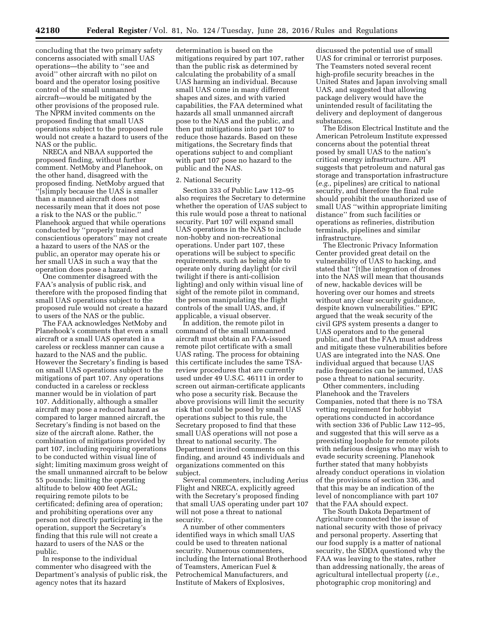concluding that the two primary safety concerns associated with small UAS operations—the ability to ''see and avoid'' other aircraft with no pilot on board and the operator losing positive control of the small unmanned aircraft—would be mitigated by the other provisions of the proposed rule. The NPRM invited comments on the proposed finding that small UAS operations subject to the proposed rule would not create a hazard to users of the NAS or the public.

NRECA and NBAA supported the proposed finding, without further comment. NetMoby and Planehook, on the other hand, disagreed with the proposed finding. NetMoby argued that ''[s]imply because the UAS is smaller than a manned aircraft does not necessarily mean that it does not pose a risk to the NAS or the public.'' Planehook argued that while operations conducted by ''properly trained and conscientious operators'' may not create a hazard to users of the NAS or the public, an operator may operate his or her small UAS in such a way that the operation does pose a hazard.

One commenter disagreed with the FAA's analysis of public risk, and therefore with the proposed finding that small UAS operations subject to the proposed rule would not create a hazard to users of the NAS or the public.

The FAA acknowledges NetMoby and Planehook's comments that even a small aircraft or a small UAS operated in a careless or reckless manner can cause a hazard to the NAS and the public. However the Secretary's finding is based on small UAS operations subject to the mitigations of part 107. Any operations conducted in a careless or reckless manner would be in violation of part 107. Additionally, although a smaller aircraft may pose a reduced hazard as compared to larger manned aircraft, the Secretary's finding is not based on the size of the aircraft alone. Rather, the combination of mitigations provided by part 107, including requiring operations to be conducted within visual line of sight; limiting maximum gross weight of the small unmanned aircraft to be below 55 pounds; limiting the operating altitude to below 400 feet AGL; requiring remote pilots to be certificated; defining area of operation; and prohibiting operations over any person not directly participating in the operation, support the Secretary's finding that this rule will not create a hazard to users of the NAS or the public.

In response to the individual commenter who disagreed with the Department's analysis of public risk, the agency notes that its hazard

determination is based on the mitigations required by part 107, rather than the public risk as determined by calculating the probability of a small UAS harming an individual. Because small UAS come in many different shapes and sizes, and with varied capabilities, the FAA determined what hazards all small unmanned aircraft pose to the NAS and the public, and then put mitigations into part 107 to reduce those hazards. Based on these mitigations, the Secretary finds that operations subject to and compliant with part 107 pose no hazard to the public and the NAS.

### 2. National Security

Section 333 of Public Law 112–95 also requires the Secretary to determine whether the operation of UAS subject to this rule would pose a threat to national security. Part 107 will expand small UAS operations in the NAS to include non-hobby and non-recreational operations. Under part 107, these operations will be subject to specific requirements, such as being able to operate only during daylight (or civil twilight if there is anti-collision lighting) and only within visual line of sight of the remote pilot in command, the person manipulating the flight controls of the small UAS, and, if applicable, a visual observer.

In addition, the remote pilot in command of the small unmanned aircraft must obtain an FAA-issued remote pilot certificate with a small UAS rating. The process for obtaining this certificate includes the same TSAreview procedures that are currently used under 49 U.S.C. 46111 in order to screen out airman-certificate applicants who pose a security risk. Because the above provisions will limit the security risk that could be posed by small UAS operations subject to this rule, the Secretary proposed to find that these small UAS operations will not pose a threat to national security. The Department invited comments on this finding, and around 45 individuals and organizations commented on this subject.

Several commenters, including Aerius Flight and NRECA, explicitly agreed with the Secretary's proposed finding that small UAS operating under part 107 will not pose a threat to national security.

A number of other commenters identified ways in which small UAS could be used to threaten national security. Numerous commenters, including the International Brotherhood of Teamsters, American Fuel & Petrochemical Manufacturers, and Institute of Makers of Explosives,

discussed the potential use of small UAS for criminal or terrorist purposes. The Teamsters noted several recent high-profile security breaches in the United States and Japan involving small UAS, and suggested that allowing package delivery would have the unintended result of facilitating the delivery and deployment of dangerous substances.

The Edison Electrical Institute and the American Petroleum Institute expressed concerns about the potential threat posed by small UAS to the nation's critical energy infrastructure. API suggests that petroleum and natural gas storage and transportation infrastructure (*e.g.,* pipelines) are critical to national security, and therefore the final rule should prohibit the unauthorized use of small UAS ''within appropriate limiting distance'' from such facilities or operations as refineries, distribution terminals, pipelines and similar infrastructure.

The Electronic Privacy Information Center provided great detail on the vulnerability of UAS to hacking, and stated that ''[t]he integration of drones into the NAS will mean that thousands of new, hackable devices will be hovering over our homes and streets without any clear security guidance, despite known vulnerabilities.'' EPIC argued that the weak security of the civil GPS system presents a danger to UAS operators and to the general public, and that the FAA must address and mitigate these vulnerabilities before UAS are integrated into the NAS. One individual argued that because UAS radio frequencies can be jammed, UAS pose a threat to national security.

Other commenters, including Planehook and the Travelers Companies, noted that there is no TSA vetting requirement for hobbyist operations conducted in accordance with section 336 of Public Law 112–95, and suggested that this will serve as a preexisting loophole for remote pilots with nefarious designs who may wish to evade security screening. Planehook further stated that many hobbyists already conduct operations in violation of the provisions of section 336, and that this may be an indication of the level of noncompliance with part 107 that the FAA should expect.

The South Dakota Department of Agriculture connected the issue of national security with those of privacy and personal property. Asserting that our food supply is a matter of national security, the SDDA questioned why the FAA was leaving to the states, rather than addressing nationally, the areas of agricultural intellectual property (*i.e.,*  photographic crop monitoring) and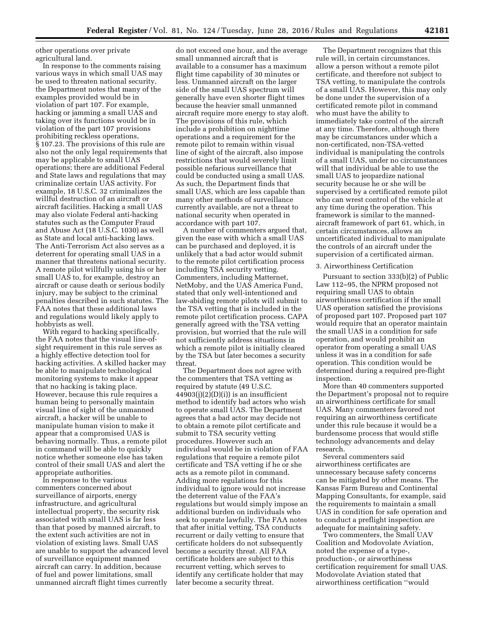other operations over private agricultural land.

In response to the comments raising various ways in which small UAS may be used to threaten national security, the Department notes that many of the examples provided would be in violation of part 107. For example, hacking or jamming a small UAS and taking over its functions would be in violation of the part 107 provisions prohibiting reckless operations, § 107.23. The provisions of this rule are also not the only legal requirements that may be applicable to small UAS operations; there are additional Federal and State laws and regulations that may criminalize certain UAS activity. For example, 18 U.S.C. 32 criminalizes the willful destruction of an aircraft or aircraft facilities. Hacking a small UAS may also violate Federal anti-hacking statutes such as the Computer Fraud and Abuse Act (18 U.S.C. 1030) as well as State and local anti-hacking laws. The Anti-Terrorism Act also serves as a deterrent for operating small UAS in a manner that threatens national security. A remote pilot willfully using his or her small UAS to, for example, destroy an aircraft or cause death or serious bodily injury, may be subject to the criminal penalties described in such statutes. The FAA notes that these additional laws and regulations would likely apply to hobbyists as well.

With regard to hacking specifically, the FAA notes that the visual line-ofsight requirement in this rule serves as a highly effective detection tool for hacking activities. A skilled hacker may be able to manipulate technological monitoring systems to make it appear that no hacking is taking place. However, because this rule requires a human being to personally maintain visual line of sight of the unmanned aircraft, a hacker will be unable to manipulate human vision to make it appear that a compromised UAS is behaving normally. Thus, a remote pilot in command will be able to quickly notice whether someone else has taken control of their small UAS and alert the appropriate authorities.

In response to the various commenters concerned about surveillance of airports, energy infrastructure, and agricultural intellectual property, the security risk associated with small UAS is far less than that posed by manned aircraft, to the extent such activities are not in violation of existing laws. Small UAS are unable to support the advanced level of surveillance equipment manned aircraft can carry. In addition, because of fuel and power limitations, small unmanned aircraft flight times currently

do not exceed one hour, and the average small unmanned aircraft that is available to a consumer has a maximum flight time capability of 30 minutes or less. Unmanned aircraft on the larger side of the small UAS spectrum will generally have even shorter flight times because the heavier small unmanned aircraft require more energy to stay aloft. The provisions of this rule, which include a prohibition on nighttime operations and a requirement for the remote pilot to remain within visual line of sight of the aircraft, also impose restrictions that would severely limit possible nefarious surveillance that could be conducted using a small UAS. As such, the Department finds that small UAS, which are less capable than many other methods of surveillance currently available, are not a threat to national security when operated in accordance with part 107.

A number of commenters argued that, given the ease with which a small UAS can be purchased and deployed, it is unlikely that a bad actor would submit to the remote pilot certification process including TSA security vetting. Commenters, including Matternet, NetMoby, and the UAS America Fund, stated that only well-intentioned and law-abiding remote pilots will submit to the TSA vetting that is included in the remote pilot certification process. CAPA generally agreed with the TSA vetting provision, but worried that the rule will not sufficiently address situations in which a remote pilot is initially cleared by the TSA but later becomes a security threat.

The Department does not agree with the commenters that TSA vetting as required by statute (49 U.S.C.  $44903(i)(2)(D)(i)$  is an insufficient method to identify bad actors who wish to operate small UAS. The Department agrees that a bad actor may decide not to obtain a remote pilot certificate and submit to TSA security vetting procedures. However such an individual would be in violation of FAA regulations that require a remote pilot certificate and TSA vetting if he or she acts as a remote pilot in command. Adding more regulations for this individual to ignore would not increase the deterrent value of the FAA's regulations but would simply impose an additional burden on individuals who seek to operate lawfully. The FAA notes that after initial vetting, TSA conducts recurrent or daily vetting to ensure that certificate holders do not subsequently become a security threat. All FAA certificate holders are subject to this recurrent vetting, which serves to identify any certificate holder that may later become a security threat.

The Department recognizes that this rule will, in certain circumstances, allow a person without a remote pilot certificate, and therefore not subject to TSA vetting, to manipulate the controls of a small UAS. However, this may only be done under the supervision of a certificated remote pilot in command who must have the ability to immediately take control of the aircraft at any time. Therefore, although there may be circumstances under which a non-certificated, non-TSA-vetted individual is manipulating the controls of a small UAS, under no circumstances will that individual be able to use the small UAS to jeopardize national security because he or she will be supervised by a certificated remote pilot who can wrest control of the vehicle at any time during the operation. This framework is similar to the mannedaircraft framework of part 61, which, in certain circumstances, allows an uncertificated individual to manipulate the controls of an aircraft under the supervision of a certificated airman.

### 3. Airworthiness Certification

Pursuant to section 333(b)(2) of Public Law 112–95, the NPRM proposed not requiring small UAS to obtain airworthiness certification if the small UAS operation satisfied the provisions of proposed part 107. Proposed part 107 would require that an operator maintain the small UAS in a condition for safe operation, and would prohibit an operator from operating a small UAS unless it was in a condition for safe operation. This condition would be determined during a required pre-flight inspection.

More than 40 commenters supported the Department's proposal not to require an airworthiness certificate for small UAS. Many commenters favored not requiring an airworthiness certificate under this rule because it would be a burdensome process that would stifle technology advancements and delay research.

Several commenters said airworthiness certificates are unnecessary because safety concerns can be mitigated by other means. The Kansas Farm Bureau and Continental Mapping Consultants, for example, said the requirements to maintain a small UAS in condition for safe operation and to conduct a preflight inspection are adequate for maintaining safety.

Two commenters, the Small UAV Coalition and Modovolate Aviation, noted the expense of a type-, production-, or airworthiness certification requirement for small UAS. Modovolate Aviation stated that airworthiness certification ''would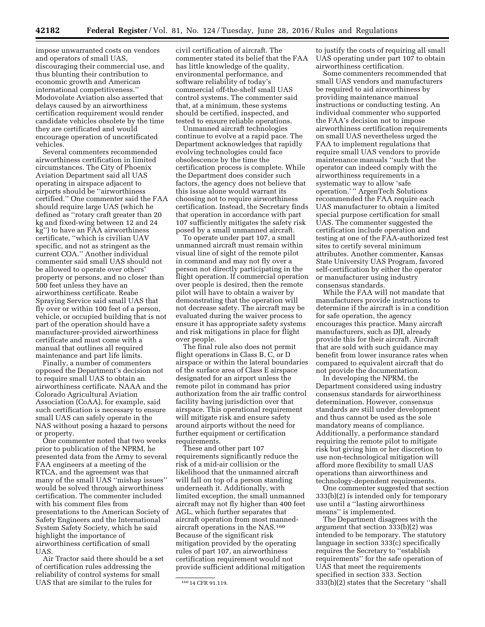impose unwarranted costs on vendors and operators of small UAS, discouraging their commercial use, and thus blunting their contribution to economic growth and American international competitiveness.'' Modovolate Aviation also asserted that delays caused by an airworthiness certification requirement would render candidate vehicles obsolete by the time they are certificated and would encourage operation of uncertificated vehicles.

Several commenters recommended airworthiness certification in limited circumstances. The City of Phoenix Aviation Department said all UAS operating in airspace adjacent to airports should be ''airworthiness certified.'' One commenter said the FAA should require large UAS (which he defined as ''rotary craft greater than 20 kg and fixed-wing between 12 and 24 kg'') to have an FAA airworthiness certificate, ''which is civilian UAV specific, and not as stringent as the current COA.'' Another individual commenter said small UAS should not be allowed to operate over others' property or persons, and no closer than 500 feet unless they have an airworthiness certificate. Reabe Spraying Service said small UAS that fly over or within 100 feet of a person, vehicle, or occupied building that is not part of the operation should have a manufacturer-provided airworthiness certificate and must come with a manual that outlines all required maintenance and part life limits.

Finally, a number of commenters opposed the Department's decision not to require small UAS to obtain an airworthiness certificate. NAAA and the Colorado Agricultural Aviation Association (CoAA), for example, said such certification is necessary to ensure small UAS can safely operate in the NAS without posing a hazard to persons or property.

One commenter noted that two weeks prior to publication of the NPRM, he presented data from the Army to several FAA engineers at a meeting of the RTCA, and the agreement was that many of the small UAS ''mishap issues'' would be solved through airworthiness certification. The commenter included with his comment files from presentations to the American Society of Safety Engineers and the International System Safety Society, which he said highlight the importance of airworthiness certification of small UAS.

Air Tractor said there should be a set of certification rules addressing the reliability of control systems for small UAS that are similar to the rules for

civil certification of aircraft. The commenter stated its belief that the FAA has little knowledge of the quality, environmental performance, and software reliability of today's commercial off-the-shelf small UAS control systems. The commenter said that, at a minimum, these systems should be certified, inspected, and tested to ensure reliable operations.

Unmanned aircraft technologies continue to evolve at a rapid pace. The Department acknowledges that rapidly evolving technologies could face obsolescence by the time the certification process is complete. While the Department does consider such factors, the agency does not believe that this issue alone would warrant its choosing not to require airworthiness certification. Instead, the Secretary finds that operation in accordance with part 107 sufficiently mitigates the safety risk posed by a small unmanned aircraft.

To operate under part 107, a small unmanned aircraft must remain within visual line of sight of the remote pilot in command and may not fly over a person not directly participating in the flight operation. If commercial operation over people is desired, then the remote pilot will have to obtain a waiver by demonstrating that the operation will not decrease safety. The aircraft may be evaluated during the waiver process to ensure it has appropriate safety systems and risk mitigations in place for flight over people.

The final rule also does not permit flight operations in Class B, C, or D airspace or within the lateral boundaries of the surface area of Class E airspace designated for an airport unless the remote pilot in command has prior authorization from the air traffic control facility having jurisdiction over that airspace. This operational requirement will mitigate risk and ensure safety around airports without the need for further equipment or certification requirements.

These and other part 107 requirements significantly reduce the risk of a mid-air collision or the likelihood that the unmanned aircraft will fall on top of a person standing underneath it. Additionally, with limited exception, the small unmanned aircraft may not fly higher than 400 feet AGL, which further separates that aircraft operation from most mannedaircraft operations in the NAS.160 Because of the significant risk mitigation provided by the operating rules of part 107, an airworthiness certification requirement would not provide sufficient additional mitigation

to justify the costs of requiring all small UAS operating under part 107 to obtain airworthiness certification.

Some commenters recommended that small UAS vendors and manufacturers be required to aid airworthiness by providing maintenance manual instructions or conducting testing. An individual commenter who supported the FAA's decision not to impose airworthiness certification requirements on small UAS nevertheless urged the FAA to implement regulations that require small UAS vendors to provide maintenance manuals ''such that the operator can indeed comply with the airworthiness requirements in a systematic way to allow 'safe operation.' '' ArgenTech Solutions recommended the FAA require each UAS manufacturer to obtain a limited special purpose certification for small UAS. The commenter suggested the certification include operation and testing at one of the FAA-authorized test sites to certify several minimum attributes. Another commenter, Kansas State University UAS Program, favored self-certification by either the operator or manufacturer using industry consensus standards.

While the FAA will not mandate that manufacturers provide instructions to determine if the aircraft is in a condition for safe operation, the agency encourages this practice. Many aircraft manufacturers, such as DJI, already provide this for their aircraft. Aircraft that are sold with such guidance may benefit from lower insurance rates when compared to equivalent aircraft that do not provide the documentation.

In developing the NPRM, the Department considered using industry consensus standards for airworthiness determination. However, consensus standards are still under development and thus cannot be used as the sole mandatory means of compliance. Additionally, a performance standard requiring the remote pilot to mitigate risk but giving him or her discretion to use non-technological mitigation will afford more flexibility to small UAS operations than airworthiness and technology-dependent requirements.

One commenter suggested that section 333(b)(2) is intended only for temporary use until a ''lasting airworthiness means'' is implemented.

The Department disagrees with the argument that section 333(b)(2) was intended to be temporary. The statutory language in section 333(c) specifically requires the Secretary to ''establish requirements'' for the safe operation of UAS that meet the requirements specified in section 333. Section 333(b)(2) states that the Secretary ''shall

<sup>160</sup> 14 CFR 91.119.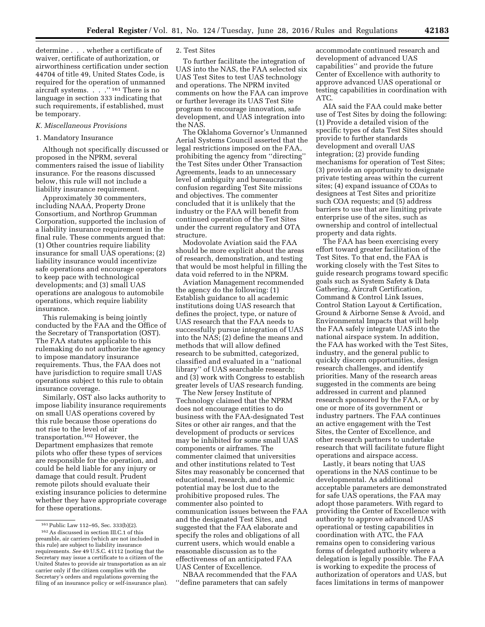determine . . . whether a certificate of waiver, certificate of authorization, or airworthiness certification under section 44704 of title 49, United States Code, is required for the operation of unmanned aircraft systems.  $\overline{\cdot}$  . . . "  $^{161}$  There is no language in section 333 indicating that such requirements, if established, must be temporary.

# *K. Miscellaneous Provisions*

### 1. Mandatory Insurance

Although not specifically discussed or proposed in the NPRM, several commenters raised the issue of liability insurance. For the reasons discussed below, this rule will not include a liability insurance requirement.

Approximately 30 commenters, including NAAA, Property Drone Consortium, and Northrop Grumman Corporation, supported the inclusion of a liability insurance requirement in the final rule. These comments argued that: (1) Other countries require liability insurance for small UAS operations; (2) liability insurance would incentivize safe operations and encourage operators to keep pace with technological developments; and (3) small UAS operations are analogous to automobile operations, which require liability insurance.

This rulemaking is being jointly conducted by the FAA and the Office of the Secretary of Transportation (OST). The FAA statutes applicable to this rulemaking do not authorize the agency to impose mandatory insurance requirements. Thus, the FAA does not have jurisdiction to require small UAS operations subject to this rule to obtain insurance coverage.

Similarly, OST also lacks authority to impose liability insurance requirements on small UAS operations covered by this rule because those operations do not rise to the level of air transportation.162 However, the Department emphasizes that remote pilots who offer these types of services are responsible for the operation, and could be held liable for any injury or damage that could result. Prudent remote pilots should evaluate their existing insurance policies to determine whether they have appropriate coverage for these operations.

## 2. Test Sites

To further facilitate the integration of UAS into the NAS, the FAA selected six UAS Test Sites to test UAS technology and operations. The NPRM invited comments on how the FAA can improve or further leverage its UAS Test Site program to encourage innovation, safe development, and UAS integration into the NAS.

The Oklahoma Governor's Unmanned Aerial Systems Council asserted that the legal restrictions imposed on the FAA, prohibiting the agency from ''directing'' the Test Sites under Other Transaction Agreements, leads to an unnecessary level of ambiguity and bureaucratic confusion regarding Test Site missions and objectives. The commenter concluded that it is unlikely that the industry or the FAA will benefit from continued operation of the Test Sites under the current regulatory and OTA structure.

Modovolate Aviation said the FAA should be more explicit about the areas of research, demonstration, and testing that would be most helpful in filling the data void referred to in the NPRM.

Aviation Management recommended the agency do the following: (1) Establish guidance to all academic institutions doing UAS research that defines the project, type, or nature of UAS research that the FAA needs to successfully pursue integration of UAS into the NAS; (2) define the means and methods that will allow defined research to be submitted, categorized, classified and evaluated in a ''national library'' of UAS searchable research; and (3) work with Congress to establish greater levels of UAS research funding.

The New Jersey Institute of Technology claimed that the NPRM does not encourage entities to do business with the FAA-designated Test Sites or other air ranges, and that the development of products or services may be inhibited for some small UAS components or airframes. The commenter claimed that universities and other institutions related to Test Sites may reasonably be concerned that educational, research, and academic potential may be lost due to the prohibitive proposed rules. The commenter also pointed to communication issues between the FAA and the designated Test Sites, and suggested that the FAA elaborate and specify the roles and obligations of all current users, which would enable a reasonable discussion as to the effectiveness of an anticipated FAA UAS Center of Excellence.

NBAA recommended that the FAA ''define parameters that can safely

accommodate continued research and development of advanced UAS capabilities'' and provide the future Center of Excellence with authority to approve advanced UAS operational or testing capabilities in coordination with ATC.

AIA said the FAA could make better use of Test Sites by doing the following: (1) Provide a detailed vision of the specific types of data Test Sites should provide to further standards development and overall UAS integration; (2) provide funding mechanisms for operation of Test Sites; (3) provide an opportunity to designate private testing areas within the current sites; (4) expand issuance of COAs to designees at Test Sites and prioritize such COA requests; and (5) address barriers to use that are limiting private enterprise use of the sites, such as ownership and control of intellectual property and data rights.

The FAA has been exercising every effort toward greater facilitation of the Test Sites. To that end, the FAA is working closely with the Test Sites to guide research programs toward specific goals such as System Safety & Data Gathering, Aircraft Certification, Command & Control Link Issues, Control Station Layout & Certification, Ground & Airborne Sense & Avoid, and Environmental Impacts that will help the FAA safely integrate UAS into the national airspace system. In addition, the FAA has worked with the Test Sites, industry, and the general public to quickly discern opportunities, design research challenges, and identify priorities. Many of the research areas suggested in the comments are being addressed in current and planned research sponsored by the FAA, or by one or more of its government or industry partners. The FAA continues an active engagement with the Test Sites, the Center of Excellence, and other research partners to undertake research that will facilitate future flight operations and airspace access.

Lastly, it bears noting that UAS operations in the NAS continue to be developmental. As additional acceptable parameters are demonstrated for safe UAS operations, the FAA may adopt those parameters. With regard to providing the Center of Excellence with authority to approve advanced UAS operational or testing capabilities in coordination with ATC, the FAA remains open to considering various forms of delegated authority where a delegation is legally possible. The FAA is working to expedite the process of authorization of operators and UAS, but faces limitations in terms of manpower

<sup>161</sup>Public Law 112–95, Sec. 333(b)(2).

<sup>162</sup>As discussed in section III.C.1 of this preamble, air carriers (which are not included in this rule) are subject to liability insurance requirements. *See* 49 U.S.C. 41112 (noting that the Secretary may issue a certificate to a citizen of the United States to provide air transportation as an air carrier only if the citizen complies with the Secretary's orders and regulations governing the filing of an insurance policy or self-insurance plan).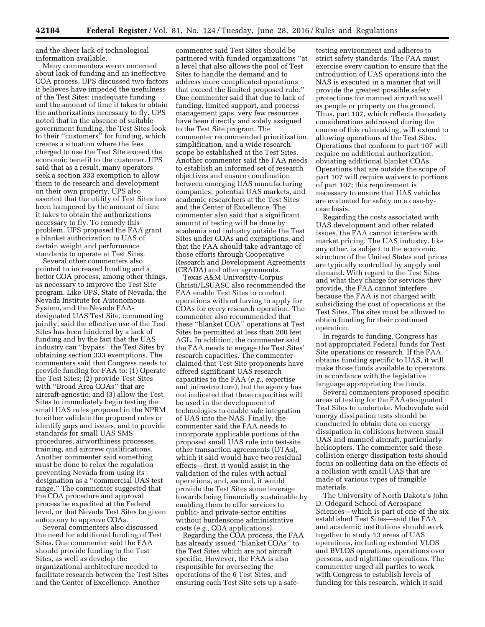and the sheer lack of technological information available.

Many commenters were concerned about lack of funding and an ineffective COA process. UPS discussed two factors it believes have impeded the usefulness of the Test Sites: inadequate funding and the amount of time it takes to obtain the authorizations necessary to fly. UPS noted that in the absence of suitable government funding, the Test Sites look to their ''customers'' for funding, which creates a situation where the fees charged to use the Test Site exceed the economic benefit to the customer. UPS said that as a result, many operators seek a section 333 exemption to allow them to do research and development on their own property. UPS also asserted that the utility of Test Sites has been hampered by the amount of time it takes to obtain the authorizations necessary to fly. To remedy this problem, UPS proposed the FAA grant a blanket authorization to UAS of certain weight and performance standards to operate at Test Sites.

Several other commenters also pointed to increased funding and a better COA process, among other things, as necessary to improve the Test Site program. Like UPS, State of Nevada, the Nevada Institute for Autonomous System, and the Nevada FAAdesignated UAS Test Site, commenting jointly, said the effective use of the Test Sites has been hindered by a lack of funding and by the fact that the UAS industry can ''bypass'' the Test Sites by obtaining section 333 exemptions. The commenters said that Congress needs to provide funding for FAA to: (1) Operate the Test Sites; (2) provide Test Sites with ''Broad Area COAs'' that are aircraft-agnostic; and (3) allow the Test Sites to immediately begin testing the small UAS rules proposed in the NPRM to either validate the proposed rules or identify gaps and issues, and to provide standards for small UAS SMS procedures, airworthiness processes, training, and aircrew qualifications. Another commenter said something must be done to relax the regulation preventing Nevada from using its designation as a ''commercial UAS test range.'' The commenter suggested that the COA procedure and approval process be expedited at the Federal level, or that Nevada Test Sites be given autonomy to approve COAs.

Several commenters also discussed the need for additional funding of Test Sites. One commenter said the FAA should provide funding to the Test Sites, as well as develop the organizational architecture needed to facilitate research between the Test Sites and the Center of Excellence. Another

commenter said Test Sites should be partnered with funded organizations ''at a level that also allows the pool of Test Sites to handle the demand and to address more complicated operations that exceed the limited proposed rule.'' One commenter said that due to lack of funding, limited support, and process management gaps, very few resources have been directly and solely assigned to the Test Site program. The commenter recommended prioritization, simplification, and a wide research scope be established at the Test Sites. Another commenter said the FAA needs to establish an informed set of research objectives and ensure coordination between emerging UAS manufacturing companies, potential UAS markets, and academic researchers at the Test Sites and the Center of Excellence. The commenter also said that a significant amount of testing will be done by academia and industry outside the Test Sites under COAs and exemptions, and that the FAA should take advantage of those efforts through Cooperative Research and Development Agreements (CRADA) and other agreements.

Texas A&M University-Corpus Christi/LSUASC also recommended the FAA enable Test Sites to conduct operations without having to apply for COAs for every research operation. The commenter also recommended that these ''blanket COA'' operations at Test Sites be permitted at less than 200 feet AGL. In addition, the commenter said the FAA needs to engage the Test Sites' research capacities. The commenter claimed that Test Site proponents have offered significant UAS research capacities to the FAA (*e.g.,* expertise and infrastructure), but the agency has not indicated that these capacities will be used in the development of technologies to enable safe integration of UAS into the NAS. Finally, the commenter said the FAA needs to incorporate applicable portions of the proposed small UAS rule into test-site other transaction agreements (OTAs), which it said would have two residual effects—first, it would assist in the validation of the rules with actual operations, and, second, it would provide the Test Sites some leverage towards being financially sustainable by enabling them to offer services to public- and private-sector entities without burdensome administrative costs (*e.g.,* COA applications).

Regarding the COA process, the FAA has already issued ''blanket COAs'' to the Test Sites which are not aircraft specific. However, the FAA is also responsible for overseeing the operations of the 6 Test Sites, and ensuring each Test Site sets up a safe-

testing environment and adheres to strict safety standards. The FAA must exercise every caution to ensure that the introduction of UAS operations into the NAS is executed in a manner that will provide the greatest possible safety protections for manned aircraft as well as people or property on the ground. Thus, part 107, which reflects the safety considerations addressed during the course of this rulemaking, will extend to allowing operations at the Test Sites. Operations that conform to part 107 will require no additional authorization, obviating additional blanket COAs. Operations that are outside the scope of part 107 will require waivers to portions of part 107; this requirement is necessary to ensure that UAS vehicles are evaluated for safety on a case-bycase basis.

Regarding the costs associated with UAS development and other related issues, the FAA cannot interfere with market pricing. The UAS industry, like any other, is subject to the economic structure of the United States and prices are typically controlled by supply and demand. With regard to the Test Sites and what they charge for services they provide, the FAA cannot interfere because the FAA is not charged with subsidizing the cost of operations at the Test Sites. The sites must be allowed to obtain funding for their continued operation.

In regards to funding, Congress has not appropriated Federal funds for Test Site operations or research. If the FAA obtains funding specific to UAS, it will make those funds available to operators in accordance with the legislative language appropriating the funds.

Several commenters proposed specific areas of testing for the FAA-designated Test Sites to undertake. Modovolate said energy dissipation tests should be conducted to obtain data on energy dissipation in collisions between small UAS and manned aircraft, particularly helicopters. The commenter said these collision energy dissipation tests should focus on collecting data on the effects of a collision with small UAS that are made of various types of frangible materials.

The University of North Dakota's John D. Odegard School of Aerospace Sciences—which is part of one of the six established Test Sites—said the FAA and academic institutions should work together to study 13 areas of UAS operations, including extended VLOS and BVLOS operations, operations over persons, and nighttime operations. The commenter urged all parties to work with Congress to establish levels of funding for this research, which it said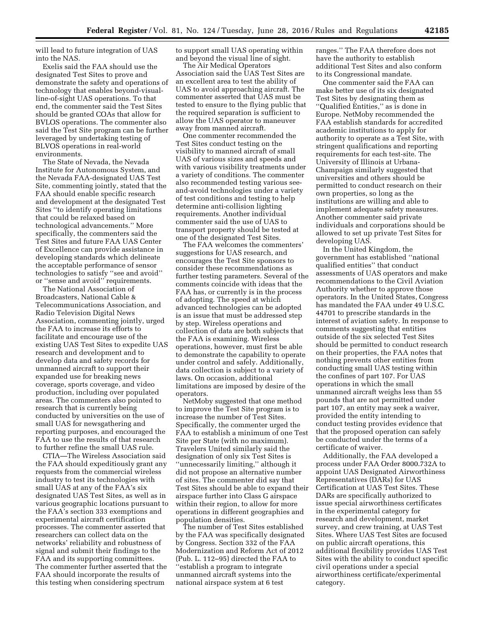will lead to future integration of UAS into the NAS.

Exelis said the FAA should use the designated Test Sites to prove and demonstrate the safety and operations of technology that enables beyond-visualline-of-sight UAS operations. To that end, the commenter said the Test Sites should be granted COAs that allow for BVLOS operations. The commenter also said the Test Site program can be further leveraged by undertaking testing of BLVOS operations in real-world environments.

The State of Nevada, the Nevada Institute for Autonomous System, and the Nevada FAA-designated UAS Test Site, commenting jointly, stated that the FAA should enable specific research and development at the designated Test Sites ''to identify operating limitations that could be relaxed based on technological advancements.'' More specifically, the commenters said the Test Sites and future FAA UAS Center of Excellence can provide assistance in developing standards which delineate the acceptable performance of sensor technologies to satisfy ''see and avoid'' or ''sense and avoid'' requirements.

The National Association of Broadcasters, National Cable & Telecommunications Association, and Radio Television Digital News Association, commenting jointly, urged the FAA to increase its efforts to facilitate and encourage use of the existing UAS Test Sites to expedite UAS research and development and to develop data and safety records for unmanned aircraft to support their expanded use for breaking news coverage, sports coverage, and video production, including over populated areas. The commenters also pointed to research that is currently being conducted by universities on the use of small UAS for newsgathering and reporting purposes, and encouraged the FAA to use the results of that research to further refine the small UAS rule.

CTIA—The Wireless Association said the FAA should expeditiously grant any requests from the commercial wireless industry to test its technologies with small UAS at any of the FAA's six designated UAS Test Sites, as well as in various geographic locations pursuant to the FAA's section 333 exemptions and experimental aircraft certification processes. The commenter asserted that researchers can collect data on the networks' reliability and robustness of signal and submit their findings to the FAA and its supporting committees. The commenter further asserted that the FAA should incorporate the results of this testing when considering spectrum

to support small UAS operating within and beyond the visual line of sight.

The Air Medical Operators Association said the UAS Test Sites are an excellent area to test the ability of UAS to avoid approaching aircraft. The commenter asserted that UAS must be tested to ensure to the flying public that the required separation is sufficient to allow the UAS operator to maneuver away from manned aircraft.

One commenter recommended the Test Sites conduct testing on the visibility to manned aircraft of small UAS of various sizes and speeds and with various visibility treatments under a variety of conditions. The commenter also recommended testing various seeand-avoid technologies under a variety of test conditions and testing to help determine anti-collision lighting requirements. Another individual commenter said the use of UAS to transport property should be tested at one of the designated Test Sites.

The FAA welcomes the commenters' suggestions for UAS research, and encourages the Test Site sponsors to consider these recommendations as further testing parameters. Several of the comments coincide with ideas that the FAA has, or currently is in the process of adopting. The speed at which advanced technologies can be adopted is an issue that must be addressed step by step. Wireless operations and collection of data are both subjects that the FAA is examining. Wireless operations, however, must first be able to demonstrate the capability to operate under control and safely. Additionally, data collection is subject to a variety of laws. On occasion, additional limitations are imposed by desire of the operators.

NetMoby suggested that one method to improve the Test Site program is to increase the number of Test Sites. Specifically, the commenter urged the FAA to establish a minimum of one Test Site per State (with no maximum). Travelers United similarly said the designation of only six Test Sites is ''unnecessarily limiting,'' although it did not propose an alternative number of sites. The commenter did say that Test Sites should be able to expand their airspace further into Class G airspace within their region, to allow for more operations in different geographies and population densities.

The number of Test Sites established by the FAA was specifically designated by Congress. Section 332 of the FAA Modernization and Reform Act of 2012 (Pub. L. 112–95) directed the FAA to ''establish a program to integrate unmanned aircraft systems into the national airspace system at 6 test

ranges.'' The FAA therefore does not have the authority to establish additional Test Sites and also conform to its Congressional mandate.

One commenter said the FAA can make better use of its six designated Test Sites by designating them as ''Qualified Entities,'' as is done in Europe. NetMoby recommended the FAA establish standards for accredited academic institutions to apply for authority to operate as a Test Site, with stringent qualifications and reporting requirements for each test-site. The University of Illinois at Urbana-Champaign similarly suggested that universities and others should be permitted to conduct research on their own properties, so long as the institutions are willing and able to implement adequate safety measures. Another commenter said private individuals and corporations should be allowed to set up private Test Sites for developing UAS.

In the United Kingdom, the government has established ''national qualified entities'' that conduct assessments of UAS operators and make recommendations to the Civil Aviation Authority whether to approve those operators. In the United States, Congress has mandated the FAA under 49 U.S.C. 44701 to prescribe standards in the interest of aviation safety. In response to comments suggesting that entities outside of the six selected Test Sites should be permitted to conduct research on their properties, the FAA notes that nothing prevents other entities from conducting small UAS testing within the confines of part 107. For UAS operations in which the small unmanned aircraft weighs less than 55 pounds that are not permitted under part 107, an entity may seek a waiver, provided the entity intending to conduct testing provides evidence that that the proposed operation can safely be conducted under the terms of a certificate of waiver.

Additionally, the FAA developed a process under FAA Order 8000.732A to appoint UAS Designated Airworthiness Representatives (DARs) for UAS Certification at UAS Test Sites. These DARs are specifically authorized to issue special airworthiness certificates in the experimental category for research and development, market survey, and crew training, at UAS Test Sites. Where UAS Test Sites are focused on public aircraft operations, this additional flexibility provides UAS Test Sites with the ability to conduct specific civil operations under a special airworthiness certificate/experimental category.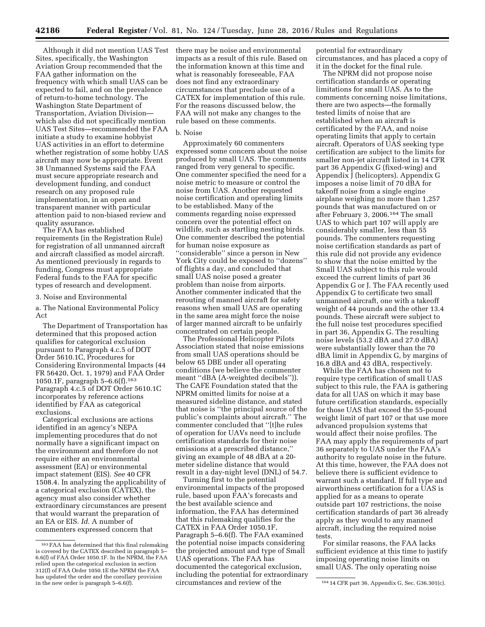Sites, specifically, the Washington Aviation Group recommended that the FAA gather information on the frequency with which small UAS can be expected to fail, and on the prevalence of return-to-home technology. The Washington State Department of Transportation, Aviation Division which also did not specifically mention UAS Test Sites—recommended the FAA initiate a study to examine hobbyist UAS activities in an effort to determine whether registration of some hobby UAS aircraft may now be appropriate. Event 38 Unmanned Systems said the FAA must secure appropriate research and development funding, and conduct research on any proposed rule implementation, in an open and transparent manner with particular attention paid to non-biased review and quality assurance.

The FAA has established requirements (in the Registration Rule) for registration of all unmanned aircraft and aircraft classified as model aircraft. As mentioned previously in regards to funding, Congress must appropriate Federal funds to the FAA for specific types of research and development.

3. Noise and Environmental

a. The National Environmental Policy Act

The Department of Transportation has determined that this proposed action qualifies for categorical exclusion pursuant to Paragraph 4.c.5 of DOT Order 5610.1C, Procedures for Considering Environmental Impacts (44 FR 56420, Oct. 1, 1979) and FAA Order 1050.1F, paragraph 5–6.6(f).163 Paragraph 4.c.5 of DOT Order 5610.1C incorporates by reference actions identified by FAA as categorical exclusions.

Categorical exclusions are actions identified in an agency's NEPA implementing procedures that do not normally have a significant impact on the environment and therefore do not require either an environmental assessment (EA) or environmental impact statement (EIS). *See* 40 CFR 1508.4. In analyzing the applicability of a categorical exclusion (CATEX), the agency must also consider whether extraordinary circumstances are present that would warrant the preparation of an EA or EIS. *Id.* A number of commenters expressed concern that

Although it did not mention UAS Test there may be noise and environmental impacts as a result of this rule. Based on the information known at this time and what is reasonably foreseeable, FAA does not find any extraordinary circumstances that preclude use of a CATEX for implementation of this rule. For the reasons discussed below, the FAA will not make any changes to the rule based on these comments.

#### b. Noise

Approximately 60 commenters expressed some concern about the noise produced by small UAS. The comments ranged from very general to specific. One commenter specified the need for a noise metric to measure or control the noise from UAS. Another requested noise certification and operating limits to be established. Many of the comments regarding noise expressed concern over the potential effect on wildlife, such as startling nesting birds. One commenter described the potential for human noise exposure as ''considerable'' since a person in New York City could be exposed to ''dozens'' of flights a day, and concluded that small UAS noise posed a greater problem than noise from airports. Another commenter indicated that the rerouting of manned aircraft for safety reasons when small UAS are operating in the same area might force the noise of larger manned aircraft to be unfairly concentrated on certain people.

The Professional Helicopter Pilots Association stated that noise emissions from small UAS operations should be below 65 DBE under all operating conditions (we believe the commenter meant ''dBA (A-weighted decibels'')). The CAFE Foundation stated that the NPRM omitted limits for noise at a measured sideline distance, and stated that noise is ''the principal source of the public's complaints about aircraft.'' The commenter concluded that ''[t]he rules of operation for UAVs need to include certification standards for their noise emissions at a prescribed distance,'' giving an example of 48 dBA at a 20 meter sideline distance that would result in a day-night level (DNL) of 54.7.

Turning first to the potential environmental impacts of the proposed rule, based upon FAA's forecasts and the best available science and information, the FAA has determined that this rulemaking qualifies for the CATEX in FAA Order 1050.1F, Paragraph 5–6.6(f). The FAA examined the potential noise impacts considering the projected amount and type of Small UAS operations. The FAA has documented the categorical exclusion, including the potential for extraordinary circumstances and review of the

potential for extraordinary circumstances, and has placed a copy of it in the docket for the final rule.

The NPRM did not propose noise certification standards or operating limitations for small UAS. As to the comments concerning noise limitations, there are two aspects—the formally tested limits of noise that are established when an aircraft is certificated by the FAA, and noise operating limits that apply to certain aircraft. Operators of UAS seeking type certification are subject to the limits for smaller non-jet aircraft listed in 14 CFR part 36 Appendix G (fixed-wing) and Appendix J (helicopters). Appendix G imposes a noise limit of 70 dBA for takeoff noise from a single engine airplane weighing no more than 1,257 pounds that was manufactured on or after February 3, 2006.164 The small UAS to which part 107 will apply are considerably smaller, less than 55 pounds. The commenters requesting noise certification standards as part of this rule did not provide any evidence to show that the noise emitted by the Small UAS subject to this rule would exceed the current limits of part 36 Appendix G or J. The FAA recently used Appendix G to certificate two small unmanned aircraft, one with a takeoff weight of 44 pounds and the other 13.4 pounds. These aircraft were subject to the full noise test procedures specified in part 36, Appendix G. The resulting noise levels (53.2 dBA and 27.0 dBA) were substantially lower than the 70 dBA limit in Appendix G, by margins of 16.8 dBA and 43 dBA, respectively.

While the FAA has chosen not to require type certification of small UAS subject to this rule, the FAA is gathering data for all UAS on which it may base future certification standards, especially for those UAS that exceed the 55-pound weight limit of part 107 or that use more advanced propulsion systems that would affect their noise profiles. The FAA may apply the requirements of part 36 separately to UAS under the FAA's authority to regulate noise in the future. At this time, however, the FAA does not believe there is sufficient evidence to warrant such a standard. If full type and airworthiness certification for a UAS is applied for as a means to operate outside part 107 restrictions, the noise certification standards of part 36 already apply as they would to any manned aircraft, including the required noise tests.

For similar reasons, the FAA lacks sufficient evidence at this time to justify imposing operating noise limits on small UAS. The only operating noise

<sup>163</sup>FAA has determined that this final rulemaking is covered by the CATEX described in paragraph 5– 6.6(f) of FAA Order 1050.1F. In the NPRM, the FAA relied upon the categorical exclusion in section 312(f) of FAA Order 1050.1E the NPRM the FAA has updated the order and the corollary provision<br>in the new order is paragraph 5–6.6(f).

<sup>164 14</sup> CFR part 36, Appendix G, Sec. G36.301(c).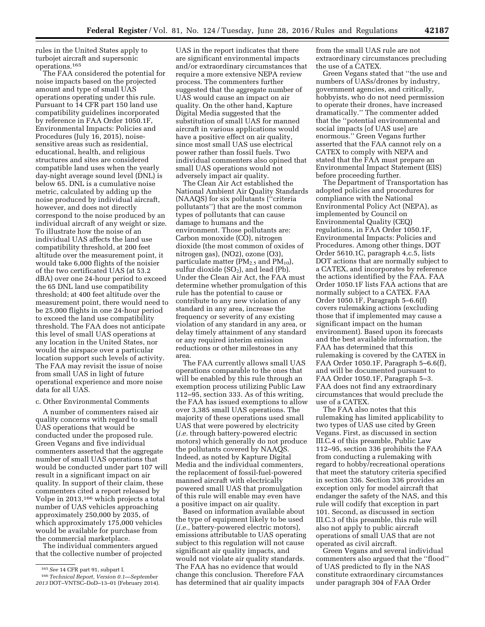rules in the United States apply to turbojet aircraft and supersonic operations.165

The FAA considered the potential for noise impacts based on the projected amount and type of small UAS operations operating under this rule. Pursuant to 14 CFR part 150 land use compatibility guidelines incorporated by reference in FAA Order 1050.1F, Environmental Impacts: Policies and Procedures (July 16, 2015), noisesensitive areas such as residential, educational, health, and religious structures and sites are considered compatible land uses when the yearly day-night average sound level (DNL) is below 65. DNL is a cumulative noise metric, calculated by adding up the noise produced by individual aircraft, however, and does not directly correspond to the noise produced by an individual aircraft of any weight or size. To illustrate how the noise of an individual UAS affects the land use compatibility threshold, at 200 feet altitude over the measurement point, it would take 6,000 flights of the noisier of the two certificated UAS (at 53.2 dBA) over one 24-hour period to exceed the 65 DNL land use compatibility threshold; at 400 feet altitude over the measurement point, there would need to be 25,000 flights in one 24-hour period to exceed the land use compatibility threshold. The FAA does not anticipate this level of small UAS operations at any location in the United States, nor would the airspace over a particular location support such levels of activity. The FAA may revisit the issue of noise from small UAS in light of future operational experience and more noise data for all UAS.

### c. Other Environmental Comments

A number of commenters raised air quality concerns with regard to small UAS operations that would be conducted under the proposed rule. Green Vegans and five individual commenters asserted that the aggregate number of small UAS operations that would be conducted under part 107 will result in a significant impact on air quality. In support of their claim, these commenters cited a report released by Volpe in 2013,166 which projects a total number of UAS vehicles approaching approximately 250,000 by 2035, of which approximately 175,000 vehicles would be available for purchase from the commercial marketplace.

The individual commenters argued that the collective number of projected

UAS in the report indicates that there are significant environmental impacts and/or extraordinary circumstances that require a more extensive NEPA review process. The commenters further suggested that the aggregate number of UAS would cause an impact on air quality. On the other hand, Kapture Digital Media suggested that the substitution of small UAS for manned aircraft in various applications would have a positive effect on air quality, since most small UAS use electrical power rather than fossil fuels. Two individual commenters also opined that small UAS operations would not adversely impact air quality.

The Clean Air Act established the National Ambient Air Quality Standards (NAAQS) for six pollutants (''criteria pollutants'') that are the most common types of pollutants that can cause damage to humans and the environment. Those pollutants are: Carbon monoxide (CO), nitrogen dioxide (the most common of oxides of nitrogen gas), (NO2), ozone (O3), particulate matter ( $PM_{2.5}$  and  $PM_{10}$ ), sulfur dioxide  $(SO<sub>2</sub>)$ , and lead (Pb). Under the Clean Air Act, the FAA must determine whether promulgation of this rule has the potential to cause or contribute to any new violation of any standard in any area, increase the frequency or severity of any existing violation of any standard in any area, or delay timely attainment of any standard or any required interim emission reductions or other milestones in any area.

The FAA currently allows small UAS operations comparable to the ones that will be enabled by this rule through an exemption process utilizing Public Law 112–95, section 333. As of this writing, the FAA has issued exemptions to allow over 3,385 small UAS operations. The majority of these operations used small UAS that were powered by electricity (*i.e.* through battery-powered electric motors) which generally do not produce the pollutants covered by NAAQS. Indeed, as noted by Kapture Digital Media and the individual commenters, the replacement of fossil-fuel-powered manned aircraft with electrically powered small UAS that promulgation of this rule will enable may even have a positive impact on air quality.

Based on information available about the type of equipment likely to be used (*i.e.,* battery-powered electric motors), emissions attributable to UAS operating subject to this regulation will not cause significant air quality impacts, and would not violate air quality standards. The FAA has no evidence that would change this conclusion. Therefore FAA has determined that air quality impacts

from the small UAS rule are not extraordinary circumstances precluding the use of a CATEX.

Green Vegans stated that ''the use and numbers of UASs/drones by industry, government agencies, and critically, hobbyists, who do not need permission to operate their drones, have increased dramatically.'' The commenter added that the ''potential environmental and social impacts [of UAS use] are enormous.'' Green Vegans further asserted that the FAA cannot rely on a CATEX to comply with NEPA and stated that the FAA must prepare an Environmental Impact Statement (EIS) before proceeding further.

The Department of Transportation has adopted policies and procedures for compliance with the National Environmental Policy Act (NEPA), as implemented by Council on Environmental Quality (CEQ) regulations, in FAA Order 1050.1F, Environmental Impacts: Policies and Procedures. Among other things, DOT Order 5610.1C, paragraph 4.c.5, lists DOT actions that are normally subject to a CATEX, and incorporates by reference the actions identified by the FAA. FAA Order 1050.1F lists FAA actions that are normally subject to a CATEX. FAA Order 1050.1F, Paragraph 5–6.6(f) covers rulemaking actions (excluding those that if implemented may cause a significant impact on the human environment). Based upon its forecasts and the best available information, the FAA has determined that this rulemaking is covered by the CATEX in FAA Order 1050.1F, Paragraph 5–6.6(f), and will be documented pursuant to FAA Order 1050.1F, Paragraph 5–3. FAA does not find any extraordinary circumstances that would preclude the use of a CATEX.

The FAA also notes that this rulemaking has limited applicability to two types of UAS use cited by Green Vegans. First, as discussed in section III.C.4 of this preamble, Public Law 112–95, section 336 prohibits the FAA from conducting a rulemaking with regard to hobby/recreational operations that meet the statutory criteria specified in section 336. Section 336 provides an exception only for model aircraft that endanger the safety of the NAS, and this rule will codify that exception in part 101. Second, as discussed in section III.C.3 of this preamble, this rule will also not apply to public aircraft operations of small UAS that are not operated as civil aircraft.

Green Vegans and several individual commenters also argued that the ''flood'' of UAS predicted to fly in the NAS constitute extraordinary circumstances under paragraph 304 of FAA Order

<sup>165</sup>*See* 14 CFR part 91, subpart I.

<sup>166</sup>*Technical Report, Version 0.1—September 2013* DOT–VNTSC–DoD–13–01 (February 2014).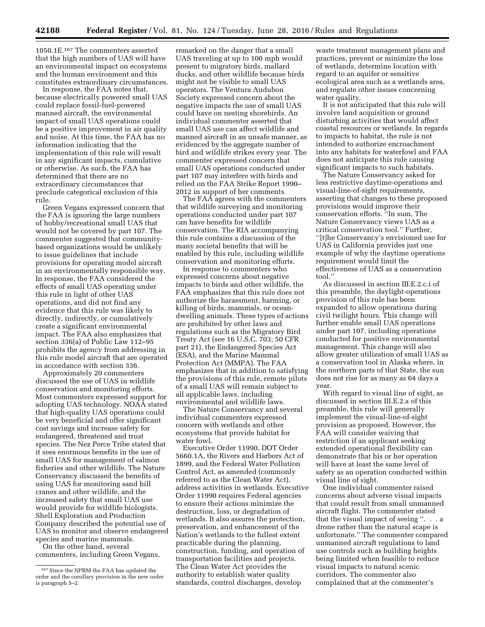1050.1E.167 The commenters asserted that the high numbers of UAS will have an environmental impact on ecosystems and the human environment and this constitutes extraordinary circumstances.

In response, the FAA notes that, because electrically powered small UAS could replace fossil-fuel-powered manned aircraft, the environmental impact of small UAS operations could be a positive improvement in air quality and noise. At this time, the FAA has no information indicating that the implementation of this rule will result in any significant impacts, cumulative or otherwise. As such, the FAA has determined that there are no extraordinary circumstances that preclude categorical exclusion of this rule.

Green Vegans expressed concern that the FAA is ignoring the large numbers of hobby/recreational small UAS that would not be covered by part 107. The commenter suggested that communitybased organizations would be unlikely to issue guidelines that include provisions for operating model aircraft in an environmentally responsible way. In response, the FAA considered the effects of small UAS operating under this rule in light of other UAS operations, and did not find any evidence that this rule was likely to directly, indirectly, or cumulatively create a significant environmental impact. The FAA also emphasizes that section 336(a) of Public Law 112–95 prohibits the agency from addressing in this rule model aircraft that are operated in accordance with section 336.

Approximately 20 commenters discussed the use of UAS in wildlife conservation and monitoring efforts. Most commenters expressed support for adopting UAS technology. NOAA stated that high-quality UAS operations could be very beneficial and offer significant cost savings and increase safety for endangered, threatened and trust species. The Nez Perce Tribe stated that it sees enormous benefits in the use of small UAS for management of salmon fisheries and other wildlife. The Nature Conservancy discussed the benefits of using UAS for monitoring sand hill cranes and other wildlife, and the increased safety that small UAS use would provide for wildlife biologists. Shell Exploration and Production Company described the potential use of UAS to monitor and observe endangered species and marine mammals.

On the other hand, several commenters, including Green Vegans,

remarked on the danger that a small UAS traveling at up to 100 mph would present to migratory birds, mallard ducks, and other wildlife because birds might not be visible to small UAS operators. The Ventura Audubon Society expressed concern about the negative impacts the use of small UAS could have on nesting shorebirds. An individual commenter asserted that small UAS use can affect wildlife and manned aircraft in an unsafe manner, as evidenced by the aggregate number of bird and wildlife strikes every year. The commenter expressed concern that small UAS operations conducted under part 107 may interfere with birds and relied on the FAA Strike Report 1990– 2012 in support of her comments.

The FAA agrees with the commenters that wildlife surveying and monitoring operations conducted under part 107 can have benefits for wildlife conservation. The RIA accompanying this rule contains a discussion of the many societal benefits that will be enabled by this rule, including wildlife conservation and monitoring efforts.

In response to commenters who expressed concerns about negative impacts to birds and other wildlife, the FAA emphasizes that this rule does not authorize the harassment, harming, or killing of birds, mammals, or oceandwelling animals. These types of actions are prohibited by other laws and regulations such as the Migratory Bird Treaty Act (see 16 U.S.C. 703; 50 CFR part 21), the Endangered Species Act (ESA), and the Marine Mammal Protection Act (MMPA). The FAA emphasizes that in addition to satisfying the provisions of this rule, remote pilots of a small UAS will remain subject to all applicable laws, including environmental and wildlife laws.

The Nature Conservancy and several individual commenters expressed concern with wetlands and other ecosystems that provide habitat for water fowl.

Executive Order 11990, DOT Order 5660.1A, the Rivers and Harbors Act of 1899, and the Federal Water Pollution Control Act, as amended (commonly referred to as the Clean Water Act), address activities in wetlands. Executive Order 11990 requires Federal agencies to ensure their actions minimize the destruction, loss, or degradation of wetlands. It also assures the protection, preservation, and enhancement of the Nation's wetlands to the fullest extent practicable during the planning, construction, funding, and operation of transportation facilities and projects. The Clean Water Act provides the authority to establish water quality standards, control discharges, develop

waste treatment management plans and practices, prevent or minimize the loss of wetlands, determine location with regard to an aquifer or sensitive ecological area such as a wetlands area, and regulate other issues concerning water quality.

It is not anticipated that this rule will involve land acquisition or ground disturbing activities that would affect coastal resources or wetlands. In regards to impacts to habitat, the rule is not intended to authorize encroachment into any habitats for waterfowl and FAA does not anticipate this rule causing significant impacts to such habitats.

The Nature Conservancy asked for less restrictive daytime-operations and visual-line-of-sight requirements, asserting that changes to these proposed provisions would improve their conservation efforts. ''In sum, The Nature Conservancy views UAS as a critical conservation tool.'' Further, ''[t]he Conservancy's envisioned use for UAS in California provides just one example of why the daytime operations requirement would limit the effectiveness of UAS as a conservation tool.''

As discussed in section III.E.2.c.i of this preamble, the daylight-operations provision of this rule has been expanded to allow operations during civil twilight hours. This change will further enable small UAS operations under part 107, including operations conducted for positive environmental management. This change will also allow greater utilization of small UAS as a conservation tool in Alaska where, in the northern parts of that State, the sun does not rise for as many as 64 days a year.

With regard to visual line of sight, as discussed in section III.E.2.a of this preamble, this rule will generally implement the visual-line-of-sight provision as proposed. However, the FAA will consider waiving that restriction if an applicant seeking extended operational flexibility can demonstrate that his or her operation will have at least the same level of safety as an operation conducted within visual line of sight.

One individual commenter raised concerns about adverse visual impacts that could result from small unmanned aircraft flight. The commenter stated that the visual impact of seeing ''. . . a drone rather than the natural scape is unfortunate.'' The commenter compared unmanned aircraft regulations to land use controls such as building heights being limited when feasible to reduce visual impacts to natural scenic corridors. The commenter also complained that at the commenter's

<sup>167</sup>Since the NPRM the FAA has updated the order and the corollary provision in the new order is paragraph 5–2.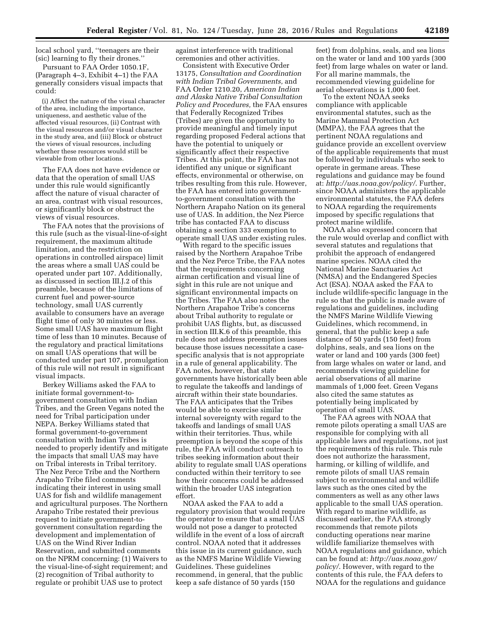local school yard, ''teenagers are their (sic) learning to fly their drones.''

Pursuant to FAA Order 1050.1F, (Paragraph 4–3, Exhibit 4–1) the FAA generally considers visual impacts that could:

(i) Affect the nature of the visual character of the area, including the importance, uniqueness, and aesthetic value of the affected visual resources, (ii) Contrast with the visual resources and/or visual character in the study area, and (iii) Block or obstruct the views of visual resources, including whether these resources would still be viewable from other locations.

The FAA does not have evidence or data that the operation of small UAS under this rule would significantly affect the nature of visual character of an area, contrast with visual resources, or significantly block or obstruct the views of visual resources.

The FAA notes that the provisions of this rule (such as the visual-line-of-sight requirement, the maximum altitude limitation, and the restriction on operations in controlled airspace) limit the areas where a small UAS could be operated under part 107. Additionally, as discussed in section III.J.2 of this preamble, because of the limitations of current fuel and power-source technology, small UAS currently available to consumers have an average flight time of only 30 minutes or less. Some small UAS have maximum flight time of less than 10 minutes. Because of the regulatory and practical limitations on small UAS operations that will be conducted under part 107, promulgation of this rule will not result in significant visual impacts.

Berkey Williams asked the FAA to initiate formal government-togovernment consultation with Indian Tribes, and the Green Vegans noted the need for Tribal participation under NEPA. Berkey Williams stated that formal government-to-government consultation with Indian Tribes is needed to properly identify and mitigate the impacts that small UAS may have on Tribal interests in Tribal territory. The Nez Perce Tribe and the Northern Arapaho Tribe filed comments indicating their interest in using small UAS for fish and wildlife management and agricultural purposes. The Northern Arapaho Tribe restated their previous request to initiate government-togovernment consultation regarding the development and implementation of UAS on the Wind River Indian Reservation, and submitted comments on the NPRM concerning: (1) Waivers to the visual-line-of-sight requirement; and (2) recognition of Tribal authority to regulate or prohibit UAS use to protect

against interference with traditional ceremonies and other activities.

Consistent with Executive Order 13175, *Consultation and Coordination with Indian Tribal Governments,* and FAA Order 1210.20, *American Indian and Alaska Native Tribal Consultation Policy and Procedures,* the FAA ensures that Federally Recognized Tribes (Tribes) are given the opportunity to provide meaningful and timely input regarding proposed Federal actions that have the potential to uniquely or significantly affect their respective Tribes. At this point, the FAA has not identified any unique or significant effects, environmental or otherwise, on tribes resulting from this rule. However, the FAA has entered into governmentto-government consultation with the Northern Arapaho Nation on its general use of UAS. In addition, the Nez Pierce tribe has contacted FAA to discuss obtaining a section 333 exemption to operate small UAS under existing rules.

With regard to the specific issues raised by the Northern Arapahoe Tribe and the Nez Perce Tribe, the FAA notes that the requirements concerning airman certification and visual line of sight in this rule are not unique and significant environmental impacts on the Tribes. The FAA also notes the Northern Arapahoe Tribe's concerns about Tribal authority to regulate or prohibit UAS flights, but, as discussed in section III.K.6 of this preamble, this rule does not address preemption issues because those issues necessitate a casespecific analysis that is not appropriate in a rule of general applicability. The FAA notes, however, that state governments have historically been able to regulate the takeoffs and landings of aircraft within their state boundaries. The FAA anticipates that the Tribes would be able to exercise similar internal sovereignty with regard to the takeoffs and landings of small UAS within their territories. Thus, while preemption is beyond the scope of this rule, the FAA will conduct outreach to tribes seeking information about their ability to regulate small UAS operations conducted within their territory to see how their concerns could be addressed within the broader UAS integration effort.

NOAA asked the FAA to add a regulatory provision that would require the operator to ensure that a small UAS would not pose a danger to protected wildlife in the event of a loss of aircraft control. NOAA noted that it addresses this issue in its current guidance, such as the NMFS Marine Wildlife Viewing Guidelines. These guidelines recommend, in general, that the public keep a safe distance of 50 yards (150

feet) from dolphins, seals, and sea lions on the water or land and 100 yards (300 feet) from large whales on water or land. For all marine mammals, the recommended viewing guideline for aerial observations is 1,000 feet.

To the extent NOAA seeks compliance with applicable environmental statutes, such as the Marine Mammal Protection Act (MMPA), the FAA agrees that the pertinent NOAA regulations and guidance provide an excellent overview of the applicable requirements that must be followed by individuals who seek to operate in germane areas. These regulations and guidance may be found at: *<http://uas.noaa.gov/policy/>*. Further, since NOAA administers the applicable environmental statutes, the FAA defers to NOAA regarding the requirements imposed by specific regulations that protect marine wildlife.

NOAA also expressed concern that the rule would overlap and conflict with several statutes and regulations that prohibit the approach of endangered marine species. NOAA cited the National Marine Sanctuaries Act (NMSA) and the Endangered Species Act (ESA). NOAA asked the FAA to include wildlife-specific language in the rule so that the public is made aware of regulations and guidelines, including the NMFS Marine Wildlife Viewing Guidelines, which recommend, in general, that the public keep a safe distance of 50 yards (150 feet) from dolphins, seals, and sea lions on the water or land and 100 yards (300 feet) from large whales on water or land, and recommends viewing guideline for aerial observations of all marine mammals of 1,000 feet. Green Vegans also cited the same statutes as potentially being implicated by operation of small UAS.

The FAA agrees with NOAA that remote pilots operating a small UAS are responsible for complying with all applicable laws and regulations, not just the requirements of this rule. This rule does not authorize the harassment, harming, or killing of wildlife, and remote pilots of small UAS remain subject to environmental and wildlife laws such as the ones cited by the commenters as well as any other laws applicable to the small UAS operation. With regard to marine wildlife, as discussed earlier, the FAA strongly recommends that remote pilots conducting operations near marine wildlife familiarize themselves with NOAA regulations and guidance, which can be found at: *[http://uas.noaa.gov/](http://uas.noaa.gov/policy/) [policy/](http://uas.noaa.gov/policy/)*. However, with regard to the contents of this rule, the FAA defers to NOAA for the regulations and guidance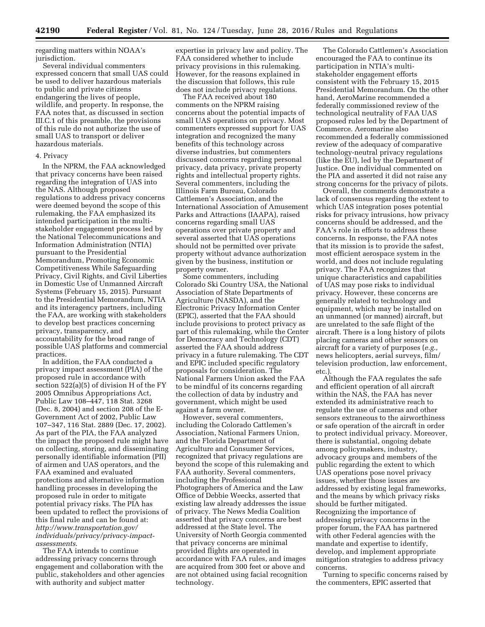regarding matters within NOAA's jurisdiction.

Several individual commenters expressed concern that small UAS could be used to deliver hazardous materials to public and private citizens endangering the lives of people, wildlife, and property. In response, the FAA notes that, as discussed in section III.C.1 of this preamble, the provisions of this rule do not authorize the use of small UAS to transport or deliver hazardous materials.

### 4. Privacy

In the NPRM, the FAA acknowledged that privacy concerns have been raised regarding the integration of UAS into the NAS. Although proposed regulations to address privacy concerns were deemed beyond the scope of this rulemaking, the FAA emphasized its intended participation in the multistakeholder engagement process led by the National Telecommunications and Information Administration (NTIA) pursuant to the Presidential Memorandum, Promoting Economic Competitiveness While Safeguarding Privacy, Civil Rights, and Civil Liberties in Domestic Use of Unmanned Aircraft Systems (February 15, 2015). Pursuant to the Presidential Memorandum, NTIA and its interagency partners, including the FAA, are working with stakeholders to develop best practices concerning privacy, transparency, and accountability for the broad range of possible UAS platforms and commercial practices.

In addition, the FAA conducted a privacy impact assessment (PIA) of the proposed rule in accordance with section 522(a)(5) of division H of the FY 2005 Omnibus Appropriations Act, Public Law 108–447, 118 Stat. 3268 (Dec. 8, 2004) and section 208 of the E-Government Act of 2002, Public Law 107–347, 116 Stat. 2889 (Dec. 17, 2002). As part of the PIA, the FAA analyzed the impact the proposed rule might have on collecting, storing, and disseminating personally identifiable information (PII) of airmen and UAS operators, and the FAA examined and evaluated protections and alternative information handling processes in developing the proposed rule in order to mitigate potential privacy risks. The PIA has been updated to reflect the provisions of this final rule and can be found at: *[http://www.transportation.gov/](http://www.transportation.gov/individuals/privacy/privacy-impact-assessments) [individuals/privacy/privacy-impact](http://www.transportation.gov/individuals/privacy/privacy-impact-assessments)[assessments](http://www.transportation.gov/individuals/privacy/privacy-impact-assessments)*.

The FAA intends to continue addressing privacy concerns through engagement and collaboration with the public, stakeholders and other agencies with authority and subject matter

expertise in privacy law and policy. The FAA considered whether to include privacy provisions in this rulemaking. However, for the reasons explained in the discussion that follows, this rule does not include privacy regulations.

The FAA received about 180 comments on the NPRM raising concerns about the potential impacts of small UAS operations on privacy. Most commenters expressed support for UAS integration and recognized the many benefits of this technology across diverse industries, but commenters discussed concerns regarding personal privacy, data privacy, private property rights and intellectual property rights. Several commenters, including the Illinois Farm Bureau, Colorado Cattlemen's Association, and the International Association of Amusement Parks and Attractions (IAAPA), raised concerns regarding small UAS operations over private property and several asserted that UAS operations should not be permitted over private property without advance authorization given by the business, institution or property owner.

Some commenters, including Colorado Ski Country USA, the National Association of State Departments of Agriculture (NASDA), and the Electronic Privacy Information Center (EPIC), asserted that the FAA should include provisions to protect privacy as part of this rulemaking, while the Center for Democracy and Technology (CDT) asserted the FAA should address privacy in a future rulemaking. The CDT and EPIC included specific regulatory proposals for consideration. The National Farmers Union asked the FAA to be mindful of its concerns regarding the collection of data by industry and government, which might be used against a farm owner.

However, several commenters, including the Colorado Cattlemen's Association, National Farmers Union, and the Florida Department of Agriculture and Consumer Services, recognized that privacy regulations are beyond the scope of this rulemaking and FAA authority. Several commenters, including the Professional Photographers of America and the Law Office of Debbie Weecks, asserted that existing law already addresses the issue of privacy. The News Media Coalition asserted that privacy concerns are best addressed at the State level. The University of North Georgia commented that privacy concerns are minimal provided flights are operated in accordance with FAA rules, and images are acquired from 300 feet or above and are not obtained using facial recognition technology.

The Colorado Cattlemen's Association encouraged the FAA to continue its participation in NTIA's multistakeholder engagement efforts consistent with the February 15, 2015 Presidential Memorandum. On the other hand, AeroMarine recommended a federally commissioned review of the technological neutrality of FAA UAS proposed rules led by the Department of Commerce. Aeromarine also recommended a federally commissioned review of the adequacy of comparative technology-neutral privacy regulations (like the EU), led by the Department of Justice. One individual commented on the PIA and asserted it did not raise any strong concerns for the privacy of pilots.

Overall, the comments demonstrate a lack of consensus regarding the extent to which UAS integration poses potential risks for privacy intrusions, how privacy concerns should be addressed, and the FAA's role in efforts to address these concerns. In response, the FAA notes that its mission is to provide the safest, most efficient aerospace system in the world, and does not include regulating privacy. The FAA recognizes that unique characteristics and capabilities of UAS may pose risks to individual privacy. However, these concerns are generally related to technology and equipment, which may be installed on an unmanned (or manned) aircraft, but are unrelated to the safe flight of the aircraft. There is a long history of pilots placing cameras and other sensors on aircraft for a variety of purposes (*e.g.,*  news helicopters, aerial surveys, film/ television production, law enforcement, etc.).

Although the FAA regulates the safe and efficient operation of all aircraft within the NAS, the FAA has never extended its administrative reach to regulate the use of cameras and other sensors extraneous to the airworthiness or safe operation of the aircraft in order to protect individual privacy. Moreover, there is substantial, ongoing debate among policymakers, industry, advocacy groups and members of the public regarding the extent to which UAS operations pose novel privacy issues, whether those issues are addressed by existing legal frameworks, and the means by which privacy risks should be further mitigated. Recognizing the importance of addressing privacy concerns in the proper forum, the FAA has partnered with other Federal agencies with the mandate and expertise to identify, develop, and implement appropriate mitigation strategies to address privacy concerns.

Turning to specific concerns raised by the commenters, EPIC asserted that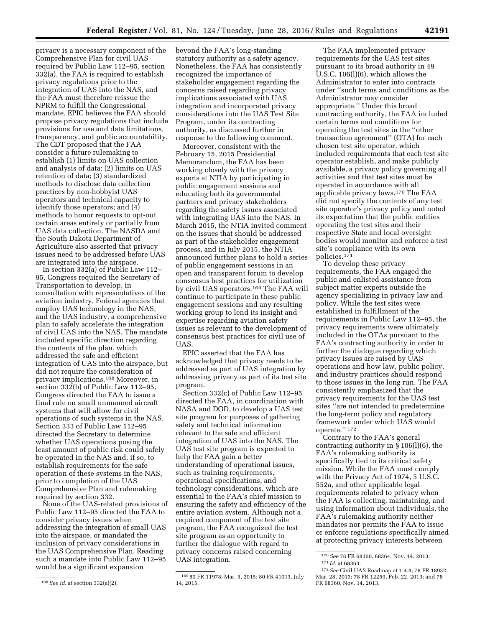privacy is a necessary component of the Comprehensive Plan for civil UAS required by Public Law 112–95, section 332(a), the FAA is required to establish privacy regulations prior to the integration of UAS into the NAS, and the FAA must therefore reissue the NPRM to fulfill the Congressional mandate. EPIC believes the FAA should propose privacy regulations that include provisions for use and data limitations, transparency, and public accountability. The CDT proposed that the FAA consider a future rulemaking to establish (1) limits on UAS collection and analysis of data; (2) limits on UAS retention of data; (3) standardized methods to disclose data collection practices by non-hobbyist UAS operators and technical capacity to identify those operators; and (4) methods to honor requests to opt-out certain areas entirely or partially from UAS data collection. The NASDA and the South Dakota Department of Agriculture also asserted that privacy issues need to be addressed before UAS are integrated into the airspace.

In section 332(a) of Public Law 112– 95, Congress required the Secretary of Transportation to develop, in consultation with representatives of the aviation industry, Federal agencies that employ UAS technology in the NAS, and the UAS industry, a comprehensive plan to safely accelerate the integration of civil UAS into the NAS. The mandate included specific direction regarding the contents of the plan, which addressed the safe and efficient integration of UAS into the airspace, but did not require the consideration of privacy implications.168 Moreover, in section 332(b) of Public Law 112–95, Congress directed the FAA to issue a final rule on small unmanned aircraft systems that will allow for civil operations of such systems in the NAS. Section 333 of Public Law 112–95 directed the Secretary to determine whether UAS operations posing the least amount of public risk could safely be operated in the NAS and, if so, to establish requirements for the safe operation of these systems in the NAS, prior to completion of the UAS Comprehensive Plan and rulemaking required by section 332.

None of the UAS-related provisions of Public Law 112–95 directed the FAA to consider privacy issues when addressing the integration of small UAS into the airspace, or mandated the inclusion of privacy considerations in the UAS Comprehensive Plan. Reading such a mandate into Public Law 112–95 would be a significant expansion

beyond the FAA's long-standing statutory authority as a safety agency. Nonetheless, the FAA has consistently recognized the importance of stakeholder engagement regarding the concerns raised regarding privacy implications associated with UAS integration and incorporated privacy considerations into the UAS Test Site Program, under its contracting authority, as discussed further in response to the following comment.

Moreover, consistent with the February 15, 2015 Presidential Memorandum, the FAA has been working closely with the privacy experts at NTIA by participating in public engagement sessions and educating both its governmental partners and privacy stakeholders regarding the safety issues associated with integrating UAS into the NAS. In March 2015, the NTIA invited comment on the issues that should be addressed as part of the stakeholder engagement process, and in July 2015, the NTIA announced further plans to hold a series of public engagement sessions in an open and transparent forum to develop consensus best practices for utilization by civil UAS operators.169 The FAA will continue to participate in these public engagement sessions and any resulting working group to lend its insight and expertise regarding aviation safety issues as relevant to the development of consensus best practices for civil use of UAS.

EPIC asserted that the FAA has acknowledged that privacy needs to be addressed as part of UAS integration by addressing privacy as part of its test site program.

Section 332(c) of Public Law 112–95 directed the FAA, in coordination with NASA and DOD, to develop a UAS test site program for purposes of gathering safety and technical information relevant to the safe and efficient integration of UAS into the NAS. The UAS test site program is expected to help the FAA gain a better understanding of operational issues, such as training requirements, operational specifications, and technology considerations, which are essential to the FAA's chief mission to ensuring the safety and efficiency of the entire aviation system. Although not a required component of the test site program, the FAA recognized the test site program as an opportunity to further the dialogue with regard to privacy concerns raised concerning UAS integration.

The FAA implemented privacy requirements for the UAS test sites pursuant to its broad authority in 49 U.S.C. 106(l)(6), which allows the Administrator to enter into contracts under ''such terms and conditions as the Administrator may consider appropriate.'' Under this broad contracting authority, the FAA included certain terms and conditions for operating the test sites in the ''other transaction agreement'' (OTA) for each chosen test site operator, which included requirements that each test site operator establish, and make publicly available, a privacy policy governing all activities and that test sites must be operated in accordance with all applicable privacy laws.170 The FAA did not specify the contents of any test site operator's privacy policy and noted its expectation that the public entities operating the test sites and their respective State and local oversight bodies would monitor and enforce a test site's compliance with its own policies.171

To develop these privacy requirements, the FAA engaged the public and enlisted assistance from subject matter experts outside the agency specializing in privacy law and policy. While the test sites were established in fulfillment of the requirements in Public Law 112–95, the privacy requirements were ultimately included in the OTAs pursuant to the FAA's contracting authority in order to further the dialogue regarding which privacy issues are raised by UAS operations and how law, public policy, and industry practices should respond to those issues in the long run. The FAA consistently emphasized that the privacy requirements for the UAS test sites ''are not intended to predetermine the long-term policy and regulatory framework under which UAS would operate.'' 172

Contrary to the FAA's general contracting authority in § 106(l)(6), the FAA's rulemaking authority is specifically tied to its critical safety mission. While the FAA must comply with the Privacy Act of 1974, 5 U.S.C. 552a, and other applicable legal requirements related to privacy when the FAA is collecting, maintaining, and using information about individuals, the FAA's rulemaking authority neither mandates nor permits the FAA to issue or enforce regulations specifically aimed at protecting privacy interests between

<sup>168</sup>*See id.* at section 332(a)(2).

<sup>169</sup> 80 FR 11978, Mar. 5, 2015; 80 FR 41013, July 14, 2015.

<sup>170</sup>*See* 78 FR 68360, 68364, Nov. 14, 2013. 171 *Id.* at 68363.

<sup>172</sup>*See* Civil UAS Roadmap at 1.4.4; 78 FR 18932, Mar. 28, 2013; 78 FR 12259, Feb. 22, 2013; and 78 FR 68360, Nov. 14, 2013.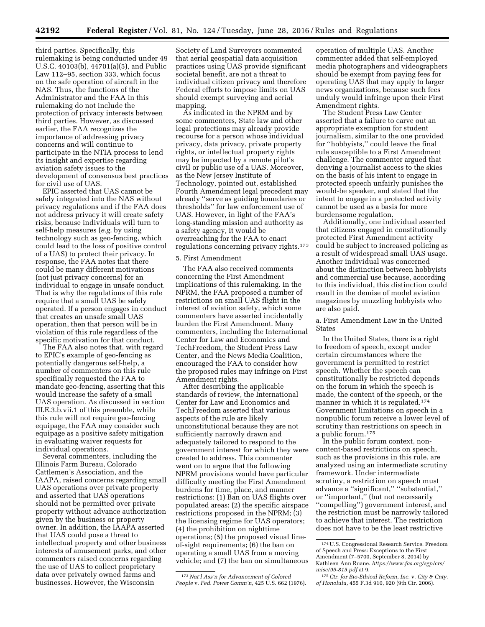third parties. Specifically, this rulemaking is being conducted under 49 U.S.C. 40103(b), 44701(a)(5), and Public Law 112–95, section 333, which focus on the safe operation of aircraft in the NAS. Thus, the functions of the Administrator and the FAA in this rulemaking do not include the protection of privacy interests between third parties. However, as discussed earlier, the FAA recognizes the importance of addressing privacy concerns and will continue to participate in the NTIA process to lend its insight and expertise regarding aviation safety issues to the development of consensus best practices for civil use of UAS.

EPIC asserted that UAS cannot be safely integrated into the NAS without privacy regulations and if the FAA does not address privacy it will create safety risks, because individuals will turn to self-help measures (*e.g.* by using technology such as geo-fencing, which could lead to the loss of positive control of a UAS) to protect their privacy. In response, the FAA notes that there could be many different motivations (not just privacy concerns) for an individual to engage in unsafe conduct. That is why the regulations of this rule require that a small UAS be safely operated. If a person engages in conduct that creates an unsafe small UAS operation, then that person will be in violation of this rule regardless of the specific motivation for that conduct.

The FAA also notes that, with regard to EPIC's example of geo-fencing as potentially dangerous self-help, a number of commenters on this rule specifically requested the FAA to mandate geo-fencing, asserting that this would increase the safety of a small UAS operation. As discussed in section III.E.3.b.vii.1 of this preamble, while this rule will not require geo-fencing equipage, the FAA may consider such equipage as a positive safety mitigation in evaluating waiver requests for individual operations.

Several commenters, including the Illinois Farm Bureau, Colorado Cattlemen's Association, and the IAAPA, raised concerns regarding small UAS operations over private property and asserted that UAS operations should not be permitted over private property without advance authorization given by the business or property owner. In addition, the IAAPA asserted that UAS could pose a threat to intellectual property and other business interests of amusement parks, and other commenters raised concerns regarding the use of UAS to collect proprietary data over privately owned farms and businesses. However, the Wisconsin

Society of Land Surveyors commented that aerial geospatial data acquisition practices using UAS provide significant societal benefit, are not a threat to individual citizen privacy and therefore Federal efforts to impose limits on UAS should exempt surveying and aerial mapping.

As indicated in the NPRM and by some commenters, State law and other legal protections may already provide recourse for a person whose individual privacy, data privacy, private property rights, or intellectual property rights may be impacted by a remote pilot's civil or public use of a UAS. Moreover, as the New Jersey Institute of Technology, pointed out, established Fourth Amendment legal precedent may already ''serve as guiding boundaries or thresholds'' for law enforcement use of UAS. However, in light of the FAA's long-standing mission and authority as a safety agency, it would be overreaching for the FAA to enact regulations concerning privacy rights.173

#### 5. First Amendment

The FAA also received comments concerning the First Amendment implications of this rulemaking. In the NPRM, the FAA proposed a number of restrictions on small UAS flight in the interest of aviation safety, which some commenters have asserted incidentally burden the First Amendment. Many commenters, including the International Center for Law and Economics and TechFreedom, the Student Press Law Center, and the News Media Coalition, encouraged the FAA to consider how the proposed rules may infringe on First Amendment rights.

After describing the applicable standards of review, the International Center for Law and Economics and TechFreedom asserted that various aspects of the rule are likely unconstitutional because they are not sufficiently narrowly drawn and adequately tailored to respond to the government interest for which they were created to address. This commenter went on to argue that the following NPRM provisions would have particular difficulty meeting the First Amendment burdens for time, place, and manner restrictions: (1) Ban on UAS flights over populated areas; (2) the specific airspace restrictions proposed in the NPRM; (3) the licensing regime for UAS operators; (4) the prohibition on nighttime operations; (5) the proposed visual lineof-sight requirements; (6) the ban on operating a small UAS from a moving vehicle; and (7) the ban on simultaneous

173*Nat'l Ass'n for Advancement of Colored People* v. *Fed. Power Comm'n,* 425 U.S. 662 (1976).

operation of multiple UAS. Another commenter added that self-employed media photographers and videographers should be exempt from paying fees for operating UAS that may apply to larger news organizations, because such fees unduly would infringe upon their First Amendment rights.

The Student Press Law Center asserted that a failure to carve out an appropriate exemption for student journalism, similar to the one provided for ''hobbyists,'' could leave the final rule susceptible to a First Amendment challenge. The commenter argued that denying a journalist access to the skies on the basis of his intent to engage in protected speech unfairly punishes the would-be speaker, and stated that the intent to engage in a protected activity cannot be used as a basis for more burdensome regulation.

Additionally, one individual asserted that citizens engaged in constitutionally protected First Amendment activity could be subject to increased policing as a result of widespread small UAS usage. Another individual was concerned about the distinction between hobbyists and commercial use because, according to this individual, this distinction could result in the demise of model aviation magazines by muzzling hobbyists who are also paid.

a. First Amendment Law in the United States

In the United States, there is a right to freedom of speech, except under certain circumstances where the government is permitted to restrict speech. Whether the speech can constitutionally be restricted depends on the forum in which the speech is made, the content of the speech, or the manner in which it is regulated.174 Government limitations on speech in a nonpublic forum receive a lower level of scrutiny than restrictions on speech in a public forum.175

In the public forum context, noncontent-based restrictions on speech, such as the provisions in this rule, are analyzed using an intermediate scrutiny framework. Under intermediate scrutiny, a restriction on speech must advance a "significant," "substantial," or ''important,'' (but not necessarily ''compelling'') government interest, and the restriction must be narrowly tailored to achieve that interest. The restriction does not have to be the least restrictive

<sup>174</sup>U.S. Congressional Research Service. Freedom of Speech and Press: Exceptions to the First Amendment (7–5700, September 8, 2014) by Kathleen Ann Ruane. *[https://www.fas.org/sgp/crs/](https://www.fas.org/sgp/crs/misc/95-815.pdf) [misc/95-815.pdf](https://www.fas.org/sgp/crs/misc/95-815.pdf)* at 9.

<sup>175</sup>*Ctr. for Bio-Ethical Reform, Inc.* v. *City & Cnty. of Honolulu,* 455 F.3d 910, 920 (9th Cir. 2006).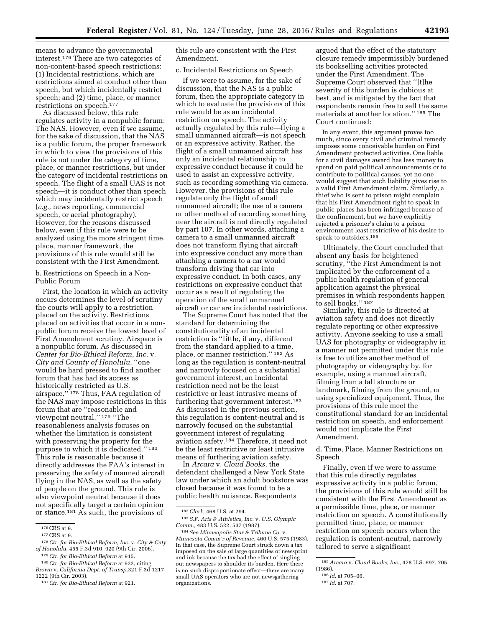means to advance the governmental interest.176 There are two categories of non-content-based speech restrictions: (1) Incidental restrictions, which are restrictions aimed at conduct other than speech, but which incidentally restrict speech; and (2) time, place, or manner restrictions on speech.177

As discussed below, this rule regulates activity in a nonpublic forum: The NAS. However, even if we assume, for the sake of discussion, that the NAS is a public forum, the proper framework in which to view the provisions of this rule is not under the category of time, place, or manner restrictions, but under the category of incidental restrictions on speech. The flight of a small UAS is not speech—it is conduct other than speech which may incidentally restrict speech (*e.g.,* news reporting, commercial speech, or aerial photography). However, for the reasons discussed below, even if this rule were to be analyzed using the more stringent time, place, manner framework, the provisions of this rule would still be consistent with the First Amendment.

b. Restrictions on Speech in a Non-Public Forum

First, the location in which an activity occurs determines the level of scrutiny the courts will apply to a restriction placed on the activity. Restrictions placed on activities that occur in a nonpublic forum receive the lowest level of First Amendment scrutiny. Airspace is a nonpublic forum. As discussed in *Center for Bio-Ethical Reform, Inc.* v. *City and County of Honolulu,* ''one would be hard pressed to find another forum that has had its access as historically restricted as U.S. airspace.'' 178 Thus, FAA regulation of the NAS may impose restrictions in this forum that are ''reasonable and viewpoint neutral.'' 179 ''The reasonableness analysis focuses on whether the limitation is consistent with preserving the property for the purpose to which it is dedicated.'' 180 This rule is reasonable because it directly addresses the FAA's interest in preserving the safety of manned aircraft flying in the NAS, as well as the safety of people on the ground. This rule is also viewpoint neutral because it does not specifically target a certain opinion or stance.181 As such, the provisions of

179*Ctr. for Bio-Ethical Reform* at 915. 180*Ctr. for Bio-Ethical Reform* at 922, citing this rule are consistent with the First Amendment.

c. Incidental Restrictions on Speech

If we were to assume, for the sake of discussion, that the NAS is a public forum, then the appropriate category in which to evaluate the provisions of this rule would be as an incidental restriction on speech. The activity actually regulated by this rule—flying a small unmanned aircraft—is not speech or an expressive activity. Rather, the flight of a small unmanned aircraft has only an incidental relationship to expressive conduct because it could be used to assist an expressive activity, such as recording something via camera. However, the provisions of this rule regulate only the flight of small unmanned aircraft; the use of a camera or other method of recording something near the aircraft is not directly regulated by part 107. In other words, attaching a camera to a small unmanned aircraft does not transform flying that aircraft into expressive conduct any more than attaching a camera to a car would transform driving that car into expressive conduct. In both cases, any restrictions on expressive conduct that occur as a result of regulating the operation of the small unmanned aircraft or car are incidental restrictions.

The Supreme Court has noted that the standard for determining the constitutionality of an incidental restriction is ''little, if any, different from the standard applied to a time, place, or manner restriction.'' 182 As long as the regulation is content-neutral and narrowly focused on a substantial government interest, an incidental restriction need not be the least restrictive or least intrusive means of furthering that government interest.183 As discussed in the previous section, this regulation is content-neutral and is narrowly focused on the substantial government interest of regulating aviation safety.184 Therefore, it need not be the least restrictive or least intrusive means of furthering aviation safety.

In *Arcara* v. *Cloud Books,* the defendant challenged a New York State law under which an adult bookstore was closed because it was found to be a public health nuisance. Respondents

argued that the effect of the statutory closure remedy impermissibly burdened its bookselling activities protected under the First Amendment. The Supreme Court observed that ''[t]he severity of this burden is dubious at best, and is mitigated by the fact that respondents remain free to sell the same materials at another location.'' 185 The Court continued:

In any event, this argument proves too much, since every civil and criminal remedy imposes some conceivable burden on First Amendment protected activities. One liable for a civil damages award has less money to spend on paid political announcements or to contribute to political causes, yet no one would suggest that such liability gives rise to a valid First Amendment claim. Similarly, a thief who is sent to prison might complain that his First Amendment right to speak in public places has been infringed because of the confinement, but we have explicitly rejected a prisoner's claim to a prison environment least restrictive of his desire to speak to outsiders.186

Ultimately, the Court concluded that absent any basis for heightened scrutiny, ''the First Amendment is not implicated by the enforcement of a public health regulation of general application against the physical premises in which respondents happen to sell books.'' 187

Similarly, this rule is directed at aviation safety and does not directly regulate reporting or other expressive activity. Anyone seeking to use a small UAS for photography or videography in a manner not permitted under this rule is free to utilize another method of photography or videography by, for example, using a manned aircraft, filming from a tall structure or landmark, filming from the ground, or using specialized equipment. Thus, the provisions of this rule meet the constitutional standard for an incidental restriction on speech, and enforcement would not implicate the First Amendment.

d. Time, Place, Manner Restrictions on Speech

Finally, even if we were to assume that this rule directly regulates expressive activity in a public forum, the provisions of this rule would still be consistent with the First Amendment as a permissible time, place, or manner restriction on speech. A constitutionally permitted time, place, or manner restriction on speech occurs when the regulation is content-neutral, narrowly tailored to serve a significant

<sup>176</sup>CRS at 9.

<sup>177</sup>CRS at 9.

<sup>178</sup>*Ctr. for Bio-Ethical Reform, Inc.* v. *City & Cnty. of Honolulu,* 455 F.3d 910, 920 (9th Cir. 2006).

*Brown* v. *California Dept. of Transp.*321 F.3d 1217, 1222 (9th Cir. 2003).

<sup>181</sup>*Ctr. for Bio-Ethical Reform* at 921.

<sup>182</sup>*Clark,* 468 U.S. at 294.

<sup>183</sup>*S.F. Arts & Athletics, Inc.* v. *U.S. Olympic Comm.,* 483 U.S. 522, 537 (1987).

<sup>184</sup>*See Minneapolis Star & Tribune Co.* v. *Minnesota Comm'r of Revenue,* 460 U.S. 575 (1983). In that case, the Supreme Court struck down a tax imposed on the sale of large quantities of newsprint and ink because the tax had the effect of singling out newspapers to shoulder its burden. Here there is no such disproportionate effect—there are many small UAS operators who are not newsgathering organizations.

<sup>185</sup>*Arcara* v. *Cloud Books, Inc.,* 478 U.S. 697, 705 (1986).

<sup>186</sup> *Id.* at 705–06.

<sup>187</sup> *Id.* at 707.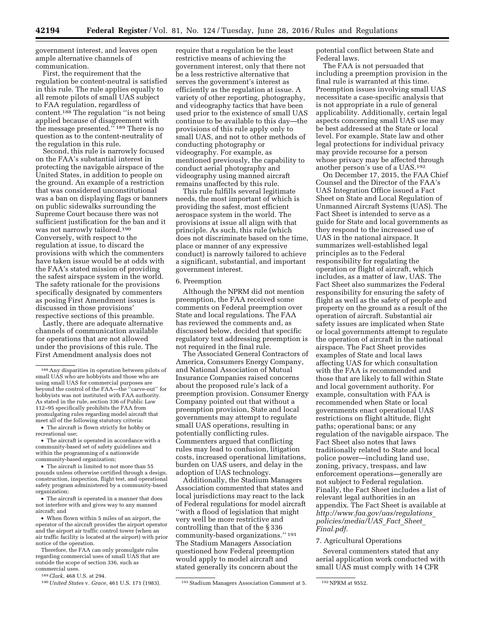government interest, and leaves open ample alternative channels of communication.

First, the requirement that the regulation be content-neutral is satisfied in this rule. The rule applies equally to all remote pilots of small UAS subject to FAA regulation, regardless of content.<sup>188</sup> The regulation "is not being applied because of disagreement with the message presented.'' 189 There is no question as to the content-neutrality of the regulation in this rule.

Second, this rule is narrowly focused on the FAA's substantial interest in protecting the navigable airspace of the United States, in addition to people on the ground. An example of a restriction that was considered unconstitutional was a ban on displaying flags or banners on public sidewalks surrounding the Supreme Court because there was not sufficient justification for the ban and it was not narrowly tailored.190 Conversely, with respect to the regulation at issue, to discard the provisions with which the commenters have taken issue would be at odds with the FAA's stated mission of providing the safest airspace system in the world. The safety rationale for the provisions specifically designated by commenters as posing First Amendment issues is discussed in those provisions' respective sections of this preamble.

Lastly, there are adequate alternative channels of communication available for operations that are not allowed under the provisions of this rule. The First Amendment analysis does not

• The aircraft is flown strictly for hobby or recreational use;

• The aircraft is operated in accordance with a community-based set of safety guidelines and within the programming of a nationwide community-based organization;

• The aircraft is limited to not more than 55 pounds unless otherwise certified through a design, construction, inspection, flight test, and operational safety program administered by a community-based organization;

• The aircraft is operated in a manner that does not interfere with and gives way to any manned aircraft; and

• When flown within 5 miles of an airport, the operator of the aircraft provides the airport operator and the airport air traffic control tower (when an air traffic facility is located at the airport) with prior notice of the operation.

Therefore, the FAA can only promulgate rules regarding commercial uses of small UAS that are outside the scope of section 336, such as commercial uses.

189*Clark,* 468 U.S. at 294.

require that a regulation be the least restrictive means of achieving the government interest, only that there not be a less restrictive alternative that serves the government's interest as efficiently as the regulation at issue. A variety of other reporting, photography, and videography tactics that have been used prior to the existence of small UAS continue to be available to this day—the provisions of this rule apply only to small UAS, and not to other methods of conducting photography or videography. For example, as mentioned previously, the capability to conduct aerial photography and videography using manned aircraft remains unaffected by this rule.

This rule fulfills several legitimate needs, the most important of which is providing the safest, most efficient aerospace system in the world. The provisions at issue all align with that principle. As such, this rule (which does not discriminate based on the time, place or manner of any expressive conduct) is narrowly tailored to achieve a significant, substantial, and important government interest.

### 6. Preemption

Although the NPRM did not mention preemption, the FAA received some comments on Federal preemption over State and local regulations. The FAA has reviewed the comments and, as discussed below, decided that specific regulatory text addressing preemption is not required in the final rule.

The Associated General Contractors of America, Consumers Energy Company, and National Association of Mutual Insurance Companies raised concerns about the proposed rule's lack of a preemption provision. Consumer Energy Company pointed out that without a preemption provision, State and local governments may attempt to regulate small UAS operations, resulting in potentially conflicting rules. Commenters argued that conflicting rules may lead to confusion, litigation costs, increased operational limitations, burden on UAS users, and delay in the adoption of UAS technology.

Additionally, the Stadium Managers Association commented that states and local jurisdictions may react to the lack of Federal regulations for model aircraft ''with a flood of legislation that might very well be more restrictive and controlling than that of the § 336 community-based organizations.'' 191 The Stadium Managers Association questioned how Federal preemption would apply to model aircraft and stated generally its concern about the

190*United States* v. *Grace,* 461 U.S. 171 (1983). 191Stadium Managers Association Comment at 5. 192NPRM at 9552.

potential conflict between State and Federal laws.

The FAA is not persuaded that including a preemption provision in the final rule is warranted at this time. Preemption issues involving small UAS necessitate a case-specific analysis that is not appropriate in a rule of general applicability. Additionally, certain legal aspects concerning small UAS use may be best addressed at the State or local level. For example, State law and other legal protections for individual privacy may provide recourse for a person whose privacy may be affected through another person's use of a UAS.192

On December 17, 2015, the FAA Chief Counsel and the Director of the FAA's UAS Integration Office issued a Fact Sheet on State and Local Regulation of Unmanned Aircraft Systems (UAS). The Fact Sheet is intended to serve as a guide for State and local governments as they respond to the increased use of UAS in the national airspace. It summarizes well-established legal principles as to the Federal responsibility for regulating the operation or flight of aircraft, which includes, as a matter of law, UAS. The Fact Sheet also summarizes the Federal responsibility for ensuring the safety of flight as well as the safety of people and property on the ground as a result of the operation of aircraft. Substantial air safety issues are implicated when State or local governments attempt to regulate the operation of aircraft in the national airspace. The Fact Sheet provides examples of State and local laws affecting UAS for which consultation with the FAA is recommended and those that are likely to fall within State and local government authority. For example, consultation with FAA is recommended when State or local governments enact operational UAS restrictions on flight altitude, flight paths; operational bans; or any regulation of the navigable airspace. The Fact Sheet also notes that laws traditionally related to State and local police power—including land use, zoning, privacy, trespass, and law enforcement operations—generally are not subject to Federal regulation. Finally, the Fact Sheet includes a list of relevant legal authorities in an appendix. The Fact Sheet is available at *[http://www.faa.gov/uas/regulations](http://www.faa.gov/uas/regulations_policies/media/UAS_Fact_Sheet_Final.pdf)*\_ *[policies/media/UAS](http://www.faa.gov/uas/regulations_policies/media/UAS_Fact_Sheet_Final.pdf)*\_*Fact*\_*Sheet*\_ *[Final.pdf](http://www.faa.gov/uas/regulations_policies/media/UAS_Fact_Sheet_Final.pdf)*.

### 7. Agricultural Operations

Several commenters stated that any aerial application work conducted with small UAS must comply with 14 CFR

<sup>188</sup>Any disparities in operation between pilots of small UAS who are hobbyists and those who are using small UAS for commercial purposes are beyond the control of the FAA—the ''carve-out'' for hobbyists was not instituted with FAA authority. As stated in the rule, section 336 of Public Law 112–95 specifically prohibits the FAA from promulgating rules regarding model aircraft that meet all of the following statutory criteria: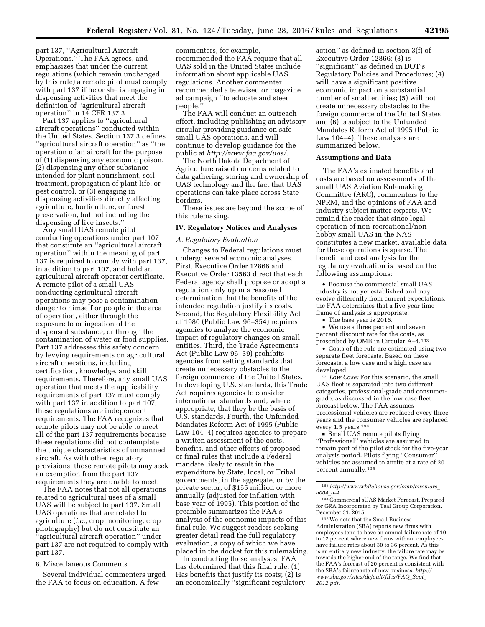part 137, ''Agricultural Aircraft Operations.'' The FAA agrees, and emphasizes that under the current regulations (which remain unchanged by this rule) a remote pilot must comply with part 137 if he or she is engaging in dispensing activities that meet the

operation'' in 14 CFR 137.3. Part 137 applies to ''agricultural aircraft operations'' conducted within the United States. Section 137.3 defines ''agricultural aircraft operation'' as ''the operation of an aircraft for the purpose of (1) dispensing any economic poison, (2) dispensing any other substance intended for plant nourishment, soil treatment, propagation of plant life, or pest control, or (3) engaging in dispensing activities directly affecting agriculture, horticulture, or forest preservation, but not including the dispensing of live insects.''

definition of ''agricultural aircraft

Any small UAS remote pilot conducting operations under part 107 that constitute an ''agricultural aircraft operation'' within the meaning of part 137 is required to comply with part 137, in addition to part 107, and hold an agricultural aircraft operator certificate. A remote pilot of a small UAS conducting agricultural aircraft operations may pose a contamination danger to himself or people in the area of operation, either through the exposure to or ingestion of the dispensed substance, or through the contamination of water or food supplies. Part 137 addresses this safety concern by levying requirements on agricultural aircraft operations, including certification, knowledge, and skill requirements. Therefore, any small UAS operation that meets the applicability requirements of part 137 must comply with part 137 in addition to part 107; these regulations are independent requirements. The FAA recognizes that remote pilots may not be able to meet all of the part 137 requirements because these regulations did not contemplate the unique characteristics of unmanned aircraft. As with other regulatory provisions, those remote pilots may seek an exemption from the part 137 requirements they are unable to meet.

The FAA notes that not all operations related to agricultural uses of a small UAS will be subject to part 137. Small UAS operations that are related to agriculture (*i.e.,* crop monitoring, crop photography) but do not constitute an ''agricultural aircraft operation'' under part 137 are not required to comply with part 137.

#### 8. Miscellaneous Comments

Several individual commenters urged the FAA to focus on education. A few

commenters, for example, recommended the FAA require that all UAS sold in the United States include information about applicable UAS regulations. Another commenter recommended a televised or magazine ad campaign ''to educate and steer people.''

The FAA will conduct an outreach effort, including publishing an advisory circular providing guidance on safe small UAS operations, and will continue to develop guidance for the public at *<http://www.faa.gov/uas/>*.

The North Dakota Department of Agriculture raised concerns related to data gathering, storing and ownership of UAS technology and the fact that UAS operations can take place across State borders.

These issues are beyond the scope of this rulemaking.

## **IV. Regulatory Notices and Analyses**

#### *A. Regulatory Evaluation*

Changes to Federal regulations must undergo several economic analyses. First, Executive Order 12866 and Executive Order 13563 direct that each Federal agency shall propose or adopt a regulation only upon a reasoned determination that the benefits of the intended regulation justify its costs. Second, the Regulatory Flexibility Act of 1980 (Public Law 96–354) requires agencies to analyze the economic impact of regulatory changes on small entities. Third, the Trade Agreements Act (Public Law 96–39) prohibits agencies from setting standards that create unnecessary obstacles to the foreign commerce of the United States. In developing U.S. standards, this Trade Act requires agencies to consider international standards and, where appropriate, that they be the basis of U.S. standards. Fourth, the Unfunded Mandates Reform Act of 1995 (Public Law 104–4) requires agencies to prepare a written assessment of the costs, benefits, and other effects of proposed or final rules that include a Federal mandate likely to result in the expenditure by State, local, or Tribal governments, in the aggregate, or by the private sector, of \$155 million or more annually (adjusted for inflation with base year of 1995). This portion of the preamble summarizes the FAA's analysis of the economic impacts of this final rule. We suggest readers seeking greater detail read the full regulatory evaluation, a copy of which we have placed in the docket for this rulemaking.

In conducting these analyses, FAA has determined that this final rule: (1) Has benefits that justify its costs; (2) is an economically ''significant regulatory action'' as defined in section 3(f) of Executive Order 12866; (3) is ''significant'' as defined in DOT's Regulatory Policies and Procedures; (4) will have a significant positive economic impact on a substantial number of small entities; (5) will not create unnecessary obstacles to the foreign commerce of the United States; and (6) is subject to the Unfunded Mandates Reform Act of 1995 (Public Law 104–4). These analyses are summarized below.

### **Assumptions and Data**

The FAA's estimated benefits and costs are based on assessments of the small UAS Aviation Rulemaking Committee (ARC), commenters to the NPRM, and the opinions of FAA and industry subject matter experts. We remind the reader that since legal operation of non-recreational/nonhobby small UAS in the NAS constitutes a new market, available data for these operations is sparse. The benefit and cost analysis for the regulatory evaluation is based on the following assumptions:

• Because the commercial small UAS industry is not yet established and may evolve differently from current expectations, the FAA determines that a five-year time frame of analysis is appropriate.

• The base year is 2016.

• We use a three percent and seven percent discount rate for the costs, as prescribed by OMB in Circular A–4.193

• Costs of the rule are estimated using two separate fleet forecasts. Based on these forecasts, a low case and a high case are developed.

Æ *Low Case:* For this scenario, the small UAS fleet is separated into two different categories, professional-grade and consumergrade, as discussed in the low case fleet forecast below. The FAA assumes professional vehicles are replaced every three years and the consumer vehicles are replaced every 1.5 years.194

■ Small UAS remote pilots flying ''Professional'' vehicles are assumed to remain part of the pilot stock for the five-year analysis period. Pilots flying ''Consumer'' vehicles are assumed to attrite at a rate of 20 percent annually.195

195We note that the Small Business Administration (SBA) reports new firms with employees tend to have an annual failure rate of 10 to 12 percent where new firms without employees have failure rates about 30 to 36 percent. As this is an entirely new industry, the failure rate may be towards the higher end of the range. We find that the FAA's forecast of 20 percent is consistent with the SBA's failure rate of new business. *[http://](http://www.sba.gov/sites/default/files/FAQ_Sept_2012.pdf) [www.sba.gov/sites/default/files/FAQ](http://www.sba.gov/sites/default/files/FAQ_Sept_2012.pdf)*\_*Sept*\_ *[2012.pdf](http://www.sba.gov/sites/default/files/FAQ_Sept_2012.pdf)*.

<sup>193</sup>*[http://www.whitehouse.gov/omb/circulars](http://www.whitehouse.gov/omb/circulars_a004_a-4)*\_ *[a004](http://www.whitehouse.gov/omb/circulars_a004_a-4)*\_*a-4*.

<sup>194</sup>Commercial sUAS Market Forecast, Prepared for GRA Incorporated by Teal Group Corporation. December 31, 2015.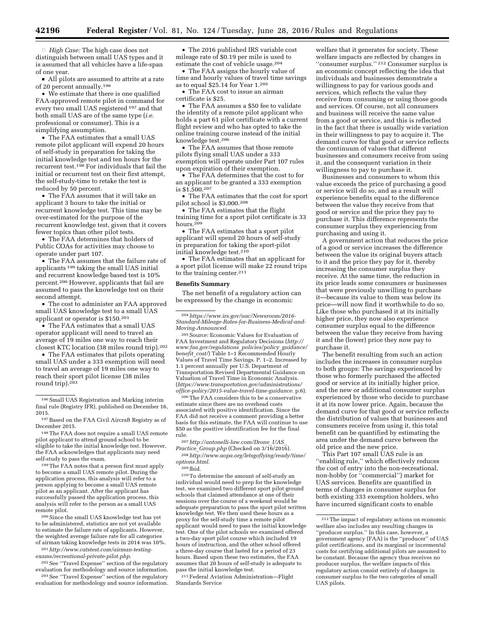Æ *High Case:* The high case does not distinguish between small UAS types and it is assumed that all vehicles have a life-span of one year.

■ All pilots are assumed to attrite at a rate of 20 percent annually.196

• We estimate that there is one qualified FAA-approved remote pilot in command for every two small UAS registered 197 and that both small UAS are of the same type (*i.e.*  professional or consumer). This is a simplifying assumption.

• The FAA estimates that a small UAS remote pilot applicant will expend 20 hours of self-study in preparation for taking the initial knowledge test and ten hours for the recurrent test.198 For individuals that fail the initial or recurrent test on their first attempt, the self-study-time to retake the test is reduced by 50 percent.

• The FAA assumes that it will take an applicant 3 hours to take the initial or recurrent knowledge test. This time may be over-estimated for the purpose of the recurrent knowledge test, given that it covers fewer topics than other pilot tests.

• The FAA determines that holders of Public COAs for activities may choose to operate under part 107.

• The FAA assumes that the failure rate of applicants 199 taking the small UAS initial and recurrent knowledge based test is 10% percent.200 However, applicants that fail are assumed to pass the knowledge test on their second attempt.

• The cost to administer an FAA approved small UAS knowledge test to a small UAS applicant or operator is \$150.201

The FAA estimates that a small UAS operator applicant will need to travel an average of 19 miles one way to reach their closest KTC location (38 miles round trip).202

• The FAA estimates that pilots operating small UAS under a 333 exemption will need to travel an average of 19 miles one way to reach their sport pilot license (38 miles round trip).<sup>203</sup>

198The FAA does not require a small UAS remote pilot applicant to attend ground school to be eligible to take the initial knowledge test. However, the FAA acknowledges that applicants may need self-study to pass the exam.

199The FAA notes that a person first must apply to become a small UAS remote pilot. During the application process, this analysis will refer to a person applying to become a small UAS remote pilot as an applicant. After the applicant has successfully passed the application process, this analysis will refer to the person as a small UAS remote pilot.

200Since the small UAS knowledge test has yet to be administered, statistics are not yet available to estimate the failure rate of applicants. However, the weighted average failure rate for all categories of airman taking knowledge tests in 2014 was 10%.

201*[http://www.catstest.com/airman-testing](http://www.catstest.com/airman-testing-exams/recreational-private-pilot.php)[exams/recreational-private-pilot.php](http://www.catstest.com/airman-testing-exams/recreational-private-pilot.php)*.

202See ''Travel Expense'' section of the regulatory evaluation for methodology and source information.

203See ''Travel Expense'' section of the regulatory evaluation for methodology and source information.

• The 2016 published IRS variable cost mileage rate of \$0.19 per mile is used to estimate the cost of vehicle usage.204

• The FAA assigns the hourly value of time and hourly values of travel time savings as to equal \$25.14 for Year 1.205

• The FAA cost to issue an airman certificate is \$25.

• The FAA assumes a \$50 fee to validate the identity of a remote pilot applicant who holds a part 61 pilot certificate with a current flight review and who has opted to take the online training course instead of the initial knowledge test.206

• The FAA assumes that those remote pilots flying small UAS under a 333 exemption will operate under Part 107 rules upon expiration of their exemption.

• The FAA determines that the cost to for an applicant to be granted a 333 exemption is \$1,500.207

• The FAA estimates that the cost for sport pilot school is \$3,000.208

• The FAA estimates that the flight training time for a sport pilot certificate is 33 hours.<sup>209</sup>

• The FAA estimates that a sport pilot applicant will spend 20 hours of self-study in preparation for taking the sport-pilot initial knowledge test.210

• The FAA estimates that an applicant for a sport pilot license will make 22 round trips to the training center.211

#### **Benefits Summary**

The net benefit of a regulatory action can be expressed by the change in economic

204*[https://www.irs.gov/uac/Newsroom/2016-](https://www.irs.gov/uac/Newsroom/2016-Standard-Mileage-Rates-for-Business-Medical-and-Moving-Announced) [Standard-Mileage-Rates-for-Business-Medical-and-](https://www.irs.gov/uac/Newsroom/2016-Standard-Mileage-Rates-for-Business-Medical-and-Moving-Announced)*

*[Moving-Announced](https://www.irs.gov/uac/Newsroom/2016-Standard-Mileage-Rates-for-Business-Medical-and-Moving-Announced)*. 205Source: Economic Values for Evaluation of FAA Investment and Regulatory Decisions (*[http://](http://www.faa.gov/regulations_policies/policy_guidance/benefit_cost/) [www.faa.gov/regulations](http://www.faa.gov/regulations_policies/policy_guidance/benefit_cost/)*\_*policies/policy*\_*guidance/ [benefit](http://www.faa.gov/regulations_policies/policy_guidance/benefit_cost/)*\_*cost/*) Table 1–1 Recommended Hourly Values of Travel Time Savings. P. 1–2. Increased by 1.1 percent annually per U.S. Department of Transportation Revised Departmental Guidance on Valuation of Travel Time in Economic Analysis. (*[https://www.transportation.gov/administrations/](https://www.transportation.gov/administrations/office-policy/2015-value-travel-time-guidance) [office-policy/2015-value-travel-time-guidance](https://www.transportation.gov/administrations/office-policy/2015-value-travel-time-guidance)*. p.6).

206The FAA considers this to be a conservative estimate since there are no overhead costs associated with positive identification. Since the FAA did not receive a comment providing a better basis for this estimate, the FAA will continue to use \$50 as the positive identification fee for the final rule.

207*[http://antonelli-law.com/Drone](http://antonelli-law.com/Drone_UAS_Practice_Group.php)*\_*UAS*\_ *Practice*\_*[Group.php](http://antonelli-law.com/Drone_UAS_Practice_Group.php)* (Checked on 3/16/2016).

208*[http://www.aopa.org/letsgoflying/ready/time/](http://www.aopa.org/letsgoflying/ready/time/options.html) [options.html](http://www.aopa.org/letsgoflying/ready/time/options.html)*.

209 Ibid.

210To determine the amount of self-study an individual would need to prep for the knowledge test, we examined two different sport pilot ground schools that claimed attendance at one of their sessions over the course of a weekend would be adequate preparation to pass the sport pilot written knowledge test. We then used these hours as a proxy for the self-study time a remote pilot applicant would need to pass the initial knowledge test. One of the pilot schools we examined offered a two-day sport pilot course which included 19 hours of instruction, and the other school offered a three-day course that lasted for a period of 23 hours. Based upon these two estimates, the FAA assumes that 20 hours of self-study is adequate to pass the initial knowledge test.

211Federal Aviation Administration—Flight Standards Service

welfare that it generates for society. These welfare impacts are reflected by changes in ''consumer surplus.'' 212 Consumer surplus is an economic concept reflecting the idea that individuals and businesses demonstrate a willingness to pay for various goods and services, which reflects the value they receive from consuming or using those goods and services. Of course, not all consumers and business will receive the same value from a good or service, and this is reflected in the fact that there is usually wide variation in their willingness to pay to acquire it. The demand curve for that good or service reflects the continuum of values that different businesses and consumers receive from using it, and the consequent variation in their willingness to pay to purchase it.

Businesses and consumers to whom this value exceeds the price of purchasing a good or service will do so, and as a result will experience benefits equal to the difference between the value they receive from that good or service and the price they pay to purchase it. This difference represents the consumer surplus they experiencing from purchasing and using it.

A government action that reduces the price of a good or service increases the difference between the value its original buyers attach to it and the price they pay for it, thereby increasing the consumer surplus they receive. At the same time, the reduction in its price leads some consumers or businesses that were previously unwilling to purchase it—because its value to them was below its price—will now find it worthwhile to do so. Like those who purchased it at its initially higher price, they now also experience consumer surplus equal to the difference between the value they receive from having it and the (lower) price they now pay to purchase it.

The benefit resulting from such an action includes the increases in consumer surplus to both groups: The savings experienced by those who formerly purchased the affected good or service at its initially higher price, and the new or additional consumer surplus experienced by those who decide to purchase it at its now lower price. Again, because the demand curve for that good or service reflects the distribution of values that businesses and consumers receive from using it, this total benefit can be quantified by estimating the area under the demand curve between the old price and the new price.

This Part 107 small UAS rule is an ''enabling rule,'' which effectively reduces the cost of entry into the non-recreational, non-hobby (or ''commercial'') market for UAS services. Benefits are quantified in terms of changes in consumer surplus for both existing 333 exemption holders, who have incurred significant costs to enable

<sup>196</sup>Small UAS Registration and Marking interim final rule (Registry IFR), published on December 16, 2015.

<sup>197</sup>Based on the FAA Civil Aircraft Registry as of December 2015.

<sup>212</sup>The impact of regulatory actions on economic welfare also includes any resulting changes in ''producer surplus.'' In this case, however, a government agency (FAA) is the ''producer'' of UAS pilot certifications, and its marginal or incremental costs for certifying additional pilots are assumed to be constant. Because the agency thus receives no producer surplus, the welfare impacts of this regulatory action consist entirely of changes in consumer surplus to the two categories of small UAS pilots.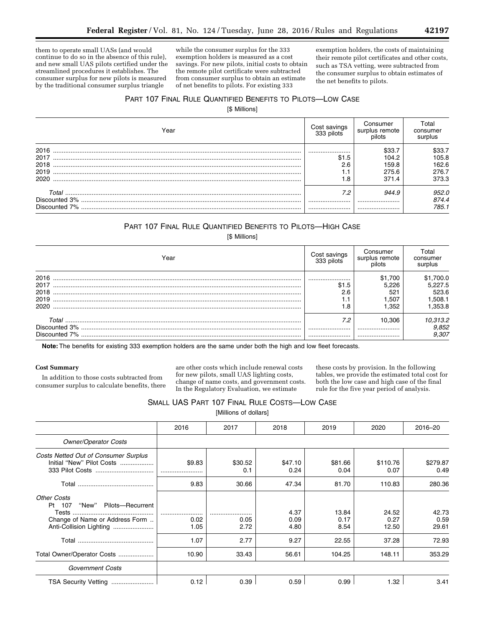them to operate small UASs (and would continue to do so in the absence of this rule), and new small UAS pilots certified under the streamlined procedures it establishes. The consumer surplus for new pilots is measured by the traditional consumer surplus triangle

while the consumer surplus for the 333 exemption holders is measured as a cost savings. For new pilots, initial costs to obtain the remote pilot certificate were subtracted from consumer surplus to obtain an estimate of net benefits to pilots. For existing 333

exemption holders, the costs of maintaining their remote pilot certificates and other costs, such as TSA vetting, were subtracted from the consumer surplus to obtain estimates of the net benefits to pilots.

## PART 107 FINAL RULE QUANTIFIED BENEFITS TO PILOTS—LOW CASE

[\$ Millions]

| Year          | Cost savings<br>333 pilots | Consumer<br>surplus remote<br>nilots | Total<br>consumer<br>surplus |
|---------------|----------------------------|--------------------------------------|------------------------------|
| 2016          |                            | \$33.                                | \$33.7                       |
| 2017          | \$1.5                      | 104.2                                | 105.8                        |
| 2018          | 2.6                        | 159.8                                | 162.6                        |
| 2019          | <b>L.I</b>                 | 275.6                                | 276.7                        |
| 2020          | . .8                       | 371.4                                | 373.3                        |
| Total         | 7.2                        | 944.9                                | 952.0                        |
|               |                            |                                      | 874.4                        |
| Discounted 7% |                            |                                      | 785.1                        |

# PART 107 FINAL RULE QUANTIFIED BENEFITS TO PILOTS—HIGH CASE [\$ Millions]

| Year | Cost savings<br>333 pilots | Consumer<br>surplus remote<br>pilots | Total<br>consumer<br>surplus |
|------|----------------------------|--------------------------------------|------------------------------|
| 2016 |                            | \$1.700                              | \$1,700.0                    |
| 2017 | \$1.5                      | 5.226                                | 5,227.5                      |
| 2018 | 2.6                        | 52 <sup>1</sup>                      | 523.6                        |
| 2019 |                            | .507                                 | 1,508.1                      |
| 2020 | . 8                        | .352                                 | .353.8                       |
|      | 7.2                        | 10.306                               | 1,313.2                      |
|      |                            |                                      | 9,852                        |
|      |                            |                                      | 9,307                        |

**Note:** The benefits for existing 333 exemption holders are the same under both the high and low fleet forecasts.

### **Cost Summary**

In addition to those costs subtracted from consumer surplus to calculate benefits, there are other costs which include renewal costs for new pilots, small UAS lighting costs, change of name costs, and government costs. In the Regulatory Evaluation, we estimate

these costs by provision. In the following tables, we provide the estimated total cost for both the low case and high case of the final rule for the five year period of analysis.

# SMALL UAS PART 107 FINAL RULE COSTS—LOW CASE

[Millions of dollars]

|                                                                   | 2016         | 2017           | 2018            | 2019            | 2020             | 2016-20          |
|-------------------------------------------------------------------|--------------|----------------|-----------------|-----------------|------------------|------------------|
| <b>Owner/Operator Costs</b>                                       |              |                |                 |                 |                  |                  |
| Costs Netted Out of Consumer Surplus<br>Initial "New" Pilot Costs | \$9.83       | \$30.52<br>0.1 | \$47.10<br>0.24 | \$81.66<br>0.04 | \$110.76<br>0.07 | \$279.87<br>0.49 |
|                                                                   | 9.83         | 30.66          | 47.34           | 81.70           | 110.83           | 280.36           |
| <b>Other Costs</b><br>Pt<br>"New" Pilots-Recurrent<br>107         |              |                | 4.37            | 13.84           | 24.52            | 42.73            |
| Change of Name or Address Form<br>Anti-Collision Lighting         | 0.02<br>1.05 | 0.05<br>2.72   | 0.09<br>4.80    | 0.17<br>8.54    | 0.27<br>12.50    | 0.59<br>29.61    |
|                                                                   | 1.07         | 2.77           | 9.27            | 22.55           | 37.28            | 72.93            |
| Total Owner/Operator Costs                                        | 10.90        | 33.43          | 56.61           | 104.25          | 148.11           | 353.29           |
| <b>Government Costs</b>                                           |              |                |                 |                 |                  |                  |
| TSA Security Vetting                                              | 0.12         | 0.39           | 0.59            | 0.99            | 1.32             | 3.41             |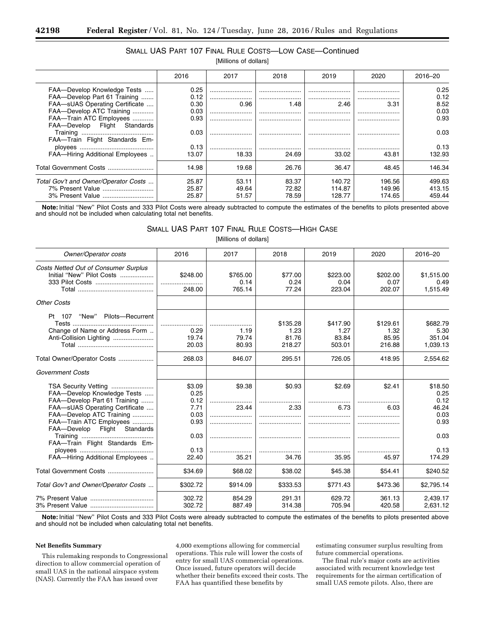# SMALL UAS PART 107 FINAL RULE COSTS—LOW CASE—Continued [Millions of dollars]

|                                                         | 2016  | 2017  | 2018  | 2019   | 2020   | 2016-20 |
|---------------------------------------------------------|-------|-------|-------|--------|--------|---------|
| FAA-Develop Knowledge Tests                             | 0.25  |       |       |        |        | 0.25    |
| FAA-Develop Part 61 Training                            | 0.12  |       |       |        |        | 0.12    |
| FAA-sUAS Operating Certificate                          | 0.30  | 0.96  | 1.48  | 2.46   | 3.31   | 8.52    |
| FAA-Develop ATC Training                                | 0.03  |       |       |        |        | 0.03    |
| FAA-Train ATC Employees<br>FAA-Develop Flight Standards | 0.93  |       |       |        |        | 0.93    |
| FAA-Train Flight Standards Em-                          | 0.03  |       |       |        |        | 0.03    |
|                                                         | 0.13  |       |       |        |        | 0.13    |
| FAA-Hiring Additional Employees                         | 13.07 | 18.33 | 24.69 | 33.02  | 43.81  | 132.93  |
| Total Government Costs                                  | 14.98 | 19.68 | 26.76 | 36.47  | 48.45  | 146.34  |
| Total Gov't and Owner/Operator Costs                    | 25.87 | 53.11 | 83.37 | 140.72 | 196.56 | 499.63  |
|                                                         | 25.87 | 49.64 | 72.82 | 114.87 | 149.96 | 413.15  |
|                                                         | 25.87 | 51.57 | 78.59 | 128.77 | 174.65 | 459.44  |

**Note:**Initial ''New'' Pilot Costs and 333 Pilot Costs were already subtracted to compute the estimates of the benefits to pilots presented above and should not be included when calculating total net benefits.

SMALL UAS PART 107 FINAL RULE COSTS—HIGH CASE

[Millions of dollars]

| Owner/Operator costs                 | 2016     | 2017     | 2018     | 2019     | 2020     | 2016-20    |
|--------------------------------------|----------|----------|----------|----------|----------|------------|
| Costs Netted Out of Consumer Surplus |          |          |          |          |          |            |
| Initial "New" Pilot Costs            | \$248.00 | \$765.00 | \$77.00  | \$223.00 | \$202.00 | \$1,515.00 |
|                                      |          | 0.14     | 0.24     | 0.04     | 0.07     | 0.49       |
|                                      | 248.00   | 765.14   | 77.24    | 223.04   | 202.07   | 1,515.49   |
| <b>Other Costs</b>                   |          |          |          |          |          |            |
| Pt 107 "New" Pilots-Recurrent        |          |          | \$135.28 | \$417.90 | \$129.61 | \$682.79   |
| Change of Name or Address Form       | 0.29     | 1.19     | 1.23     | 1.27     | 1.32     | 5.30       |
| Anti-Collision Lighting              | 19.74    | 79.74    | 81.76    | 83.84    | 85.95    | 351.04     |
|                                      | 20.03    | 80.93    | 218.27   | 503.01   | 216.88   | 1,039.13   |
| Total Owner/Operator Costs           | 268.03   | 846.07   | 295.51   | 726.05   | 418.95   | 2,554.62   |
| Government Costs                     |          |          |          |          |          |            |
| TSA Security Vetting                 | \$3.09   | \$9.38   | \$0.93   | \$2.69   | \$2.41   | \$18.50    |
| FAA-Develop Knowledge Tests          | 0.25     |          |          |          |          | 0.25       |
| FAA-Develop Part 61 Training         | 0.12     |          |          |          |          | 0.12       |
| FAA-sUAS Operating Certificate       | 7.71     | 23.44    | 2.33     | 6.73     | 6.03     | 46.24      |
| FAA-Develop ATC Training             | 0.03     |          |          |          |          | 0.03       |
| FAA-Train ATC Employees              | 0.93     |          |          |          |          | 0.93       |
| FAA-Develop Flight Standards         |          |          |          |          |          |            |
|                                      | 0.03     |          |          |          |          | 0.03       |
| FAA-Train Flight Standards Em-       |          |          |          |          |          |            |
|                                      | 0.13     |          |          |          |          | 0.13       |
| FAA-Hiring Additional Employees      | 22.40    | 35.21    | 34.76    | 35.95    | 45.97    | 174.29     |
| Total Government Costs               | \$34.69  | \$68.02  | \$38.02  | \$45.38  | \$54.41  | \$240.52   |
| Total Gov't and Owner/Operator Costs | \$302.72 | \$914.09 | \$333.53 | \$771.43 | \$473.36 | \$2.795.14 |
|                                      | 302.72   | 854.29   | 291.31   | 629.72   | 361.13   | 2,439.17   |
|                                      | 302.72   | 887.49   | 314.38   | 705.94   | 420.58   | 2,631.12   |

**Note:**Initial ''New'' Pilot Costs and 333 Pilot Costs were already subtracted to compute the estimates of the benefits to pilots presented above and should not be included when calculating total net benefits.

### **Net Benefits Summary**

This rulemaking responds to Congressional direction to allow commercial operation of small UAS in the national airspace system (NAS). Currently the FAA has issued over

4,000 exemptions allowing for commercial operations. This rule will lower the costs of entry for small UAS commercial operations. Once issued, future operators will decide whether their benefits exceed their costs. The FAA has quantified these benefits by

estimating consumer surplus resulting from future commercial operations.

The final rule's major costs are activities associated with recurrent knowledge test requirements for the airman certification of small UAS remote pilots. Also, there are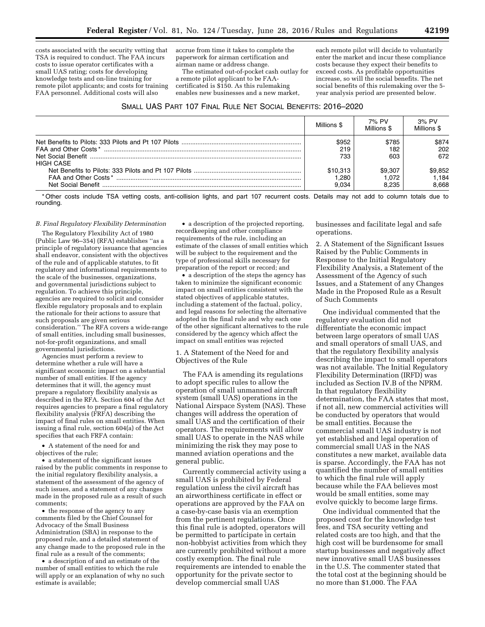costs associated with the security vetting that TSA is required to conduct. The FAA incurs costs to issue operator certificates with a small UAS rating; costs for developing knowledge tests and on-line training for remote pilot applicants; and costs for training FAA personnel. Additional costs will also

accrue from time it takes to complete the paperwork for airman certification and airman name or address change.

The estimated out-of-pocket cash outlay for a remote pilot applicant to be FAAcertificated is \$150. As this rulemaking enables new businesses and a new market,

each remote pilot will decide to voluntarily enter the market and incur these compliance costs because they expect their benefits to exceed costs. As profitable opportunities increase, so will the social benefits. The net social benefits of this rulemaking over the 5 year analysis period are presented below.

## SMALL UAS PART 107 FINAL RULE NET SOCIAL BENEFITS: 2016–2020

|                                                  | Millions \$               | 7% PV<br>Millions \$      | $3%$ PV<br>Millions \$    |
|--------------------------------------------------|---------------------------|---------------------------|---------------------------|
| <b>FAA and Other Costs *</b><br><b>HIGH CASE</b> | \$952<br>219<br>733       | \$785<br>182<br>603       | \$874<br>202<br>672       |
| Net Social Benefit                               | \$10.313<br>.280<br>9.034 | \$9.307<br>1.072<br>8.235 | \$9,852<br>1.184<br>8.668 |

\* Other costs include TSA vetting costs, anti-collision lights, and part 107 recurrent costs. Details may not add to column totals due to rounding.

# *B. Final Regulatory Flexibility Determination*

The Regulatory Flexibility Act of 1980 (Public Law 96–354) (RFA) establishes ''as a principle of regulatory issuance that agencies shall endeavor, consistent with the objectives of the rule and of applicable statutes, to fit regulatory and informational requirements to the scale of the businesses, organizations, and governmental jurisdictions subject to regulation. To achieve this principle, agencies are required to solicit and consider flexible regulatory proposals and to explain the rationale for their actions to assure that such proposals are given serious consideration.'' The RFA covers a wide-range of small entities, including small businesses, not-for-profit organizations, and small governmental jurisdictions.

Agencies must perform a review to determine whether a rule will have a significant economic impact on a substantial number of small entities. If the agency determines that it will, the agency must prepare a regulatory flexibility analysis as described in the RFA. Section 604 of the Act requires agencies to prepare a final regulatory flexibility analysis (FRFA) describing the impact of final rules on small entities. When issuing a final rule, section 604(a) of the Act specifies that each FRFA contain:

• A statement of the need for and objectives of the rule;

• a statement of the significant issues raised by the public comments in response to the initial regulatory flexibility analysis, a statement of the assessment of the agency of such issues, and a statement of any changes made in the proposed rule as a result of such comments;

• the response of the agency to any comments filed by the Chief Counsel for Advocacy of the Small Business Administration (SBA) in response to the proposed rule, and a detailed statement of any change made to the proposed rule in the final rule as a result of the comments;

• a description of and an estimate of the number of small entities to which the rule will apply or an explanation of why no such estimate is available;

• a description of the projected reporting, recordkeeping and other compliance requirements of the rule, including an estimate of the classes of small entities which will be subject to the requirement and the type of professional skills necessary for preparation of the report or record; and

• a description of the steps the agency has taken to minimize the significant economic impact on small entities consistent with the stated objectives of applicable statutes, including a statement of the factual, policy, and legal reasons for selecting the alternative adopted in the final rule and why each one of the other significant alternatives to the rule considered by the agency which affect the impact on small entities was rejected

## 1. A Statement of the Need for and Objectives of the Rule

The FAA is amending its regulations to adopt specific rules to allow the operation of small unmanned aircraft system (small UAS) operations in the National Airspace System (NAS). These changes will address the operation of small UAS and the certification of their operators. The requirements will allow small UAS to operate in the NAS while minimizing the risk they may pose to manned aviation operations and the general public.

Currently commercial activity using a small UAS is prohibited by Federal regulation unless the civil aircraft has an airworthiness certificate in effect or operations are approved by the FAA on a case-by-case basis via an exemption from the pertinent regulations. Once this final rule is adopted, operators will be permitted to participate in certain non-hobbyist activities from which they are currently prohibited without a more costly exemption. The final rule requirements are intended to enable the opportunity for the private sector to develop commercial small UAS

businesses and facilitate legal and safe operations.

2. A Statement of the Significant Issues Raised by the Public Comments in Response to the Initial Regulatory Flexibility Analysis, a Statement of the Assessment of the Agency of such Issues, and a Statement of any Changes Made in the Proposed Rule as a Result of Such Comments

One individual commented that the regulatory evaluation did not differentiate the economic impact between large operators of small UAS and small operators of small UAS, and that the regulatory flexibility analysis describing the impact to small operators was not available. The Initial Regulatory Flexibility Determination (IRFD) was included as Section IV.B of the NPRM. In that regulatory flexibility determination, the FAA states that most, if not all, new commercial activities will be conducted by operators that would be small entities. Because the commercial small UAS industry is not yet established and legal operation of commercial small UAS in the NAS constitutes a new market, available data is sparse. Accordingly, the FAA has not quantified the number of small entities to which the final rule will apply because while the FAA believes most would be small entities, some may evolve quickly to become large firms.

One individual commented that the proposed cost for the knowledge test fees, and TSA security vetting and related costs are too high, and that the high cost will be burdensome for small startup businesses and negatively affect new innovative small UAS businesses in the U.S. The commenter stated that the total cost at the beginning should be no more than \$1,000. The FAA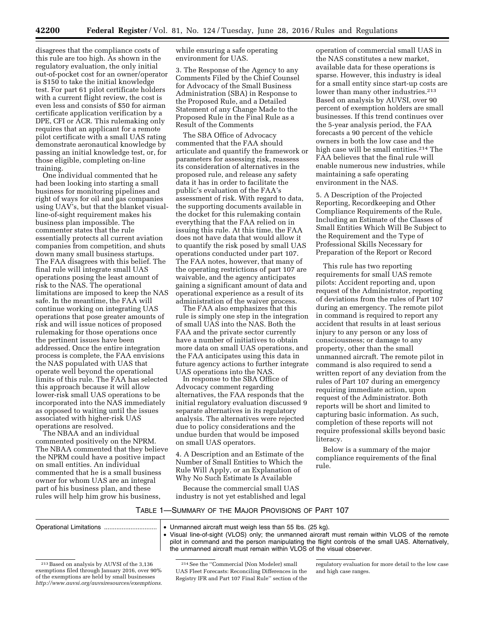disagrees that the compliance costs of this rule are too high. As shown in the regulatory evaluation, the only initial out-of-pocket cost for an owner/operator is \$150 to take the initial knowledge test. For part 61 pilot certificate holders with a current flight review, the cost is even less and consists of \$50 for airman certificate application verification by a DPE, CFI or ACR. This rulemaking only requires that an applicant for a remote pilot certificate with a small UAS rating demonstrate aeronautical knowledge by passing an initial knowledge test, or, for those eligible, completing on-line training.

One individual commented that he had been looking into starting a small business for monitoring pipelines and right of ways for oil and gas companies using UAV's, but that the blanket visualline-of-sight requirement makes his business plan impossible. The commenter states that the rule essentially protects all current aviation companies from competition, and shuts down many small business startups. The FAA disagrees with this belief. The final rule will integrate small UAS operations posing the least amount of risk to the NAS. The operational limitations are imposed to keep the NAS safe. In the meantime, the FAA will continue working on integrating UAS operations that pose greater amounts of risk and will issue notices of proposed rulemaking for those operations once the pertinent issues have been addressed. Once the entire integration process is complete, the FAA envisions the NAS populated with UAS that operate well beyond the operational limits of this rule. The FAA has selected this approach because it will allow lower-risk small UAS operations to be incorporated into the NAS immediately as opposed to waiting until the issues associated with higher-risk UAS operations are resolved.

The NBAA and an individual commented positively on the NPRM. The NBAA commented that they believe the NPRM could have a positive impact on small entities. An individual commented that he is a small business owner for whom UAS are an integral part of his business plan, and these rules will help him grow his business,

while ensuring a safe operating environment for UAS.

3. The Response of the Agency to any Comments Filed by the Chief Counsel for Advocacy of the Small Business Administration (SBA) in Response to the Proposed Rule, and a Detailed Statement of any Change Made to the Proposed Rule in the Final Rule as a Result of the Comments

The SBA Office of Advocacy commented that the FAA should articulate and quantify the framework or parameters for assessing risk, reassess its consideration of alternatives in the proposed rule, and release any safety data it has in order to facilitate the public's evaluation of the FAA's assessment of risk. With regard to data, the supporting documents available in the docket for this rulemaking contain everything that the FAA relied on in issuing this rule. At this time, the FAA does not have data that would allow it to quantify the risk posed by small UAS operations conducted under part 107. The FAA notes, however, that many of the operating restrictions of part 107 are waivable, and the agency anticipates gaining a significant amount of data and operational experience as a result of its administration of the waiver process.

The FAA also emphasizes that this rule is simply one step in the integration of small UAS into the NAS. Both the FAA and the private sector currently have a number of initiatives to obtain more data on small UAS operations, and the FAA anticipates using this data in future agency actions to further integrate UAS operations into the NAS.

In response to the SBA Office of Advocacy comment regarding alternatives, the FAA responds that the initial regulatory evaluation discussed 9 separate alternatives in its regulatory analysis. The alternatives were rejected due to policy considerations and the undue burden that would be imposed on small UAS operators.

4. A Description and an Estimate of the Number of Small Entities to Which the Rule Will Apply, or an Explanation of Why No Such Estimate Is Available

Because the commercial small UAS industry is not yet established and legal

operation of commercial small UAS in the NAS constitutes a new market, available data for these operations is sparse. However, this industry is ideal for a small entity since start-up costs are lower than many other industries.<sup>213</sup> Based on analysis by AUVSI, over 90 percent of exemption holders are small businesses. If this trend continues over the 5-year analysis period, the FAA forecasts a 90 percent of the vehicle owners in both the low case and the high case will be small entities.<sup>214</sup> The FAA believes that the final rule will enable numerous new industries, while maintaining a safe operating environment in the NAS.

5. A Description of the Projected Reporting, Recordkeeping and Other Compliance Requirements of the Rule, Including an Estimate of the Classes of Small Entities Which Will Be Subject to the Requirement and the Type of Professional Skills Necessary for Preparation of the Report or Record

This rule has two reporting requirements for small UAS remote pilots: Accident reporting and, upon request of the Administrator, reporting of deviations from the rules of Part 107 during an emergency. The remote pilot in command is required to report any accident that results in at least serious injury to any person or any loss of consciousness; or damage to any property, other than the small unmanned aircraft. The remote pilot in command is also required to send a written report of any deviation from the rules of Part 107 during an emergency requiring immediate action, upon request of the Administrator. Both reports will be short and limited to capturing basic information. As such, completion of these reports will not require professional skills beyond basic literacy.

Below is a summary of the major compliance requirements of the final rule.

# TABLE 1—SUMMARY OF THE MAJOR PROVISIONS OF PART 107

|  | • Unmanned aircraft must weigh less than 55 lbs. (25 kg).<br>• Visual line-of-sight (VLOS) only; the unmanned aircraft must remain within VLOS of the remote<br>pilot in command and the person manipulating the flight controls of the small UAS. Alternatively,<br>the unmanned aircraft must remain within VLOS of the visual observer. |
|--|--------------------------------------------------------------------------------------------------------------------------------------------------------------------------------------------------------------------------------------------------------------------------------------------------------------------------------------------|
|--|--------------------------------------------------------------------------------------------------------------------------------------------------------------------------------------------------------------------------------------------------------------------------------------------------------------------------------------------|

<sup>213</sup>Based on analysis by AUVSI of the 3,136 exemptions filed through January 2016, over 90% of the exemptions are held by small businesses *[http://www.auvsi.org/auvsiresources/exemptions.](http://www.auvsi.org/auvsiresources/exemptions)* 

<sup>214</sup>See the ''Commercial (Non Modeler) small UAS Fleet Forecasts: Reconciling Differences in the Registry IFR and Part 107 Final Rule'' section of the

regulatory evaluation for more detail to the low case and high case ranges.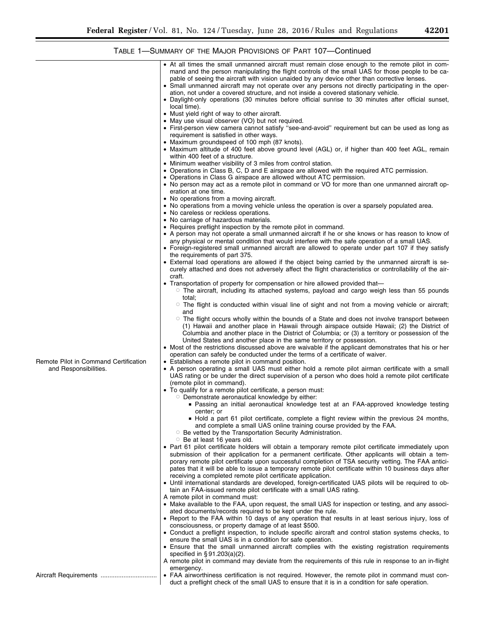۰

# TABLE 1—SUMMARY OF THE MAJOR PROVISIONS OF PART 107—Continued

|                                                                | • At all times the small unmanned aircraft must remain close enough to the remote pilot in com-<br>mand and the person manipulating the flight controls of the small UAS for those people to be ca-<br>pable of seeing the aircraft with vision unaided by any device other than corrective lenses.<br>• Small unmanned aircraft may not operate over any persons not directly participating in the oper-<br>ation, not under a covered structure, and not inside a covered stationary vehicle.<br>• Daylight-only operations (30 minutes before official sunrise to 30 minutes after official sunset, |
|----------------------------------------------------------------|--------------------------------------------------------------------------------------------------------------------------------------------------------------------------------------------------------------------------------------------------------------------------------------------------------------------------------------------------------------------------------------------------------------------------------------------------------------------------------------------------------------------------------------------------------------------------------------------------------|
|                                                                | local time).<br>• Must yield right of way to other aircraft.                                                                                                                                                                                                                                                                                                                                                                                                                                                                                                                                           |
|                                                                | • May use visual observer (VO) but not required.                                                                                                                                                                                                                                                                                                                                                                                                                                                                                                                                                       |
|                                                                | • First-person view camera cannot satisfy "see-and-avoid" requirement but can be used as long as<br>requirement is satisfied in other ways.                                                                                                                                                                                                                                                                                                                                                                                                                                                            |
|                                                                | • Maximum groundspeed of 100 mph (87 knots).<br>• Maximum altitude of 400 feet above ground level (AGL) or, if higher than 400 feet AGL, remain                                                                                                                                                                                                                                                                                                                                                                                                                                                        |
|                                                                | within 400 feet of a structure.                                                                                                                                                                                                                                                                                                                                                                                                                                                                                                                                                                        |
|                                                                | • Minimum weather visibility of 3 miles from control station.                                                                                                                                                                                                                                                                                                                                                                                                                                                                                                                                          |
|                                                                | • Operations in Class B, C, D and E airspace are allowed with the required ATC permission.<br>• Operations in Class G airspace are allowed without ATC permission.                                                                                                                                                                                                                                                                                                                                                                                                                                     |
|                                                                | • No person may act as a remote pilot in command or VO for more than one unmanned aircraft op-                                                                                                                                                                                                                                                                                                                                                                                                                                                                                                         |
|                                                                | eration at one time.                                                                                                                                                                                                                                                                                                                                                                                                                                                                                                                                                                                   |
|                                                                | • No operations from a moving aircraft.<br>• No operations from a moving vehicle unless the operation is over a sparsely populated area.                                                                                                                                                                                                                                                                                                                                                                                                                                                               |
|                                                                | • No careless or reckless operations.                                                                                                                                                                                                                                                                                                                                                                                                                                                                                                                                                                  |
|                                                                | • No carriage of hazardous materials.                                                                                                                                                                                                                                                                                                                                                                                                                                                                                                                                                                  |
|                                                                | • Requires preflight inspection by the remote pilot in command.<br>• A person may not operate a small unmanned aircraft if he or she knows or has reason to know of                                                                                                                                                                                                                                                                                                                                                                                                                                    |
|                                                                | any physical or mental condition that would interfere with the safe operation of a small UAS.                                                                                                                                                                                                                                                                                                                                                                                                                                                                                                          |
|                                                                | • Foreign-registered small unmanned aircraft are allowed to operate under part 107 if they satisfy                                                                                                                                                                                                                                                                                                                                                                                                                                                                                                     |
|                                                                | the requirements of part 375.<br>• External load operations are allowed if the object being carried by the unmanned aircraft is se-                                                                                                                                                                                                                                                                                                                                                                                                                                                                    |
|                                                                | curely attached and does not adversely affect the flight characteristics or controllability of the air-<br>craft.                                                                                                                                                                                                                                                                                                                                                                                                                                                                                      |
|                                                                | • Transportation of property for compensation or hire allowed provided that—<br>$\circ$ The aircraft, including its attached systems, payload and cargo weigh less than 55 pounds<br>total;                                                                                                                                                                                                                                                                                                                                                                                                            |
|                                                                | $\circ$ The flight is conducted within visual line of sight and not from a moving vehicle or aircraft;<br>and                                                                                                                                                                                                                                                                                                                                                                                                                                                                                          |
|                                                                | $\circ$ The flight occurs wholly within the bounds of a State and does not involve transport between<br>(1) Hawaii and another place in Hawaii through airspace outside Hawaii; (2) the District of<br>Columbia and another place in the District of Columbia; or (3) a territory or possession of the<br>United States and another place in the same territory or possession.                                                                                                                                                                                                                         |
|                                                                | • Most of the restrictions discussed above are waivable if the applicant demonstrates that his or her<br>operation can safely be conducted under the terms of a certificate of waiver.                                                                                                                                                                                                                                                                                                                                                                                                                 |
| Remote Pilot in Command Certification<br>and Responsibilities. | • Establishes a remote pilot in command position.<br>• A person operating a small UAS must either hold a remote pilot airman certificate with a small                                                                                                                                                                                                                                                                                                                                                                                                                                                  |
|                                                                | UAS rating or be under the direct supervision of a person who does hold a remote pilot certificate<br>(remote pilot in command).                                                                                                                                                                                                                                                                                                                                                                                                                                                                       |
|                                                                | • To qualify for a remote pilot certificate, a person must:                                                                                                                                                                                                                                                                                                                                                                                                                                                                                                                                            |
|                                                                | <b>Demonstrate aeronautical knowledge by either:</b><br>■ Passing an initial aeronautical knowledge test at an FAA-approved knowledge testing                                                                                                                                                                                                                                                                                                                                                                                                                                                          |
|                                                                | center; or                                                                                                                                                                                                                                                                                                                                                                                                                                                                                                                                                                                             |
|                                                                | - Hold a part 61 pilot certificate, complete a flight review within the previous 24 months,<br>and complete a small UAS online training course provided by the FAA.                                                                                                                                                                                                                                                                                                                                                                                                                                    |
|                                                                | <sup>O</sup> Be vetted by the Transportation Security Administration.<br><b>Be at least 16 years old.</b>                                                                                                                                                                                                                                                                                                                                                                                                                                                                                              |
|                                                                | · Part 61 pilot certificate holders will obtain a temporary remote pilot certificate immediately upon                                                                                                                                                                                                                                                                                                                                                                                                                                                                                                  |
|                                                                | submission of their application for a permanent certificate. Other applicants will obtain a tem-                                                                                                                                                                                                                                                                                                                                                                                                                                                                                                       |
|                                                                | porary remote pilot certificate upon successful completion of TSA security vetting. The FAA antici-<br>pates that it will be able to issue a temporary remote pilot certificate within 10 business days after                                                                                                                                                                                                                                                                                                                                                                                          |
|                                                                | receiving a completed remote pilot certificate application.                                                                                                                                                                                                                                                                                                                                                                                                                                                                                                                                            |
|                                                                | • Until international standards are developed, foreign-certificated UAS pilots will be required to ob-                                                                                                                                                                                                                                                                                                                                                                                                                                                                                                 |
|                                                                | tain an FAA-issued remote pilot certificate with a small UAS rating.<br>A remote pilot in command must:                                                                                                                                                                                                                                                                                                                                                                                                                                                                                                |
|                                                                | • Make available to the FAA, upon request, the small UAS for inspection or testing, and any associ-                                                                                                                                                                                                                                                                                                                                                                                                                                                                                                    |
|                                                                | ated documents/records required to be kept under the rule.<br>. Report to the FAA within 10 days of any operation that results in at least serious injury, loss of                                                                                                                                                                                                                                                                                                                                                                                                                                     |
|                                                                | consciousness, or property damage of at least \$500.                                                                                                                                                                                                                                                                                                                                                                                                                                                                                                                                                   |
|                                                                | • Conduct a preflight inspection, to include specific aircraft and control station systems checks, to<br>ensure the small UAS is in a condition for safe operation.                                                                                                                                                                                                                                                                                                                                                                                                                                    |
|                                                                | • Ensure that the small unmanned aircraft complies with the existing registration requirements                                                                                                                                                                                                                                                                                                                                                                                                                                                                                                         |
|                                                                | specified in $\S 91.203(a)(2)$ .<br>A remote pilot in command may deviate from the requirements of this rule in response to an in-flight                                                                                                                                                                                                                                                                                                                                                                                                                                                               |
|                                                                | emergency.                                                                                                                                                                                                                                                                                                                                                                                                                                                                                                                                                                                             |
|                                                                | • FAA airworthiness certification is not required. However, the remote pilot in command must con-<br>duct a preflight check of the small UAS to ensure that it is in a condition for safe operation.                                                                                                                                                                                                                                                                                                                                                                                                   |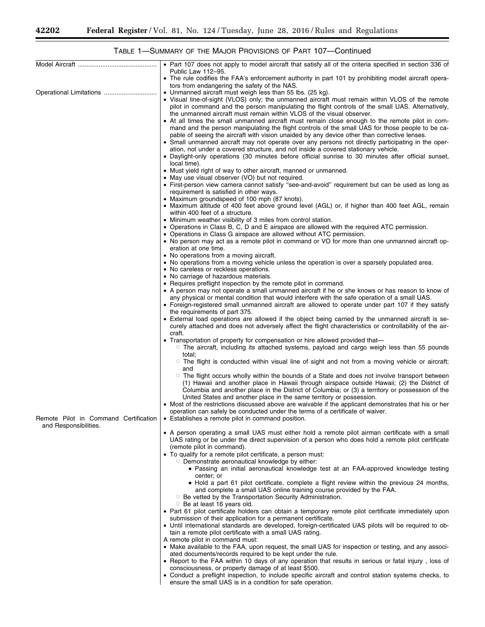|                                       | • Part 107 does not apply to model aircraft that satisfy all of the criteria specified in section 336 of                                                                                                      |
|---------------------------------------|---------------------------------------------------------------------------------------------------------------------------------------------------------------------------------------------------------------|
|                                       | Public Law 112-95.<br>• The rule codifies the FAA's enforcement authority in part 101 by prohibiting model aircraft opera-                                                                                    |
|                                       | tors from endangering the safety of the NAS.                                                                                                                                                                  |
|                                       | • Unmanned aircraft must weigh less than 55 lbs. (25 kg).                                                                                                                                                     |
|                                       | • Visual line-of-sight (VLOS) only; the unmanned aircraft must remain within VLOS of the remote<br>pilot in command and the person manipulating the flight controls of the small UAS. Alternatively,          |
|                                       | the unmanned aircraft must remain within VLOS of the visual observer.                                                                                                                                         |
|                                       | • At all times the small unmanned aircraft must remain close enough to the remote pilot in com-                                                                                                               |
|                                       | mand and the person manipulating the flight controls of the small UAS for those people to be ca-<br>pable of seeing the aircraft with vision unaided by any device other than corrective lenses.              |
|                                       | • Small unmanned aircraft may not operate over any persons not directly participating in the oper-                                                                                                            |
|                                       | ation, not under a covered structure, and not inside a covered stationary vehicle.                                                                                                                            |
|                                       | • Daylight-only operations (30 minutes before official sunrise to 30 minutes after official sunset,<br>local time).                                                                                           |
|                                       | • Must yield right of way to other aircraft, manned or unmanned.                                                                                                                                              |
|                                       | • May use visual observer (VO) but not required.                                                                                                                                                              |
|                                       | • First-person view camera cannot satisfy "see-and-avoid" requirement but can be used as long as<br>requirement is satisfied in other ways.                                                                   |
|                                       | • Maximum groundspeed of 100 mph (87 knots).                                                                                                                                                                  |
|                                       | • Maximum altitude of 400 feet above ground level (AGL) or, if higher than 400 feet AGL, remain                                                                                                               |
|                                       | within 400 feet of a structure.<br>• Minimum weather visibility of 3 miles from control station.                                                                                                              |
|                                       | • Operations in Class B, C, D and E airspace are allowed with the required ATC permission.                                                                                                                    |
|                                       | • Operations in Class G airspace are allowed without ATC permission.<br>• No person may act as a remote pilot in command or VO for more than one unmanned aircraft op-                                        |
|                                       | eration at one time.                                                                                                                                                                                          |
|                                       | • No operations from a moving aircraft.                                                                                                                                                                       |
|                                       | • No operations from a moving vehicle unless the operation is over a sparsely populated area.<br>• No careless or reckless operations.                                                                        |
|                                       | • No carriage of hazardous materials.                                                                                                                                                                         |
|                                       | • Requires preflight inspection by the remote pilot in command.                                                                                                                                               |
|                                       | • A person may not operate a small unmanned aircraft if he or she knows or has reason to know of<br>any physical or mental condition that would interfere with the safe operation of a small UAS.             |
|                                       | • Foreign-registered small unmanned aircraft are allowed to operate under part 107 if they satisfy                                                                                                            |
|                                       | the requirements of part 375.                                                                                                                                                                                 |
|                                       | • External load operations are allowed if the object being carried by the unmanned aircraft is se-<br>curely attached and does not adversely affect the flight characteristics or controllability of the air- |
|                                       | craft.                                                                                                                                                                                                        |
|                                       | • Transportation of property for compensation or hire allowed provided that-                                                                                                                                  |
|                                       | $\circ$ The aircraft, including its attached systems, payload and cargo weigh less than 55 pounds<br>total;                                                                                                   |
|                                       | $\circ$ The flight is conducted within visual line of sight and not from a moving vehicle or aircraft;                                                                                                        |
|                                       | and                                                                                                                                                                                                           |
|                                       | $\circ$ The flight occurs wholly within the bounds of a State and does not involve transport between<br>(1) Hawaii and another place in Hawaii through airspace outside Hawaii; (2) the District of           |
|                                       | Columbia and another place in the District of Columbia; or (3) a territory or possession of the                                                                                                               |
|                                       | United States and another place in the same territory or possession.                                                                                                                                          |
|                                       | • Most of the restrictions discussed above are waivable if the applicant demonstrates that his or her<br>operation can safely be conducted under the terms of a certificate of waiver.                        |
| Remote Pilot in Command Certification | • Establishes a remote pilot in command position.                                                                                                                                                             |
| and Responsibilities.                 |                                                                                                                                                                                                               |
|                                       | • A person operating a small UAS must either hold a remote pilot airman certificate with a small<br>UAS rating or be under the direct supervision of a person who does hold a remote pilot certificate        |
|                                       | (remote pilot in command).                                                                                                                                                                                    |
|                                       | • To qualify for a remote pilot certificate, a person must:                                                                                                                                                   |
|                                       | O Demonstrate aeronautical knowledge by either:<br>. Passing an initial aeronautical knowledge test at an FAA-approved knowledge testing                                                                      |
|                                       | center; or                                                                                                                                                                                                    |
|                                       | • Hold a part 61 pilot certificate, complete a flight review within the previous 24 months,                                                                                                                   |
|                                       | and complete a small UAS online training course provided by the FAA.<br><sup>O</sup> Be vetted by the Transportation Security Administration.                                                                 |
|                                       | <b>Be at least 16 years old.</b>                                                                                                                                                                              |
|                                       | · Part 61 pilot certificate holders can obtain a temporary remote pilot certificate immediately upon                                                                                                          |
|                                       | submission of their application for a permanent certificate.<br>• Until international standards are developed, foreign-certificated UAS pilots will be required to ob-                                        |
|                                       | tain a remote pilot certificate with a small UAS rating.                                                                                                                                                      |
|                                       | A remote pilot in command must:<br>• Make available to the FAA, upon request, the small UAS for inspection or testing, and any associ-                                                                        |
|                                       | ated documents/records required to be kept under the rule.                                                                                                                                                    |
|                                       | • Report to the FAA within 10 days of any operation that results in serious or fatal injury, loss of                                                                                                          |
|                                       | consciousness, or property damage of at least \$500.<br>• Conduct a preflight inspection, to include specific aircraft and control station systems checks, to                                                 |
|                                       | ensure the small UAS is in a condition for safe operation.                                                                                                                                                    |

# TABLE 1—SUMMARY OF THE MAJOR PROVISIONS OF PART 107—Continued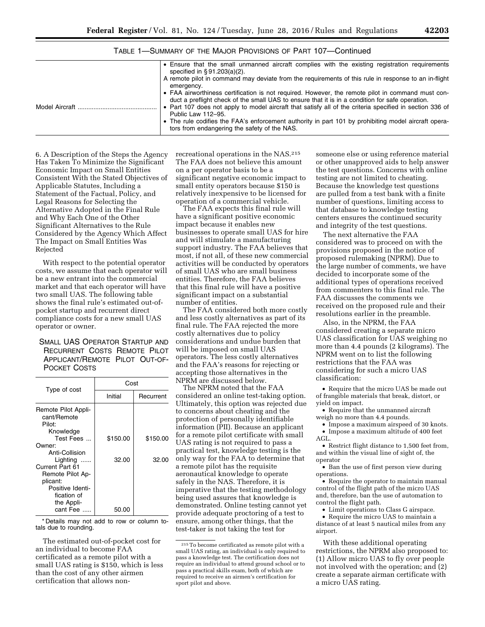| TABLE 1—SUMMARY OF THE MAJOR PROVISIONS OF PART 107—Continued |                                                                                                                                                                                                                                                                                                                                                                                                                                                                                                              |  |  |  |
|---------------------------------------------------------------|--------------------------------------------------------------------------------------------------------------------------------------------------------------------------------------------------------------------------------------------------------------------------------------------------------------------------------------------------------------------------------------------------------------------------------------------------------------------------------------------------------------|--|--|--|
|                                                               | • Ensure that the small unmanned aircraft complies with the existing registration requirements<br>specified in $\S 91.203(a)(2)$ .<br>A remote pilot in command may deviate from the requirements of this rule in response to an in-flight                                                                                                                                                                                                                                                                   |  |  |  |
| Model Aircraft                                                | emergency.<br>• FAA airworthiness certification is not required. However, the remote pilot in command must con-<br>duct a preflight check of the small UAS to ensure that it is in a condition for safe operation.<br>• Part 107 does not apply to model aircraft that satisfy all of the criteria specified in section 336 of<br>Public Law 112-95.<br>• The rule codifies the FAA's enforcement authority in part 101 by prohibiting model aircraft opera-<br>tors from endangering the safety of the NAS. |  |  |  |

6. A Description of the Steps the Agency Has Taken To Minimize the Significant Economic Impact on Small Entities Consistent With the Stated Objectives of Applicable Statutes, Including a Statement of the Factual, Policy, and Legal Reasons for Selecting the Alternative Adopted in the Final Rule and Why Each One of the Other Significant Alternatives to the Rule Considered by the Agency Which Affect The Impact on Small Entities Was Rejected

With respect to the potential operator costs, we assume that each operator will be a new entrant into the commercial market and that each operator will have two small UAS. The following table shows the final rule's estimated out-ofpocket startup and recurrent direct compliance costs for a new small UAS operator or owner.

SMALL UAS OPERATOR STARTUP AND RECURRENT COSTS REMOTE PILOT APPLICANT/REMOTE PILOT OUT-OF-POCKET COSTS

|                                              | Cost     |           |  |  |
|----------------------------------------------|----------|-----------|--|--|
| Type of cost                                 | Initial  | Recurrent |  |  |
| Remote Pilot Appli-<br>cant/Remote<br>Pilot: |          |           |  |  |
| Knowledge                                    |          |           |  |  |
| Test Fees                                    | \$150.00 | \$150.00  |  |  |
| Owner:                                       |          |           |  |  |
| Anti-Collision                               |          |           |  |  |
| Lighting                                     | 32.00    | 32.00     |  |  |
| Current Part 61                              |          |           |  |  |
| Remote Pilot Ap-                             |          |           |  |  |
| plicant:                                     |          |           |  |  |
| Positive Identi-                             |          |           |  |  |
| fication of                                  |          |           |  |  |
| the Appli-                                   |          |           |  |  |
| cant Fee                                     | 50.00    |           |  |  |

\* Details may not add to row or column totals due to rounding.

The estimated out-of-pocket cost for an individual to become FAA certificated as a remote pilot with a small UAS rating is \$150, which is less than the cost of any other airmen certification that allows nonrecreational operations in the NAS.215 The FAA does not believe this amount on a per operator basis to be a significant negative economic impact to small entity operators because \$150 is relatively inexpensive to be licensed for operation of a commercial vehicle.

The FAA expects this final rule will have a significant positive economic impact because it enables new businesses to operate small UAS for hire and will stimulate a manufacturing support industry. The FAA believes that most, if not all, of these new commercial activities will be conducted by operators of small UAS who are small business entities. Therefore, the FAA believes that this final rule will have a positive significant impact on a substantial number of entities.

The FAA considered both more costly and less costly alternatives as part of its final rule. The FAA rejected the more costly alternatives due to policy considerations and undue burden that will be imposed on small UAS operators. The less costly alternatives and the FAA's reasons for rejecting or accepting those alternatives in the NPRM are discussed below.

The NPRM noted that the FAA considered an online test-taking option. Ultimately, this option was rejected due to concerns about cheating and the protection of personally identifiable information (PII). Because an applicant for a remote pilot certificate with small UAS rating is not required to pass a practical test, knowledge testing is the only way for the FAA to determine that a remote pilot has the requisite aeronautical knowledge to operate safely in the NAS. Therefore, it is imperative that the testing methodology being used assures that knowledge is demonstrated. Online testing cannot yet provide adequate proctoring of a test to ensure, among other things, that the test-taker is not taking the test for

someone else or using reference material or other unapproved aids to help answer the test questions. Concerns with online testing are not limited to cheating. Because the knowledge test questions are pulled from a test bank with a finite number of questions, limiting access to that database to knowledge testing centers ensures the continued security and integrity of the test questions.

The next alternative the FAA considered was to proceed on with the provisions proposed in the notice of proposed rulemaking (NPRM). Due to the large number of comments, we have decided to incorporate some of the additional types of operations received from commenters to this final rule. The FAA discusses the comments we received on the proposed rule and their resolutions earlier in the preamble.

Also, in the NPRM, the FAA considered creating a separate micro UAS classification for UAS weighing no more than 4.4 pounds (2 kilograms). The NPRM went on to list the following restrictions that the FAA was considering for such a micro UAS classification:

• Require that the micro UAS be made out of frangible materials that break, distort, or yield on impact.

• Require that the unmanned aircraft weigh no more than 4.4 pounds.

• Impose a maximum airspeed of 30 knots. • Impose a maximum altitude of 400 feet AGL.

• Restrict flight distance to 1,500 feet from, and within the visual line of sight of, the operator

• Ban the use of first person view during operations.

• Require the operator to maintain manual control of the flight path of the micro UAS and, therefore, ban the use of automation to control the flight path.

• Limit operations to Class G airspace. • Require the micro UAS to maintain a distance of at least 5 nautical miles from any airport.

With these additional operating restrictions, the NPRM also proposed to: (1) Allow micro UAS to fly over people not involved with the operation; and (2) create a separate airman certificate with a micro UAS rating.

<sup>215</sup>To become certificated as remote pilot with a small UAS rating, an individual is only required to pass a knowledge test. The certification does not require an individual to attend ground school or to pass a practical skills exam, both of which are required to receive an airmen's certification for sport pilot and above.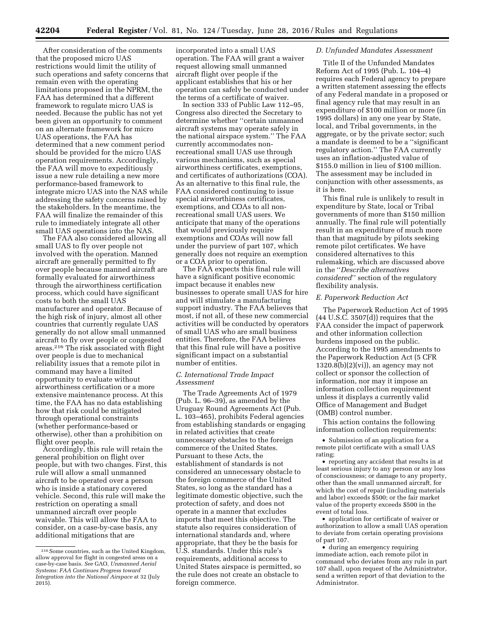After consideration of the comments that the proposed micro UAS restrictions would limit the utility of such operations and safety concerns that remain even with the operating limitations proposed in the NPRM, the FAA has determined that a different framework to regulate micro UAS is needed. Because the public has not yet been given an opportunity to comment on an alternate framework for micro UAS operations, the FAA has determined that a new comment period should be provided for the micro UAS operation requirements. Accordingly, the FAA will move to expeditiously issue a new rule detailing a new more performance-based framework to integrate micro UAS into the NAS while addressing the safety concerns raised by the stakeholders. In the meantime, the FAA will finalize the remainder of this rule to immediately integrate all other small UAS operations into the NAS.

The FAA also considered allowing all small UAS to fly over people not involved with the operation. Manned aircraft are generally permitted to fly over people because manned aircraft are formally evaluated for airworthiness through the airworthiness certification process, which could have significant costs to both the small UAS manufacturer and operator. Because of the high risk of injury, almost all other countries that currently regulate UAS generally do not allow small unmanned aircraft to fly over people or congested areas.216 The risk associated with flight over people is due to mechanical reliability issues that a remote pilot in command may have a limited opportunity to evaluate without airworthiness certification or a more extensive maintenance process. At this time, the FAA has no data establishing how that risk could be mitigated through operational constraints (whether performance-based or otherwise), other than a prohibition on flight over people.

Accordingly, this rule will retain the general prohibition on flight over people, but with two changes. First, this rule will allow a small unmanned aircraft to be operated over a person who is inside a stationary covered vehicle. Second, this rule will make the restriction on operating a small unmanned aircraft over people waivable. This will allow the FAA to consider, on a case-by-case basis, any additional mitigations that are

incorporated into a small UAS operation. The FAA will grant a waiver request allowing small unmanned aircraft flight over people if the applicant establishes that his or her operation can safely be conducted under the terms of a certificate of waiver.

In section 333 of Public Law 112–95, Congress also directed the Secretary to determine whether ''certain unmanned aircraft systems may operate safely in the national airspace system.'' The FAA currently accommodates nonrecreational small UAS use through various mechanisms, such as special airworthiness certificates, exemptions, and certificates of authorizations (COA). As an alternative to this final rule, the FAA considered continuing to issue special airworthiness certificates, exemptions, and COAs to all nonrecreational small UAS users. We anticipate that many of the operations that would previously require exemptions and COAs will now fall under the purview of part 107, which generally does not require an exemption or a COA prior to operation.

The FAA expects this final rule will have a significant positive economic impact because it enables new businesses to operate small UAS for hire and will stimulate a manufacturing support industry. The FAA believes that most, if not all, of these new commercial activities will be conducted by operators of small UAS who are small business entities. Therefore, the FAA believes that this final rule will have a positive significant impact on a substantial number of entities.

### *C. International Trade Impact Assessment*

The Trade Agreements Act of 1979 (Pub. L. 96–39), as amended by the Uruguay Round Agreements Act (Pub. L. 103–465), prohibits Federal agencies from establishing standards or engaging in related activities that create unnecessary obstacles to the foreign commerce of the United States. Pursuant to these Acts, the establishment of standards is not considered an unnecessary obstacle to the foreign commerce of the United States, so long as the standard has a legitimate domestic objective, such the protection of safety, and does not operate in a manner that excludes imports that meet this objective. The statute also requires consideration of international standards and, where appropriate, that they be the basis for U.S. standards. Under this rule's requirements, additional access to United States airspace is permitted, so the rule does not create an obstacle to foreign commerce.

### *D. Unfunded Mandates Assessment*

Title II of the Unfunded Mandates Reform Act of 1995 (Pub. L. 104–4) requires each Federal agency to prepare a written statement assessing the effects of any Federal mandate in a proposed or final agency rule that may result in an expenditure of \$100 million or more (in 1995 dollars) in any one year by State, local, and Tribal governments, in the aggregate, or by the private sector; such a mandate is deemed to be a ''significant regulatory action.'' The FAA currently uses an inflation-adjusted value of \$155.0 million in lieu of \$100 million. The assessment may be included in conjunction with other assessments, as it is here.

This final rule is unlikely to result in expenditure by State, local or Tribal governments of more than \$150 million annually. The final rule will potentially result in an expenditure of much more than that magnitude by pilots seeking remote pilot certificates. We have considered alternatives to this rulemaking, which are discussed above in the ''*Describe alternatives considered*'' section of the regulatory flexibility analysis.

### *E. Paperwork Reduction Act*

The Paperwork Reduction Act of 1995  $(44$  U.S.C. 3507 $(d)$ ) requires that the FAA consider the impact of paperwork and other information collection burdens imposed on the public. According to the 1995 amendments to the Paperwork Reduction Act (5 CFR  $1320.8(b)(2)(vi)$ , an agency may not collect or sponsor the collection of information, nor may it impose an information collection requirement unless it displays a currently valid Office of Management and Budget (OMB) control number.

This action contains the following information collection requirements:

• Submission of an application for a remote pilot certificate with a small UAS rating;

• reporting any accident that results in at least serious injury to any person or any loss of consciousness; or damage to any property, other than the small unmanned aircraft, for which the cost of repair (including materials and labor) exceeds \$500; or the fair market value of the property exceeds \$500 in the event of total loss.

• application for certificate of waiver or authorization to allow a small UAS operation to deviate from certain operating provisions of part 107.

• during an emergency requiring immediate action, each remote pilot in command who deviates from any rule in part 107 shall, upon request of the Administrator, send a written report of that deviation to the Administrator.

<sup>&</sup>lt;sup>216</sup> Some countries, such as the United Kingdom, allow approval for flight in congested areas on a case-by-case basis. *See* GAO, *Unmanned Aerial Systems: FAA Continues Progress toward Integration into the National Airspace* at 32 (July 2015).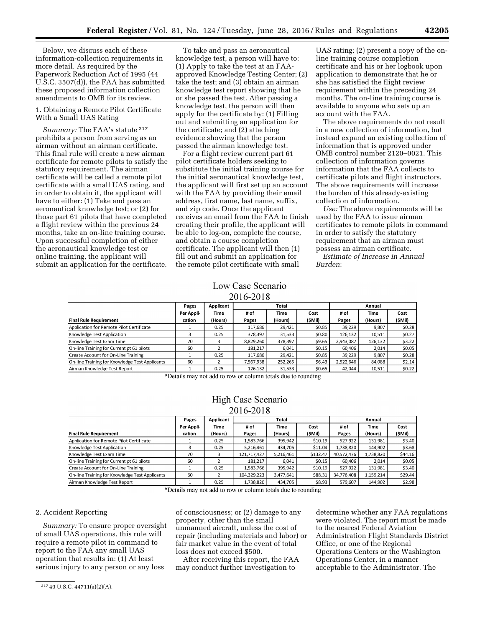Below, we discuss each of these information-collection requirements in more detail. As required by the Paperwork Reduction Act of 1995 (44 U.S.C. 3507(d)), the FAA has submitted these proposed information collection amendments to OMB for its review.

1. Obtaining a Remote Pilot Certificate With a Small UAS Rating

*Summary:* The FAA's statute 217 prohibits a person from serving as an airman without an airman certificate. This final rule will create a new airman certificate for remote pilots to satisfy the statutory requirement. The airman certificate will be called a remote pilot certificate with a small UAS rating, and in order to obtain it, the applicant will have to either: (1) Take and pass an aeronautical knowledge test; or (2) for those part 61 pilots that have completed a flight review within the previous 24 months, take an on-line training course. Upon successful completion of either the aeronautical knowledge test or online training, the applicant will submit an application for the certificate.

To take and pass an aeronautical knowledge test, a person will have to: (1) Apply to take the test at an FAAapproved Knowledge Testing Center; (2) take the test; and (3) obtain an airman knowledge test report showing that he or she passed the test. After passing a knowledge test, the person will then apply for the certificate by: (1) Filling out and submitting an application for the certificate; and (2) attaching evidence showing that the person passed the airman knowledge test.

For a flight review current part 61 pilot certificate holders seeking to substitute the initial training course for the initial aeronautical knowledge test, the applicant will first set up an account with the FAA by providing their email address, first name, last name, suffix, and zip code. Once the applicant receives an email from the FAA to finish creating their profile, the applicant will be able to log-on, complete the course, and obtain a course completion certificate. The applicant will then (1) fill out and submit an application for the remote pilot certificate with small

UAS rating; (2) present a copy of the online training course completion certificate and his or her logbook upon application to demonstrate that he or she has satisfied the flight review requirement within the preceding 24 months. The on-line training course is available to anyone who sets up an account with the FAA.

The above requirements do not result in a new collection of information, but instead expand an existing collection of information that is approved under OMB control number 2120–0021. This collection of information governs information that the FAA collects to certificate pilots and flight instructors. The above requirements will increase the burden of this already-existing collection of information.

*Use:* The above requirements will be used by the FAA to issue airman certificates to remote pilots in command in order to satisfy the statutory requirement that an airman must possess an airman certificate.

*Estimate of Increase in Annual Burden*:

# Low Case Scenario 2016-2018

|                                                | Pages      | Applicant | Total     |             |         | Annual    |         |         |
|------------------------------------------------|------------|-----------|-----------|-------------|---------|-----------|---------|---------|
|                                                | Per Appli- | Time      | # of      | <b>Time</b> | Cost    | # of      | Time    | Cost    |
| <b>Final Rule Requirement</b>                  | cation     | (Hours)   | Pages     | (Hours)     | (\$Mil) | Pages     | (Hours) | (\$Mil) |
| Application for Remote Pilot Certificate       |            | 0.25      | 117.686   | 29.421      | \$0.85  | 39.229    | 9,807   | \$0.28  |
| Knowledge Test Application                     |            | 0.25      | 378,397   | 31,533      | \$0.80  | 126,132   | 10.511  | \$0.27  |
| Knowledge Test Exam Time                       | 70         | 3         | 8,829,260 | 378,397     | \$9.65  | 2.943.087 | 126,132 | \$3.22  |
| On-line Training for Current pt 61 pilots      | 60         |           | 181.217   | 6.041       | \$0.15  | 60.406    | 2.014   | \$0.05  |
| Create Account for On-Line Training            |            | 0.25      | 117.686   | 29.421      | \$0.85  | 39.229    | 9,807   | \$0.28  |
| On-line Training for Knowledge Test Applicants | 60         | ∍         | 7.567.938 | 252.265     | \$6.43  | 2.522.646 | 84.088  | \$2.14  |
| Airman Knowledge Test Report                   |            | 0.25      | 126,132   | 31,533      | \$0.65  | 42,044    | 10,511  | \$0.22  |

\*Details may not add to row or column totals due to rounding

# High Case Scenario 2016-2018

|                                                | Pages      | Applicant | Total       |             |          | Annual     |           |         |
|------------------------------------------------|------------|-----------|-------------|-------------|----------|------------|-----------|---------|
|                                                | Per Appli- | Time      | # of        | <b>Time</b> | Cost     | # of       | Time      | Cost    |
| <b>Final Rule Requirement</b>                  | cation     | (Hours)   | Pages       | (Hours)     | (\$Mil)  | Pages      | (Hours)   | (\$Mil) |
| Application for Remote Pilot Certificate       |            | 0.25      | 1,583,766   | 395,942     | \$10.19  | 527,922    | 131,981   | \$3.40  |
| Knowledge Test Application                     |            | 0.25      | 5,216,461   | 434.705     | \$11.04  | 1,738,820  | 144,902   | \$3.68  |
| Knowledge Test Exam Time                       | 70         | 3         | 121,717,427 | 5,216,461   | \$132.47 | 40,572,476 | 1,738,820 | \$44.16 |
| On-line Training for Current pt 61 pilots      | 60         |           | 181,217     | 6.041       | \$0.15   | 60.406     | 2,014     | \$0.05  |
| Create Account for On-Line Training            |            | 0.25      | 1.583.766   | 395.942     | \$10.19  | 527.922    | 131.981   | \$3.40  |
| On-line Training for Knowledge Test Applicants | 60         |           | 104.329.223 | 3.477.641   | \$88.31  | 34,776,408 | 1.159.214 | \$29.44 |
| Airman Knowledge Test Report                   |            | 0.25      | 1,738,820   | 434.705     | \$8.93   | 579.607    | 144.902   | \$2.98  |

\*Details may not add to row or column totals due to rounding

### 2. Accident Reporting

*Summary:* To ensure proper oversight of small UAS operations, this rule will require a remote pilot in command to report to the FAA any small UAS operation that results in: (1) At least serious injury to any person or any loss

of consciousness; or (2) damage to any property, other than the small unmanned aircraft, unless the cost of repair (including materials and labor) or fair market value in the event of total loss does not exceed \$500.

After receiving this report, the FAA may conduct further investigation to

determine whether any FAA regulations were violated. The report must be made to the nearest Federal Aviation Administration Flight Standards District Office, or one of the Regional Operations Centers or the Washington Operations Center, in a manner acceptable to the Administrator. The

<sup>217</sup> 49 U.S.C. 44711(a)(2)(A).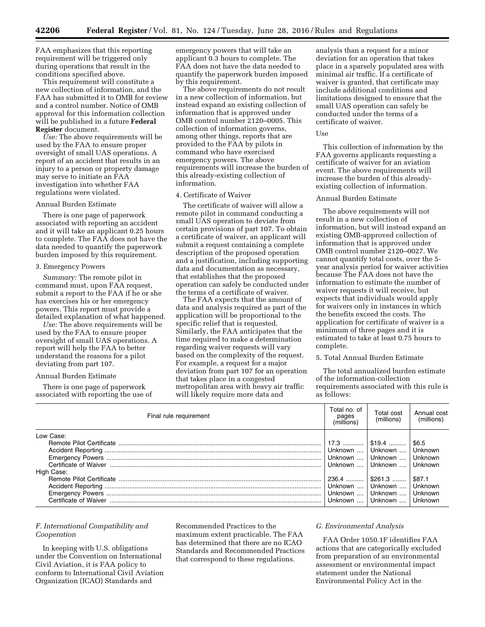FAA emphasizes that this reporting requirement will be triggered only during operations that result in the conditions specified above.

This requirement will constitute a new collection of information, and the FAA has submitted it to OMB for review and a control number. Notice of OMB approval for this information collection will be published in a future **Federal Register** document.

*Use:* The above requirements will be used by the FAA to ensure proper oversight of small UAS operations. A report of an accident that results in an injury to a person or property damage may serve to initiate an FAA investigation into whether FAA regulations were violated.

### Annual Burden Estimate

There is one page of paperwork associated with reporting an accident and it will take an applicant 0.25 hours to complete. The FAA does not have the data needed to quantify the paperwork burden imposed by this requirement.

#### 3. Emergency Powers

*Summary:* The remote pilot in command must, upon FAA request, submit a report to the FAA if he or she has exercises his or her emergency powers. This report must provide a detailed explanation of what happened.

*Use:* The above requirements will be used by the FAA to ensure proper oversight of small UAS operations. A report will help the FAA to better understand the reasons for a pilot deviating from part 107.

### Annual Burden Estimate

There is one page of paperwork associated with reporting the use of emergency powers that will take an applicant 0.3 hours to complete. The FAA does not have the data needed to quantify the paperwork burden imposed by this requirement.

The above requirements do not result in a new collection of information, but instead expand an existing collection of information that is approved under OMB control number 2120–0005. This collection of information governs, among other things, reports that are provided to the FAA by pilots in command who have exercised emergency powers. The above requirements will increase the burden of this already-existing collection of information.

## 4. Certificate of Waiver

The certificate of waiver will allow a remote pilot in command conducting a small UAS operation to deviate from certain provisions of part 107. To obtain a certificate of waiver, an applicant will submit a request containing a complete description of the proposed operation and a justification, including supporting data and documentation as necessary, that establishes that the proposed operation can safely be conducted under the terms of a certificate of waiver.

The FAA expects that the amount of data and analysis required as part of the application will be proportional to the specific relief that is requested. Similarly, the FAA anticipates that the time required to make a determination regarding waiver requests will vary based on the complexity of the request. For example, a request for a major deviation from part 107 for an operation that takes place in a congested metropolitan area with heavy air traffic will likely require more data and

analysis than a request for a minor deviation for an operation that takes place in a sparsely populated area with minimal air traffic. If a certificate of waiver is granted, that certificate may include additional conditions and limitations designed to ensure that the small UAS operation can safely be conducted under the terms of a certificate of waiver.

### Use

This collection of information by the FAA governs applicants requesting a certificate of waiver for an aviation event. The above requirements will increase the burden of this alreadyexisting collection of information.

## Annual Burden Estimate

The above requirements will not result in a new collection of information, but will instead expand an existing OMB-approved collection of information that is approved under OMB control number 2120–0027. We cannot quantify total costs, over the 5 year analysis period for waiver activities because The FAA does not have the information to estimate the number of waiver requests it will receive, but expects that individuals would apply for waivers only in instances in which the benefits exceed the costs. The application for certificate of waiver is a minimum of three pages and it is estimated to take at least 0.75 hours to complete.

## 5. Total Annual Burden Estimate

The total annualized burden estimate of the information-collection requirements associated with this rule is as follows:

| Final rule requirement | Total no. of<br>pages<br>(millions) | Total cost<br>(millions) | Annual cost<br>(millions) |
|------------------------|-------------------------------------|--------------------------|---------------------------|
| Low Case:              |                                     |                          |                           |
|                        | 17.3 !                              | $$19.4$                  | \$6.5                     |
|                        | Unknown    Unknown                  |                          | Unknown                   |
|                        | Unknown    Unknown                  |                          | Unknown                   |
| Certificate of Waiver  | Unknown                             | Unknown                  | Unknown                   |
| High Case:             |                                     |                          |                           |
|                        | 236.4    \$261.3                    |                          | \$87.1                    |
|                        | Unknown    Unknown                  |                          | Unknown                   |
|                        | Unknown $\ldots$ Unknown $\ldots$   |                          | Unknown                   |
|                        | Unknown                             | Unknown                  | Unknown                   |

## *F. International Compatibility and Cooperation*

In keeping with U.S. obligations under the Convention on International Civil Aviation, it is FAA policy to conform to International Civil Aviation Organization (ICAO) Standards and

Recommended Practices to the maximum extent practicable. The FAA has determined that there are no ICAO Standards and Recommended Practices that correspond to these regulations.

### *G. Environmental Analysis*

FAA Order 1050.1F identifies FAA actions that are categorically excluded from preparation of an environmental assessment or environmental impact statement under the National Environmental Policy Act in the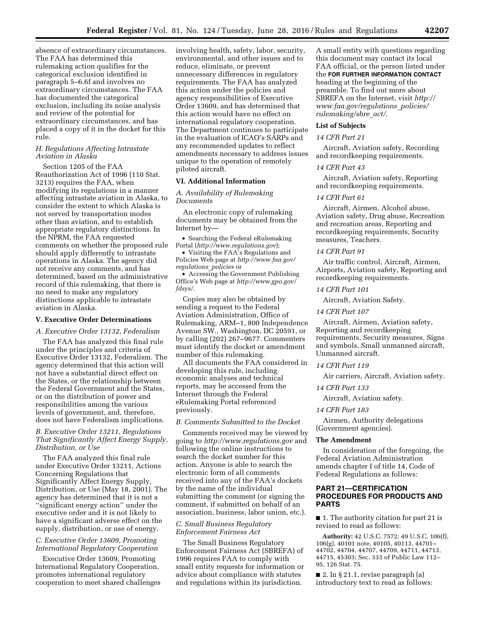absence of extraordinary circumstances. The FAA has determined this rulemaking action qualifies for the categorical exclusion identified in paragraph 5–6.6f and involves no extraordinary circumstances. The FAA has documented the categorical exclusion, including its noise analysis and review of the potential for extraordinary circumstances, and has placed a copy of it in the docket for this rule.

# *H. Regulations Affecting Intrastate Aviation in Alaska*

Section 1205 of the FAA Reauthorization Act of 1996 (110 Stat. 3213) requires the FAA, when modifying its regulations in a manner affecting intrastate aviation in Alaska, to consider the extent to which Alaska is not served by transportation modes other than aviation, and to establish appropriate regulatory distinctions. In the NPRM, the FAA requested comments on whether the proposed rule should apply differently to intrastate operations in Alaska. The agency did not receive any comments, and has determined, based on the administrative record of this rulemaking, that there is no need to make any regulatory distinctions applicable to intrastate aviation in Alaska.

#### **V. Executive Order Determinations**

#### *A. Executive Order 13132, Federalism*

The FAA has analyzed this final rule under the principles and criteria of Executive Order 13132, Federalism. The agency determined that this action will not have a substantial direct effect on the States, or the relationship between the Federal Government and the States, or on the distribution of power and responsibilities among the various levels of government, and, therefore, does not have Federalism implications.

# *B. Executive Order 13211, Regulations That Significantly Affect Energy Supply, Distribution, or Use*

The FAA analyzed this final rule under Executive Order 13211, Actions Concerning Regulations that Significantly Affect Energy Supply, Distribution, or Use (May 18, 2001). The agency has determined that it is not a ''significant energy action'' under the executive order and it is not likely to have a significant adverse effect on the supply, distribution, or use of energy.

# *C. Executive Order 13609, Promoting International Regulatory Cooperation*

Executive Order 13609, Promoting International Regulatory Cooperation, promotes international regulatory cooperation to meet shared challenges involving health, safety, labor, security, environmental, and other issues and to reduce, eliminate, or prevent unnecessary differences in regulatory requirements. The FAA has analyzed this action under the policies and agency responsibilities of Executive Order 13609, and has determined that this action would have no effect on international regulatory cooperation. The Department continues to participate in the evaluation of ICAO's SARPs and any recommended updates to reflect amendments necessary to address issues unique to the operation of remotely piloted aircraft.

# **VI. Additional Information**

*A. Availability of Rulemaking Documents* 

An electronic copy of rulemaking documents may be obtained from the Internet by—

• Searching the Federal eRulemaking Portal (*<http://www.regulations.gov>*);

• Visiting the FAA's Regulations and Policies Web page at *[http://www.faa.gov/](http://www.faa.gov/regulations_policies) [regulations](http://www.faa.gov/regulations_policies)*\_*policies* or

 $\overrightarrow{ }$  Accessing the Government Publishing Office's Web page at *[http://www.gpo.gov/](http://www.gpo.gov/fdsys/) [fdsys/](http://www.gpo.gov/fdsys/)*.

Copies may also be obtained by sending a request to the Federal Aviation Administration, Office of Rulemaking, ARM–1, 800 Independence Avenue SW., Washington, DC 20591, or by calling  $(202)$  267–9677. Commenters must identify the docket or amendment number of this rulemaking.

All documents the FAA considered in developing this rule, including economic analyses and technical reports, may be accessed from the Internet through the Federal eRulemaking Portal referenced previously.

# *B. Comments Submitted to the Docket*

Comments received may be viewed by going to *<http://www.regulations.gov>*and following the online instructions to search the docket number for this action. Anyone is able to search the electronic form of all comments received into any of the FAA's dockets by the name of the individual submitting the comment (or signing the comment, if submitted on behalf of an association, business, labor union, etc.).

# *C. Small Business Regulatory Enforcement Fairness Act*

The Small Business Regulatory Enforcement Fairness Act (SBREFA) of 1996 requires FAA to comply with small entity requests for information or advice about compliance with statutes and regulations within its jurisdiction.

A small entity with questions regarding this document may contact its local FAA official, or the person listed under the **FOR FURTHER INFORMATION CONTACT** heading at the beginning of the preamble. To find out more about SBREFA on the Internet, visit *[http://](http://www.faa.gov/regulations_policies/rulemaking/sbre_act/) [www.faa.gov/regulations](http://www.faa.gov/regulations_policies/rulemaking/sbre_act/)*\_*policies/ [rulemaking/sbre](http://www.faa.gov/regulations_policies/rulemaking/sbre_act/)*\_*act/*.

# **List of Subjects**

# *14 CFR Part 21*

Aircraft, Aviation safety, Recording and recordkeeping requirements.

#### *14 CFR Part 43*

Aircraft, Aviation safety, Reporting and recordkeeping requirements.

#### *14 CFR Part 61*

Aircraft, Airmen, Alcohol abuse, Aviation safety, Drug abuse, Recreation and recreation areas, Reporting and recordkeeping requirements, Security measures, Teachers.

### *14 CFR Part 91*

Air traffic control, Aircraft, Airmen, Airports, Aviation safety, Reporting and recordkeeping requirements.

#### *14 CFR Part 101*

Aircraft, Aviation Safety.

# *14 CFR Part 107*

Aircraft, Airmen, Aviation safety, Reporting and recordkeeping requirements, Security measures, Signs and symbols, Small unmanned aircraft, Unmanned aircraft.

## *14 CFR Part 119*

Air carriers, Aircraft, Aviation safety.

## *14 CFR Part 133*

Aircraft, Aviation safety.

#### *14 CFR Part 183*

Airmen, Authority delegations (Government agencies).

#### **The Amendment**

In consideration of the foregoing, the Federal Aviation Administration amends chapter I of title 14, Code of Federal Regulations as follows:

# **PART 21—CERTIFICATION PROCEDURES FOR PRODUCTS AND PARTS**

■ 1. The authority citation for part 21 is revised to read as follows:

**Authority:** 42 U.S.C. 7572; 49 U.S.C. 106(f), 106(g), 40101 note, 40105, 40113, 44701– 44702, 44704, 44707, 44709, 44711, 44713, 44715, 45303; Sec. 333 of Public Law 112– 95, 126 Stat. 75.

■ 2. In § 21.1, revise paragraph (a) introductory text to read as follows: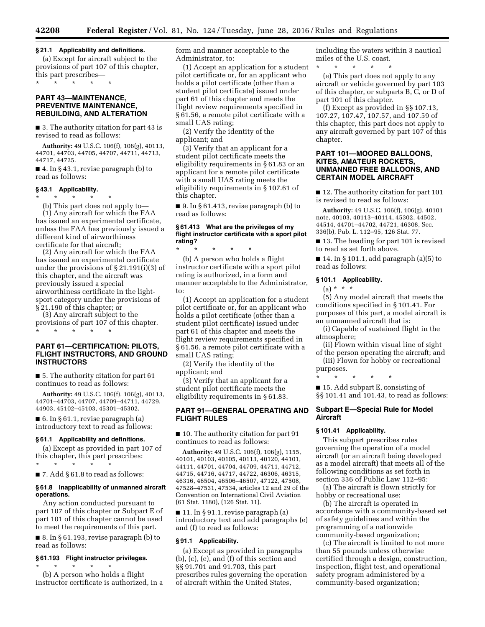### **§ 21.1 Applicability and definitions.**

(a) Except for aircraft subject to the provisions of part 107 of this chapter, this part prescribes—

\* \* \* \* \*

# **PART 43—MAINTENANCE, PREVENTIVE MAINTENANCE, REBUILDING, AND ALTERATION**

■ 3. The authority citation for part 43 is revised to read as follows:

**Authority:** 49 U.S.C. 106(f), 106(g), 40113, 44701, 44703, 44705, 44707, 44711, 44713, 44717, 44725.

■ 4. In § 43.1, revise paragraph (b) to read as follows:

#### **§ 43.1 Applicability.**

 $\star$   $\star$   $\star$ 

(b) This part does not apply to— (1) Any aircraft for which the FAA has issued an experimental certificate, unless the FAA has previously issued a different kind of airworthiness certificate for that aircraft;

(2) Any aircraft for which the FAA has issued an experimental certificate under the provisions of § 21.191(i)(3) of this chapter, and the aircraft was previously issued a special airworthiness certificate in the lightsport category under the provisions of § 21.190 of this chapter; or

(3) Any aircraft subject to the provisions of part 107 of this chapter. \* \* \* \* \*

# **PART 61—CERTIFICATION: PILOTS, FLIGHT INSTRUCTORS, AND GROUND INSTRUCTORS**

■ 5. The authority citation for part 61 continues to read as follows:

**Authority:** 49 U.S.C. 106(f), 106(g), 40113, 44701–44703, 44707, 44709–44711, 44729, 44903, 45102–45103, 45301–45302.

■ 6. In § 61.1, revise paragraph (a) introductory text to read as follows:

#### **§ 61.1 Applicability and definitions.**

(a) Except as provided in part 107 of this chapter, this part prescribes: \* \* \* \* \*

 $\blacksquare$  7. Add § 61.8 to read as follows:

# **§ 61.8 Inapplicability of unmanned aircraft operations.**

Any action conducted pursuant to part 107 of this chapter or Subpart E of part 101 of this chapter cannot be used to meet the requirements of this part.

■ 8. In § 61.193, revise paragraph (b) to read as follows:

# **§ 61.193 Flight instructor privileges.**

\* \* \* \* \* (b) A person who holds a flight instructor certificate is authorized, in a form and manner acceptable to the Administrator, to:

(1) Accept an application for a student pilot certificate or, for an applicant who holds a pilot certificate (other than a student pilot certificate) issued under part 61 of this chapter and meets the flight review requirements specified in § 61.56, a remote pilot certificate with a small UAS rating;

(2) Verify the identity of the applicant; and

(3) Verify that an applicant for a student pilot certificate meets the eligibility requirements in § 61.83 or an applicant for a remote pilot certificate with a small UAS rating meets the eligibility requirements in § 107.61 of this chapter.

■ 9. In § 61.413, revise paragraph (b) to read as follows:

# **§ 61.413 What are the privileges of my flight instructor certificate with a sport pilot rating?**

\* \* \* \* \* (b) A person who holds a flight instructor certificate with a sport pilot rating is authorized, in a form and manner acceptable to the Administrator, to:

(1) Accept an application for a student pilot certificate or, for an applicant who holds a pilot certificate (other than a student pilot certificate) issued under part 61 of this chapter and meets the flight review requirements specified in § 61.56, a remote pilot certificate with a small UAS rating;

(2) Verify the identity of the applicant; and

(3) Verify that an applicant for a student pilot certificate meets the eligibility requirements in § 61.83.

## **PART 91—GENERAL OPERATING AND FLIGHT RULES**

■ 10. The authority citation for part 91 continues to read as follows:

**Authority:** 49 U.S.C. 106(f), 106(g), 1155, 40101, 40103, 40105, 40113, 40120, 44101, 44111, 44701, 44704, 44709, 44711, 44712, 44715, 44716, 44717, 44722, 46306, 46315, 46316, 46504, 46506–46507, 47122, 47508, 47528–47531, 47534, articles 12 and 29 of the Convention on International Civil Aviation (61 Stat. 1180), (126 Stat. 11).

■ 11. In § 91.1, revise paragraph (a) introductory text and add paragraphs (e) and (f) to read as follows:

#### **§ 91.1 Applicability.**

(a) Except as provided in paragraphs (b), (c), (e), and (f) of this section and §§ 91.701 and 91.703, this part prescribes rules governing the operation of aircraft within the United States,

including the waters within 3 nautical miles of the U.S. coast.

\* \* \* \* \* (e) This part does not apply to any aircraft or vehicle governed by part 103 of this chapter, or subparts B, C, or D of part 101 of this chapter.

(f) Except as provided in §§ 107.13, 107.27, 107.47, 107.57, and 107.59 of this chapter, this part does not apply to any aircraft governed by part 107 of this chapter.

# **PART 101—MOORED BALLOONS, KITES, AMATEUR ROCKETS, UNMANNED FREE BALLOONS, AND CERTAIN MODEL AIRCRAFT**

■ 12. The authority citation for part 101 is revised to read as follows:

**Authority:** 49 U.S.C. 106(f), 106(g), 40101 note, 40103, 40113–40114, 45302, 44502, 44514, 44701–44702, 44721, 46308, Sec. 336(b), Pub. L. 112–95, 126 Stat. 77.

■ 13. The heading for part 101 is revised to read as set forth above.

 $\blacksquare$  14. In § 101.1, add paragraph (a)(5) to read as follows:

# **§ 101.1 Applicability.**

 $(a) * * * *$ 

(5) Any model aircraft that meets the conditions specified in § 101.41. For purposes of this part, a model aircraft is an unmanned aircraft that is:

(i) Capable of sustained flight in the atmosphere;

(ii) Flown within visual line of sight of the person operating the aircraft; and

(iii) Flown for hobby or recreational purposes.

\* \* \* \* \*

■ 15. Add subpart E, consisting of §§ 101.41 and 101.43, to read as follows:

# **Subpart E—Special Rule for Model Aircraft**

# **§ 101.41 Applicability.**

This subpart prescribes rules governing the operation of a model aircraft (or an aircraft being developed as a model aircraft) that meets all of the following conditions as set forth in section 336 of Public Law 112–95:

(a) The aircraft is flown strictly for hobby or recreational use;

(b) The aircraft is operated in accordance with a community-based set of safety guidelines and within the programming of a nationwide community-based organization;

(c) The aircraft is limited to not more than 55 pounds unless otherwise certified through a design, construction, inspection, flight test, and operational safety program administered by a community-based organization;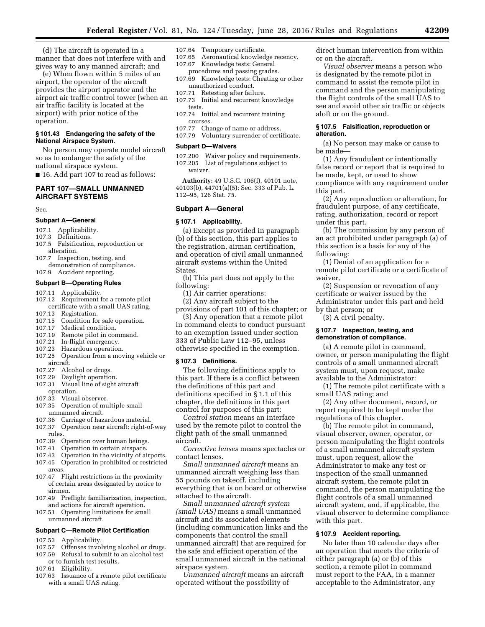(d) The aircraft is operated in a manner that does not interfere with and gives way to any manned aircraft; and

(e) When flown within 5 miles of an airport, the operator of the aircraft provides the airport operator and the airport air traffic control tower (when an air traffic facility is located at the airport) with prior notice of the operation.

## **§ 101.43 Endangering the safety of the National Airspace System.**

No person may operate model aircraft so as to endanger the safety of the national airspace system.

■ 16. Add part 107 to read as follows:

# **PART 107—SMALL UNMANNED AIRCRAFT SYSTEMS**

Sec.

#### **Subpart A—General**

- 107.1 Applicability.
- 107.3 Definitions.
- 107.5 Falsification, reproduction or alteration.
- 107.7 Inspection, testing, and
- demonstration of compliance. 107.9 Accident reporting.

# **Subpart B—Operating Rules**

- 107.11 Applicability.
- 107.12 Requirement for a remote pilot certificate with a small UAS rating.
- 107.13 Registration.
- 107.15 Condition for safe operation.
- 107.17 Medical condition.
- 107.19 Remote pilot in command.
- 107.21 In-flight emergency.
- 107.23 Hazardous operation.
- 107.25 Operation from a moving vehicle or aircraft.
- 107.27 Alcohol or drugs.
- 107.29 Daylight operation.
- 107.31 Visual line of sight aircraft operation.
- 107.33 Visual observer.
- 107.35 Operation of multiple small unmanned aircraft.
- 107.36 Carriage of hazardous material.
- 107.37 Operation near aircraft; right-of-way rules.
- 107.39 Operation over human beings.
- 107.41 Operation in certain airspace.
- 107.43 Operation in the vicinity of airports.
- 107.45 Operation in prohibited or restricted areas.
- 107.47 Flight restrictions in the proximity of certain areas designated by notice to airmen.
- 107.49 Preflight familiarization, inspection, and actions for aircraft operation.
- 107.51 Operating limitations for small unmanned aircraft.

#### **Subpart C—Remote Pilot Certification**

- 107.53 Applicability.
- 107.57 Offenses involving alcohol or drugs.
- 107.59 Refusal to submit to an alcohol test
- or to furnish test results. 107.61 Eligibility.
- 
- 107.63 Issuance of a remote pilot certificate with a small UAS rating.
- 107.64 Temporary certificate.
- 107.65 Aeronautical knowledge recency.
- 107.67 Knowledge tests: General
- procedures and passing grades. 107.69 Knowledge tests: Cheating or other unauthorized conduct.
- 107.71 Retesting after failure.
- 107.73 Initial and recurrent knowledge
- tests. 107.74 Initial and recurrent training
- courses.
- 107.77 Change of name or address. 107.79 Voluntary surrender of certificate.
- 

# **Subpart D—Waivers**

107.200 Waiver policy and requirements. 107.205 List of regulations subject to waiver.

**Authority:** 49 U.S.C. 106(f), 40101 note, 40103(b), 44701(a)(5); Sec. 333 of Pub. L. 112–95, 126 Stat. 75.

## **Subpart A—General**

## **§ 107.1 Applicability.**

(a) Except as provided in paragraph (b) of this section, this part applies to the registration, airman certification, and operation of civil small unmanned aircraft systems within the United **States** 

(b) This part does not apply to the following:

(1) Air carrier operations;

(2) Any aircraft subject to the provisions of part 101 of this chapter; or

(3) Any operation that a remote pilot in command elects to conduct pursuant to an exemption issued under section 333 of Public Law 112–95, unless otherwise specified in the exemption.

#### **§ 107.3 Definitions.**

The following definitions apply to this part. If there is a conflict between the definitions of this part and definitions specified in § 1.1 of this chapter, the definitions in this part control for purposes of this part:

*Control station* means an interface used by the remote pilot to control the flight path of the small unmanned aircraft.

*Corrective lenses* means spectacles or contact lenses.

*Small unmanned aircraft* means an unmanned aircraft weighing less than 55 pounds on takeoff, including everything that is on board or otherwise attached to the aircraft.

*Small unmanned aircraft system (small UAS)* means a small unmanned aircraft and its associated elements (including communication links and the components that control the small unmanned aircraft) that are required for the safe and efficient operation of the small unmanned aircraft in the national airspace system.

*Unmanned aircraft* means an aircraft operated without the possibility of

direct human intervention from within or on the aircraft.

*Visual observer* means a person who is designated by the remote pilot in command to assist the remote pilot in command and the person manipulating the flight controls of the small UAS to see and avoid other air traffic or objects aloft or on the ground.

#### **§ 107.5 Falsification, reproduction or alteration.**

(a) No person may make or cause to be made—

(1) Any fraudulent or intentionally false record or report that is required to be made, kept, or used to show compliance with any requirement under this part.

(2) Any reproduction or alteration, for fraudulent purpose, of any certificate, rating, authorization, record or report under this part.

(b) The commission by any person of an act prohibited under paragraph (a) of this section is a basis for any of the following:

(1) Denial of an application for a remote pilot certificate or a certificate of waiver,

(2) Suspension or revocation of any certificate or waiver issued by the Administrator under this part and held by that person; or

(3) A civil penalty.

#### **§ 107.7 Inspection, testing, and demonstration of compliance.**

(a) A remote pilot in command, owner, or person manipulating the flight controls of a small unmanned aircraft system must, upon request, make available to the Administrator:

(1) The remote pilot certificate with a small UAS rating; and

(2) Any other document, record, or report required to be kept under the regulations of this chapter.

(b) The remote pilot in command, visual observer, owner, operator, or person manipulating the flight controls of a small unmanned aircraft system must, upon request, allow the Administrator to make any test or inspection of the small unmanned aircraft system, the remote pilot in command, the person manipulating the flight controls of a small unmanned aircraft system, and, if applicable, the visual observer to determine compliance with this part.

#### **§ 107.9 Accident reporting.**

No later than 10 calendar days after an operation that meets the criteria of either paragraph (a) or (b) of this section, a remote pilot in command must report to the FAA, in a manner acceptable to the Administrator, any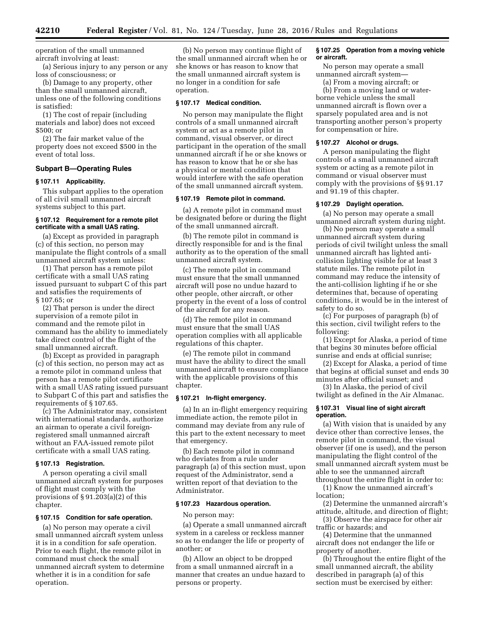operation of the small unmanned aircraft involving at least:

(a) Serious injury to any person or any loss of consciousness; or

(b) Damage to any property, other than the small unmanned aircraft, unless one of the following conditions is satisfied:

(1) The cost of repair (including materials and labor) does not exceed \$500; or

(2) The fair market value of the property does not exceed \$500 in the event of total loss.

### **Subpart B—Operating Rules**

# **§ 107.11 Applicability.**

This subpart applies to the operation of all civil small unmanned aircraft systems subject to this part.

# **§ 107.12 Requirement for a remote pilot certificate with a small UAS rating.**

(a) Except as provided in paragraph (c) of this section, no person may manipulate the flight controls of a small unmanned aircraft system unless:

(1) That person has a remote pilot certificate with a small UAS rating issued pursuant to subpart C of this part and satisfies the requirements of § 107.65; or

(2) That person is under the direct supervision of a remote pilot in command and the remote pilot in command has the ability to immediately take direct control of the flight of the small unmanned aircraft.

(b) Except as provided in paragraph (c) of this section, no person may act as a remote pilot in command unless that person has a remote pilot certificate with a small UAS rating issued pursuant to Subpart C of this part and satisfies the requirements of § 107.65.

(c) The Administrator may, consistent with international standards, authorize an airman to operate a civil foreignregistered small unmanned aircraft without an FAA-issued remote pilot certificate with a small UAS rating.

#### **§ 107.13 Registration.**

A person operating a civil small unmanned aircraft system for purposes of flight must comply with the provisions of  $\S 91.203(a)(2)$  of this chapter.

# **§ 107.15 Condition for safe operation.**

(a) No person may operate a civil small unmanned aircraft system unless it is in a condition for safe operation. Prior to each flight, the remote pilot in command must check the small unmanned aircraft system to determine whether it is in a condition for safe operation.

(b) No person may continue flight of the small unmanned aircraft when he or she knows or has reason to know that the small unmanned aircraft system is no longer in a condition for safe operation.

### **§ 107.17 Medical condition.**

No person may manipulate the flight controls of a small unmanned aircraft system or act as a remote pilot in command, visual observer, or direct participant in the operation of the small unmanned aircraft if he or she knows or has reason to know that he or she has a physical or mental condition that would interfere with the safe operation of the small unmanned aircraft system.

### **§ 107.19 Remote pilot in command.**

(a) A remote pilot in command must be designated before or during the flight of the small unmanned aircraft.

(b) The remote pilot in command is directly responsible for and is the final authority as to the operation of the small unmanned aircraft system.

(c) The remote pilot in command must ensure that the small unmanned aircraft will pose no undue hazard to other people, other aircraft, or other property in the event of a loss of control of the aircraft for any reason.

(d) The remote pilot in command must ensure that the small UAS operation complies with all applicable regulations of this chapter.

(e) The remote pilot in command must have the ability to direct the small unmanned aircraft to ensure compliance with the applicable provisions of this chapter.

# **§ 107.21 In-flight emergency.**

(a) In an in-flight emergency requiring immediate action, the remote pilot in command may deviate from any rule of this part to the extent necessary to meet that emergency.

(b) Each remote pilot in command who deviates from a rule under paragraph (a) of this section must, upon request of the Administrator, send a written report of that deviation to the Administrator.

#### **§ 107.23 Hazardous operation.**

No person may:

(a) Operate a small unmanned aircraft system in a careless or reckless manner so as to endanger the life or property of another; or

(b) Allow an object to be dropped from a small unmanned aircraft in a manner that creates an undue hazard to persons or property.

## **§ 107.25 Operation from a moving vehicle or aircraft.**

No person may operate a small unmanned aircraft system—

(a) From a moving aircraft; or

(b) From a moving land or waterborne vehicle unless the small unmanned aircraft is flown over a sparsely populated area and is not transporting another person's property for compensation or hire.

#### **§ 107.27 Alcohol or drugs.**

A person manipulating the flight controls of a small unmanned aircraft system or acting as a remote pilot in command or visual observer must comply with the provisions of §§ 91.17 and 91.19 of this chapter.

#### **§ 107.29 Daylight operation.**

(a) No person may operate a small unmanned aircraft system during night.

(b) No person may operate a small unmanned aircraft system during periods of civil twilight unless the small unmanned aircraft has lighted anticollision lighting visible for at least 3 statute miles. The remote pilot in command may reduce the intensity of the anti-collision lighting if he or she determines that, because of operating conditions, it would be in the interest of safety to do so.

(c) For purposes of paragraph (b) of this section, civil twilight refers to the following:

(1) Except for Alaska, a period of time that begins 30 minutes before official sunrise and ends at official sunrise;

(2) Except for Alaska, a period of time that begins at official sunset and ends 30 minutes after official sunset; and

(3) In Alaska, the period of civil twilight as defined in the Air Almanac.

# **§ 107.31 Visual line of sight aircraft operation.**

(a) With vision that is unaided by any device other than corrective lenses, the remote pilot in command, the visual observer (if one is used), and the person manipulating the flight control of the small unmanned aircraft system must be able to see the unmanned aircraft throughout the entire flight in order to:

(1) Know the unmanned aircraft's location;

(2) Determine the unmanned aircraft's attitude, altitude, and direction of flight;

(3) Observe the airspace for other air traffic or hazards; and

(4) Determine that the unmanned aircraft does not endanger the life or property of another.

(b) Throughout the entire flight of the small unmanned aircraft, the ability described in paragraph (a) of this section must be exercised by either: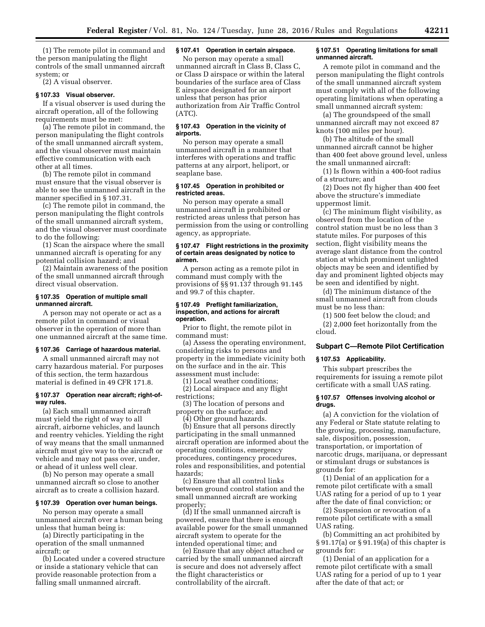(1) The remote pilot in command and the person manipulating the flight controls of the small unmanned aircraft system; or

(2) A visual observer.

#### **§ 107.33 Visual observer.**

If a visual observer is used during the aircraft operation, all of the following requirements must be met:

(a) The remote pilot in command, the person manipulating the flight controls of the small unmanned aircraft system, and the visual observer must maintain effective communication with each other at all times.

(b) The remote pilot in command must ensure that the visual observer is able to see the unmanned aircraft in the manner specified in § 107.31.

(c) The remote pilot in command, the person manipulating the flight controls of the small unmanned aircraft system, and the visual observer must coordinate to do the following:

(1) Scan the airspace where the small unmanned aircraft is operating for any potential collision hazard; and

(2) Maintain awareness of the position of the small unmanned aircraft through direct visual observation.

### **§ 107.35 Operation of multiple small unmanned aircraft.**

A person may not operate or act as a remote pilot in command or visual observer in the operation of more than one unmanned aircraft at the same time.

#### **§ 107.36 Carriage of hazardous material.**

A small unmanned aircraft may not carry hazardous material. For purposes of this section, the term hazardous material is defined in 49 CFR 171.8.

## **§ 107.37 Operation near aircraft; right-ofway rules.**

(a) Each small unmanned aircraft must yield the right of way to all aircraft, airborne vehicles, and launch and reentry vehicles. Yielding the right of way means that the small unmanned aircraft must give way to the aircraft or vehicle and may not pass over, under, or ahead of it unless well clear.

(b) No person may operate a small unmanned aircraft so close to another aircraft as to create a collision hazard.

## **§ 107.39 Operation over human beings.**

No person may operate a small unmanned aircraft over a human being unless that human being is:

(a) Directly participating in the operation of the small unmanned aircraft; or

(b) Located under a covered structure or inside a stationary vehicle that can provide reasonable protection from a falling small unmanned aircraft.

# **§ 107.41 Operation in certain airspace.**

No person may operate a small unmanned aircraft in Class B, Class C, or Class D airspace or within the lateral boundaries of the surface area of Class E airspace designated for an airport unless that person has prior authorization from Air Traffic Control (ATC).

# **§ 107.43 Operation in the vicinity of airports.**

No person may operate a small unmanned aircraft in a manner that interferes with operations and traffic patterns at any airport, heliport, or seaplane base.

#### **§ 107.45 Operation in prohibited or restricted areas.**

No person may operate a small unmanned aircraft in prohibited or restricted areas unless that person has permission from the using or controlling agency, as appropriate.

#### **§ 107.47 Flight restrictions in the proximity of certain areas designated by notice to airmen.**

A person acting as a remote pilot in command must comply with the provisions of §§ 91.137 through 91.145 and 99.7 of this chapter.

#### **§ 107.49 Preflight familiarization, inspection, and actions for aircraft operation.**

Prior to flight, the remote pilot in command must:

(a) Assess the operating environment, considering risks to persons and property in the immediate vicinity both on the surface and in the air. This assessment must include:

(1) Local weather conditions;

(2) Local airspace and any flight restrictions;

(3) The location of persons and property on the surface; and

(4) Other ground hazards.

(b) Ensure that all persons directly participating in the small unmanned aircraft operation are informed about the operating conditions, emergency procedures, contingency procedures, roles and responsibilities, and potential hazards;

(c) Ensure that all control links between ground control station and the small unmanned aircraft are working properly;

(d) If the small unmanned aircraft is powered, ensure that there is enough available power for the small unmanned aircraft system to operate for the intended operational time; and

(e) Ensure that any object attached or carried by the small unmanned aircraft is secure and does not adversely affect the flight characteristics or controllability of the aircraft.

#### **§ 107.51 Operating limitations for small unmanned aircraft.**

A remote pilot in command and the person manipulating the flight controls of the small unmanned aircraft system must comply with all of the following operating limitations when operating a small unmanned aircraft system:

(a) The groundspeed of the small unmanned aircraft may not exceed 87 knots (100 miles per hour).

(b) The altitude of the small unmanned aircraft cannot be higher than 400 feet above ground level, unless the small unmanned aircraft:

(1) Is flown within a 400-foot radius of a structure; and

(2) Does not fly higher than 400 feet above the structure's immediate uppermost limit.

(c) The minimum flight visibility, as observed from the location of the control station must be no less than 3 statute miles. For purposes of this section, flight visibility means the average slant distance from the control station at which prominent unlighted objects may be seen and identified by day and prominent lighted objects may be seen and identified by night.

(d) The minimum distance of the small unmanned aircraft from clouds must be no less than:

(1) 500 feet below the cloud; and

(2) 2,000 feet horizontally from the cloud.

## **Subpart C—Remote Pilot Certification**

#### **§ 107.53 Applicability.**

This subpart prescribes the requirements for issuing a remote pilot certificate with a small UAS rating.

# **§ 107.57 Offenses involving alcohol or drugs.**

(a) A conviction for the violation of any Federal or State statute relating to the growing, processing, manufacture, sale, disposition, possession, transportation, or importation of narcotic drugs, marijuana, or depressant or stimulant drugs or substances is grounds for:

(1) Denial of an application for a remote pilot certificate with a small UAS rating for a period of up to 1 year after the date of final conviction; or

(2) Suspension or revocation of a remote pilot certificate with a small UAS rating.

(b) Committing an act prohibited by § 91.17(a) or § 91.19(a) of this chapter is grounds for:

(1) Denial of an application for a remote pilot certificate with a small UAS rating for a period of up to 1 year after the date of that act; or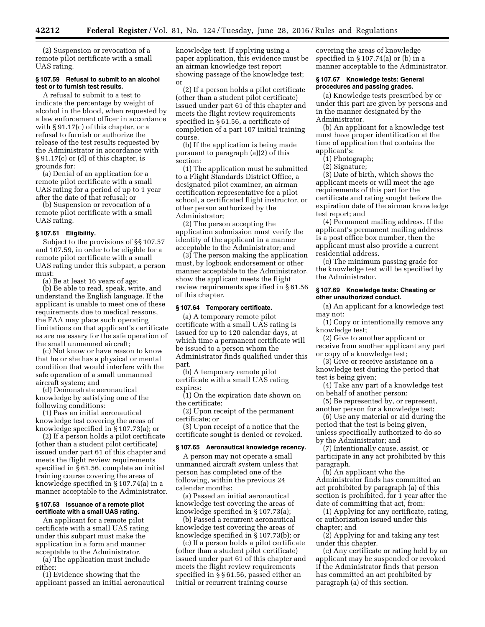(2) Suspension or revocation of a remote pilot certificate with a small UAS rating.

### **§ 107.59 Refusal to submit to an alcohol test or to furnish test results.**

A refusal to submit to a test to indicate the percentage by weight of alcohol in the blood, when requested by a law enforcement officer in accordance with § 91.17(c) of this chapter, or a refusal to furnish or authorize the release of the test results requested by the Administrator in accordance with § 91.17(c) or (d) of this chapter, is grounds for:

(a) Denial of an application for a remote pilot certificate with a small UAS rating for a period of up to 1 year after the date of that refusal; or

(b) Suspension or revocation of a remote pilot certificate with a small UAS rating.

# **§ 107.61 Eligibility.**

Subject to the provisions of §§ 107.57 and 107.59, in order to be eligible for a remote pilot certificate with a small UAS rating under this subpart, a person must:

(a) Be at least 16 years of age;

(b) Be able to read, speak, write, and understand the English language. If the applicant is unable to meet one of these requirements due to medical reasons, the FAA may place such operating limitations on that applicant's certificate as are necessary for the safe operation of the small unmanned aircraft;

(c) Not know or have reason to know that he or she has a physical or mental condition that would interfere with the safe operation of a small unmanned aircraft system; and

(d) Demonstrate aeronautical knowledge by satisfying one of the following conditions:

(1) Pass an initial aeronautical knowledge test covering the areas of knowledge specified in § 107.73(a); or

(2) If a person holds a pilot certificate (other than a student pilot certificate) issued under part 61 of this chapter and meets the flight review requirements specified in § 61.56, complete an initial training course covering the areas of knowledge specified in § 107.74(a) in a manner acceptable to the Administrator.

## **§ 107.63 Issuance of a remote pilot certificate with a small UAS rating.**

An applicant for a remote pilot certificate with a small UAS rating under this subpart must make the application in a form and manner acceptable to the Administrator.

(a) The application must include either:

(1) Evidence showing that the applicant passed an initial aeronautical knowledge test. If applying using a paper application, this evidence must be an airman knowledge test report showing passage of the knowledge test; or

(2) If a person holds a pilot certificate (other than a student pilot certificate) issued under part 61 of this chapter and meets the flight review requirements specified in § 61.56, a certificate of completion of a part 107 initial training course.

(b) If the application is being made pursuant to paragraph (a)(2) of this section:

(1) The application must be submitted to a Flight Standards District Office, a designated pilot examiner, an airman certification representative for a pilot school, a certificated flight instructor, or other person authorized by the Administrator;

(2) The person accepting the application submission must verify the identity of the applicant in a manner acceptable to the Administrator; and

(3) The person making the application must, by logbook endorsement or other manner acceptable to the Administrator, show the applicant meets the flight review requirements specified in § 61.56 of this chapter.

# **§ 107.64 Temporary certificate.**

(a) A temporary remote pilot certificate with a small UAS rating is issued for up to 120 calendar days, at which time a permanent certificate will be issued to a person whom the Administrator finds qualified under this part.

(b) A temporary remote pilot certificate with a small UAS rating expires:

(1) On the expiration date shown on the certificate;

(2) Upon receipt of the permanent certificate; or

(3) Upon receipt of a notice that the certificate sought is denied or revoked.

# **§ 107.65 Aeronautical knowledge recency.**

A person may not operate a small unmanned aircraft system unless that person has completed one of the following, within the previous 24 calendar months:

(a) Passed an initial aeronautical knowledge test covering the areas of knowledge specified in § 107.73(a);

(b) Passed a recurrent aeronautical knowledge test covering the areas of knowledge specified in § 107.73(b); or

(c) If a person holds a pilot certificate (other than a student pilot certificate) issued under part 61 of this chapter and meets the flight review requirements specified in § § 61.56, passed either an initial or recurrent training course

covering the areas of knowledge specified in § 107.74(a) or (b) in a manner acceptable to the Administrator.

## **§ 107.67 Knowledge tests: General procedures and passing grades.**

(a) Knowledge tests prescribed by or under this part are given by persons and in the manner designated by the Administrator.

(b) An applicant for a knowledge test must have proper identification at the time of application that contains the applicant's:

(1) Photograph;

(2) Signature;

(3) Date of birth, which shows the applicant meets or will meet the age requirements of this part for the certificate and rating sought before the expiration date of the airman knowledge test report; and

(4) Permanent mailing address. If the applicant's permanent mailing address is a post office box number, then the applicant must also provide a current residential address.

(c) The minimum passing grade for the knowledge test will be specified by the Administrator.

#### **§ 107.69 Knowledge tests: Cheating or other unauthorized conduct.**

(a) An applicant for a knowledge test may not:

(1) Copy or intentionally remove any knowledge test;

(2) Give to another applicant or receive from another applicant any part or copy of a knowledge test;

(3) Give or receive assistance on a knowledge test during the period that test is being given;

(4) Take any part of a knowledge test on behalf of another person;

(5) Be represented by, or represent, another person for a knowledge test;

(6) Use any material or aid during the period that the test is being given, unless specifically authorized to do so by the Administrator; and

(7) Intentionally cause, assist, or participate in any act prohibited by this paragraph.

(b) An applicant who the Administrator finds has committed an act prohibited by paragraph (a) of this section is prohibited, for 1 year after the date of committing that act, from:

(1) Applying for any certificate, rating, or authorization issued under this chapter; and

(2) Applying for and taking any test under this chapter.

(c) Any certificate or rating held by an applicant may be suspended or revoked if the Administrator finds that person has committed an act prohibited by paragraph (a) of this section.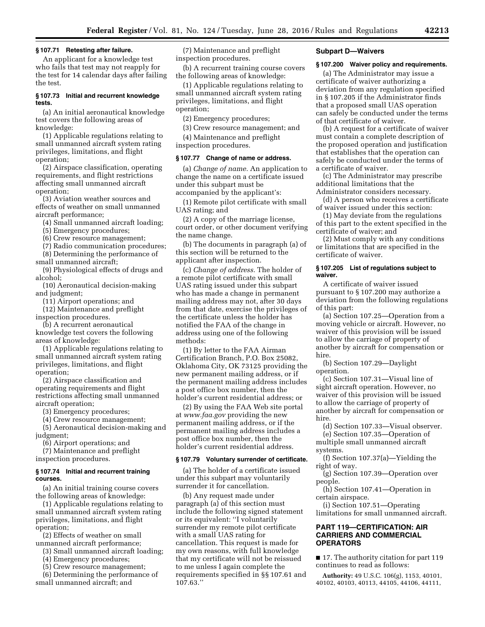# **§ 107.71 Retesting after failure.**

An applicant for a knowledge test who fails that test may not reapply for the test for 14 calendar days after failing the test.

# **§ 107.73 Initial and recurrent knowledge tests.**

(a) An initial aeronautical knowledge test covers the following areas of knowledge:

(1) Applicable regulations relating to small unmanned aircraft system rating privileges, limitations, and flight operation;

(2) Airspace classification, operating requirements, and flight restrictions affecting small unmanned aircraft operation;

(3) Aviation weather sources and effects of weather on small unmanned aircraft performance;

(4) Small unmanned aircraft loading;

(5) Emergency procedures;

(6) Crew resource management;

(7) Radio communication procedures;

(8) Determining the performance of

small unmanned aircraft; (9) Physiological effects of drugs and

alcohol;

(10) Aeronautical decision-making and judgment;

(11) Airport operations; and

(12) Maintenance and preflight inspection procedures.

(b) A recurrent aeronautical knowledge test covers the following areas of knowledge:

(1) Applicable regulations relating to small unmanned aircraft system rating privileges, limitations, and flight operation;

(2) Airspace classification and operating requirements and flight restrictions affecting small unmanned aircraft operation;

(3) Emergency procedures;

(4) Crew resource management;

(5) Aeronautical decision-making and judgment;

(6) Airport operations; and

(7) Maintenance and preflight inspection procedures.

#### **§ 107.74 Initial and recurrent training courses.**

(a) An initial training course covers the following areas of knowledge:

(1) Applicable regulations relating to small unmanned aircraft system rating privileges, limitations, and flight operation;

(2) Effects of weather on small unmanned aircraft performance;

(3) Small unmanned aircraft loading;

(4) Emergency procedures;

(5) Crew resource management;

(6) Determining the performance of small unmanned aircraft; and

(7) Maintenance and preflight inspection procedures.

(b) A recurrent training course covers the following areas of knowledge:

(1) Applicable regulations relating to small unmanned aircraft system rating privileges, limitations, and flight operation;

(2) Emergency procedures;

(3) Crew resource management; and

(4) Maintenance and preflight inspection procedures.

#### **§ 107.77 Change of name or address.**

(a) *Change of name.* An application to change the name on a certificate issued under this subpart must be accompanied by the applicant's:

(1) Remote pilot certificate with small UAS rating; and

(2) A copy of the marriage license, court order, or other document verifying the name change.

(b) The documents in paragraph (a) of this section will be returned to the applicant after inspection.

(c) *Change of address.* The holder of a remote pilot certificate with small UAS rating issued under this subpart who has made a change in permanent mailing address may not, after 30 days from that date, exercise the privileges of the certificate unless the holder has notified the FAA of the change in address using one of the following methods:

(1) By letter to the FAA Airman Certification Branch, P.O. Box 25082, Oklahoma City, OK 73125 providing the new permanent mailing address, or if the permanent mailing address includes a post office box number, then the holder's current residential address; or

(2) By using the FAA Web site portal at *[www.faa.gov](http://www.faa.gov)* providing the new permanent mailing address, or if the permanent mailing address includes a post office box number, then the holder's current residential address.

#### **§ 107.79 Voluntary surrender of certificate.**

(a) The holder of a certificate issued under this subpart may voluntarily surrender it for cancellation.

(b) Any request made under paragraph (a) of this section must include the following signed statement or its equivalent: ''I voluntarily surrender my remote pilot certificate with a small UAS rating for cancellation. This request is made for my own reasons, with full knowledge that my certificate will not be reissued to me unless I again complete the requirements specified in §§ 107.61 and 107.63.''

# **Subpart D—Waivers**

# **§ 107.200 Waiver policy and requirements.**

(a) The Administrator may issue a certificate of waiver authorizing a deviation from any regulation specified in § 107.205 if the Administrator finds that a proposed small UAS operation can safely be conducted under the terms of that certificate of waiver.

(b) A request for a certificate of waiver must contain a complete description of the proposed operation and justification that establishes that the operation can safely be conducted under the terms of a certificate of waiver.

(c) The Administrator may prescribe additional limitations that the Administrator considers necessary.

(d) A person who receives a certificate of waiver issued under this section:

(1) May deviate from the regulations of this part to the extent specified in the certificate of waiver; and

(2) Must comply with any conditions or limitations that are specified in the certificate of waiver.

### **§ 107.205 List of regulations subject to waiver.**

A certificate of waiver issued pursuant to § 107.200 may authorize a deviation from the following regulations of this part:

(a) Section 107.25—Operation from a moving vehicle or aircraft. However, no waiver of this provision will be issued to allow the carriage of property of another by aircraft for compensation or hire.

(b) Section 107.29—Daylight operation.

(c) Section 107.31—Visual line of sight aircraft operation. However, no waiver of this provision will be issued to allow the carriage of property of another by aircraft for compensation or hire.

(d) Section 107.33—Visual observer.

(e) Section 107.35—Operation of multiple small unmanned aircraft systems.

(f) Section 107.37(a)—Yielding the right of way.

(g) Section 107.39—Operation over people.

(h) Section 107.41—Operation in certain airspace.

(i) Section 107.51—Operating limitations for small unmanned aircraft.

# **PART 119—CERTIFICATION: AIR CARRIERS AND COMMERCIAL OPERATORS**

■ 17. The authority citation for part 119 continues to read as follows:

**Authority:** 49 U.S.C. 106(g), 1153, 40101, 40102, 40103, 40113, 44105, 44106, 44111,